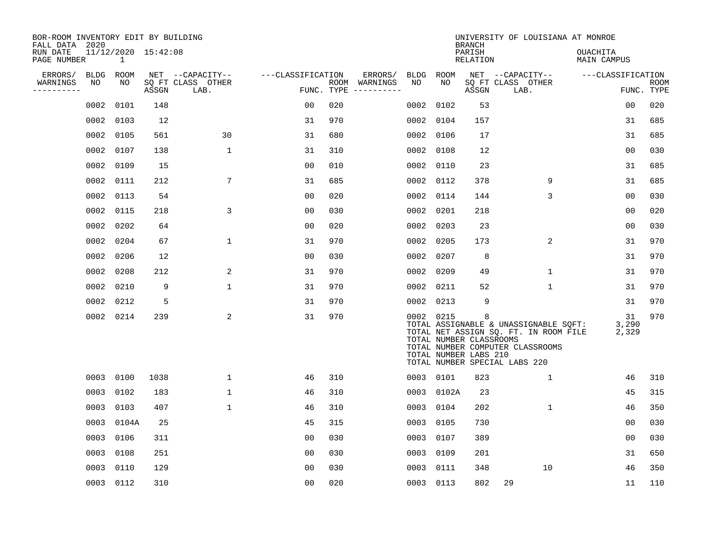| BOR-ROOM INVENTORY EDIT BY BUILDING<br>FALL DATA 2020 |             |              |                     |                           |                   |            |               |             |            | <b>BRANCH</b>                                         | UNIVERSITY OF LOUISIANA AT MONROE                                                                                                                   |                                |                    |
|-------------------------------------------------------|-------------|--------------|---------------------|---------------------------|-------------------|------------|---------------|-------------|------------|-------------------------------------------------------|-----------------------------------------------------------------------------------------------------------------------------------------------------|--------------------------------|--------------------|
| RUN DATE<br>PAGE NUMBER                               |             | $\mathbf{1}$ | 11/12/2020 15:42:08 |                           |                   |            |               |             |            | PARISH<br>RELATION                                    |                                                                                                                                                     | <b>OUACHITA</b><br>MAIN CAMPUS |                    |
| ERRORS/                                               | <b>BLDG</b> | ROOM         |                     | NET --CAPACITY--          | ---CLASSIFICATION |            | ERRORS/       | <b>BLDG</b> | ROOM       |                                                       | NET --CAPACITY--                                                                                                                                    | ---CLASSIFICATION              |                    |
| WARNINGS<br>----------                                | NO          | NO           | ASSGN               | SQ FT CLASS OTHER<br>LAB. |                   | FUNC. TYPE | ROOM WARNINGS | NO          | NO         | ASSGN                                                 | SQ FT CLASS OTHER<br>LAB.                                                                                                                           |                                | ROOM<br>FUNC. TYPE |
|                                                       | 0002        | 0101         | 148                 |                           | 0 <sub>0</sub>    | 020        |               | 0002        | 0102       | 53                                                    |                                                                                                                                                     | 0 <sub>0</sub>                 | 020                |
|                                                       | 0002        | 0103         | 12                  |                           | 31                | 970        |               | 0002        | 0104       | 157                                                   |                                                                                                                                                     | 31                             | 685                |
|                                                       | 0002        | 0105         | 561                 | 30                        | 31                | 680        |               | 0002        | 0106       | 17                                                    |                                                                                                                                                     | 31                             | 685                |
|                                                       | 0002        | 0107         | 138                 | $\mathbf 1$               | 31                | 310        |               | 0002        | 0108       | 12                                                    |                                                                                                                                                     | 0 <sub>0</sub>                 | 030                |
|                                                       | 0002        | 0109         | 15                  |                           | 0 <sub>0</sub>    | 010        |               | 0002        | 0110       | 23                                                    |                                                                                                                                                     | 31                             | 685                |
|                                                       | 0002        | 0111         | 212                 | 7                         | 31                | 685        |               | 0002        | 0112       | 378                                                   | 9                                                                                                                                                   | 31                             | 685                |
|                                                       | 0002        | 0113         | 54                  |                           | 0 <sub>0</sub>    | 020        |               | 0002        | 0114       | 144                                                   | 3                                                                                                                                                   | 0 <sub>0</sub>                 | 030                |
|                                                       | 0002 0115   |              | 218                 | 3                         | 0 <sub>0</sub>    | 030        |               |             | 0002 0201  | 218                                                   |                                                                                                                                                     | 0 <sub>0</sub>                 | 020                |
|                                                       | 0002        | 0202         | 64                  |                           | 0 <sub>0</sub>    | 020        |               | 0002        | 0203       | 23                                                    |                                                                                                                                                     | 0 <sub>0</sub>                 | 030                |
|                                                       | 0002        | 0204         | 67                  | 1                         | 31                | 970        |               | 0002        | 0205       | 173                                                   | 2                                                                                                                                                   | 31                             | 970                |
|                                                       | 0002        | 0206         | 12                  |                           | 0 <sub>0</sub>    | 030        |               | 0002        | 0207       | 8                                                     |                                                                                                                                                     | 31                             | 970                |
|                                                       | 0002        | 0208         | 212                 | 2                         | 31                | 970        |               | 0002        | 0209       | 49                                                    | $\mathbf 1$                                                                                                                                         | 31                             | 970                |
|                                                       | 0002        | 0210         | 9                   | $\mathbf 1$               | 31                | 970        |               | 0002        | 0211       | 52                                                    | 1                                                                                                                                                   | 31                             | 970                |
|                                                       | 0002        | 0212         | 5                   |                           | 31                | 970        |               | 0002        | 0213       | 9                                                     |                                                                                                                                                     | 31                             | 970                |
|                                                       |             | 0002 0214    | 239                 | 2                         | 31                | 970        |               |             | 0002 0215  | 8<br>TOTAL NUMBER CLASSROOMS<br>TOTAL NUMBER LABS 210 | TOTAL ASSIGNABLE & UNASSIGNABLE SQFT:<br>TOTAL NET ASSIGN SQ. FT. IN ROOM FILE<br>TOTAL NUMBER COMPUTER CLASSROOMS<br>TOTAL NUMBER SPECIAL LABS 220 | 31<br>3,290<br>2,329           | 970                |
|                                                       | 0003 0100   |              | 1038                | $\mathbf{1}$              | 46                | 310        |               |             | 0003 0101  | 823                                                   | $\mathbf{1}$                                                                                                                                        | 46                             | 310                |
|                                                       | 0003        | 0102         | 183                 | $\mathbf{1}$              | 46                | 310        |               |             | 0003 0102A | 23                                                    |                                                                                                                                                     | 45                             | 315                |
|                                                       | 0003 0103   |              | 407                 | $\mathbf 1$               | 46                | 310        |               |             | 0003 0104  | 202                                                   | $\mathbf 1$                                                                                                                                         | 46                             | 350                |
|                                                       | 0003        | 0104A        | 25                  |                           | 45                | 315        |               | 0003        | 0105       | 730                                                   |                                                                                                                                                     | 00                             | 030                |
|                                                       | 0003        | 0106         | 311                 |                           | 0 <sub>0</sub>    | 030        |               |             | 0003 0107  | 389                                                   |                                                                                                                                                     | 0 <sub>0</sub>                 | 030                |
|                                                       | 0003        | 0108         | 251                 |                           | 0 <sub>0</sub>    | 030        |               | 0003        | 0109       | 201                                                   |                                                                                                                                                     | 31                             | 650                |
|                                                       | 0003        | 0110         | 129                 |                           | 0 <sub>0</sub>    | 030        |               | 0003        | 0111       | 348                                                   | 10                                                                                                                                                  | 46                             | 350                |
|                                                       |             | 0003 0112    | 310                 |                           | 00                | 020        |               |             | 0003 0113  | 802                                                   | 29                                                                                                                                                  | 11                             | 110                |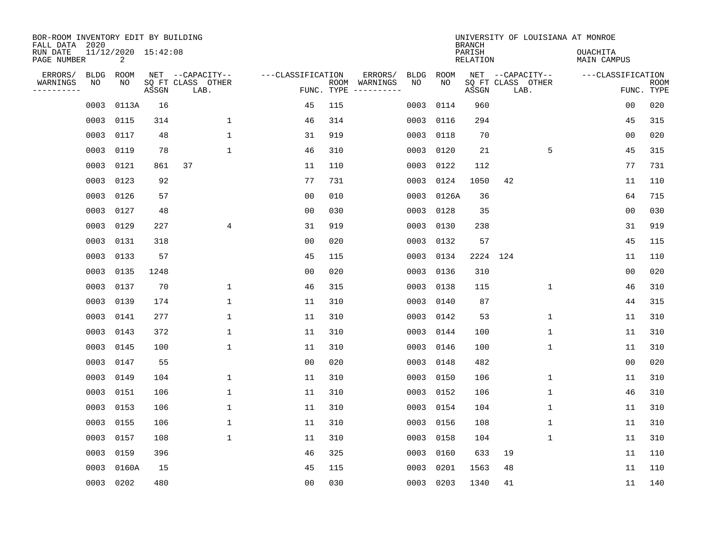| BOR-ROOM INVENTORY EDIT BY BUILDING<br>FALL DATA 2020 |                   |                          |       |                                       |                   |            |                                                                                                            |             | <b>BRANCH</b>             |          |                                       | UNIVERSITY OF LOUISIANA AT MONROE |                |             |
|-------------------------------------------------------|-------------------|--------------------------|-------|---------------------------------------|-------------------|------------|------------------------------------------------------------------------------------------------------------|-------------|---------------------------|----------|---------------------------------------|-----------------------------------|----------------|-------------|
| RUN DATE<br>PAGE NUMBER                               |                   | 11/12/2020 15:42:08<br>2 |       |                                       |                   |            |                                                                                                            |             | PARISH<br><b>RELATION</b> |          |                                       | <b>OUACHITA</b><br>MAIN CAMPUS    |                |             |
| ERRORS/<br>WARNINGS                                   | <b>BLDG</b><br>NO | ROOM<br>NO               |       | NET --CAPACITY--<br>SQ FT CLASS OTHER | ---CLASSIFICATION |            | ERRORS/<br><b>BLDG</b><br>ROOM WARNINGS<br>NO                                                              | ROOM<br>NO. |                           |          | NET --CAPACITY--<br>SQ FT CLASS OTHER | ---CLASSIFICATION                 |                | <b>ROOM</b> |
| ---------                                             |                   |                          | ASSGN | LAB.                                  |                   | FUNC. TYPE | $\begin{tabular}{ccccccccc} - & - & - & - & - & - & - & - \\ & - & - & - & - & - & - & - \\ \end{tabular}$ |             | ASSGN                     |          | LAB.                                  |                                   |                | FUNC. TYPE  |
|                                                       | 0003              | 0113A                    | 16    |                                       | 45                | 115        | 0003                                                                                                       | 0114        | 960                       |          |                                       |                                   | 00             | 020         |
|                                                       | 0003              | 0115                     | 314   | $\mathbf 1$                           | 46                | 314        | 0003                                                                                                       | 0116        | 294                       |          |                                       |                                   | 45             | 315         |
|                                                       | 0003              | 0117                     | 48    | $\mathbf{1}$                          | 31                | 919        | 0003                                                                                                       | 0118        | 70                        |          |                                       |                                   | 00             | 020         |
|                                                       | 0003              | 0119                     | 78    | $\mathbf{1}$                          | 46                | 310        | 0003                                                                                                       | 0120        | 21                        |          | 5                                     |                                   | 45             | 315         |
|                                                       | 0003              | 0121                     | 861   | 37                                    | 11                | 110        | 0003                                                                                                       | 0122        | 112                       |          |                                       |                                   | 77             | 731         |
|                                                       |                   | 0003 0123                | 92    |                                       | 77                | 731        | 0003                                                                                                       | 0124        | 1050                      | 42       |                                       |                                   | 11             | 110         |
|                                                       |                   | 0003 0126                | 57    |                                       | 0 <sub>0</sub>    | 010        | 0003                                                                                                       | 0126A       | 36                        |          |                                       |                                   | 64             | 715         |
|                                                       |                   | 0003 0127                | 48    |                                       | 0 <sub>0</sub>    | 030        | 0003                                                                                                       | 0128        | 35                        |          |                                       |                                   | 00             | 030         |
|                                                       | 0003              | 0129                     | 227   | 4                                     | 31                | 919        | 0003                                                                                                       | 0130        | 238                       |          |                                       |                                   | 31             | 919         |
|                                                       |                   | 0003 0131                | 318   |                                       | 0 <sub>0</sub>    | 020        | 0003                                                                                                       | 0132        | 57                        |          |                                       |                                   | 45             | 115         |
|                                                       | 0003              | 0133                     | 57    |                                       | 45                | 115        | 0003                                                                                                       | 0134        |                           | 2224 124 |                                       |                                   | 11             | 110         |
|                                                       |                   | 0003 0135                | 1248  |                                       | 0 <sub>0</sub>    | 020        | 0003                                                                                                       | 0136        | 310                       |          |                                       |                                   | 0 <sub>0</sub> | 020         |
|                                                       | 0003              | 0137                     | 70    | $\mathbf 1$                           | 46                | 315        | 0003                                                                                                       | 0138        | 115                       |          | $\mathbf 1$                           |                                   | 46             | 310         |
|                                                       | 0003              | 0139                     | 174   | $\mathbf 1$                           | 11                | 310        | 0003                                                                                                       | 0140        | 87                        |          |                                       |                                   | 44             | 315         |
|                                                       | 0003              | 0141                     | 277   | $\mathbf 1$                           | 11                | 310        | 0003                                                                                                       | 0142        | 53                        |          | 1                                     |                                   | 11             | 310         |
|                                                       | 0003              | 0143                     | 372   | $\mathbf 1$                           | 11                | 310        | 0003                                                                                                       | 0144        | 100                       |          | 1                                     |                                   | 11             | 310         |
|                                                       | 0003              | 0145                     | 100   | $\mathbf{1}$                          | 11                | 310        | 0003                                                                                                       | 0146        | 100                       |          | 1                                     |                                   | 11             | 310         |
|                                                       | 0003              | 0147                     | 55    |                                       | 0 <sub>0</sub>    | 020        | 0003                                                                                                       | 0148        | 482                       |          |                                       |                                   | 0 <sub>0</sub> | 020         |
|                                                       | 0003              | 0149                     | 104   | $\mathbf{1}$                          | 11                | 310        | 0003                                                                                                       | 0150        | 106                       |          | 1                                     |                                   | 11             | 310         |
|                                                       | 0003              | 0151                     | 106   | $\mathbf{1}$                          | 11                | 310        | 0003                                                                                                       | 0152        | 106                       |          | 1                                     |                                   | 46             | 310         |
|                                                       | 0003              | 0153                     | 106   | $\mathbf{1}$                          | 11                | 310        | 0003                                                                                                       | 0154        | 104                       |          | 1                                     |                                   | 11             | 310         |
|                                                       | 0003              | 0155                     | 106   | $\mathbf{1}$                          | 11                | 310        | 0003                                                                                                       | 0156        | 108                       |          | 1                                     |                                   | 11             | 310         |
|                                                       | 0003              | 0157                     | 108   | 1                                     | 11                | 310        | 0003                                                                                                       | 0158        | 104                       |          | 1                                     |                                   | 11             | 310         |
|                                                       | 0003              | 0159                     | 396   |                                       | 46                | 325        | 0003                                                                                                       | 0160        | 633                       | 19       |                                       |                                   | 11             | 110         |
|                                                       | 0003              | 0160A                    | 15    |                                       | 45                | 115        | 0003                                                                                                       | 0201        | 1563                      | 48       |                                       |                                   | 11             | 110         |
|                                                       |                   | 0003 0202                | 480   |                                       | 0 <sub>0</sub>    | 030        |                                                                                                            | 0003 0203   | 1340                      | 41       |                                       |                                   | 11             | 140         |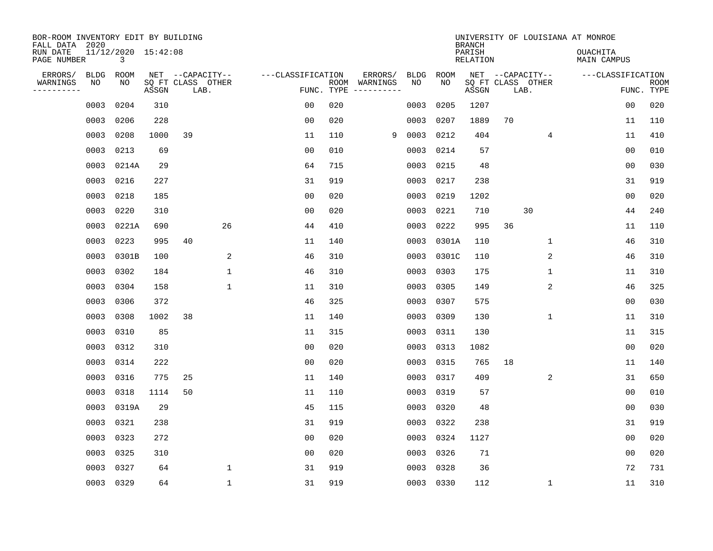| BOR-ROOM INVENTORY EDIT BY BUILDING<br>FALL DATA 2020 |             |                          |       |      |                   |                   |     |                                                                                                                             |      |             | <b>BRANCH</b>             |    |                           | UNIVERSITY OF LOUISIANA AT MONROE |                |             |
|-------------------------------------------------------|-------------|--------------------------|-------|------|-------------------|-------------------|-----|-----------------------------------------------------------------------------------------------------------------------------|------|-------------|---------------------------|----|---------------------------|-----------------------------------|----------------|-------------|
| RUN DATE<br>PAGE NUMBER                               |             | 11/12/2020 15:42:08<br>3 |       |      |                   |                   |     |                                                                                                                             |      |             | PARISH<br><b>RELATION</b> |    |                           | <b>OUACHITA</b><br>MAIN CAMPUS    |                |             |
| ERRORS/                                               | <b>BLDG</b> | ROOM<br>NO               |       |      | NET --CAPACITY--  | ---CLASSIFICATION |     | ERRORS/                                                                                                                     | BLDG | ROOM<br>NO. |                           |    | NET --CAPACITY--          | ---CLASSIFICATION                 |                |             |
| WARNINGS<br>----------                                | NO          |                          | ASSGN | LAB. | SQ FT CLASS OTHER | FUNC. TYPE        |     | ROOM WARNINGS<br>$\begin{tabular}{ccccccccc} - & - & - & - & - & - & - & - \\ & - & - & - & - & - & - & - \\ \end{tabular}$ | NO   |             | ASSGN                     |    | SQ FT CLASS OTHER<br>LAB. |                                   | FUNC. TYPE     | <b>ROOM</b> |
|                                                       | 0003        | 0204                     | 310   |      |                   | 0 <sub>0</sub>    | 020 |                                                                                                                             | 0003 | 0205        | 1207                      |    |                           |                                   | 0 <sub>0</sub> | 020         |
|                                                       | 0003        | 0206                     | 228   |      |                   | 0 <sub>0</sub>    | 020 |                                                                                                                             | 0003 | 0207        | 1889                      | 70 |                           |                                   | 11             | 110         |
|                                                       | 0003        | 0208                     | 1000  | 39   |                   | 11                | 110 | 9                                                                                                                           | 0003 | 0212        | 404                       |    | 4                         |                                   | 11             | 410         |
|                                                       | 0003        | 0213                     | 69    |      |                   | 0 <sub>0</sub>    | 010 |                                                                                                                             | 0003 | 0214        | 57                        |    |                           |                                   | 0 <sub>0</sub> | 010         |
|                                                       | 0003        | 0214A                    | 29    |      |                   | 64                | 715 |                                                                                                                             | 0003 | 0215        | 48                        |    |                           |                                   | 00             | 030         |
|                                                       | 0003 0216   |                          | 227   |      |                   | 31                | 919 |                                                                                                                             | 0003 | 0217        | 238                       |    |                           |                                   | 31             | 919         |
|                                                       | 0003        | 0218                     | 185   |      |                   | 0 <sub>0</sub>    | 020 |                                                                                                                             | 0003 | 0219        | 1202                      |    |                           |                                   | 0 <sub>0</sub> | 020         |
|                                                       | 0003 0220   |                          | 310   |      |                   | 0 <sub>0</sub>    | 020 |                                                                                                                             | 0003 | 0221        | 710                       |    | 30                        |                                   | 44             | 240         |
|                                                       | 0003        | 0221A                    | 690   |      | 26                | 44                | 410 |                                                                                                                             | 0003 | 0222        | 995                       | 36 |                           |                                   | 11             | 110         |
|                                                       | 0003        | 0223                     | 995   | 40   |                   | 11                | 140 |                                                                                                                             | 0003 | 0301A       | 110                       |    | $\mathbf 1$               |                                   | 46             | 310         |
|                                                       | 0003        | 0301B                    | 100   |      | 2                 | 46                | 310 |                                                                                                                             | 0003 | 0301C       | 110                       |    | 2                         |                                   | 46             | 310         |
|                                                       | 0003        | 0302                     | 184   |      | $\mathbf{1}$      | 46                | 310 |                                                                                                                             | 0003 | 0303        | 175                       |    | $\mathbf 1$               |                                   | 11             | 310         |
|                                                       | 0003        | 0304                     | 158   |      | $\mathbf{1}$      | 11                | 310 |                                                                                                                             | 0003 | 0305        | 149                       |    | 2                         |                                   | 46             | 325         |
|                                                       | 0003        | 0306                     | 372   |      |                   | 46                | 325 |                                                                                                                             | 0003 | 0307        | 575                       |    |                           |                                   | 0 <sub>0</sub> | 030         |
|                                                       | 0003        | 0308                     | 1002  | 38   |                   | 11                | 140 |                                                                                                                             | 0003 | 0309        | 130                       |    | 1                         |                                   | 11             | 310         |
|                                                       | 0003        | 0310                     | 85    |      |                   | 11                | 315 |                                                                                                                             | 0003 | 0311        | 130                       |    |                           |                                   | 11             | 315         |
|                                                       | 0003        | 0312                     | 310   |      |                   | 0 <sub>0</sub>    | 020 |                                                                                                                             | 0003 | 0313        | 1082                      |    |                           |                                   | 0 <sub>0</sub> | 020         |
|                                                       | 0003        | 0314                     | 222   |      |                   | 0 <sub>0</sub>    | 020 |                                                                                                                             | 0003 | 0315        | 765                       | 18 |                           |                                   | 11             | 140         |
|                                                       | 0003        | 0316                     | 775   | 25   |                   | 11                | 140 |                                                                                                                             | 0003 | 0317        | 409                       |    | 2                         |                                   | 31             | 650         |
|                                                       | 0003        | 0318                     | 1114  | 50   |                   | 11                | 110 |                                                                                                                             | 0003 | 0319        | 57                        |    |                           |                                   | 0 <sub>0</sub> | 010         |
|                                                       | 0003        | 0319A                    | 29    |      |                   | 45                | 115 |                                                                                                                             | 0003 | 0320        | 48                        |    |                           |                                   | 0 <sub>0</sub> | 030         |
|                                                       | 0003        | 0321                     | 238   |      |                   | 31                | 919 |                                                                                                                             | 0003 | 0322        | 238                       |    |                           |                                   | 31             | 919         |
|                                                       | 0003        | 0323                     | 272   |      |                   | 0 <sub>0</sub>    | 020 |                                                                                                                             | 0003 | 0324        | 1127                      |    |                           |                                   | 0 <sub>0</sub> | 020         |
|                                                       | 0003        | 0325                     | 310   |      |                   | 0 <sub>0</sub>    | 020 |                                                                                                                             | 0003 | 0326        | 71                        |    |                           |                                   | 0 <sub>0</sub> | 020         |
|                                                       | 0003        | 0327                     | 64    |      | 1                 | 31                | 919 |                                                                                                                             | 0003 | 0328        | 36                        |    |                           |                                   | 72             | 731         |
|                                                       | 0003 0329   |                          | 64    |      | $\mathbf{1}$      | 31                | 919 |                                                                                                                             |      | 0003 0330   | 112                       |    | 1                         |                                   | 11             | 310         |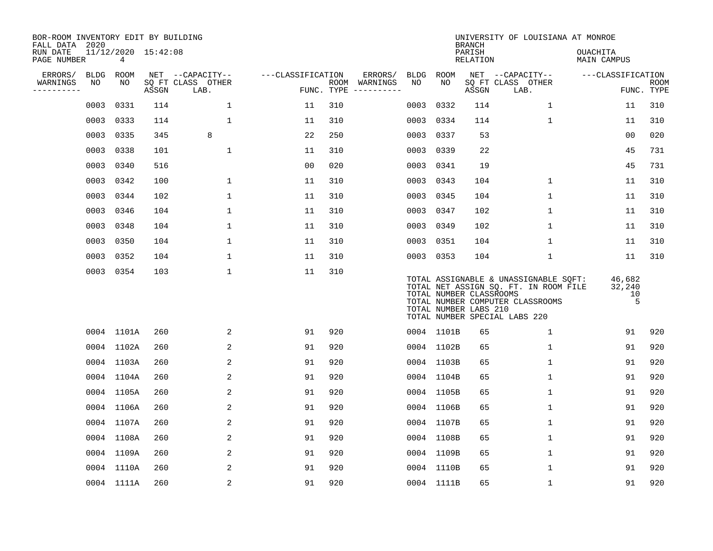| BOR-ROOM INVENTORY EDIT BY BUILDING<br>FALL DATA 2020 |      |            |                     |                           |                   |                    |          |           |            | <b>BRANCH</b>                                    | UNIVERSITY OF LOUISIANA AT MONROE                                                                                                                   |                                |                           |
|-------------------------------------------------------|------|------------|---------------------|---------------------------|-------------------|--------------------|----------|-----------|------------|--------------------------------------------------|-----------------------------------------------------------------------------------------------------------------------------------------------------|--------------------------------|---------------------------|
| RUN DATE<br>PAGE NUMBER                               |      | 4          | 11/12/2020 15:42:08 |                           |                   |                    |          |           |            | PARISH<br><b>RELATION</b>                        |                                                                                                                                                     | OUACHITA<br><b>MAIN CAMPUS</b> |                           |
| ERRORS/                                               | BLDG | ROOM       |                     | NET --CAPACITY--          | ---CLASSIFICATION |                    | ERRORS/  | BLDG      | ROOM       |                                                  | NET --CAPACITY--                                                                                                                                    | ---CLASSIFICATION              |                           |
| WARNINGS<br>. <u>.</u> .                              | NO   | NO         | ASSGN               | SQ FT CLASS OTHER<br>LAB. |                   | ROOM<br>FUNC. TYPE | WARNINGS | NO        | NO         | ASSGN                                            | SQ FT CLASS OTHER<br>LAB.                                                                                                                           |                                | <b>ROOM</b><br>FUNC. TYPE |
|                                                       | 0003 | 0331       | 114                 | $\mathbf 1$               | 11                | 310                |          | 0003      | 0332       | 114                                              | $\mathbf 1$                                                                                                                                         | 11                             | 310                       |
|                                                       | 0003 | 0333       | 114                 | $\mathbf 1$               | 11                | 310                |          |           | 0003 0334  | 114                                              | $\mathbf 1$                                                                                                                                         | 11                             | 310                       |
|                                                       | 0003 | 0335       | 345                 | 8                         | 22                | 250                |          | 0003      | 0337       | 53                                               |                                                                                                                                                     | 0 <sub>0</sub>                 | 020                       |
|                                                       |      | 0003 0338  | 101                 | 1                         | 11                | 310                |          | 0003 0339 |            | 22                                               |                                                                                                                                                     | 45                             | 731                       |
|                                                       | 0003 | 0340       | 516                 |                           | 0 <sub>0</sub>    | 020                |          | 0003      | 0341       | 19                                               |                                                                                                                                                     | 45                             | 731                       |
|                                                       |      | 0003 0342  | 100                 | $\mathbf{1}$              | 11                | 310                |          | 0003 0343 |            | 104                                              | $\mathbf{1}$                                                                                                                                        | 11                             | 310                       |
|                                                       | 0003 | 0344       | 102                 | $\mathbf{1}$              | 11                | 310                |          | 0003      | 0345       | 104                                              | 1                                                                                                                                                   | 11                             | 310                       |
|                                                       |      | 0003 0346  | 104                 | $\mathbf 1$               | 11                | 310                |          | 0003 0347 |            | 102                                              | $\mathbf 1$                                                                                                                                         | 11                             | 310                       |
|                                                       | 0003 | 0348       | 104                 | $\mathbf 1$               | 11                | 310                |          | 0003      | 0349       | 102                                              | 1                                                                                                                                                   | 11                             | 310                       |
|                                                       | 0003 | 0350       | 104                 | $\mathbf 1$               | 11                | 310                |          |           | 0003 0351  | 104                                              | 1                                                                                                                                                   | 11                             | 310                       |
|                                                       | 0003 | 0352       | 104                 | $\mathbf{1}$              | 11                | 310                |          | 0003 0353 |            | 104                                              | 1                                                                                                                                                   | 11                             | 310                       |
|                                                       |      | 0003 0354  | 103                 | $\mathbf 1$               | 11                | 310                |          |           |            | TOTAL NUMBER CLASSROOMS<br>TOTAL NUMBER LABS 210 | TOTAL ASSIGNABLE & UNASSIGNABLE SQFT:<br>TOTAL NET ASSIGN SQ. FT. IN ROOM FILE<br>TOTAL NUMBER COMPUTER CLASSROOMS<br>TOTAL NUMBER SPECIAL LABS 220 | 46,682<br>32,240<br>10<br>5    |                           |
|                                                       |      | 0004 1101A | 260                 | 2                         | 91                | 920                |          |           | 0004 1101B | 65                                               | 1                                                                                                                                                   | 91                             | 920                       |
|                                                       |      | 0004 1102A | 260                 | 2                         | 91                | 920                |          |           | 0004 1102B | 65                                               | 1                                                                                                                                                   | 91                             | 920                       |
|                                                       |      | 0004 1103A | 260                 | 2                         | 91                | 920                |          |           | 0004 1103B | 65                                               | $\mathbf 1$                                                                                                                                         | 91                             | 920                       |
|                                                       |      | 0004 1104A | 260                 | 2                         | 91                | 920                |          |           | 0004 1104B | 65                                               | $\mathbf 1$                                                                                                                                         | 91                             | 920                       |
|                                                       |      | 0004 1105A | 260                 | $\overline{a}$            | 91                | 920                |          |           | 0004 1105B | 65                                               | $\mathbf{1}$                                                                                                                                        | 91                             | 920                       |
|                                                       |      | 0004 1106A | 260                 | 2                         | 91                | 920                |          |           | 0004 1106B | 65                                               | $\mathbf 1$                                                                                                                                         | 91                             | 920                       |
|                                                       |      | 0004 1107A | 260                 | 2                         | 91                | 920                |          |           | 0004 1107B | 65                                               | $\mathbf{1}$                                                                                                                                        | 91                             | 920                       |
|                                                       |      | 0004 1108A | 260                 | 2                         | 91                | 920                |          |           | 0004 1108B | 65                                               | $\mathbf 1$                                                                                                                                         | 91                             | 920                       |
|                                                       |      | 0004 1109A | 260                 | 2                         | 91                | 920                |          |           | 0004 1109B | 65                                               | 1                                                                                                                                                   | 91                             | 920                       |
|                                                       |      | 0004 1110A | 260                 | 2                         | 91                | 920                |          |           | 0004 1110B | 65                                               | $\mathbf 1$                                                                                                                                         | 91                             | 920                       |
|                                                       |      | 0004 1111A | 260                 | 2                         | 91                | 920                |          |           | 0004 1111B | 65                                               | $\mathbf 1$                                                                                                                                         | 91                             | 920                       |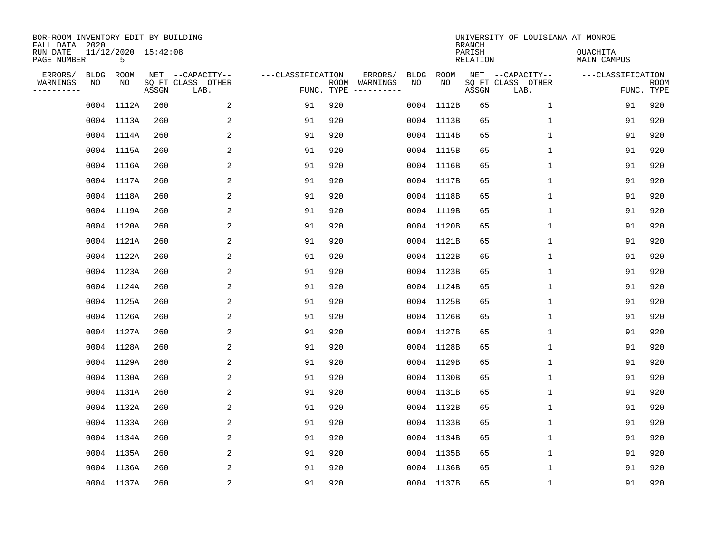| BOR-ROOM INVENTORY EDIT BY BUILDING<br>FALL DATA 2020<br>RUN DATE<br>PAGE NUMBER |                   | 11/12/2020 15:42:08<br>5 |       |                                               |                                 |     |                                                                                                                                        |                   |            | <b>BRANCH</b><br>PARISH<br>RELATION | UNIVERSITY OF LOUISIANA AT MONROE             | OUACHITA<br>MAIN CAMPUS |                    |
|----------------------------------------------------------------------------------|-------------------|--------------------------|-------|-----------------------------------------------|---------------------------------|-----|----------------------------------------------------------------------------------------------------------------------------------------|-------------------|------------|-------------------------------------|-----------------------------------------------|-------------------------|--------------------|
| ERRORS/<br>WARNINGS<br>---------                                                 | <b>BLDG</b><br>NO | ROOM<br>NO               | ASSGN | NET --CAPACITY--<br>SQ FT CLASS OTHER<br>LAB. | ---CLASSIFICATION<br>FUNC. TYPE |     | ERRORS/<br>ROOM WARNINGS<br>$\begin{tabular}{ccccccccc} - & - & - & - & - & - & - & - \\ & - & - & - & - & - & - & - \\ \end{tabular}$ | <b>BLDG</b><br>NO | ROOM<br>NO | ASSGN                               | NET --CAPACITY--<br>SQ FT CLASS OTHER<br>LAB. | ---CLASSIFICATION       | ROOM<br>FUNC. TYPE |
|                                                                                  |                   | 0004 1112A               | 260   | 2                                             | 91                              | 920 |                                                                                                                                        |                   | 0004 1112B | 65                                  | 1                                             | 91                      | 920                |
|                                                                                  |                   | 0004 1113A               | 260   | 2                                             | 91                              | 920 |                                                                                                                                        |                   | 0004 1113B | 65                                  | $\mathbf{1}$                                  | 91                      | 920                |
|                                                                                  |                   | 0004 1114A               | 260   | 2                                             | 91                              | 920 |                                                                                                                                        |                   | 0004 1114B | 65                                  | $\mathbf{1}$                                  | 91                      | 920                |
|                                                                                  |                   | 0004 1115A               | 260   | $\overline{a}$                                | 91                              | 920 |                                                                                                                                        |                   | 0004 1115B | 65                                  | $\mathbf{1}$                                  | 91                      | 920                |
|                                                                                  |                   | 0004 1116A               | 260   | 2                                             | 91                              | 920 |                                                                                                                                        |                   | 0004 1116B | 65                                  | $\mathbf{1}$                                  | 91                      | 920                |
|                                                                                  |                   | 0004 1117A               | 260   | 2                                             | 91                              | 920 |                                                                                                                                        |                   | 0004 1117B | 65                                  | $\mathbf 1$                                   | 91                      | 920                |
|                                                                                  |                   | 0004 1118A               | 260   | 2                                             | 91                              | 920 |                                                                                                                                        |                   | 0004 1118B | 65                                  | $\mathbf 1$                                   | 91                      | 920                |
|                                                                                  |                   | 0004 1119A               | 260   | 2                                             | 91                              | 920 |                                                                                                                                        |                   | 0004 1119B | 65                                  | $\mathbf{1}$                                  | 91                      | 920                |
|                                                                                  |                   | 0004 1120A               | 260   | 2                                             | 91                              | 920 |                                                                                                                                        |                   | 0004 1120B | 65                                  | $\mathbf 1$                                   | 91                      | 920                |
|                                                                                  |                   | 0004 1121A               | 260   | 2                                             | 91                              | 920 |                                                                                                                                        |                   | 0004 1121B | 65                                  | $\mathbf 1$                                   | 91                      | 920                |
|                                                                                  |                   | 0004 1122A               | 260   | 2                                             | 91                              | 920 |                                                                                                                                        |                   | 0004 1122B | 65                                  | $\mathbf{1}$                                  | 91                      | 920                |
|                                                                                  |                   | 0004 1123A               | 260   | 2                                             | 91                              | 920 |                                                                                                                                        |                   | 0004 1123B | 65                                  | $\mathbf{1}$                                  | 91                      | 920                |
|                                                                                  |                   | 0004 1124A               | 260   | 2                                             | 91                              | 920 |                                                                                                                                        |                   | 0004 1124B | 65                                  | $\mathbf{1}$                                  | 91                      | 920                |
|                                                                                  |                   | 0004 1125A               | 260   | 2                                             | 91                              | 920 |                                                                                                                                        |                   | 0004 1125B | 65                                  | $\mathbf{1}$                                  | 91                      | 920                |
|                                                                                  |                   | 0004 1126A               | 260   | 2                                             | 91                              | 920 |                                                                                                                                        |                   | 0004 1126B | 65                                  | 1                                             | 91                      | 920                |
|                                                                                  |                   | 0004 1127A               | 260   | 2                                             | 91                              | 920 |                                                                                                                                        |                   | 0004 1127B | 65                                  | $\mathbf{1}$                                  | 91                      | 920                |
|                                                                                  |                   | 0004 1128A               | 260   | 2                                             | 91                              | 920 |                                                                                                                                        |                   | 0004 1128B | 65                                  | 1                                             | 91                      | 920                |
|                                                                                  |                   | 0004 1129A               | 260   | 2                                             | 91                              | 920 |                                                                                                                                        |                   | 0004 1129B | 65                                  | 1                                             | 91                      | 920                |
|                                                                                  |                   | 0004 1130A               | 260   | 2                                             | 91                              | 920 |                                                                                                                                        |                   | 0004 1130B | 65                                  | 1                                             | 91                      | 920                |
|                                                                                  |                   | 0004 1131A               | 260   | 2                                             | 91                              | 920 |                                                                                                                                        |                   | 0004 1131B | 65                                  | $\mathbf 1$                                   | 91                      | 920                |
|                                                                                  |                   | 0004 1132A               | 260   | 2                                             | 91                              | 920 |                                                                                                                                        |                   | 0004 1132B | 65                                  | 1                                             | 91                      | 920                |
|                                                                                  |                   | 0004 1133A               | 260   | 2                                             | 91                              | 920 |                                                                                                                                        |                   | 0004 1133B | 65                                  | $\mathbf 1$                                   | 91                      | 920                |
|                                                                                  |                   | 0004 1134A               | 260   | 2                                             | 91                              | 920 |                                                                                                                                        |                   | 0004 1134B | 65                                  | $\mathbf{1}$                                  | 91                      | 920                |
|                                                                                  |                   | 0004 1135A               | 260   | 2                                             | 91                              | 920 |                                                                                                                                        |                   | 0004 1135B | 65                                  | $\mathbf 1$                                   | 91                      | 920                |
|                                                                                  |                   | 0004 1136A               | 260   | 2                                             | 91                              | 920 |                                                                                                                                        |                   | 0004 1136B | 65                                  | 1                                             | 91                      | 920                |
|                                                                                  |                   | 0004 1137A               | 260   | $\overline{2}$                                | 91                              | 920 |                                                                                                                                        |                   | 0004 1137B | 65                                  | 1                                             | 91                      | 920                |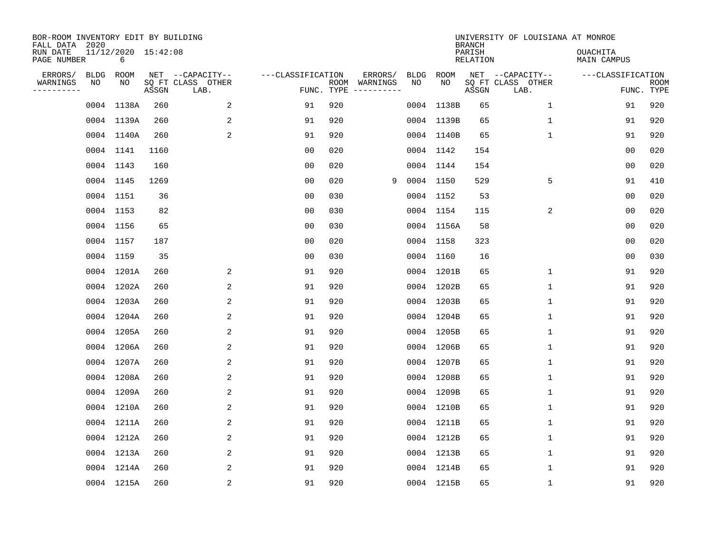| BOR-ROOM INVENTORY EDIT BY BUILDING<br>FALL DATA 2020 |           |                          |       |                           |                   |            |               |      |            | <b>BRANCH</b>      | UNIVERSITY OF LOUISIANA AT MONROE |                                |                           |
|-------------------------------------------------------|-----------|--------------------------|-------|---------------------------|-------------------|------------|---------------|------|------------|--------------------|-----------------------------------|--------------------------------|---------------------------|
| RUN DATE<br>PAGE NUMBER                               |           | 11/12/2020 15:42:08<br>6 |       |                           |                   |            |               |      |            | PARISH<br>RELATION |                                   | <b>OUACHITA</b><br>MAIN CAMPUS |                           |
| ERRORS/                                               | BLDG      | ROOM                     |       | NET --CAPACITY--          | ---CLASSIFICATION |            | ERRORS/       | BLDG | ROOM       |                    | NET --CAPACITY--                  | ---CLASSIFICATION              |                           |
| WARNINGS<br>---------                                 | NO        | NO                       | ASSGN | SQ FT CLASS OTHER<br>LAB. |                   | FUNC. TYPE | ROOM WARNINGS | NO   | NO         | ASSGN              | SQ FT CLASS OTHER<br>LAB.         |                                | <b>ROOM</b><br>FUNC. TYPE |
|                                                       |           | 0004 1138A               | 260   | 2                         | 91                | 920        |               |      | 0004 1138B | 65                 | $\mathbf{1}$                      | 91                             | 920                       |
|                                                       |           | 0004 1139A               | 260   | 2                         | 91                | 920        |               |      | 0004 1139B | 65                 | $\mathbf{1}$                      | 91                             | 920                       |
|                                                       |           | 0004 1140A               | 260   | 2                         | 91                | 920        |               |      | 0004 1140B | 65                 | $\mathbf{1}$                      | 91                             | 920                       |
|                                                       |           | 0004 1141                | 1160  |                           | 0 <sub>0</sub>    | 020        |               |      | 0004 1142  | 154                |                                   | 0 <sub>0</sub>                 | 020                       |
|                                                       | 0004 1143 |                          | 160   |                           | 0 <sub>0</sub>    | 020        |               |      | 0004 1144  | 154                |                                   | 0 <sub>0</sub>                 | 020                       |
|                                                       | 0004 1145 |                          | 1269  |                           | 0 <sub>0</sub>    | 020        | 9             |      | 0004 1150  | 529                | 5                                 | 91                             | 410                       |
|                                                       | 0004 1151 |                          | 36    |                           | 0 <sub>0</sub>    | 030        |               |      | 0004 1152  | 53                 |                                   | 0 <sub>0</sub>                 | 020                       |
|                                                       | 0004 1153 |                          | 82    |                           | 0 <sub>0</sub>    | 030        |               |      | 0004 1154  | 115                | 2                                 | 0 <sub>0</sub>                 | 020                       |
|                                                       | 0004 1156 |                          | 65    |                           | 0 <sub>0</sub>    | 030        |               |      | 0004 1156A | 58                 |                                   | 0 <sub>0</sub>                 | 020                       |
|                                                       | 0004 1157 |                          | 187   |                           | 00                | 020        |               |      | 0004 1158  | 323                |                                   | 00                             | 020                       |
|                                                       | 0004 1159 |                          | 35    |                           | 00                | 030        |               |      | 0004 1160  | 16                 |                                   | 00                             | 030                       |
|                                                       |           | 0004 1201A               | 260   | 2                         | 91                | 920        |               |      | 0004 1201B | 65                 | 1                                 | 91                             | 920                       |
|                                                       |           | 0004 1202A               | 260   | 2                         | 91                | 920        |               |      | 0004 1202B | 65                 | 1                                 | 91                             | 920                       |
|                                                       |           | 0004 1203A               | 260   | 2                         | 91                | 920        |               |      | 0004 1203B | 65                 | 1                                 | 91                             | 920                       |
|                                                       |           | 0004 1204A               | 260   | 2                         | 91                | 920        |               |      | 0004 1204B | 65                 | 1                                 | 91                             | 920                       |
|                                                       |           | 0004 1205A               | 260   | 2                         | 91                | 920        |               |      | 0004 1205B | 65                 | 1                                 | 91                             | 920                       |
|                                                       |           | 0004 1206A               | 260   | 2                         | 91                | 920        |               |      | 0004 1206B | 65                 | 1                                 | 91                             | 920                       |
|                                                       |           | 0004 1207A               | 260   | 2                         | 91                | 920        |               |      | 0004 1207B | 65                 | 1                                 | 91                             | 920                       |
|                                                       |           | 0004 1208A               | 260   | 2                         | 91                | 920        |               |      | 0004 1208B | 65                 | 1                                 | 91                             | 920                       |
|                                                       |           | 0004 1209A               | 260   | 2                         | 91                | 920        |               |      | 0004 1209B | 65                 | 1                                 | 91                             | 920                       |
|                                                       |           | 0004 1210A               | 260   | 2                         | 91                | 920        |               |      | 0004 1210B | 65                 | 1                                 | 91                             | 920                       |
|                                                       |           | 0004 1211A               | 260   | 2                         | 91                | 920        |               |      | 0004 1211B | 65                 | 1                                 | 91                             | 920                       |
|                                                       |           | 0004 1212A               | 260   | 2                         | 91                | 920        |               |      | 0004 1212B | 65                 | 1                                 | 91                             | 920                       |
|                                                       |           | 0004 1213A               | 260   | 2                         | 91                | 920        |               |      | 0004 1213B | 65                 | 1                                 | 91                             | 920                       |
|                                                       |           | 0004 1214A               | 260   | 2                         | 91                | 920        |               |      | 0004 1214B | 65                 | $\mathbf 1$                       | 91                             | 920                       |
|                                                       |           | 0004 1215A               | 260   | 2                         | 91                | 920        |               |      | 0004 1215B | 65                 | $\mathbf{1}$                      | 91                             | 920                       |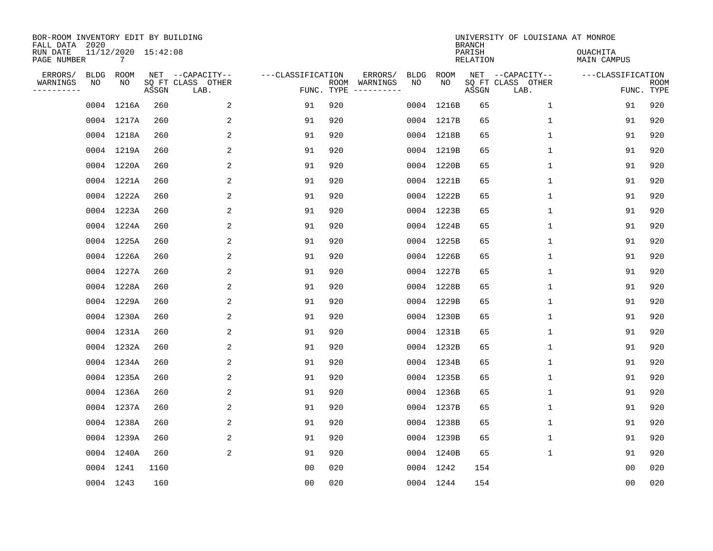| BOR-ROOM INVENTORY EDIT BY BUILDING<br>FALL DATA 2020<br>RUN DATE<br>PAGE NUMBER |                   | 11/12/2020 15:42:08<br>7 |       |                                               |                                 |     |                                                                                                                                        |            |            | <b>BRANCH</b><br>PARISH<br>RELATION | UNIVERSITY OF LOUISIANA AT MONROE             | OUACHITA<br>MAIN CAMPUS |                    |
|----------------------------------------------------------------------------------|-------------------|--------------------------|-------|-----------------------------------------------|---------------------------------|-----|----------------------------------------------------------------------------------------------------------------------------------------|------------|------------|-------------------------------------|-----------------------------------------------|-------------------------|--------------------|
| ERRORS/<br>WARNINGS<br>---------                                                 | <b>BLDG</b><br>NO | ROOM<br>NO               | ASSGN | NET --CAPACITY--<br>SQ FT CLASS OTHER<br>LAB. | ---CLASSIFICATION<br>FUNC. TYPE |     | ERRORS/<br>ROOM WARNINGS<br>$\begin{tabular}{ccccccccc} - & - & - & - & - & - & - & - \\ & - & - & - & - & - & - & - \\ \end{tabular}$ | BLDG<br>NO | ROOM<br>NO | ASSGN                               | NET --CAPACITY--<br>SQ FT CLASS OTHER<br>LAB. | ---CLASSIFICATION       | ROOM<br>FUNC. TYPE |
|                                                                                  |                   | 0004 1216A               | 260   | 2                                             | 91                              | 920 |                                                                                                                                        |            | 0004 1216B | 65                                  | $\mathbf{1}$                                  | 91                      | 920                |
|                                                                                  |                   | 0004 1217A               | 260   | 2                                             | 91                              | 920 |                                                                                                                                        |            | 0004 1217B | 65                                  | $\mathbf 1$                                   | 91                      | 920                |
|                                                                                  |                   | 0004 1218A               | 260   | 2                                             | 91                              | 920 |                                                                                                                                        |            | 0004 1218B | 65                                  | $\mathbf{1}$                                  | 91                      | 920                |
|                                                                                  |                   | 0004 1219A               | 260   | $\overline{a}$                                | 91                              | 920 |                                                                                                                                        |            | 0004 1219B | 65                                  | $\mathbf{1}$                                  | 91                      | 920                |
|                                                                                  |                   | 0004 1220A               | 260   | 2                                             | 91                              | 920 |                                                                                                                                        |            | 0004 1220B | 65                                  | $\mathbf{1}$                                  | 91                      | 920                |
|                                                                                  |                   | 0004 1221A               | 260   | 2                                             | 91                              | 920 |                                                                                                                                        |            | 0004 1221B | 65                                  | $\mathbf 1$                                   | 91                      | 920                |
|                                                                                  |                   | 0004 1222A               | 260   | 2                                             | 91                              | 920 |                                                                                                                                        |            | 0004 1222B | 65                                  | $\mathbf 1$                                   | 91                      | 920                |
|                                                                                  |                   | 0004 1223A               | 260   | 2                                             | 91                              | 920 |                                                                                                                                        |            | 0004 1223B | 65                                  | $\mathbf{1}$                                  | 91                      | 920                |
|                                                                                  |                   | 0004 1224A               | 260   | 2                                             | 91                              | 920 |                                                                                                                                        |            | 0004 1224B | 65                                  | $\mathbf 1$                                   | 91                      | 920                |
|                                                                                  |                   | 0004 1225A               | 260   | 2                                             | 91                              | 920 |                                                                                                                                        |            | 0004 1225B | 65                                  | $\mathbf 1$                                   | 91                      | 920                |
|                                                                                  |                   | 0004 1226A               | 260   | 2                                             | 91                              | 920 |                                                                                                                                        |            | 0004 1226B | 65                                  | $\mathbf{1}$                                  | 91                      | 920                |
|                                                                                  |                   | 0004 1227A               | 260   | 2                                             | 91                              | 920 |                                                                                                                                        |            | 0004 1227B | 65                                  | $\mathbf{1}$                                  | 91                      | 920                |
|                                                                                  |                   | 0004 1228A               | 260   | 2                                             | 91                              | 920 |                                                                                                                                        |            | 0004 1228B | 65                                  | $\mathbf{1}$                                  | 91                      | 920                |
|                                                                                  |                   | 0004 1229A               | 260   | 2                                             | 91                              | 920 |                                                                                                                                        |            | 0004 1229B | 65                                  | $\mathbf 1$                                   | 91                      | 920                |
|                                                                                  |                   | 0004 1230A               | 260   | 2                                             | 91                              | 920 |                                                                                                                                        |            | 0004 1230B | 65                                  | 1                                             | 91                      | 920                |
|                                                                                  |                   | 0004 1231A               | 260   | 2                                             | 91                              | 920 |                                                                                                                                        |            | 0004 1231B | 65                                  | $\mathbf{1}$                                  | 91                      | 920                |
|                                                                                  |                   | 0004 1232A               | 260   | 2                                             | 91                              | 920 |                                                                                                                                        |            | 0004 1232B | 65                                  | 1                                             | 91                      | 920                |
|                                                                                  |                   | 0004 1234A               | 260   | 2                                             | 91                              | 920 |                                                                                                                                        |            | 0004 1234B | 65                                  | 1                                             | 91                      | 920                |
|                                                                                  |                   | 0004 1235A               | 260   | 2                                             | 91                              | 920 |                                                                                                                                        |            | 0004 1235B | 65                                  | 1                                             | 91                      | 920                |
|                                                                                  |                   | 0004 1236A               | 260   | 2                                             | 91                              | 920 |                                                                                                                                        |            | 0004 1236B | 65                                  | $\mathbf 1$                                   | 91                      | 920                |
|                                                                                  |                   | 0004 1237A               | 260   | 2                                             | 91                              | 920 |                                                                                                                                        |            | 0004 1237B | 65                                  | 1                                             | 91                      | 920                |
|                                                                                  |                   | 0004 1238A               | 260   | 2                                             | 91                              | 920 |                                                                                                                                        |            | 0004 1238B | 65                                  | 1                                             | 91                      | 920                |
|                                                                                  |                   | 0004 1239A               | 260   | $\overline{a}$                                | 91                              | 920 |                                                                                                                                        |            | 0004 1239B | 65                                  | $\mathbf 1$                                   | 91                      | 920                |
|                                                                                  |                   | 0004 1240A               | 260   | 2                                             | 91                              | 920 |                                                                                                                                        |            | 0004 1240B | 65                                  | $\mathbf{1}$                                  | 91                      | 920                |
|                                                                                  |                   | 0004 1241                | 1160  |                                               | 00                              | 020 |                                                                                                                                        |            | 0004 1242  | 154                                 |                                               | 00                      | 020                |
|                                                                                  |                   | 0004 1243                | 160   |                                               | 0 <sub>0</sub>                  | 020 |                                                                                                                                        |            | 0004 1244  | 154                                 |                                               | 0 <sub>0</sub>          | 020                |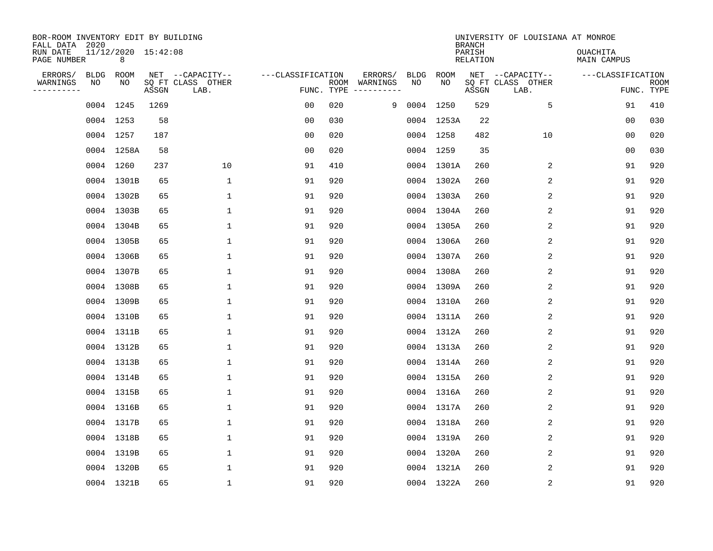| BOR-ROOM INVENTORY EDIT BY BUILDING<br>FALL DATA 2020 |      |                          |       |                           |                   |                    |                        |             |            | <b>BRANCH</b>             | UNIVERSITY OF LOUISIANA AT MONROE |                         |                           |
|-------------------------------------------------------|------|--------------------------|-------|---------------------------|-------------------|--------------------|------------------------|-------------|------------|---------------------------|-----------------------------------|-------------------------|---------------------------|
| RUN DATE<br>PAGE NUMBER                               |      | 11/12/2020 15:42:08<br>8 |       |                           |                   |                    |                        |             |            | PARISH<br><b>RELATION</b> |                                   | OUACHITA<br>MAIN CAMPUS |                           |
| ERRORS/                                               | BLDG | ROOM                     |       | NET --CAPACITY--          | ---CLASSIFICATION |                    | ERRORS/                | <b>BLDG</b> | ROOM       |                           | NET --CAPACITY--                  | ---CLASSIFICATION       |                           |
| WARNINGS<br>----------                                | ΝO   | NO                       | ASSGN | SQ FT CLASS OTHER<br>LAB. |                   | ROOM<br>FUNC. TYPE | WARNINGS<br>---------- | NO          | NO         | ASSGN                     | SQ FT CLASS OTHER<br>LAB.         |                         | <b>ROOM</b><br>FUNC. TYPE |
|                                                       |      | 0004 1245                | 1269  |                           | 00                | 020                | 9                      |             | 0004 1250  | 529                       | 5                                 | 91                      | 410                       |
|                                                       |      | 0004 1253                | 58    |                           | 00                | 030                |                        |             | 0004 1253A | 22                        |                                   | 00                      | 030                       |
|                                                       |      | 0004 1257                | 187   |                           | 00                | 020                |                        |             | 0004 1258  | 482                       | 10                                | 00                      | 020                       |
|                                                       |      | 0004 1258A               | 58    |                           | 0 <sub>0</sub>    | 020                |                        |             | 0004 1259  | 35                        |                                   | 0 <sub>0</sub>          | 030                       |
|                                                       |      | 0004 1260                | 237   | 10                        | 91                | 410                |                        |             | 0004 1301A | 260                       | 2                                 | 91                      | 920                       |
|                                                       |      | 0004 1301B               | 65    | 1                         | 91                | 920                |                        |             | 0004 1302A | 260                       | 2                                 | 91                      | 920                       |
|                                                       |      | 0004 1302B               | 65    | $\mathbf{1}$              | 91                | 920                |                        |             | 0004 1303A | 260                       | 2                                 | 91                      | 920                       |
|                                                       |      | 0004 1303B               | 65    | $\mathbf{1}$              | 91                | 920                |                        |             | 0004 1304A | 260                       | 2                                 | 91                      | 920                       |
|                                                       |      | 0004 1304B               | 65    | $\mathbf{1}$              | 91                | 920                |                        |             | 0004 1305A | 260                       | 2                                 | 91                      | 920                       |
|                                                       |      | 0004 1305B               | 65    | 1                         | 91                | 920                |                        |             | 0004 1306A | 260                       | 2                                 | 91                      | 920                       |
|                                                       |      | 0004 1306B               | 65    | 1                         | 91                | 920                |                        |             | 0004 1307A | 260                       | 2                                 | 91                      | 920                       |
|                                                       |      | 0004 1307B               | 65    | 1                         | 91                | 920                |                        |             | 0004 1308A | 260                       | 2                                 | 91                      | 920                       |
|                                                       |      | 0004 1308B               | 65    | 1                         | 91                | 920                |                        |             | 0004 1309A | 260                       | 2                                 | 91                      | 920                       |
|                                                       |      | 0004 1309B               | 65    | 1                         | 91                | 920                |                        |             | 0004 1310A | 260                       | 2                                 | 91                      | 920                       |
|                                                       |      | 0004 1310B               | 65    | 1                         | 91                | 920                |                        |             | 0004 1311A | 260                       | 2                                 | 91                      | 920                       |
|                                                       |      | 0004 1311B               | 65    | $\mathbf{1}$              | 91                | 920                |                        |             | 0004 1312A | 260                       | 2                                 | 91                      | 920                       |
|                                                       |      | 0004 1312B               | 65    | 1                         | 91                | 920                |                        |             | 0004 1313A | 260                       | 2                                 | 91                      | 920                       |
|                                                       |      | 0004 1313B               | 65    | 1                         | 91                | 920                |                        |             | 0004 1314A | 260                       | $\overline{2}$                    | 91                      | 920                       |
|                                                       |      | 0004 1314B               | 65    | 1                         | 91                | 920                |                        |             | 0004 1315A | 260                       | 2                                 | 91                      | 920                       |
|                                                       |      | 0004 1315B               | 65    | 1                         | 91                | 920                |                        |             | 0004 1316A | 260                       | 2                                 | 91                      | 920                       |
|                                                       |      | 0004 1316B               | 65    | 1                         | 91                | 920                |                        |             | 0004 1317A | 260                       | 2                                 | 91                      | 920                       |
|                                                       |      | 0004 1317B               | 65    | $\mathbf{1}$              | 91                | 920                |                        |             | 0004 1318A | 260                       | 2                                 | 91                      | 920                       |
|                                                       |      | 0004 1318B               | 65    | $\mathbf{1}$              | 91                | 920                |                        |             | 0004 1319A | 260                       | 2                                 | 91                      | 920                       |
|                                                       |      | 0004 1319B               | 65    | $\mathbf{1}$              | 91                | 920                |                        |             | 0004 1320A | 260                       | 2                                 | 91                      | 920                       |
|                                                       |      | 0004 1320B               | 65    | $\mathbf{1}$              | 91                | 920                |                        |             | 0004 1321A | 260                       | 2                                 | 91                      | 920                       |
|                                                       |      | 0004 1321B               | 65    | 1                         | 91                | 920                |                        |             | 0004 1322A | 260                       | 2                                 | 91                      | 920                       |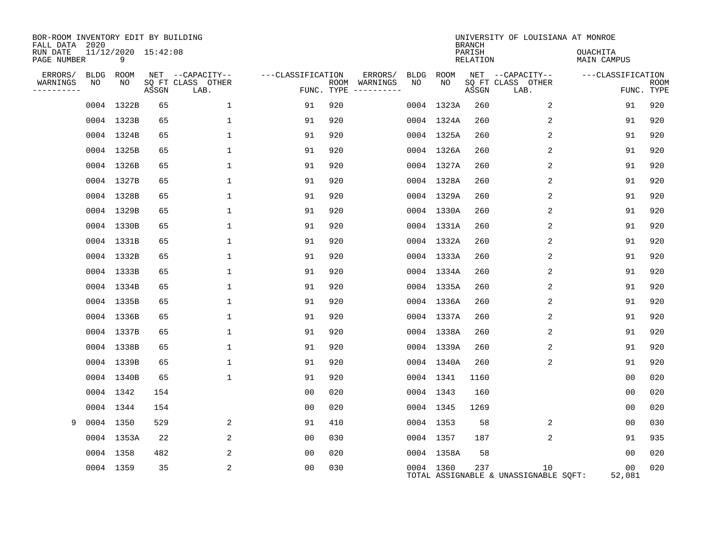| BOR-ROOM INVENTORY EDIT BY BUILDING<br>FALL DATA 2020 |                          |       |                           |                   |                             |                   |            | <b>BRANCH</b>      | UNIVERSITY OF LOUISIANA AT MONROE           |                                |                           |
|-------------------------------------------------------|--------------------------|-------|---------------------------|-------------------|-----------------------------|-------------------|------------|--------------------|---------------------------------------------|--------------------------------|---------------------------|
| RUN DATE<br>PAGE NUMBER                               | 11/12/2020 15:42:08<br>9 |       |                           |                   |                             |                   |            | PARISH<br>RELATION |                                             | <b>OUACHITA</b><br>MAIN CAMPUS |                           |
| ERRORS/<br>BLDG                                       | ROOM                     |       | NET --CAPACITY--          | ---CLASSIFICATION |                             | ERRORS/<br>BLDG   | ROOM       |                    | NET --CAPACITY--                            | ---CLASSIFICATION              |                           |
| WARNINGS<br>NO<br>--------                            | NO                       | ASSGN | SQ FT CLASS OTHER<br>LAB. |                   | ROOM WARNINGS<br>FUNC. TYPE | NO<br>----------- | NO         | ASSGN              | SQ FT CLASS OTHER<br>LAB.                   |                                | <b>ROOM</b><br>FUNC. TYPE |
|                                                       | 0004 1322B               | 65    | $\mathbf 1$               | 91                | 920                         |                   | 0004 1323A | 260                | 2                                           | 91                             | 920                       |
|                                                       | 0004 1323B               | 65    | 1                         | 91                | 920                         |                   | 0004 1324A | 260                | 2                                           | 91                             | 920                       |
|                                                       | 0004 1324B               | 65    | $\mathbf{1}$              | 91                | 920                         |                   | 0004 1325A | 260                | 2                                           | 91                             | 920                       |
|                                                       | 0004 1325B               | 65    | $\mathbf{1}$              | 91                | 920                         |                   | 0004 1326A | 260                | 2                                           | 91                             | 920                       |
|                                                       | 0004 1326B               | 65    | $\mathbf{1}$              | 91                | 920                         |                   | 0004 1327A | 260                | 2                                           | 91                             | 920                       |
|                                                       | 0004 1327B               | 65    | $\mathbf{1}$              | 91                | 920                         |                   | 0004 1328A | 260                | 2                                           | 91                             | 920                       |
|                                                       | 0004 1328B               | 65    | $\mathbf{1}$              | 91                | 920                         |                   | 0004 1329A | 260                | 2                                           | 91                             | 920                       |
|                                                       | 0004 1329B               | 65    | $\mathbf{1}$              | 91                | 920                         |                   | 0004 1330A | 260                | 2                                           | 91                             | 920                       |
|                                                       | 0004 1330B               | 65    | $\mathbf{1}$              | 91                | 920                         |                   | 0004 1331A | 260                | 2                                           | 91                             | 920                       |
|                                                       | 0004 1331B               | 65    | 1                         | 91                | 920                         |                   | 0004 1332A | 260                | $\overline{2}$                              | 91                             | 920                       |
|                                                       | 0004 1332B               | 65    | $\mathbf{1}$              | 91                | 920                         |                   | 0004 1333A | 260                | 2                                           | 91                             | 920                       |
|                                                       | 0004 1333B               | 65    | $\mathbf{1}$              | 91                | 920                         |                   | 0004 1334A | 260                | 2                                           | 91                             | 920                       |
|                                                       | 0004 1334B               | 65    | $\mathbf{1}$              | 91                | 920                         |                   | 0004 1335A | 260                | 2                                           | 91                             | 920                       |
|                                                       | 0004 1335B               | 65    | 1                         | 91                | 920                         |                   | 0004 1336A | 260                | 2                                           | 91                             | 920                       |
|                                                       | 0004 1336B               | 65    | 1                         | 91                | 920                         |                   | 0004 1337A | 260                | 2                                           | 91                             | 920                       |
|                                                       | 0004 1337B               | 65    | $\mathbf{1}$              | 91                | 920                         |                   | 0004 1338A | 260                | 2                                           | 91                             | 920                       |
|                                                       | 0004 1338B               | 65    | $\mathbf{1}$              | 91                | 920                         |                   | 0004 1339A | 260                | 2                                           | 91                             | 920                       |
|                                                       | 0004 1339B               | 65    | $\mathbf{1}$              | 91                | 920                         |                   | 0004 1340A | 260                | 2                                           | 91                             | 920                       |
|                                                       | 0004 1340B               | 65    | $\mathbf{1}$              | 91                | 920                         |                   | 0004 1341  | 1160               |                                             | 00                             | 020                       |
|                                                       | 0004 1342                | 154   |                           | 0 <sub>0</sub>    | 020                         |                   | 0004 1343  | 160                |                                             | 0 <sub>0</sub>                 | 020                       |
|                                                       | 0004 1344                | 154   |                           | 00                | 020                         |                   | 0004 1345  | 1269               |                                             | 0 <sub>0</sub>                 | 020                       |
| 9                                                     | 0004 1350                | 529   | 2                         | 91                | 410                         |                   | 0004 1353  | 58                 | 2                                           | 00                             | 030                       |
|                                                       | 0004 1353A               | 22    | 2                         | 00                | 030                         |                   | 0004 1357  | 187                | 2                                           | 91                             | 935                       |
|                                                       | 0004 1358                | 482   | 2                         | 0 <sub>0</sub>    | 020                         |                   | 0004 1358A | 58                 |                                             | 0 <sub>0</sub>                 | 020                       |
|                                                       | 0004 1359                | 35    | 2                         | 00                | 030                         |                   | 0004 1360  | 237                | 10<br>TOTAL ASSIGNABLE & UNASSIGNABLE SQFT: | 00<br>52,081                   | 020                       |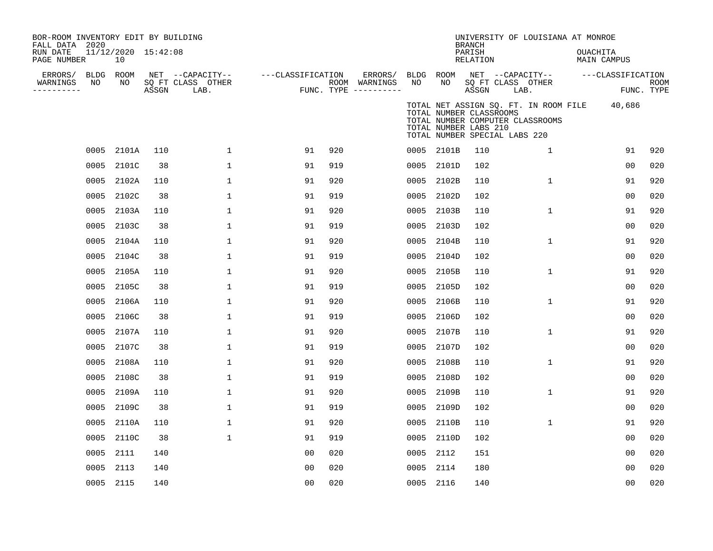| BOR-ROOM INVENTORY EDIT BY BUILDING<br>FALL DATA 2020<br>RUN DATE<br>PAGE NUMBER |           | 11/12/2020 15:42:08<br>10 |       |                                               |                   |     |                                                 |                 |                                                                                   | <b>BRANCH</b><br>PARISH<br>RELATION | UNIVERSITY OF LOUISIANA AT MONROE                                         | <b>OUACHITA</b> | MAIN CAMPUS       |                           |
|----------------------------------------------------------------------------------|-----------|---------------------------|-------|-----------------------------------------------|-------------------|-----|-------------------------------------------------|-----------------|-----------------------------------------------------------------------------------|-------------------------------------|---------------------------------------------------------------------------|-----------------|-------------------|---------------------------|
| ERRORS/ BLDG ROOM<br>WARNINGS<br>----------                                      | NO        | NO                        | ASSGN | NET --CAPACITY--<br>SQ FT CLASS OTHER<br>LAB. | ---CLASSIFICATION |     | ERRORS/<br>ROOM WARNINGS<br>FUNC. TYPE $------$ | BLDG ROOM<br>NO | NO                                                                                | ASSGN                               | NET --CAPACITY--<br>SQ FT CLASS OTHER<br>LAB.                             |                 | ---CLASSIFICATION | <b>ROOM</b><br>FUNC. TYPE |
|                                                                                  |           |                           |       |                                               |                   |     |                                                 |                 | TOTAL NUMBER CLASSROOMS<br>TOTAL NUMBER LABS 210<br>TOTAL NUMBER SPECIAL LABS 220 |                                     | TOTAL NET ASSIGN SQ. FT. IN ROOM FILE<br>TOTAL NUMBER COMPUTER CLASSROOMS |                 | 40,686            |                           |
|                                                                                  |           | 0005 2101A                | 110   | $\mathbf{1}$                                  | 91                | 920 |                                                 |                 | 0005 2101B                                                                        | 110                                 | $\mathbf{1}$                                                              |                 | 91                | 920                       |
|                                                                                  | 0005      | 2101C                     | 38    | $\mathbf 1$                                   | 91                | 919 |                                                 | 0005            | 2101D                                                                             | 102                                 |                                                                           |                 | 0 <sub>0</sub>    | 020                       |
|                                                                                  | 0005      | 2102A                     | 110   | $\mathbf{1}$                                  | 91                | 920 |                                                 | 0005            | 2102B                                                                             | 110                                 | $\mathbf{1}$                                                              |                 | 91                | 920                       |
|                                                                                  | 0005      | 2102C                     | 38    | 1                                             | 91                | 919 |                                                 | 0005            | 2102D                                                                             | 102                                 |                                                                           |                 | 00                | 020                       |
|                                                                                  | 0005      | 2103A                     | 110   | 1                                             | 91                | 920 |                                                 | 0005            | 2103B                                                                             | 110                                 | $\mathbf{1}$                                                              |                 | 91                | 920                       |
|                                                                                  | 0005      | 2103C                     | 38    | $\mathbf{1}$                                  | 91                | 919 |                                                 | 0005            | 2103D                                                                             | 102                                 |                                                                           |                 | 00                | 020                       |
|                                                                                  | 0005      | 2104A                     | 110   | $\mathbf{1}$                                  | 91                | 920 |                                                 | 0005            | 2104B                                                                             | 110                                 | $\mathbf 1$                                                               |                 | 91                | 920                       |
|                                                                                  | 0005      | 2104C                     | 38    | $\mathbf{1}$                                  | 91                | 919 |                                                 | 0005            | 2104D                                                                             | 102                                 |                                                                           |                 | 00                | 020                       |
|                                                                                  | 0005      | 2105A                     | 110   | 1                                             | 91                | 920 |                                                 | 0005            | 2105B                                                                             | 110                                 | $\mathbf{1}$                                                              |                 | 91                | 920                       |
|                                                                                  | 0005      | 2105C                     | 38    | $\mathbf 1$                                   | 91                | 919 |                                                 | 0005            | 2105D                                                                             | 102                                 |                                                                           |                 | 0 <sub>0</sub>    | 020                       |
|                                                                                  | 0005      | 2106A                     | 110   | $\mathbf 1$                                   | 91                | 920 |                                                 | 0005            | 2106B                                                                             | 110                                 | $\mathbf 1$                                                               |                 | 91                | 920                       |
|                                                                                  | 0005      | 2106C                     | 38    | $\mathbf 1$                                   | 91                | 919 |                                                 |                 | 0005 2106D                                                                        | 102                                 |                                                                           |                 | 0 <sub>0</sub>    | 020                       |
|                                                                                  | 0005      | 2107A                     | 110   | $\mathbf{1}$                                  | 91                | 920 |                                                 | 0005            | 2107B                                                                             | 110                                 | $\mathbf 1$                                                               |                 | 91                | 920                       |
|                                                                                  | 0005      | 2107C                     | 38    | 1                                             | 91                | 919 |                                                 | 0005            | 2107D                                                                             | 102                                 |                                                                           |                 | 00                | 020                       |
|                                                                                  | 0005      | 2108A                     | 110   | $\mathbf 1$                                   | 91                | 920 |                                                 | 0005            | 2108B                                                                             | 110                                 | $\mathbf 1$                                                               |                 | 91                | 920                       |
|                                                                                  | 0005      | 2108C                     | 38    | 1                                             | 91                | 919 |                                                 | 0005            | 2108D                                                                             | 102                                 |                                                                           |                 | 0 <sub>0</sub>    | 020                       |
|                                                                                  | 0005      | 2109A                     | 110   | $\mathbf{1}$                                  | 91                | 920 |                                                 | 0005            | 2109B                                                                             | 110                                 | $\mathbf{1}$                                                              |                 | 91                | 920                       |
|                                                                                  | 0005      | 2109C                     | 38    | 1                                             | 91                | 919 |                                                 | 0005            | 2109D                                                                             | 102                                 |                                                                           |                 | 00                | 020                       |
|                                                                                  | 0005      | 2110A                     | 110   | $\mathbf{1}$                                  | 91                | 920 |                                                 | 0005            | 2110B                                                                             | 110                                 | $\mathbf{1}$                                                              |                 | 91                | 920                       |
|                                                                                  | 0005      | 2110C                     | 38    | $\mathbf{1}$                                  | 91                | 919 |                                                 | 0005            | 2110D                                                                             | 102                                 |                                                                           |                 | 00                | 020                       |
|                                                                                  | 0005      | 2111                      | 140   |                                               | 0 <sub>0</sub>    | 020 |                                                 | 0005            | 2112                                                                              | 151                                 |                                                                           |                 | 00                | 020                       |
|                                                                                  | 0005      | 2113                      | 140   |                                               | 0 <sub>0</sub>    | 020 |                                                 | 0005 2114       |                                                                                   | 180                                 |                                                                           |                 | 0 <sub>0</sub>    | 020                       |
|                                                                                  | 0005 2115 |                           | 140   |                                               | 00                | 020 |                                                 | 0005 2116       |                                                                                   | 140                                 |                                                                           |                 | 00                | 020                       |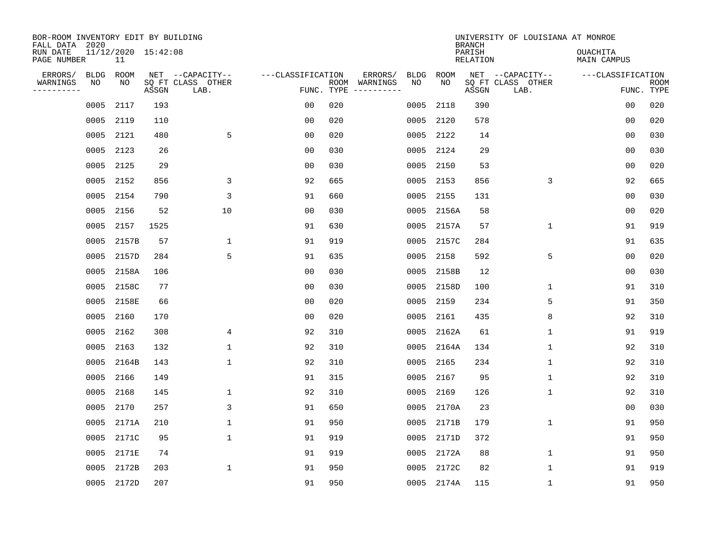| BOR-ROOM INVENTORY EDIT BY BUILDING<br>FALL DATA 2020 |             |            |                     |                           |                   |     |                                                                                                                             |             |             | <b>BRANCH</b>             | UNIVERSITY OF LOUISIANA AT MONROE |                                |                           |
|-------------------------------------------------------|-------------|------------|---------------------|---------------------------|-------------------|-----|-----------------------------------------------------------------------------------------------------------------------------|-------------|-------------|---------------------------|-----------------------------------|--------------------------------|---------------------------|
| RUN DATE<br>PAGE NUMBER                               |             | 11         | 11/12/2020 15:42:08 |                           |                   |     |                                                                                                                             |             |             | PARISH<br><b>RELATION</b> |                                   | <b>OUACHITA</b><br>MAIN CAMPUS |                           |
| ERRORS/                                               | <b>BLDG</b> | ROOM<br>NO |                     | NET --CAPACITY--          | ---CLASSIFICATION |     | ERRORS/                                                                                                                     | <b>BLDG</b> | ROOM<br>NO. |                           | NET --CAPACITY--                  | ---CLASSIFICATION              |                           |
| WARNINGS<br>---------                                 | NO          |            | ASSGN               | SQ FT CLASS OTHER<br>LAB. | FUNC. TYPE        |     | ROOM WARNINGS<br>$\begin{tabular}{ccccccccc} - & - & - & - & - & - & - & - \\ & - & - & - & - & - & - & - \\ \end{tabular}$ | NO          |             | ASSGN                     | SQ FT CLASS OTHER<br>LAB.         |                                | <b>ROOM</b><br>FUNC. TYPE |
|                                                       | 0005        | 2117       | 193                 |                           | 0 <sub>0</sub>    | 020 |                                                                                                                             | 0005        | 2118        | 390                       |                                   | 00                             | 020                       |
|                                                       | 0005        | 2119       | 110                 |                           | 0 <sub>0</sub>    | 020 |                                                                                                                             | 0005        | 2120        | 578                       |                                   | 0 <sub>0</sub>                 | 020                       |
|                                                       | 0005        | 2121       | 480                 | 5                         | 0 <sub>0</sub>    | 020 |                                                                                                                             | 0005        | 2122        | 14                        |                                   | 00                             | 030                       |
|                                                       | 0005        | 2123       | 26                  |                           | 0 <sub>0</sub>    | 030 |                                                                                                                             | 0005        | 2124        | 29                        |                                   | 0 <sub>0</sub>                 | 030                       |
|                                                       | 0005        | 2125       | 29                  |                           | 0 <sub>0</sub>    | 030 |                                                                                                                             | 0005        | 2150        | 53                        |                                   | 00                             | 020                       |
|                                                       | 0005        | 2152       | 856                 | 3                         | 92                | 665 |                                                                                                                             | 0005        | 2153        | 856                       | 3                                 | 92                             | 665                       |
|                                                       | 0005        | 2154       | 790                 | 3                         | 91                | 660 |                                                                                                                             | 0005        | 2155        | 131                       |                                   | 0 <sub>0</sub>                 | 030                       |
|                                                       | 0005        | 2156       | 52                  | 10                        | 0 <sub>0</sub>    | 030 |                                                                                                                             | 0005        | 2156A       | 58                        |                                   | 0 <sub>0</sub>                 | 020                       |
|                                                       | 0005        | 2157       | 1525                |                           | 91                | 630 |                                                                                                                             | 0005        | 2157A       | 57                        | $\mathbf 1$                       | 91                             | 919                       |
|                                                       | 0005        | 2157B      | 57                  | $\mathbf 1$               | 91                | 919 |                                                                                                                             | 0005        | 2157C       | 284                       |                                   | 91                             | 635                       |
|                                                       | 0005        | 2157D      | 284                 | 5                         | 91                | 635 |                                                                                                                             | 0005        | 2158        | 592                       | 5                                 | 0 <sub>0</sub>                 | 020                       |
|                                                       | 0005        | 2158A      | 106                 |                           | 0 <sub>0</sub>    | 030 |                                                                                                                             | 0005        | 2158B       | 12                        |                                   | 00                             | 030                       |
|                                                       | 0005        | 2158C      | 77                  |                           | 0 <sub>0</sub>    | 030 |                                                                                                                             | 0005        | 2158D       | 100                       | 1                                 | 91                             | 310                       |
|                                                       | 0005        | 2158E      | 66                  |                           | 0 <sub>0</sub>    | 020 |                                                                                                                             | 0005        | 2159        | 234                       | 5                                 | 91                             | 350                       |
|                                                       | 0005        | 2160       | 170                 |                           | 0 <sub>0</sub>    | 020 |                                                                                                                             | 0005        | 2161        | 435                       | 8                                 | 92                             | 310                       |
|                                                       | 0005        | 2162       | 308                 | 4                         | 92                | 310 |                                                                                                                             | 0005        | 2162A       | 61                        | 1                                 | 91                             | 919                       |
|                                                       | 0005        | 2163       | 132                 | $\mathbf 1$               | 92                | 310 |                                                                                                                             | 0005        | 2164A       | 134                       | 1                                 | 92                             | 310                       |
|                                                       | 0005        | 2164B      | 143                 | $\mathbf{1}$              | 92                | 310 |                                                                                                                             | 0005        | 2165        | 234                       | 1                                 | 92                             | 310                       |
|                                                       | 0005        | 2166       | 149                 |                           | 91                | 315 |                                                                                                                             | 0005        | 2167        | 95                        | 1                                 | 92                             | 310                       |
|                                                       | 0005        | 2168       | 145                 | $\mathbf 1$               | 92                | 310 |                                                                                                                             | 0005        | 2169        | 126                       | 1                                 | 92                             | 310                       |
|                                                       | 0005        | 2170       | 257                 | 3                         | 91                | 650 |                                                                                                                             | 0005        | 2170A       | 23                        |                                   | 0 <sub>0</sub>                 | 030                       |
|                                                       | 0005        | 2171A      | 210                 | $\mathbf{1}$              | 91                | 950 |                                                                                                                             | 0005        | 2171B       | 179                       | $\mathbf 1$                       | 91                             | 950                       |
|                                                       | 0005        | 2171C      | 95                  | $\mathbf{1}$              | 91                | 919 |                                                                                                                             | 0005        | 2171D       | 372                       |                                   | 91                             | 950                       |
|                                                       | 0005        | 2171E      | 74                  |                           | 91                | 919 |                                                                                                                             | 0005        | 2172A       | 88                        | $\mathbf 1$                       | 91                             | 950                       |
|                                                       | 0005        | 2172B      | 203                 | $\mathbf{1}$              | 91                | 950 |                                                                                                                             | 0005        | 2172C       | 82                        | 1                                 | 91                             | 919                       |
|                                                       |             | 0005 2172D | 207                 |                           | 91                | 950 |                                                                                                                             |             | 0005 2174A  | 115                       | 1                                 | 91                             | 950                       |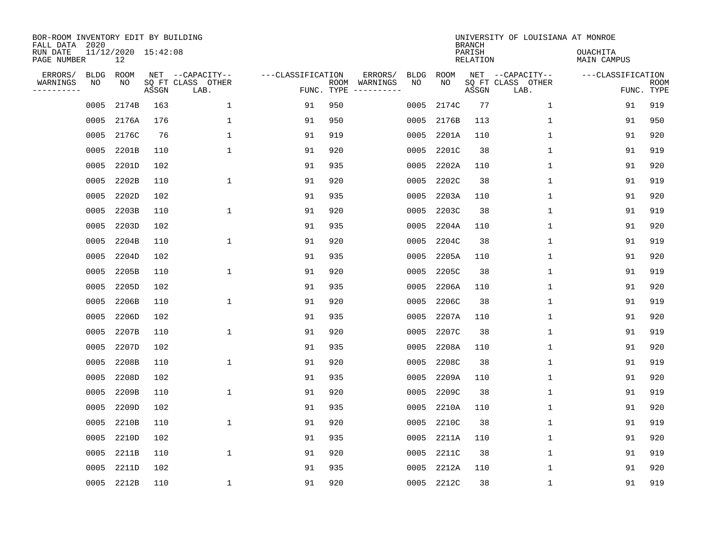| BOR-ROOM INVENTORY EDIT BY BUILDING<br>FALL DATA 2020<br>RUN DATE<br>PAGE NUMBER |                   | 11/12/2020 15:42:08<br>12 |       |                                               |                                 |     |                          |                   |            | <b>BRANCH</b><br>PARISH<br>RELATION | UNIVERSITY OF LOUISIANA AT MONROE             | <b>OUACHITA</b><br>MAIN CAMPUS |                           |
|----------------------------------------------------------------------------------|-------------------|---------------------------|-------|-----------------------------------------------|---------------------------------|-----|--------------------------|-------------------|------------|-------------------------------------|-----------------------------------------------|--------------------------------|---------------------------|
| ERRORS/<br>WARNINGS<br>---------                                                 | <b>BLDG</b><br>ΝO | ROOM<br>NO                | ASSGN | NET --CAPACITY--<br>SQ FT CLASS OTHER<br>LAB. | ---CLASSIFICATION<br>FUNC. TYPE |     | ERRORS/<br>ROOM WARNINGS | <b>BLDG</b><br>NO | ROOM<br>NO | ASSGN                               | NET --CAPACITY--<br>SQ FT CLASS OTHER<br>LAB. | ---CLASSIFICATION              | <b>ROOM</b><br>FUNC. TYPE |
|                                                                                  | 0005              | 2174B                     | 163   | $\mathbf 1$                                   | 91                              | 950 |                          | 0005              | 2174C      | 77                                  | $\mathbf{1}$                                  | 91                             | 919                       |
|                                                                                  | 0005              | 2176A                     | 176   | 1                                             | 91                              | 950 |                          | 0005              | 2176B      | 113                                 | $\mathbf 1$                                   | 91                             | 950                       |
|                                                                                  | 0005              | 2176C                     | 76    | $\mathbf{1}$                                  | 91                              | 919 |                          | 0005              | 2201A      | 110                                 | $\mathbf{1}$                                  | 91                             | 920                       |
|                                                                                  | 0005              | 2201B                     | 110   | $\mathbf{1}$                                  | 91                              | 920 |                          | 0005              | 2201C      | 38                                  | $\mathbf{1}$                                  | 91                             | 919                       |
|                                                                                  | 0005              | 2201D                     | 102   |                                               | 91                              | 935 |                          | 0005              | 2202A      | 110                                 | $\mathbf{1}$                                  | 91                             | 920                       |
|                                                                                  | 0005              | 2202B                     | 110   | 1                                             | 91                              | 920 |                          | 0005              | 2202C      | 38                                  | $\mathbf 1$                                   | 91                             | 919                       |
|                                                                                  | 0005              | 2202D                     | 102   |                                               | 91                              | 935 |                          | 0005              | 2203A      | 110                                 | $\mathbf 1$                                   | 91                             | 920                       |
|                                                                                  | 0005              | 2203B                     | 110   | 1                                             | 91                              | 920 |                          | 0005              | 2203C      | 38                                  | $\mathbf 1$                                   | 91                             | 919                       |
|                                                                                  | 0005              | 2203D                     | 102   |                                               | 91                              | 935 |                          | 0005              | 2204A      | 110                                 | $\mathbf 1$                                   | 91                             | 920                       |
|                                                                                  | 0005              | 2204B                     | 110   | 1                                             | 91                              | 920 |                          | 0005              | 2204C      | 38                                  | $\mathbf 1$                                   | 91                             | 919                       |
|                                                                                  | 0005              | 2204D                     | 102   |                                               | 91                              | 935 |                          | 0005              | 2205A      | 110                                 | $\mathbf{1}$                                  | 91                             | 920                       |
|                                                                                  | 0005              | 2205B                     | 110   | 1                                             | 91                              | 920 |                          | 0005              | 2205C      | 38                                  | $\mathbf{1}$                                  | 91                             | 919                       |
|                                                                                  | 0005              | 2205D                     | 102   |                                               | 91                              | 935 |                          | 0005              | 2206A      | 110                                 | $\mathbf 1$                                   | 91                             | 920                       |
|                                                                                  | 0005              | 2206B                     | 110   | $\mathbf{1}$                                  | 91                              | 920 |                          | 0005              | 2206C      | 38                                  | $\mathbf 1$                                   | 91                             | 919                       |
|                                                                                  | 0005              | 2206D                     | 102   |                                               | 91                              | 935 |                          | 0005              | 2207A      | 110                                 | 1                                             | 91                             | 920                       |
|                                                                                  | 0005              | 2207B                     | 110   | 1                                             | 91                              | 920 |                          | 0005              | 2207C      | 38                                  | 1                                             | 91                             | 919                       |
|                                                                                  | 0005              | 2207D                     | 102   |                                               | 91                              | 935 |                          | 0005              | 2208A      | 110                                 | 1                                             | 91                             | 920                       |
|                                                                                  | 0005              | 2208B                     | 110   | 1                                             | 91                              | 920 |                          | 0005              | 2208C      | 38                                  | 1                                             | 91                             | 919                       |
|                                                                                  | 0005              | 2208D                     | 102   |                                               | 91                              | 935 |                          | 0005              | 2209A      | 110                                 | 1                                             | 91                             | 920                       |
|                                                                                  | 0005              | 2209B                     | 110   | $\mathbf{1}$                                  | 91                              | 920 |                          | 0005              | 2209C      | 38                                  | $\mathbf 1$                                   | 91                             | 919                       |
|                                                                                  | 0005              | 2209D                     | 102   |                                               | 91                              | 935 |                          | 0005              | 2210A      | 110                                 | $\mathbf 1$                                   | 91                             | 920                       |
|                                                                                  | 0005              | 2210B                     | 110   | 1                                             | 91                              | 920 |                          | 0005              | 2210C      | 38                                  | $\mathbf 1$                                   | 91                             | 919                       |
|                                                                                  | 0005              | 2210D                     | 102   |                                               | 91                              | 935 |                          | 0005              | 2211A      | 110                                 | $\mathbf 1$                                   | 91                             | 920                       |
|                                                                                  | 0005              | 2211B                     | 110   | $\mathbf{1}$                                  | 91                              | 920 |                          | 0005              | 2211C      | 38                                  | $\mathbf 1$                                   | 91                             | 919                       |
|                                                                                  | 0005              | 2211D                     | 102   |                                               | 91                              | 935 |                          | 0005              | 2212A      | 110                                 | 1                                             | 91                             | 920                       |
|                                                                                  |                   | 0005 2212B                | 110   | 1                                             | 91                              | 920 |                          |                   | 0005 2212C | 38                                  | $\mathbf 1$                                   | 91                             | 919                       |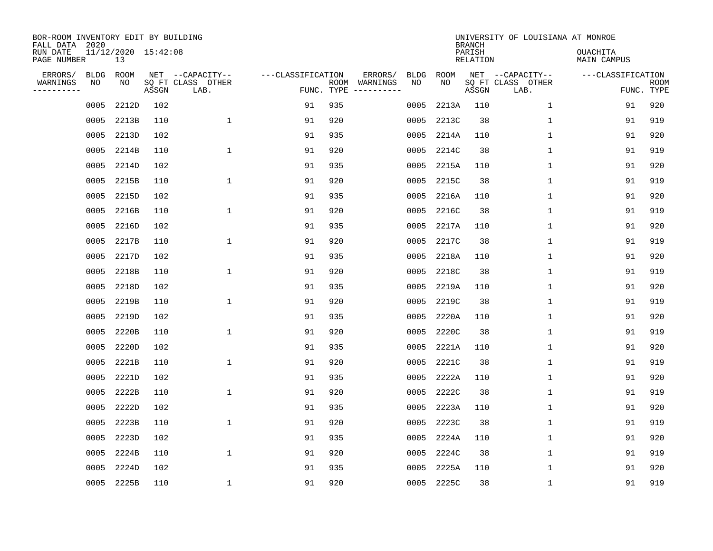| BOR-ROOM INVENTORY EDIT BY BUILDING<br>FALL DATA 2020<br>RUN DATE<br>PAGE NUMBER |                   | 11/12/2020 15:42:08<br>13 |       |                                               |                                 |     |                          |                   |            | <b>BRANCH</b><br>PARISH<br>RELATION | UNIVERSITY OF LOUISIANA AT MONROE             | <b>OUACHITA</b><br>MAIN CAMPUS |                           |
|----------------------------------------------------------------------------------|-------------------|---------------------------|-------|-----------------------------------------------|---------------------------------|-----|--------------------------|-------------------|------------|-------------------------------------|-----------------------------------------------|--------------------------------|---------------------------|
|                                                                                  |                   |                           |       |                                               |                                 |     |                          |                   |            |                                     |                                               |                                |                           |
| ERRORS/<br>WARNINGS<br>---------                                                 | <b>BLDG</b><br>ΝO | ROOM<br>NO                | ASSGN | NET --CAPACITY--<br>SQ FT CLASS OTHER<br>LAB. | ---CLASSIFICATION<br>FUNC. TYPE |     | ERRORS/<br>ROOM WARNINGS | <b>BLDG</b><br>NO | ROOM<br>NO | ASSGN                               | NET --CAPACITY--<br>SQ FT CLASS OTHER<br>LAB. | ---CLASSIFICATION              | <b>ROOM</b><br>FUNC. TYPE |
|                                                                                  | 0005              | 2212D                     | 102   |                                               | 91                              | 935 |                          | 0005              | 2213A      | 110                                 | $\mathbf{1}$                                  | 91                             | 920                       |
|                                                                                  | 0005              | 2213B                     | 110   | $\mathbf{1}$                                  | 91                              | 920 |                          | 0005              | 2213C      | 38                                  | $\mathbf 1$                                   | 91                             | 919                       |
|                                                                                  | 0005              | 2213D                     | 102   |                                               | 91                              | 935 |                          | 0005              | 2214A      | 110                                 | $\mathbf{1}$                                  | 91                             | 920                       |
|                                                                                  | 0005              | 2214B                     | 110   | $\mathbf{1}$                                  | 91                              | 920 |                          | 0005              | 2214C      | 38                                  | $\mathbf{1}$                                  | 91                             | 919                       |
|                                                                                  | 0005              | 2214D                     | 102   |                                               | 91                              | 935 |                          | 0005              | 2215A      | 110                                 | $\mathbf{1}$                                  | 91                             | 920                       |
|                                                                                  | 0005              | 2215B                     | 110   | 1                                             | 91                              | 920 |                          | 0005              | 2215C      | 38                                  | $\mathbf 1$                                   | 91                             | 919                       |
|                                                                                  | 0005              | 2215D                     | 102   |                                               | 91                              | 935 |                          | 0005              | 2216A      | 110                                 | $\mathbf{1}$                                  | 91                             | 920                       |
|                                                                                  | 0005              | 2216B                     | 110   | 1                                             | 91                              | 920 |                          | 0005              | 2216C      | 38                                  | $\mathbf 1$                                   | 91                             | 919                       |
|                                                                                  | 0005              | 2216D                     | 102   |                                               | 91                              | 935 |                          | 0005              | 2217A      | 110                                 | $\mathbf 1$                                   | 91                             | 920                       |
|                                                                                  | 0005              | 2217B                     | 110   | 1                                             | 91                              | 920 |                          | 0005              | 2217C      | 38                                  | $\mathbf 1$                                   | 91                             | 919                       |
|                                                                                  | 0005              | 2217D                     | 102   |                                               | 91                              | 935 |                          | 0005              | 2218A      | 110                                 | $\mathbf{1}$                                  | 91                             | 920                       |
|                                                                                  | 0005              | 2218B                     | 110   | 1                                             | 91                              | 920 |                          | 0005              | 2218C      | 38                                  | $\mathbf{1}$                                  | 91                             | 919                       |
|                                                                                  | 0005              | 2218D                     | 102   |                                               | 91                              | 935 |                          | 0005              | 2219A      | 110                                 | $\mathbf 1$                                   | 91                             | 920                       |
|                                                                                  | 0005              | 2219B                     | 110   | $\mathbf{1}$                                  | 91                              | 920 |                          | 0005              | 2219C      | 38                                  | $\mathbf 1$                                   | 91                             | 919                       |
|                                                                                  | 0005              | 2219D                     | 102   |                                               | 91                              | 935 |                          | 0005              | 2220A      | 110                                 | 1                                             | 91                             | 920                       |
|                                                                                  | 0005              | 2220B                     | 110   | 1                                             | 91                              | 920 |                          | 0005              | 2220C      | 38                                  | 1                                             | 91                             | 919                       |
|                                                                                  | 0005              | 2220D                     | 102   |                                               | 91                              | 935 |                          | 0005              | 2221A      | 110                                 | 1                                             | 91                             | 920                       |
|                                                                                  | 0005              | 2221B                     | 110   | 1                                             | 91                              | 920 |                          | 0005              | 2221C      | 38                                  | 1                                             | 91                             | 919                       |
|                                                                                  | 0005              | 2221D                     | 102   |                                               | 91                              | 935 |                          | 0005              | 2222A      | 110                                 | 1                                             | 91                             | 920                       |
|                                                                                  | 0005              | 2222B                     | 110   | $\mathbf{1}$                                  | 91                              | 920 |                          | 0005              | 2222C      | 38                                  | $\mathbf 1$                                   | 91                             | 919                       |
|                                                                                  | 0005              | 2222D                     | 102   |                                               | 91                              | 935 |                          | 0005              | 2223A      | 110                                 | $\mathbf 1$                                   | 91                             | 920                       |
|                                                                                  | 0005              | 2223B                     | 110   | 1                                             | 91                              | 920 |                          | 0005              | 2223C      | 38                                  | $\mathbf 1$                                   | 91                             | 919                       |
|                                                                                  | 0005              | 2223D                     | 102   |                                               | 91                              | 935 |                          | 0005              | 2224A      | 110                                 | $\mathbf 1$                                   | 91                             | 920                       |
|                                                                                  | 0005              | 2224B                     | 110   | $\mathbf{1}$                                  | 91                              | 920 |                          | 0005              | 2224C      | 38                                  | $\mathbf 1$                                   | 91                             | 919                       |
|                                                                                  | 0005              | 2224D                     | 102   |                                               | 91                              | 935 |                          | 0005              | 2225A      | 110                                 | 1                                             | 91                             | 920                       |
|                                                                                  |                   | 0005 2225B                | 110   | 1                                             | 91                              | 920 |                          |                   | 0005 2225C | 38                                  | $\mathbf 1$                                   | 91                             | 919                       |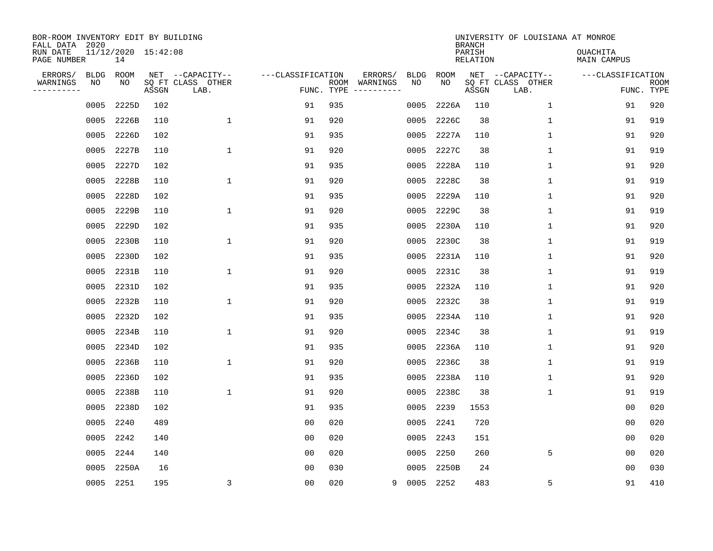| BOR-ROOM INVENTORY EDIT BY BUILDING<br>FALL DATA 2020 |           |                           |       |                           |                   |                    |                                                                                                                                                                                                                                                                                                                                                                                                                                                                                         |             |             | <b>BRANCH</b>      | UNIVERSITY OF LOUISIANA AT MONROE |                                |                           |
|-------------------------------------------------------|-----------|---------------------------|-------|---------------------------|-------------------|--------------------|-----------------------------------------------------------------------------------------------------------------------------------------------------------------------------------------------------------------------------------------------------------------------------------------------------------------------------------------------------------------------------------------------------------------------------------------------------------------------------------------|-------------|-------------|--------------------|-----------------------------------|--------------------------------|---------------------------|
| RUN DATE<br>PAGE NUMBER                               |           | 11/12/2020 15:42:08<br>14 |       |                           |                   |                    |                                                                                                                                                                                                                                                                                                                                                                                                                                                                                         |             |             | PARISH<br>RELATION |                                   | <b>OUACHITA</b><br>MAIN CAMPUS |                           |
| ERRORS/                                               | BLDG      | ROOM                      |       | NET --CAPACITY--          | ---CLASSIFICATION |                    | ERRORS/                                                                                                                                                                                                                                                                                                                                                                                                                                                                                 | <b>BLDG</b> | ROOM<br>NO. |                    | NET --CAPACITY--                  | ---CLASSIFICATION              |                           |
| WARNINGS<br>---------                                 | NO        | NO                        | ASSGN | SQ FT CLASS OTHER<br>LAB. |                   | ROOM<br>FUNC. TYPE | WARNINGS<br>$\begin{tabular}{ccccccccc} \multicolumn{2}{c }{\multicolumn{2}{c }{\multicolumn{2}{c }{\multicolumn{2}{c }{\multicolumn{2}{c}}}} & \multicolumn{2}{c }{\multicolumn{2}{c }{\multicolumn{2}{c }{\multicolumn{2}{c}}}} & \multicolumn{2}{c }{\multicolumn{2}{c }{\multicolumn{2}{c }{\multicolumn{2}{c}}}} & \multicolumn{2}{c }{\multicolumn{2}{c }{\multicolumn{2}{c }{\multicolumn{2}{c}}}} & \multicolumn{2}{c }{\multicolumn{2}{c }{\multicolumn{2}{c }{\multicolumn{2$ | NO          |             | ASSGN              | SQ FT CLASS OTHER<br>LAB.         |                                | <b>ROOM</b><br>FUNC. TYPE |
|                                                       | 0005      | 2225D                     | 102   |                           | 91                | 935                |                                                                                                                                                                                                                                                                                                                                                                                                                                                                                         | 0005        | 2226A       | 110                | $\mathbf{1}$                      | 91                             | 920                       |
|                                                       | 0005      | 2226B                     | 110   | $\mathbf{1}$              | 91                | 920                |                                                                                                                                                                                                                                                                                                                                                                                                                                                                                         | 0005        | 2226C       | 38                 | 1                                 | 91                             | 919                       |
|                                                       | 0005      | 2226D                     | 102   |                           | 91                | 935                |                                                                                                                                                                                                                                                                                                                                                                                                                                                                                         | 0005        | 2227A       | 110                | $\mathbf{1}$                      | 91                             | 920                       |
|                                                       | 0005      | 2227B                     | 110   | $\mathbf{1}$              | 91                | 920                |                                                                                                                                                                                                                                                                                                                                                                                                                                                                                         | 0005        | 2227C       | 38                 | $\mathbf 1$                       | 91                             | 919                       |
|                                                       | 0005      | 2227D                     | 102   |                           | 91                | 935                |                                                                                                                                                                                                                                                                                                                                                                                                                                                                                         | 0005        | 2228A       | 110                | $\mathbf 1$                       | 91                             | 920                       |
|                                                       | 0005      | 2228B                     | 110   | 1                         | 91                | 920                |                                                                                                                                                                                                                                                                                                                                                                                                                                                                                         | 0005        | 2228C       | 38                 | 1                                 | 91                             | 919                       |
|                                                       | 0005      | 2228D                     | 102   |                           | 91                | 935                |                                                                                                                                                                                                                                                                                                                                                                                                                                                                                         | 0005        | 2229A       | 110                | 1                                 | 91                             | 920                       |
|                                                       | 0005      | 2229B                     | 110   | 1                         | 91                | 920                |                                                                                                                                                                                                                                                                                                                                                                                                                                                                                         | 0005        | 2229C       | 38                 | 1                                 | 91                             | 919                       |
|                                                       | 0005      | 2229D                     | 102   |                           | 91                | 935                |                                                                                                                                                                                                                                                                                                                                                                                                                                                                                         | 0005        | 2230A       | 110                | $\mathbf 1$                       | 91                             | 920                       |
|                                                       | 0005      | 2230B                     | 110   | 1                         | 91                | 920                |                                                                                                                                                                                                                                                                                                                                                                                                                                                                                         | 0005        | 2230C       | 38                 | $\mathbf 1$                       | 91                             | 919                       |
|                                                       | 0005      | 2230D                     | 102   |                           | 91                | 935                |                                                                                                                                                                                                                                                                                                                                                                                                                                                                                         | 0005        | 2231A       | 110                | 1                                 | 91                             | 920                       |
|                                                       | 0005      | 2231B                     | 110   | 1                         | 91                | 920                |                                                                                                                                                                                                                                                                                                                                                                                                                                                                                         | 0005        | 2231C       | 38                 | 1                                 | 91                             | 919                       |
|                                                       | 0005      | 2231D                     | 102   |                           | 91                | 935                |                                                                                                                                                                                                                                                                                                                                                                                                                                                                                         | 0005        | 2232A       | 110                | 1                                 | 91                             | 920                       |
|                                                       | 0005      | 2232B                     | 110   | $\mathbf{1}$              | 91                | 920                |                                                                                                                                                                                                                                                                                                                                                                                                                                                                                         | 0005        | 2232C       | 38                 | 1                                 | 91                             | 919                       |
|                                                       | 0005      | 2232D                     | 102   |                           | 91                | 935                |                                                                                                                                                                                                                                                                                                                                                                                                                                                                                         | 0005        | 2234A       | 110                | 1                                 | 91                             | 920                       |
|                                                       | 0005      | 2234B                     | 110   | 1                         | 91                | 920                |                                                                                                                                                                                                                                                                                                                                                                                                                                                                                         | 0005        | 2234C       | 38                 | 1                                 | 91                             | 919                       |
|                                                       | 0005      | 2234D                     | 102   |                           | 91                | 935                |                                                                                                                                                                                                                                                                                                                                                                                                                                                                                         | 0005        | 2236A       | 110                | 1                                 | 91                             | 920                       |
|                                                       | 0005      | 2236B                     | 110   | $\mathbf 1$               | 91                | 920                |                                                                                                                                                                                                                                                                                                                                                                                                                                                                                         | 0005        | 2236C       | 38                 | 1                                 | 91                             | 919                       |
|                                                       | 0005      | 2236D                     | 102   |                           | 91                | 935                |                                                                                                                                                                                                                                                                                                                                                                                                                                                                                         | 0005        | 2238A       | 110                | 1                                 | 91                             | 920                       |
|                                                       | 0005      | 2238B                     | 110   | $\mathbf 1$               | 91                | 920                |                                                                                                                                                                                                                                                                                                                                                                                                                                                                                         | 0005        | 2238C       | 38                 | 1                                 | 91                             | 919                       |
|                                                       | 0005      | 2238D                     | 102   |                           | 91                | 935                |                                                                                                                                                                                                                                                                                                                                                                                                                                                                                         | 0005        | 2239        | 1553               |                                   | 0 <sub>0</sub>                 | 020                       |
|                                                       | 0005      | 2240                      | 489   |                           | 0 <sub>0</sub>    | 020                |                                                                                                                                                                                                                                                                                                                                                                                                                                                                                         | 0005        | 2241        | 720                |                                   | 00                             | 020                       |
|                                                       | 0005      | 2242                      | 140   |                           | 0 <sub>0</sub>    | 020                |                                                                                                                                                                                                                                                                                                                                                                                                                                                                                         | 0005        | 2243        | 151                |                                   | 0 <sub>0</sub>                 | 020                       |
|                                                       | 0005      | 2244                      | 140   |                           | 0 <sub>0</sub>    | 020                |                                                                                                                                                                                                                                                                                                                                                                                                                                                                                         | 0005        | 2250        | 260                | 5                                 | 0 <sub>0</sub>                 | 020                       |
|                                                       | 0005      | 2250A                     | 16    |                           | 00                | 030                |                                                                                                                                                                                                                                                                                                                                                                                                                                                                                         | 0005        | 2250B       | 24                 |                                   | 00                             | 030                       |
|                                                       | 0005 2251 |                           | 195   | $\overline{3}$            | 0 <sub>0</sub>    | 020                | 9                                                                                                                                                                                                                                                                                                                                                                                                                                                                                       | 0005 2252   |             | 483                | 5                                 | 91                             | 410                       |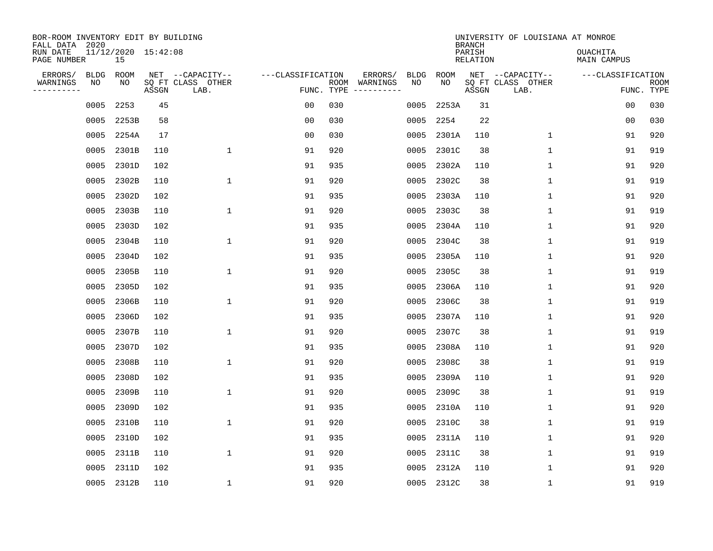| BOR-ROOM INVENTORY EDIT BY BUILDING<br>FALL DATA 2020 |            |                           |       |                                               |                   |                    |                     |                   |            | <b>BRANCH</b>      | UNIVERSITY OF LOUISIANA AT MONROE             |                                |                           |
|-------------------------------------------------------|------------|---------------------------|-------|-----------------------------------------------|-------------------|--------------------|---------------------|-------------------|------------|--------------------|-----------------------------------------------|--------------------------------|---------------------------|
| RUN DATE<br>PAGE NUMBER                               |            | 11/12/2020 15:42:08<br>15 |       |                                               |                   |                    |                     |                   |            | PARISH<br>RELATION |                                               | <b>OUACHITA</b><br>MAIN CAMPUS |                           |
| ERRORS/<br>WARNINGS<br>---------                      | BLDG<br>NO | ROOM<br>NO                | ASSGN | NET --CAPACITY--<br>SQ FT CLASS OTHER<br>LAB. | ---CLASSIFICATION | ROOM<br>FUNC. TYPE | ERRORS/<br>WARNINGS | <b>BLDG</b><br>NO | ROOM<br>NO | ASSGN              | NET --CAPACITY--<br>SQ FT CLASS OTHER<br>LAB. | ---CLASSIFICATION              | <b>ROOM</b><br>FUNC. TYPE |
|                                                       | 0005       | 2253                      | 45    |                                               | 0 <sub>0</sub>    | 030                |                     | 0005              | 2253A      | 31                 |                                               | 00                             | 030                       |
|                                                       | 0005       | 2253B                     | 58    |                                               | 0 <sub>0</sub>    | 030                |                     | 0005              | 2254       | 22                 |                                               | 00                             | 030                       |
|                                                       | 0005       | 2254A                     | 17    |                                               | 0 <sub>0</sub>    | 030                |                     | 0005              | 2301A      | 110                | 1                                             | 91                             | 920                       |
|                                                       | 0005       | 2301B                     | 110   | $\mathbf{1}$                                  | 91                | 920                |                     | 0005              | 2301C      | 38                 | $\mathbf{1}$                                  | 91                             | 919                       |
|                                                       | 0005       | 2301D                     | 102   |                                               | 91                | 935                |                     | 0005              | 2302A      | 110                | $\mathbf 1$                                   | 91                             | 920                       |
|                                                       | 0005       | 2302B                     | 110   | 1                                             | 91                | 920                |                     | 0005              | 2302C      | 38                 | 1                                             | 91                             | 919                       |
|                                                       | 0005       | 2302D                     | 102   |                                               | 91                | 935                |                     | 0005              | 2303A      | 110                | 1                                             | 91                             | 920                       |
|                                                       | 0005       | 2303B                     | 110   | 1                                             | 91                | 920                |                     | 0005              | 2303C      | 38                 | 1                                             | 91                             | 919                       |
|                                                       | 0005       | 2303D                     | 102   |                                               | 91                | 935                |                     | 0005              | 2304A      | 110                | $\mathbf 1$                                   | 91                             | 920                       |
|                                                       | 0005       | 2304B                     | 110   | 1                                             | 91                | 920                |                     | 0005              | 2304C      | 38                 | $\mathbf 1$                                   | 91                             | 919                       |
|                                                       | 0005       | 2304D                     | 102   |                                               | 91                | 935                |                     | 0005              | 2305A      | 110                | 1                                             | 91                             | 920                       |
|                                                       | 0005       | 2305B                     | 110   | 1                                             | 91                | 920                |                     | 0005              | 2305C      | 38                 | 1                                             | 91                             | 919                       |
|                                                       | 0005       | 2305D                     | 102   |                                               | 91                | 935                |                     | 0005              | 2306A      | 110                | 1                                             | 91                             | 920                       |
|                                                       | 0005       | 2306B                     | 110   | $\mathbf{1}$                                  | 91                | 920                |                     | 0005              | 2306C      | 38                 | 1                                             | 91                             | 919                       |
|                                                       | 0005       | 2306D                     | 102   |                                               | 91                | 935                |                     | 0005              | 2307A      | 110                | 1                                             | 91                             | 920                       |
|                                                       | 0005       | 2307B                     | 110   | 1                                             | 91                | 920                |                     | 0005              | 2307C      | 38                 | 1                                             | 91                             | 919                       |
|                                                       | 0005       | 2307D                     | 102   |                                               | 91                | 935                |                     | 0005              | 2308A      | 110                | 1                                             | 91                             | 920                       |
|                                                       | 0005       | 2308B                     | 110   | $\mathbf 1$                                   | 91                | 920                |                     | 0005              | 2308C      | 38                 | 1                                             | 91                             | 919                       |
|                                                       | 0005       | 2308D                     | 102   |                                               | 91                | 935                |                     | 0005              | 2309A      | 110                | 1                                             | 91                             | 920                       |
|                                                       | 0005       | 2309B                     | 110   | $\mathbf 1$                                   | 91                | 920                |                     | 0005              | 2309C      | 38                 | 1                                             | 91                             | 919                       |
|                                                       | 0005       | 2309D                     | 102   |                                               | 91                | 935                |                     | 0005              | 2310A      | 110                | 1                                             | 91                             | 920                       |
|                                                       | 0005       | 2310B                     | 110   | $\mathbf{1}$                                  | 91                | 920                |                     | 0005              | 2310C      | 38                 | $\mathbf 1$                                   | 91                             | 919                       |
|                                                       | 0005       | 2310D                     | 102   |                                               | 91                | 935                |                     | 0005              | 2311A      | 110                | 1                                             | 91                             | 920                       |
|                                                       | 0005       | 2311B                     | 110   | $\mathbf{1}$                                  | 91                | 920                |                     | 0005              | 2311C      | 38                 | $\mathbf 1$                                   | 91                             | 919                       |
|                                                       | 0005       | 2311D                     | 102   |                                               | 91                | 935                |                     | 0005              | 2312A      | 110                | 1                                             | 91                             | 920                       |
|                                                       |            | 0005 2312B                | 110   | 1                                             | 91                | 920                |                     |                   | 0005 2312C | 38                 | 1                                             | 91                             | 919                       |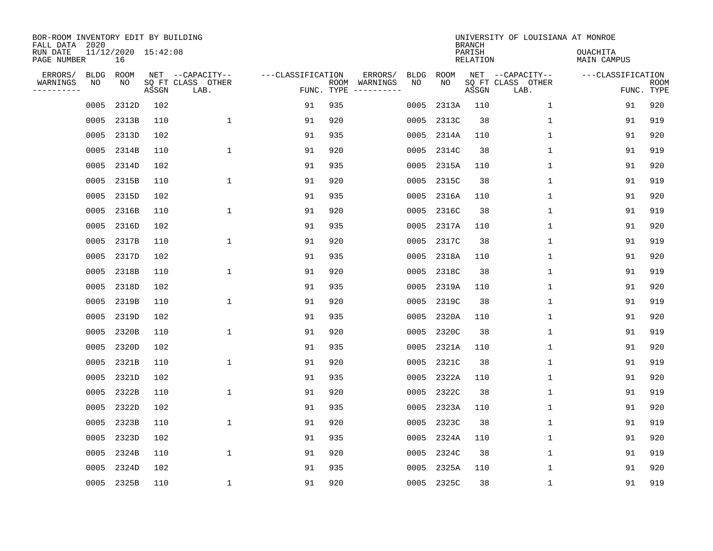| BOR-ROOM INVENTORY EDIT BY BUILDING<br>FALL DATA 2020<br>RUN DATE<br>PAGE NUMBER |                   | 11/12/2020 15:42:08<br>16 |       |                                               |                                 |     |                                                                                                                             |                   |            | <b>BRANCH</b><br>PARISH<br>RELATION | UNIVERSITY OF LOUISIANA AT MONROE             | <b>OUACHITA</b><br>MAIN CAMPUS |                           |
|----------------------------------------------------------------------------------|-------------------|---------------------------|-------|-----------------------------------------------|---------------------------------|-----|-----------------------------------------------------------------------------------------------------------------------------|-------------------|------------|-------------------------------------|-----------------------------------------------|--------------------------------|---------------------------|
| ERRORS/<br>WARNINGS<br>---------                                                 | <b>BLDG</b><br>ΝO | ROOM<br>NO                | ASSGN | NET --CAPACITY--<br>SQ FT CLASS OTHER<br>LAB. | ---CLASSIFICATION<br>FUNC. TYPE |     | ERRORS/<br>ROOM WARNINGS<br>$\begin{tabular}{cccccc} - & - & - & - & - & - & - \\ & - & - & - & - & - & - \\ \end{tabular}$ | <b>BLDG</b><br>NO | ROOM<br>NO | ASSGN                               | NET --CAPACITY--<br>SQ FT CLASS OTHER<br>LAB. | ---CLASSIFICATION              | <b>ROOM</b><br>FUNC. TYPE |
|                                                                                  | 0005              | 2312D                     | 102   |                                               | 91                              | 935 |                                                                                                                             | 0005              | 2313A      | 110                                 | $\mathbf{1}$                                  | 91                             | 920                       |
|                                                                                  | 0005              | 2313B                     | 110   | $\mathbf{1}$                                  | 91                              | 920 |                                                                                                                             | 0005              | 2313C      | 38                                  | $\mathbf 1$                                   | 91                             | 919                       |
|                                                                                  | 0005              | 2313D                     | 102   |                                               | 91                              | 935 |                                                                                                                             | 0005              | 2314A      | 110                                 | $\mathbf{1}$                                  | 91                             | 920                       |
|                                                                                  | 0005              | 2314B                     | 110   | $\mathbf{1}$                                  | 91                              | 920 |                                                                                                                             | 0005              | 2314C      | 38                                  | $\mathbf{1}$                                  | 91                             | 919                       |
|                                                                                  | 0005              | 2314D                     | 102   |                                               | 91                              | 935 |                                                                                                                             | 0005              | 2315A      | 110                                 | $\mathbf{1}$                                  | 91                             | 920                       |
|                                                                                  | 0005              | 2315B                     | 110   | $\mathbf{1}$                                  | 91                              | 920 |                                                                                                                             | 0005              | 2315C      | 38                                  | $\mathbf 1$                                   | 91                             | 919                       |
|                                                                                  | 0005              | 2315D                     | 102   |                                               | 91                              | 935 |                                                                                                                             | 0005              | 2316A      | 110                                 | $\mathbf{1}$                                  | 91                             | 920                       |
|                                                                                  | 0005              | 2316B                     | 110   | $\mathbf{1}$                                  | 91                              | 920 |                                                                                                                             | 0005              | 2316C      | 38                                  | $\mathbf 1$                                   | 91                             | 919                       |
|                                                                                  | 0005              | 2316D                     | 102   |                                               | 91                              | 935 |                                                                                                                             | 0005              | 2317A      | 110                                 | $\mathbf 1$                                   | 91                             | 920                       |
|                                                                                  | 0005              | 2317B                     | 110   | $\mathbf{1}$                                  | 91                              | 920 |                                                                                                                             | 0005              | 2317C      | 38                                  | $\mathbf 1$                                   | 91                             | 919                       |
|                                                                                  | 0005              | 2317D                     | 102   |                                               | 91                              | 935 |                                                                                                                             | 0005              | 2318A      | 110                                 | $\mathbf{1}$                                  | 91                             | 920                       |
|                                                                                  | 0005              | 2318B                     | 110   | $\mathbf{1}$                                  | 91                              | 920 |                                                                                                                             | 0005              | 2318C      | 38                                  | $\mathbf{1}$                                  | 91                             | 919                       |
|                                                                                  | 0005              | 2318D                     | 102   |                                               | 91                              | 935 |                                                                                                                             | 0005              | 2319A      | 110                                 | $\mathbf 1$                                   | 91                             | 920                       |
|                                                                                  | 0005              | 2319B                     | 110   | $\mathbf{1}$                                  | 91                              | 920 |                                                                                                                             | 0005              | 2319C      | 38                                  | $\mathbf 1$                                   | 91                             | 919                       |
|                                                                                  | 0005              | 2319D                     | 102   |                                               | 91                              | 935 |                                                                                                                             | 0005              | 2320A      | 110                                 | 1                                             | 91                             | 920                       |
|                                                                                  | 0005              | 2320B                     | 110   | 1                                             | 91                              | 920 |                                                                                                                             | 0005              | 2320C      | 38                                  | 1                                             | 91                             | 919                       |
|                                                                                  | 0005              | 2320D                     | 102   |                                               | 91                              | 935 |                                                                                                                             | 0005              | 2321A      | 110                                 | 1                                             | 91                             | 920                       |
|                                                                                  | 0005              | 2321B                     | 110   | $\mathbf{1}$                                  | 91                              | 920 |                                                                                                                             | 0005              | 2321C      | 38                                  | 1                                             | 91                             | 919                       |
|                                                                                  | 0005              | 2321D                     | 102   |                                               | 91                              | 935 |                                                                                                                             | 0005              | 2322A      | 110                                 | 1                                             | 91                             | 920                       |
|                                                                                  | 0005              | 2322B                     | 110   | $\mathbf{1}$                                  | 91                              | 920 |                                                                                                                             | 0005              | 2322C      | 38                                  | $\mathbf 1$                                   | 91                             | 919                       |
|                                                                                  | 0005              | 2322D                     | 102   |                                               | 91                              | 935 |                                                                                                                             | 0005              | 2323A      | 110                                 | $\mathbf 1$                                   | 91                             | 920                       |
|                                                                                  | 0005              | 2323B                     | 110   | $\mathbf{1}$                                  | 91                              | 920 |                                                                                                                             | 0005              | 2323C      | 38                                  | $\mathbf 1$                                   | 91                             | 919                       |
|                                                                                  | 0005              | 2323D                     | 102   |                                               | 91                              | 935 |                                                                                                                             | 0005              | 2324A      | 110                                 | $\mathbf 1$                                   | 91                             | 920                       |
|                                                                                  | 0005              | 2324B                     | 110   | $\mathbf{1}$                                  | 91                              | 920 |                                                                                                                             | 0005              | 2324C      | 38                                  | $\mathbf 1$                                   | 91                             | 919                       |
|                                                                                  | 0005              | 2324D                     | 102   |                                               | 91                              | 935 |                                                                                                                             | 0005              | 2325A      | 110                                 | 1                                             | 91                             | 920                       |
|                                                                                  |                   | 0005 2325B                | 110   | 1                                             | 91                              | 920 |                                                                                                                             |                   | 0005 2325C | 38                                  | $\mathbf 1$                                   | 91                             | 919                       |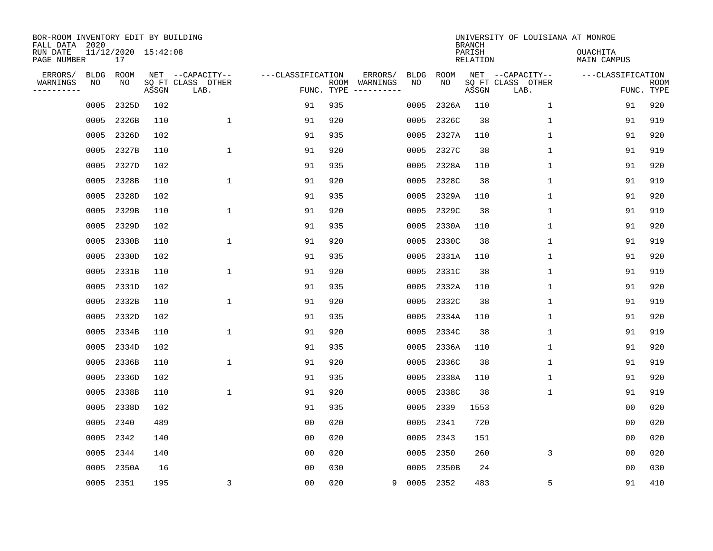| BOR-ROOM INVENTORY EDIT BY BUILDING<br>FALL DATA 2020<br>RUN DATE<br>PAGE NUMBER |                   | 11/12/2020 15:42:08<br>17 |       |                                               |                                 |     |                                                                                                                             |                   |            | <b>BRANCH</b><br>PARISH<br>RELATION | UNIVERSITY OF LOUISIANA AT MONROE             | <b>OUACHITA</b><br>MAIN CAMPUS |                           |
|----------------------------------------------------------------------------------|-------------------|---------------------------|-------|-----------------------------------------------|---------------------------------|-----|-----------------------------------------------------------------------------------------------------------------------------|-------------------|------------|-------------------------------------|-----------------------------------------------|--------------------------------|---------------------------|
| ERRORS/<br>WARNINGS<br>---------                                                 | <b>BLDG</b><br>ΝO | ROOM<br>NO                | ASSGN | NET --CAPACITY--<br>SQ FT CLASS OTHER<br>LAB. | ---CLASSIFICATION<br>FUNC. TYPE |     | ERRORS/<br>ROOM WARNINGS<br>$\begin{tabular}{cccccc} - & - & - & - & - & - & - \\ & - & - & - & - & - & - \\ \end{tabular}$ | <b>BLDG</b><br>NO | ROOM<br>NO | ASSGN                               | NET --CAPACITY--<br>SQ FT CLASS OTHER<br>LAB. | ---CLASSIFICATION              | <b>ROOM</b><br>FUNC. TYPE |
|                                                                                  | 0005              | 2325D                     | 102   |                                               | 91                              | 935 |                                                                                                                             | 0005              | 2326A      | 110                                 | $\mathbf{1}$                                  | 91                             | 920                       |
|                                                                                  | 0005              | 2326B                     | 110   | $\mathbf{1}$                                  | 91                              | 920 |                                                                                                                             | 0005              | 2326C      | 38                                  | $\mathbf 1$                                   | 91                             | 919                       |
|                                                                                  | 0005              | 2326D                     | 102   |                                               | 91                              | 935 |                                                                                                                             | 0005              | 2327A      | 110                                 | $\mathbf{1}$                                  | 91                             | 920                       |
|                                                                                  | 0005              | 2327B                     | 110   | $\mathbf{1}$                                  | 91                              | 920 |                                                                                                                             | 0005              | 2327C      | 38                                  | $\mathbf{1}$                                  | 91                             | 919                       |
|                                                                                  | 0005              | 2327D                     | 102   |                                               | 91                              | 935 |                                                                                                                             | 0005              | 2328A      | 110                                 | $\mathbf{1}$                                  | 91                             | 920                       |
|                                                                                  | 0005              | 2328B                     | 110   | $\mathbf{1}$                                  | 91                              | 920 |                                                                                                                             | 0005              | 2328C      | 38                                  | $\mathbf 1$                                   | 91                             | 919                       |
|                                                                                  | 0005              | 2328D                     | 102   |                                               | 91                              | 935 |                                                                                                                             | 0005              | 2329A      | 110                                 | $\mathbf{1}$                                  | 91                             | 920                       |
|                                                                                  | 0005              | 2329B                     | 110   | $\mathbf{1}$                                  | 91                              | 920 |                                                                                                                             | 0005              | 2329C      | 38                                  | $\mathbf{1}$                                  | 91                             | 919                       |
|                                                                                  | 0005              | 2329D                     | 102   |                                               | 91                              | 935 |                                                                                                                             | 0005              | 2330A      | 110                                 | $\mathbf 1$                                   | 91                             | 920                       |
|                                                                                  | 0005              | 2330B                     | 110   | $\mathbf{1}$                                  | 91                              | 920 |                                                                                                                             | 0005              | 2330C      | 38                                  | $\mathbf 1$                                   | 91                             | 919                       |
|                                                                                  | 0005              | 2330D                     | 102   |                                               | 91                              | 935 |                                                                                                                             | 0005              | 2331A      | 110                                 | $\mathbf{1}$                                  | 91                             | 920                       |
|                                                                                  | 0005              | 2331B                     | 110   | $\mathbf{1}$                                  | 91                              | 920 |                                                                                                                             | 0005              | 2331C      | 38                                  | $\mathbf{1}$                                  | 91                             | 919                       |
|                                                                                  | 0005              | 2331D                     | 102   |                                               | 91                              | 935 |                                                                                                                             | 0005              | 2332A      | 110                                 | $\mathbf{1}$                                  | 91                             | 920                       |
|                                                                                  | 0005              | 2332B                     | 110   | $\mathbf{1}$                                  | 91                              | 920 |                                                                                                                             | 0005              | 2332C      | 38                                  | $\mathbf 1$                                   | 91                             | 919                       |
|                                                                                  | 0005              | 2332D                     | 102   |                                               | 91                              | 935 |                                                                                                                             | 0005              | 2334A      | 110                                 | 1                                             | 91                             | 920                       |
|                                                                                  | 0005              | 2334B                     | 110   | 1                                             | 91                              | 920 |                                                                                                                             | 0005              | 2334C      | 38                                  | $\mathbf{1}$                                  | 91                             | 919                       |
|                                                                                  | 0005              | 2334D                     | 102   |                                               | 91                              | 935 |                                                                                                                             | 0005              | 2336A      | 110                                 | 1                                             | 91                             | 920                       |
|                                                                                  | 0005              | 2336B                     | 110   | $\mathbf{1}$                                  | 91                              | 920 |                                                                                                                             | 0005              | 2336C      | 38                                  | 1                                             | 91                             | 919                       |
|                                                                                  | 0005              | 2336D                     | 102   |                                               | 91                              | 935 |                                                                                                                             | 0005              | 2338A      | 110                                 | 1                                             | 91                             | 920                       |
|                                                                                  | 0005              | 2338B                     | 110   | $\mathbf{1}$                                  | 91                              | 920 |                                                                                                                             | 0005              | 2338C      | 38                                  | $\mathbf{1}$                                  | 91                             | 919                       |
|                                                                                  | 0005              | 2338D                     | 102   |                                               | 91                              | 935 |                                                                                                                             | 0005              | 2339       | 1553                                |                                               | 0 <sub>0</sub>                 | 020                       |
|                                                                                  | 0005              | 2340                      | 489   |                                               | 0 <sub>0</sub>                  | 020 |                                                                                                                             | 0005              | 2341       | 720                                 |                                               | 0 <sub>0</sub>                 | 020                       |
|                                                                                  | 0005              | 2342                      | 140   |                                               | 0 <sub>0</sub>                  | 020 |                                                                                                                             |                   | 0005 2343  | 151                                 |                                               | 0 <sub>0</sub>                 | 020                       |
|                                                                                  | 0005              | 2344                      | 140   |                                               | 0 <sub>0</sub>                  | 020 |                                                                                                                             | 0005              | 2350       | 260                                 | 3                                             | 0 <sub>0</sub>                 | 020                       |
|                                                                                  | 0005              | 2350A                     | 16    |                                               | 00                              | 030 |                                                                                                                             | 0005              | 2350B      | 24                                  |                                               | 00                             | 030                       |
|                                                                                  | 0005 2351         |                           | 195   | 3                                             | 0 <sub>0</sub>                  | 020 | 9                                                                                                                           | 0005 2352         |            | 483                                 | 5                                             | 91                             | 410                       |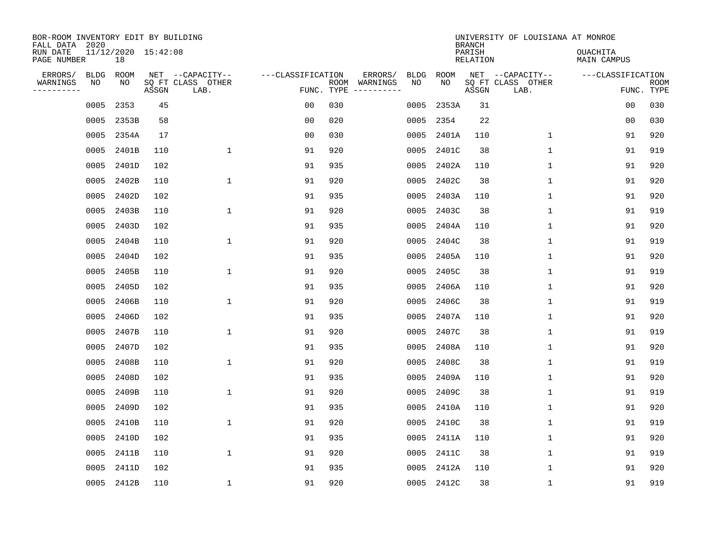| BOR-ROOM INVENTORY EDIT BY BUILDING<br>FALL DATA 2020 |             |                           |       |                           |                   |                    |          |             |             | <b>BRANCH</b>             | UNIVERSITY OF LOUISIANA AT MONROE |                                |                           |
|-------------------------------------------------------|-------------|---------------------------|-------|---------------------------|-------------------|--------------------|----------|-------------|-------------|---------------------------|-----------------------------------|--------------------------------|---------------------------|
| RUN DATE<br>PAGE NUMBER                               |             | 11/12/2020 15:42:08<br>18 |       |                           |                   |                    |          |             |             | PARISH<br><b>RELATION</b> |                                   | OUACHITA<br><b>MAIN CAMPUS</b> |                           |
| ERRORS/                                               | <b>BLDG</b> | ROOM                      |       | NET --CAPACITY--          | ---CLASSIFICATION |                    | ERRORS/  | <b>BLDG</b> | <b>ROOM</b> |                           | NET --CAPACITY--                  | ---CLASSIFICATION              |                           |
| WARNINGS<br>----------                                | NO          | NO                        | ASSGN | SQ FT CLASS OTHER<br>LAB. |                   | ROOM<br>FUNC. TYPE | WARNINGS | NO          | NO          | ASSGN                     | SQ FT CLASS OTHER<br>LAB.         |                                | <b>ROOM</b><br>FUNC. TYPE |
|                                                       | 0005        | 2353                      | 45    |                           | 00                | 030                |          | 0005        | 2353A       | 31                        |                                   | 00                             | 030                       |
|                                                       | 0005        | 2353B                     | 58    |                           | 00                | 020                |          | 0005        | 2354        | 22                        |                                   | 00                             | 030                       |
|                                                       | 0005        | 2354A                     | 17    |                           | 0 <sub>0</sub>    | 030                |          | 0005        | 2401A       | 110                       | 1                                 | 91                             | 920                       |
|                                                       | 0005        | 2401B                     | 110   | $\mathbf{1}$              | 91                | 920                |          | 0005        | 2401C       | 38                        | 1                                 | 91                             | 919                       |
|                                                       | 0005        | 2401D                     | 102   |                           | 91                | 935                |          | 0005        | 2402A       | 110                       | $\mathbf{1}$                      | 91                             | 920                       |
|                                                       | 0005        | 2402B                     | 110   | $\mathbf{1}$              | 91                | 920                |          | 0005        | 2402C       | 38                        | 1                                 | 91                             | 920                       |
|                                                       | 0005        | 2402D                     | 102   |                           | 91                | 935                |          | 0005        | 2403A       | 110                       | $\mathbf 1$                       | 91                             | 920                       |
|                                                       | 0005        | 2403B                     | 110   | $\mathbf{1}$              | 91                | 920                |          | 0005        | 2403C       | 38                        | $\mathbf 1$                       | 91                             | 919                       |
|                                                       | 0005        | 2403D                     | 102   |                           | 91                | 935                |          | 0005        | 2404A       | 110                       | 1                                 | 91                             | 920                       |
|                                                       | 0005        | 2404B                     | 110   | 1                         | 91                | 920                |          | 0005        | 2404C       | 38                        | 1                                 | 91                             | 919                       |
|                                                       | 0005        | 2404D                     | 102   |                           | 91                | 935                |          | 0005        | 2405A       | 110                       | 1                                 | 91                             | 920                       |
|                                                       | 0005        | 2405B                     | 110   | 1                         | 91                | 920                |          | 0005        | 2405C       | 38                        | 1                                 | 91                             | 919                       |
|                                                       | 0005        | 2405D                     | 102   |                           | 91                | 935                |          | 0005        | 2406A       | 110                       | 1                                 | 91                             | 920                       |
|                                                       | 0005        | 2406B                     | 110   | 1                         | 91                | 920                |          | 0005        | 2406C       | 38                        | 1                                 | 91                             | 919                       |
|                                                       | 0005        | 2406D                     | 102   |                           | 91                | 935                |          | 0005        | 2407A       | 110                       | 1                                 | 91                             | 920                       |
|                                                       | 0005        | 2407B                     | 110   | $\mathbf{1}$              | 91                | 920                |          | 0005        | 2407C       | 38                        | 1                                 | 91                             | 919                       |
|                                                       | 0005        | 2407D                     | 102   |                           | 91                | 935                |          | 0005        | 2408A       | 110                       | 1                                 | 91                             | 920                       |
|                                                       | 0005        | 2408B                     | 110   | 1                         | 91                | 920                |          | 0005        | 2408C       | 38                        | 1                                 | 91                             | 919                       |
|                                                       | 0005        | 2408D                     | 102   |                           | 91                | 935                |          | 0005        | 2409A       | 110                       | 1                                 | 91                             | 920                       |
|                                                       | 0005        | 2409B                     | 110   | $\mathbf 1$               | 91                | 920                |          | 0005        | 2409C       | 38                        | 1                                 | 91                             | 919                       |
|                                                       | 0005        | 2409D                     | 102   |                           | 91                | 935                |          | 0005        | 2410A       | 110                       | 1                                 | 91                             | 920                       |
|                                                       | 0005        | 2410B                     | 110   | 1                         | 91                | 920                |          | 0005        | 2410C       | 38                        | 1                                 | 91                             | 919                       |
|                                                       | 0005        | 2410D                     | 102   |                           | 91                | 935                |          | 0005        | 2411A       | 110                       | 1                                 | 91                             | 920                       |
|                                                       | 0005        | 2411B                     | 110   | $\mathbf 1$               | 91                | 920                |          | 0005        | 2411C       | 38                        | $\mathbf 1$                       | 91                             | 919                       |
|                                                       | 0005        | 2411D                     | 102   |                           | 91                | 935                |          | 0005        | 2412A       | 110                       | $\mathbf{1}$                      | 91                             | 920                       |
|                                                       |             | 0005 2412B                | 110   | 1                         | 91                | 920                |          |             | 0005 2412C  | 38                        | 1                                 | 91                             | 919                       |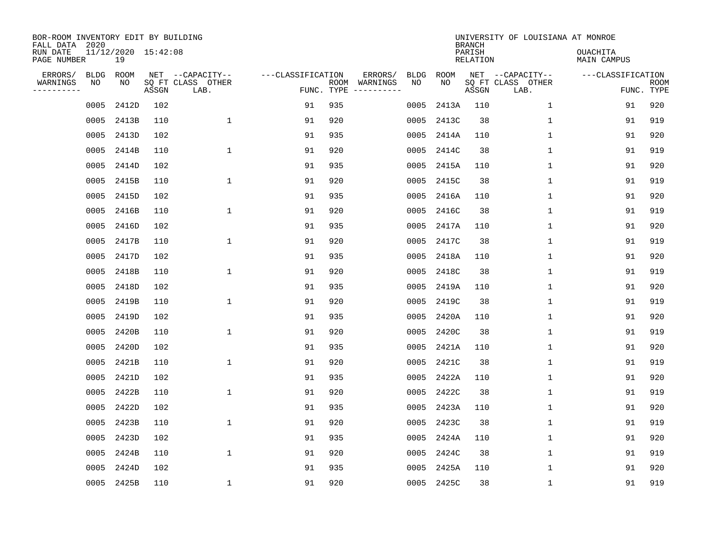| BOR-ROOM INVENTORY EDIT BY BUILDING<br>FALL DATA 2020 |      |                           |       |                           |                   |                    |                         |             |             | <b>BRANCH</b>             | UNIVERSITY OF LOUISIANA AT MONROE |                                |                           |
|-------------------------------------------------------|------|---------------------------|-------|---------------------------|-------------------|--------------------|-------------------------|-------------|-------------|---------------------------|-----------------------------------|--------------------------------|---------------------------|
| RUN DATE<br>PAGE NUMBER                               |      | 11/12/2020 15:42:08<br>19 |       |                           |                   |                    |                         |             |             | PARISH<br><b>RELATION</b> |                                   | OUACHITA<br><b>MAIN CAMPUS</b> |                           |
| ERRORS/                                               | BLDG | ROOM                      |       | NET --CAPACITY--          | ---CLASSIFICATION |                    | ERRORS/                 | <b>BLDG</b> | <b>ROOM</b> |                           | NET --CAPACITY--                  | ---CLASSIFICATION              |                           |
| WARNINGS<br>----------                                | ΝO   | NO                        | ASSGN | SQ FT CLASS OTHER<br>LAB. |                   | ROOM<br>FUNC. TYPE | WARNINGS<br>----------- | NO          | NO          | ASSGN                     | SQ FT CLASS OTHER<br>LAB.         |                                | <b>ROOM</b><br>FUNC. TYPE |
|                                                       | 0005 | 2412D                     | 102   |                           | 91                | 935                |                         | 0005        | 2413A       | 110                       | $\mathbf{1}$                      | 91                             | 920                       |
|                                                       | 0005 | 2413B                     | 110   | 1                         | 91                | 920                |                         | 0005        | 2413C       | 38                        | 1                                 | 91                             | 919                       |
|                                                       | 0005 | 2413D                     | 102   |                           | 91                | 935                |                         | 0005        | 2414A       | 110                       | 1                                 | 91                             | 920                       |
|                                                       | 0005 | 2414B                     | 110   | $\mathbf{1}$              | 91                | 920                |                         | 0005        | 2414C       | 38                        | $\mathbf 1$                       | 91                             | 919                       |
|                                                       | 0005 | 2414D                     | 102   |                           | 91                | 935                |                         | 0005        | 2415A       | 110                       | $\mathbf{1}$                      | 91                             | 920                       |
|                                                       | 0005 | 2415B                     | 110   | $\mathbf{1}$              | 91                | 920                |                         | 0005        | 2415C       | 38                        | $\mathbf 1$                       | 91                             | 919                       |
|                                                       | 0005 | 2415D                     | 102   |                           | 91                | 935                |                         | 0005        | 2416A       | 110                       | $\mathbf{1}$                      | 91                             | 920                       |
|                                                       | 0005 | 2416B                     | 110   | $\mathbf{1}$              | 91                | 920                |                         | 0005        | 2416C       | 38                        | $\mathbf{1}$                      | 91                             | 919                       |
|                                                       | 0005 | 2416D                     | 102   |                           | 91                | 935                |                         | 0005        | 2417A       | 110                       | $\mathbf{1}$                      | 91                             | 920                       |
|                                                       | 0005 | 2417B                     | 110   | $\mathbf{1}$              | 91                | 920                |                         | 0005        | 2417C       | 38                        | 1                                 | 91                             | 919                       |
|                                                       | 0005 | 2417D                     | 102   |                           | 91                | 935                |                         | 0005        | 2418A       | 110                       | 1                                 | 91                             | 920                       |
|                                                       | 0005 | 2418B                     | 110   | $\mathbf{1}$              | 91                | 920                |                         | 0005        | 2418C       | 38                        | $\mathbf 1$                       | 91                             | 919                       |
|                                                       | 0005 | 2418D                     | 102   |                           | 91                | 935                |                         | 0005        | 2419A       | 110                       | $\mathbf 1$                       | 91                             | 920                       |
|                                                       | 0005 | 2419B                     | 110   | $\mathbf{1}$              | 91                | 920                |                         | 0005        | 2419C       | 38                        | 1                                 | 91                             | 919                       |
|                                                       | 0005 | 2419D                     | 102   |                           | 91                | 935                |                         | 0005        | 2420A       | 110                       | 1                                 | 91                             | 920                       |
|                                                       | 0005 | 2420B                     | 110   | $\mathbf{1}$              | 91                | 920                |                         | 0005        | 2420C       | 38                        | $\mathbf 1$                       | 91                             | 919                       |
|                                                       | 0005 | 2420D                     | 102   |                           | 91                | 935                |                         | 0005        | 2421A       | 110                       | 1                                 | 91                             | 920                       |
|                                                       | 0005 | 2421B                     | 110   | $\mathbf{1}$              | 91                | 920                |                         | 0005        | 2421C       | 38                        | 1                                 | 91                             | 919                       |
|                                                       | 0005 | 2421D                     | 102   |                           | 91                | 935                |                         | 0005        | 2422A       | 110                       | 1                                 | 91                             | 920                       |
|                                                       | 0005 | 2422B                     | 110   | $\mathbf{1}$              | 91                | 920                |                         | 0005        | 2422C       | 38                        | 1                                 | 91                             | 919                       |
|                                                       | 0005 | 2422D                     | 102   |                           | 91                | 935                |                         | 0005        | 2423A       | 110                       | 1                                 | 91                             | 920                       |
|                                                       | 0005 | 2423B                     | 110   | $\mathbf{1}$              | 91                | 920                |                         | 0005        | 2423C       | 38                        | $\mathbf 1$                       | 91                             | 919                       |
|                                                       | 0005 | 2423D                     | 102   |                           | 91                | 935                |                         | 0005        | 2424A       | 110                       | $\mathbf 1$                       | 91                             | 920                       |
|                                                       | 0005 | 2424B                     | 110   | $\mathbf{1}$              | 91                | 920                |                         | 0005        | 2424C       | 38                        | $\mathbf 1$                       | 91                             | 919                       |
|                                                       | 0005 | 2424D                     | 102   |                           | 91                | 935                |                         | 0005        | 2425A       | 110                       | $\mathbf 1$                       | 91                             | 920                       |
|                                                       |      | 0005 2425B                | 110   | 1                         | 91                | 920                |                         |             | 0005 2425C  | 38                        | $\mathbf 1$                       | 91                             | 919                       |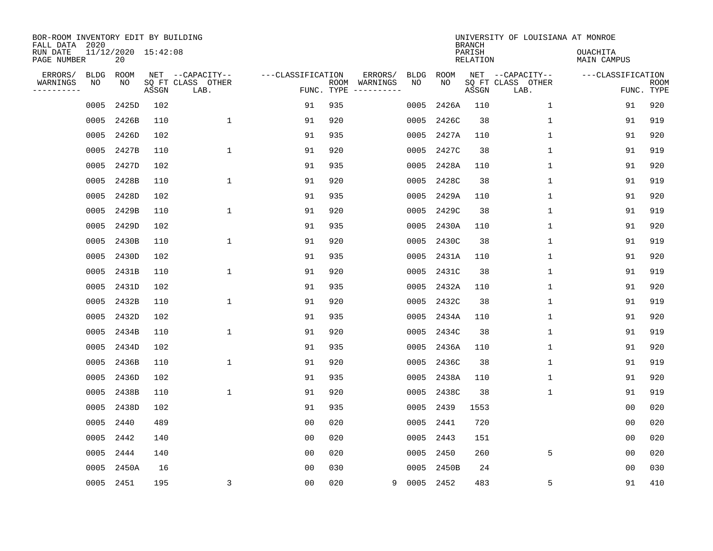| BOR-ROOM INVENTORY EDIT BY BUILDING<br>FALL DATA 2020 |            |                           |       |                                       |                   |            |                          |                   |             | <b>BRANCH</b>      | UNIVERSITY OF LOUISIANA AT MONROE     |                                |             |
|-------------------------------------------------------|------------|---------------------------|-------|---------------------------------------|-------------------|------------|--------------------------|-------------------|-------------|--------------------|---------------------------------------|--------------------------------|-------------|
| RUN DATE<br>PAGE NUMBER                               |            | 11/12/2020 15:42:08<br>20 |       |                                       |                   |            |                          |                   |             | PARISH<br>RELATION |                                       | <b>OUACHITA</b><br>MAIN CAMPUS |             |
| ERRORS/<br>WARNINGS                                   | BLDG<br>NO | ROOM<br>NO                |       | NET --CAPACITY--<br>SQ FT CLASS OTHER | ---CLASSIFICATION |            | ERRORS/<br>ROOM WARNINGS | <b>BLDG</b><br>NO | ROOM<br>NO. |                    | NET --CAPACITY--<br>SQ FT CLASS OTHER | ---CLASSIFICATION              | <b>ROOM</b> |
| ---------                                             |            |                           | ASSGN | LAB.                                  |                   | FUNC. TYPE |                          |                   |             | ASSGN              | LAB.                                  |                                | FUNC. TYPE  |
|                                                       | 0005       | 2425D                     | 102   |                                       | 91                | 935        |                          | 0005              | 2426A       | 110                | $\mathbf{1}$                          | 91                             | 920         |
|                                                       | 0005       | 2426B                     | 110   | $\mathbf{1}$                          | 91                | 920        |                          | 0005              | 2426C       | 38                 | 1                                     | 91                             | 919         |
|                                                       | 0005       | 2426D                     | 102   |                                       | 91                | 935        |                          | 0005              | 2427A       | 110                | $\mathbf{1}$                          | 91                             | 920         |
|                                                       | 0005       | 2427B                     | 110   | $\mathbf{1}$                          | 91                | 920        |                          | 0005              | 2427C       | 38                 | $\mathbf 1$                           | 91                             | 919         |
|                                                       | 0005       | 2427D                     | 102   |                                       | 91                | 935        |                          | 0005              | 2428A       | 110                | $\mathbf 1$                           | 91                             | 920         |
|                                                       | 0005       | 2428B                     | 110   | 1                                     | 91                | 920        |                          | 0005              | 2428C       | 38                 | 1                                     | 91                             | 919         |
|                                                       | 0005       | 2428D                     | 102   |                                       | 91                | 935        |                          | 0005              | 2429A       | 110                | $\mathbf 1$                           | 91                             | 920         |
|                                                       | 0005       | 2429B                     | 110   | 1                                     | 91                | 920        |                          | 0005              | 2429C       | 38                 | 1                                     | 91                             | 919         |
|                                                       | 0005       | 2429D                     | 102   |                                       | 91                | 935        |                          | 0005              | 2430A       | 110                | $\mathbf 1$                           | 91                             | 920         |
|                                                       | 0005       | 2430B                     | 110   | 1                                     | 91                | 920        |                          | 0005              | 2430C       | 38                 | $\mathbf 1$                           | 91                             | 919         |
|                                                       | 0005       | 2430D                     | 102   |                                       | 91                | 935        |                          | 0005              | 2431A       | 110                | 1                                     | 91                             | 920         |
|                                                       | 0005       | 2431B                     | 110   | $\mathbf 1$                           | 91                | 920        |                          | 0005              | 2431C       | 38                 | 1                                     | 91                             | 919         |
|                                                       | 0005       | 2431D                     | 102   |                                       | 91                | 935        |                          | 0005              | 2432A       | 110                | 1                                     | 91                             | 920         |
|                                                       | 0005       | 2432B                     | 110   | $\mathbf{1}$                          | 91                | 920        |                          | 0005              | 2432C       | 38                 | 1                                     | 91                             | 919         |
|                                                       | 0005       | 2432D                     | 102   |                                       | 91                | 935        |                          | 0005              | 2434A       | 110                | 1                                     | 91                             | 920         |
|                                                       | 0005       | 2434B                     | 110   | 1                                     | 91                | 920        |                          | 0005              | 2434C       | 38                 | 1                                     | 91                             | 919         |
|                                                       | 0005       | 2434D                     | 102   |                                       | 91                | 935        |                          | 0005              | 2436A       | 110                | 1                                     | 91                             | 920         |
|                                                       | 0005       | 2436B                     | 110   | $\mathbf 1$                           | 91                | 920        |                          | 0005              | 2436C       | 38                 | 1                                     | 91                             | 919         |
|                                                       | 0005       | 2436D                     | 102   |                                       | 91                | 935        |                          | 0005              | 2438A       | 110                | 1                                     | 91                             | 920         |
|                                                       | 0005       | 2438B                     | 110   | $\mathbf 1$                           | 91                | 920        |                          | 0005              | 2438C       | 38                 | 1                                     | 91                             | 919         |
|                                                       | 0005       | 2438D                     | 102   |                                       | 91                | 935        |                          | 0005              | 2439        | 1553               |                                       | 0 <sub>0</sub>                 | 020         |
|                                                       | 0005       | 2440                      | 489   |                                       | 0 <sub>0</sub>    | 020        |                          | 0005              | 2441        | 720                |                                       | 00                             | 020         |
|                                                       | 0005       | 2442                      | 140   |                                       | 0 <sub>0</sub>    | 020        |                          | 0005              | 2443        | 151                |                                       | 0 <sub>0</sub>                 | 020         |
|                                                       | 0005       | 2444                      | 140   |                                       | 0 <sub>0</sub>    | 020        |                          | 0005              | 2450        | 260                | 5                                     | 0 <sub>0</sub>                 | 020         |
|                                                       | 0005       | 2450A                     | 16    |                                       | 00                | 030        |                          | 0005              | 2450B       | 24                 |                                       | 00                             | 030         |
|                                                       | 0005 2451  |                           | 195   | $\overline{3}$                        | 0 <sub>0</sub>    | 020        | 9                        | 0005 2452         |             | 483                | 5                                     | 91                             | 410         |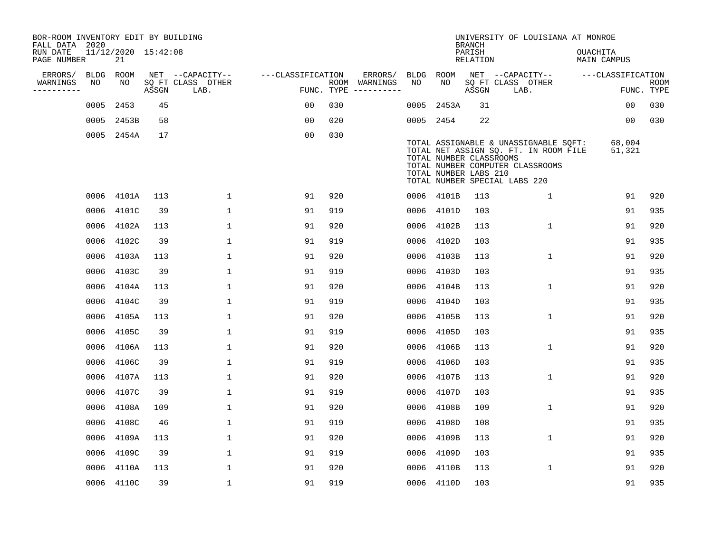| BOR-ROOM INVENTORY EDIT BY BUILDING<br>FALL DATA 2020 |      |                           |       |                           |                   |                                        |             |             | <b>BRANCH</b>                                    | UNIVERSITY OF LOUISIANA AT MONROE                                                                                                                   |                                |                           |
|-------------------------------------------------------|------|---------------------------|-------|---------------------------|-------------------|----------------------------------------|-------------|-------------|--------------------------------------------------|-----------------------------------------------------------------------------------------------------------------------------------------------------|--------------------------------|---------------------------|
| RUN DATE<br>PAGE NUMBER                               |      | 11/12/2020 15:42:08<br>21 |       |                           |                   |                                        |             |             | PARISH<br><b>RELATION</b>                        |                                                                                                                                                     | OUACHITA<br><b>MAIN CAMPUS</b> |                           |
| ERRORS/                                               | BLDG | <b>ROOM</b>               |       | NET --CAPACITY--          | ---CLASSIFICATION | ERRORS/                                | <b>BLDG</b> | <b>ROOM</b> |                                                  | NET --CAPACITY--                                                                                                                                    | ---CLASSIFICATION              |                           |
| WARNINGS<br>----------                                | NO   | NO                        | ASSGN | SQ FT CLASS OTHER<br>LAB. | FUNC. TYPE        | ROOM WARNINGS<br>$- - - - - - - - - -$ | NO          | NO          | ASSGN                                            | SQ FT CLASS OTHER<br>LAB.                                                                                                                           |                                | <b>ROOM</b><br>FUNC. TYPE |
|                                                       | 0005 | 2453                      | 45    |                           | 00                | 030                                    | 0005        | 2453A       | 31                                               |                                                                                                                                                     | 0 <sub>0</sub>                 | 030                       |
|                                                       | 0005 | 2453B                     | 58    |                           | 0 <sub>0</sub>    | 020                                    |             | 0005 2454   | 22                                               |                                                                                                                                                     | 0 <sub>0</sub>                 | 030                       |
|                                                       |      | 0005 2454A                | 17    |                           | 0 <sub>0</sub>    | 030                                    |             |             | TOTAL NUMBER CLASSROOMS<br>TOTAL NUMBER LABS 210 | TOTAL ASSIGNABLE & UNASSIGNABLE SQFT:<br>TOTAL NET ASSIGN SQ. FT. IN ROOM FILE<br>TOTAL NUMBER COMPUTER CLASSROOMS<br>TOTAL NUMBER SPECIAL LABS 220 | 68,004<br>51,321               |                           |
|                                                       | 0006 | 4101A                     | 113   | $\mathbf{1}$              | 91                | 920                                    |             | 0006 4101B  | 113                                              | $\mathbf 1$                                                                                                                                         | 91                             | 920                       |
|                                                       | 0006 | 4101C                     | 39    | $\mathbf{1}$              | 91                | 919                                    | 0006        | 4101D       | 103                                              |                                                                                                                                                     | 91                             | 935                       |
|                                                       | 0006 | 4102A                     | 113   | $\mathbf 1$               | 91                | 920                                    | 0006        | 4102B       | 113                                              | $\mathbf 1$                                                                                                                                         | 91                             | 920                       |
|                                                       | 0006 | 4102C                     | 39    | $\mathbf{1}$              | 91                | 919                                    | 0006        | 4102D       | 103                                              |                                                                                                                                                     | 91                             | 935                       |
|                                                       | 0006 | 4103A                     | 113   | $\mathbf{1}$              | 91                | 920                                    | 0006        | 4103B       | 113                                              | $\mathbf 1$                                                                                                                                         | 91                             | 920                       |
|                                                       | 0006 | 4103C                     | 39    | $\mathbf{1}$              | 91                | 919                                    | 0006        | 4103D       | 103                                              |                                                                                                                                                     | 91                             | 935                       |
|                                                       | 0006 | 4104A                     | 113   | $\mathbf 1$               | 91                | 920                                    | 0006        | 4104B       | 113                                              | $\mathbf 1$                                                                                                                                         | 91                             | 920                       |
|                                                       | 0006 | 4104C                     | 39    | $\mathbf 1$               | 91                | 919                                    | 0006        | 4104D       | 103                                              |                                                                                                                                                     | 91                             | 935                       |
|                                                       | 0006 | 4105A                     | 113   | 1                         | 91                | 920                                    | 0006        | 4105B       | 113                                              | 1                                                                                                                                                   | 91                             | 920                       |
|                                                       | 0006 | 4105C                     | 39    | $\mathbf 1$               | 91                | 919                                    | 0006        | 4105D       | 103                                              |                                                                                                                                                     | 91                             | 935                       |
|                                                       | 0006 | 4106A                     | 113   | $\mathbf{1}$              | 91                | 920                                    | 0006        | 4106B       | 113                                              | 1                                                                                                                                                   | 91                             | 920                       |
|                                                       | 0006 | 4106C                     | 39    | $\mathbf{1}$              | 91                | 919                                    | 0006        | 4106D       | 103                                              |                                                                                                                                                     | 91                             | 935                       |
|                                                       | 0006 | 4107A                     | 113   | $\mathbf{1}$              | 91                | 920                                    | 0006        | 4107B       | 113                                              | 1                                                                                                                                                   | 91                             | 920                       |
|                                                       | 0006 | 4107C                     | 39    | $\mathbf 1$               | 91                | 919                                    | 0006        | 4107D       | 103                                              |                                                                                                                                                     | 91                             | 935                       |
|                                                       | 0006 | 4108A                     | 109   | $\mathbf 1$               | 91                | 920                                    | 0006        | 4108B       | 109                                              | 1                                                                                                                                                   | 91                             | 920                       |
|                                                       | 0006 | 4108C                     | 46    | $\mathbf 1$               | 91                | 919                                    | 0006        | 4108D       | 108                                              |                                                                                                                                                     | 91                             | 935                       |
|                                                       | 0006 | 4109A                     | 113   | $\mathbf 1$               | 91                | 920                                    | 0006        | 4109B       | 113                                              | 1                                                                                                                                                   | 91                             | 920                       |
|                                                       | 0006 | 4109C                     | 39    | $\mathbf 1$               | 91                | 919                                    | 0006        | 4109D       | 103                                              |                                                                                                                                                     | 91                             | 935                       |
|                                                       | 0006 | 4110A                     | 113   | $\mathbf{1}$              | 91                | 920                                    | 0006        | 4110B       | 113                                              | 1                                                                                                                                                   | 91                             | 920                       |
|                                                       |      | 0006 4110C                | 39    | $\mathbf{1}$              | 91                | 919                                    |             | 0006 4110D  | 103                                              |                                                                                                                                                     | 91                             | 935                       |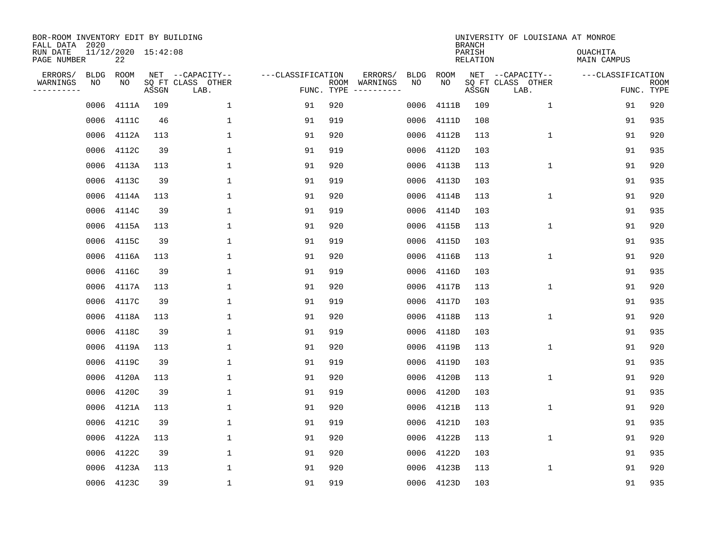| BOR-ROOM INVENTORY EDIT BY BUILDING<br>FALL DATA 2020<br>RUN DATE<br>PAGE NUMBER |             | 11/12/2020 15:42:08<br>22 |       |                           |                   |     |               |             |            | <b>BRANCH</b><br>PARISH<br>RELATION | UNIVERSITY OF LOUISIANA AT MONROE | <b>OUACHITA</b><br>MAIN CAMPUS |                           |
|----------------------------------------------------------------------------------|-------------|---------------------------|-------|---------------------------|-------------------|-----|---------------|-------------|------------|-------------------------------------|-----------------------------------|--------------------------------|---------------------------|
| ERRORS/                                                                          | <b>BLDG</b> | ROOM                      |       | NET --CAPACITY--          | ---CLASSIFICATION |     | ERRORS/       | <b>BLDG</b> | ROOM       |                                     | NET --CAPACITY--                  | ---CLASSIFICATION              |                           |
| WARNINGS<br>---------                                                            | ΝO          | NO                        | ASSGN | SQ FT CLASS OTHER<br>LAB. | FUNC. TYPE        |     | ROOM WARNINGS | NO          | NO         | ASSGN                               | SQ FT CLASS OTHER<br>LAB.         |                                | <b>ROOM</b><br>FUNC. TYPE |
|                                                                                  | 0006        | 4111A                     | 109   | $\mathbf 1$               | 91                | 920 |               | 0006        | 4111B      | 109                                 | $\mathbf{1}$                      | 91                             | 920                       |
|                                                                                  | 0006        | 4111C                     | 46    | $\mathbf{1}$              | 91                | 919 |               | 0006        | 4111D      | 108                                 |                                   | 91                             | 935                       |
|                                                                                  | 0006        | 4112A                     | 113   | 1                         | 91                | 920 |               | 0006        | 4112B      | 113                                 | $\mathbf{1}$                      | 91                             | 920                       |
|                                                                                  | 0006        | 4112C                     | 39    | $\mathbf{1}$              | 91                | 919 |               | 0006        | 4112D      | 103                                 |                                   | 91                             | 935                       |
|                                                                                  | 0006        | 4113A                     | 113   | $\mathbf{1}$              | 91                | 920 |               | 0006        | 4113B      | 113                                 | $\mathbf{1}$                      | 91                             | 920                       |
|                                                                                  | 0006        | 4113C                     | 39    | $\mathbf{1}$              | 91                | 919 |               | 0006        | 4113D      | 103                                 |                                   | 91                             | 935                       |
|                                                                                  | 0006        | 4114A                     | 113   | $\mathbf{1}$              | 91                | 920 |               | 0006        | 4114B      | 113                                 | $\mathbf 1$                       | 91                             | 920                       |
|                                                                                  | 0006        | 4114C                     | 39    | $\mathbf{1}$              | 91                | 919 |               | 0006        | 4114D      | 103                                 |                                   | 91                             | 935                       |
|                                                                                  | 0006        | 4115A                     | 113   | $\mathbf{1}$              | 91                | 920 |               | 0006        | 4115B      | 113                                 | $\mathbf 1$                       | 91                             | 920                       |
|                                                                                  | 0006        | 4115C                     | 39    | $\mathbf{1}$              | 91                | 919 |               | 0006        | 4115D      | 103                                 |                                   | 91                             | 935                       |
|                                                                                  | 0006        | 4116A                     | 113   | $\mathbf{1}$              | 91                | 920 |               | 0006        | 4116B      | 113                                 | $\mathbf{1}$                      | 91                             | 920                       |
|                                                                                  | 0006        | 4116C                     | 39    | $\mathbf{1}$              | 91                | 919 |               | 0006        | 4116D      | 103                                 |                                   | 91                             | 935                       |
|                                                                                  | 0006        | 4117A                     | 113   | $\mathbf{1}$              | 91                | 920 |               | 0006        | 4117B      | 113                                 | $\mathbf{1}$                      | 91                             | 920                       |
|                                                                                  | 0006        | 4117C                     | 39    | $\mathbf{1}$              | 91                | 919 |               | 0006        | 4117D      | 103                                 |                                   | 91                             | 935                       |
|                                                                                  | 0006        | 4118A                     | 113   | 1                         | 91                | 920 |               | 0006        | 4118B      | 113                                 | 1                                 | 91                             | 920                       |
|                                                                                  | 0006        | 4118C                     | 39    | 1                         | 91                | 919 |               | 0006        | 4118D      | 103                                 |                                   | 91                             | 935                       |
|                                                                                  | 0006        | 4119A                     | 113   | 1                         | 91                | 920 |               | 0006        | 4119B      | 113                                 | 1                                 | 91                             | 920                       |
|                                                                                  | 0006        | 4119C                     | 39    | $\mathbf{1}$              | 91                | 919 |               | 0006        | 4119D      | 103                                 |                                   | 91                             | 935                       |
|                                                                                  | 0006        | 4120A                     | 113   | 1                         | 91                | 920 |               | 0006        | 4120B      | 113                                 | $\mathbf 1$                       | 91                             | 920                       |
|                                                                                  | 0006        | 4120C                     | 39    | $\mathbf{1}$              | 91                | 919 |               | 0006        | 4120D      | 103                                 |                                   | 91                             | 935                       |
|                                                                                  | 0006        | 4121A                     | 113   | $\mathbf{1}$              | 91                | 920 |               | 0006        | 4121B      | 113                                 | $\mathbf 1$                       | 91                             | 920                       |
|                                                                                  | 0006        | 4121C                     | 39    | $\mathbf{1}$              | 91                | 919 |               | 0006        | 4121D      | 103                                 |                                   | 91                             | 935                       |
|                                                                                  | 0006        | 4122A                     | 113   | $\mathbf{1}$              | 91                | 920 |               | 0006        | 4122B      | 113                                 | $\mathbf{1}$                      | 91                             | 920                       |
|                                                                                  | 0006        | 4122C                     | 39    | $\mathbf{1}$              | 91                | 920 |               | 0006        | 4122D      | 103                                 |                                   | 91                             | 935                       |
|                                                                                  | 0006        | 4123A                     | 113   | 1                         | 91                | 920 |               | 0006        | 4123B      | 113                                 | 1                                 | 91                             | 920                       |
|                                                                                  |             | 0006 4123C                | 39    | $\mathbf{1}$              | 91                | 919 |               |             | 0006 4123D | 103                                 |                                   | 91                             | 935                       |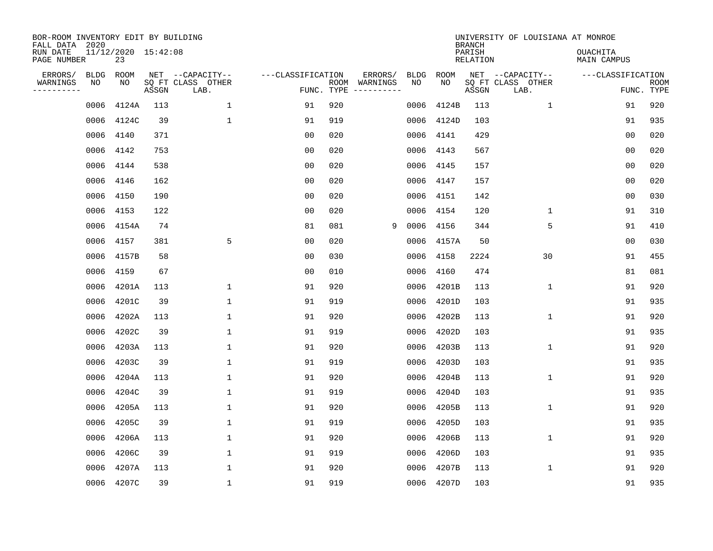| BOR-ROOM INVENTORY EDIT BY BUILDING<br>FALL DATA 2020 |           |                           |       |                           |                   |                    |          |             |             | <b>BRANCH</b>             | UNIVERSITY OF LOUISIANA AT MONROE |                                |                           |
|-------------------------------------------------------|-----------|---------------------------|-------|---------------------------|-------------------|--------------------|----------|-------------|-------------|---------------------------|-----------------------------------|--------------------------------|---------------------------|
| RUN DATE<br>PAGE NUMBER                               |           | 11/12/2020 15:42:08<br>23 |       |                           |                   |                    |          |             |             | PARISH<br><b>RELATION</b> |                                   | OUACHITA<br><b>MAIN CAMPUS</b> |                           |
| ERRORS/                                               | BLDG      | ROOM                      |       | NET --CAPACITY--          | ---CLASSIFICATION |                    | ERRORS/  | <b>BLDG</b> | <b>ROOM</b> |                           | NET --CAPACITY--                  | ---CLASSIFICATION              |                           |
| WARNINGS<br>----------                                | ΝO        | NO                        | ASSGN | SQ FT CLASS OTHER<br>LAB. |                   | ROOM<br>FUNC. TYPE | WARNINGS | NO          | NO          | ASSGN                     | SQ FT CLASS OTHER<br>LAB.         |                                | <b>ROOM</b><br>FUNC. TYPE |
|                                                       | 0006      | 4124A                     | 113   | 1                         | 91                | 920                |          | 0006        | 4124B       | 113                       | 1                                 | 91                             | 920                       |
|                                                       | 0006      | 4124C                     | 39    | 1                         | 91                | 919                |          | 0006        | 4124D       | 103                       |                                   | 91                             | 935                       |
|                                                       | 0006      | 4140                      | 371   |                           | 00                | 020                |          | 0006        | 4141        | 429                       |                                   | 0 <sub>0</sub>                 | 020                       |
|                                                       | 0006      | 4142                      | 753   |                           | 0 <sub>0</sub>    | 020                |          | 0006        | 4143        | 567                       |                                   | 0 <sub>0</sub>                 | 020                       |
|                                                       | 0006      | 4144                      | 538   |                           | 0 <sub>0</sub>    | 020                |          | 0006        | 4145        | 157                       |                                   | 0 <sub>0</sub>                 | 020                       |
|                                                       | 0006 4146 |                           | 162   |                           | 0 <sub>0</sub>    | 020                |          | 0006        | 4147        | 157                       |                                   | 0 <sub>0</sub>                 | 020                       |
|                                                       | 0006      | 4150                      | 190   |                           | 0 <sub>0</sub>    | 020                |          | 0006        | 4151        | 142                       |                                   | 0 <sub>0</sub>                 | 030                       |
|                                                       | 0006      | 4153                      | 122   |                           | 0 <sub>0</sub>    | 020                |          | 0006        | 4154        | 120                       | $\mathbf{1}$                      | 91                             | 310                       |
|                                                       | 0006      | 4154A                     | 74    |                           | 81                | 081                | 9        | 0006        | 4156        | 344                       | 5                                 | 91                             | 410                       |
|                                                       | 0006      | 4157                      | 381   | 5                         | 00                | 020                |          | 0006        | 4157A       | 50                        |                                   | 0 <sub>0</sub>                 | 030                       |
|                                                       | 0006      | 4157B                     | 58    |                           | 0 <sub>0</sub>    | 030                |          | 0006        | 4158        | 2224                      | 30                                | 91                             | 455                       |
|                                                       | 0006      | 4159                      | 67    |                           | 0 <sub>0</sub>    | 010                |          | 0006        | 4160        | 474                       |                                   | 81                             | 081                       |
|                                                       | 0006      | 4201A                     | 113   | $\mathbf{1}$              | 91                | 920                |          | 0006        | 4201B       | 113                       | $\mathbf 1$                       | 91                             | 920                       |
|                                                       | 0006      | 4201C                     | 39    | $\mathbf{1}$              | 91                | 919                |          | 0006        | 4201D       | 103                       |                                   | 91                             | 935                       |
|                                                       | 0006      | 4202A                     | 113   | 1                         | 91                | 920                |          | 0006        | 4202B       | 113                       | $\mathbf{1}$                      | 91                             | 920                       |
|                                                       | 0006      | 4202C                     | 39    | $\mathbf{1}$              | 91                | 919                |          | 0006        | 4202D       | 103                       |                                   | 91                             | 935                       |
|                                                       | 0006      | 4203A                     | 113   | 1                         | 91                | 920                |          | 0006        | 4203B       | 113                       | 1                                 | 91                             | 920                       |
|                                                       | 0006      | 4203C                     | 39    | $\mathbf{1}$              | 91                | 919                |          | 0006        | 4203D       | 103                       |                                   | 91                             | 935                       |
|                                                       | 0006      | 4204A                     | 113   | 1                         | 91                | 920                |          | 0006        | 4204B       | 113                       | $\mathbf 1$                       | 91                             | 920                       |
|                                                       | 0006      | 4204C                     | 39    | $\mathbf{1}$              | 91                | 919                |          | 0006        | 4204D       | 103                       |                                   | 91                             | 935                       |
|                                                       | 0006      | 4205A                     | 113   | $\mathbf{1}$              | 91                | 920                |          | 0006        | 4205B       | 113                       | $\mathbf 1$                       | 91                             | 920                       |
|                                                       | 0006      | 4205C                     | 39    | $\mathbf{1}$              | 91                | 919                |          | 0006        | 4205D       | 103                       |                                   | 91                             | 935                       |
|                                                       | 0006      | 4206A                     | 113   | $\mathbf{1}$              | 91                | 920                |          | 0006        | 4206B       | 113                       | $\mathbf{1}$                      | 91                             | 920                       |
|                                                       | 0006      | 4206C                     | 39    | $\mathbf{1}$              | 91                | 919                |          | 0006        | 4206D       | 103                       |                                   | 91                             | 935                       |
|                                                       | 0006      | 4207A                     | 113   | $\mathbf{1}$              | 91                | 920                |          | 0006        | 4207B       | 113                       | $\mathbf{1}$                      | 91                             | 920                       |
|                                                       |           | 0006 4207C                | 39    | $\mathbf{1}$              | 91                | 919                |          | 0006        | 4207D       | 103                       |                                   | 91                             | 935                       |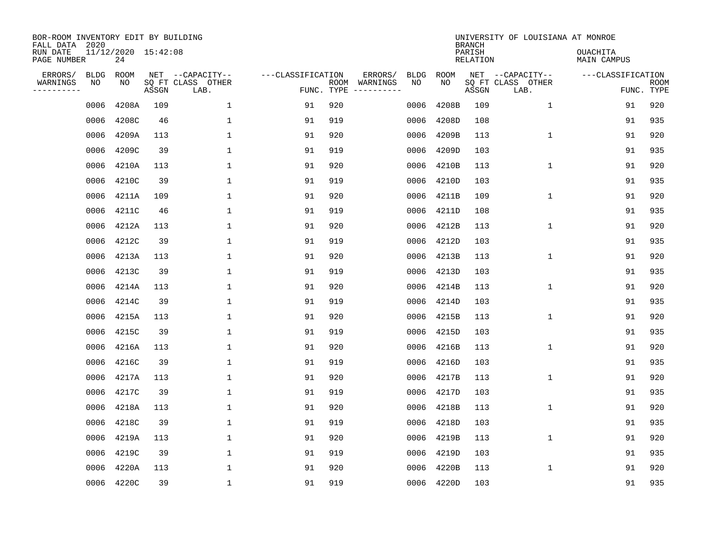| BOR-ROOM INVENTORY EDIT BY BUILDING<br>FALL DATA 2020<br>RUN DATE<br>PAGE NUMBER |                   | 11/12/2020 15:42:08<br>24 |       |                                               |                                 |     |                          |                   |            | <b>BRANCH</b><br>PARISH<br>RELATION | UNIVERSITY OF LOUISIANA AT MONROE             | <b>OUACHITA</b><br>MAIN CAMPUS |                           |
|----------------------------------------------------------------------------------|-------------------|---------------------------|-------|-----------------------------------------------|---------------------------------|-----|--------------------------|-------------------|------------|-------------------------------------|-----------------------------------------------|--------------------------------|---------------------------|
| ERRORS/<br>WARNINGS<br>---------                                                 | <b>BLDG</b><br>ΝO | ROOM<br>NO                | ASSGN | NET --CAPACITY--<br>SQ FT CLASS OTHER<br>LAB. | ---CLASSIFICATION<br>FUNC. TYPE |     | ERRORS/<br>ROOM WARNINGS | <b>BLDG</b><br>NO | ROOM<br>NO | ASSGN                               | NET --CAPACITY--<br>SQ FT CLASS OTHER<br>LAB. | ---CLASSIFICATION              | <b>ROOM</b><br>FUNC. TYPE |
|                                                                                  | 0006              | 4208A                     | 109   | $\mathbf 1$                                   | 91                              | 920 |                          | 0006              | 4208B      | 109                                 | $\mathbf{1}$                                  | 91                             | 920                       |
|                                                                                  | 0006              | 4208C                     | 46    | $\mathbf{1}$                                  | 91                              | 919 |                          | 0006              | 4208D      | 108                                 |                                               | 91                             | 935                       |
|                                                                                  | 0006              | 4209A                     | 113   | 1                                             | 91                              | 920 |                          | 0006              | 4209B      | 113                                 | $\mathbf{1}$                                  | 91                             | 920                       |
|                                                                                  | 0006              | 4209C                     | 39    | $\mathbf{1}$                                  | 91                              | 919 |                          | 0006              | 4209D      | 103                                 |                                               | 91                             | 935                       |
|                                                                                  | 0006              | 4210A                     | 113   | $\mathbf{1}$                                  | 91                              | 920 |                          | 0006              | 4210B      | 113                                 | $\mathbf{1}$                                  | 91                             | 920                       |
|                                                                                  | 0006              | 4210C                     | 39    | $\mathbf{1}$                                  | 91                              | 919 |                          | 0006              | 4210D      | 103                                 |                                               | 91                             | 935                       |
|                                                                                  | 0006              | 4211A                     | 109   | $\mathbf{1}$                                  | 91                              | 920 |                          | 0006              | 4211B      | 109                                 | $\mathbf 1$                                   | 91                             | 920                       |
|                                                                                  | 0006              | 4211C                     | 46    | $\mathbf{1}$                                  | 91                              | 919 |                          | 0006              | 4211D      | 108                                 |                                               | 91                             | 935                       |
|                                                                                  | 0006              | 4212A                     | 113   | $\mathbf{1}$                                  | 91                              | 920 |                          | 0006              | 4212B      | 113                                 | $\mathbf 1$                                   | 91                             | 920                       |
|                                                                                  | 0006              | 4212C                     | 39    | $\mathbf{1}$                                  | 91                              | 919 |                          | 0006              | 4212D      | 103                                 |                                               | 91                             | 935                       |
|                                                                                  | 0006              | 4213A                     | 113   | $\mathbf{1}$                                  | 91                              | 920 |                          | 0006              | 4213B      | 113                                 | $\mathbf{1}$                                  | 91                             | 920                       |
|                                                                                  | 0006              | 4213C                     | 39    | $\mathbf{1}$                                  | 91                              | 919 |                          | 0006              | 4213D      | 103                                 |                                               | 91                             | 935                       |
|                                                                                  | 0006              | 4214A                     | 113   | $\mathbf{1}$                                  | 91                              | 920 |                          | 0006              | 4214B      | 113                                 | $\mathbf{1}$                                  | 91                             | 920                       |
|                                                                                  | 0006              | 4214C                     | 39    | $\mathbf{1}$                                  | 91                              | 919 |                          | 0006              | 4214D      | 103                                 |                                               | 91                             | 935                       |
|                                                                                  | 0006              | 4215A                     | 113   | 1                                             | 91                              | 920 |                          | 0006              | 4215B      | 113                                 | 1                                             | 91                             | 920                       |
|                                                                                  | 0006              | 4215C                     | 39    | 1                                             | 91                              | 919 |                          | 0006              | 4215D      | 103                                 |                                               | 91                             | 935                       |
|                                                                                  | 0006              | 4216A                     | 113   | 1                                             | 91                              | 920 |                          | 0006              | 4216B      | 113                                 | 1                                             | 91                             | 920                       |
|                                                                                  | 0006              | 4216C                     | 39    | $\mathbf{1}$                                  | 91                              | 919 |                          | 0006              | 4216D      | 103                                 |                                               | 91                             | 935                       |
|                                                                                  | 0006              | 4217A                     | 113   | 1                                             | 91                              | 920 |                          | 0006              | 4217B      | 113                                 | $\mathbf 1$                                   | 91                             | 920                       |
|                                                                                  | 0006              | 4217C                     | 39    | $\mathbf{1}$                                  | 91                              | 919 |                          | 0006              | 4217D      | 103                                 |                                               | 91                             | 935                       |
|                                                                                  | 0006              | 4218A                     | 113   | $\mathbf{1}$                                  | 91                              | 920 |                          | 0006              | 4218B      | 113                                 | $\mathbf 1$                                   | 91                             | 920                       |
|                                                                                  | 0006              | 4218C                     | 39    | $\mathbf{1}$                                  | 91                              | 919 |                          | 0006              | 4218D      | 103                                 |                                               | 91                             | 935                       |
|                                                                                  | 0006              | 4219A                     | 113   | $\mathbf{1}$                                  | 91                              | 920 |                          | 0006              | 4219B      | 113                                 | $\mathbf{1}$                                  | 91                             | 920                       |
|                                                                                  | 0006              | 4219C                     | 39    | $\mathbf{1}$                                  | 91                              | 919 |                          | 0006              | 4219D      | 103                                 |                                               | 91                             | 935                       |
|                                                                                  | 0006              | 4220A                     | 113   | 1                                             | 91                              | 920 |                          | 0006              | 4220B      | 113                                 | 1                                             | 91                             | 920                       |
|                                                                                  |                   | 0006 4220C                | 39    | $\mathbf{1}$                                  | 91                              | 919 |                          |                   | 0006 4220D | 103                                 |                                               | 91                             | 935                       |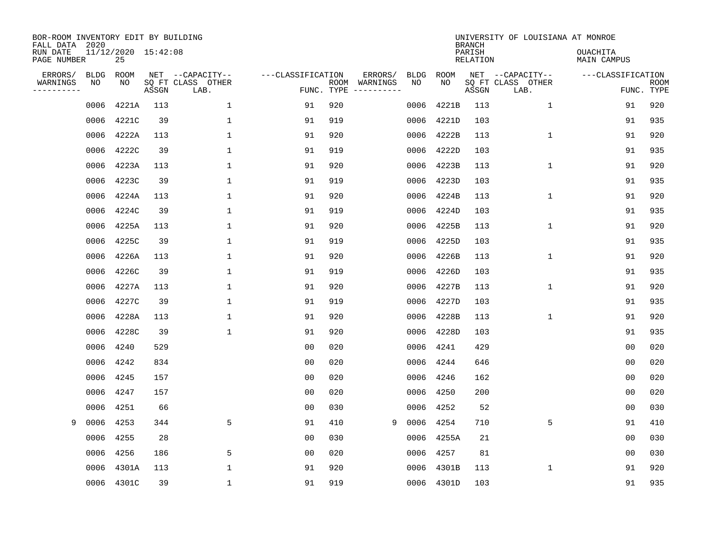| BOR-ROOM INVENTORY EDIT BY BUILDING<br>FALL DATA 2020 |             |                           |       |                           |                   |                    |          |             |             | <b>BRANCH</b>             | UNIVERSITY OF LOUISIANA AT MONROE |                                |                           |
|-------------------------------------------------------|-------------|---------------------------|-------|---------------------------|-------------------|--------------------|----------|-------------|-------------|---------------------------|-----------------------------------|--------------------------------|---------------------------|
| RUN DATE<br>PAGE NUMBER                               |             | 11/12/2020 15:42:08<br>25 |       |                           |                   |                    |          |             |             | PARISH<br><b>RELATION</b> |                                   | OUACHITA<br><b>MAIN CAMPUS</b> |                           |
| ERRORS/                                               | <b>BLDG</b> | ROOM                      |       | NET --CAPACITY--          | ---CLASSIFICATION |                    | ERRORS/  | <b>BLDG</b> | <b>ROOM</b> |                           | NET --CAPACITY--                  | ---CLASSIFICATION              |                           |
| WARNINGS<br>----------                                | NO          | NO                        | ASSGN | SQ FT CLASS OTHER<br>LAB. |                   | ROOM<br>FUNC. TYPE | WARNINGS | NO          | NO          | ASSGN                     | SQ FT CLASS OTHER<br>LAB.         |                                | <b>ROOM</b><br>FUNC. TYPE |
|                                                       | 0006        | 4221A                     | 113   | $\mathbf 1$               | 91                | 920                |          | 0006        | 4221B       | 113                       | $\mathbf 1$                       | 91                             | 920                       |
|                                                       | 0006        | 4221C                     | 39    | 1                         | 91                | 919                |          | 0006        | 4221D       | 103                       |                                   | 91                             | 935                       |
|                                                       | 0006        | 4222A                     | 113   | $\mathbf{1}$              | 91                | 920                |          | 0006        | 4222B       | 113                       | 1                                 | 91                             | 920                       |
|                                                       | 0006        | 4222C                     | 39    | 1                         | 91                | 919                |          | 0006        | 4222D       | 103                       |                                   | 91                             | 935                       |
|                                                       | 0006        | 4223A                     | 113   | $\mathbf 1$               | 91                | 920                |          | 0006        | 4223B       | 113                       | $\mathbf 1$                       | 91                             | 920                       |
|                                                       | 0006        | 4223C                     | 39    | $\mathbf{1}$              | 91                | 919                |          | 0006        | 4223D       | 103                       |                                   | 91                             | 935                       |
|                                                       | 0006        | 4224A                     | 113   | $\mathbf{1}$              | 91                | 920                |          | 0006        | 4224B       | 113                       | $\mathbf 1$                       | 91                             | 920                       |
|                                                       | 0006        | 4224C                     | 39    | $\mathbf{1}$              | 91                | 919                |          | 0006        | 4224D       | 103                       |                                   | 91                             | 935                       |
|                                                       | 0006        | 4225A                     | 113   | 1                         | 91                | 920                |          | 0006        | 4225B       | 113                       | $\mathbf 1$                       | 91                             | 920                       |
|                                                       | 0006        | 4225C                     | 39    | 1                         | 91                | 919                |          | 0006        | 4225D       | 103                       |                                   | 91                             | 935                       |
|                                                       | 0006        | 4226A                     | 113   | 1                         | 91                | 920                |          | 0006        | 4226B       | 113                       | $\mathbf 1$                       | 91                             | 920                       |
|                                                       | 0006        | 4226C                     | 39    | $\mathbf{1}$              | 91                | 919                |          | 0006        | 4226D       | 103                       |                                   | 91                             | 935                       |
|                                                       | 0006        | 4227A                     | 113   | $\mathbf{1}$              | 91                | 920                |          | 0006        | 4227B       | 113                       | 1                                 | 91                             | 920                       |
|                                                       | 0006        | 4227C                     | 39    | 1                         | 91                | 919                |          | 0006        | 4227D       | 103                       |                                   | 91                             | 935                       |
|                                                       | 0006        | 4228A                     | 113   | 1                         | 91                | 920                |          | 0006        | 4228B       | 113                       | 1                                 | 91                             | 920                       |
|                                                       | 0006        | 4228C                     | 39    | 1                         | 91                | 920                |          | 0006        | 4228D       | 103                       |                                   | 91                             | 935                       |
|                                                       | 0006        | 4240                      | 529   |                           | 0 <sub>0</sub>    | 020                |          | 0006        | 4241        | 429                       |                                   | 0 <sub>0</sub>                 | 020                       |
|                                                       | 0006        | 4242                      | 834   |                           | 0 <sub>0</sub>    | 020                |          | 0006        | 4244        | 646                       |                                   | 0 <sub>0</sub>                 | 020                       |
|                                                       | 0006        | 4245                      | 157   |                           | 0 <sub>0</sub>    | 020                |          | 0006        | 4246        | 162                       |                                   | 0 <sub>0</sub>                 | 020                       |
|                                                       | 0006        | 4247                      | 157   |                           | 0 <sub>0</sub>    | 020                |          | 0006        | 4250        | 200                       |                                   | 00                             | 020                       |
|                                                       | 0006        | 4251                      | 66    |                           | 0 <sub>0</sub>    | 030                |          | 0006        | 4252        | 52                        |                                   | 0 <sub>0</sub>                 | 030                       |
| 9                                                     | 0006        | 4253                      | 344   | 5                         | 91                | 410                | 9        | 0006        | 4254        | 710                       | 5                                 | 91                             | 410                       |
|                                                       | 0006        | 4255                      | 28    |                           | 00                | 030                |          | 0006        | 4255A       | 21                        |                                   | 00                             | 030                       |
|                                                       | 0006        | 4256                      | 186   | 5                         | 00                | 020                |          | 0006        | 4257        | 81                        |                                   | 00                             | 030                       |
|                                                       | 0006        | 4301A                     | 113   | 1                         | 91                | 920                |          | 0006        | 4301B       | 113                       | 1                                 | 91                             | 920                       |
|                                                       |             | 0006 4301C                | 39    | 1                         | 91                | 919                |          |             | 0006 4301D  | 103                       |                                   | 91                             | 935                       |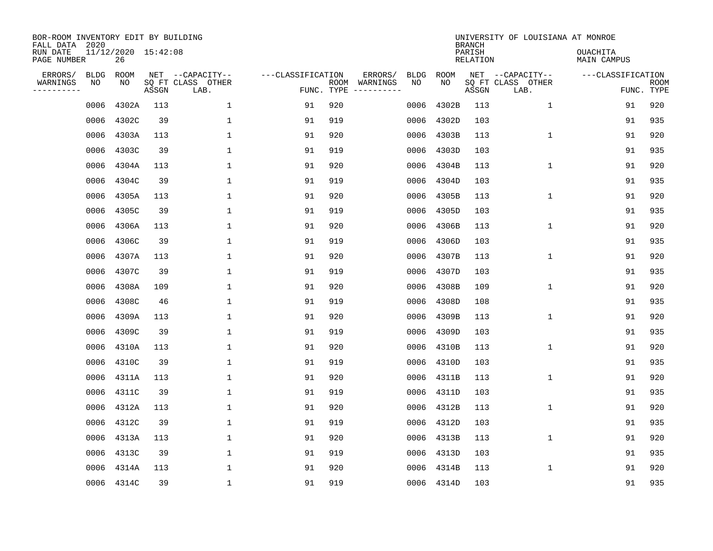| BOR-ROOM INVENTORY EDIT BY BUILDING<br>FALL DATA 2020<br>RUN DATE<br>PAGE NUMBER |                   | 11/12/2020 15:42:08<br>26 |       |                                               |                                 |     |                          |                   |            | <b>BRANCH</b><br>PARISH<br>RELATION | UNIVERSITY OF LOUISIANA AT MONROE             | <b>OUACHITA</b><br>MAIN CAMPUS |                           |
|----------------------------------------------------------------------------------|-------------------|---------------------------|-------|-----------------------------------------------|---------------------------------|-----|--------------------------|-------------------|------------|-------------------------------------|-----------------------------------------------|--------------------------------|---------------------------|
| ERRORS/<br>WARNINGS<br>---------                                                 | <b>BLDG</b><br>ΝO | ROOM<br>NO                | ASSGN | NET --CAPACITY--<br>SQ FT CLASS OTHER<br>LAB. | ---CLASSIFICATION<br>FUNC. TYPE |     | ERRORS/<br>ROOM WARNINGS | <b>BLDG</b><br>NO | ROOM<br>NO | ASSGN                               | NET --CAPACITY--<br>SQ FT CLASS OTHER<br>LAB. | ---CLASSIFICATION              | <b>ROOM</b><br>FUNC. TYPE |
|                                                                                  | 0006              | 4302A                     | 113   | $\mathbf 1$                                   | 91                              | 920 |                          | 0006              | 4302B      | 113                                 | 1                                             | 91                             | 920                       |
|                                                                                  | 0006              | 4302C                     | 39    | 1                                             | 91                              | 919 |                          | 0006              | 4302D      | 103                                 |                                               | 91                             | 935                       |
|                                                                                  | 0006              | 4303A                     | 113   | 1                                             | 91                              | 920 |                          | 0006              | 4303B      | 113                                 | $\mathbf{1}$                                  | 91                             | 920                       |
|                                                                                  | 0006              | 4303C                     | 39    | $\mathbf{1}$                                  | 91                              | 919 |                          | 0006              | 4303D      | 103                                 |                                               | 91                             | 935                       |
|                                                                                  | 0006              | 4304A                     | 113   | $\mathbf{1}$                                  | 91                              | 920 |                          | 0006              | 4304B      | 113                                 | $\mathbf{1}$                                  | 91                             | 920                       |
|                                                                                  | 0006              | 4304C                     | 39    | 1                                             | 91                              | 919 |                          | 0006              | 4304D      | 103                                 |                                               | 91                             | 935                       |
|                                                                                  | 0006              | 4305A                     | 113   | 1                                             | 91                              | 920 |                          | 0006              | 4305B      | 113                                 | $\mathbf 1$                                   | 91                             | 920                       |
|                                                                                  | 0006              | 4305C                     | 39    | $\mathbf{1}$                                  | 91                              | 919 |                          | 0006              | 4305D      | 103                                 |                                               | 91                             | 935                       |
|                                                                                  | 0006              | 4306A                     | 113   | $\mathbf{1}$                                  | 91                              | 920 |                          | 0006              | 4306B      | 113                                 | $\mathbf 1$                                   | 91                             | 920                       |
|                                                                                  | 0006              | 4306C                     | 39    | $\mathbf{1}$                                  | 91                              | 919 |                          | 0006              | 4306D      | 103                                 |                                               | 91                             | 935                       |
|                                                                                  | 0006              | 4307A                     | 113   | $\mathbf{1}$                                  | 91                              | 920 |                          | 0006              | 4307B      | 113                                 | $\mathbf{1}$                                  | 91                             | 920                       |
|                                                                                  | 0006              | 4307C                     | 39    | $\mathbf{1}$                                  | 91                              | 919 |                          | 0006              | 4307D      | 103                                 |                                               | 91                             | 935                       |
|                                                                                  | 0006              | 4308A                     | 109   | $\mathbf{1}$                                  | 91                              | 920 |                          | 0006              | 4308B      | 109                                 | $\mathbf{1}$                                  | 91                             | 920                       |
|                                                                                  | 0006              | 4308C                     | 46    | $\mathbf{1}$                                  | 91                              | 919 |                          | 0006              | 4308D      | 108                                 |                                               | 91                             | 935                       |
|                                                                                  | 0006              | 4309A                     | 113   | 1                                             | 91                              | 920 |                          | 0006              | 4309B      | 113                                 | 1                                             | 91                             | 920                       |
|                                                                                  | 0006              | 4309C                     | 39    | 1                                             | 91                              | 919 |                          | 0006              | 4309D      | 103                                 |                                               | 91                             | 935                       |
|                                                                                  | 0006              | 4310A                     | 113   | 1                                             | 91                              | 920 |                          | 0006              | 4310B      | 113                                 | 1                                             | 91                             | 920                       |
|                                                                                  | 0006              | 4310C                     | 39    | $\mathbf{1}$                                  | 91                              | 919 |                          | 0006              | 4310D      | 103                                 |                                               | 91                             | 935                       |
|                                                                                  | 0006              | 4311A                     | 113   | 1                                             | 91                              | 920 |                          | 0006              | 4311B      | 113                                 | $\mathbf 1$                                   | 91                             | 920                       |
|                                                                                  | 0006              | 4311C                     | 39    | $\mathbf{1}$                                  | 91                              | 919 |                          | 0006              | 4311D      | 103                                 |                                               | 91                             | 935                       |
|                                                                                  | 0006              | 4312A                     | 113   | $\mathbf{1}$                                  | 91                              | 920 |                          | 0006              | 4312B      | 113                                 | $\mathbf 1$                                   | 91                             | 920                       |
|                                                                                  | 0006              | 4312C                     | 39    | $\mathbf{1}$                                  | 91                              | 919 |                          | 0006              | 4312D      | 103                                 |                                               | 91                             | 935                       |
|                                                                                  | 0006              | 4313A                     | 113   | $\mathbf{1}$                                  | 91                              | 920 |                          | 0006              | 4313B      | 113                                 | $\mathbf{1}$                                  | 91                             | 920                       |
|                                                                                  | 0006              | 4313C                     | 39    | $\mathbf{1}$                                  | 91                              | 919 |                          | 0006              | 4313D      | 103                                 |                                               | 91                             | 935                       |
|                                                                                  | 0006              | 4314A                     | 113   | 1                                             | 91                              | 920 |                          | 0006              | 4314B      | 113                                 | 1                                             | 91                             | 920                       |
|                                                                                  |                   | 0006 4314C                | 39    | $\mathbf{1}$                                  | 91                              | 919 |                          |                   | 0006 4314D | 103                                 |                                               | 91                             | 935                       |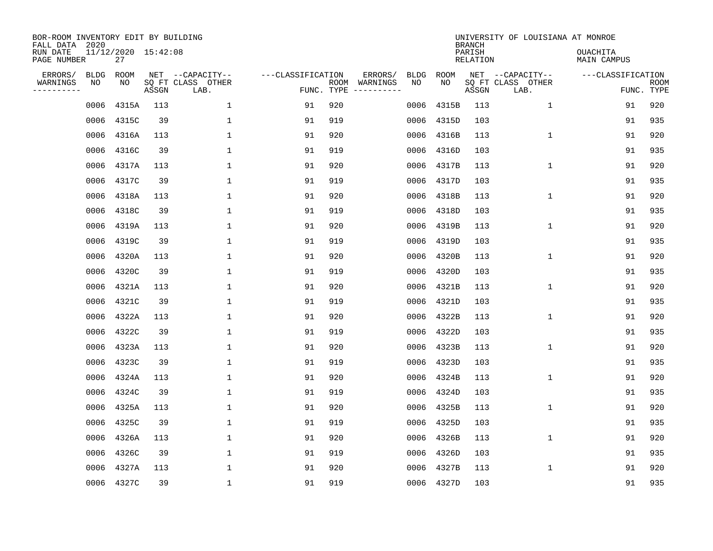| BOR-ROOM INVENTORY EDIT BY BUILDING<br>FALL DATA 2020<br>RUN DATE<br>PAGE NUMBER |                   | 11/12/2020 15:42:08<br>27 |       |                                               |                                 |     |                          |                   |            | <b>BRANCH</b><br>PARISH<br>RELATION | UNIVERSITY OF LOUISIANA AT MONROE             | <b>OUACHITA</b><br>MAIN CAMPUS |                           |
|----------------------------------------------------------------------------------|-------------------|---------------------------|-------|-----------------------------------------------|---------------------------------|-----|--------------------------|-------------------|------------|-------------------------------------|-----------------------------------------------|--------------------------------|---------------------------|
|                                                                                  |                   |                           |       |                                               |                                 |     |                          |                   |            |                                     |                                               |                                |                           |
| ERRORS/<br>WARNINGS<br>---------                                                 | <b>BLDG</b><br>ΝO | ROOM<br>NO                | ASSGN | NET --CAPACITY--<br>SQ FT CLASS OTHER<br>LAB. | ---CLASSIFICATION<br>FUNC. TYPE |     | ERRORS/<br>ROOM WARNINGS | <b>BLDG</b><br>NO | ROOM<br>NO | ASSGN                               | NET --CAPACITY--<br>SQ FT CLASS OTHER<br>LAB. | ---CLASSIFICATION              | <b>ROOM</b><br>FUNC. TYPE |
|                                                                                  | 0006              | 4315A                     | 113   | $\mathbf 1$                                   | 91                              | 920 |                          | 0006              | 4315B      | 113                                 | $\mathbf{1}$                                  | 91                             | 920                       |
|                                                                                  | 0006              | 4315C                     | 39    | $\mathbf{1}$                                  | 91                              | 919 |                          | 0006              | 4315D      | 103                                 |                                               | 91                             | 935                       |
|                                                                                  | 0006              | 4316A                     | 113   | 1                                             | 91                              | 920 |                          | 0006              | 4316B      | 113                                 | $\mathbf{1}$                                  | 91                             | 920                       |
|                                                                                  | 0006              | 4316C                     | 39    | $\mathbf{1}$                                  | 91                              | 919 |                          | 0006              | 4316D      | 103                                 |                                               | 91                             | 935                       |
|                                                                                  | 0006              | 4317A                     | 113   | $\mathbf{1}$                                  | 91                              | 920 |                          | 0006              | 4317B      | 113                                 | $\mathbf{1}$                                  | 91                             | 920                       |
|                                                                                  | 0006              | 4317C                     | 39    | $\mathbf{1}$                                  | 91                              | 919 |                          | 0006              | 4317D      | 103                                 |                                               | 91                             | 935                       |
|                                                                                  | 0006              | 4318A                     | 113   | $\mathbf{1}$                                  | 91                              | 920 |                          | 0006              | 4318B      | 113                                 | $\mathbf 1$                                   | 91                             | 920                       |
|                                                                                  | 0006              | 4318C                     | 39    | $\mathbf{1}$                                  | 91                              | 919 |                          | 0006              | 4318D      | 103                                 |                                               | 91                             | 935                       |
|                                                                                  | 0006              | 4319A                     | 113   | $\mathbf{1}$                                  | 91                              | 920 |                          | 0006              | 4319B      | 113                                 | $\mathbf 1$                                   | 91                             | 920                       |
|                                                                                  | 0006              | 4319C                     | 39    | $\mathbf{1}$                                  | 91                              | 919 |                          | 0006              | 4319D      | 103                                 |                                               | 91                             | 935                       |
|                                                                                  | 0006              | 4320A                     | 113   | $\mathbf{1}$                                  | 91                              | 920 |                          | 0006              | 4320B      | 113                                 | $\mathbf{1}$                                  | 91                             | 920                       |
|                                                                                  | 0006              | 4320C                     | 39    | $\mathbf{1}$                                  | 91                              | 919 |                          | 0006              | 4320D      | 103                                 |                                               | 91                             | 935                       |
|                                                                                  | 0006              | 4321A                     | 113   | $\mathbf{1}$                                  | 91                              | 920 |                          | 0006              | 4321B      | 113                                 | $\mathbf{1}$                                  | 91                             | 920                       |
|                                                                                  | 0006              | 4321C                     | 39    | $\mathbf{1}$                                  | 91                              | 919 |                          | 0006              | 4321D      | 103                                 |                                               | 91                             | 935                       |
|                                                                                  | 0006              | 4322A                     | 113   | 1                                             | 91                              | 920 |                          | 0006              | 4322B      | 113                                 | 1                                             | 91                             | 920                       |
|                                                                                  | 0006              | 4322C                     | 39    | 1                                             | 91                              | 919 |                          | 0006              | 4322D      | 103                                 |                                               | 91                             | 935                       |
|                                                                                  | 0006              | 4323A                     | 113   | 1                                             | 91                              | 920 |                          | 0006              | 4323B      | 113                                 | 1                                             | 91                             | 920                       |
|                                                                                  | 0006              | 4323C                     | 39    | $\mathbf{1}$                                  | 91                              | 919 |                          | 0006              | 4323D      | 103                                 |                                               | 91                             | 935                       |
|                                                                                  | 0006              | 4324A                     | 113   | 1                                             | 91                              | 920 |                          | 0006              | 4324B      | 113                                 | $\mathbf 1$                                   | 91                             | 920                       |
|                                                                                  | 0006              | 4324C                     | 39    | $\mathbf{1}$                                  | 91                              | 919 |                          | 0006              | 4324D      | 103                                 |                                               | 91                             | 935                       |
|                                                                                  | 0006              | 4325A                     | 113   | $\mathbf{1}$                                  | 91                              | 920 |                          | 0006              | 4325B      | 113                                 | $\mathbf 1$                                   | 91                             | 920                       |
|                                                                                  | 0006              | 4325C                     | 39    | $\mathbf{1}$                                  | 91                              | 919 |                          | 0006              | 4325D      | 103                                 |                                               | 91                             | 935                       |
|                                                                                  | 0006              | 4326A                     | 113   | $\mathbf{1}$                                  | 91                              | 920 |                          | 0006              | 4326B      | 113                                 | $\mathbf{1}$                                  | 91                             | 920                       |
|                                                                                  | 0006              | 4326C                     | 39    | $\mathbf{1}$                                  | 91                              | 919 |                          | 0006              | 4326D      | 103                                 |                                               | 91                             | 935                       |
|                                                                                  | 0006              | 4327A                     | 113   | 1                                             | 91                              | 920 |                          | 0006              | 4327B      | 113                                 | 1                                             | 91                             | 920                       |
|                                                                                  |                   | 0006 4327C                | 39    | $\mathbf{1}$                                  | 91                              | 919 |                          |                   | 0006 4327D | 103                                 |                                               | 91                             | 935                       |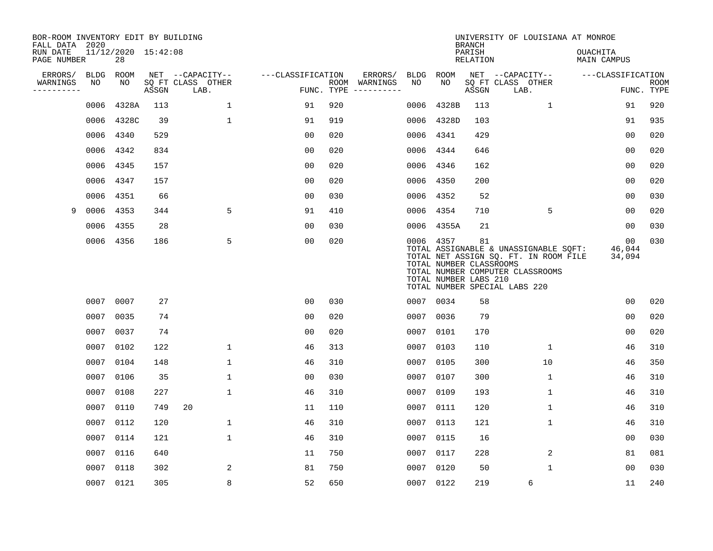| BOR-ROOM INVENTORY EDIT BY BUILDING<br>FALL DATA 2020 |             |                           |       |                           |                   |                    |          |             |                                                               | <b>BRANCH</b>             | UNIVERSITY OF LOUISIANA AT MONROE                                                                                                                   |                                |                           |
|-------------------------------------------------------|-------------|---------------------------|-------|---------------------------|-------------------|--------------------|----------|-------------|---------------------------------------------------------------|---------------------------|-----------------------------------------------------------------------------------------------------------------------------------------------------|--------------------------------|---------------------------|
| RUN DATE<br>PAGE NUMBER                               |             | 11/12/2020 15:42:08<br>28 |       |                           |                   |                    |          |             |                                                               | PARISH<br><b>RELATION</b> |                                                                                                                                                     | OUACHITA<br><b>MAIN CAMPUS</b> |                           |
| ERRORS/                                               | <b>BLDG</b> | ROOM                      |       | NET --CAPACITY--          | ---CLASSIFICATION |                    | ERRORS/  | <b>BLDG</b> | <b>ROOM</b>                                                   |                           | NET --CAPACITY--                                                                                                                                    | ---CLASSIFICATION              |                           |
| WARNINGS<br>----------                                | NO          | NO                        | ASSGN | SQ FT CLASS OTHER<br>LAB. |                   | ROOM<br>FUNC. TYPE | WARNINGS | NO          | NO                                                            | ASSGN                     | SQ FT CLASS OTHER<br>LAB.                                                                                                                           |                                | <b>ROOM</b><br>FUNC. TYPE |
|                                                       | 0006        | 4328A                     | 113   | $\mathbf 1$               | 91                | 920                |          | 0006        | 4328B                                                         | 113                       | 1                                                                                                                                                   | 91                             | 920                       |
|                                                       | 0006        | 4328C                     | 39    | $\mathbf 1$               | 91                | 919                |          | 0006        | 4328D                                                         | 103                       |                                                                                                                                                     | 91                             | 935                       |
|                                                       | 0006        | 4340                      | 529   |                           | 0 <sub>0</sub>    | 020                |          | 0006        | 4341                                                          | 429                       |                                                                                                                                                     | 00                             | 020                       |
|                                                       | 0006        | 4342                      | 834   |                           | 0 <sub>0</sub>    | 020                |          | 0006        | 4344                                                          | 646                       |                                                                                                                                                     | 0 <sub>0</sub>                 | 020                       |
|                                                       | 0006        | 4345                      | 157   |                           | 0 <sub>0</sub>    | 020                |          | 0006        | 4346                                                          | 162                       |                                                                                                                                                     | 0 <sub>0</sub>                 | 020                       |
|                                                       | 0006        | 4347                      | 157   |                           | 0 <sub>0</sub>    | 020                |          | 0006        | 4350                                                          | 200                       |                                                                                                                                                     | 0 <sub>0</sub>                 | 020                       |
|                                                       | 0006        | 4351                      | 66    |                           | 0 <sub>0</sub>    | 030                |          | 0006        | 4352                                                          | 52                        |                                                                                                                                                     | 0 <sub>0</sub>                 | 030                       |
| 9                                                     | 0006        | 4353                      | 344   | 5                         | 91                | 410                |          | 0006        | 4354                                                          | 710                       | 5                                                                                                                                                   | 0 <sub>0</sub>                 | 020                       |
|                                                       | 0006        | 4355                      | 28    |                           | 0 <sub>0</sub>    | 030                |          | 0006        | 4355A                                                         | 21                        |                                                                                                                                                     | 0 <sub>0</sub>                 | 030                       |
|                                                       |             | 0006 4356                 | 186   | 5                         | 0 <sub>0</sub>    | 020                |          |             | 0006 4357<br>TOTAL NUMBER CLASSROOMS<br>TOTAL NUMBER LABS 210 | 81                        | TOTAL ASSIGNABLE & UNASSIGNABLE SQFT:<br>TOTAL NET ASSIGN SQ. FT. IN ROOM FILE<br>TOTAL NUMBER COMPUTER CLASSROOMS<br>TOTAL NUMBER SPECIAL LABS 220 | 00<br>46,044<br>34,094         | 030                       |
|                                                       | 0007        | 0007                      | 27    |                           | 0 <sub>0</sub>    | 030                |          |             | 0007 0034                                                     | 58                        |                                                                                                                                                     | 00                             | 020                       |
|                                                       | 0007        | 0035                      | 74    |                           | 0 <sub>0</sub>    | 020                |          | 0007        | 0036                                                          | 79                        |                                                                                                                                                     | 0 <sub>0</sub>                 | 020                       |
|                                                       | 0007        | 0037                      | 74    |                           | 00                | 020                |          | 0007        | 0101                                                          | 170                       |                                                                                                                                                     | 0 <sub>0</sub>                 | 020                       |
|                                                       | 0007        | 0102                      | 122   | $\mathbf 1$               | 46                | 313                |          | 0007        | 0103                                                          | 110                       | 1                                                                                                                                                   | 46                             | 310                       |
|                                                       | 0007        | 0104                      | 148   | 1                         | 46                | 310                |          | 0007        | 0105                                                          | 300                       | 10                                                                                                                                                  | 46                             | 350                       |
|                                                       | 0007        | 0106                      | 35    | 1                         | 0 <sub>0</sub>    | 030                |          |             | 0007 0107                                                     | 300                       | 1                                                                                                                                                   | 46                             | 310                       |
|                                                       | 0007        | 0108                      | 227   | $\mathbf{1}$              | 46                | 310                |          | 0007        | 0109                                                          | 193                       | $\mathbf{1}$                                                                                                                                        | 46                             | 310                       |
|                                                       | 0007        | 0110                      | 749   | 20                        | 11                | 110                |          |             | 0007 0111                                                     | 120                       | $\mathbf 1$                                                                                                                                         | 46                             | 310                       |
|                                                       | 0007        | 0112                      | 120   | $\mathbf 1$               | 46                | 310                |          | 0007        | 0113                                                          | 121                       | $\mathbf{1}$                                                                                                                                        | 46                             | 310                       |
|                                                       | 0007        | 0114                      | 121   | $\mathbf{1}$              | 46                | 310                |          |             | 0007 0115                                                     | 16                        |                                                                                                                                                     | 00                             | 030                       |
|                                                       | 0007        | 0116                      | 640   |                           | 11                | 750                |          | 0007        | 0117                                                          | 228                       | 2                                                                                                                                                   | 81                             | 081                       |
|                                                       | 0007        | 0118                      | 302   | 2                         | 81                | 750                |          |             | 0007 0120                                                     | 50                        | $\mathbf{1}$                                                                                                                                        | 0 <sub>0</sub>                 | 030                       |
|                                                       |             | 0007 0121                 | 305   | 8                         | 52                | 650                |          |             | 0007 0122                                                     | 219                       | 6                                                                                                                                                   | 11                             | 240                       |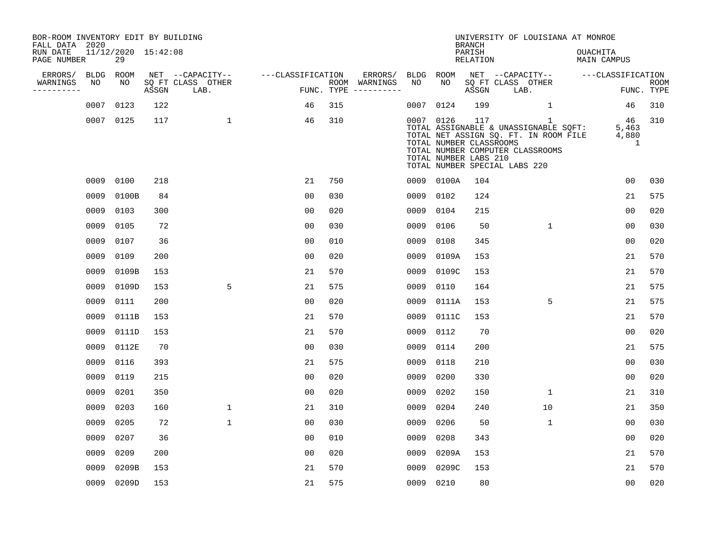| BOR-ROOM INVENTORY EDIT BY BUILDING<br>FALL DATA 2020 |      |                           |       |                                       |                   |     |                                      |           |                                                               | <b>BRANCH</b>      | UNIVERSITY OF LOUISIANA AT MONROE                                                                                                                        |                                |                           |
|-------------------------------------------------------|------|---------------------------|-------|---------------------------------------|-------------------|-----|--------------------------------------|-----------|---------------------------------------------------------------|--------------------|----------------------------------------------------------------------------------------------------------------------------------------------------------|--------------------------------|---------------------------|
| RUN DATE<br>PAGE NUMBER                               |      | 11/12/2020 15:42:08<br>29 |       |                                       |                   |     |                                      |           |                                                               | PARISH<br>RELATION |                                                                                                                                                          | <b>OUACHITA</b><br>MAIN CAMPUS |                           |
| ERRORS/                                               | BLDG | ROOM<br>NO                |       | NET --CAPACITY--<br>SQ FT CLASS OTHER | ---CLASSIFICATION |     | ERRORS/                              | BLDG      | ROOM<br>NO                                                    |                    | NET --CAPACITY--                                                                                                                                         | ---CLASSIFICATION              |                           |
| WARNINGS<br>-----------                               | NO   |                           | ASSGN | LAB.                                  |                   |     | ROOM WARNINGS<br>FUNC. TYPE $------$ | NO        |                                                               | ASSGN              | SQ FT CLASS OTHER<br>LAB.                                                                                                                                |                                | <b>ROOM</b><br>FUNC. TYPE |
|                                                       |      | 0007 0123                 | 122   |                                       | 46                | 315 |                                      | 0007      | 0124                                                          | 199                | $\mathbf{1}$                                                                                                                                             | 46                             | 310                       |
|                                                       |      | 0007 0125                 | 117   | $\mathbf{1}$                          | 46                | 310 |                                      |           | 0007 0126<br>TOTAL NUMBER CLASSROOMS<br>TOTAL NUMBER LABS 210 | 117                | 1<br>TOTAL ASSIGNABLE & UNASSIGNABLE SQFT:<br>TOTAL NET ASSIGN SQ. FT. IN ROOM FILE<br>TOTAL NUMBER COMPUTER CLASSROOMS<br>TOTAL NUMBER SPECIAL LABS 220 | - 46<br>5,463<br>4,880<br>1    | 310                       |
|                                                       |      | 0009 0100                 | 218   |                                       | 21                | 750 |                                      |           | 0009 0100A                                                    | 104                |                                                                                                                                                          | 0 <sub>0</sub>                 | 030                       |
|                                                       | 0009 | 0100B                     | 84    |                                       | 00                | 030 |                                      | 0009      | 0102                                                          | 124                |                                                                                                                                                          | 21                             | 575                       |
|                                                       | 0009 | 0103                      | 300   |                                       | 0 <sub>0</sub>    | 020 |                                      | 0009      | 0104                                                          | 215                |                                                                                                                                                          | 0 <sub>0</sub>                 | 020                       |
|                                                       | 0009 | 0105                      | 72    |                                       | 0 <sub>0</sub>    | 030 |                                      | 0009      | 0106                                                          | 50                 | 1                                                                                                                                                        | 0 <sub>0</sub>                 | 030                       |
|                                                       | 0009 | 0107                      | 36    |                                       | 0 <sub>0</sub>    | 010 |                                      | 0009      | 0108                                                          | 345                |                                                                                                                                                          | 0 <sub>0</sub>                 | 020                       |
|                                                       | 0009 | 0109                      | 200   |                                       | 0 <sub>0</sub>    | 020 |                                      | 0009      | 0109A                                                         | 153                |                                                                                                                                                          | 21                             | 570                       |
|                                                       | 0009 | 0109B                     | 153   |                                       | 21                | 570 |                                      | 0009      | 0109C                                                         | 153                |                                                                                                                                                          | 21                             | 570                       |
|                                                       | 0009 | 0109D                     | 153   | 5                                     | 21                | 575 |                                      | 0009      | 0110                                                          | 164                |                                                                                                                                                          | 21                             | 575                       |
|                                                       | 0009 | 0111                      | 200   |                                       | 0 <sub>0</sub>    | 020 |                                      | 0009      | 0111A                                                         | 153                | 5                                                                                                                                                        | 21                             | 575                       |
|                                                       | 0009 | 0111B                     | 153   |                                       | 21                | 570 |                                      | 0009      | 0111C                                                         | 153                |                                                                                                                                                          | 21                             | 570                       |
|                                                       | 0009 | 0111D                     | 153   |                                       | 21                | 570 |                                      | 0009      | 0112                                                          | 70                 |                                                                                                                                                          | 0 <sub>0</sub>                 | 020                       |
|                                                       | 0009 | 0112E                     | 70    |                                       | 0 <sub>0</sub>    | 030 |                                      | 0009      | 0114                                                          | 200                |                                                                                                                                                          | 21                             | 575                       |
|                                                       | 0009 | 0116                      | 393   |                                       | 21                | 575 |                                      | 0009      | 0118                                                          | 210                |                                                                                                                                                          | 0 <sub>0</sub>                 | 030                       |
|                                                       | 0009 | 0119                      | 215   |                                       | 0 <sub>0</sub>    | 020 |                                      | 0009      | 0200                                                          | 330                |                                                                                                                                                          | 0 <sub>0</sub>                 | 020                       |
|                                                       | 0009 | 0201                      | 350   |                                       | 0 <sub>0</sub>    | 020 |                                      | 0009      | 0202                                                          | 150                | $\mathbf{1}$                                                                                                                                             | 21                             | 310                       |
|                                                       | 0009 | 0203                      | 160   | 1                                     | 21                | 310 |                                      | 0009      | 0204                                                          | 240                | 10                                                                                                                                                       | 21                             | 350                       |
|                                                       | 0009 | 0205                      | 72    | $\mathbf{1}$                          | 00                | 030 |                                      | 0009      | 0206                                                          | 50                 | $\mathbf{1}$                                                                                                                                             | 0 <sub>0</sub>                 | 030                       |
|                                                       | 0009 | 0207                      | 36    |                                       | 0 <sub>0</sub>    | 010 |                                      | 0009      | 0208                                                          | 343                |                                                                                                                                                          | 0 <sub>0</sub>                 | 020                       |
|                                                       | 0009 | 0209                      | 200   |                                       | 0 <sub>0</sub>    | 020 |                                      | 0009      | 0209A                                                         | 153                |                                                                                                                                                          | 21                             | 570                       |
|                                                       | 0009 | 0209B                     | 153   |                                       | 21                | 570 |                                      | 0009      | 0209C                                                         | 153                |                                                                                                                                                          | 21                             | 570                       |
|                                                       |      | 0009 0209D                | 153   |                                       | 21                | 575 |                                      | 0009 0210 |                                                               | 80                 |                                                                                                                                                          | 0 <sub>0</sub>                 | 020                       |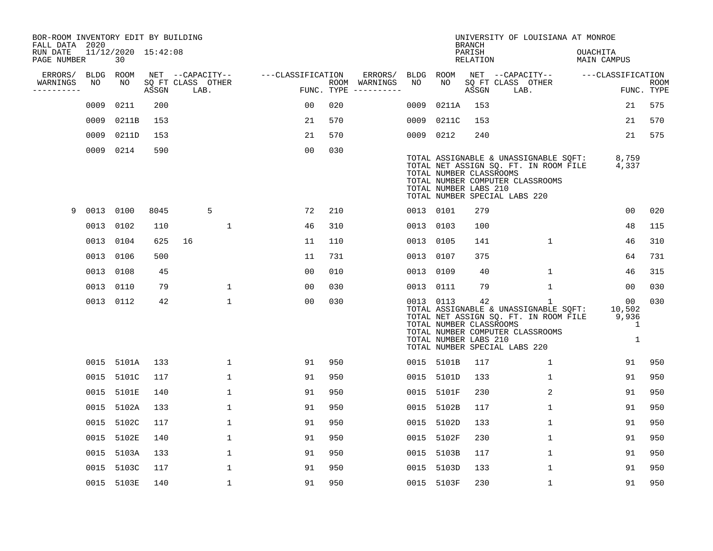| BOR-ROOM INVENTORY EDIT BY BUILDING<br>FALL DATA 2020 |           |                           |       |                           |                   |     |                                      |           |            | <b>BRANCH</b>                                          | UNIVERSITY OF LOUISIANA AT MONROE                                                                                                                        |                                 |                           |
|-------------------------------------------------------|-----------|---------------------------|-------|---------------------------|-------------------|-----|--------------------------------------|-----------|------------|--------------------------------------------------------|----------------------------------------------------------------------------------------------------------------------------------------------------------|---------------------------------|---------------------------|
| RUN DATE<br>PAGE NUMBER                               |           | 11/12/2020 15:42:08<br>30 |       |                           |                   |     |                                      |           |            | PARISH<br>RELATION                                     |                                                                                                                                                          | <b>OUACHITA</b><br>MAIN CAMPUS  |                           |
| ERRORS/                                               | BLDG      | ROOM                      |       | NET --CAPACITY--          | ---CLASSIFICATION |     | ERRORS/                              | BLDG ROOM |            |                                                        | NET --CAPACITY--                                                                                                                                         | ---CLASSIFICATION               |                           |
| WARNINGS<br>----------                                | NO        | NO                        | ASSGN | SQ FT CLASS OTHER<br>LAB. |                   |     | ROOM WARNINGS<br>FUNC. TYPE $------$ | NO        | NO         | ASSGN                                                  | SQ FT CLASS OTHER<br>LAB.                                                                                                                                |                                 | <b>ROOM</b><br>FUNC. TYPE |
|                                                       | 0009      | 0211                      | 200   |                           | 0 <sub>0</sub>    | 020 |                                      | 0009      | 0211A      | 153                                                    |                                                                                                                                                          | 21                              | 575                       |
|                                                       | 0009      | 0211B                     | 153   |                           | 21                | 570 |                                      | 0009      | 0211C      | 153                                                    |                                                                                                                                                          | 21                              | 570                       |
|                                                       | 0009      | 0211D                     | 153   |                           | 21                | 570 |                                      | 0009 0212 |            | 240                                                    |                                                                                                                                                          | 21                              | 575                       |
|                                                       | 0009 0214 |                           | 590   |                           | 0 <sub>0</sub>    | 030 |                                      |           |            | TOTAL NUMBER CLASSROOMS<br>TOTAL NUMBER LABS 210       | TOTAL ASSIGNABLE & UNASSIGNABLE SQFT:<br>TOTAL NET ASSIGN SQ. FT. IN ROOM FILE<br>TOTAL NUMBER COMPUTER CLASSROOMS<br>TOTAL NUMBER SPECIAL LABS 220      | 8,759<br>4,337                  |                           |
| 9                                                     | 0013 0100 |                           | 8045  | 5                         | 72                | 210 |                                      | 0013 0101 |            | 279                                                    |                                                                                                                                                          | 00                              | 020                       |
|                                                       | 0013      | 0102                      | 110   | 1                         | 46                | 310 |                                      | 0013 0103 |            | 100                                                    |                                                                                                                                                          | 48                              | 115                       |
|                                                       | 0013 0104 |                           | 625   | 16                        | 11                | 110 |                                      | 0013 0105 |            | 141                                                    | 1                                                                                                                                                        | 46                              | 310                       |
|                                                       | 0013 0106 |                           | 500   |                           | 11                | 731 |                                      | 0013 0107 |            | 375                                                    |                                                                                                                                                          | 64                              | 731                       |
|                                                       | 0013 0108 |                           | 45    |                           | 0 <sub>0</sub>    | 010 |                                      | 0013 0109 |            | 40                                                     | $\mathbf{1}$                                                                                                                                             | 46                              | 315                       |
|                                                       | 0013      | 0110                      | 79    | $\mathbf{1}$              | 0 <sub>0</sub>    | 030 |                                      | 0013 0111 |            | 79                                                     | 1                                                                                                                                                        | 00                              | 030                       |
|                                                       | 0013 0112 |                           | 42    | $\mathbf{1}$              | 0 <sub>0</sub>    | 030 |                                      | 0013 0113 |            | 42<br>TOTAL NUMBER CLASSROOMS<br>TOTAL NUMBER LABS 210 | 1<br>TOTAL ASSIGNABLE & UNASSIGNABLE SQFT:<br>TOTAL NET ASSIGN SQ. FT. IN ROOM FILE<br>TOTAL NUMBER COMPUTER CLASSROOMS<br>TOTAL NUMBER SPECIAL LABS 220 | 00<br>10,502<br>9,936<br>1<br>1 | 030                       |
|                                                       |           | 0015 5101A                | 133   | $\mathbf{1}$              | 91                | 950 |                                      |           | 0015 5101B | 117                                                    | $\mathbf{1}$                                                                                                                                             | 91                              | 950                       |
|                                                       |           | 0015 5101C                | 117   | 1                         | 91                | 950 |                                      | 0015      | 5101D      | 133                                                    | $\mathbf{1}$                                                                                                                                             | 91                              | 950                       |
|                                                       | 0015      | 5101E                     | 140   | $\mathbf 1$               | 91                | 950 |                                      | 0015      | 5101F      | 230                                                    | $\overline{2}$                                                                                                                                           | 91                              | 950                       |
|                                                       | 0015      | 5102A                     | 133   | 1                         | 91                | 950 |                                      | 0015      | 5102B      | 117                                                    | $\mathbf{1}$                                                                                                                                             | 91                              | 950                       |
|                                                       | 0015      | 5102C                     | 117   | $\mathbf{1}$              | 91                | 950 |                                      | 0015      | 5102D      | 133                                                    | $\mathbf{1}$                                                                                                                                             | 91                              | 950                       |
|                                                       | 0015      | 5102E                     | 140   | 1                         | 91                | 950 |                                      | 0015      | 5102F      | 230                                                    | $\mathbf{1}$                                                                                                                                             | 91                              | 950                       |
|                                                       | 0015      | 5103A                     | 133   | $\mathbf{1}$              | 91                | 950 |                                      | 0015      | 5103B      | 117                                                    | $\mathbf{1}$                                                                                                                                             | 91                              | 950                       |
|                                                       | 0015      | 5103C                     | 117   | 1                         | 91                | 950 |                                      | 0015      | 5103D      | 133                                                    | $\mathbf{1}$                                                                                                                                             | 91                              | 950                       |
|                                                       |           | 0015 5103E                | 140   | 1                         | 91                | 950 |                                      |           | 0015 5103F | 230                                                    | 1                                                                                                                                                        | 91                              | 950                       |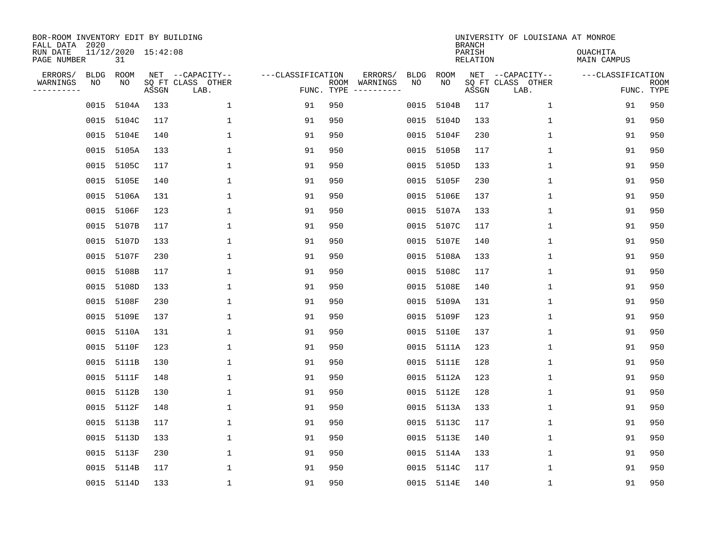| BOR-ROOM INVENTORY EDIT BY BUILDING<br>FALL DATA 2020<br>RUN DATE |                   | 11/12/2020 15:42:08 |       |                                               |                                 |     |                                                                                                                             |                   |            | <b>BRANCH</b><br>PARISH | UNIVERSITY OF LOUISIANA AT MONROE             | <b>OUACHITA</b>   |                           |
|-------------------------------------------------------------------|-------------------|---------------------|-------|-----------------------------------------------|---------------------------------|-----|-----------------------------------------------------------------------------------------------------------------------------|-------------------|------------|-------------------------|-----------------------------------------------|-------------------|---------------------------|
| PAGE NUMBER                                                       |                   | 31                  |       |                                               |                                 |     |                                                                                                                             |                   |            | RELATION                |                                               | MAIN CAMPUS       |                           |
| ERRORS/<br>WARNINGS<br>---------                                  | <b>BLDG</b><br>ΝO | ROOM<br>NO          | ASSGN | NET --CAPACITY--<br>SQ FT CLASS OTHER<br>LAB. | ---CLASSIFICATION<br>FUNC. TYPE |     | ERRORS/<br>ROOM WARNINGS<br>$\begin{tabular}{cccccc} - & - & - & - & - & - & - \\ & - & - & - & - & - & - \\ \end{tabular}$ | <b>BLDG</b><br>NO | ROOM<br>NO | ASSGN                   | NET --CAPACITY--<br>SQ FT CLASS OTHER<br>LAB. | ---CLASSIFICATION | <b>ROOM</b><br>FUNC. TYPE |
|                                                                   | 0015              | 5104A               | 133   | $\mathbf{1}$                                  | 91                              | 950 |                                                                                                                             | 0015              | 5104B      | 117                     | $\mathbf{1}$                                  | 91                | 950                       |
|                                                                   | 0015              | 5104C               | 117   | $\mathbf{1}$                                  | 91                              | 950 |                                                                                                                             | 0015              | 5104D      | 133                     | $\mathbf{1}$                                  | 91                | 950                       |
|                                                                   | 0015              | 5104E               | 140   | 1                                             | 91                              | 950 |                                                                                                                             | 0015              | 5104F      | 230                     | $\mathbf{1}$                                  | 91                | 950                       |
|                                                                   | 0015              | 5105A               | 133   | 1                                             | 91                              | 950 |                                                                                                                             | 0015              | 5105B      | 117                     | $\mathbf{1}$                                  | 91                | 950                       |
|                                                                   | 0015              | 5105C               | 117   | $\mathbf{1}$                                  | 91                              | 950 |                                                                                                                             | 0015              | 5105D      | 133                     | $\mathbf{1}$                                  | 91                | 950                       |
|                                                                   | 0015              | 5105E               | 140   | $\mathbf{1}$                                  | 91                              | 950 |                                                                                                                             | 0015              | 5105F      | 230                     | $\mathbf 1$                                   | 91                | 950                       |
|                                                                   | 0015              | 5106A               | 131   | 1                                             | 91                              | 950 |                                                                                                                             | 0015              | 5106E      | 137                     | $\mathbf 1$                                   | 91                | 950                       |
|                                                                   | 0015              | 5106F               | 123   | $\mathbf{1}$                                  | 91                              | 950 |                                                                                                                             | 0015              | 5107A      | 133                     | $\mathbf{1}$                                  | 91                | 950                       |
|                                                                   | 0015              | 5107B               | 117   | 1                                             | 91                              | 950 |                                                                                                                             | 0015              | 5107C      | 117                     | $\mathbf 1$                                   | 91                | 950                       |
|                                                                   | 0015              | 5107D               | 133   | 1                                             | 91                              | 950 |                                                                                                                             | 0015              | 5107E      | 140                     | $\mathbf 1$                                   | 91                | 950                       |
|                                                                   | 0015              | 5107F               | 230   | $\mathbf{1}$                                  | 91                              | 950 |                                                                                                                             | 0015              | 5108A      | 133                     | $\mathbf{1}$                                  | 91                | 950                       |
|                                                                   | 0015              | 5108B               | 117   | $\mathbf{1}$                                  | 91                              | 950 |                                                                                                                             | 0015              | 5108C      | 117                     | $\mathbf{1}$                                  | 91                | 950                       |
|                                                                   | 0015              | 5108D               | 133   | $\mathbf{1}$                                  | 91                              | 950 |                                                                                                                             | 0015              | 5108E      | 140                     | $\mathbf{1}$                                  | 91                | 950                       |
|                                                                   | 0015              | 5108F               | 230   | $\mathbf{1}$                                  | 91                              | 950 |                                                                                                                             | 0015              | 5109A      | 131                     | $\mathbf{1}$                                  | 91                | 950                       |
|                                                                   | 0015              | 5109E               | 137   | 1                                             | 91                              | 950 |                                                                                                                             | 0015              | 5109F      | 123                     | 1                                             | 91                | 950                       |
|                                                                   | 0015              | 5110A               | 131   | 1                                             | 91                              | 950 |                                                                                                                             | 0015              | 5110E      | 137                     | $\mathbf{1}$                                  | 91                | 950                       |
|                                                                   | 0015              | 5110F               | 123   | 1                                             | 91                              | 950 |                                                                                                                             | 0015              | 5111A      | 123                     | 1                                             | 91                | 950                       |
|                                                                   | 0015              | 5111B               | 130   | $\mathbf{1}$                                  | 91                              | 950 |                                                                                                                             | 0015              | 5111E      | 128                     | 1                                             | 91                | 950                       |
|                                                                   |                   | 0015 5111F          | 148   | 1                                             | 91                              | 950 |                                                                                                                             | 0015              | 5112A      | 123                     | 1                                             | 91                | 950                       |
|                                                                   | 0015              | 5112B               | 130   | $\mathbf{1}$                                  | 91                              | 950 |                                                                                                                             | 0015              | 5112E      | 128                     | $\mathbf 1$                                   | 91                | 950                       |
|                                                                   |                   | 0015 5112F          | 148   | $\mathbf{1}$                                  | 91                              | 950 |                                                                                                                             | 0015              | 5113A      | 133                     | $\mathbf{1}$                                  | 91                | 950                       |
|                                                                   | 0015              | 5113B               | 117   | $\mathbf{1}$                                  | 91                              | 950 |                                                                                                                             | 0015              | 5113C      | 117                     | $\mathbf{1}$                                  | 91                | 950                       |
|                                                                   |                   | 0015 5113D          | 133   | $\mathbf{1}$                                  | 91                              | 950 |                                                                                                                             | 0015              | 5113E      | 140                     | $\mathbf{1}$                                  | 91                | 950                       |
|                                                                   | 0015              | 5113F               | 230   | $\mathbf{1}$                                  | 91                              | 950 |                                                                                                                             | 0015              | 5114A      | 133                     | $\mathbf 1$                                   | 91                | 950                       |
|                                                                   |                   | 0015 5114B          | 117   | 1                                             | 91                              | 950 |                                                                                                                             | 0015              | 5114C      | 117                     | 1                                             | 91                | 950                       |
|                                                                   |                   | 0015 5114D          | 133   | $\mathbf{1}$                                  | 91                              | 950 |                                                                                                                             |                   | 0015 5114E | 140                     | 1                                             | 91                | 950                       |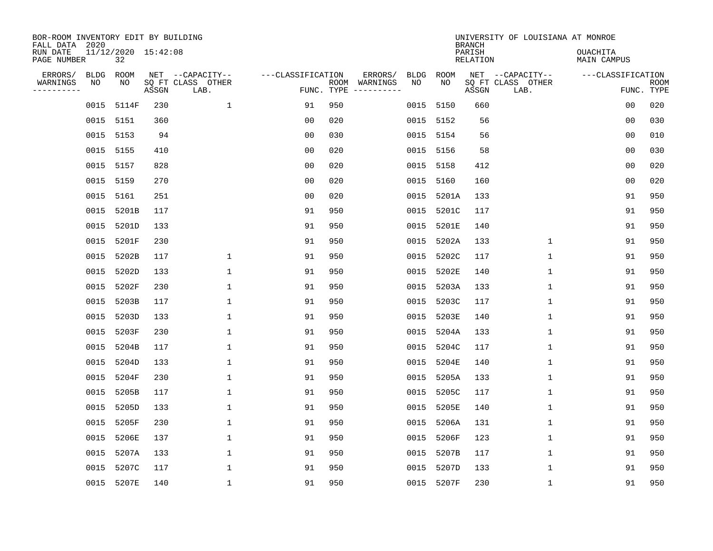| BOR-ROOM INVENTORY EDIT BY BUILDING<br>FALL DATA 2020 |             |                           |       |                           |                   |     |                                                                                                                             |             |             | <b>BRANCH</b>      | UNIVERSITY OF LOUISIANA AT MONROE |                                |                           |
|-------------------------------------------------------|-------------|---------------------------|-------|---------------------------|-------------------|-----|-----------------------------------------------------------------------------------------------------------------------------|-------------|-------------|--------------------|-----------------------------------|--------------------------------|---------------------------|
| RUN DATE<br>PAGE NUMBER                               |             | 11/12/2020 15:42:08<br>32 |       |                           |                   |     |                                                                                                                             |             |             | PARISH<br>RELATION |                                   | <b>OUACHITA</b><br>MAIN CAMPUS |                           |
| ERRORS/                                               | <b>BLDG</b> | ROOM<br>NO                |       | NET --CAPACITY--          | ---CLASSIFICATION |     | ERRORS/                                                                                                                     | <b>BLDG</b> | ROOM<br>NO. |                    | NET --CAPACITY--                  | ---CLASSIFICATION              |                           |
| WARNINGS<br>---------                                 | ΝO          |                           | ASSGN | SQ FT CLASS OTHER<br>LAB. | FUNC. TYPE        |     | ROOM WARNINGS<br>$\begin{tabular}{ccccccccc} - & - & - & - & - & - & - & - \\ & - & - & - & - & - & - & - \\ \end{tabular}$ | NO          |             | ASSGN              | SQ FT CLASS OTHER<br>LAB.         |                                | <b>ROOM</b><br>FUNC. TYPE |
|                                                       | 0015        | 5114F                     | 230   | $\mathbf{1}$              | 91                | 950 |                                                                                                                             | 0015        | 5150        | 660                |                                   | 0 <sub>0</sub>                 | 020                       |
|                                                       | 0015 5151   |                           | 360   |                           | 0 <sub>0</sub>    | 020 |                                                                                                                             | 0015        | 5152        | 56                 |                                   | 0 <sub>0</sub>                 | 030                       |
|                                                       | 0015 5153   |                           | 94    |                           | 0 <sub>0</sub>    | 030 |                                                                                                                             | 0015        | 5154        | 56                 |                                   | 0 <sub>0</sub>                 | 010                       |
|                                                       | 0015 5155   |                           | 410   |                           | 0 <sub>0</sub>    | 020 |                                                                                                                             | 0015        | 5156        | 58                 |                                   | 0 <sub>0</sub>                 | 030                       |
|                                                       | 0015 5157   |                           | 828   |                           | 0 <sub>0</sub>    | 020 |                                                                                                                             | 0015        | 5158        | 412                |                                   | 00                             | 020                       |
|                                                       | 0015 5159   |                           | 270   |                           | 0 <sub>0</sub>    | 020 |                                                                                                                             | 0015        | 5160        | 160                |                                   | 0 <sub>0</sub>                 | 020                       |
|                                                       | 0015 5161   |                           | 251   |                           | 0 <sub>0</sub>    | 020 |                                                                                                                             | 0015        | 5201A       | 133                |                                   | 91                             | 950                       |
|                                                       | 0015        | 5201B                     | 117   |                           | 91                | 950 |                                                                                                                             | 0015        | 5201C       | 117                |                                   | 91                             | 950                       |
|                                                       | 0015        | 5201D                     | 133   |                           | 91                | 950 |                                                                                                                             | 0015        | 5201E       | 140                |                                   | 91                             | 950                       |
|                                                       | 0015        | 5201F                     | 230   |                           | 91                | 950 |                                                                                                                             | 0015        | 5202A       | 133                | $\mathbf 1$                       | 91                             | 950                       |
|                                                       | 0015        | 5202B                     | 117   | $\mathbf{1}$              | 91                | 950 |                                                                                                                             | 0015        | 5202C       | 117                | $\mathbf{1}$                      | 91                             | 950                       |
|                                                       | 0015        | 5202D                     | 133   | $\mathbf{1}$              | 91                | 950 |                                                                                                                             | 0015        | 5202E       | 140                | $\mathbf{1}$                      | 91                             | 950                       |
|                                                       | 0015        | 5202F                     | 230   | $\mathbf{1}$              | 91                | 950 |                                                                                                                             | 0015        | 5203A       | 133                | $\mathbf{1}$                      | 91                             | 950                       |
|                                                       | 0015        | 5203B                     | 117   | $\mathbf{1}$              | 91                | 950 |                                                                                                                             | 0015        | 5203C       | 117                | $\mathbf{1}$                      | 91                             | 950                       |
|                                                       |             | 0015 5203D                | 133   | 1                         | 91                | 950 |                                                                                                                             | 0015        | 5203E       | 140                | 1                                 | 91                             | 950                       |
|                                                       | 0015        | 5203F                     | 230   | 1                         | 91                | 950 |                                                                                                                             | 0015        | 5204A       | 133                | $\mathbf{1}$                      | 91                             | 950                       |
|                                                       | 0015        | 5204B                     | 117   | 1                         | 91                | 950 |                                                                                                                             | 0015        | 5204C       | 117                | 1                                 | 91                             | 950                       |
|                                                       | 0015        | 5204D                     | 133   | $\mathbf{1}$              | 91                | 950 |                                                                                                                             | 0015        | 5204E       | 140                | $\mathbf{1}$                      | 91                             | 950                       |
|                                                       |             | 0015 5204F                | 230   | 1                         | 91                | 950 |                                                                                                                             | 0015        | 5205A       | 133                | 1                                 | 91                             | 950                       |
|                                                       | 0015        | 5205B                     | 117   | $\mathbf{1}$              | 91                | 950 |                                                                                                                             | 0015        | 5205C       | 117                | $\mathbf 1$                       | 91                             | 950                       |
|                                                       | 0015        | 5205D                     | 133   | $\mathbf{1}$              | 91                | 950 |                                                                                                                             | 0015        | 5205E       | 140                | $\mathbf{1}$                      | 91                             | 950                       |
|                                                       | 0015        | 5205F                     | 230   | $\mathbf{1}$              | 91                | 950 |                                                                                                                             | 0015        | 5206A       | 131                | $\mathbf{1}$                      | 91                             | 950                       |
|                                                       | 0015        | 5206E                     | 137   | $\mathbf{1}$              | 91                | 950 |                                                                                                                             | 0015        | 5206F       | 123                | $\mathbf{1}$                      | 91                             | 950                       |
|                                                       | 0015        | 5207A                     | 133   | $\mathbf{1}$              | 91                | 950 |                                                                                                                             | 0015        | 5207B       | 117                | $\mathbf 1$                       | 91                             | 950                       |
|                                                       | 0015        | 5207C                     | 117   | 1                         | 91                | 950 |                                                                                                                             | 0015        | 5207D       | 133                | 1                                 | 91                             | 950                       |
|                                                       |             | 0015 5207E                | 140   | $\mathbf{1}$              | 91                | 950 |                                                                                                                             |             | 0015 5207F  | 230                | $\mathbf{1}$                      | 91                             | 950                       |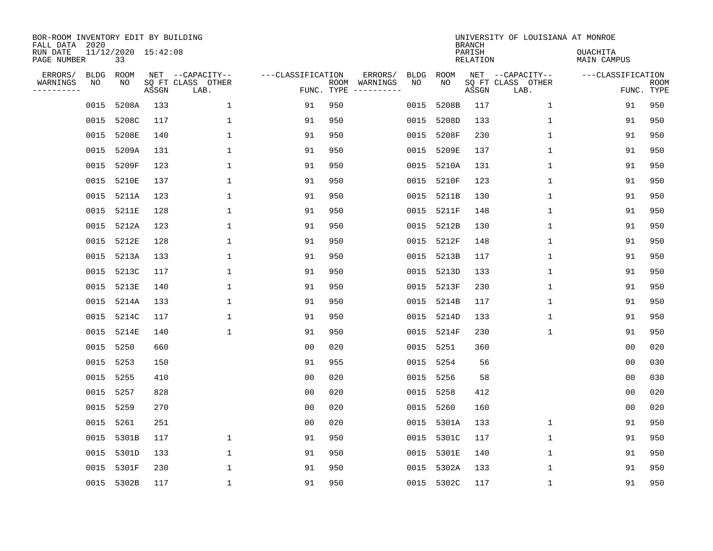| BOR-ROOM INVENTORY EDIT BY BUILDING<br>FALL DATA 2020<br>RUN DATE |                   | 11/12/2020 15:42:08 |       |                                               |                                 |     |                                                                                                                             |                   |             | <b>BRANCH</b><br>PARISH | UNIVERSITY OF LOUISIANA AT MONROE             | <b>OUACHITA</b>   |                           |
|-------------------------------------------------------------------|-------------------|---------------------|-------|-----------------------------------------------|---------------------------------|-----|-----------------------------------------------------------------------------------------------------------------------------|-------------------|-------------|-------------------------|-----------------------------------------------|-------------------|---------------------------|
| PAGE NUMBER                                                       |                   | 33                  |       |                                               |                                 |     |                                                                                                                             |                   |             | RELATION                |                                               | MAIN CAMPUS       |                           |
| ERRORS/<br>WARNINGS<br>---------                                  | <b>BLDG</b><br>ΝO | ROOM<br>NO          | ASSGN | NET --CAPACITY--<br>SQ FT CLASS OTHER<br>LAB. | ---CLASSIFICATION<br>FUNC. TYPE |     | ERRORS/<br>ROOM WARNINGS<br>$\begin{tabular}{cccccc} - & - & - & - & - & - & - \\ & - & - & - & - & - & - \\ \end{tabular}$ | <b>BLDG</b><br>NO | ROOM<br>NO. | ASSGN                   | NET --CAPACITY--<br>SQ FT CLASS OTHER<br>LAB. | ---CLASSIFICATION | <b>ROOM</b><br>FUNC. TYPE |
|                                                                   | 0015              | 5208A               | 133   | $\mathbf{1}$                                  | 91                              | 950 |                                                                                                                             | 0015              | 5208B       | 117                     | $\mathbf{1}$                                  | 91                | 950                       |
|                                                                   | 0015              | 5208C               | 117   | 1                                             | 91                              | 950 |                                                                                                                             | 0015              | 5208D       | 133                     | $\mathbf{1}$                                  | 91                | 950                       |
|                                                                   | 0015              | 5208E               | 140   | 1                                             | 91                              | 950 |                                                                                                                             | 0015              | 5208F       | 230                     | $\mathbf{1}$                                  | 91                | 950                       |
|                                                                   | 0015              | 5209A               | 131   | $\mathbf{1}$                                  | 91                              | 950 |                                                                                                                             | 0015              | 5209E       | 137                     | $\mathbf{1}$                                  | 91                | 950                       |
|                                                                   | 0015              | 5209F               | 123   | $\mathbf{1}$                                  | 91                              | 950 |                                                                                                                             | 0015              | 5210A       | 131                     | $\mathbf{1}$                                  | 91                | 950                       |
|                                                                   | 0015              | 5210E               | 137   | $\mathbf 1$                                   | 91                              | 950 |                                                                                                                             | 0015              | 5210F       | 123                     | $\mathbf 1$                                   | 91                | 950                       |
|                                                                   |                   | 0015 5211A          | 123   | 1                                             | 91                              | 950 |                                                                                                                             | 0015              | 5211B       | 130                     | $\mathbf 1$                                   | 91                | 950                       |
|                                                                   | 0015              | 5211E               | 128   | $\mathbf{1}$                                  | 91                              | 950 |                                                                                                                             | 0015              | 5211F       | 148                     | $\mathbf{1}$                                  | 91                | 950                       |
|                                                                   | 0015              | 5212A               | 123   | 1                                             | 91                              | 950 |                                                                                                                             | 0015              | 5212B       | 130                     | $\mathbf 1$                                   | 91                | 950                       |
|                                                                   | 0015              | 5212E               | 128   | 1                                             | 91                              | 950 |                                                                                                                             | 0015              | 5212F       | 148                     | $\mathbf 1$                                   | 91                | 950                       |
|                                                                   | 0015              | 5213A               | 133   | $\mathbf{1}$                                  | 91                              | 950 |                                                                                                                             | 0015              | 5213B       | 117                     | $\mathbf{1}$                                  | 91                | 950                       |
|                                                                   | 0015              | 5213C               | 117   | $\mathbf{1}$                                  | 91                              | 950 |                                                                                                                             | 0015              | 5213D       | 133                     | $\mathbf{1}$                                  | 91                | 950                       |
|                                                                   | 0015              | 5213E               | 140   | $\mathbf{1}$                                  | 91                              | 950 |                                                                                                                             | 0015              | 5213F       | 230                     | $\mathbf{1}$                                  | 91                | 950                       |
|                                                                   | 0015              | 5214A               | 133   | $\mathbf{1}$                                  | 91                              | 950 |                                                                                                                             | 0015              | 5214B       | 117                     | $\mathbf{1}$                                  | 91                | 950                       |
|                                                                   |                   | 0015 5214C          | 117   | 1                                             | 91                              | 950 |                                                                                                                             | 0015              | 5214D       | 133                     | 1                                             | 91                | 950                       |
|                                                                   | 0015              | 5214E               | 140   | $\mathbf{1}$                                  | 91                              | 950 |                                                                                                                             | 0015              | 5214F       | 230                     | $\mathbf{1}$                                  | 91                | 950                       |
|                                                                   | 0015 5250         |                     | 660   |                                               | 0 <sub>0</sub>                  | 020 |                                                                                                                             | 0015              | 5251        | 360                     |                                               | 0 <sub>0</sub>    | 020                       |
|                                                                   | 0015              | 5253                | 150   |                                               | 91                              | 955 |                                                                                                                             | 0015              | 5254        | 56                      |                                               | 0 <sub>0</sub>    | 030                       |
|                                                                   | 0015 5255         |                     | 410   |                                               | 0 <sub>0</sub>                  | 020 |                                                                                                                             | 0015              | 5256        | 58                      |                                               | 0 <sub>0</sub>    | 030                       |
|                                                                   | 0015              | 5257                | 828   |                                               | 0 <sub>0</sub>                  | 020 |                                                                                                                             | 0015              | 5258        | 412                     |                                               | 0 <sub>0</sub>    | 020                       |
|                                                                   | 0015 5259         |                     | 270   |                                               | 0 <sub>0</sub>                  | 020 |                                                                                                                             | 0015              | 5260        | 160                     |                                               | 0 <sub>0</sub>    | 020                       |
|                                                                   | 0015              | 5261                | 251   |                                               | 0 <sub>0</sub>                  | 020 |                                                                                                                             | 0015              | 5301A       | 133                     | $\mathbf{1}$                                  | 91                | 950                       |
|                                                                   |                   | 0015 5301B          | 117   | $\mathbf{1}$                                  | 91                              | 950 |                                                                                                                             | 0015              | 5301C       | 117                     | $\mathbf{1}$                                  | 91                | 950                       |
|                                                                   | 0015              | 5301D               | 133   | $\mathbf{1}$                                  | 91                              | 950 |                                                                                                                             | 0015              | 5301E       | 140                     | $\mathbf 1$                                   | 91                | 950                       |
|                                                                   | 0015              | 5301F               | 230   | 1                                             | 91                              | 950 |                                                                                                                             | 0015              | 5302A       | 133                     | 1                                             | 91                | 950                       |
|                                                                   |                   | 0015 5302B          | 117   | $\mathbf{1}$                                  | 91                              | 950 |                                                                                                                             |                   | 0015 5302C  | 117                     | 1                                             | 91                | 950                       |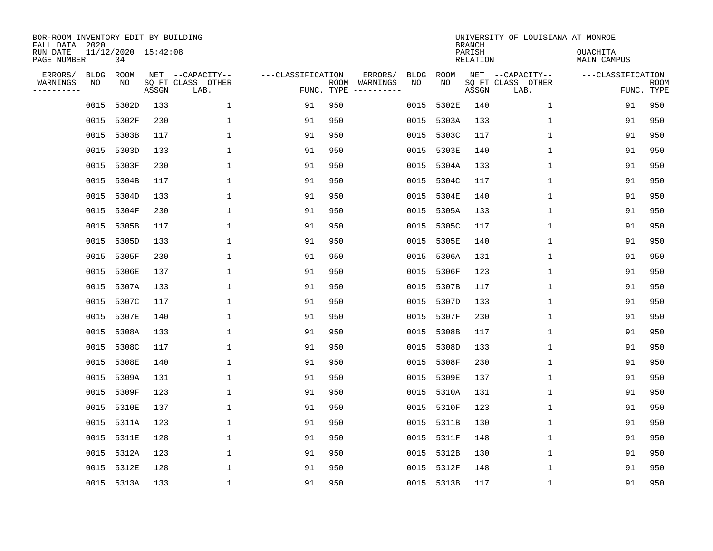| BOR-ROOM INVENTORY EDIT BY BUILDING<br>FALL DATA 2020<br>RUN DATE<br>PAGE NUMBER |            | 11/12/2020 15:42:08<br>34 |       |                                               |                                 |     |                                                                                                                             |                   |             | <b>BRANCH</b><br>PARISH<br>RELATION | UNIVERSITY OF LOUISIANA AT MONROE             | <b>OUACHITA</b><br>MAIN CAMPUS |                           |
|----------------------------------------------------------------------------------|------------|---------------------------|-------|-----------------------------------------------|---------------------------------|-----|-----------------------------------------------------------------------------------------------------------------------------|-------------------|-------------|-------------------------------------|-----------------------------------------------|--------------------------------|---------------------------|
|                                                                                  |            |                           |       |                                               |                                 |     |                                                                                                                             |                   |             |                                     |                                               |                                |                           |
| ERRORS/<br>WARNINGS<br>---------                                                 | BLDG<br>ΝO | ROOM<br>NO                | ASSGN | NET --CAPACITY--<br>SQ FT CLASS OTHER<br>LAB. | ---CLASSIFICATION<br>FUNC. TYPE |     | ERRORS/<br>ROOM WARNINGS<br>$\begin{tabular}{cccccc} - & - & - & - & - & - & - \\ & - & - & - & - & - & - \\ \end{tabular}$ | <b>BLDG</b><br>NO | ROOM<br>NO. | ASSGN                               | NET --CAPACITY--<br>SQ FT CLASS OTHER<br>LAB. | ---CLASSIFICATION              | <b>ROOM</b><br>FUNC. TYPE |
|                                                                                  | 0015       | 5302D                     | 133   | $\mathbf 1$                                   | 91                              | 950 |                                                                                                                             | 0015              | 5302E       | 140                                 | $\mathbf{1}$                                  | 91                             | 950                       |
|                                                                                  | 0015       | 5302F                     | 230   | 1                                             | 91                              | 950 |                                                                                                                             | 0015              | 5303A       | 133                                 | $\mathbf{1}$                                  | 91                             | 950                       |
|                                                                                  | 0015       | 5303B                     | 117   | 1                                             | 91                              | 950 |                                                                                                                             | 0015              | 5303C       | 117                                 | $\mathbf{1}$                                  | 91                             | 950                       |
|                                                                                  | 0015       | 5303D                     | 133   | 1                                             | 91                              | 950 |                                                                                                                             | 0015              | 5303E       | 140                                 | $\mathbf{1}$                                  | 91                             | 950                       |
|                                                                                  | 0015       | 5303F                     | 230   | $\mathbf{1}$                                  | 91                              | 950 |                                                                                                                             | 0015              | 5304A       | 133                                 | $\mathbf{1}$                                  | 91                             | 950                       |
|                                                                                  | 0015       | 5304B                     | 117   | 1                                             | 91                              | 950 |                                                                                                                             | 0015              | 5304C       | 117                                 | $\mathbf 1$                                   | 91                             | 950                       |
|                                                                                  | 0015       | 5304D                     | 133   | 1                                             | 91                              | 950 |                                                                                                                             | 0015              | 5304E       | 140                                 | $\mathbf 1$                                   | 91                             | 950                       |
|                                                                                  | 0015       | 5304F                     | 230   | $\mathbf{1}$                                  | 91                              | 950 |                                                                                                                             | 0015              | 5305A       | 133                                 | $\mathbf{1}$                                  | 91                             | 950                       |
|                                                                                  | 0015       | 5305B                     | 117   | 1                                             | 91                              | 950 |                                                                                                                             | 0015              | 5305C       | 117                                 | $\mathbf 1$                                   | 91                             | 950                       |
|                                                                                  | 0015       | 5305D                     | 133   | 1                                             | 91                              | 950 |                                                                                                                             | 0015              | 5305E       | 140                                 | $\mathbf 1$                                   | 91                             | 950                       |
|                                                                                  | 0015       | 5305F                     | 230   | $\mathbf{1}$                                  | 91                              | 950 |                                                                                                                             | 0015              | 5306A       | 131                                 | $\mathbf{1}$                                  | 91                             | 950                       |
|                                                                                  | 0015       | 5306E                     | 137   | $\mathbf{1}$                                  | 91                              | 950 |                                                                                                                             | 0015              | 5306F       | 123                                 | $\mathbf{1}$                                  | 91                             | 950                       |
|                                                                                  | 0015       | 5307A                     | 133   | $\mathbf{1}$                                  | 91                              | 950 |                                                                                                                             | 0015              | 5307B       | 117                                 | $\mathbf{1}$                                  | 91                             | 950                       |
|                                                                                  | 0015       | 5307C                     | 117   | $\mathbf{1}$                                  | 91                              | 950 |                                                                                                                             | 0015              | 5307D       | 133                                 | $\mathbf{1}$                                  | 91                             | 950                       |
|                                                                                  | 0015       | 5307E                     | 140   | 1                                             | 91                              | 950 |                                                                                                                             | 0015              | 5307F       | 230                                 | 1                                             | 91                             | 950                       |
|                                                                                  | 0015       | 5308A                     | 133   | 1                                             | 91                              | 950 |                                                                                                                             | 0015              | 5308B       | 117                                 | $\mathbf{1}$                                  | 91                             | 950                       |
|                                                                                  | 0015       | 5308C                     | 117   | 1                                             | 91                              | 950 |                                                                                                                             | 0015              | 5308D       | 133                                 | 1                                             | 91                             | 950                       |
|                                                                                  | 0015       | 5308E                     | 140   | $\mathbf{1}$                                  | 91                              | 950 |                                                                                                                             | 0015              | 5308F       | 230                                 | 1                                             | 91                             | 950                       |
|                                                                                  | 0015       | 5309A                     | 131   | 1                                             | 91                              | 950 |                                                                                                                             | 0015              | 5309E       | 137                                 | 1                                             | 91                             | 950                       |
|                                                                                  | 0015       | 5309F                     | 123   | $\mathbf{1}$                                  | 91                              | 950 |                                                                                                                             | 0015              | 5310A       | 131                                 | $\mathbf 1$                                   | 91                             | 950                       |
|                                                                                  | 0015       | 5310E                     | 137   | $\mathbf{1}$                                  | 91                              | 950 |                                                                                                                             | 0015              | 5310F       | 123                                 | $\mathbf{1}$                                  | 91                             | 950                       |
|                                                                                  | 0015       | 5311A                     | 123   | $\mathbf{1}$                                  | 91                              | 950 |                                                                                                                             | 0015              | 5311B       | 130                                 | $\mathbf{1}$                                  | 91                             | 950                       |
|                                                                                  |            | 0015 5311E                | 128   | $\mathbf{1}$                                  | 91                              | 950 |                                                                                                                             | 0015              | 5311F       | 148                                 | $\mathbf{1}$                                  | 91                             | 950                       |
|                                                                                  | 0015       | 5312A                     | 123   | $\mathbf{1}$                                  | 91                              | 950 |                                                                                                                             | 0015              | 5312B       | 130                                 | $\mathbf 1$                                   | 91                             | 950                       |
|                                                                                  | 0015       | 5312E                     | 128   | 1                                             | 91                              | 950 |                                                                                                                             | 0015              | 5312F       | 148                                 | 1                                             | 91                             | 950                       |
|                                                                                  |            | 0015 5313A                | 133   | $\mathbf{1}$                                  | 91                              | 950 |                                                                                                                             |                   | 0015 5313B  | 117                                 | 1                                             | 91                             | 950                       |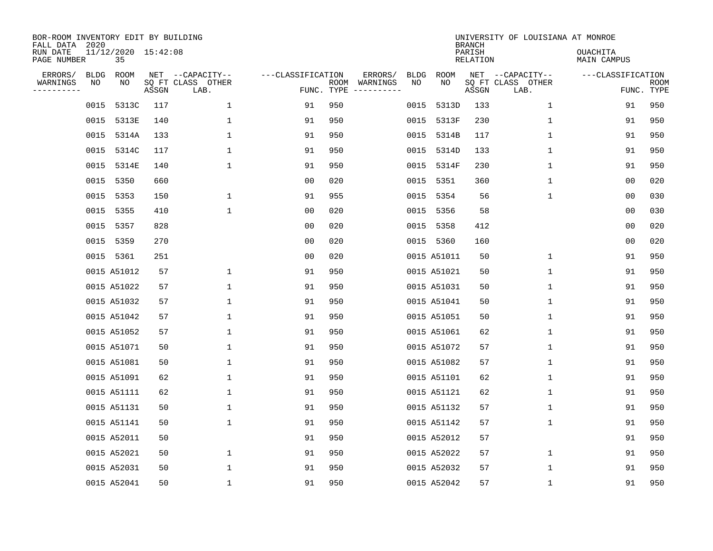| BOR-ROOM INVENTORY EDIT BY BUILDING<br>FALL DATA 2020<br>RUN DATE |                   | 11/12/2020 15:42:08 |       |                                               |                                 |     |                                                                                                                                        |                   |             | <b>BRANCH</b><br>PARISH | UNIVERSITY OF LOUISIANA AT MONROE             | <b>OUACHITA</b>   |                    |
|-------------------------------------------------------------------|-------------------|---------------------|-------|-----------------------------------------------|---------------------------------|-----|----------------------------------------------------------------------------------------------------------------------------------------|-------------------|-------------|-------------------------|-----------------------------------------------|-------------------|--------------------|
| PAGE NUMBER                                                       |                   | 35                  |       |                                               |                                 |     |                                                                                                                                        |                   |             | RELATION                |                                               | MAIN CAMPUS       |                    |
| ERRORS/<br>WARNINGS<br>---------                                  | <b>BLDG</b><br>NO | ROOM<br>NO          | ASSGN | NET --CAPACITY--<br>SQ FT CLASS OTHER<br>LAB. | ---CLASSIFICATION<br>FUNC. TYPE |     | ERRORS/<br>ROOM WARNINGS<br>$\begin{tabular}{ccccccccc} - & - & - & - & - & - & - & - \\ & - & - & - & - & - & - & - \\ \end{tabular}$ | <b>BLDG</b><br>NO | ROOM<br>NO  | ASSGN                   | NET --CAPACITY--<br>SQ FT CLASS OTHER<br>LAB. | ---CLASSIFICATION | ROOM<br>FUNC. TYPE |
|                                                                   | 0015              | 5313C               | 117   | $\mathbf 1$                                   | 91                              | 950 |                                                                                                                                        | 0015              | 5313D       | 133                     | $\mathbf 1$                                   | 91                | 950                |
|                                                                   | 0015              | 5313E               | 140   | 1                                             | 91                              | 950 |                                                                                                                                        | 0015              | 5313F       | 230                     | $\mathbf 1$                                   | 91                | 950                |
|                                                                   | 0015              | 5314A               | 133   | 1                                             | 91                              | 950 |                                                                                                                                        | 0015              | 5314B       | 117                     | $\mathbf{1}$                                  | 91                | 950                |
|                                                                   |                   | 0015 5314C          | 117   | 1                                             | 91                              | 950 |                                                                                                                                        | 0015              | 5314D       | 133                     | 1                                             | 91                | 950                |
|                                                                   | 0015              | 5314E               | 140   | 1                                             | 91                              | 950 |                                                                                                                                        | 0015              | 5314F       | 230                     | $\mathbf{1}$                                  | 91                | 950                |
|                                                                   |                   | 0015 5350           | 660   |                                               | 0 <sub>0</sub>                  | 020 |                                                                                                                                        | 0015              | 5351        | 360                     | $\mathbf 1$                                   | 0 <sub>0</sub>    | 020                |
|                                                                   |                   | 0015 5353           | 150   | $\mathbf 1$                                   | 91                              | 955 |                                                                                                                                        | 0015              | 5354        | 56                      | $\mathbf 1$                                   | 0 <sub>0</sub>    | 030                |
|                                                                   |                   | 0015 5355           | 410   | $\mathbf{1}$                                  | 0 <sub>0</sub>                  | 020 |                                                                                                                                        | 0015              | 5356        | 58                      |                                               | 0 <sub>0</sub>    | 030                |
|                                                                   |                   | 0015 5357           | 828   |                                               | 0 <sub>0</sub>                  | 020 |                                                                                                                                        | 0015              | 5358        | 412                     |                                               | 0 <sub>0</sub>    | 020                |
|                                                                   |                   | 0015 5359           | 270   |                                               | 0 <sub>0</sub>                  | 020 |                                                                                                                                        |                   | 0015 5360   | 160                     |                                               | 0 <sub>0</sub>    | 020                |
|                                                                   |                   | 0015 5361           | 251   |                                               | 0 <sub>0</sub>                  | 020 |                                                                                                                                        |                   | 0015 A51011 | 50                      | $\mathbf 1$                                   | 91                | 950                |
|                                                                   |                   | 0015 A51012         | 57    | 1                                             | 91                              | 950 |                                                                                                                                        |                   | 0015 A51021 | 50                      | $\mathbf 1$                                   | 91                | 950                |
|                                                                   |                   | 0015 A51022         | 57    | $\mathbf{1}$                                  | 91                              | 950 |                                                                                                                                        |                   | 0015 A51031 | 50                      | $\mathbf{1}$                                  | 91                | 950                |
|                                                                   |                   | 0015 A51032         | 57    | $\mathbf{1}$                                  | 91                              | 950 |                                                                                                                                        |                   | 0015 A51041 | 50                      | $\mathbf 1$                                   | 91                | 950                |
|                                                                   |                   | 0015 A51042         | 57    | 1                                             | 91                              | 950 |                                                                                                                                        |                   | 0015 A51051 | 50                      | 1                                             | 91                | 950                |
|                                                                   |                   | 0015 A51052         | 57    | 1                                             | 91                              | 950 |                                                                                                                                        |                   | 0015 A51061 | 62                      | 1                                             | 91                | 950                |
|                                                                   |                   | 0015 A51071         | 50    | 1                                             | 91                              | 950 |                                                                                                                                        |                   | 0015 A51072 | 57                      | 1                                             | 91                | 950                |
|                                                                   |                   | 0015 A51081         | 50    | 1                                             | 91                              | 950 |                                                                                                                                        |                   | 0015 A51082 | 57                      | 1                                             | 91                | 950                |
|                                                                   |                   | 0015 A51091         | 62    | 1                                             | 91                              | 950 |                                                                                                                                        |                   | 0015 A51101 | 62                      | 1                                             | 91                | 950                |
|                                                                   |                   | 0015 A51111         | 62    | 1                                             | 91                              | 950 |                                                                                                                                        |                   | 0015 A51121 | 62                      | 1                                             | 91                | 950                |
|                                                                   |                   | 0015 A51131         | 50    | $\mathbf{1}$                                  | 91                              | 950 |                                                                                                                                        |                   | 0015 A51132 | 57                      | 1                                             | 91                | 950                |
|                                                                   |                   | 0015 A51141         | 50    | $\mathbf 1$                                   | 91                              | 950 |                                                                                                                                        |                   | 0015 A51142 | 57                      | $\mathbf 1$                                   | 91                | 950                |
|                                                                   |                   | 0015 A52011         | 50    |                                               | 91                              | 950 |                                                                                                                                        |                   | 0015 A52012 | 57                      |                                               | 91                | 950                |
|                                                                   |                   | 0015 A52021         | 50    | $\mathbf{1}$                                  | 91                              | 950 |                                                                                                                                        |                   | 0015 A52022 | 57                      | $\mathbf{1}$                                  | 91                | 950                |
|                                                                   |                   | 0015 A52031         | 50    | 1                                             | 91                              | 950 |                                                                                                                                        |                   | 0015 A52032 | 57                      | 1                                             | 91                | 950                |
|                                                                   |                   | 0015 A52041         | 50    | $\mathbf{1}$                                  | 91                              | 950 |                                                                                                                                        |                   | 0015 A52042 | 57                      | 1                                             | 91                | 950                |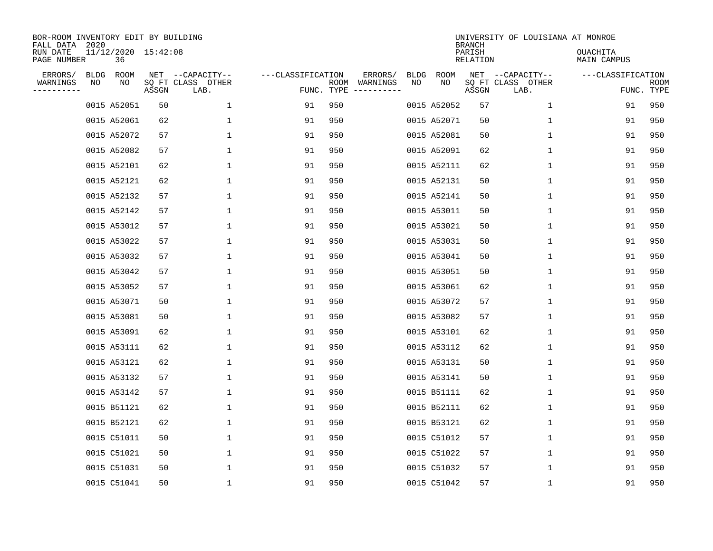| BOR-ROOM INVENTORY EDIT BY BUILDING<br>FALL DATA 2020 |    |                           |       |                                               |                   |                    |                                              |            |             | <b>BRANCH</b>      | UNIVERSITY OF LOUISIANA AT MONROE             |                         |                    |
|-------------------------------------------------------|----|---------------------------|-------|-----------------------------------------------|-------------------|--------------------|----------------------------------------------|------------|-------------|--------------------|-----------------------------------------------|-------------------------|--------------------|
| RUN DATE<br>PAGE NUMBER                               |    | 11/12/2020 15:42:08<br>36 |       |                                               |                   |                    |                                              |            |             | PARISH<br>RELATION |                                               | OUACHITA<br>MAIN CAMPUS |                    |
| ERRORS/<br>WARNINGS<br>--------                       | ΝO | BLDG ROOM<br>NO           | ASSGN | NET --CAPACITY--<br>SQ FT CLASS OTHER<br>LAB. | ---CLASSIFICATION | ROOM<br>FUNC. TYPE | ERRORS/<br>WARNINGS<br>$- - - - - - - - - -$ | BLDG<br>NO | ROOM<br>NO  | ASSGN              | NET --CAPACITY--<br>SQ FT CLASS OTHER<br>LAB. | ---CLASSIFICATION       | ROOM<br>FUNC. TYPE |
|                                                       |    | 0015 A52051               | 50    | $\mathbf 1$                                   | 91                | 950                |                                              |            | 0015 A52052 | 57                 | 1                                             | 91                      | 950                |
|                                                       |    | 0015 A52061               | 62    | $\mathbf 1$                                   | 91                | 950                |                                              |            | 0015 A52071 | 50                 | $\mathbf 1$                                   | 91                      | 950                |
|                                                       |    | 0015 A52072               | 57    | $\mathbf{1}$                                  | 91                | 950                |                                              |            | 0015 A52081 | 50                 | $\mathbf{1}$                                  | 91                      | 950                |
|                                                       |    | 0015 A52082               | 57    | 1                                             | 91                | 950                |                                              |            | 0015 A52091 | 62                 | 1                                             | 91                      | 950                |
|                                                       |    | 0015 A52101               | 62    | $\mathbf{1}$                                  | 91                | 950                |                                              |            | 0015 A52111 | 62                 | $\mathbf 1$                                   | 91                      | 950                |
|                                                       |    | 0015 A52121               | 62    | $\mathbf 1$                                   | 91                | 950                |                                              |            | 0015 A52131 | 50                 | $\mathbf 1$                                   | 91                      | 950                |
|                                                       |    | 0015 A52132               | 57    | $\mathbf 1$                                   | 91                | 950                |                                              |            | 0015 A52141 | 50                 | $\mathbf 1$                                   | 91                      | 950                |
|                                                       |    | 0015 A52142               | 57    | 1                                             | 91                | 950                |                                              |            | 0015 A53011 | 50                 | $\mathbf 1$                                   | 91                      | 950                |
|                                                       |    | 0015 A53012               | 57    | $\mathbf 1$                                   | 91                | 950                |                                              |            | 0015 A53021 | 50                 | 1                                             | 91                      | 950                |
|                                                       |    | 0015 A53022               | 57    | $\mathbf 1$                                   | 91                | 950                |                                              |            | 0015 A53031 | 50                 | 1                                             | 91                      | 950                |
|                                                       |    | 0015 A53032               | 57    | $\mathbf 1$                                   | 91                | 950                |                                              |            | 0015 A53041 | 50                 | $\mathbf 1$                                   | 91                      | 950                |
|                                                       |    | 0015 A53042               | 57    | $\mathbf 1$                                   | 91                | 950                |                                              |            | 0015 A53051 | 50                 | 1                                             | 91                      | 950                |
|                                                       |    | 0015 A53052               | 57    | $\mathbf 1$                                   | 91                | 950                |                                              |            | 0015 A53061 | 62                 | $\mathbf 1$                                   | 91                      | 950                |
|                                                       |    | 0015 A53071               | 50    | $\mathbf 1$                                   | 91                | 950                |                                              |            | 0015 A53072 | 57                 | 1                                             | 91                      | 950                |
|                                                       |    | 0015 A53081               | 50    | 1                                             | 91                | 950                |                                              |            | 0015 A53082 | 57                 | 1                                             | 91                      | 950                |
|                                                       |    | 0015 A53091               | 62    | 1                                             | 91                | 950                |                                              |            | 0015 A53101 | 62                 | 1                                             | 91                      | 950                |
|                                                       |    | 0015 A53111               | 62    | 1                                             | 91                | 950                |                                              |            | 0015 A53112 | 62                 | 1                                             | 91                      | 950                |
|                                                       |    | 0015 A53121               | 62    | $\mathbf 1$                                   | 91                | 950                |                                              |            | 0015 A53131 | 50                 | 1                                             | 91                      | 950                |
|                                                       |    | 0015 A53132               | 57    | $\mathbf 1$                                   | 91                | 950                |                                              |            | 0015 A53141 | 50                 | 1                                             | 91                      | 950                |
|                                                       |    | 0015 A53142               | 57    | $\mathbf 1$                                   | 91                | 950                |                                              |            | 0015 B51111 | 62                 | 1                                             | 91                      | 950                |
|                                                       |    | 0015 B51121               | 62    | $\mathbf 1$                                   | 91                | 950                |                                              |            | 0015 B52111 | 62                 | 1                                             | 91                      | 950                |
|                                                       |    | 0015 B52121               | 62    | $\mathbf 1$                                   | 91                | 950                |                                              |            | 0015 B53121 | 62                 | 1                                             | 91                      | 950                |
|                                                       |    | 0015 C51011               | 50    | $\mathbf{1}$                                  | 91                | 950                |                                              |            | 0015 C51012 | 57                 | 1                                             | 91                      | 950                |
|                                                       |    | 0015 C51021               | 50    | $\mathbf{1}$                                  | 91                | 950                |                                              |            | 0015 C51022 | 57                 | 1                                             | 91                      | 950                |
|                                                       |    | 0015 C51031               | 50    | 1                                             | 91                | 950                |                                              |            | 0015 C51032 | 57                 | 1                                             | 91                      | 950                |
|                                                       |    | 0015 C51041               | 50    | 1                                             | 91                | 950                |                                              |            | 0015 C51042 | 57                 | 1                                             | 91                      | 950                |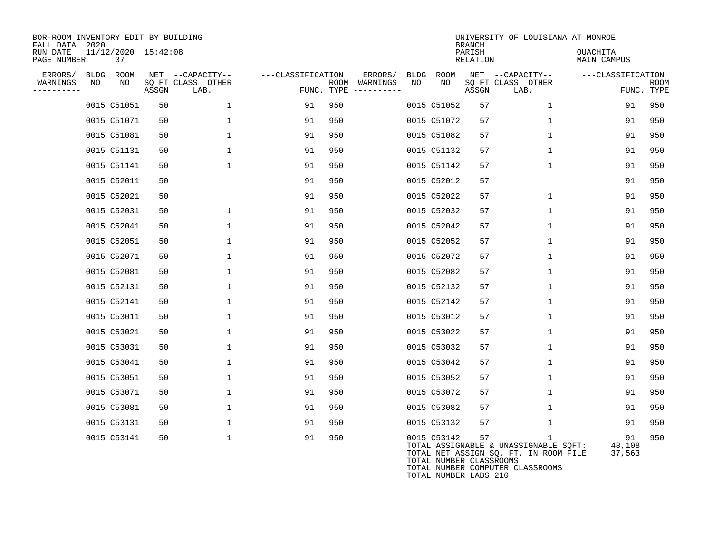| BOR-ROOM INVENTORY EDIT BY BUILDING<br>FALL DATA 2020<br>RUN DATE<br>PAGE NUMBER |            | 11/12/2020 15:42:08<br>37 |       |                                               |                   |      |                                            |            |                                                                 | <b>BRANCH</b><br>PARISH<br>RELATION | UNIVERSITY OF LOUISIANA AT MONROE                                                                                                  | OUACHITA<br>MAIN CAMPUS |                    |
|----------------------------------------------------------------------------------|------------|---------------------------|-------|-----------------------------------------------|-------------------|------|--------------------------------------------|------------|-----------------------------------------------------------------|-------------------------------------|------------------------------------------------------------------------------------------------------------------------------------|-------------------------|--------------------|
| ERRORS/<br>WARNINGS<br>----------                                                | BLDG<br>NO | ROOM<br>NO                | ASSGN | NET --CAPACITY--<br>SO FT CLASS OTHER<br>LAB. | ---CLASSIFICATION | ROOM | ERRORS/<br>WARNINGS<br>FUNC. TYPE $------$ | BLDG<br>NO | <b>ROOM</b><br>NO                                               | ASSGN                               | NET --CAPACITY--<br>SO FT CLASS OTHER<br>LAB.                                                                                      | ---CLASSIFICATION       | ROOM<br>FUNC. TYPE |
|                                                                                  |            | 0015 C51051               | 50    | $\mathbf{1}$                                  | 91                | 950  |                                            |            | 0015 C51052                                                     | 57                                  | $\mathbf{1}$                                                                                                                       | 91                      | 950                |
|                                                                                  |            | 0015 C51071               | 50    | 1                                             | 91                | 950  |                                            |            | 0015 C51072                                                     | 57                                  | $\mathbf{1}$                                                                                                                       | 91                      | 950                |
|                                                                                  |            | 0015 C51081               | 50    | $\mathbf{1}$                                  | 91                | 950  |                                            |            | 0015 C51082                                                     | 57                                  | 1                                                                                                                                  | 91                      | 950                |
|                                                                                  |            | 0015 C51131               | 50    | $\mathbf{1}$                                  | 91                | 950  |                                            |            | 0015 C51132                                                     | 57                                  | 1                                                                                                                                  | 91                      | 950                |
|                                                                                  |            | 0015 C51141               | 50    | $\mathbf{1}$                                  | 91                | 950  |                                            |            | 0015 C51142                                                     | 57                                  | $\mathbf{1}$                                                                                                                       | 91                      | 950                |
|                                                                                  |            | 0015 C52011               | 50    |                                               | 91                | 950  |                                            |            | 0015 C52012                                                     | 57                                  |                                                                                                                                    | 91                      | 950                |
|                                                                                  |            | 0015 C52021               | 50    |                                               | 91                | 950  |                                            |            | 0015 C52022                                                     | 57                                  | $\mathbf 1$                                                                                                                        | 91                      | 950                |
|                                                                                  |            | 0015 C52031               | 50    | $\mathbf{1}$                                  | 91                | 950  |                                            |            | 0015 C52032                                                     | 57                                  | $\mathbf 1$                                                                                                                        | 91                      | 950                |
|                                                                                  |            | 0015 C52041               | 50    | $\mathbf{1}$                                  | 91                | 950  |                                            |            | 0015 C52042                                                     | 57                                  | $\mathbf{1}$                                                                                                                       | 91                      | 950                |
|                                                                                  |            | 0015 C52051               | 50    | $\mathbf{1}$                                  | 91                | 950  |                                            |            | 0015 C52052                                                     | 57                                  | $\mathbf{1}$                                                                                                                       | 91                      | 950                |
|                                                                                  |            | 0015 C52071               | 50    | $\mathbf{1}$                                  | 91                | 950  |                                            |            | 0015 C52072                                                     | 57                                  | 1                                                                                                                                  | 91                      | 950                |
|                                                                                  |            | 0015 C52081               | 50    | $\mathbf 1$                                   | 91                | 950  |                                            |            | 0015 C52082                                                     | 57                                  | $\mathbf 1$                                                                                                                        | 91                      | 950                |
|                                                                                  |            | 0015 C52131               | 50    | 1                                             | 91                | 950  |                                            |            | 0015 C52132                                                     | 57                                  | $\mathbf 1$                                                                                                                        | 91                      | 950                |
|                                                                                  |            | 0015 C52141               | 50    | $\mathbf{1}$                                  | 91                | 950  |                                            |            | 0015 C52142                                                     | 57                                  | $\mathbf{1}$                                                                                                                       | 91                      | 950                |
|                                                                                  |            | 0015 C53011               | 50    | 1                                             | 91                | 950  |                                            |            | 0015 C53012                                                     | 57                                  | 1                                                                                                                                  | 91                      | 950                |
|                                                                                  |            | 0015 C53021               | 50    | $\mathbf{1}$                                  | 91                | 950  |                                            |            | 0015 C53022                                                     | 57                                  | 1                                                                                                                                  | 91                      | 950                |
|                                                                                  |            | 0015 C53031               | 50    | 1                                             | 91                | 950  |                                            |            | 0015 C53032                                                     | 57                                  | 1                                                                                                                                  | 91                      | 950                |
|                                                                                  |            | 0015 C53041               | 50    | 1                                             | 91                | 950  |                                            |            | 0015 C53042                                                     | 57                                  | 1                                                                                                                                  | 91                      | 950                |
|                                                                                  |            | 0015 C53051               | 50    | 1                                             | 91                | 950  |                                            |            | 0015 C53052                                                     | 57                                  | $\mathbf 1$                                                                                                                        | 91                      | 950                |
|                                                                                  |            | 0015 C53071               | 50    | $\mathbf{1}$                                  | 91                | 950  |                                            |            | 0015 C53072                                                     | 57                                  | $\mathbf{1}$                                                                                                                       | 91                      | 950                |
|                                                                                  |            | 0015 C53081               | 50    | $\mathbf{1}$                                  | 91                | 950  |                                            |            | 0015 C53082                                                     | 57                                  | $\mathbf{1}$                                                                                                                       | 91                      | 950                |
|                                                                                  |            | 0015 C53131               | 50    | $\mathbf{1}$                                  | 91                | 950  |                                            |            | 0015 C53132                                                     | 57                                  | 1                                                                                                                                  | 91                      | 950                |
|                                                                                  |            | 0015 C53141               | 50    | $\mathbf{1}$                                  | 91                | 950  |                                            |            | 0015 C53142<br>TOTAL NUMBER CLASSROOMS<br>TOTAL NUMBER LABS 210 | 57                                  | $\mathbf{1}$<br>TOTAL ASSIGNABLE & UNASSIGNABLE SQFT:<br>TOTAL NET ASSIGN SQ. FT. IN ROOM FILE<br>TOTAL NUMBER COMPUTER CLASSROOMS | 91<br>48,108<br>37,563  | 950                |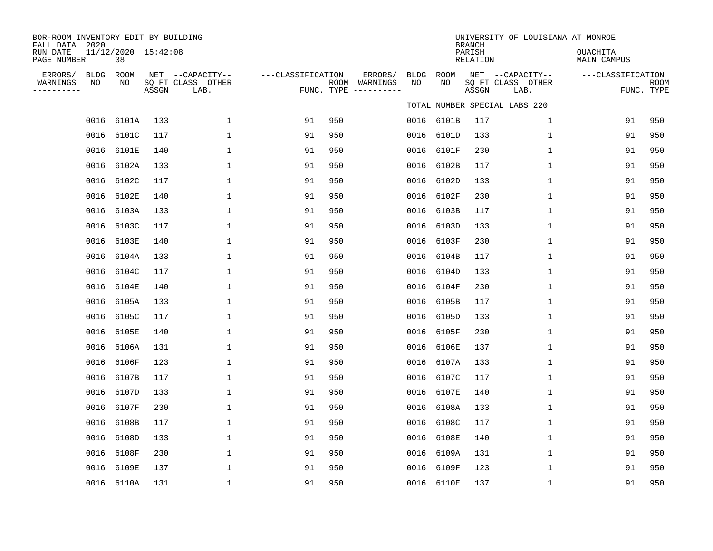| BOR-ROOM INVENTORY EDIT BY BUILDING<br>FALL DATA 2020<br>RUN DATE |                   | 11/12/2020 15:42:08 |       |                                               |                   |     |                                                 |                   |             | <b>BRANCH</b><br>PARISH | UNIVERSITY OF LOUISIANA AT MONROE             | OUACHITA                         |                    |
|-------------------------------------------------------------------|-------------------|---------------------|-------|-----------------------------------------------|-------------------|-----|-------------------------------------------------|-------------------|-------------|-------------------------|-----------------------------------------------|----------------------------------|--------------------|
| PAGE NUMBER<br>ERRORS/<br>WARNINGS<br>----------                  | <b>BLDG</b><br>NO | 38<br>ROOM<br>NO    | ASSGN | NET --CAPACITY--<br>SQ FT CLASS OTHER<br>LAB. | ---CLASSIFICATION |     | ERRORS/<br>ROOM WARNINGS<br>FUNC. TYPE $------$ | <b>BLDG</b><br>NO | ROOM<br>NO. | RELATION<br>ASSGN       | NET --CAPACITY--<br>SQ FT CLASS OTHER<br>LAB. | MAIN CAMPUS<br>---CLASSIFICATION | ROOM<br>FUNC. TYPE |
|                                                                   |                   |                     |       |                                               |                   |     |                                                 |                   |             |                         | TOTAL NUMBER SPECIAL LABS 220                 |                                  |                    |
|                                                                   |                   | 0016 6101A          | 133   | $\mathbf{1}$                                  | 91                | 950 |                                                 |                   | 0016 6101B  | 117                     | $\mathbf{1}$                                  | 91                               | 950                |
|                                                                   |                   | 0016 6101C          | 117   | $\mathbf{1}$                                  | 91                | 950 |                                                 | 0016              | 6101D       | 133                     | $\mathbf{1}$                                  | 91                               | 950                |
|                                                                   |                   | 0016 6101E          | 140   | 1                                             | 91                | 950 |                                                 | 0016              | 6101F       | 230                     | 1                                             | 91                               | 950                |
|                                                                   |                   | 0016 6102A          | 133   | 1                                             | 91                | 950 |                                                 | 0016              | 6102B       | 117                     | $\mathbf 1$                                   | 91                               | 950                |
|                                                                   |                   | 0016 6102C          | 117   | 1                                             | 91                | 950 |                                                 | 0016              | 6102D       | 133                     | $\mathbf 1$                                   | 91                               | 950                |
|                                                                   |                   | 0016 6102E          | 140   | $\mathbf{1}$                                  | 91                | 950 |                                                 | 0016              | 6102F       | 230                     | $\mathbf{1}$                                  | 91                               | 950                |
|                                                                   |                   | 0016 6103A          | 133   | 1                                             | 91                | 950 |                                                 | 0016              | 6103B       | 117                     | $\mathbf 1$                                   | 91                               | 950                |
|                                                                   | 0016              | 6103C               | 117   | 1                                             | 91                | 950 |                                                 | 0016              | 6103D       | 133                     | 1                                             | 91                               | 950                |
|                                                                   | 0016              | 6103E               | 140   | $\mathbf{1}$                                  | 91                | 950 |                                                 |                   | 0016 6103F  | 230                     | $\mathbf 1$                                   | 91                               | 950                |
|                                                                   |                   | 0016 6104A          | 133   | 1                                             | 91                | 950 |                                                 | 0016              | 6104B       | 117                     | 1                                             | 91                               | 950                |
|                                                                   | 0016              | 6104C               | 117   | 1                                             | 91                | 950 |                                                 | 0016              | 6104D       | 133                     | 1                                             | 91                               | 950                |
|                                                                   |                   | 0016 6104E          | 140   | 1                                             | 91                | 950 |                                                 | 0016              | 6104F       | 230                     | 1                                             | 91                               | 950                |
|                                                                   | 0016              | 6105A               | 133   | 1                                             | 91                | 950 |                                                 | 0016              | 6105B       | 117                     | 1                                             | 91                               | 950                |
|                                                                   |                   | 0016 6105C          | 117   | 1                                             | 91                | 950 |                                                 | 0016              | 6105D       | 133                     | 1                                             | 91                               | 950                |
|                                                                   | 0016              | 6105E               | 140   | $\mathbf{1}$                                  | 91                | 950 |                                                 | 0016              | 6105F       | 230                     | $\mathbf 1$                                   | 91                               | 950                |
|                                                                   | 0016              | 6106A               | 131   | $\mathbf{1}$                                  | 91                | 950 |                                                 | 0016              | 6106E       | 137                     | $\mathbf 1$                                   | 91                               | 950                |
|                                                                   | 0016              | 6106F               | 123   | $\mathbf{1}$                                  | 91                | 950 |                                                 | 0016              | 6107A       | 133                     | $\mathbf 1$                                   | 91                               | 950                |
|                                                                   |                   | 0016 6107B          | 117   | $\mathbf{1}$                                  | 91                | 950 |                                                 | 0016              | 6107C       | 117                     | $\mathbf 1$                                   | 91                               | 950                |
|                                                                   | 0016              | 6107D               | 133   | 1                                             | 91                | 950 |                                                 | 0016              | 6107E       | 140                     | 1                                             | 91                               | 950                |
|                                                                   |                   | 0016 6107F          | 230   | 1                                             | 91                | 950 |                                                 | 0016              | 6108A       | 133                     | 1                                             | 91                               | 950                |
|                                                                   | 0016              | 6108B               | 117   | 1                                             | 91                | 950 |                                                 | 0016              | 6108C       | 117                     | $\mathbf 1$                                   | 91                               | 950                |
|                                                                   |                   | 0016 6108D          | 133   | 1                                             | 91                | 950 |                                                 | 0016              | 6108E       | 140                     | 1                                             | 91                               | 950                |
|                                                                   | 0016              | 6108F               | 230   | $\mathbf{1}$                                  | 91                | 950 |                                                 | 0016              | 6109A       | 131                     | $\mathbf 1$                                   | 91                               | 950                |
|                                                                   |                   | 0016 6109E          | 137   | $\mathbf{1}$                                  | 91                | 950 |                                                 | 0016              | 6109F       | 123                     | $\mathbf 1$                                   | 91                               | 950                |
|                                                                   |                   | 0016 6110A          | 131   | $\mathbf{1}$                                  | 91                | 950 |                                                 |                   | 0016 6110E  | 137                     | $\mathbf{1}$                                  | 91                               | 950                |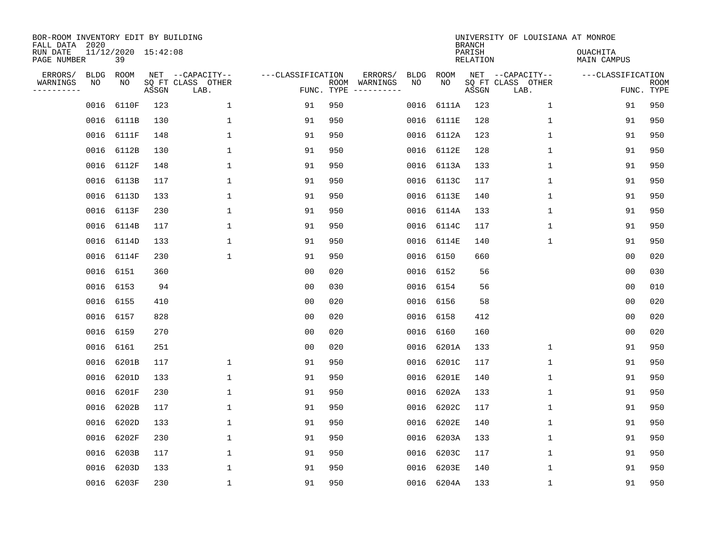| BOR-ROOM INVENTORY EDIT BY BUILDING<br>FALL DATA 2020<br>RUN DATE |                   | 11/12/2020 15:42:08 |       |                                               |                                 |     |                          |                   |            | <b>BRANCH</b><br>PARISH | UNIVERSITY OF LOUISIANA AT MONROE             | <b>OUACHITA</b>   |                           |
|-------------------------------------------------------------------|-------------------|---------------------|-------|-----------------------------------------------|---------------------------------|-----|--------------------------|-------------------|------------|-------------------------|-----------------------------------------------|-------------------|---------------------------|
| PAGE NUMBER                                                       |                   | 39                  |       |                                               |                                 |     |                          |                   |            | RELATION                |                                               | MAIN CAMPUS       |                           |
| ERRORS/<br>WARNINGS<br>---------                                  | <b>BLDG</b><br>ΝO | ROOM<br>NO          | ASSGN | NET --CAPACITY--<br>SQ FT CLASS OTHER<br>LAB. | ---CLASSIFICATION<br>FUNC. TYPE |     | ERRORS/<br>ROOM WARNINGS | <b>BLDG</b><br>NO | ROOM<br>NO | ASSGN                   | NET --CAPACITY--<br>SQ FT CLASS OTHER<br>LAB. | ---CLASSIFICATION | <b>ROOM</b><br>FUNC. TYPE |
|                                                                   | 0016              | 6110F               | 123   | $\mathbf{1}$                                  | 91                              | 950 |                          | 0016              | 6111A      | 123                     | $\mathbf{1}$                                  | 91                | 950                       |
|                                                                   |                   | 0016 6111B          | 130   | $\mathbf{1}$                                  | 91                              | 950 |                          |                   | 0016 6111E | 128                     | $\mathbf 1$                                   | 91                | 950                       |
|                                                                   |                   | 0016 6111F          | 148   | 1                                             | 91                              | 950 |                          |                   | 0016 6112A | 123                     | $\mathbf{1}$                                  | 91                | 950                       |
|                                                                   |                   | 0016 6112B          | 130   | $\mathbf{1}$                                  | 91                              | 950 |                          | 0016              | 6112E      | 128                     | $\mathbf{1}$                                  | 91                | 950                       |
|                                                                   |                   | 0016 6112F          | 148   | $\mathbf 1$                                   | 91                              | 950 |                          | 0016              | 6113A      | 133                     | $\mathbf{1}$                                  | 91                | 950                       |
|                                                                   |                   | 0016 6113B          | 117   | $\mathbf 1$                                   | 91                              | 950 |                          | 0016              | 6113C      | 117                     | $\mathbf 1$                                   | 91                | 950                       |
|                                                                   |                   | 0016 6113D          | 133   | $\mathbf{1}$                                  | 91                              | 950 |                          | 0016              | 6113E      | 140                     | $\mathbf 1$                                   | 91                | 950                       |
|                                                                   |                   | 0016 6113F          | 230   | $\mathbf{1}$                                  | 91                              | 950 |                          | 0016              | 6114A      | 133                     | $\mathbf{1}$                                  | 91                | 950                       |
|                                                                   |                   | 0016 6114B          | 117   | $\mathbf{1}$                                  | 91                              | 950 |                          | 0016              | 6114C      | 117                     | $\mathbf 1$                                   | 91                | 950                       |
|                                                                   |                   | 0016 6114D          | 133   | $\mathbf{1}$                                  | 91                              | 950 |                          | 0016              | 6114E      | 140                     | $\mathbf 1$                                   | 91                | 950                       |
|                                                                   |                   | 0016 6114F          | 230   | $\mathbf{1}$                                  | 91                              | 950 |                          | 0016              | 6150       | 660                     |                                               | 0 <sub>0</sub>    | 020                       |
|                                                                   | 0016 6151         |                     | 360   |                                               | 0 <sub>0</sub>                  | 020 |                          | 0016              | 6152       | 56                      |                                               | 0 <sub>0</sub>    | 030                       |
|                                                                   | 0016 6153         |                     | 94    |                                               | 0 <sub>0</sub>                  | 030 |                          | 0016              | 6154       | 56                      |                                               | 0 <sub>0</sub>    | 010                       |
|                                                                   |                   | 0016 6155           | 410   |                                               | 0 <sub>0</sub>                  | 020 |                          |                   | 0016 6156  | 58                      |                                               | 0 <sub>0</sub>    | 020                       |
|                                                                   | 0016 6157         |                     | 828   |                                               | 0 <sub>0</sub>                  | 020 |                          | 0016              | 6158       | 412                     |                                               | 0 <sub>0</sub>    | 020                       |
|                                                                   | 0016 6159         |                     | 270   |                                               | 0 <sub>0</sub>                  | 020 |                          |                   | 0016 6160  | 160                     |                                               | 0 <sub>0</sub>    | 020                       |
|                                                                   | 0016 6161         |                     | 251   |                                               | 0 <sub>0</sub>                  | 020 |                          | 0016              | 6201A      | 133                     | $\mathbf 1$                                   | 91                | 950                       |
|                                                                   | 0016              | 6201B               | 117   | $\mathbf 1$                                   | 91                              | 950 |                          | 0016              | 6201C      | 117                     | $\mathbf{1}$                                  | 91                | 950                       |
|                                                                   |                   | 0016 6201D          | 133   | 1                                             | 91                              | 950 |                          | 0016              | 6201E      | 140                     | 1                                             | 91                | 950                       |
|                                                                   | 0016              | 6201F               | 230   | $\mathbf{1}$                                  | 91                              | 950 |                          | 0016              | 6202A      | 133                     | $\mathbf 1$                                   | 91                | 950                       |
|                                                                   | 0016              | 6202B               | 117   | $\mathbf{1}$                                  | 91                              | 950 |                          | 0016              | 6202C      | 117                     | $\mathbf 1$                                   | 91                | 950                       |
|                                                                   | 0016              | 6202D               | 133   | $\mathbf 1$                                   | 91                              | 950 |                          | 0016              | 6202E      | 140                     | 1                                             | 91                | 950                       |
|                                                                   | 0016              | 6202F               | 230   | $\mathbf{1}$                                  | 91                              | 950 |                          | 0016              | 6203A      | 133                     | $\mathbf 1$                                   | 91                | 950                       |
|                                                                   | 0016              | 6203B               | 117   | $\mathbf{1}$                                  | 91                              | 950 |                          | 0016              | 6203C      | 117                     | 1                                             | 91                | 950                       |
|                                                                   | 0016              | 6203D               | 133   | 1                                             | 91                              | 950 |                          | 0016              | 6203E      | 140                     | 1                                             | 91                | 950                       |
|                                                                   |                   | 0016 6203F          | 230   | $\mathbf{1}$                                  | 91                              | 950 |                          |                   | 0016 6204A | 133                     | 1                                             | 91                | 950                       |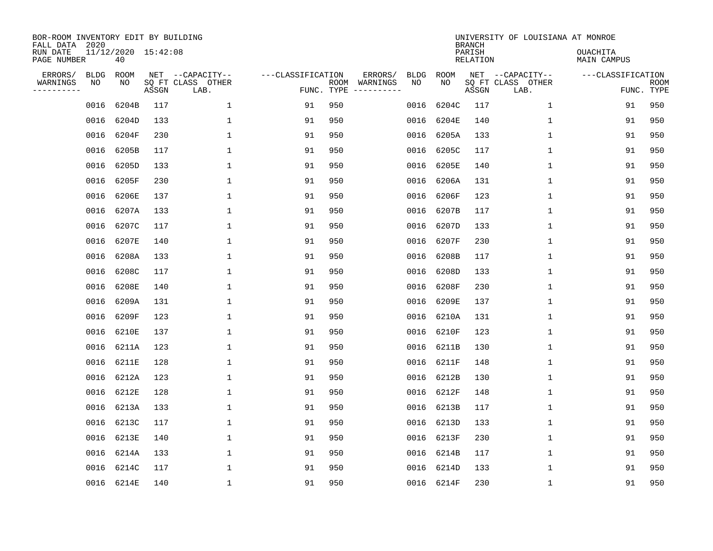| BOR-ROOM INVENTORY EDIT BY BUILDING<br>FALL DATA 2020<br>RUN DATE<br>PAGE NUMBER |                   | 11/12/2020 15:42:08<br>40 |       |                                               |                                 |     |                                                                                                                             |                   |            | <b>BRANCH</b><br>PARISH<br>RELATION | UNIVERSITY OF LOUISIANA AT MONROE             | <b>OUACHITA</b><br>MAIN CAMPUS |                           |
|----------------------------------------------------------------------------------|-------------------|---------------------------|-------|-----------------------------------------------|---------------------------------|-----|-----------------------------------------------------------------------------------------------------------------------------|-------------------|------------|-------------------------------------|-----------------------------------------------|--------------------------------|---------------------------|
| ERRORS/<br>WARNINGS<br>---------                                                 | <b>BLDG</b><br>ΝO | ROOM<br>NO                | ASSGN | NET --CAPACITY--<br>SQ FT CLASS OTHER<br>LAB. | ---CLASSIFICATION<br>FUNC. TYPE |     | ERRORS/<br>ROOM WARNINGS<br>$\begin{tabular}{cccccc} - & - & - & - & - & - & - \\ & - & - & - & - & - & - \\ \end{tabular}$ | <b>BLDG</b><br>NO | ROOM<br>NO | ASSGN                               | NET --CAPACITY--<br>SQ FT CLASS OTHER<br>LAB. | ---CLASSIFICATION              | <b>ROOM</b><br>FUNC. TYPE |
|                                                                                  | 0016              | 6204B                     | 117   | $\mathbf 1$                                   | 91                              | 950 |                                                                                                                             | 0016              | 6204C      | 117                                 | $\mathbf{1}$                                  | 91                             | 950                       |
|                                                                                  |                   | 0016 6204D                | 133   | 1                                             | 91                              | 950 |                                                                                                                             | 0016              | 6204E      | 140                                 | $\mathbf 1$                                   | 91                             | 950                       |
|                                                                                  | 0016              | 6204F                     | 230   | 1                                             | 91                              | 950 |                                                                                                                             | 0016              | 6205A      | 133                                 | $\mathbf{1}$                                  | 91                             | 950                       |
|                                                                                  |                   | 0016 6205B                | 117   | 1                                             | 91                              | 950 |                                                                                                                             | 0016              | 6205C      | 117                                 | $\mathbf{1}$                                  | 91                             | 950                       |
|                                                                                  | 0016              | 6205D                     | 133   | 1                                             | 91                              | 950 |                                                                                                                             | 0016              | 6205E      | 140                                 | $\mathbf{1}$                                  | 91                             | 950                       |
|                                                                                  |                   | 0016 6205F                | 230   | 1                                             | 91                              | 950 |                                                                                                                             | 0016              | 6206A      | 131                                 | $\mathbf 1$                                   | 91                             | 950                       |
|                                                                                  |                   | 0016 6206E                | 137   | 1                                             | 91                              | 950 |                                                                                                                             | 0016              | 6206F      | 123                                 | $\mathbf 1$                                   | 91                             | 950                       |
|                                                                                  |                   | 0016 6207A                | 133   | $\mathbf{1}$                                  | 91                              | 950 |                                                                                                                             | 0016              | 6207B      | 117                                 | $\mathbf{1}$                                  | 91                             | 950                       |
|                                                                                  |                   | 0016 6207C                | 117   | 1                                             | 91                              | 950 |                                                                                                                             | 0016              | 6207D      | 133                                 | $\mathbf 1$                                   | 91                             | 950                       |
|                                                                                  |                   | 0016 6207E                | 140   | 1                                             | 91                              | 950 |                                                                                                                             | 0016              | 6207F      | 230                                 | $\mathbf 1$                                   | 91                             | 950                       |
|                                                                                  |                   | 0016 6208A                | 133   | $\mathbf{1}$                                  | 91                              | 950 |                                                                                                                             | 0016              | 6208B      | 117                                 | $\mathbf{1}$                                  | 91                             | 950                       |
|                                                                                  | 0016              | 6208C                     | 117   | $\mathbf{1}$                                  | 91                              | 950 |                                                                                                                             | 0016              | 6208D      | 133                                 | $\mathbf{1}$                                  | 91                             | 950                       |
|                                                                                  | 0016              | 6208E                     | 140   | $\mathbf{1}$                                  | 91                              | 950 |                                                                                                                             | 0016              | 6208F      | 230                                 | $\mathbf{1}$                                  | 91                             | 950                       |
|                                                                                  | 0016              | 6209A                     | 131   | $\mathbf{1}$                                  | 91                              | 950 |                                                                                                                             | 0016              | 6209E      | 137                                 | $\mathbf{1}$                                  | 91                             | 950                       |
|                                                                                  | 0016              | 6209F                     | 123   | 1                                             | 91                              | 950 |                                                                                                                             | 0016              | 6210A      | 131                                 | 1                                             | 91                             | 950                       |
|                                                                                  | 0016              | 6210E                     | 137   | 1                                             | 91                              | 950 |                                                                                                                             | 0016              | 6210F      | 123                                 | 1                                             | 91                             | 950                       |
|                                                                                  |                   | 0016 6211A                | 123   | 1                                             | 91                              | 950 |                                                                                                                             | 0016              | 6211B      | 130                                 | 1                                             | 91                             | 950                       |
|                                                                                  | 0016              | 6211E                     | 128   | $\mathbf{1}$                                  | 91                              | 950 |                                                                                                                             | 0016              | 6211F      | 148                                 | 1                                             | 91                             | 950                       |
|                                                                                  |                   | 0016 6212A                | 123   | 1                                             | 91                              | 950 |                                                                                                                             | 0016              | 6212B      | 130                                 | 1                                             | 91                             | 950                       |
|                                                                                  | 0016              | 6212E                     | 128   | $\mathbf{1}$                                  | 91                              | 950 |                                                                                                                             | 0016              | 6212F      | 148                                 | 1                                             | 91                             | 950                       |
|                                                                                  |                   | 0016 6213A                | 133   | $\mathbf{1}$                                  | 91                              | 950 |                                                                                                                             | 0016              | 6213B      | 117                                 | 1                                             | 91                             | 950                       |
|                                                                                  | 0016              | 6213C                     | 117   | $\mathbf{1}$                                  | 91                              | 950 |                                                                                                                             | 0016              | 6213D      | 133                                 | $\mathbf 1$                                   | 91                             | 950                       |
|                                                                                  |                   | 0016 6213E                | 140   | $\mathbf{1}$                                  | 91                              | 950 |                                                                                                                             | 0016              | 6213F      | 230                                 | $\mathbf{1}$                                  | 91                             | 950                       |
|                                                                                  | 0016              | 6214A                     | 133   | $\mathbf{1}$                                  | 91                              | 950 |                                                                                                                             | 0016              | 6214B      | 117                                 | 1                                             | 91                             | 950                       |
|                                                                                  |                   | 0016 6214C                | 117   | 1                                             | 91                              | 950 |                                                                                                                             | 0016              | 6214D      | 133                                 | 1                                             | 91                             | 950                       |
|                                                                                  |                   | 0016 6214E                | 140   | $\mathbf{1}$                                  | 91                              | 950 |                                                                                                                             |                   | 0016 6214F | 230                                 | 1                                             | 91                             | 950                       |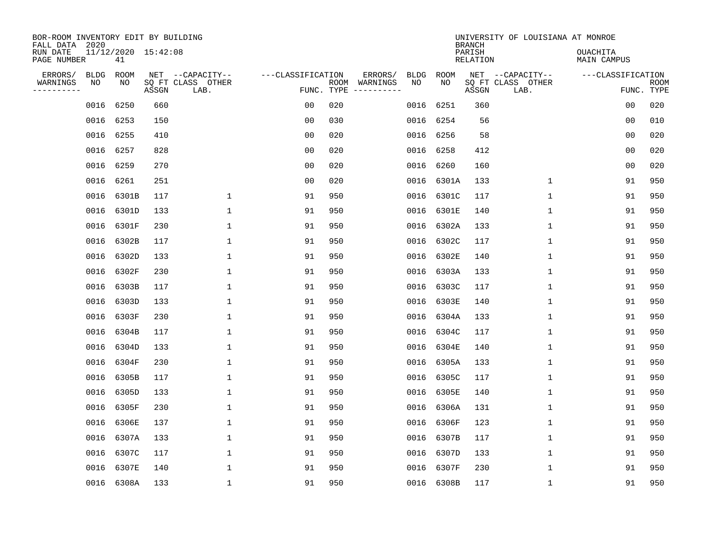| BOR-ROOM INVENTORY EDIT BY BUILDING<br>FALL DATA 2020 |                           |       |                                               |                   |                    |                                                                                                                        |                   |            | <b>BRANCH</b>      | UNIVERSITY OF LOUISIANA AT MONROE             |                                |                           |
|-------------------------------------------------------|---------------------------|-------|-----------------------------------------------|-------------------|--------------------|------------------------------------------------------------------------------------------------------------------------|-------------------|------------|--------------------|-----------------------------------------------|--------------------------------|---------------------------|
| RUN DATE<br>PAGE NUMBER                               | 11/12/2020 15:42:08<br>41 |       |                                               |                   |                    |                                                                                                                        |                   |            | PARISH<br>RELATION |                                               | <b>OUACHITA</b><br>MAIN CAMPUS |                           |
| ERRORS/<br>BLDG<br>WARNINGS<br>NO<br>---------        | ROOM<br>NO                | ASSGN | NET --CAPACITY--<br>SQ FT CLASS OTHER<br>LAB. | ---CLASSIFICATION | ROOM<br>FUNC. TYPE | ERRORS/<br>WARNINGS<br>$\begin{tabular}{cccccc} - & - & - & - & - & - & - \\ & - & - & - & - & - & - \\ \end{tabular}$ | <b>BLDG</b><br>NO | ROOM<br>NO | ASSGN              | NET --CAPACITY--<br>SQ FT CLASS OTHER<br>LAB. | ---CLASSIFICATION              | <b>ROOM</b><br>FUNC. TYPE |
| 0016                                                  | 6250                      | 660   |                                               | 0 <sub>0</sub>    | 020                |                                                                                                                        | 0016              | 6251       | 360                |                                               | 00                             | 020                       |
| 0016                                                  | 6253                      | 150   |                                               | 0 <sub>0</sub>    | 030                |                                                                                                                        |                   | 0016 6254  | 56                 |                                               | 0 <sub>0</sub>                 | 010                       |
| 0016                                                  | 6255                      | 410   |                                               | 0 <sub>0</sub>    | 020                |                                                                                                                        |                   | 0016 6256  | 58                 |                                               | 0 <sub>0</sub>                 | 020                       |
|                                                       | 0016 6257                 | 828   |                                               | 0 <sub>0</sub>    | 020                |                                                                                                                        | 0016              | 6258       | 412                |                                               | 0 <sub>0</sub>                 | 020                       |
| 0016                                                  | 6259                      | 270   |                                               | 0 <sub>0</sub>    | 020                |                                                                                                                        | 0016              | 6260       | 160                |                                               | 00                             | 020                       |
|                                                       | 0016 6261                 | 251   |                                               | 0 <sub>0</sub>    | 020                |                                                                                                                        |                   | 0016 6301A | 133                | $\mathbf 1$                                   | 91                             | 950                       |
|                                                       | 0016 6301B                | 117   | $\mathbf 1$                                   | 91                | 950                |                                                                                                                        | 0016              | 6301C      | 117                | $\mathbf 1$                                   | 91                             | 950                       |
| 0016                                                  | 6301D                     | 133   | 1                                             | 91                | 950                |                                                                                                                        |                   | 0016 6301E | 140                | $\mathbf 1$                                   | 91                             | 950                       |
| 0016                                                  | 6301F                     | 230   | $\mathbf 1$                                   | 91                | 950                |                                                                                                                        | 0016              | 6302A      | 133                | $\mathbf 1$                                   | 91                             | 950                       |
| 0016                                                  | 6302B                     | 117   | 1                                             | 91                | 950                |                                                                                                                        | 0016              | 6302C      | 117                | $\mathbf 1$                                   | 91                             | 950                       |
| 0016                                                  | 6302D                     | 133   | $\mathbf{1}$                                  | 91                | 950                |                                                                                                                        | 0016              | 6302E      | 140                | 1                                             | 91                             | 950                       |
| 0016                                                  | 6302F                     | 230   | 1                                             | 91                | 950                |                                                                                                                        |                   | 0016 6303A | 133                | $\mathbf 1$                                   | 91                             | 950                       |
| 0016                                                  | 6303B                     | 117   | $\mathbf{1}$                                  | 91                | 950                |                                                                                                                        | 0016              | 6303C      | 117                | 1                                             | 91                             | 950                       |
| 0016                                                  | 6303D                     | 133   | $\mathbf{1}$                                  | 91                | 950                |                                                                                                                        |                   | 0016 6303E | 140                | 1                                             | 91                             | 950                       |
| 0016                                                  | 6303F                     | 230   | 1                                             | 91                | 950                |                                                                                                                        | 0016              | 6304A      | 133                | 1                                             | 91                             | 950                       |
| 0016                                                  | 6304B                     | 117   | 1                                             | 91                | 950                |                                                                                                                        | 0016              | 6304C      | 117                | 1                                             | 91                             | 950                       |
| 0016                                                  | 6304D                     | 133   | 1                                             | 91                | 950                |                                                                                                                        | 0016              | 6304E      | 140                | 1                                             | 91                             | 950                       |
| 0016                                                  | 6304F                     | 230   | 1                                             | 91                | 950                |                                                                                                                        | 0016              | 6305A      | 133                | 1                                             | 91                             | 950                       |
| 0016                                                  | 6305B                     | 117   | 1                                             | 91                | 950                |                                                                                                                        | 0016              | 6305C      | 117                | 1                                             | 91                             | 950                       |
| 0016                                                  | 6305D                     | 133   | 1                                             | 91                | 950                |                                                                                                                        | 0016              | 6305E      | 140                | 1                                             | 91                             | 950                       |
| 0016                                                  | 6305F                     | 230   | 1                                             | 91                | 950                |                                                                                                                        | 0016              | 6306A      | 131                | 1                                             | 91                             | 950                       |
| 0016                                                  | 6306E                     | 137   | $\mathbf 1$                                   | 91                | 950                |                                                                                                                        | 0016              | 6306F      | 123                | 1                                             | 91                             | 950                       |
| 0016                                                  | 6307A                     | 133   | 1                                             | 91                | 950                |                                                                                                                        | 0016              | 6307B      | 117                | 1                                             | 91                             | 950                       |
| 0016                                                  | 6307C                     | 117   | $\mathbf{1}$                                  | 91                | 950                |                                                                                                                        |                   | 0016 6307D | 133                | 1                                             | 91                             | 950                       |
| 0016                                                  | 6307E                     | 140   | 1                                             | 91                | 950                |                                                                                                                        | 0016              | 6307F      | 230                | 1                                             | 91                             | 950                       |
|                                                       | 0016 6308A                | 133   | $\mathbf{1}$                                  | 91                | 950                |                                                                                                                        |                   | 0016 6308B | 117                | 1                                             | 91                             | 950                       |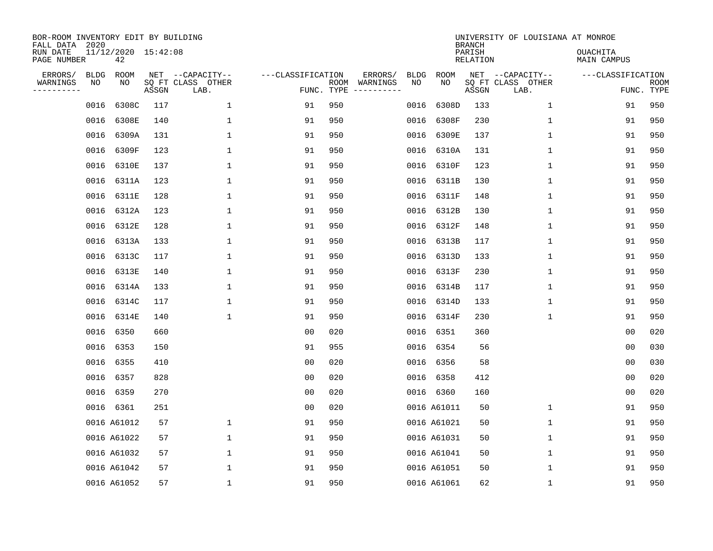| BOR-ROOM INVENTORY EDIT BY BUILDING<br>FALL DATA 2020 |      |                           |       |                           |                   |            |               |      |             | <b>BRANCH</b>      | UNIVERSITY OF LOUISIANA AT MONROE |                                |                           |
|-------------------------------------------------------|------|---------------------------|-------|---------------------------|-------------------|------------|---------------|------|-------------|--------------------|-----------------------------------|--------------------------------|---------------------------|
| RUN DATE<br>PAGE NUMBER                               |      | 11/12/2020 15:42:08<br>42 |       |                           |                   |            |               |      |             | PARISH<br>RELATION |                                   | <b>OUACHITA</b><br>MAIN CAMPUS |                           |
| ERRORS/                                               | BLDG | ROOM                      |       | NET --CAPACITY--          | ---CLASSIFICATION |            | ERRORS/       | BLDG | ROOM        |                    | NET --CAPACITY--                  | ---CLASSIFICATION              |                           |
| WARNINGS<br>---------                                 | NO   | NO                        | ASSGN | SQ FT CLASS OTHER<br>LAB. |                   | FUNC. TYPE | ROOM WARNINGS | NO   | NO          | ASSGN              | SQ FT CLASS OTHER<br>LAB.         |                                | <b>ROOM</b><br>FUNC. TYPE |
|                                                       | 0016 | 6308C                     | 117   | $\mathbf{1}$              | 91                | 950        |               | 0016 | 6308D       | 133                | 1                                 | 91                             | 950                       |
|                                                       | 0016 | 6308E                     | 140   | $\mathbf 1$               | 91                | 950        |               | 0016 | 6308F       | 230                | $\mathbf 1$                       | 91                             | 950                       |
|                                                       | 0016 | 6309A                     | 131   | $\mathbf{1}$              | 91                | 950        |               | 0016 | 6309E       | 137                | $\mathbf{1}$                      | 91                             | 950                       |
|                                                       | 0016 | 6309F                     | 123   | $\mathbf{1}$              | 91                | 950        |               | 0016 | 6310A       | 131                | $\mathbf{1}$                      | 91                             | 950                       |
|                                                       | 0016 | 6310E                     | 137   | $\mathbf{1}$              | 91                | 950        |               | 0016 | 6310F       | 123                | $\mathbf 1$                       | 91                             | 950                       |
|                                                       |      | 0016 6311A                | 123   | $\mathbf 1$               | 91                | 950        |               |      | 0016 6311B  | 130                | $\mathbf 1$                       | 91                             | 950                       |
|                                                       |      | 0016 6311E                | 128   | $\mathbf 1$               | 91                | 950        |               | 0016 | 6311F       | 148                | $\mathbf 1$                       | 91                             | 950                       |
|                                                       | 0016 | 6312A                     | 123   | 1                         | 91                | 950        |               |      | 0016 6312B  | 130                | $\mathbf 1$                       | 91                             | 950                       |
|                                                       | 0016 | 6312E                     | 128   | $\mathbf 1$               | 91                | 950        |               | 0016 | 6312F       | 148                | $\mathbf 1$                       | 91                             | 950                       |
|                                                       | 0016 | 6313A                     | 133   | $\mathbf 1$               | 91                | 950        |               |      | 0016 6313B  | 117                | $\mathbf 1$                       | 91                             | 950                       |
|                                                       | 0016 | 6313C                     | 117   | $\mathbf{1}$              | 91                | 950        |               | 0016 | 6313D       | 133                | $\mathbf 1$                       | 91                             | 950                       |
|                                                       | 0016 | 6313E                     | 140   | 1                         | 91                | 950        |               |      | 0016 6313F  | 230                | $\mathbf 1$                       | 91                             | 950                       |
|                                                       | 0016 | 6314A                     | 133   | $\mathbf{1}$              | 91                | 950        |               | 0016 | 6314B       | 117                | $\mathbf 1$                       | 91                             | 950                       |
|                                                       | 0016 | 6314C                     | 117   | $\mathbf{1}$              | 91                | 950        |               |      | 0016 6314D  | 133                | 1                                 | 91                             | 950                       |
|                                                       | 0016 | 6314E                     | 140   | $\mathbf{1}$              | 91                | 950        |               |      | 0016 6314F  | 230                | 1                                 | 91                             | 950                       |
|                                                       | 0016 | 6350                      | 660   |                           | 0 <sub>0</sub>    | 020        |               |      | 0016 6351   | 360                |                                   | 0 <sub>0</sub>                 | 020                       |
|                                                       | 0016 | 6353                      | 150   |                           | 91                | 955        |               |      | 0016 6354   | 56                 |                                   | 0 <sub>0</sub>                 | 030                       |
|                                                       | 0016 | 6355                      | 410   |                           | 0 <sub>0</sub>    | 020        |               |      | 0016 6356   | 58                 |                                   | 0 <sub>0</sub>                 | 030                       |
|                                                       |      | 0016 6357                 | 828   |                           | 0 <sub>0</sub>    | 020        |               |      | 0016 6358   | 412                |                                   | 0 <sub>0</sub>                 | 020                       |
|                                                       | 0016 | 6359                      | 270   |                           | 0 <sub>0</sub>    | 020        |               |      | 0016 6360   | 160                |                                   | 0 <sub>0</sub>                 | 020                       |
|                                                       |      | 0016 6361                 | 251   |                           | 0 <sub>0</sub>    | 020        |               |      | 0016 A61011 | 50                 | $\mathbf 1$                       | 91                             | 950                       |
|                                                       |      | 0016 A61012               | 57    | $\mathbf 1$               | 91                | 950        |               |      | 0016 A61021 | 50                 | $\mathbf 1$                       | 91                             | 950                       |
|                                                       |      | 0016 A61022               | 57    | 1                         | 91                | 950        |               |      | 0016 A61031 | 50                 | 1                                 | 91                             | 950                       |
|                                                       |      | 0016 A61032               | 57    | $\mathbf{1}$              | 91                | 950        |               |      | 0016 A61041 | 50                 | 1                                 | 91                             | 950                       |
|                                                       |      | 0016 A61042               | 57    | $\mathbf{1}$              | 91                | 950        |               |      | 0016 A61051 | 50                 | 1                                 | 91                             | 950                       |
|                                                       |      | 0016 A61052               | 57    | $\mathbf{1}$              | 91                | 950        |               |      | 0016 A61061 | 62                 | 1                                 | 91                             | 950                       |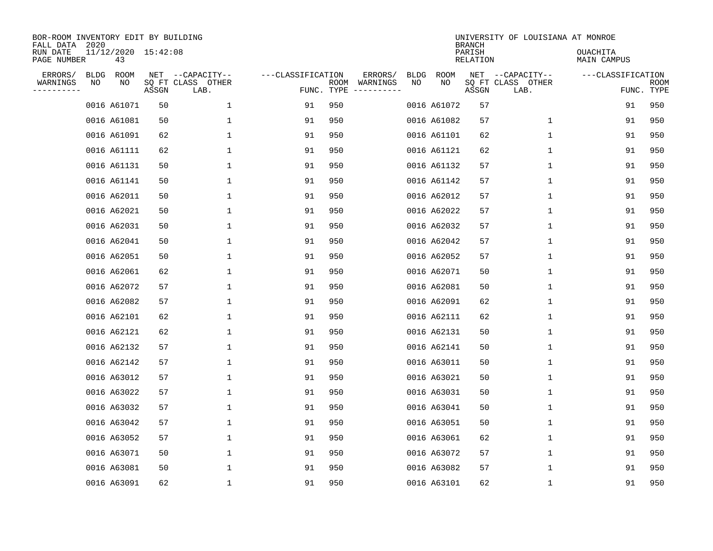| BOR-ROOM INVENTORY EDIT BY BUILDING<br>FALL DATA<br>RUN DATE | 2020 | 11/12/2020 15:42:08 |       |                                               |                                 |      |                     |                   |             | <b>BRANCH</b><br>PARISH | UNIVERSITY OF LOUISIANA AT MONROE             | OUACHITA          |                    |
|--------------------------------------------------------------|------|---------------------|-------|-----------------------------------------------|---------------------------------|------|---------------------|-------------------|-------------|-------------------------|-----------------------------------------------|-------------------|--------------------|
| PAGE NUMBER                                                  |      | 43                  |       |                                               |                                 |      |                     |                   |             | RELATION                |                                               | MAIN CAMPUS       |                    |
| ERRORS/<br>WARNINGS<br>---------                             | NO   | BLDG ROOM<br>NO     | ASSGN | NET --CAPACITY--<br>SQ FT CLASS OTHER<br>LAB. | ---CLASSIFICATION<br>FUNC. TYPE | ROOM | ERRORS/<br>WARNINGS | <b>BLDG</b><br>NO | ROOM<br>NO  | ASSGN                   | NET --CAPACITY--<br>SQ FT CLASS OTHER<br>LAB. | ---CLASSIFICATION | ROOM<br>FUNC. TYPE |
|                                                              |      | 0016 A61071         | 50    | $\mathbf 1$                                   | 91                              | 950  |                     |                   | 0016 A61072 | 57                      |                                               | 91                | 950                |
|                                                              |      | 0016 A61081         | 50    | $\mathbf 1$                                   | 91                              | 950  |                     |                   | 0016 A61082 | 57                      | $\mathbf 1$                                   | 91                | 950                |
|                                                              |      | 0016 A61091         | 62    | 1                                             | 91                              | 950  |                     |                   | 0016 A61101 | 62                      | $\mathbf{1}$                                  | 91                | 950                |
|                                                              |      | 0016 A61111         | 62    | 1                                             | 91                              | 950  |                     |                   | 0016 A61121 | 62                      | 1                                             | 91                | 950                |
|                                                              |      | 0016 A61131         | 50    | 1                                             | 91                              | 950  |                     |                   | 0016 A61132 | 57                      | $\mathbf 1$                                   | 91                | 950                |
|                                                              |      | 0016 A61141         | 50    | 1                                             | 91                              | 950  |                     |                   | 0016 A61142 | 57                      | 1                                             | 91                | 950                |
|                                                              |      | 0016 A62011         | 50    | $\mathbf 1$                                   | 91                              | 950  |                     |                   | 0016 A62012 | 57                      | $\mathbf 1$                                   | 91                | 950                |
|                                                              |      | 0016 A62021         | 50    | $\mathbf 1$                                   | 91                              | 950  |                     |                   | 0016 A62022 | 57                      | $\mathbf 1$                                   | 91                | 950                |
|                                                              |      | 0016 A62031         | 50    | $\mathbf 1$                                   | 91                              | 950  |                     |                   | 0016 A62032 | 57                      | 1                                             | 91                | 950                |
|                                                              |      | 0016 A62041         | 50    | 1                                             | 91                              | 950  |                     |                   | 0016 A62042 | 57                      | 1                                             | 91                | 950                |
|                                                              |      | 0016 A62051         | 50    | $\mathbf 1$                                   | 91                              | 950  |                     |                   | 0016 A62052 | 57                      | $\mathbf 1$                                   | 91                | 950                |
|                                                              |      | 0016 A62061         | 62    | 1                                             | 91                              | 950  |                     |                   | 0016 A62071 | 50                      | $\mathbf 1$                                   | 91                | 950                |
|                                                              |      | 0016 A62072         | 57    | 1                                             | 91                              | 950  |                     |                   | 0016 A62081 | 50                      | $\mathbf 1$                                   | 91                | 950                |
|                                                              |      | 0016 A62082         | 57    | 1                                             | 91                              | 950  |                     |                   | 0016 A62091 | 62                      | 1                                             | 91                | 950                |
|                                                              |      | 0016 A62101         | 62    | 1                                             | 91                              | 950  |                     |                   | 0016 A62111 | 62                      | 1                                             | 91                | 950                |
|                                                              |      | 0016 A62121         | 62    | 1                                             | 91                              | 950  |                     |                   | 0016 A62131 | 50                      | 1                                             | 91                | 950                |
|                                                              |      | 0016 A62132         | 57    | 1                                             | 91                              | 950  |                     |                   | 0016 A62141 | 50                      | 1                                             | 91                | 950                |
|                                                              |      | 0016 A62142         | 57    | 1                                             | 91                              | 950  |                     |                   | 0016 A63011 | 50                      | 1                                             | 91                | 950                |
|                                                              |      | 0016 A63012         | 57    | 1                                             | 91                              | 950  |                     |                   | 0016 A63021 | 50                      | 1                                             | 91                | 950                |
|                                                              |      | 0016 A63022         | 57    | 1                                             | 91                              | 950  |                     |                   | 0016 A63031 | 50                      | 1                                             | 91                | 950                |
|                                                              |      | 0016 A63032         | 57    | 1                                             | 91                              | 950  |                     |                   | 0016 A63041 | 50                      | 1                                             | 91                | 950                |
|                                                              |      | 0016 A63042         | 57    | $\mathbf 1$                                   | 91                              | 950  |                     |                   | 0016 A63051 | 50                      | 1                                             | 91                | 950                |
|                                                              |      | 0016 A63052         | 57    | $\mathbf{1}$                                  | 91                              | 950  |                     |                   | 0016 A63061 | 62                      | 1                                             | 91                | 950                |
|                                                              |      | 0016 A63071         | 50    | $\mathbf 1$                                   | 91                              | 950  |                     |                   | 0016 A63072 | 57                      | 1                                             | 91                | 950                |
|                                                              |      | 0016 A63081         | 50    | 1                                             | 91                              | 950  |                     |                   | 0016 A63082 | 57                      | 1                                             | 91                | 950                |
|                                                              |      | 0016 A63091         | 62    | 1                                             | 91                              | 950  |                     |                   | 0016 A63101 | 62                      | 1                                             | 91                | 950                |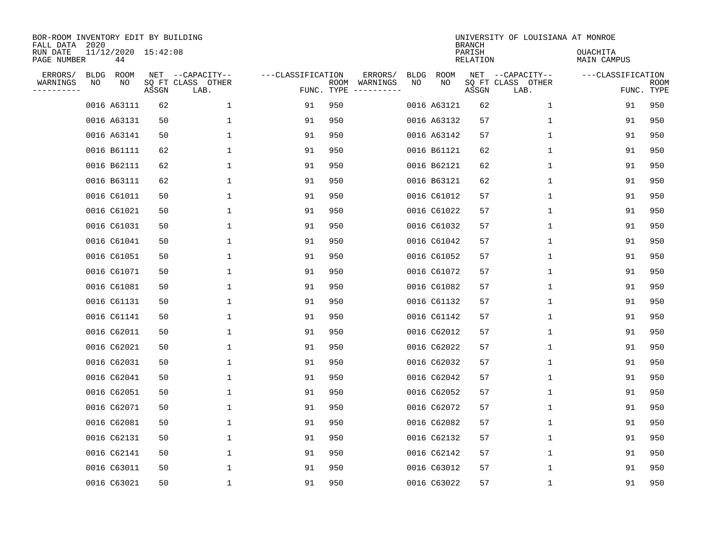| BOR-ROOM INVENTORY EDIT BY BUILDING<br>FALL DATA 2020 |    |                           |       |                                               |                   |                    |                                              |                   |             | <b>BRANCH</b>      | UNIVERSITY OF LOUISIANA AT MONROE             |                         |                    |
|-------------------------------------------------------|----|---------------------------|-------|-----------------------------------------------|-------------------|--------------------|----------------------------------------------|-------------------|-------------|--------------------|-----------------------------------------------|-------------------------|--------------------|
| RUN DATE<br>PAGE NUMBER                               |    | 11/12/2020 15:42:08<br>44 |       |                                               |                   |                    |                                              |                   |             | PARISH<br>RELATION |                                               | OUACHITA<br>MAIN CAMPUS |                    |
| ERRORS/<br>WARNINGS<br>--------                       | ΝO | BLDG ROOM<br>NO           | ASSGN | NET --CAPACITY--<br>SQ FT CLASS OTHER<br>LAB. | ---CLASSIFICATION | ROOM<br>FUNC. TYPE | ERRORS/<br>WARNINGS<br>$- - - - - - - - - -$ | <b>BLDG</b><br>NO | ROOM<br>NO  | ASSGN              | NET --CAPACITY--<br>SQ FT CLASS OTHER<br>LAB. | ---CLASSIFICATION       | ROOM<br>FUNC. TYPE |
|                                                       |    | 0016 A63111               | 62    | $\mathbf 1$                                   | 91                | 950                |                                              |                   | 0016 A63121 | 62                 | 1                                             | 91                      | 950                |
|                                                       |    | 0016 A63131               | 50    | $\mathbf 1$                                   | 91                | 950                |                                              |                   | 0016 A63132 | 57                 | $\mathbf 1$                                   | 91                      | 950                |
|                                                       |    | 0016 A63141               | 50    | 1                                             | 91                | 950                |                                              |                   | 0016 A63142 | 57                 | 1                                             | 91                      | 950                |
|                                                       |    | 0016 B61111               | 62    | 1                                             | 91                | 950                |                                              |                   | 0016 B61121 | 62                 | 1                                             | 91                      | 950                |
|                                                       |    | 0016 B62111               | 62    | 1                                             | 91                | 950                |                                              |                   | 0016 B62121 | 62                 | $\mathbf 1$                                   | 91                      | 950                |
|                                                       |    | 0016 B63111               | 62    | 1                                             | 91                | 950                |                                              |                   | 0016 B63121 | 62                 | 1                                             | 91                      | 950                |
|                                                       |    | 0016 C61011               | 50    | $\mathbf 1$                                   | 91                | 950                |                                              |                   | 0016 C61012 | 57                 | $\mathbf 1$                                   | 91                      | 950                |
|                                                       |    | 0016 C61021               | 50    | 1                                             | 91                | 950                |                                              |                   | 0016 C61022 | 57                 | 1                                             | 91                      | 950                |
|                                                       |    | 0016 C61031               | 50    | $\mathbf 1$                                   | 91                | 950                |                                              |                   | 0016 C61032 | 57                 | 1                                             | 91                      | 950                |
|                                                       |    | 0016 C61041               | 50    | $\mathbf 1$                                   | 91                | 950                |                                              |                   | 0016 C61042 | 57                 | 1                                             | 91                      | 950                |
|                                                       |    | 0016 C61051               | 50    | $\mathbf 1$                                   | 91                | 950                |                                              |                   | 0016 C61052 | 57                 | 1                                             | 91                      | 950                |
|                                                       |    | 0016 C61071               | 50    | $\mathbf 1$                                   | 91                | 950                |                                              |                   | 0016 C61072 | 57                 | 1                                             | 91                      | 950                |
|                                                       |    | 0016 C61081               | 50    | $\mathbf 1$                                   | 91                | 950                |                                              |                   | 0016 C61082 | 57                 | $\mathbf 1$                                   | 91                      | 950                |
|                                                       |    | 0016 C61131               | 50    | $\mathbf 1$                                   | 91                | 950                |                                              |                   | 0016 C61132 | 57                 | 1                                             | 91                      | 950                |
|                                                       |    | 0016 C61141               | 50    | 1                                             | 91                | 950                |                                              |                   | 0016 C61142 | 57                 | 1                                             | 91                      | 950                |
|                                                       |    | 0016 C62011               | 50    | 1                                             | 91                | 950                |                                              |                   | 0016 C62012 | 57                 | 1                                             | 91                      | 950                |
|                                                       |    | 0016 C62021               | 50    | 1                                             | 91                | 950                |                                              |                   | 0016 C62022 | 57                 | 1                                             | 91                      | 950                |
|                                                       |    | 0016 C62031               | 50    | $\mathbf 1$                                   | 91                | 950                |                                              |                   | 0016 C62032 | 57                 | 1                                             | 91                      | 950                |
|                                                       |    | 0016 C62041               | 50    | $\mathbf 1$                                   | 91                | 950                |                                              |                   | 0016 C62042 | 57                 | 1                                             | 91                      | 950                |
|                                                       |    | 0016 C62051               | 50    | $\mathbf 1$                                   | 91                | 950                |                                              |                   | 0016 C62052 | 57                 | 1                                             | 91                      | 950                |
|                                                       |    | 0016 C62071               | 50    | $\mathbf 1$                                   | 91                | 950                |                                              |                   | 0016 C62072 | 57                 | 1                                             | 91                      | 950                |
|                                                       |    | 0016 C62081               | 50    | $\mathbf 1$                                   | 91                | 950                |                                              |                   | 0016 C62082 | 57                 | 1                                             | 91                      | 950                |
|                                                       |    | 0016 C62131               | 50    | $\mathbf 1$                                   | 91                | 950                |                                              |                   | 0016 C62132 | 57                 | 1                                             | 91                      | 950                |
|                                                       |    | 0016 C62141               | 50    | $\mathbf 1$                                   | 91                | 950                |                                              |                   | 0016 C62142 | 57                 | 1                                             | 91                      | 950                |
|                                                       |    | 0016 C63011               | 50    | 1                                             | 91                | 950                |                                              |                   | 0016 C63012 | 57                 | 1                                             | 91                      | 950                |
|                                                       |    | 0016 C63021               | 50    | $\mathbf{1}$                                  | 91                | 950                |                                              |                   | 0016 C63022 | 57                 | 1                                             | 91                      | 950                |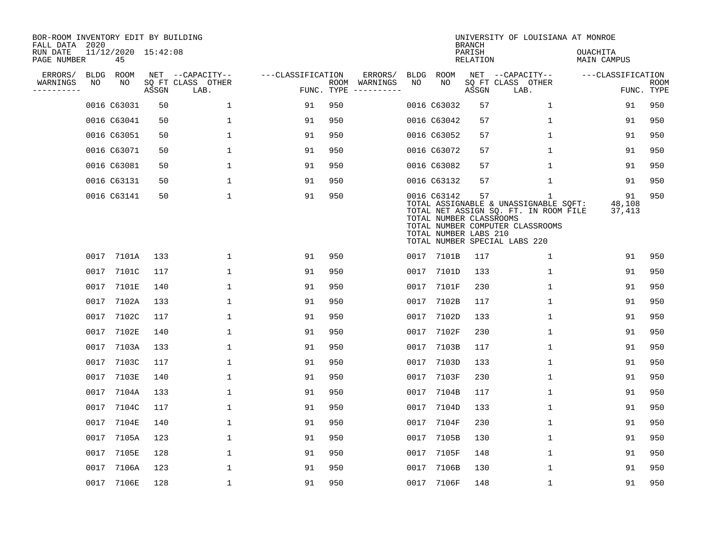| BOR-ROOM INVENTORY EDIT BY BUILDING<br>FALL DATA 2020 |      |                           |       |                           |                   |            |               |      |                                                                 | <b>BRANCH</b>             | UNIVERSITY OF LOUISIANA AT MONROE                                                                                                                        |                                |                           |
|-------------------------------------------------------|------|---------------------------|-------|---------------------------|-------------------|------------|---------------|------|-----------------------------------------------------------------|---------------------------|----------------------------------------------------------------------------------------------------------------------------------------------------------|--------------------------------|---------------------------|
| RUN DATE<br>PAGE NUMBER                               |      | 11/12/2020 15:42:08<br>45 |       |                           |                   |            |               |      |                                                                 | PARISH<br><b>RELATION</b> |                                                                                                                                                          | OUACHITA<br><b>MAIN CAMPUS</b> |                           |
| ERRORS/                                               | BLDG | ROOM                      |       | NET --CAPACITY--          | ---CLASSIFICATION |            | ERRORS/       | BLDG | ROOM                                                            |                           | NET --CAPACITY--                                                                                                                                         | ---CLASSIFICATION              |                           |
| WARNINGS<br>----------                                | NO   | NO                        | ASSGN | SQ FT CLASS OTHER<br>LAB. |                   | FUNC. TYPE | ROOM WARNINGS | NO   | NO                                                              | ASSGN                     | SQ FT CLASS OTHER<br>LAB.                                                                                                                                |                                | <b>ROOM</b><br>FUNC. TYPE |
|                                                       |      | 0016 C63031               | 50    | 1                         | 91                | 950        |               |      | 0016 C63032                                                     | 57                        | 1                                                                                                                                                        | 91                             | 950                       |
|                                                       |      | 0016 C63041               | 50    | 1                         | 91                | 950        |               |      | 0016 C63042                                                     | 57                        | 1                                                                                                                                                        | 91                             | 950                       |
|                                                       |      | 0016 C63051               | 50    | $\mathbf{1}$              | 91                | 950        |               |      | 0016 C63052                                                     | 57                        | $\mathbf{1}$                                                                                                                                             | 91                             | 950                       |
|                                                       |      | 0016 C63071               | 50    | $\mathbf{1}$              | 91                | 950        |               |      | 0016 C63072                                                     | 57                        | $\mathbf{1}$                                                                                                                                             | 91                             | 950                       |
|                                                       |      | 0016 C63081               | 50    | 1                         | 91                | 950        |               |      | 0016 C63082                                                     | 57                        | $\mathbf{1}$                                                                                                                                             | 91                             | 950                       |
|                                                       |      | 0016 C63131               | 50    | 1                         | 91                | 950        |               |      | 0016 C63132                                                     | 57                        | $\mathbf 1$                                                                                                                                              | 91                             | 950                       |
|                                                       |      | 0016 C63141               | 50    | $\mathbf{1}$              | 91                | 950        |               |      | 0016 C63142<br>TOTAL NUMBER CLASSROOMS<br>TOTAL NUMBER LABS 210 | 57                        | 1<br>TOTAL ASSIGNABLE & UNASSIGNABLE SOFT:<br>TOTAL NET ASSIGN SQ. FT. IN ROOM FILE<br>TOTAL NUMBER COMPUTER CLASSROOMS<br>TOTAL NUMBER SPECIAL LABS 220 | 91<br>48,108<br>37,413         | 950                       |
|                                                       |      | 0017 7101A                | 133   | 1                         | 91                | 950        |               |      | 0017 7101B                                                      | 117                       | 1                                                                                                                                                        | 91                             | 950                       |
|                                                       |      | 0017 7101C                | 117   | 1                         | 91                | 950        |               | 0017 | 7101D                                                           | 133                       | 1                                                                                                                                                        | 91                             | 950                       |
|                                                       |      | 0017 7101E                | 140   | 1                         | 91                | 950        |               | 0017 | 7101F                                                           | 230                       | 1                                                                                                                                                        | 91                             | 950                       |
|                                                       |      | 0017 7102A                | 133   | $\mathbf{1}$              | 91                | 950        |               | 0017 | 7102B                                                           | 117                       | $\mathbf{1}$                                                                                                                                             | 91                             | 950                       |
|                                                       |      | 0017 7102C                | 117   | $\mathbf{1}$              | 91                | 950        |               | 0017 | 7102D                                                           | 133                       | $\mathbf{1}$                                                                                                                                             | 91                             | 950                       |
|                                                       | 0017 | 7102E                     | 140   | 1                         | 91                | 950        |               | 0017 | 7102F                                                           | 230                       | 1                                                                                                                                                        | 91                             | 950                       |
|                                                       |      | 0017 7103A                | 133   | 1                         | 91                | 950        |               | 0017 | 7103B                                                           | 117                       | $\mathbf{1}$                                                                                                                                             | 91                             | 950                       |
|                                                       | 0017 | 7103C                     | 117   | 1                         | 91                | 950        |               | 0017 | 7103D                                                           | 133                       | 1                                                                                                                                                        | 91                             | 950                       |
|                                                       |      | 0017 7103E                | 140   | $\mathbf{1}$              | 91                | 950        |               |      | 0017 7103F                                                      | 230                       | 1                                                                                                                                                        | 91                             | 950                       |
|                                                       | 0017 | 7104A                     | 133   | $\mathbf{1}$              | 91                | 950        |               | 0017 | 7104B                                                           | 117                       | $\mathbf 1$                                                                                                                                              | 91                             | 950                       |
|                                                       |      | 0017 7104C                | 117   | $\mathbf{1}$              | 91                | 950        |               |      | 0017 7104D                                                      | 133                       | 1                                                                                                                                                        | 91                             | 950                       |
|                                                       | 0017 | 7104E                     | 140   | 1                         | 91                | 950        |               | 0017 | 7104F                                                           | 230                       | 1                                                                                                                                                        | 91                             | 950                       |
|                                                       |      | 0017 7105A                | 123   | 1                         | 91                | 950        |               |      | 0017 7105B                                                      | 130                       | 1                                                                                                                                                        | 91                             | 950                       |
|                                                       |      | 0017 7105E                | 128   | $\mathbf{1}$              | 91                | 950        |               | 0017 | 7105F                                                           | 148                       | $\mathbf{1}$                                                                                                                                             | 91                             | 950                       |
|                                                       |      | 0017 7106A                | 123   | $\mathbf{1}$              | 91                | 950        |               | 0017 | 7106B                                                           | 130                       | $\mathbf{1}$                                                                                                                                             | 91                             | 950                       |
|                                                       |      | 0017 7106E                | 128   | $\mathbf{1}$              | 91                | 950        |               |      | 0017 7106F                                                      | 148                       | $\mathbf{1}$                                                                                                                                             | 91                             | 950                       |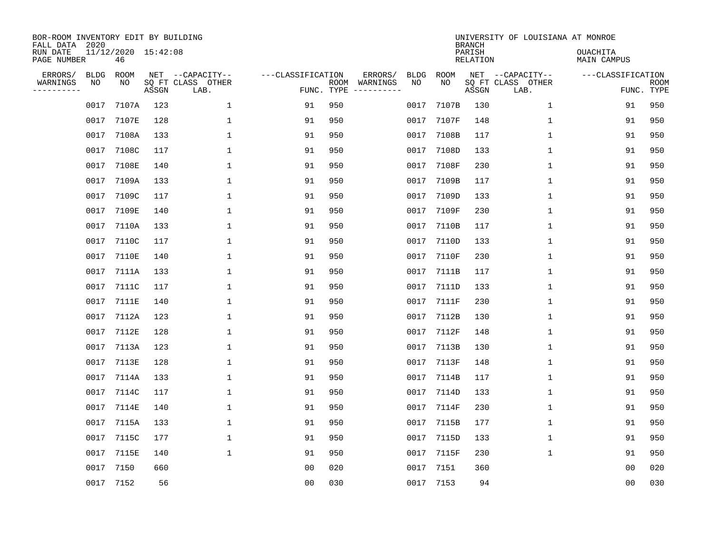| BOR-ROOM INVENTORY EDIT BY BUILDING<br>FALL DATA 2020<br>RUN DATE<br>PAGE NUMBER |                   | 11/12/2020 15:42:08<br>46 |       |                                               |                                 |     |                          |                   |             | <b>BRANCH</b><br>PARISH<br>RELATION | UNIVERSITY OF LOUISIANA AT MONROE             | <b>OUACHITA</b><br>MAIN CAMPUS |                           |
|----------------------------------------------------------------------------------|-------------------|---------------------------|-------|-----------------------------------------------|---------------------------------|-----|--------------------------|-------------------|-------------|-------------------------------------|-----------------------------------------------|--------------------------------|---------------------------|
| ERRORS/<br>WARNINGS<br>---------                                                 | <b>BLDG</b><br>ΝO | ROOM<br>NO                | ASSGN | NET --CAPACITY--<br>SQ FT CLASS OTHER<br>LAB. | ---CLASSIFICATION<br>FUNC. TYPE |     | ERRORS/<br>ROOM WARNINGS | <b>BLDG</b><br>NO | ROOM<br>NO. | ASSGN                               | NET --CAPACITY--<br>SQ FT CLASS OTHER<br>LAB. | ---CLASSIFICATION              | <b>ROOM</b><br>FUNC. TYPE |
|                                                                                  | 0017              | 7107A                     | 123   | $\mathbf{1}$                                  | 91                              | 950 |                          | 0017              | 7107B       | 130                                 | $\mathbf{1}$                                  | 91                             | 950                       |
|                                                                                  |                   | 0017 7107E                | 128   | 1                                             | 91                              | 950 |                          |                   | 0017 7107F  | 148                                 | $\mathbf{1}$                                  | 91                             | 950                       |
|                                                                                  |                   | 0017 7108A                | 133   | 1                                             | 91                              | 950 |                          | 0017              | 7108B       | 117                                 | $\mathbf{1}$                                  | 91                             | 950                       |
|                                                                                  |                   | 0017 7108C                | 117   | 1                                             | 91                              | 950 |                          | 0017              | 7108D       | 133                                 | $\mathbf{1}$                                  | 91                             | 950                       |
|                                                                                  |                   | 0017 7108E                | 140   | 1                                             | 91                              | 950 |                          | 0017              | 7108F       | 230                                 | $\mathbf{1}$                                  | 91                             | 950                       |
|                                                                                  |                   | 0017 7109A                | 133   | 1                                             | 91                              | 950 |                          | 0017              | 7109B       | 117                                 | $\mathbf 1$                                   | 91                             | 950                       |
|                                                                                  | 0017              | 7109C                     | 117   | $\mathbf{1}$                                  | 91                              | 950 |                          | 0017              | 7109D       | 133                                 | $\mathbf{1}$                                  | 91                             | 950                       |
|                                                                                  | 0017              | 7109E                     | 140   | $\mathbf{1}$                                  | 91                              | 950 |                          | 0017              | 7109F       | 230                                 | $\mathbf{1}$                                  | 91                             | 950                       |
|                                                                                  |                   | 0017 7110A                | 133   | $\mathbf{1}$                                  | 91                              | 950 |                          | 0017              | 7110B       | 117                                 | $\mathbf{1}$                                  | 91                             | 950                       |
|                                                                                  |                   | 0017 7110C                | 117   | 1                                             | 91                              | 950 |                          |                   | 0017 7110D  | 133                                 | $\mathbf{1}$                                  | 91                             | 950                       |
|                                                                                  | 0017              | 7110E                     | 140   | $\mathbf{1}$                                  | 91                              | 950 |                          | 0017              | 7110F       | 230                                 | $\mathbf{1}$                                  | 91                             | 950                       |
|                                                                                  |                   | 0017 7111A                | 133   | $\mathbf{1}$                                  | 91                              | 950 |                          |                   | 0017 7111B  | 117                                 | $\mathbf{1}$                                  | 91                             | 950                       |
|                                                                                  | 0017              | 7111C                     | 117   | $\mathbf{1}$                                  | 91                              | 950 |                          | 0017              | 7111D       | 133                                 | $\mathbf{1}$                                  | 91                             | 950                       |
|                                                                                  | 0017              | 7111E                     | 140   | $\mathbf{1}$                                  | 91                              | 950 |                          | 0017              | 7111F       | 230                                 | $\mathbf{1}$                                  | 91                             | 950                       |
|                                                                                  |                   | 0017 7112A                | 123   | 1                                             | 91                              | 950 |                          | 0017              | 7112B       | 130                                 | $\mathbf{1}$                                  | 91                             | 950                       |
|                                                                                  | 0017              | 7112E                     | 128   | 1                                             | 91                              | 950 |                          | 0017              | 7112F       | 148                                 | $\mathbf{1}$                                  | 91                             | 950                       |
|                                                                                  |                   | 0017 7113A                | 123   | 1                                             | 91                              | 950 |                          | 0017              | 7113B       | 130                                 | 1                                             | 91                             | 950                       |
|                                                                                  | 0017              | 7113E                     | 128   | $\mathbf{1}$                                  | 91                              | 950 |                          | 0017              | 7113F       | 148                                 | 1                                             | 91                             | 950                       |
|                                                                                  |                   | 0017 7114A                | 133   | 1                                             | 91                              | 950 |                          | 0017              | 7114B       | 117                                 | 1                                             | 91                             | 950                       |
|                                                                                  | 0017              | 7114C                     | 117   | $\mathbf{1}$                                  | 91                              | 950 |                          | 0017              | 7114D       | 133                                 | 1                                             | 91                             | 950                       |
|                                                                                  |                   | 0017 7114E                | 140   | $\mathbf{1}$                                  | 91                              | 950 |                          | 0017              | 7114F       | 230                                 | $\mathbf{1}$                                  | 91                             | 950                       |
|                                                                                  | 0017              | 7115A                     | 133   | $\mathbf{1}$                                  | 91                              | 950 |                          | 0017              | 7115B       | 177                                 | 1                                             | 91                             | 950                       |
|                                                                                  | 0017              | 7115C                     | 177   | $\mathbf{1}$                                  | 91                              | 950 |                          | 0017              | 7115D       | 133                                 | $\mathbf{1}$                                  | 91                             | 950                       |
|                                                                                  | 0017              | 7115E                     | 140   | $\mathbf{1}$                                  | 91                              | 950 |                          | 0017              | 7115F       | 230                                 | $\mathbf{1}$                                  | 91                             | 950                       |
|                                                                                  | 0017 7150         |                           | 660   |                                               | 00                              | 020 |                          |                   | 0017 7151   | 360                                 |                                               | 00                             | 020                       |
|                                                                                  | 0017 7152         |                           | 56    |                                               | 0 <sub>0</sub>                  | 030 |                          |                   | 0017 7153   | 94                                  |                                               | 0 <sub>0</sub>                 | 030                       |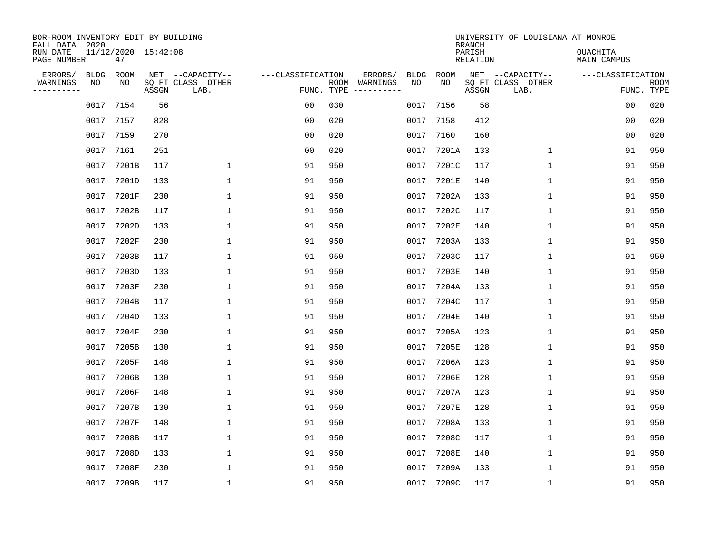| BOR-ROOM INVENTORY EDIT BY BUILDING<br>FALL DATA 2020 |             |                           |       |                           |                   |                    |                         |             |              | <b>BRANCH</b>             | UNIVERSITY OF LOUISIANA AT MONROE |                                |                           |
|-------------------------------------------------------|-------------|---------------------------|-------|---------------------------|-------------------|--------------------|-------------------------|-------------|--------------|---------------------------|-----------------------------------|--------------------------------|---------------------------|
| RUN DATE<br>PAGE NUMBER                               |             | 11/12/2020 15:42:08<br>47 |       |                           |                   |                    |                         |             |              | PARISH<br><b>RELATION</b> |                                   | OUACHITA<br><b>MAIN CAMPUS</b> |                           |
| ERRORS/                                               | <b>BLDG</b> | ROOM                      |       | NET --CAPACITY--          | ---CLASSIFICATION |                    | ERRORS/                 | <b>BLDG</b> | <b>ROOM</b>  |                           | NET --CAPACITY--                  | ---CLASSIFICATION              |                           |
| WARNINGS<br>----------                                | NO          | NO                        | ASSGN | SQ FT CLASS OTHER<br>LAB. |                   | ROOM<br>FUNC. TYPE | WARNINGS<br>----------- | NO          | NO           | ASSGN                     | SQ FT CLASS OTHER<br>LAB.         |                                | <b>ROOM</b><br>FUNC. TYPE |
|                                                       | 0017        | 7154                      | 56    |                           | 00                | 030                |                         | 0017        | 7156         | 58                        |                                   | 00                             | 020                       |
|                                                       | 0017        | 7157                      | 828   |                           | 00                | 020                |                         | 0017        | 7158         | 412                       |                                   | 00                             | 020                       |
|                                                       | 0017        | 7159                      | 270   |                           | 0 <sub>0</sub>    | 020                |                         | 0017        | 7160         | 160                       |                                   | 00                             | 020                       |
|                                                       | 0017        | 7161                      | 251   |                           | 0 <sub>0</sub>    | 020                |                         | 0017        | 7201A        | 133                       | $\mathbf 1$                       | 91                             | 950                       |
|                                                       | 0017        | 7201B                     | 117   | $\mathbf 1$               | 91                | 950                |                         | 0017        | 7201C        | 117                       | $\mathbf 1$                       | 91                             | 950                       |
|                                                       | 0017        | 7201D                     | 133   | $\mathbf{1}$              | 91                | 950                |                         | 0017        | 7201E        | 140                       | 1                                 | 91                             | 950                       |
|                                                       | 0017        | 7201F                     | 230   | $\mathbf{1}$              | 91                | 950                |                         | 0017        | 7202A        | 133                       | $\mathbf{1}$                      | 91                             | 950                       |
|                                                       | 0017        | 7202B                     | 117   | $\mathbf{1}$              | 91                | 950                |                         | 0017        | 7202C        | 117                       | $\mathbf{1}$                      | 91                             | 950                       |
|                                                       | 0017        | 7202D                     | 133   | $\mathbf{1}$              | 91                | 950                |                         | 0017        | <b>7202E</b> | 140                       | 1                                 | 91                             | 950                       |
|                                                       | 0017        | 7202F                     | 230   | 1                         | 91                | 950                |                         | 0017        | 7203A        | 133                       | 1                                 | 91                             | 950                       |
|                                                       | 0017        | 7203B                     | 117   | 1                         | 91                | 950                |                         | 0017        | 7203C        | 117                       | 1                                 | 91                             | 950                       |
|                                                       | 0017        | 7203D                     | 133   | 1                         | 91                | 950                |                         | 0017        | 7203E        | 140                       | 1                                 | 91                             | 950                       |
|                                                       | 0017        | 7203F                     | 230   | 1                         | 91                | 950                |                         | 0017        | 7204A        | 133                       | 1                                 | 91                             | 950                       |
|                                                       | 0017        | 7204B                     | 117   | 1                         | 91                | 950                |                         | 0017        | 7204C        | 117                       | 1                                 | 91                             | 950                       |
|                                                       | 0017        | 7204D                     | 133   | 1                         | 91                | 950                |                         | 0017        | <b>7204E</b> | 140                       | 1                                 | 91                             | 950                       |
|                                                       | 0017        | 7204F                     | 230   | 1                         | 91                | 950                |                         | 0017        | 7205A        | 123                       | $\mathbf{1}$                      | 91                             | 950                       |
|                                                       | 0017        | 7205B                     | 130   | 1                         | 91                | 950                |                         | 0017        | <b>7205E</b> | 128                       | 1                                 | 91                             | 950                       |
|                                                       | 0017        | 7205F                     | 148   | 1                         | 91                | 950                |                         | 0017        | 7206A        | 123                       | 1                                 | 91                             | 950                       |
|                                                       | 0017        | 7206B                     | 130   | 1                         | 91                | 950                |                         | 0017        | <b>7206E</b> | 128                       | 1                                 | 91                             | 950                       |
|                                                       | 0017        | 7206F                     | 148   | 1                         | 91                | 950                |                         | 0017        | 7207A        | 123                       | 1                                 | 91                             | 950                       |
|                                                       | 0017        | 7207B                     | 130   | 1                         | 91                | 950                |                         | 0017        | <b>7207E</b> | 128                       | 1                                 | 91                             | 950                       |
|                                                       | 0017        | 7207F                     | 148   | 1                         | 91                | 950                |                         | 0017        | 7208A        | 133                       | 1                                 | 91                             | 950                       |
|                                                       | 0017        | 7208B                     | 117   | 1                         | 91                | 950                |                         | 0017        | 7208C        | 117                       | 1                                 | 91                             | 950                       |
|                                                       | 0017        | 7208D                     | 133   | 1                         | 91                | 950                |                         | 0017        | <b>7208E</b> | 140                       | 1                                 | 91                             | 950                       |
|                                                       | 0017        | 7208F                     | 230   | 1                         | 91                | 950                |                         | 0017        | 7209A        | 133                       | $\mathbf{1}$                      | 91                             | 950                       |
|                                                       |             | 0017 7209B                | 117   | 1                         | 91                | 950                |                         | 0017        | 7209C        | 117                       | 1                                 | 91                             | 950                       |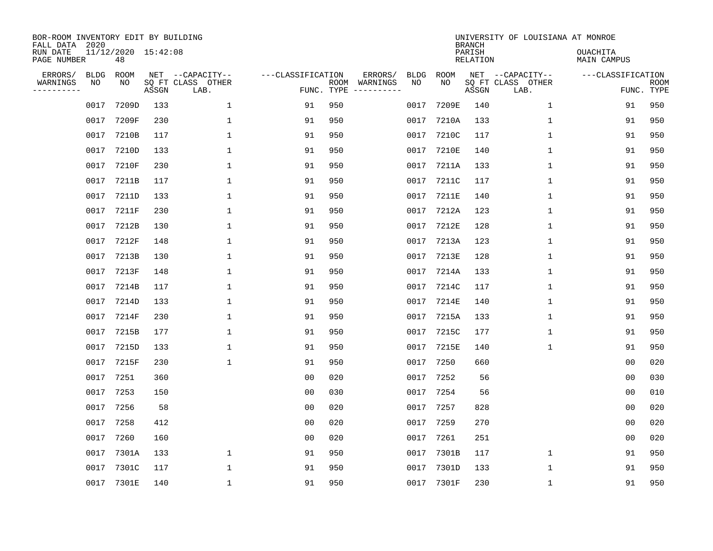| BOR-ROOM INVENTORY EDIT BY BUILDING<br>FALL DATA 2020<br>RUN DATE<br>PAGE NUMBER |                   | 11/12/2020 15:42:08<br>48 |       |                                               |                                 |     |                          |                   |             | <b>BRANCH</b><br>PARISH<br>RELATION | UNIVERSITY OF LOUISIANA AT MONROE             | <b>OUACHITA</b><br>MAIN CAMPUS |                           |
|----------------------------------------------------------------------------------|-------------------|---------------------------|-------|-----------------------------------------------|---------------------------------|-----|--------------------------|-------------------|-------------|-------------------------------------|-----------------------------------------------|--------------------------------|---------------------------|
| ERRORS/<br>WARNINGS<br>---------                                                 | <b>BLDG</b><br>ΝO | ROOM<br>NO                | ASSGN | NET --CAPACITY--<br>SQ FT CLASS OTHER<br>LAB. | ---CLASSIFICATION<br>FUNC. TYPE |     | ERRORS/<br>ROOM WARNINGS | <b>BLDG</b><br>NO | ROOM<br>NO. | ASSGN                               | NET --CAPACITY--<br>SQ FT CLASS OTHER<br>LAB. | ---CLASSIFICATION              | <b>ROOM</b><br>FUNC. TYPE |
|                                                                                  | 0017              | 7209D                     | 133   | $\mathbf{1}$                                  | 91                              | 950 |                          | 0017              | 7209E       | 140                                 | $\mathbf{1}$                                  | 91                             | 950                       |
|                                                                                  |                   | 0017 7209F                | 230   | 1                                             | 91                              | 950 |                          |                   | 0017 7210A  | 133                                 | $\mathbf{1}$                                  | 91                             | 950                       |
|                                                                                  | 0017              | 7210B                     | 117   | 1                                             | 91                              | 950 |                          | 0017              | 7210C       | 117                                 | $\mathbf{1}$                                  | 91                             | 950                       |
|                                                                                  |                   | 0017 7210D                | 133   | 1                                             | 91                              | 950 |                          | 0017              | 7210E       | 140                                 | $\mathbf{1}$                                  | 91                             | 950                       |
|                                                                                  |                   | 0017 7210F                | 230   | $\mathbf{1}$                                  | 91                              | 950 |                          | 0017              | 7211A       | 133                                 | $\mathbf{1}$                                  | 91                             | 950                       |
|                                                                                  |                   | 0017 7211B                | 117   | 1                                             | 91                              | 950 |                          |                   | 0017 7211C  | 117                                 | $\mathbf 1$                                   | 91                             | 950                       |
|                                                                                  | 0017              | 7211D                     | 133   | 1                                             | 91                              | 950 |                          | 0017              | 7211E       | 140                                 | $\mathbf{1}$                                  | 91                             | 950                       |
|                                                                                  | 0017              | 7211F                     | 230   | $\mathbf{1}$                                  | 91                              | 950 |                          | 0017              | 7212A       | 123                                 | $\mathbf{1}$                                  | 91                             | 950                       |
|                                                                                  | 0017              | 7212B                     | 130   | $\mathbf{1}$                                  | 91                              | 950 |                          | 0017              | 7212E       | 128                                 | $\mathbf 1$                                   | 91                             | 950                       |
|                                                                                  |                   | 0017 7212F                | 148   | 1                                             | 91                              | 950 |                          |                   | 0017 7213A  | 123                                 | $\mathbf{1}$                                  | 91                             | 950                       |
|                                                                                  | 0017              | 7213B                     | 130   | $\mathbf{1}$                                  | 91                              | 950 |                          | 0017              | 7213E       | 128                                 | $\mathbf{1}$                                  | 91                             | 950                       |
|                                                                                  |                   | 0017 7213F                | 148   | $\mathbf{1}$                                  | 91                              | 950 |                          |                   | 0017 7214A  | 133                                 | $\mathbf{1}$                                  | 91                             | 950                       |
|                                                                                  | 0017              | 7214B                     | 117   | $\mathbf{1}$                                  | 91                              | 950 |                          | 0017              | 7214C       | 117                                 | $\mathbf{1}$                                  | 91                             | 950                       |
|                                                                                  | 0017              | 7214D                     | 133   | $\mathbf{1}$                                  | 91                              | 950 |                          | 0017              | 7214E       | 140                                 | $\mathbf{1}$                                  | 91                             | 950                       |
|                                                                                  |                   | 0017 7214F                | 230   | 1                                             | 91                              | 950 |                          | 0017              | 7215A       | 133                                 | $\mathbf{1}$                                  | 91                             | 950                       |
|                                                                                  | 0017              | 7215B                     | 177   | 1                                             | 91                              | 950 |                          | 0017              | 7215C       | 177                                 | $\mathbf{1}$                                  | 91                             | 950                       |
|                                                                                  |                   | 0017 7215D                | 133   | 1                                             | 91                              | 950 |                          | 0017              | 7215E       | 140                                 | 1                                             | 91                             | 950                       |
|                                                                                  | 0017              | 7215F                     | 230   | $\mathbf{1}$                                  | 91                              | 950 |                          | 0017              | 7250        | 660                                 |                                               | 0 <sub>0</sub>                 | 020                       |
|                                                                                  | 0017 7251         |                           | 360   |                                               | 0 <sub>0</sub>                  | 020 |                          | 0017              | 7252        | 56                                  |                                               | 0 <sub>0</sub>                 | 030                       |
|                                                                                  | 0017              | 7253                      | 150   |                                               | 0 <sub>0</sub>                  | 030 |                          | 0017              | 7254        | 56                                  |                                               | 0 <sub>0</sub>                 | 010                       |
|                                                                                  | 0017 7256         |                           | 58    |                                               | 0 <sub>0</sub>                  | 020 |                          | 0017              | 7257        | 828                                 |                                               | 0 <sub>0</sub>                 | 020                       |
|                                                                                  | 0017              | 7258                      | 412   |                                               | 0 <sub>0</sub>                  | 020 |                          | 0017              | 7259        | 270                                 |                                               | 0 <sub>0</sub>                 | 020                       |
|                                                                                  | 0017              | 7260                      | 160   |                                               | 0 <sub>0</sub>                  | 020 |                          | 0017              | 7261        | 251                                 |                                               | 0 <sub>0</sub>                 | 020                       |
|                                                                                  | 0017              | 7301A                     | 133   | $\mathbf{1}$                                  | 91                              | 950 |                          | 0017              | 7301B       | 117                                 | $\mathbf{1}$                                  | 91                             | 950                       |
|                                                                                  |                   | 0017 7301C                | 117   | 1                                             | 91                              | 950 |                          |                   | 0017 7301D  | 133                                 | 1                                             | 91                             | 950                       |
|                                                                                  |                   | 0017 7301E                | 140   | $\mathbf{1}$                                  | 91                              | 950 |                          |                   | 0017 7301F  | 230                                 | 1                                             | 91                             | 950                       |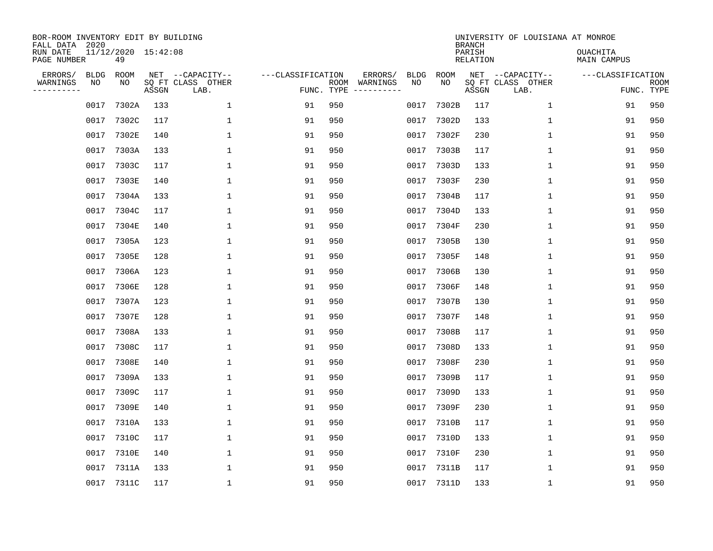| BOR-ROOM INVENTORY EDIT BY BUILDING<br>FALL DATA 2020<br>RUN DATE<br>PAGE NUMBER |                   | 11/12/2020 15:42:08<br>49 |       |                                               |                                 |     |                          |                   |            | <b>BRANCH</b><br>PARISH<br>RELATION | UNIVERSITY OF LOUISIANA AT MONROE             | <b>OUACHITA</b><br>MAIN CAMPUS |                           |
|----------------------------------------------------------------------------------|-------------------|---------------------------|-------|-----------------------------------------------|---------------------------------|-----|--------------------------|-------------------|------------|-------------------------------------|-----------------------------------------------|--------------------------------|---------------------------|
| ERRORS/<br>WARNINGS<br>---------                                                 | <b>BLDG</b><br>ΝO | ROOM<br>NO                | ASSGN | NET --CAPACITY--<br>SQ FT CLASS OTHER<br>LAB. | ---CLASSIFICATION<br>FUNC. TYPE |     | ERRORS/<br>ROOM WARNINGS | <b>BLDG</b><br>NO | ROOM<br>NO | ASSGN                               | NET --CAPACITY--<br>SQ FT CLASS OTHER<br>LAB. | ---CLASSIFICATION              | <b>ROOM</b><br>FUNC. TYPE |
|                                                                                  | 0017              | 7302A                     | 133   | $\mathbf{1}$                                  | 91                              | 950 |                          | 0017              | 7302B      | 117                                 | $\mathbf{1}$                                  | 91                             | 950                       |
|                                                                                  |                   | 0017 7302C                | 117   | 1                                             | 91                              | 950 |                          | 0017              | 7302D      | 133                                 | $\mathbf{1}$                                  | 91                             | 950                       |
|                                                                                  | 0017              | 7302E                     | 140   | 1                                             | 91                              | 950 |                          | 0017              | 7302F      | 230                                 | $\mathbf{1}$                                  | 91                             | 950                       |
|                                                                                  |                   | 0017 7303A                | 133   | 1                                             | 91                              | 950 |                          | 0017              | 7303B      | 117                                 | $\mathbf{1}$                                  | 91                             | 950                       |
|                                                                                  | 0017              | 7303C                     | 117   | 1                                             | 91                              | 950 |                          | 0017              | 7303D      | 133                                 | $\mathbf{1}$                                  | 91                             | 950                       |
|                                                                                  |                   | 0017 7303E                | 140   | 1                                             | 91                              | 950 |                          | 0017              | 7303F      | 230                                 | $\mathbf 1$                                   | 91                             | 950                       |
|                                                                                  | 0017              | 7304A                     | 133   | 1                                             | 91                              | 950 |                          | 0017              | 7304B      | 117                                 | $\mathbf{1}$                                  | 91                             | 950                       |
|                                                                                  | 0017              | 7304C                     | 117   | $\mathbf{1}$                                  | 91                              | 950 |                          | 0017              | 7304D      | 133                                 | $\mathbf{1}$                                  | 91                             | 950                       |
|                                                                                  | 0017              | 7304E                     | 140   | $\mathbf{1}$                                  | 91                              | 950 |                          | 0017              | 7304F      | 230                                 | $\mathbf 1$                                   | 91                             | 950                       |
|                                                                                  |                   | 0017 7305A                | 123   | 1                                             | 91                              | 950 |                          |                   | 0017 7305B | 130                                 | $\mathbf{1}$                                  | 91                             | 950                       |
|                                                                                  | 0017              | 7305E                     | 128   | $\mathbf{1}$                                  | 91                              | 950 |                          | 0017              | 7305F      | 148                                 | $\mathbf{1}$                                  | 91                             | 950                       |
|                                                                                  | 0017              | 7306A                     | 123   | $\mathbf{1}$                                  | 91                              | 950 |                          | 0017              | 7306B      | 130                                 | $\mathbf{1}$                                  | 91                             | 950                       |
|                                                                                  | 0017              | 7306E                     | 128   | $\mathbf{1}$                                  | 91                              | 950 |                          | 0017              | 7306F      | 148                                 | $\mathbf{1}$                                  | 91                             | 950                       |
|                                                                                  | 0017              | 7307A                     | 123   | $\mathbf{1}$                                  | 91                              | 950 |                          | 0017              | 7307B      | 130                                 | $\mathbf{1}$                                  | 91                             | 950                       |
|                                                                                  | 0017              | 7307E                     | 128   | 1                                             | 91                              | 950 |                          | 0017              | 7307F      | 148                                 | 1                                             | 91                             | 950                       |
|                                                                                  | 0017              | 7308A                     | 133   | 1                                             | 91                              | 950 |                          | 0017              | 7308B      | 117                                 | $\mathbf{1}$                                  | 91                             | 950                       |
|                                                                                  | 0017              | 7308C                     | 117   | 1                                             | 91                              | 950 |                          | 0017              | 7308D      | 133                                 | 1                                             | 91                             | 950                       |
|                                                                                  | 0017              | 7308E                     | 140   | $\mathbf{1}$                                  | 91                              | 950 |                          | 0017              | 7308F      | 230                                 | 1                                             | 91                             | 950                       |
|                                                                                  | 0017              | 7309A                     | 133   | 1                                             | 91                              | 950 |                          | 0017              | 7309B      | 117                                 | 1                                             | 91                             | 950                       |
|                                                                                  | 0017              | 7309C                     | 117   | $\mathbf{1}$                                  | 91                              | 950 |                          | 0017              | 7309D      | 133                                 | 1                                             | 91                             | 950                       |
|                                                                                  | 0017              | 7309E                     | 140   | $\mathbf{1}$                                  | 91                              | 950 |                          | 0017              | 7309F      | 230                                 | $\mathbf 1$                                   | 91                             | 950                       |
|                                                                                  | 0017              | 7310A                     | 133   | $\mathbf{1}$                                  | 91                              | 950 |                          | 0017              | 7310B      | 117                                 | 1                                             | 91                             | 950                       |
|                                                                                  | 0017              | 7310C                     | 117   | $\mathbf{1}$                                  | 91                              | 950 |                          | 0017              | 7310D      | 133                                 | $\mathbf{1}$                                  | 91                             | 950                       |
|                                                                                  | 0017              | 7310E                     | 140   | $\mathbf{1}$                                  | 91                              | 950 |                          | 0017              | 7310F      | 230                                 | $\mathbf 1$                                   | 91                             | 950                       |
|                                                                                  |                   | 0017 7311A                | 133   | 1                                             | 91                              | 950 |                          |                   | 0017 7311B | 117                                 | 1                                             | 91                             | 950                       |
|                                                                                  |                   | 0017 7311C                | 117   | $\mathbf{1}$                                  | 91                              | 950 |                          |                   | 0017 7311D | 133                                 | 1                                             | 91                             | 950                       |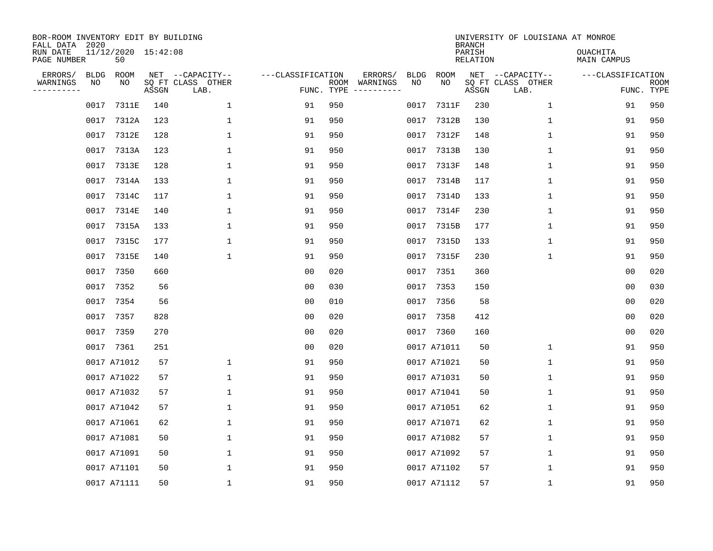| BOR-ROOM INVENTORY EDIT BY BUILDING<br>FALL DATA 2020 |                   |                           |       |                                       |                   |            |                     |                   |             | <b>BRANCH</b>      | UNIVERSITY OF LOUISIANA AT MONROE     |                                |             |
|-------------------------------------------------------|-------------------|---------------------------|-------|---------------------------------------|-------------------|------------|---------------------|-------------------|-------------|--------------------|---------------------------------------|--------------------------------|-------------|
| RUN DATE<br>PAGE NUMBER                               |                   | 11/12/2020 15:42:08<br>50 |       |                                       |                   |            |                     |                   |             | PARISH<br>RELATION |                                       | <b>OUACHITA</b><br>MAIN CAMPUS |             |
| ERRORS/<br>WARNINGS<br>--------                       | <b>BLDG</b><br>NO | ROOM<br>NO                |       | NET --CAPACITY--<br>SQ FT CLASS OTHER | ---CLASSIFICATION | ROOM       | ERRORS/<br>WARNINGS | <b>BLDG</b><br>NO | ROOM<br>NO  |                    | NET --CAPACITY--<br>SQ FT CLASS OTHER | ---CLASSIFICATION              | <b>ROOM</b> |
|                                                       |                   |                           | ASSGN | LAB.                                  |                   | FUNC. TYPE |                     |                   |             | ASSGN              | LAB.                                  |                                | FUNC. TYPE  |
|                                                       | 0017              | 7311E                     | 140   | $\mathbf 1$                           | 91                | 950        |                     | 0017              | 7311F       | 230                | $\mathbf 1$                           | 91                             | 950         |
|                                                       | 0017              | 7312A                     | 123   | 1                                     | 91                | 950        |                     | 0017              | 7312B       | 130                | 1                                     | 91                             | 950         |
|                                                       | 0017              | 7312E                     | 128   | $\mathbf{1}$                          | 91                | 950        |                     | 0017              | 7312F       | 148                | $\mathbf{1}$                          | 91                             | 950         |
|                                                       | 0017              | 7313A                     | 123   | $\mathbf{1}$                          | 91                | 950        |                     | 0017              | 7313B       | 130                | 1                                     | 91                             | 950         |
|                                                       | 0017              | 7313E                     | 128   | $\mathbf{1}$                          | 91                | 950        |                     | 0017              | 7313F       | 148                | $\mathbf 1$                           | 91                             | 950         |
|                                                       | 0017              | 7314A                     | 133   | 1                                     | 91                | 950        |                     | 0017              | 7314B       | 117                | 1                                     | 91                             | 950         |
|                                                       | 0017              | 7314C                     | 117   | 1                                     | 91                | 950        |                     | 0017              | 7314D       | 133                | $\mathbf 1$                           | 91                             | 950         |
|                                                       | 0017              | 7314E                     | 140   | 1                                     | 91                | 950        |                     | 0017              | 7314F       | 230                | 1                                     | 91                             | 950         |
|                                                       | 0017              | 7315A                     | 133   | 1                                     | 91                | 950        |                     | 0017              | 7315B       | 177                | $\mathbf 1$                           | 91                             | 950         |
|                                                       | 0017              | 7315C                     | 177   | 1                                     | 91                | 950        |                     |                   | 0017 7315D  | 133                | 1                                     | 91                             | 950         |
|                                                       | 0017              | 7315E                     | 140   | $\mathbf{1}$                          | 91                | 950        |                     | 0017              | 7315F       | 230                | $\mathbf 1$                           | 91                             | 950         |
|                                                       |                   | 0017 7350                 | 660   |                                       | 0 <sub>0</sub>    | 020        |                     |                   | 0017 7351   | 360                |                                       | 0 <sub>0</sub>                 | 020         |
|                                                       | 0017              | 7352                      | 56    |                                       | 0 <sub>0</sub>    | 030        |                     | 0017              | 7353        | 150                |                                       | 0 <sub>0</sub>                 | 030         |
|                                                       | 0017              | 7354                      | 56    |                                       | 0 <sub>0</sub>    | 010        |                     | 0017              | 7356        | 58                 |                                       | 0 <sub>0</sub>                 | 020         |
|                                                       | 0017              | 7357                      | 828   |                                       | 00                | 020        |                     | 0017              | 7358        | 412                |                                       | 0 <sub>0</sub>                 | 020         |
|                                                       | 0017              | 7359                      | 270   |                                       | 0 <sub>0</sub>    | 020        |                     |                   | 0017 7360   | 160                |                                       | 0 <sub>0</sub>                 | 020         |
|                                                       |                   | 0017 7361                 | 251   |                                       | 0 <sub>0</sub>    | 020        |                     |                   | 0017 A71011 | 50                 | 1                                     | 91                             | 950         |
|                                                       |                   | 0017 A71012               | 57    | $\mathbf 1$                           | 91                | 950        |                     |                   | 0017 A71021 | 50                 | 1                                     | 91                             | 950         |
|                                                       |                   | 0017 A71022               | 57    | 1                                     | 91                | 950        |                     |                   | 0017 A71031 | 50                 | 1                                     | 91                             | 950         |
|                                                       |                   | 0017 A71032               | 57    | 1                                     | 91                | 950        |                     |                   | 0017 A71041 | 50                 | 1                                     | 91                             | 950         |
|                                                       |                   | 0017 A71042               | 57    | 1                                     | 91                | 950        |                     |                   | 0017 A71051 | 62                 | 1                                     | 91                             | 950         |
|                                                       |                   | 0017 A71061               | 62    | 1                                     | 91                | 950        |                     |                   | 0017 A71071 | 62                 | 1                                     | 91                             | 950         |
|                                                       |                   | 0017 A71081               | 50    | 1                                     | 91                | 950        |                     |                   | 0017 A71082 | 57                 | 1                                     | 91                             | 950         |
|                                                       |                   | 0017 A71091               | 50    | $\mathbf{1}$                          | 91                | 950        |                     |                   | 0017 A71092 | 57                 | $\mathbf 1$                           | 91                             | 950         |
|                                                       |                   | 0017 A71101               | 50    | 1                                     | 91                | 950        |                     |                   | 0017 A71102 | 57                 | 1                                     | 91                             | 950         |
|                                                       |                   | 0017 A71111               | 50    | 1                                     | 91                | 950        |                     |                   | 0017 A71112 | 57                 | 1                                     | 91                             | 950         |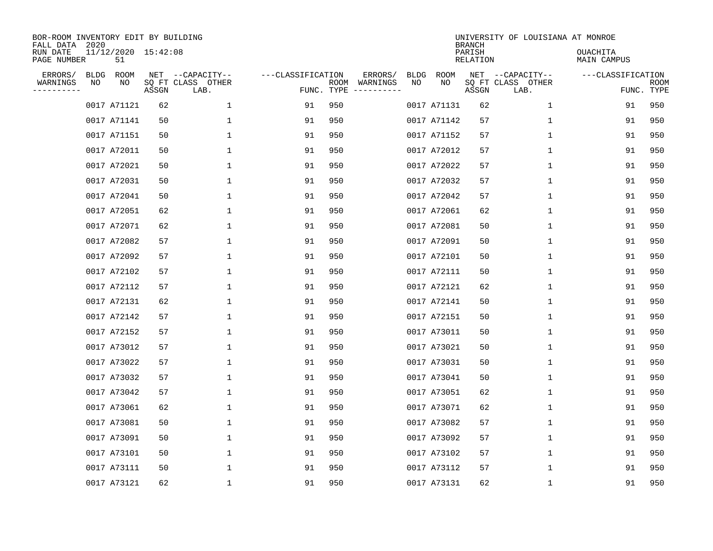| BOR-ROOM INVENTORY EDIT BY BUILDING<br>FALL DATA 2020 |                   |                           |       |                                               |                   |                    |                                             |                   |             | <b>BRANCH</b>      | UNIVERSITY OF LOUISIANA AT MONROE         |                                |                    |
|-------------------------------------------------------|-------------------|---------------------------|-------|-----------------------------------------------|-------------------|--------------------|---------------------------------------------|-------------------|-------------|--------------------|-------------------------------------------|--------------------------------|--------------------|
| RUN DATE<br>PAGE NUMBER                               |                   | 11/12/2020 15:42:08<br>51 |       |                                               |                   |                    |                                             |                   |             | PARISH<br>RELATION |                                           | <b>OUACHITA</b><br>MAIN CAMPUS |                    |
| ERRORS/<br>WARNINGS<br>$- - - - - - - -$              | <b>BLDG</b><br>ΝO | ROOM<br>NO                | ASSGN | NET --CAPACITY--<br>SQ FT CLASS OTHER<br>LAB. | ---CLASSIFICATION | ROOM<br>FUNC. TYPE | ERRORS/<br>WARNINGS<br>$-- - - - - - - - -$ | <b>BLDG</b><br>NO | ROOM<br>NO  | NET<br>ASSGN       | --CAPACITY--<br>SQ FT CLASS OTHER<br>LAB. | ---CLASSIFICATION              | ROOM<br>FUNC. TYPE |
|                                                       |                   | 0017 A71121               | 62    | $\mathbf 1$                                   | 91                | 950                |                                             |                   | 0017 A71131 | 62                 | 1                                         | 91                             | 950                |
|                                                       |                   | 0017 A71141               | 50    | $\mathbf 1$                                   | 91                | 950                |                                             |                   | 0017 A71142 | 57                 | 1                                         | 91                             | 950                |
|                                                       |                   | 0017 A71151               | 50    | 1                                             | 91                | 950                |                                             |                   | 0017 A71152 | 57                 | 1                                         | 91                             | 950                |
|                                                       |                   | 0017 A72011               | 50    | 1                                             | 91                | 950                |                                             |                   | 0017 A72012 | 57                 | 1                                         | 91                             | 950                |
|                                                       |                   | 0017 A72021               | 50    | $\mathbf{1}$                                  | 91                | 950                |                                             |                   | 0017 A72022 | 57                 | 1                                         | 91                             | 950                |
|                                                       |                   | 0017 A72031               | 50    | 1                                             | 91                | 950                |                                             |                   | 0017 A72032 | 57                 | 1                                         | 91                             | 950                |
|                                                       |                   | 0017 A72041               | 50    | $\mathbf 1$                                   | 91                | 950                |                                             |                   | 0017 A72042 | 57                 | $\mathbf 1$                               | 91                             | 950                |
|                                                       |                   | 0017 A72051               | 62    | 1                                             | 91                | 950                |                                             |                   | 0017 A72061 | 62                 | $\mathbf 1$                               | 91                             | 950                |
|                                                       |                   | 0017 A72071               | 62    | $\mathbf 1$                                   | 91                | 950                |                                             |                   | 0017 A72081 | 50                 | 1                                         | 91                             | 950                |
|                                                       |                   | 0017 A72082               | 57    | $\mathbf 1$                                   | 91                | 950                |                                             |                   | 0017 A72091 | 50                 | 1                                         | 91                             | 950                |
|                                                       |                   | 0017 A72092               | 57    | $\mathbf 1$                                   | 91                | 950                |                                             |                   | 0017 A72101 | 50                 | 1                                         | 91                             | 950                |
|                                                       |                   | 0017 A72102               | 57    | $\mathbf 1$                                   | 91                | 950                |                                             |                   | 0017 A72111 | 50                 | 1                                         | 91                             | 950                |
|                                                       |                   | 0017 A72112               | 57    | $\mathbf 1$                                   | 91                | 950                |                                             |                   | 0017 A72121 | 62                 | 1                                         | 91                             | 950                |
|                                                       |                   | 0017 A72131               | 62    | 1                                             | 91                | 950                |                                             |                   | 0017 A72141 | 50                 | 1                                         | 91                             | 950                |
|                                                       |                   | 0017 A72142               | 57    | 1                                             | 91                | 950                |                                             |                   | 0017 A72151 | 50                 | 1                                         | 91                             | 950                |
|                                                       |                   | 0017 A72152               | 57    | 1                                             | 91                | 950                |                                             |                   | 0017 A73011 | 50                 | 1                                         | 91                             | 950                |
|                                                       |                   | 0017 A73012               | 57    | 1                                             | 91                | 950                |                                             |                   | 0017 A73021 | 50                 | 1                                         | 91                             | 950                |
|                                                       |                   | 0017 A73022               | 57    | $\mathbf 1$                                   | 91                | 950                |                                             |                   | 0017 A73031 | 50                 | 1                                         | 91                             | 950                |
|                                                       |                   | 0017 A73032               | 57    | 1                                             | 91                | 950                |                                             |                   | 0017 A73041 | 50                 | 1                                         | 91                             | 950                |
|                                                       |                   | 0017 A73042               | 57    | 1                                             | 91                | 950                |                                             |                   | 0017 A73051 | 62                 | 1                                         | 91                             | 950                |
|                                                       |                   | 0017 A73061               | 62    | 1                                             | 91                | 950                |                                             |                   | 0017 A73071 | 62                 | 1                                         | 91                             | 950                |
|                                                       |                   | 0017 A73081               | 50    | $\mathbf 1$                                   | 91                | 950                |                                             |                   | 0017 A73082 | 57                 | 1                                         | 91                             | 950                |
|                                                       |                   | 0017 A73091               | 50    | 1                                             | 91                | 950                |                                             |                   | 0017 A73092 | 57                 | 1                                         | 91                             | 950                |
|                                                       |                   | 0017 A73101               | 50    | $\mathbf 1$                                   | 91                | 950                |                                             |                   | 0017 A73102 | 57                 | 1                                         | 91                             | 950                |
|                                                       |                   | 0017 A73111               | 50    | 1                                             | 91                | 950                |                                             |                   | 0017 A73112 | 57                 | 1                                         | 91                             | 950                |
|                                                       |                   | 0017 A73121               | 62    | 1                                             | 91                | 950                |                                             |                   | 0017 A73131 | 62                 | 1                                         | 91                             | 950                |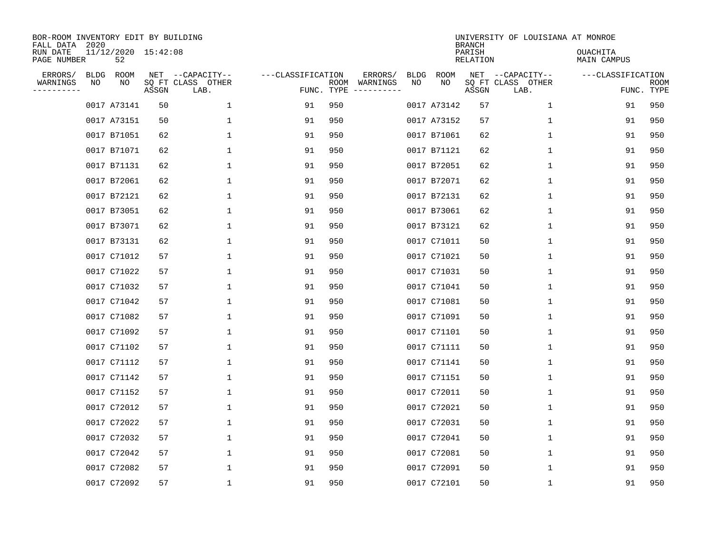| BOR-ROOM INVENTORY EDIT BY BUILDING<br>FALL DATA<br>RUN DATE<br>PAGE NUMBER | 2020              | 11/12/2020 15:42:08<br>52 |       |                                               |                                 |      |                     |                   |             | <b>BRANCH</b><br>PARISH<br>RELATION | UNIVERSITY OF LOUISIANA AT MONROE         | OUACHITA<br>MAIN CAMPUS |                    |
|-----------------------------------------------------------------------------|-------------------|---------------------------|-------|-----------------------------------------------|---------------------------------|------|---------------------|-------------------|-------------|-------------------------------------|-------------------------------------------|-------------------------|--------------------|
| ERRORS/<br>WARNINGS<br>--------                                             | <b>BLDG</b><br>ΝO | ROOM<br>NO                | ASSGN | NET --CAPACITY--<br>SQ FT CLASS OTHER<br>LAB. | ---CLASSIFICATION<br>FUNC. TYPE | ROOM | ERRORS/<br>WARNINGS | <b>BLDG</b><br>NO | ROOM<br>NO  | NET<br>ASSGN                        | --CAPACITY--<br>SQ FT CLASS OTHER<br>LAB. | ---CLASSIFICATION       | ROOM<br>FUNC. TYPE |
|                                                                             |                   | 0017 A73141               | 50    | $\mathbf 1$                                   | 91                              | 950  |                     |                   | 0017 A73142 | 57                                  | $\mathbf 1$                               | 91                      | 950                |
|                                                                             |                   | 0017 A73151               | 50    | 1                                             | 91                              | 950  |                     |                   | 0017 A73152 | 57                                  | $\mathbf 1$                               | 91                      | 950                |
|                                                                             |                   | 0017 B71051               | 62    | 1                                             | 91                              | 950  |                     |                   | 0017 B71061 | 62                                  | 1                                         | 91                      | 950                |
|                                                                             |                   | 0017 B71071               | 62    | 1                                             | 91                              | 950  |                     |                   | 0017 B71121 | 62                                  | 1                                         | 91                      | 950                |
|                                                                             |                   | 0017 B71131               | 62    | 1                                             | 91                              | 950  |                     |                   | 0017 B72051 | 62                                  | 1                                         | 91                      | 950                |
|                                                                             |                   | 0017 B72061               | 62    | 1                                             | 91                              | 950  |                     |                   | 0017 B72071 | 62                                  | 1                                         | 91                      | 950                |
|                                                                             |                   | 0017 B72121               | 62    | 1                                             | 91                              | 950  |                     |                   | 0017 B72131 | 62                                  | $\mathbf 1$                               | 91                      | 950                |
|                                                                             |                   | 0017 B73051               | 62    | $\mathbf{1}$                                  | 91                              | 950  |                     |                   | 0017 B73061 | 62                                  | $\mathbf 1$                               | 91                      | 950                |
|                                                                             |                   | 0017 B73071               | 62    | 1                                             | 91                              | 950  |                     |                   | 0017 B73121 | 62                                  | 1                                         | 91                      | 950                |
|                                                                             |                   | 0017 B73131               | 62    | 1                                             | 91                              | 950  |                     |                   | 0017 C71011 | 50                                  | 1                                         | 91                      | 950                |
|                                                                             |                   | 0017 C71012               | 57    | $\mathbf{1}$                                  | 91                              | 950  |                     |                   | 0017 C71021 | 50                                  | $\mathbf{1}$                              | 91                      | 950                |
|                                                                             |                   | 0017 C71022               | 57    | $\mathbf{1}$                                  | 91                              | 950  |                     |                   | 0017 C71031 | 50                                  | 1                                         | 91                      | 950                |
|                                                                             |                   | 0017 C71032               | 57    | $\mathbf{1}$                                  | 91                              | 950  |                     |                   | 0017 C71041 | 50                                  | $\mathbf{1}$                              | 91                      | 950                |
|                                                                             |                   | 0017 C71042               | 57    | 1                                             | 91                              | 950  |                     |                   | 0017 C71081 | 50                                  | 1                                         | 91                      | 950                |
|                                                                             |                   | 0017 C71082               | 57    | 1                                             | 91                              | 950  |                     |                   | 0017 C71091 | 50                                  | 1                                         | 91                      | 950                |
|                                                                             |                   | 0017 C71092               | 57    | 1                                             | 91                              | 950  |                     |                   | 0017 C71101 | 50                                  | 1                                         | 91                      | 950                |
|                                                                             |                   | 0017 C71102               | 57    | 1                                             | 91                              | 950  |                     |                   | 0017 C71111 | 50                                  | 1                                         | 91                      | 950                |
|                                                                             |                   | 0017 C71112               | 57    | 1                                             | 91                              | 950  |                     |                   | 0017 C71141 | 50                                  | 1                                         | 91                      | 950                |
|                                                                             |                   | 0017 C71142               | 57    | 1                                             | 91                              | 950  |                     |                   | 0017 C71151 | 50                                  | 1                                         | 91                      | 950                |
|                                                                             |                   | 0017 C71152               | 57    | 1                                             | 91                              | 950  |                     |                   | 0017 C72011 | 50                                  | 1                                         | 91                      | 950                |
|                                                                             |                   | 0017 C72012               | 57    | 1                                             | 91                              | 950  |                     |                   | 0017 C72021 | 50                                  | 1                                         | 91                      | 950                |
|                                                                             |                   | 0017 C72022               | 57    | $\mathbf 1$                                   | 91                              | 950  |                     |                   | 0017 C72031 | 50                                  | 1                                         | 91                      | 950                |
|                                                                             |                   | 0017 C72032               | 57    | 1                                             | 91                              | 950  |                     |                   | 0017 C72041 | 50                                  | 1                                         | 91                      | 950                |
|                                                                             |                   | 0017 C72042               | 57    | $\mathbf 1$                                   | 91                              | 950  |                     |                   | 0017 C72081 | 50                                  | 1                                         | 91                      | 950                |
|                                                                             |                   | 0017 C72082               | 57    | 1                                             | 91                              | 950  |                     |                   | 0017 C72091 | 50                                  | 1                                         | 91                      | 950                |
|                                                                             |                   | 0017 C72092               | 57    | 1                                             | 91                              | 950  |                     |                   | 0017 C72101 | 50                                  | 1                                         | 91                      | 950                |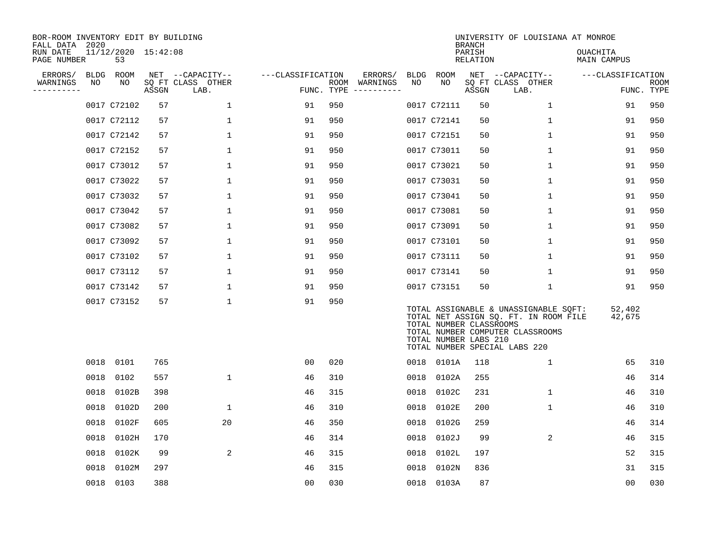| BOR-ROOM INVENTORY EDIT BY BUILDING<br>FALL DATA 2020 |      |                           |       |                           |                   |                    |          |      |                                                  | <b>BRANCH</b>      | UNIVERSITY OF LOUISIANA AT MONROE                                                                                                                   |                         |                    |
|-------------------------------------------------------|------|---------------------------|-------|---------------------------|-------------------|--------------------|----------|------|--------------------------------------------------|--------------------|-----------------------------------------------------------------------------------------------------------------------------------------------------|-------------------------|--------------------|
| RUN DATE<br>PAGE NUMBER                               |      | 11/12/2020 15:42:08<br>53 |       |                           |                   |                    |          |      |                                                  | PARISH<br>RELATION |                                                                                                                                                     | OUACHITA<br>MAIN CAMPUS |                    |
| ERRORS/                                               | BLDG | ROOM                      |       | NET --CAPACITY--          | ---CLASSIFICATION |                    | ERRORS/  | BLDG | ROOM                                             |                    | NET --CAPACITY--                                                                                                                                    | ---CLASSIFICATION       |                    |
| WARNINGS<br>----------                                | NO   | ΝO                        | ASSGN | SQ FT CLASS OTHER<br>LAB. |                   | ROOM<br>FUNC. TYPE | WARNINGS | NO   | NO                                               | ASSGN              | SQ FT CLASS OTHER<br>LAB.                                                                                                                           |                         | ROOM<br>FUNC. TYPE |
|                                                       |      | 0017 C72102               | 57    | $\mathbf 1$               | 91                | 950                |          |      | 0017 C72111                                      | 50                 | $\mathbf 1$                                                                                                                                         | 91                      | 950                |
|                                                       |      | 0017 C72112               | 57    | 1                         | 91                | 950                |          |      | 0017 C72141                                      | 50                 | 1                                                                                                                                                   | 91                      | 950                |
|                                                       |      | 0017 C72142               | 57    | $\mathbf 1$               | 91                | 950                |          |      | 0017 C72151                                      | 50                 | $\mathbf 1$                                                                                                                                         | 91                      | 950                |
|                                                       |      | 0017 C72152               | 57    | $\mathbf{1}$              | 91                | 950                |          |      | 0017 C73011                                      | 50                 | 1                                                                                                                                                   | 91                      | 950                |
|                                                       |      | 0017 C73012               | 57    | $\mathbf 1$               | 91                | 950                |          |      | 0017 C73021                                      | 50                 | $\mathbf 1$                                                                                                                                         | 91                      | 950                |
|                                                       |      | 0017 C73022               | 57    | $\mathbf 1$               | 91                | 950                |          |      | 0017 C73031                                      | 50                 | $\mathbf 1$                                                                                                                                         | 91                      | 950                |
|                                                       |      | 0017 C73032               | 57    | $\mathbf{1}$              | 91                | 950                |          |      | 0017 C73041                                      | 50                 | $\mathbf 1$                                                                                                                                         | 91                      | 950                |
|                                                       |      | 0017 C73042               | 57    | 1                         | 91                | 950                |          |      | 0017 C73081                                      | 50                 | 1                                                                                                                                                   | 91                      | 950                |
|                                                       |      | 0017 C73082               | 57    | 1                         | 91                | 950                |          |      | 0017 C73091                                      | 50                 | 1                                                                                                                                                   | 91                      | 950                |
|                                                       |      | 0017 C73092               | 57    | $\mathbf{1}$              | 91                | 950                |          |      | 0017 C73101                                      | 50                 | 1                                                                                                                                                   | 91                      | 950                |
|                                                       |      | 0017 C73102               | 57    | $\mathbf{1}$              | 91                | 950                |          |      | 0017 C73111                                      | 50                 | 1                                                                                                                                                   | 91                      | 950                |
|                                                       |      | 0017 C73112               | 57    | 1                         | 91                | 950                |          |      | 0017 C73141                                      | 50                 | 1                                                                                                                                                   | 91                      | 950                |
|                                                       |      | 0017 C73142               | 57    | $\mathbf{1}$              | 91                | 950                |          |      | 0017 C73151                                      | 50                 | 1                                                                                                                                                   | 91                      | 950                |
|                                                       |      | 0017 C73152               | 57    | $\mathbf 1$               | 91                | 950                |          |      | TOTAL NUMBER CLASSROOMS<br>TOTAL NUMBER LABS 210 |                    | TOTAL ASSIGNABLE & UNASSIGNABLE SQFT:<br>TOTAL NET ASSIGN SQ. FT. IN ROOM FILE<br>TOTAL NUMBER COMPUTER CLASSROOMS<br>TOTAL NUMBER SPECIAL LABS 220 | 52,402<br>42,675        |                    |
|                                                       |      | 0018 0101                 | 765   |                           | 00                | 020                |          | 0018 | 0101A                                            | 118                | $\mathbf 1$                                                                                                                                         | 65                      | 310                |
|                                                       | 0018 | 0102                      | 557   | $\mathbf{1}$              | 46                | 310                |          | 0018 | 0102A                                            | 255                |                                                                                                                                                     | 46                      | 314                |
|                                                       | 0018 | 0102B                     | 398   |                           | 46                | 315                |          | 0018 | 0102C                                            | 231                | $\mathbf 1$                                                                                                                                         | 46                      | 310                |
|                                                       | 0018 | 0102D                     | 200   | $\mathbf{1}$              | 46                | 310                |          | 0018 | 0102E                                            | 200                | $\mathbf{1}$                                                                                                                                        | 46                      | 310                |
|                                                       | 0018 | 0102F                     | 605   | 20                        | 46                | 350                |          | 0018 | 0102G                                            | 259                |                                                                                                                                                     | 46                      | 314                |
|                                                       | 0018 | 0102H                     | 170   |                           | 46                | 314                |          | 0018 | 0102J                                            | 99                 | 2                                                                                                                                                   | 46                      | 315                |
|                                                       | 0018 | 0102K                     | 99    | 2                         | 46                | 315                |          | 0018 | 0102L                                            | 197                |                                                                                                                                                     | 52                      | 315                |
|                                                       | 0018 | 0102M                     | 297   |                           | 46                | 315                |          | 0018 | 0102N                                            | 836                |                                                                                                                                                     | 31                      | 315                |
|                                                       |      | 0018 0103                 | 388   |                           | 0 <sub>0</sub>    | 030                |          |      | 0018 0103A                                       | 87                 |                                                                                                                                                     | 0 <sub>0</sub>          | 030                |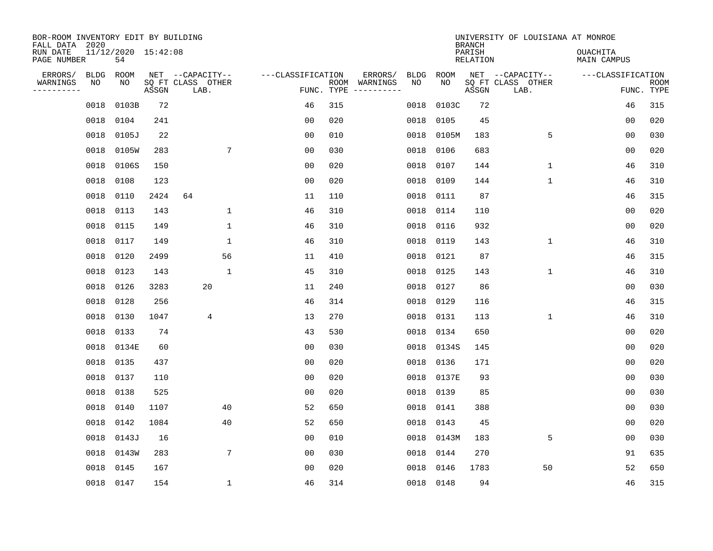| BOR-ROOM INVENTORY EDIT BY BUILDING<br>FALL DATA 2020 |             |                           |       |                           |                   |                    |          |             |             | <b>BRANCH</b>             | UNIVERSITY OF LOUISIANA AT MONROE |                                |                           |
|-------------------------------------------------------|-------------|---------------------------|-------|---------------------------|-------------------|--------------------|----------|-------------|-------------|---------------------------|-----------------------------------|--------------------------------|---------------------------|
| RUN DATE<br>PAGE NUMBER                               |             | 11/12/2020 15:42:08<br>54 |       |                           |                   |                    |          |             |             | PARISH<br><b>RELATION</b> |                                   | OUACHITA<br><b>MAIN CAMPUS</b> |                           |
| ERRORS/                                               | <b>BLDG</b> | ROOM                      |       | NET --CAPACITY--          | ---CLASSIFICATION |                    | ERRORS/  | <b>BLDG</b> | <b>ROOM</b> |                           | NET --CAPACITY--                  | ---CLASSIFICATION              |                           |
| WARNINGS<br>----------                                | NO          | NO                        | ASSGN | SQ FT CLASS OTHER<br>LAB. |                   | ROOM<br>FUNC. TYPE | WARNINGS | NO          | NO          | ASSGN                     | SQ FT CLASS OTHER<br>LAB.         |                                | <b>ROOM</b><br>FUNC. TYPE |
|                                                       | 0018        | 0103B                     | 72    |                           | 46                | 315                |          | 0018        | 0103C       | 72                        |                                   | 46                             | 315                       |
|                                                       | 0018        | 0104                      | 241   |                           | 0 <sub>0</sub>    | 020                |          | 0018        | 0105        | 45                        |                                   | 00                             | 020                       |
|                                                       | 0018        | 0105J                     | 22    |                           | 0 <sub>0</sub>    | 010                |          | 0018        | 0105M       | 183                       | 5                                 | 0 <sub>0</sub>                 | 030                       |
|                                                       | 0018        | 0105W                     | 283   | 7                         | 0 <sub>0</sub>    | 030                |          | 0018        | 0106        | 683                       |                                   | 0 <sub>0</sub>                 | 020                       |
|                                                       | 0018        | 0106S                     | 150   |                           | 0 <sub>0</sub>    | 020                |          | 0018        | 0107        | 144                       | $\mathbf{1}$                      | 46                             | 310                       |
|                                                       | 0018        | 0108                      | 123   |                           | 0 <sub>0</sub>    | 020                |          | 0018        | 0109        | 144                       | $\mathbf{1}$                      | 46                             | 310                       |
|                                                       | 0018        | 0110                      | 2424  | 64                        | 11                | 110                |          | 0018        | 0111        | 87                        |                                   | 46                             | 315                       |
|                                                       | 0018        | 0113                      | 143   | $\mathbf 1$               | 46                | 310                |          | 0018        | 0114        | 110                       |                                   | 0 <sub>0</sub>                 | 020                       |
|                                                       | 0018        | 0115                      | 149   | $\mathbf 1$               | 46                | 310                |          | 0018        | 0116        | 932                       |                                   | 0 <sub>0</sub>                 | 020                       |
|                                                       | 0018        | 0117                      | 149   | $\mathbf 1$               | 46                | 310                |          | 0018        | 0119        | 143                       | $\mathbf 1$                       | 46                             | 310                       |
|                                                       | 0018        | 0120                      | 2499  | 56                        | 11                | 410                |          | 0018        | 0121        | 87                        |                                   | 46                             | 315                       |
|                                                       | 0018 0123   |                           | 143   | $\mathbf{1}$              | 45                | 310                |          | 0018        | 0125        | 143                       | $\mathbf 1$                       | 46                             | 310                       |
|                                                       | 0018        | 0126                      | 3283  | 20                        | 11                | 240                |          | 0018        | 0127        | 86                        |                                   | 0 <sub>0</sub>                 | 030                       |
|                                                       | 0018        | 0128                      | 256   |                           | 46                | 314                |          | 0018        | 0129        | 116                       |                                   | 46                             | 315                       |
|                                                       | 0018        | 0130                      | 1047  | 4                         | 13                | 270                |          | 0018        | 0131        | 113                       | 1                                 | 46                             | 310                       |
|                                                       | 0018        | 0133                      | 74    |                           | 43                | 530                |          | 0018        | 0134        | 650                       |                                   | 0 <sub>0</sub>                 | 020                       |
|                                                       | 0018        | 0134E                     | 60    |                           | 0 <sub>0</sub>    | 030                |          | 0018        | 0134S       | 145                       |                                   | 0 <sub>0</sub>                 | 020                       |
|                                                       | 0018        | 0135                      | 437   |                           | 0 <sub>0</sub>    | 020                |          | 0018        | 0136        | 171                       |                                   | 0 <sub>0</sub>                 | 020                       |
|                                                       | 0018        | 0137                      | 110   |                           | 0 <sub>0</sub>    | 020                |          | 0018        | 0137E       | 93                        |                                   | 0 <sub>0</sub>                 | 030                       |
|                                                       | 0018        | 0138                      | 525   |                           | 0 <sub>0</sub>    | 020                |          | 0018        | 0139        | 85                        |                                   | 00                             | 030                       |
|                                                       | 0018        | 0140                      | 1107  | 40                        | 52                | 650                |          | 0018        | 0141        | 388                       |                                   | 0 <sub>0</sub>                 | 030                       |
|                                                       | 0018        | 0142                      | 1084  | 40                        | 52                | 650                |          | 0018        | 0143        | 45                        |                                   | 0 <sub>0</sub>                 | 020                       |
|                                                       | 0018        | 0143J                     | 16    |                           | 0 <sub>0</sub>    | 010                |          | 0018        | 0143M       | 183                       | 5                                 | 0 <sub>0</sub>                 | 030                       |
|                                                       | 0018        | 0143W                     | 283   | $\overline{7}$            | 0 <sub>0</sub>    | 030                |          | 0018        | 0144        | 270                       |                                   | 91                             | 635                       |
|                                                       | 0018        | 0145                      | 167   |                           | 0 <sub>0</sub>    | 020                |          | 0018        | 0146        | 1783                      | 50                                | 52                             | 650                       |
|                                                       | 0018 0147   |                           | 154   | $\mathbf{1}$              | 46                | 314                |          |             | 0018 0148   | 94                        |                                   | 46                             | 315                       |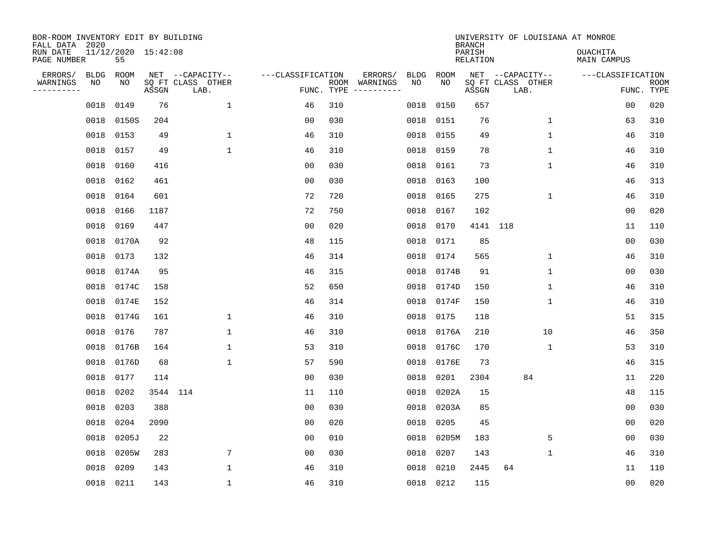| BOR-ROOM INVENTORY EDIT BY BUILDING<br>FALL DATA 2020 |                           |       |                                               |                   |            |                                                                                                                             |            |            | <b>BRANCH</b>      | UNIVERSITY OF LOUISIANA AT MONROE             |                                 |             |
|-------------------------------------------------------|---------------------------|-------|-----------------------------------------------|-------------------|------------|-----------------------------------------------------------------------------------------------------------------------------|------------|------------|--------------------|-----------------------------------------------|---------------------------------|-------------|
| RUN DATE<br>PAGE NUMBER                               | 11/12/2020 15:42:08<br>55 |       |                                               |                   |            |                                                                                                                             |            |            | PARISH<br>RELATION |                                               | <b>OUACHITA</b><br>MAIN CAMPUS  |             |
| ERRORS/<br>BLDG<br>WARNINGS<br>NO<br>---------        | ROOM<br>NO                | ASSGN | NET --CAPACITY--<br>SQ FT CLASS OTHER<br>LAB. | ---CLASSIFICATION | FUNC. TYPE | ERRORS/<br>ROOM WARNINGS<br>$\begin{tabular}{cccccc} - & - & - & - & - & - & - \\ & - & - & - & - & - & - \\ \end{tabular}$ | BLDG<br>NO | ROOM<br>NO | ASSGN              | NET --CAPACITY--<br>SQ FT CLASS OTHER<br>LAB. | ---CLASSIFICATION<br>FUNC. TYPE | <b>ROOM</b> |
| 0018                                                  | 0149                      | 76    | $\mathbf{1}$                                  | 46                | 310        |                                                                                                                             | 0018       | 0150       | 657                |                                               | 0 <sub>0</sub>                  | 020         |
| 0018                                                  | 0150S                     | 204   |                                               | 0 <sub>0</sub>    | 030        |                                                                                                                             | 0018       | 0151       | 76                 | $\mathbf 1$                                   | 63                              | 310         |
| 0018                                                  | 0153                      | 49    | $\mathbf{1}$                                  | 46                | 310        |                                                                                                                             | 0018       | 0155       | 49                 | $\mathbf{1}$                                  | 46                              | 310         |
| 0018                                                  | 0157                      | 49    | $\mathbf{1}$                                  | 46                | 310        |                                                                                                                             | 0018       | 0159       | 78                 | $\mathbf{1}$                                  | 46                              | 310         |
| 0018                                                  | 0160                      | 416   |                                               | 0 <sub>0</sub>    | 030        |                                                                                                                             | 0018       | 0161       | 73                 | $\mathbf 1$                                   | 46                              | 310         |
| 0018                                                  | 0162                      | 461   |                                               | 0 <sub>0</sub>    | 030        |                                                                                                                             | 0018       | 0163       | 100                |                                               | 46                              | 313         |
| 0018                                                  | 0164                      | 601   |                                               | 72                | 720        |                                                                                                                             | 0018       | 0165       | 275                | $\mathbf 1$                                   | 46                              | 310         |
| 0018                                                  | 0166                      | 1187  |                                               | 72                | 750        |                                                                                                                             | 0018       | 0167       | 102                |                                               | 0 <sub>0</sub>                  | 020         |
| 0018                                                  | 0169                      | 447   |                                               | 0 <sub>0</sub>    | 020        |                                                                                                                             | 0018       | 0170       | 4141 118           |                                               | 11                              | 110         |
| 0018                                                  | 0170A                     | 92    |                                               | 48                | 115        |                                                                                                                             | 0018       | 0171       | 85                 |                                               | 0 <sub>0</sub>                  | 030         |
| 0018                                                  | 0173                      | 132   |                                               | 46                | 314        |                                                                                                                             | 0018       | 0174       | 565                | $\mathbf{1}$                                  | 46                              | 310         |
| 0018                                                  | 0174A                     | 95    |                                               | 46                | 315        |                                                                                                                             | 0018       | 0174B      | 91                 | $\mathbf 1$                                   | 0 <sub>0</sub>                  | 030         |
| 0018                                                  | 0174C                     | 158   |                                               | 52                | 650        |                                                                                                                             | 0018       | 0174D      | 150                | $\mathbf 1$                                   | 46                              | 310         |
| 0018                                                  | 0174E                     | 152   |                                               | 46                | 314        |                                                                                                                             | 0018       | 0174F      | 150                | 1                                             | 46                              | 310         |
| 0018                                                  | 0174G                     | 161   | $\mathbf{1}$                                  | 46                | 310        |                                                                                                                             | 0018       | 0175       | 118                |                                               | 51                              | 315         |
| 0018                                                  | 0176                      | 787   | 1                                             | 46                | 310        |                                                                                                                             | 0018       | 0176A      | 210                | 10                                            | 46                              | 350         |
| 0018                                                  | 0176B                     | 164   | 1                                             | 53                | 310        |                                                                                                                             | 0018       | 0176C      | 170                | 1                                             | 53                              | 310         |
| 0018                                                  | 0176D                     | 68    | $\mathbf{1}$                                  | 57                | 590        |                                                                                                                             | 0018       | 0176E      | 73                 |                                               | 46                              | 315         |
| 0018                                                  | 0177                      | 114   |                                               | 0 <sub>0</sub>    | 030        |                                                                                                                             | 0018       | 0201       | 2304               | 84                                            | 11                              | 220         |
| 0018                                                  | 0202                      |       | 3544 114                                      | 11                | 110        |                                                                                                                             | 0018       | 0202A      | 15                 |                                               | 48                              | 115         |
| 0018                                                  | 0203                      | 388   |                                               | 0 <sub>0</sub>    | 030        |                                                                                                                             | 0018       | 0203A      | 85                 |                                               | 0 <sub>0</sub>                  | 030         |
| 0018                                                  | 0204                      | 2090  |                                               | 0 <sub>0</sub>    | 020        |                                                                                                                             | 0018       | 0205       | 45                 |                                               | 00                              | 020         |
| 0018                                                  | 0205J                     | 22    |                                               | 0 <sub>0</sub>    | 010        |                                                                                                                             | 0018       | 0205M      | 183                | 5                                             | 0 <sub>0</sub>                  | 030         |
| 0018                                                  | 0205W                     | 283   | 7                                             | 0 <sub>0</sub>    | 030        |                                                                                                                             | 0018       | 0207       | 143                | $\mathbf 1$                                   | 46                              | 310         |
| 0018                                                  | 0209                      | 143   | $\mathbf{1}$                                  | 46                | 310        |                                                                                                                             | 0018       | 0210       | 2445               | 64                                            | 11                              | 110         |
|                                                       | 0018 0211                 | 143   | $\mathbf{1}$                                  | 46                | 310        |                                                                                                                             |            | 0018 0212  | 115                |                                               | 0 <sub>0</sub>                  | 020         |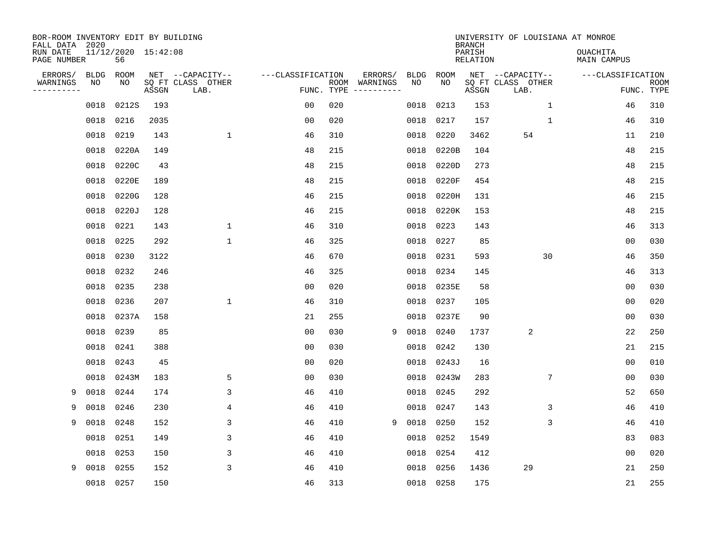| BOR-ROOM INVENTORY EDIT BY BUILDING<br>FALL DATA 2020<br>RUN DATE<br>PAGE NUMBER |                   | 11/12/2020 15:42:08<br>56 |       |                                               |                   |            |                          |                   |            | <b>BRANCH</b><br>PARISH<br><b>RELATION</b> | UNIVERSITY OF LOUISIANA AT MONROE             | <b>OUACHITA</b><br>MAIN CAMPUS |                           |
|----------------------------------------------------------------------------------|-------------------|---------------------------|-------|-----------------------------------------------|-------------------|------------|--------------------------|-------------------|------------|--------------------------------------------|-----------------------------------------------|--------------------------------|---------------------------|
| ERRORS/<br>WARNINGS                                                              | <b>BLDG</b><br>NO | ROOM<br>NO                | ASSGN | NET --CAPACITY--<br>SQ FT CLASS OTHER<br>LAB. | ---CLASSIFICATION | FUNC. TYPE | ERRORS/<br>ROOM WARNINGS | <b>BLDG</b><br>NO | ROOM<br>NO | ASSGN                                      | NET --CAPACITY--<br>SQ FT CLASS OTHER<br>LAB. | ---CLASSIFICATION              | <b>ROOM</b><br>FUNC. TYPE |
|                                                                                  | 0018              | 0212S                     | 193   |                                               | 0 <sub>0</sub>    | 020        |                          | 0018              | 0213       | 153                                        | $\mathbf{1}$                                  | 46                             | 310                       |
|                                                                                  | 0018              | 0216                      | 2035  |                                               | 0 <sub>0</sub>    | 020        |                          | 0018              | 0217       | 157                                        | $\mathbf{1}$                                  | 46                             | 310                       |
|                                                                                  | 0018              | 0219                      | 143   | $\mathbf{1}$                                  | 46                | 310        |                          | 0018              | 0220       | 3462                                       | 54                                            | 11                             | 210                       |
|                                                                                  | 0018              | 0220A                     | 149   |                                               | 48                | 215        |                          | 0018              | 0220B      | 104                                        |                                               | 48                             | 215                       |
|                                                                                  | 0018              | 0220C                     | 43    |                                               | 48                | 215        |                          | 0018              | 0220D      | 273                                        |                                               | 48                             | 215                       |
|                                                                                  | 0018              | 0220E                     | 189   |                                               | 48                | 215        |                          | 0018              | 0220F      | 454                                        |                                               | 48                             | 215                       |
|                                                                                  | 0018              | 0220G                     | 128   |                                               | 46                | 215        |                          | 0018              | 0220H      | 131                                        |                                               | 46                             | 215                       |
|                                                                                  | 0018              | 0220J                     | 128   |                                               | 46                | 215        |                          | 0018              | 0220K      | 153                                        |                                               | 48                             | 215                       |
|                                                                                  | 0018              | 0221                      | 143   | $\mathbf 1$                                   | 46                | 310        |                          | 0018              | 0223       | 143                                        |                                               | 46                             | 313                       |
|                                                                                  | 0018              | 0225                      | 292   | $\mathbf 1$                                   | 46                | 325        |                          | 0018              | 0227       | 85                                         |                                               | 0 <sub>0</sub>                 | 030                       |
|                                                                                  | 0018              | 0230                      | 3122  |                                               | 46                | 670        |                          | 0018              | 0231       | 593                                        | 30                                            | 46                             | 350                       |
|                                                                                  | 0018              | 0232                      | 246   |                                               | 46                | 325        |                          | 0018              | 0234       | 145                                        |                                               | 46                             | 313                       |
|                                                                                  | 0018              | 0235                      | 238   |                                               | 0 <sub>0</sub>    | 020        |                          | 0018              | 0235E      | 58                                         |                                               | 0 <sub>0</sub>                 | 030                       |
|                                                                                  | 0018              | 0236                      | 207   | $\mathbf{1}$                                  | 46                | 310        |                          | 0018              | 0237       | 105                                        |                                               | 0 <sub>0</sub>                 | 020                       |
|                                                                                  | 0018              | 0237A                     | 158   |                                               | 21                | 255        |                          | 0018              | 0237E      | 90                                         |                                               | 0 <sub>0</sub>                 | 030                       |
|                                                                                  | 0018              | 0239                      | 85    |                                               | 0 <sub>0</sub>    | 030        | 9                        | 0018              | 0240       | 1737                                       | 2                                             | 22                             | 250                       |
|                                                                                  | 0018              | 0241                      | 388   |                                               | 0 <sub>0</sub>    | 030        |                          | 0018              | 0242       | 130                                        |                                               | 21                             | 215                       |
|                                                                                  | 0018              | 0243                      | 45    |                                               | 0 <sub>0</sub>    | 020        |                          | 0018              | 0243J      | 16                                         |                                               | 0 <sub>0</sub>                 | 010                       |
|                                                                                  | 0018              | 0243M                     | 183   | 5                                             | 0 <sub>0</sub>    | 030        |                          | 0018              | 0243W      | 283                                        | 7                                             | 0 <sub>0</sub>                 | 030                       |
| 9                                                                                | 0018              | 0244                      | 174   | 3                                             | 46                | 410        |                          | 0018              | 0245       | 292                                        |                                               | 52                             | 650                       |
| 9                                                                                | 0018              | 0246                      | 230   | 4                                             | 46                | 410        |                          | 0018              | 0247       | 143                                        | 3                                             | 46                             | 410                       |
| 9                                                                                | 0018              | 0248                      | 152   | 3                                             | 46                | 410        | 9                        | 0018              | 0250       | 152                                        | 3                                             | 46                             | 410                       |
|                                                                                  | 0018              | 0251                      | 149   | 3                                             | 46                | 410        |                          | 0018              | 0252       | 1549                                       |                                               | 83                             | 083                       |
|                                                                                  | 0018              | 0253                      | 150   | 3                                             | 46                | 410        |                          | 0018              | 0254       | 412                                        |                                               | 0 <sub>0</sub>                 | 020                       |
| 9                                                                                | 0018              | 0255                      | 152   | 3                                             | 46                | 410        |                          | 0018              | 0256       | 1436                                       | 29                                            | 21                             | 250                       |
|                                                                                  | 0018              | 0257                      | 150   |                                               | 46                | 313        |                          |                   | 0018 0258  | 175                                        |                                               | 21                             | 255                       |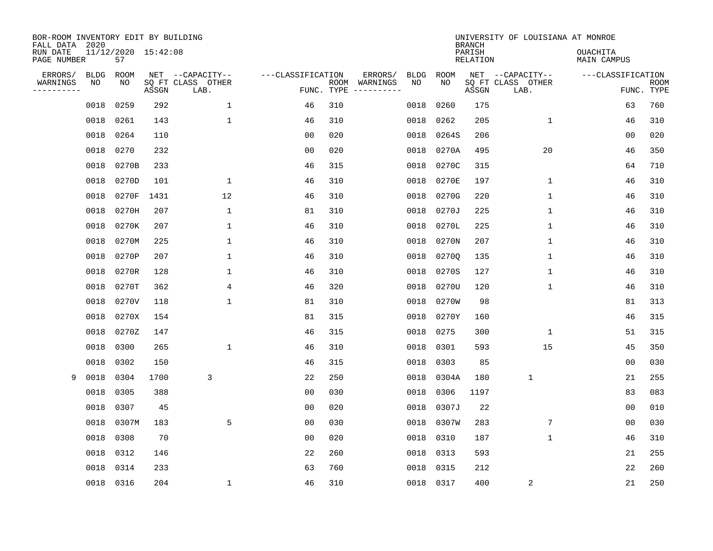| BOR-ROOM INVENTORY EDIT BY BUILDING<br>FALL DATA 2020<br>RUN DATE<br>PAGE NUMBER |                   | 11/12/2020 15:42:08<br>57 |       |                                               |                                 |      |                                   |                   |            | <b>BRANCH</b><br>PARISH<br><b>RELATION</b> | UNIVERSITY OF LOUISIANA AT MONROE             | <b>OUACHITA</b><br><b>MAIN CAMPUS</b> |                           |
|----------------------------------------------------------------------------------|-------------------|---------------------------|-------|-----------------------------------------------|---------------------------------|------|-----------------------------------|-------------------|------------|--------------------------------------------|-----------------------------------------------|---------------------------------------|---------------------------|
| ERRORS/<br>WARNINGS<br>---------                                                 | <b>BLDG</b><br>NO | ROOM<br>NO                | ASSGN | NET --CAPACITY--<br>SQ FT CLASS OTHER<br>LAB. | ---CLASSIFICATION<br>FUNC. TYPE | ROOM | ERRORS/<br>WARNINGS<br>---------- | <b>BLDG</b><br>NO | ROOM<br>NO | ASSGN                                      | NET --CAPACITY--<br>SQ FT CLASS OTHER<br>LAB. | ---CLASSIFICATION                     | <b>ROOM</b><br>FUNC. TYPE |
|                                                                                  | 0018              | 0259                      | 292   | $\mathbf 1$                                   | 46                              | 310  |                                   | 0018              | 0260       | 175                                        |                                               | 63                                    | 760                       |
|                                                                                  | 0018              | 0261                      | 143   | 1                                             | 46                              | 310  |                                   | 0018              | 0262       | 205                                        | 1                                             | 46                                    | 310                       |
|                                                                                  | 0018              | 0264                      | 110   |                                               | 00                              | 020  |                                   | 0018              | 0264S      | 206                                        |                                               | 0 <sub>0</sub>                        | 020                       |
|                                                                                  | 0018              | 0270                      | 232   |                                               | 0 <sub>0</sub>                  | 020  |                                   | 0018              | 0270A      | 495                                        | 20                                            | 46                                    | 350                       |
|                                                                                  | 0018              | 0270B                     | 233   |                                               | 46                              | 315  |                                   | 0018              | 0270C      | 315                                        |                                               | 64                                    | 710                       |
|                                                                                  | 0018              | 0270D                     | 101   | 1                                             | 46                              | 310  |                                   | 0018              | 0270E      | 197                                        | 1                                             | 46                                    | 310                       |
|                                                                                  | 0018              | 0270F                     | 1431  | 12                                            | 46                              | 310  |                                   | 0018              | 0270G      | 220                                        | $\mathbf{1}$                                  | 46                                    | 310                       |
|                                                                                  | 0018              | 0270H                     | 207   | 1                                             | 81                              | 310  |                                   | 0018              | 0270J      | 225                                        | 1                                             | 46                                    | 310                       |
|                                                                                  | 0018              | 0270K                     | 207   | 1                                             | 46                              | 310  |                                   | 0018              | 0270L      | 225                                        | 1                                             | 46                                    | 310                       |
|                                                                                  | 0018              | 0270M                     | 225   | 1                                             | 46                              | 310  |                                   | 0018              | 0270N      | 207                                        | 1                                             | 46                                    | 310                       |
|                                                                                  | 0018              | 0270P                     | 207   | 1                                             | 46                              | 310  |                                   | 0018              | 02700      | 135                                        | 1                                             | 46                                    | 310                       |
|                                                                                  | 0018              | 0270R                     | 128   | 1                                             | 46                              | 310  |                                   | 0018              | 0270S      | 127                                        | 1                                             | 46                                    | 310                       |
|                                                                                  | 0018              | 0270T                     | 362   | 4                                             | 46                              | 320  |                                   | 0018              | 0270U      | 120                                        | $\mathbf{1}$                                  | 46                                    | 310                       |
|                                                                                  | 0018              | 0270V                     | 118   | $\mathbf 1$                                   | 81                              | 310  |                                   | 0018              | 0270W      | 98                                         |                                               | 81                                    | 313                       |
|                                                                                  | 0018              | 0270X                     | 154   |                                               | 81                              | 315  |                                   | 0018              | 0270Y      | 160                                        |                                               | 46                                    | 315                       |
|                                                                                  | 0018              | 0270Z                     | 147   |                                               | 46                              | 315  |                                   | 0018              | 0275       | 300                                        | 1                                             | 51                                    | 315                       |
|                                                                                  | 0018              | 0300                      | 265   | 1                                             | 46                              | 310  |                                   | 0018              | 0301       | 593                                        | 15                                            | 45                                    | 350                       |
|                                                                                  | 0018              | 0302                      | 150   |                                               | 46                              | 315  |                                   | 0018              | 0303       | 85                                         |                                               | 0 <sub>0</sub>                        | 030                       |
| 9                                                                                | 0018              | 0304                      | 1700  | 3                                             | 22                              | 250  |                                   | 0018              | 0304A      | 180                                        | $\mathbf{1}$                                  | 21                                    | 255                       |
|                                                                                  | 0018              | 0305                      | 388   |                                               | 0 <sub>0</sub>                  | 030  |                                   | 0018              | 0306       | 1197                                       |                                               | 83                                    | 083                       |
|                                                                                  | 0018              | 0307                      | 45    |                                               | 00                              | 020  |                                   | 0018              | 0307J      | 22                                         |                                               | 00                                    | 010                       |
|                                                                                  | 0018              | 0307M                     | 183   | 5                                             | 00                              | 030  |                                   | 0018              | 0307W      | 283                                        | 7                                             | 0 <sub>0</sub>                        | 030                       |
|                                                                                  | 0018              | 0308                      | 70    |                                               | 0 <sub>0</sub>                  | 020  |                                   | 0018              | 0310       | 187                                        | 1                                             | 46                                    | 310                       |
|                                                                                  | 0018              | 0312                      | 146   |                                               | 22                              | 260  |                                   | 0018              | 0313       | 593                                        |                                               | 21                                    | 255                       |
|                                                                                  | 0018              | 0314                      | 233   |                                               | 63                              | 760  |                                   | 0018              | 0315       | 212                                        |                                               | 22                                    | 260                       |
|                                                                                  |                   | 0018 0316                 | 204   | $\mathbf 1$                                   | 46                              | 310  |                                   |                   | 0018 0317  | 400                                        | 2                                             | 21                                    | 250                       |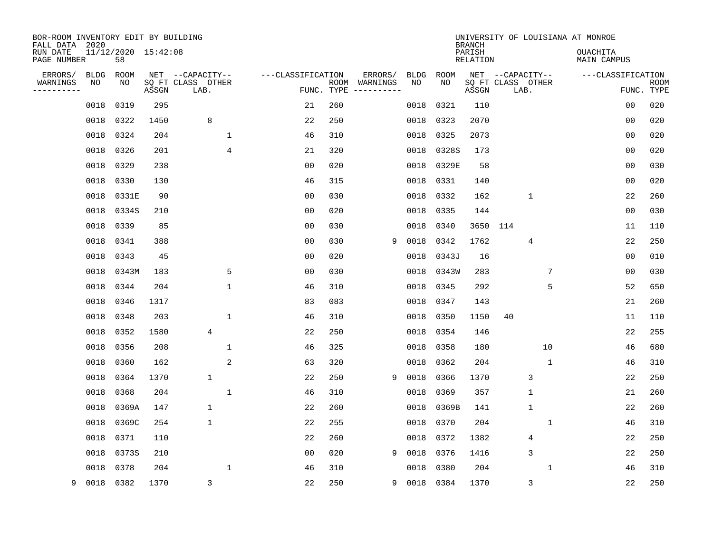| BOR-ROOM INVENTORY EDIT BY BUILDING<br>FALL DATA 2020<br>RUN DATE<br>PAGE NUMBER |             | 11/12/2020 15:42:08<br>58 |       |                           |                   |     |               |             |           | <b>BRANCH</b><br>PARISH<br>RELATION | UNIVERSITY OF LOUISIANA AT MONROE | <b>OUACHITA</b><br>MAIN CAMPUS |      |
|----------------------------------------------------------------------------------|-------------|---------------------------|-------|---------------------------|-------------------|-----|---------------|-------------|-----------|-------------------------------------|-----------------------------------|--------------------------------|------|
| ERRORS/                                                                          | <b>BLDG</b> | ROOM                      |       | NET --CAPACITY--          | ---CLASSIFICATION |     | ERRORS/       | <b>BLDG</b> | ROOM      |                                     | NET --CAPACITY--                  | ---CLASSIFICATION              |      |
| WARNINGS<br>----------                                                           | NO          | NO                        | ASSGN | SQ FT CLASS OTHER<br>LAB. | FUNC. TYPE        |     | ROOM WARNINGS | NO          | NO.       | ASSGN                               | SQ FT CLASS OTHER<br>LAB.         | FUNC. TYPE                     | ROOM |
|                                                                                  | 0018        | 0319                      | 295   |                           | 21                | 260 |               | 0018        | 0321      | 110                                 |                                   | 0 <sub>0</sub>                 | 020  |
|                                                                                  | 0018        | 0322                      | 1450  | 8                         | 22                | 250 |               | 0018        | 0323      | 2070                                |                                   | 0 <sub>0</sub>                 | 020  |
|                                                                                  | 0018        | 0324                      | 204   | 1                         | 46                | 310 |               | 0018        | 0325      | 2073                                |                                   | 00                             | 020  |
|                                                                                  | 0018        | 0326                      | 201   | 4                         | 21                | 320 |               | 0018        | 0328S     | 173                                 |                                   | 0 <sub>0</sub>                 | 020  |
|                                                                                  | 0018        | 0329                      | 238   |                           | 0 <sub>0</sub>    | 020 |               | 0018        | 0329E     | 58                                  |                                   | 0 <sub>0</sub>                 | 030  |
|                                                                                  | 0018        | 0330                      | 130   |                           | 46                | 315 |               |             | 0018 0331 | 140                                 |                                   | 0 <sub>0</sub>                 | 020  |
|                                                                                  | 0018        | 0331E                     | 90    |                           | 0 <sub>0</sub>    | 030 |               | 0018        | 0332      | 162                                 | $\mathbf{1}$                      | 22                             | 260  |
|                                                                                  | 0018        | 0334S                     | 210   |                           | 0 <sub>0</sub>    | 020 |               | 0018        | 0335      | 144                                 |                                   | 0 <sub>0</sub>                 | 030  |
|                                                                                  | 0018        | 0339                      | 85    |                           | 0 <sub>0</sub>    | 030 |               | 0018        | 0340      |                                     | 3650 114                          | 11                             | 110  |
|                                                                                  | 0018        | 0341                      | 388   |                           | 0 <sub>0</sub>    | 030 | 9             | 0018        | 0342      | 1762                                | 4                                 | 22                             | 250  |
|                                                                                  | 0018        | 0343                      | 45    |                           | 0 <sub>0</sub>    | 020 |               | 0018        | 0343J     | 16                                  |                                   | 0 <sub>0</sub>                 | 010  |
|                                                                                  | 0018        | 0343M                     | 183   | 5                         | 0 <sub>0</sub>    | 030 |               | 0018        | 0343W     | 283                                 | 7                                 | 0 <sub>0</sub>                 | 030  |
|                                                                                  | 0018        | 0344                      | 204   | $\mathbf{1}$              | 46                | 310 |               | 0018        | 0345      | 292                                 | 5                                 | 52                             | 650  |
|                                                                                  | 0018        | 0346                      | 1317  |                           | 83                | 083 |               | 0018        | 0347      | 143                                 |                                   | 21                             | 260  |
|                                                                                  | 0018        | 0348                      | 203   | 1                         | 46                | 310 |               | 0018        | 0350      | 1150                                | 40                                | 11                             | 110  |
|                                                                                  | 0018        | 0352                      | 1580  | 4                         | 22                | 250 |               | 0018        | 0354      | 146                                 |                                   | 22                             | 255  |
|                                                                                  | 0018        | 0356                      | 208   | $\mathbf{1}$              | 46                | 325 |               | 0018        | 0358      | 180                                 | 10                                | 46                             | 680  |
|                                                                                  | 0018        | 0360                      | 162   | 2                         | 63                | 320 |               | 0018        | 0362      | 204                                 | 1                                 | 46                             | 310  |
|                                                                                  | 0018        | 0364                      | 1370  | 1                         | 22                | 250 | 9             | 0018        | 0366      | 1370                                | 3                                 | 22                             | 250  |
|                                                                                  | 0018        | 0368                      | 204   | $\mathbf{1}$              | 46                | 310 |               | 0018        | 0369      | 357                                 | $\mathbf{1}$                      | 21                             | 260  |
|                                                                                  | 0018        | 0369A                     | 147   | 1                         | 22                | 260 |               | 0018        | 0369B     | 141                                 | $\mathbf{1}$                      | 22                             | 260  |
|                                                                                  | 0018        | 0369C                     | 254   | 1                         | 22                | 255 |               | 0018        | 0370      | 204                                 | 1                                 | 46                             | 310  |
|                                                                                  | 0018        | 0371                      | 110   |                           | 22                | 260 |               | 0018        | 0372      | 1382                                | 4                                 | 22                             | 250  |
|                                                                                  | 0018        | 0373S                     | 210   |                           | 0 <sub>0</sub>    | 020 | 9             | 0018        | 0376      | 1416                                | 3                                 | 22                             | 250  |
|                                                                                  | 0018        | 0378                      | 204   | 1                         | 46                | 310 |               | 0018        | 0380      | 204                                 | $\mathbf 1$                       | 46                             | 310  |
| 9                                                                                | 0018        | 0382                      | 1370  | 3                         | 22                | 250 | 9             |             | 0018 0384 | 1370                                | 3                                 | 22                             | 250  |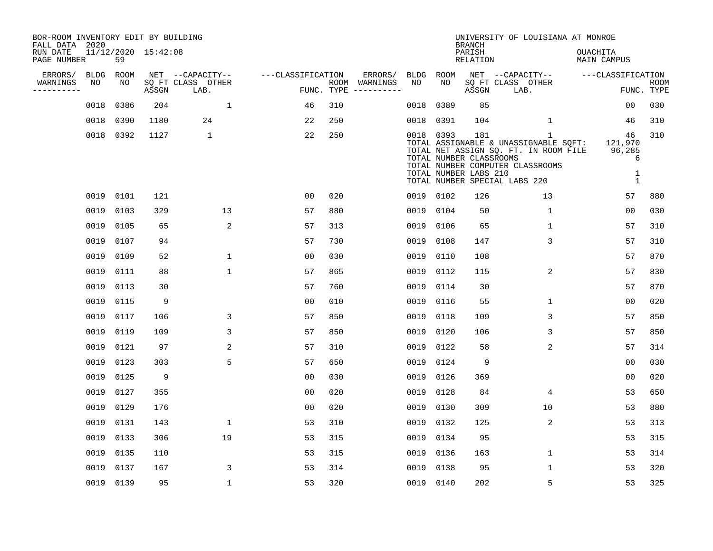| BOR-ROOM INVENTORY EDIT BY BUILDING<br>FALL DATA 2020 |             |           |                     |                           |                   |     |                                      |           |           | <b>BRANCH</b>                                           | UNIVERSITY OF LOUISIANA AT MONROE                                                                                                                                   |                                                   |                           |
|-------------------------------------------------------|-------------|-----------|---------------------|---------------------------|-------------------|-----|--------------------------------------|-----------|-----------|---------------------------------------------------------|---------------------------------------------------------------------------------------------------------------------------------------------------------------------|---------------------------------------------------|---------------------------|
| RUN DATE<br>PAGE NUMBER                               |             | 59        | 11/12/2020 15:42:08 |                           |                   |     |                                      |           |           | PARISH<br><b>RELATION</b>                               |                                                                                                                                                                     | OUACHITA<br><b>MAIN CAMPUS</b>                    |                           |
| ERRORS/                                               | <b>BLDG</b> | ROOM      |                     | NET --CAPACITY--          | ---CLASSIFICATION |     | ERRORS/                              | BLDG      | ROOM      |                                                         | NET --CAPACITY--                                                                                                                                                    | ---CLASSIFICATION                                 |                           |
| WARNINGS<br>----------                                | NO          | NO        | ASSGN               | SQ FT CLASS OTHER<br>LAB. |                   |     | ROOM WARNINGS<br>FUNC. TYPE $------$ | NO        | NO        | ASSGN                                                   | SQ FT CLASS OTHER<br>LAB.                                                                                                                                           |                                                   | <b>ROOM</b><br>FUNC. TYPE |
|                                                       | 0018        | 0386      | 204                 | $\mathbf 1$               | 46                | 310 |                                      | 0018      | 0389      | 85                                                      |                                                                                                                                                                     | 0 <sub>0</sub>                                    | 030                       |
|                                                       | 0018        | 0390      | 1180                | 24                        | 22                | 250 |                                      | 0018      | 0391      | 104                                                     | $\mathbf 1$                                                                                                                                                         | 46                                                | 310                       |
|                                                       |             | 0018 0392 | 1127                | $\mathbf{1}$              | 22                | 250 |                                      |           | 0018 0393 | 181<br>TOTAL NUMBER CLASSROOMS<br>TOTAL NUMBER LABS 210 | $\mathbf{1}$<br>TOTAL ASSIGNABLE & UNASSIGNABLE SQFT:<br>TOTAL NET ASSIGN SQ. FT. IN ROOM FILE<br>TOTAL NUMBER COMPUTER CLASSROOMS<br>TOTAL NUMBER SPECIAL LABS 220 | 46<br>121,970<br>96,285<br>6<br>1<br>$\mathbf{1}$ | 310                       |
|                                                       |             | 0019 0101 | 121                 |                           | 0 <sub>0</sub>    | 020 |                                      | 0019 0102 |           | 126                                                     | 13                                                                                                                                                                  | 57                                                | 880                       |
|                                                       | 0019        | 0103      | 329                 | 13                        | 57                | 880 |                                      | 0019 0104 |           | 50                                                      | $\mathbf{1}$                                                                                                                                                        | 0 <sub>0</sub>                                    | 030                       |
|                                                       | 0019        | 0105      | 65                  | $\overline{c}$            | 57                | 313 |                                      | 0019      | 0106      | 65                                                      | 1                                                                                                                                                                   | 57                                                | 310                       |
|                                                       | 0019        | 0107      | 94                  |                           | 57                | 730 |                                      | 0019      | 0108      | 147                                                     | 3                                                                                                                                                                   | 57                                                | 310                       |
|                                                       | 0019        | 0109      | 52                  | $\mathbf 1$               | 0 <sub>0</sub>    | 030 |                                      | 0019      | 0110      | 108                                                     |                                                                                                                                                                     | 57                                                | 870                       |
|                                                       | 0019        | 0111      | 88                  | $\mathbf{1}$              | 57                | 865 |                                      | 0019      | 0112      | 115                                                     | 2                                                                                                                                                                   | 57                                                | 830                       |
|                                                       | 0019        | 0113      | 30                  |                           | 57                | 760 |                                      | 0019      | 0114      | 30                                                      |                                                                                                                                                                     | 57                                                | 870                       |
|                                                       | 0019        | 0115      | 9                   |                           | 0 <sub>0</sub>    | 010 |                                      | 0019      | 0116      | 55                                                      | 1                                                                                                                                                                   | 00                                                | 020                       |
|                                                       | 0019        | 0117      | 106                 | 3                         | 57                | 850 |                                      | 0019      | 0118      | 109                                                     | 3                                                                                                                                                                   | 57                                                | 850                       |
|                                                       | 0019        | 0119      | 109                 | 3                         | 57                | 850 |                                      | 0019      | 0120      | 106                                                     | 3                                                                                                                                                                   | 57                                                | 850                       |
|                                                       | 0019        | 0121      | 97                  | $\overline{2}$            | 57                | 310 |                                      | 0019      | 0122      | 58                                                      | 2                                                                                                                                                                   | 57                                                | 314                       |
|                                                       | 0019        | 0123      | 303                 | 5                         | 57                | 650 |                                      | 0019      | 0124      | 9                                                       |                                                                                                                                                                     | 00                                                | 030                       |
|                                                       | 0019        | 0125      | 9                   |                           | 0 <sub>0</sub>    | 030 |                                      | 0019      | 0126      | 369                                                     |                                                                                                                                                                     | 00                                                | 020                       |
|                                                       | 0019        | 0127      | 355                 |                           | 0 <sub>0</sub>    | 020 |                                      | 0019      | 0128      | 84                                                      | 4                                                                                                                                                                   | 53                                                | 650                       |
|                                                       | 0019        | 0129      | 176                 |                           | 0 <sub>0</sub>    | 020 |                                      | 0019      | 0130      | 309                                                     | 10                                                                                                                                                                  | 53                                                | 880                       |
|                                                       | 0019        | 0131      | 143                 | $\mathbf{1}$              | 53                | 310 |                                      | 0019      | 0132      | 125                                                     | $\overline{c}$                                                                                                                                                      | 53                                                | 313                       |
|                                                       | 0019        | 0133      | 306                 | 19                        | 53                | 315 |                                      |           | 0019 0134 | 95                                                      |                                                                                                                                                                     | 53                                                | 315                       |
|                                                       | 0019        | 0135      | 110                 |                           | 53                | 315 |                                      | 0019      | 0136      | 163                                                     | $\mathbf 1$                                                                                                                                                         | 53                                                | 314                       |
|                                                       | 0019        | 0137      | 167                 | 3                         | 53                | 314 |                                      | 0019      | 0138      | 95                                                      | 1                                                                                                                                                                   | 53                                                | 320                       |
|                                                       |             | 0019 0139 | 95                  | $\mathbf{1}$              | 53                | 320 |                                      | 0019 0140 |           | 202                                                     | 5                                                                                                                                                                   | 53                                                | 325                       |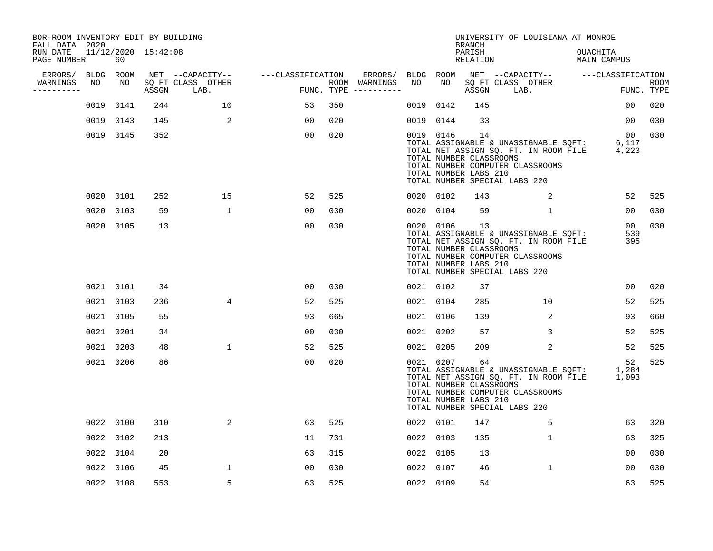| BOR-ROOM INVENTORY EDIT BY BUILDING<br>FALL DATA 2020 |    |           |                     |                                 |                   |     |                                      |           |           | <b>BRANCH</b>                                          | UNIVERSITY OF LOUISIANA AT MONROE                                                                                                                   |                                  |                               |             |
|-------------------------------------------------------|----|-----------|---------------------|---------------------------------|-------------------|-----|--------------------------------------|-----------|-----------|--------------------------------------------------------|-----------------------------------------------------------------------------------------------------------------------------------------------------|----------------------------------|-------------------------------|-------------|
| RUN DATE<br>PAGE NUMBER                               |    | 60        | 11/12/2020 15:42:08 |                                 |                   |     |                                      |           |           | PARISH<br>RELATION                                     |                                                                                                                                                     | OUACHITA<br>MAIN CAMPUS          |                               |             |
| ERRORS/                                               |    | BLDG ROOM |                     | NET --CAPACITY--                | ---CLASSIFICATION |     | ERRORS/                              | BLDG ROOM |           |                                                        | NET --CAPACITY-- ---CLASSIFICATION                                                                                                                  |                                  |                               |             |
| WARNINGS<br>-----------                               | NO | NO        |                     | SQ FT CLASS OTHER<br>ASSGN LAB. |                   |     | ROOM WARNINGS<br>FUNC. TYPE $------$ | NO        | NO        | ASSGN                                                  | SQ FT CLASS OTHER<br>LAB.                                                                                                                           |                                  | FUNC. TYPE                    | <b>ROOM</b> |
|                                                       |    | 0019 0141 | 244                 | 10                              | 53                | 350 |                                      | 0019      | 0142      | 145                                                    |                                                                                                                                                     |                                  | 00                            | 020         |
|                                                       |    | 0019 0143 | 145                 | 2                               | 00                | 020 |                                      | 0019 0144 |           | 33                                                     |                                                                                                                                                     |                                  | 00                            | 030         |
|                                                       |    | 0019 0145 | 352                 |                                 | 00                | 020 |                                      |           | 0019 0146 | 14<br>TOTAL NUMBER CLASSROOMS<br>TOTAL NUMBER LABS 210 | TOTAL ASSIGNABLE & UNASSIGNABLE SOFT:<br>TOTAL NET ASSIGN SQ. FT. IN ROOM FILE<br>TOTAL NUMBER COMPUTER CLASSROOMS<br>TOTAL NUMBER SPECIAL LABS 220 | 0 <sub>0</sub><br>6,117<br>4,223 |                               | 030         |
|                                                       |    | 0020 0101 | 252                 | 15                              | 52                | 525 |                                      | 0020 0102 |           | 143                                                    | 2                                                                                                                                                   |                                  | 52                            | 525         |
|                                                       |    | 0020 0103 | 59                  | $\mathbf{1}$                    | 0 <sub>0</sub>    | 030 |                                      |           | 0020 0104 | 59                                                     | $\mathbf{1}$                                                                                                                                        |                                  | 00                            | 030         |
|                                                       |    | 0020 0105 | 13                  |                                 | 0 <sub>0</sub>    | 030 |                                      | 0020 0106 |           | 13<br>TOTAL NUMBER CLASSROOMS<br>TOTAL NUMBER LABS 210 | TOTAL ASSIGNABLE & UNASSIGNABLE SQFT:<br>TOTAL NET ASSIGN SQ. FT. IN ROOM FILE<br>TOTAL NUMBER COMPUTER CLASSROOMS<br>TOTAL NUMBER SPECIAL LABS 220 |                                  | 00 <sub>o</sub><br>539<br>395 | 030         |
|                                                       |    | 0021 0101 | 34                  |                                 | 0 <sub>0</sub>    | 030 |                                      | 0021 0102 |           | 37                                                     |                                                                                                                                                     |                                  | 0 <sub>0</sub>                | 020         |
|                                                       |    | 0021 0103 | 236                 | 4                               | 52                | 525 |                                      | 0021 0104 |           | 285                                                    | 10                                                                                                                                                  |                                  | 52                            | 525         |
|                                                       |    | 0021 0105 | 55                  |                                 | 93                | 665 |                                      | 0021 0106 |           | 139                                                    | 2                                                                                                                                                   |                                  | 93                            | 660         |
|                                                       |    | 0021 0201 | 34                  |                                 | 0 <sub>0</sub>    | 030 |                                      | 0021 0202 |           | 57                                                     | 3                                                                                                                                                   |                                  | 52                            | 525         |
|                                                       |    | 0021 0203 | 48                  | $\mathbf{1}$                    | 52                | 525 |                                      | 0021 0205 |           | 209                                                    | 2                                                                                                                                                   |                                  | 52                            | 525         |
|                                                       |    | 0021 0206 | 86                  |                                 | 0 <sub>0</sub>    | 020 |                                      | 0021 0207 |           | 64<br>TOTAL NUMBER CLASSROOMS<br>TOTAL NUMBER LABS 210 | TOTAL ASSIGNABLE & UNASSIGNABLE SQFT:<br>TOTAL NET ASSIGN SQ. FT. IN ROOM FILE<br>TOTAL NUMBER COMPUTER CLASSROOMS<br>TOTAL NUMBER SPECIAL LABS 220 | 1,284<br>1,093                   | 52                            | 525         |
|                                                       |    | 0022 0100 | 310                 | 2                               | 63                | 525 |                                      | 0022 0101 |           | 147                                                    | 5                                                                                                                                                   |                                  | 63                            | 320         |
|                                                       |    | 0022 0102 | 213                 |                                 | 11                | 731 |                                      | 0022 0103 |           | 135                                                    | $\mathbf 1$                                                                                                                                         |                                  | 63                            | 325         |
|                                                       |    | 0022 0104 | 20                  |                                 | 63                | 315 |                                      | 0022      | 0105      | 13                                                     |                                                                                                                                                     |                                  | 00                            | 030         |
|                                                       |    | 0022 0106 | 45                  | 1                               | 00                | 030 |                                      | 0022      | 0107      | 46                                                     | 1                                                                                                                                                   |                                  | 00                            | 030         |
|                                                       |    | 0022 0108 | 553                 | 5                               | 63                | 525 |                                      | 0022 0109 |           | 54                                                     |                                                                                                                                                     |                                  | 63                            | 525         |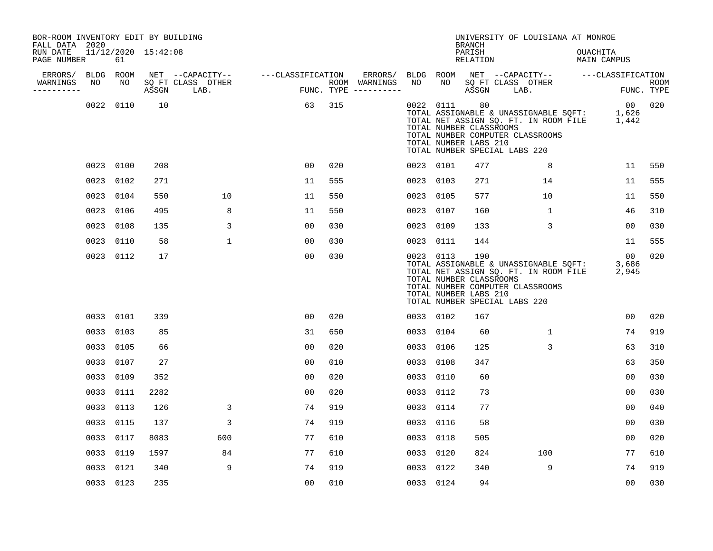| BOR-ROOM INVENTORY EDIT BY BUILDING<br>FALL DATA 2020 |                 |           |                     |                                               |                   |     |                                                 |                 |           | <b>BRANCH</b>                                           | UNIVERSITY OF LOUISIANA AT MONROE                                                                                                                   |                           |                           |
|-------------------------------------------------------|-----------------|-----------|---------------------|-----------------------------------------------|-------------------|-----|-------------------------------------------------|-----------------|-----------|---------------------------------------------------------|-----------------------------------------------------------------------------------------------------------------------------------------------------|---------------------------|---------------------------|
| RUN DATE<br>PAGE NUMBER                               |                 | 61        | 11/12/2020 15:42:08 |                                               |                   |     |                                                 |                 |           | PARISH<br><b>RELATION</b>                               |                                                                                                                                                     | OUACHITA<br>MAIN CAMPUS   |                           |
| ERRORS/<br>WARNINGS<br>-----------                    | BLDG ROOM<br>NO | NO        | ASSGN               | NET --CAPACITY--<br>SQ FT CLASS OTHER<br>LAB. | ---CLASSIFICATION |     | ERRORS/<br>ROOM WARNINGS<br>FUNC. TYPE $------$ | BLDG ROOM<br>NO | NO        | ASSGN                                                   | NET --CAPACITY-- ---CLASSIFICATION<br>SQ FT CLASS OTHER<br>LAB.                                                                                     |                           | <b>ROOM</b><br>FUNC. TYPE |
|                                                       |                 | 0022 0110 | 10                  |                                               | 63                | 315 |                                                 |                 | 0022 0111 | 80<br>TOTAL NUMBER CLASSROOMS<br>TOTAL NUMBER LABS 210  | TOTAL ASSIGNABLE & UNASSIGNABLE SQFT:<br>TOTAL NET ASSIGN SQ. FT. IN ROOM FILE<br>TOTAL NUMBER COMPUTER CLASSROOMS<br>TOTAL NUMBER SPECIAL LABS 220 | 00<br>1,626<br>1,442      | 020                       |
|                                                       |                 | 0023 0100 | 208                 |                                               | 0 <sub>0</sub>    | 020 |                                                 |                 | 0023 0101 | 477                                                     | 8                                                                                                                                                   | 11                        | 550                       |
|                                                       |                 | 0023 0102 | 271                 |                                               | 11                | 555 |                                                 |                 | 0023 0103 | 271                                                     | 14                                                                                                                                                  | 11                        | 555                       |
|                                                       |                 | 0023 0104 | 550                 | 10                                            | 11                | 550 |                                                 | 0023 0105       |           | 577                                                     | 10                                                                                                                                                  | 11                        | 550                       |
|                                                       |                 | 0023 0106 | 495                 | 8                                             | 11                | 550 |                                                 |                 | 0023 0107 | 160                                                     | $\mathbf{1}$                                                                                                                                        | 46                        | 310                       |
|                                                       | 0023            | 0108      | 135                 | 3                                             | 0 <sub>0</sub>    | 030 |                                                 | 0023 0109       |           | 133                                                     | 3                                                                                                                                                   | 0 <sub>0</sub>            | 030                       |
|                                                       |                 | 0023 0110 | 58                  | $\mathbf{1}$                                  | 0 <sub>0</sub>    | 030 |                                                 | 0023 0111       |           | 144                                                     |                                                                                                                                                     | 11                        | 555                       |
|                                                       |                 | 0023 0112 | 17                  |                                               | 0 <sub>0</sub>    | 030 |                                                 |                 | 0023 0113 | 190<br>TOTAL NUMBER CLASSROOMS<br>TOTAL NUMBER LABS 210 | TOTAL ASSIGNABLE & UNASSIGNABLE SQFT:<br>TOTAL NET ASSIGN SQ. FT. IN ROOM FILE<br>TOTAL NUMBER COMPUTER CLASSROOMS<br>TOTAL NUMBER SPECIAL LABS 220 | $00 \,$<br>3,686<br>2,945 | 020                       |
|                                                       |                 | 0033 0101 | 339                 |                                               | 0 <sub>0</sub>    | 020 |                                                 |                 | 0033 0102 | 167                                                     |                                                                                                                                                     | 0 <sub>0</sub>            | 020                       |
|                                                       |                 | 0033 0103 | 85                  |                                               | 31                | 650 |                                                 |                 | 0033 0104 | 60                                                      | $\mathbf{1}$                                                                                                                                        | 74                        | 919                       |
|                                                       |                 | 0033 0105 | 66                  |                                               | 0 <sub>0</sub>    | 020 |                                                 |                 | 0033 0106 | 125                                                     | 3                                                                                                                                                   | 63                        | 310                       |
|                                                       |                 | 0033 0107 | 27                  |                                               | 0 <sub>0</sub>    | 010 |                                                 |                 | 0033 0108 | 347                                                     |                                                                                                                                                     | 63                        | 350                       |
|                                                       |                 | 0033 0109 | 352                 |                                               | 0 <sub>0</sub>    | 020 |                                                 |                 | 0033 0110 | 60                                                      |                                                                                                                                                     | 0 <sub>0</sub>            | 030                       |
|                                                       |                 | 0033 0111 | 2282                |                                               | 00                | 020 |                                                 |                 | 0033 0112 | 73                                                      |                                                                                                                                                     | 0 <sub>0</sub>            | 030                       |
|                                                       |                 | 0033 0113 | 126                 | 3                                             | 74                | 919 |                                                 |                 | 0033 0114 | 77                                                      |                                                                                                                                                     | 0 <sub>0</sub>            | 040                       |
|                                                       |                 | 0033 0115 | 137                 | 3                                             | 74                | 919 |                                                 | 0033            | 0116      | 58                                                      |                                                                                                                                                     | 00                        | 030                       |
|                                                       | 0033 0117       |           | 8083                | 600                                           | 77                | 610 |                                                 | 0033 0118       |           | 505                                                     |                                                                                                                                                     | 0 <sub>0</sub>            | 020                       |
|                                                       |                 | 0033 0119 | 1597                | 84                                            | 77                | 610 |                                                 | 0033 0120       |           | 824                                                     | 100                                                                                                                                                 | 77                        | 610                       |
|                                                       |                 | 0033 0121 | 340                 | 9                                             | 74                | 919 |                                                 |                 | 0033 0122 | 340                                                     | 9                                                                                                                                                   | 74                        | 919                       |
|                                                       |                 | 0033 0123 | 235                 |                                               | 0 <sub>0</sub>    | 010 |                                                 |                 | 0033 0124 | 94                                                      |                                                                                                                                                     | 0 <sub>0</sub>            | 030                       |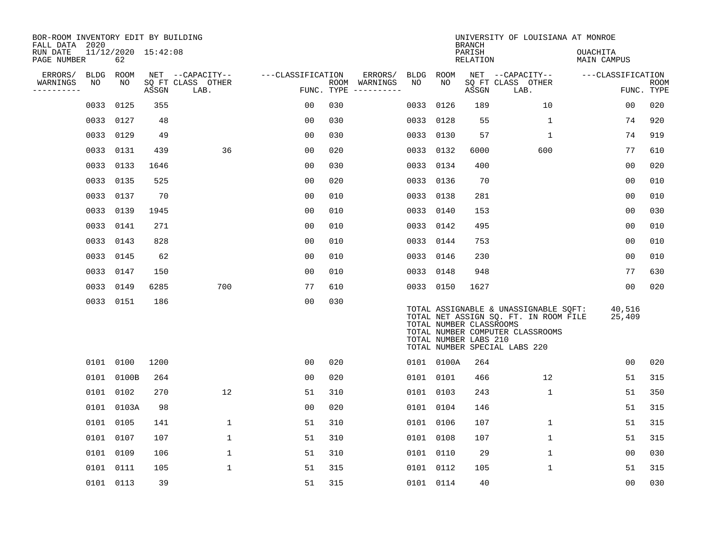| BOR-ROOM INVENTORY EDIT BY BUILDING<br>FALL DATA 2020 |             |                           |       |                           |                   |            |                              |           |            | <b>BRANCH</b>                                    | UNIVERSITY OF LOUISIANA AT MONROE                                                                                                                   |                                |                           |
|-------------------------------------------------------|-------------|---------------------------|-------|---------------------------|-------------------|------------|------------------------------|-----------|------------|--------------------------------------------------|-----------------------------------------------------------------------------------------------------------------------------------------------------|--------------------------------|---------------------------|
| RUN DATE<br>PAGE NUMBER                               |             | 11/12/2020 15:42:08<br>62 |       |                           |                   |            |                              |           |            | PARISH<br>RELATION                               |                                                                                                                                                     | <b>OUACHITA</b><br>MAIN CAMPUS |                           |
| ERRORS/                                               | <b>BLDG</b> | ROOM                      |       | NET --CAPACITY--          | ---CLASSIFICATION |            | ERRORS/                      | BLDG ROOM |            |                                                  | NET --CAPACITY--                                                                                                                                    | ---CLASSIFICATION              |                           |
| WARNINGS<br>----------                                | NO          | NO                        | ASSGN | SQ FT CLASS OTHER<br>LAB. |                   | FUNC. TYPE | ROOM WARNINGS<br>----------- | NO        | NO         | ASSGN                                            | SQ FT CLASS OTHER<br>LAB.                                                                                                                           |                                | <b>ROOM</b><br>FUNC. TYPE |
|                                                       | 0033        | 0125                      | 355   |                           | 00                | 030        |                              | 0033      | 0126       | 189                                              | 10                                                                                                                                                  | 00                             | 020                       |
|                                                       | 0033        | 0127                      | 48    |                           | 0 <sub>0</sub>    | 030        |                              |           | 0033 0128  | 55                                               | $\mathbf 1$                                                                                                                                         | 74                             | 920                       |
|                                                       | 0033        | 0129                      | 49    |                           | 0 <sub>0</sub>    | 030        |                              | 0033 0130 |            | 57                                               | $\mathbf{1}$                                                                                                                                        | 74                             | 919                       |
|                                                       | 0033        | 0131                      | 439   | 36                        | 0 <sub>0</sub>    | 020        |                              |           | 0033 0132  | 6000                                             | 600                                                                                                                                                 | 77                             | 610                       |
|                                                       | 0033        | 0133                      | 1646  |                           | 00                | 030        |                              |           | 0033 0134  | 400                                              |                                                                                                                                                     | 0 <sub>0</sub>                 | 020                       |
|                                                       | 0033        | 0135                      | 525   |                           | 0 <sub>0</sub>    | 020        |                              |           | 0033 0136  | 70                                               |                                                                                                                                                     | 0 <sub>0</sub>                 | 010                       |
|                                                       | 0033        | 0137                      | 70    |                           | 00                | 010        |                              | 0033 0138 |            | 281                                              |                                                                                                                                                     | 0 <sub>0</sub>                 | 010                       |
|                                                       | 0033        | 0139                      | 1945  |                           | 0 <sup>0</sup>    | 010        |                              | 0033 0140 |            | 153                                              |                                                                                                                                                     | 00                             | 030                       |
|                                                       | 0033        | 0141                      | 271   |                           | 0 <sub>0</sub>    | 010        |                              |           | 0033 0142  | 495                                              |                                                                                                                                                     | 0 <sub>0</sub>                 | 010                       |
|                                                       | 0033        | 0143                      | 828   |                           | 0 <sub>0</sub>    | 010        |                              | 0033 0144 |            | 753                                              |                                                                                                                                                     | 0 <sub>0</sub>                 | 010                       |
|                                                       | 0033        | 0145                      | 62    |                           | 0 <sup>0</sup>    | 010        |                              |           | 0033 0146  | 230                                              |                                                                                                                                                     | 0 <sub>0</sub>                 | 010                       |
|                                                       |             | 0033 0147                 | 150   |                           | 0 <sub>0</sub>    | 010        |                              | 0033 0148 |            | 948                                              |                                                                                                                                                     | 77                             | 630                       |
|                                                       | 0033        | 0149                      | 6285  | 700                       | 77                | 610        |                              |           | 0033 0150  | 1627                                             |                                                                                                                                                     | 00                             | 020                       |
|                                                       |             | 0033 0151                 | 186   |                           | 00                | 030        |                              |           |            | TOTAL NUMBER CLASSROOMS<br>TOTAL NUMBER LABS 210 | TOTAL ASSIGNABLE & UNASSIGNABLE SQFT:<br>TOTAL NET ASSIGN SQ. FT. IN ROOM FILE<br>TOTAL NUMBER COMPUTER CLASSROOMS<br>TOTAL NUMBER SPECIAL LABS 220 | 40,516<br>25,409               |                           |
|                                                       |             | 0101 0100                 | 1200  |                           | 00                | 020        |                              |           | 0101 0100A | 264                                              |                                                                                                                                                     | 0 <sub>0</sub>                 | 020                       |
|                                                       |             | 0101 0100B                | 264   |                           | 0 <sub>0</sub>    | 020        |                              |           | 0101 0101  | 466                                              | 12                                                                                                                                                  | 51                             | 315                       |
|                                                       | 0101        | 0102                      | 270   | 12                        | 51                | 310        |                              | 0101 0103 |            | 243                                              | $\mathbf{1}$                                                                                                                                        | 51                             | 350                       |
|                                                       |             | 0101 0103A                | 98    |                           | 0 <sub>0</sub>    | 020        |                              |           | 0101 0104  | 146                                              |                                                                                                                                                     | 51                             | 315                       |
|                                                       | 0101        | 0105                      | 141   | $\mathbf 1$               | 51                | 310        |                              | 0101 0106 |            | 107                                              | $\mathbf 1$                                                                                                                                         | 51                             | 315                       |
|                                                       |             | 0101 0107                 | 107   | 1                         | 51                | 310        |                              | 0101 0108 |            | 107                                              | $\mathbf 1$                                                                                                                                         | 51                             | 315                       |
|                                                       | 0101        | 0109                      | 106   | 1                         | 51                | 310        |                              | 0101 0110 |            | 29                                               | $\mathbf 1$                                                                                                                                         | 0 <sub>0</sub>                 | 030                       |
|                                                       |             | 0101 0111                 | 105   | $\mathbf 1$               | 51                | 315        |                              |           | 0101 0112  | 105                                              | $\mathbf{1}$                                                                                                                                        | 51                             | 315                       |
|                                                       |             | 0101 0113                 | 39    |                           | 51                | 315        |                              |           | 0101 0114  | 40                                               |                                                                                                                                                     | 0 <sub>0</sub>                 | 030                       |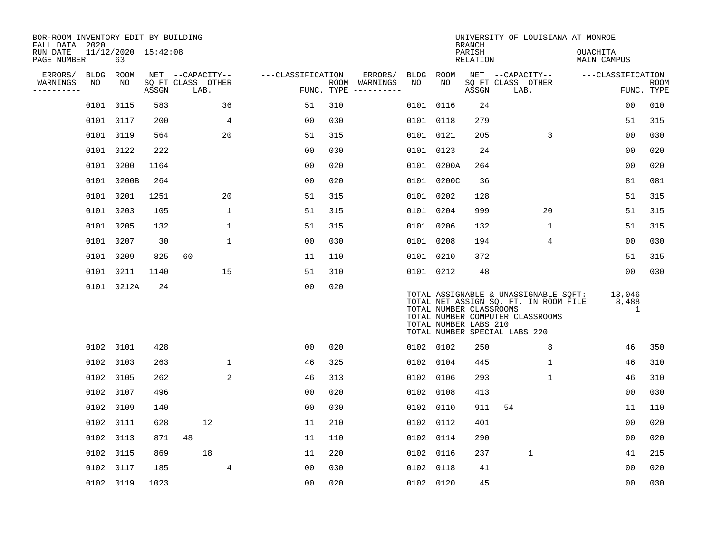| BOR-ROOM INVENTORY EDIT BY BUILDING<br>FALL DATA 2020 |             |                           |       |                           |                   |            |                              |           |            | <b>BRANCH</b>                                    | UNIVERSITY OF LOUISIANA AT MONROE                                                                                                                   |                                |                    |
|-------------------------------------------------------|-------------|---------------------------|-------|---------------------------|-------------------|------------|------------------------------|-----------|------------|--------------------------------------------------|-----------------------------------------------------------------------------------------------------------------------------------------------------|--------------------------------|--------------------|
| RUN DATE<br>PAGE NUMBER                               |             | 11/12/2020 15:42:08<br>63 |       |                           |                   |            |                              |           |            | PARISH<br>RELATION                               |                                                                                                                                                     | OUACHITA<br>MAIN CAMPUS        |                    |
| ERRORS/                                               | <b>BLDG</b> | ROOM                      |       | NET --CAPACITY--          | ---CLASSIFICATION |            | ERRORS/                      | BLDG ROOM |            |                                                  | NET --CAPACITY--                                                                                                                                    | ---CLASSIFICATION              |                    |
| WARNINGS<br>----------                                | NO          | NO                        | ASSGN | SQ FT CLASS OTHER<br>LAB. |                   | FUNC. TYPE | ROOM WARNINGS<br>----------- | NO        | NO         | ASSGN                                            | SQ FT CLASS OTHER<br>LAB.                                                                                                                           |                                | ROOM<br>FUNC. TYPE |
|                                                       | 0101 0115   |                           | 583   | 36                        | 51                | 310        |                              | 0101 0116 |            | 24                                               |                                                                                                                                                     | 00                             | 010                |
|                                                       |             | 0101 0117                 | 200   | 4                         | 00                | 030        |                              | 0101 0118 |            | 279                                              |                                                                                                                                                     | 51                             | 315                |
|                                                       | 0101 0119   |                           | 564   | 20                        | 51                | 315        |                              | 0101 0121 |            | 205                                              | 3                                                                                                                                                   | 00                             | 030                |
|                                                       |             | 0101 0122                 | 222   |                           | 0 <sub>0</sub>    | 030        |                              | 0101 0123 |            | 24                                               |                                                                                                                                                     | 00                             | 020                |
|                                                       | 0101        | 0200                      | 1164  |                           | 00                | 020        |                              |           | 0101 0200A | 264                                              |                                                                                                                                                     | 0 <sub>0</sub>                 | 020                |
|                                                       |             | 0101 0200B                | 264   |                           | 0 <sub>0</sub>    | 020        |                              |           | 0101 0200C | 36                                               |                                                                                                                                                     | 81                             | 081                |
|                                                       | 0101 0201   |                           | 1251  | 20                        | 51                | 315        |                              | 0101 0202 |            | 128                                              |                                                                                                                                                     | 51                             | 315                |
|                                                       |             | 0101 0203                 | 105   | $\mathbf{1}$              | 51                | 315        |                              | 0101 0204 |            | 999                                              | 20                                                                                                                                                  | 51                             | 315                |
|                                                       | 0101        | 0205                      | 132   | 1                         | 51                | 315        |                              | 0101 0206 |            | 132                                              | 1                                                                                                                                                   | 51                             | 315                |
|                                                       | 0101        | 0207                      | 30    | $\mathbf 1$               | 0 <sub>0</sub>    | 030        |                              | 0101 0208 |            | 194                                              | 4                                                                                                                                                   | 0 <sub>0</sub>                 | 030                |
|                                                       | 0101        | 0209                      | 825   | 60                        | 11                | 110        |                              | 0101 0210 |            | 372                                              |                                                                                                                                                     | 51                             | 315                |
|                                                       | 0101 0211   |                           | 1140  | 15                        | 51                | 310        |                              | 0101 0212 |            | 48                                               |                                                                                                                                                     | 00                             | 030                |
|                                                       |             | 0101 0212A                | 24    |                           | 0 <sub>0</sub>    | 020        |                              |           |            | TOTAL NUMBER CLASSROOMS<br>TOTAL NUMBER LABS 210 | TOTAL ASSIGNABLE & UNASSIGNABLE SQFT:<br>TOTAL NET ASSIGN SQ. FT. IN ROOM FILE<br>TOTAL NUMBER COMPUTER CLASSROOMS<br>TOTAL NUMBER SPECIAL LABS 220 | 13,046<br>8,488<br>$\mathbf 1$ |                    |
|                                                       | 0102 0101   |                           | 428   |                           | 0 <sub>0</sub>    | 020        |                              | 0102 0102 |            | 250                                              | 8                                                                                                                                                   | 46                             | 350                |
|                                                       | 0102        | 0103                      | 263   | $\mathbf 1$               | 46                | 325        |                              | 0102 0104 |            | 445                                              | $\mathbf{1}$                                                                                                                                        | 46                             | 310                |
|                                                       |             | 0102 0105                 | 262   | 2                         | 46                | 313        |                              | 0102 0106 |            | 293                                              | $\mathbf 1$                                                                                                                                         | 46                             | 310                |
|                                                       | 0102        | 0107                      | 496   |                           | 00                | 020        |                              | 0102 0108 |            | 413                                              |                                                                                                                                                     | 00                             | 030                |
|                                                       | 0102        | 0109                      | 140   |                           | 0 <sub>0</sub>    | 030        |                              | 0102 0110 |            | 911                                              | 54                                                                                                                                                  | 11                             | 110                |
|                                                       | 0102        | 0111                      | 628   | 12                        | 11                | 210        |                              | 0102 0112 |            | 401                                              |                                                                                                                                                     | 0 <sub>0</sub>                 | 020                |
|                                                       | 0102        | 0113                      | 871   | 48                        | 11                | 110        |                              | 0102 0114 |            | 290                                              |                                                                                                                                                     | 0 <sub>0</sub>                 | 020                |
|                                                       | 0102        | 0115                      | 869   | 18                        | 11                | 220        |                              | 0102      | 0116       | 237                                              | $\mathbf{1}$                                                                                                                                        | 41                             | 215                |
|                                                       | 0102 0117   |                           | 185   | 4                         | 00                | 030        |                              | 0102      | 0118       | 41                                               |                                                                                                                                                     | 00                             | 020                |
|                                                       |             | 0102 0119                 | 1023  |                           | 0 <sub>0</sub>    | 020        |                              | 0102 0120 |            | 45                                               |                                                                                                                                                     | 0 <sub>0</sub>                 | 030                |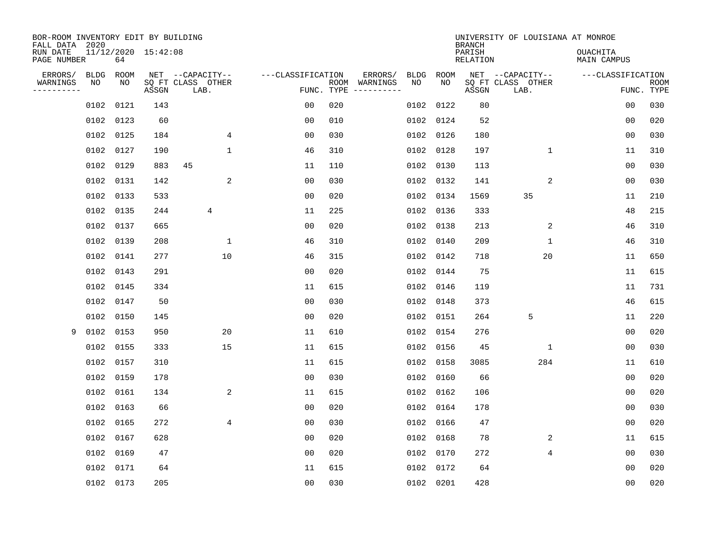| BOR-ROOM INVENTORY EDIT BY BUILDING<br>FALL DATA 2020 |             |           |                     |                           |                   |                    |          |             |           | <b>BRANCH</b>             | UNIVERSITY OF LOUISIANA AT MONROE |                                |                           |
|-------------------------------------------------------|-------------|-----------|---------------------|---------------------------|-------------------|--------------------|----------|-------------|-----------|---------------------------|-----------------------------------|--------------------------------|---------------------------|
| RUN DATE<br>PAGE NUMBER                               |             | 64        | 11/12/2020 15:42:08 |                           |                   |                    |          |             |           | PARISH<br><b>RELATION</b> |                                   | OUACHITA<br><b>MAIN CAMPUS</b> |                           |
| ERRORS/                                               | <b>BLDG</b> | ROOM      |                     | NET --CAPACITY--          | ---CLASSIFICATION |                    | ERRORS/  | <b>BLDG</b> | ROOM      |                           | NET --CAPACITY--                  | ---CLASSIFICATION              |                           |
| WARNINGS<br>-----------                               | NO          | NO        | ASSGN               | SQ FT CLASS OTHER<br>LAB. |                   | ROOM<br>FUNC. TYPE | WARNINGS | NO          | NO        | ASSGN                     | SQ FT CLASS OTHER<br>LAB.         |                                | <b>ROOM</b><br>FUNC. TYPE |
|                                                       | 0102        | 0121      | 143                 |                           | 00                | 020                |          | 0102        | 0122      | 80                        |                                   | 00                             | 030                       |
|                                                       | 0102        | 0123      | 60                  |                           | 00                | 010                |          | 0102        | 0124      | 52                        |                                   | 00                             | 020                       |
|                                                       | 0102        | 0125      | 184                 | 4                         | 0 <sub>0</sub>    | 030                |          |             | 0102 0126 | 180                       |                                   | 0 <sub>0</sub>                 | 030                       |
|                                                       |             | 0102 0127 | 190                 | 1                         | 46                | 310                |          |             | 0102 0128 | 197                       | $\mathbf 1$                       | 11                             | 310                       |
|                                                       | 0102        | 0129      | 883                 | 45                        | 11                | 110                |          | 0102        | 0130      | 113                       |                                   | 0 <sub>0</sub>                 | 030                       |
|                                                       |             | 0102 0131 | 142                 | 2                         | 0 <sub>0</sub>    | 030                |          |             | 0102 0132 | 141                       | 2                                 | 0 <sub>0</sub>                 | 030                       |
|                                                       | 0102        | 0133      | 533                 |                           | 0 <sub>0</sub>    | 020                |          | 0102        | 0134      | 1569                      | 35                                | 11                             | 210                       |
|                                                       |             | 0102 0135 | 244                 | 4                         | 11                | 225                |          | 0102        | 0136      | 333                       |                                   | 48                             | 215                       |
|                                                       | 0102        | 0137      | 665                 |                           | 0 <sub>0</sub>    | 020                |          | 0102        | 0138      | 213                       | 2                                 | 46                             | 310                       |
|                                                       |             | 0102 0139 | 208                 | 1                         | 46                | 310                |          |             | 0102 0140 | 209                       | $\mathbf{1}$                      | 46                             | 310                       |
|                                                       |             | 0102 0141 | 277                 | 10                        | 46                | 315                |          | 0102        | 0142      | 718                       | 20                                | 11                             | 650                       |
|                                                       |             | 0102 0143 | 291                 |                           | 0 <sub>0</sub>    | 020                |          | 0102        | 0144      | 75                        |                                   | 11                             | 615                       |
|                                                       | 0102        | 0145      | 334                 |                           | 11                | 615                |          | 0102        | 0146      | 119                       |                                   | 11                             | 731                       |
|                                                       |             | 0102 0147 | 50                  |                           | 0 <sub>0</sub>    | 030                |          | 0102        | 0148      | 373                       |                                   | 46                             | 615                       |
|                                                       |             | 0102 0150 | 145                 |                           | 0 <sub>0</sub>    | 020                |          | 0102        | 0151      | 264                       | 5                                 | 11                             | 220                       |
| 9                                                     | 0102 0153   |           | 950                 | 20                        | 11                | 610                |          | 0102        | 0154      | 276                       |                                   | 00                             | 020                       |
|                                                       | 0102        | 0155      | 333                 | 15                        | 11                | 615                |          | 0102        | 0156      | 45                        | 1                                 | 0 <sub>0</sub>                 | 030                       |
|                                                       | 0102        | 0157      | 310                 |                           | 11                | 615                |          | 0102        | 0158      | 3085                      | 284                               | 11                             | 610                       |
|                                                       |             | 0102 0159 | 178                 |                           | 0 <sub>0</sub>    | 030                |          | 0102        | 0160      | 66                        |                                   | 0 <sub>0</sub>                 | 020                       |
|                                                       |             | 0102 0161 | 134                 | 2                         | 11                | 615                |          |             | 0102 0162 | 106                       |                                   | 0 <sub>0</sub>                 | 020                       |
|                                                       | 0102        | 0163      | 66                  |                           | 0 <sub>0</sub>    | 020                |          |             | 0102 0164 | 178                       |                                   | 0 <sub>0</sub>                 | 030                       |
|                                                       | 0102        | 0165      | 272                 | $\overline{4}$            | 0 <sub>0</sub>    | 030                |          | 0102        | 0166      | 47                        |                                   | 0 <sub>0</sub>                 | 020                       |
|                                                       |             | 0102 0167 | 628                 |                           | 0 <sub>0</sub>    | 020                |          |             | 0102 0168 | 78                        | 2                                 | 11                             | 615                       |
|                                                       | 0102        | 0169      | 47                  |                           | 0 <sub>0</sub>    | 020                |          | 0102        | 0170      | 272                       | 4                                 | 0 <sub>0</sub>                 | 030                       |
|                                                       | 0102        | 0171      | 64                  |                           | 11                | 615                |          |             | 0102 0172 | 64                        |                                   | 0 <sub>0</sub>                 | 020                       |
|                                                       |             | 0102 0173 | 205                 |                           | 0 <sub>0</sub>    | 030                |          |             | 0102 0201 | 428                       |                                   | 00                             | 020                       |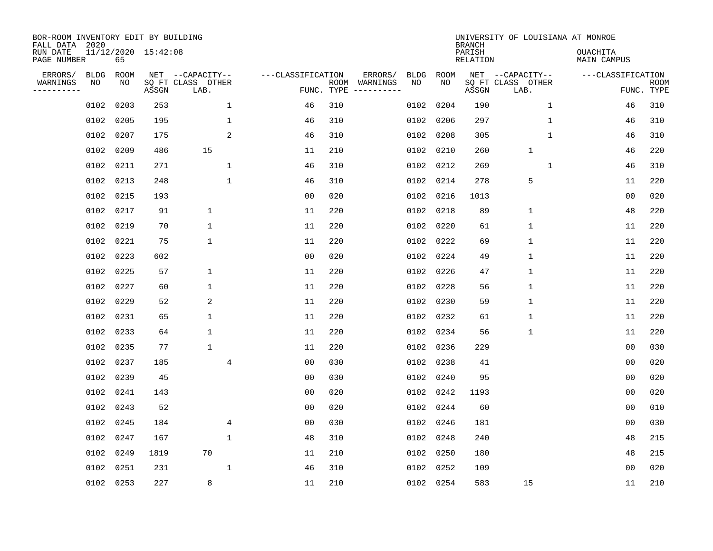| BOR-ROOM INVENTORY EDIT BY BUILDING<br>FALL DATA 2020 |                   |            |                     |                                       |                   |            |                     |                   |             | <b>BRANCH</b>             | UNIVERSITY OF LOUISIANA AT MONROE     |                                |             |
|-------------------------------------------------------|-------------------|------------|---------------------|---------------------------------------|-------------------|------------|---------------------|-------------------|-------------|---------------------------|---------------------------------------|--------------------------------|-------------|
| RUN DATE<br>PAGE NUMBER                               |                   | 65         | 11/12/2020 15:42:08 |                                       |                   |            |                     |                   |             | PARISH<br><b>RELATION</b> |                                       | <b>OUACHITA</b><br>MAIN CAMPUS |             |
| ERRORS/<br>WARNINGS                                   | <b>BLDG</b><br>NO | ROOM<br>NO |                     | NET --CAPACITY--<br>SQ FT CLASS OTHER | ---CLASSIFICATION | ROOM       | ERRORS/<br>WARNINGS | <b>BLDG</b><br>NO | ROOM<br>NO. |                           | NET --CAPACITY--<br>SQ FT CLASS OTHER | ---CLASSIFICATION              | <b>ROOM</b> |
| .                                                     |                   |            | ASSGN               | LAB.                                  |                   | FUNC. TYPE |                     |                   |             | ASSGN                     | LAB.                                  |                                | FUNC. TYPE  |
|                                                       | 0102              | 0203       | 253                 | $\mathbf 1$                           | 46                | 310        |                     | 0102              | 0204        | 190                       | $\mathbf 1$                           | 46                             | 310         |
|                                                       | 0102              | 0205       | 195                 | $\mathbf 1$                           | 46                | 310        |                     | 0102              | 0206        | 297                       | $\mathbf{1}$                          | 46                             | 310         |
|                                                       | 0102              | 0207       | 175                 | 2                                     | 46                | 310        |                     | 0102              | 0208        | 305                       | $\mathbf{1}$                          | 46                             | 310         |
|                                                       | 0102              | 0209       | 486                 | 15                                    | 11                | 210        |                     | 0102              | 0210        | 260                       | $\mathbf{1}$                          | 46                             | 220         |
|                                                       | 0102              | 0211       | 271                 | $\mathbf{1}$                          | 46                | 310        |                     | 0102              | 0212        | 269                       | $\mathbf{1}$                          | 46                             | 310         |
|                                                       | 0102              | 0213       | 248                 | 1                                     | 46                | 310        |                     | 0102              | 0214        | 278                       | 5                                     | 11                             | 220         |
|                                                       | 0102              | 0215       | 193                 |                                       | 0 <sub>0</sub>    | 020        |                     | 0102              | 0216        | 1013                      |                                       | 0 <sub>0</sub>                 | 020         |
|                                                       | 0102              | 0217       | 91                  | $\mathbf 1$                           | 11                | 220        |                     | 0102              | 0218        | 89                        | $\mathbf 1$                           | 48                             | 220         |
|                                                       | 0102              | 0219       | 70                  | $\mathbf 1$                           | 11                | 220        |                     | 0102              | 0220        | 61                        | $\mathbf 1$                           | 11                             | 220         |
|                                                       | 0102              | 0221       | 75                  | $\mathbf 1$                           | 11                | 220        |                     | 0102              | 0222        | 69                        | $\mathbf 1$                           | 11                             | 220         |
|                                                       | 0102              | 0223       | 602                 |                                       | 0 <sub>0</sub>    | 020        |                     | 0102              | 0224        | 49                        | $\mathbf 1$                           | 11                             | 220         |
|                                                       | 0102              | 0225       | 57                  | $\mathbf 1$                           | 11                | 220        |                     | 0102              | 0226        | 47                        | $\mathbf{1}$                          | 11                             | 220         |
|                                                       | 0102              | 0227       | 60                  | 1                                     | 11                | 220        |                     | 0102              | 0228        | 56                        | $\mathbf{1}$                          | 11                             | 220         |
|                                                       | 0102              | 0229       | 52                  | 2                                     | 11                | 220        |                     | 0102              | 0230        | 59                        | $\mathbf{1}$                          | 11                             | 220         |
|                                                       | 0102              | 0231       | 65                  | 1                                     | 11                | 220        |                     | 0102              | 0232        | 61                        | $\mathbf{1}$                          | 11                             | 220         |
|                                                       | 0102              | 0233       | 64                  | 1                                     | 11                | 220        |                     | 0102              | 0234        | 56                        | $\mathbf{1}$                          | 11                             | 220         |
|                                                       | 0102              | 0235       | 77                  | 1                                     | 11                | 220        |                     | 0102              | 0236        | 229                       |                                       | 0 <sub>0</sub>                 | 030         |
|                                                       | 0102              | 0237       | 185                 | 4                                     | 0 <sub>0</sub>    | 030        |                     | 0102              | 0238        | 41                        |                                       | 0 <sub>0</sub>                 | 020         |
|                                                       | 0102              | 0239       | 45                  |                                       | 0 <sub>0</sub>    | 030        |                     | 0102              | 0240        | 95                        |                                       | 0 <sub>0</sub>                 | 020         |
|                                                       | 0102              | 0241       | 143                 |                                       | 0 <sub>0</sub>    | 020        |                     | 0102              | 0242        | 1193                      |                                       | 0 <sub>0</sub>                 | 020         |
|                                                       | 0102              | 0243       | 52                  |                                       | 0 <sub>0</sub>    | 020        |                     | 0102              | 0244        | 60                        |                                       | 0 <sub>0</sub>                 | 010         |
|                                                       | 0102              | 0245       | 184                 | $\overline{4}$                        | 0 <sub>0</sub>    | 030        |                     | 0102              | 0246        | 181                       |                                       | 0 <sub>0</sub>                 | 030         |
|                                                       | 0102              | 0247       | 167                 | $\mathbf 1$                           | 48                | 310        |                     | 0102              | 0248        | 240                       |                                       | 48                             | 215         |
|                                                       | 0102              | 0249       | 1819                | 70                                    | 11                | 210        |                     | 0102              | 0250        | 180                       |                                       | 48                             | 215         |
|                                                       | 0102              | 0251       | 231                 | $\mathbf{1}$                          | 46                | 310        |                     | 0102              | 0252        | 109                       |                                       | 00                             | 020         |
|                                                       |                   | 0102 0253  | 227                 | 8                                     | 11                | 210        |                     |                   | 0102 0254   | 583                       | 15                                    | 11                             | 210         |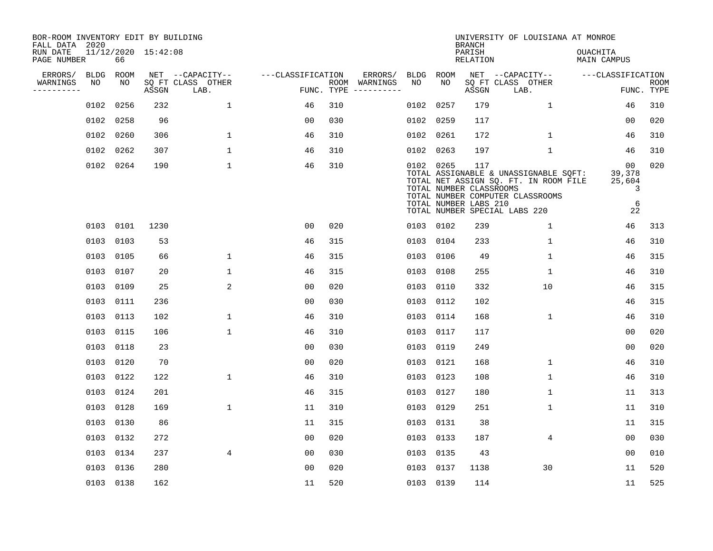| BOR-ROOM INVENTORY EDIT BY BUILDING<br>FALL DATA 2020 |             |           |                     |                           |                   |            |                              |      |                                                               | <b>BRANCH</b>             | UNIVERSITY OF LOUISIANA AT MONROE                                                                                                                   |                                                    |                           |
|-------------------------------------------------------|-------------|-----------|---------------------|---------------------------|-------------------|------------|------------------------------|------|---------------------------------------------------------------|---------------------------|-----------------------------------------------------------------------------------------------------------------------------------------------------|----------------------------------------------------|---------------------------|
| RUN DATE<br>PAGE NUMBER                               |             | 66        | 11/12/2020 15:42:08 |                           |                   |            |                              |      |                                                               | PARISH<br><b>RELATION</b> |                                                                                                                                                     | OUACHITA<br><b>MAIN CAMPUS</b>                     |                           |
| ERRORS/                                               | <b>BLDG</b> | ROOM      |                     | NET --CAPACITY--          | ---CLASSIFICATION |            | ERRORS/                      |      | BLDG ROOM                                                     |                           | NET --CAPACITY--                                                                                                                                    | ---CLASSIFICATION                                  |                           |
| WARNINGS<br>-----------                               | NO          | NO        | ASSGN               | SQ FT CLASS OTHER<br>LAB. |                   | FUNC. TYPE | ROOM WARNINGS<br>----------- | NO   | NO                                                            | ASSGN                     | SQ FT CLASS OTHER<br>LAB.                                                                                                                           |                                                    | <b>ROOM</b><br>FUNC. TYPE |
|                                                       | 0102        | 0256      | 232                 | $\mathbf{1}$              | 46                | 310        |                              | 0102 | 0257                                                          | 179                       | $\mathbf{1}$                                                                                                                                        | 46                                                 | 310                       |
|                                                       |             | 0102 0258 | 96                  |                           | 00                | 030        |                              | 0102 | 0259                                                          | 117                       |                                                                                                                                                     | 00                                                 | 020                       |
|                                                       |             | 0102 0260 | 306                 | $\mathbf 1$               | 46                | 310        |                              |      | 0102 0261                                                     | 172                       | $\mathbf{1}$                                                                                                                                        | 46                                                 | 310                       |
|                                                       |             | 0102 0262 | 307                 | $\mathbf{1}$              | 46                | 310        |                              |      | 0102 0263                                                     | 197                       | $\mathbf 1$                                                                                                                                         | 46                                                 | 310                       |
|                                                       |             | 0102 0264 | 190                 | $\mathbf 1$               | 46                | 310        |                              |      | 0102 0265<br>TOTAL NUMBER CLASSROOMS<br>TOTAL NUMBER LABS 210 | 117                       | TOTAL ASSIGNABLE & UNASSIGNABLE SQFT:<br>TOTAL NET ASSIGN SQ. FT. IN ROOM FILE<br>TOTAL NUMBER COMPUTER CLASSROOMS<br>TOTAL NUMBER SPECIAL LABS 220 | 0 <sub>0</sub><br>39,378<br>25,604<br>3<br>6<br>22 | 020                       |
|                                                       |             | 0103 0101 | 1230                |                           | 0 <sub>0</sub>    | 020        |                              |      | 0103 0102                                                     | 239                       | $\mathbf 1$                                                                                                                                         | 46                                                 | 313                       |
|                                                       |             | 0103 0103 | 53                  |                           | 46                | 315        |                              |      | 0103 0104                                                     | 233                       | $\mathbf 1$                                                                                                                                         | 46                                                 | 310                       |
|                                                       |             | 0103 0105 | 66                  | $\mathbf{1}$              | 46                | 315        |                              | 0103 | 0106                                                          | 49                        | $\mathbf{1}$                                                                                                                                        | 46                                                 | 315                       |
|                                                       |             | 0103 0107 | 20                  | $\mathbf{1}$              | 46                | 315        |                              |      | 0103 0108                                                     | 255                       | $\mathbf 1$                                                                                                                                         | 46                                                 | 310                       |
|                                                       |             | 0103 0109 | 25                  | 2                         | 0 <sub>0</sub>    | 020        |                              | 0103 | 0110                                                          | 332                       | 10                                                                                                                                                  | 46                                                 | 315                       |
|                                                       |             | 0103 0111 | 236                 |                           | 00                | 030        |                              | 0103 | 0112                                                          | 102                       |                                                                                                                                                     | 46                                                 | 315                       |
|                                                       |             | 0103 0113 | 102                 | 1                         | 46                | 310        |                              | 0103 | 0114                                                          | 168                       | 1                                                                                                                                                   | 46                                                 | 310                       |
|                                                       |             | 0103 0115 | 106                 | $\mathbf 1$               | 46                | 310        |                              | 0103 | 0117                                                          | 117                       |                                                                                                                                                     | 0 <sub>0</sub>                                     | 020                       |
|                                                       |             | 0103 0118 | 23                  |                           | 0 <sub>0</sub>    | 030        |                              | 0103 | 0119                                                          | 249                       |                                                                                                                                                     | 0 <sub>0</sub>                                     | 020                       |
|                                                       |             | 0103 0120 | 70                  |                           | 0 <sub>0</sub>    | 020        |                              | 0103 | 0121                                                          | 168                       | 1                                                                                                                                                   | 46                                                 | 310                       |
|                                                       |             | 0103 0122 | 122                 | $\mathbf{1}$              | 46                | 310        |                              |      | 0103 0123                                                     | 108                       | 1                                                                                                                                                   | 46                                                 | 310                       |
|                                                       |             | 0103 0124 | 201                 |                           | 46                | 315        |                              |      | 0103 0127                                                     | 180                       | 1                                                                                                                                                   | 11                                                 | 313                       |
|                                                       |             | 0103 0128 | 169                 | $\mathbf{1}$              | 11                | 310        |                              |      | 0103 0129                                                     | 251                       | 1                                                                                                                                                   | 11                                                 | 310                       |
|                                                       |             | 0103 0130 | 86                  |                           | 11                | 315        |                              |      | 0103 0131                                                     | 38                        |                                                                                                                                                     | 11                                                 | 315                       |
|                                                       |             | 0103 0132 | 272                 |                           | 0 <sub>0</sub>    | 020        |                              |      | 0103 0133                                                     | 187                       | $\overline{4}$                                                                                                                                      | 00                                                 | 030                       |
|                                                       |             | 0103 0134 | 237                 | $\overline{4}$            | 00                | 030        |                              | 0103 | 0135                                                          | 43                        |                                                                                                                                                     | 00                                                 | 010                       |
|                                                       | 0103        | 0136      | 280                 |                           | 0 <sub>0</sub>    | 020        |                              |      | 0103 0137                                                     | 1138                      | 30                                                                                                                                                  | 11                                                 | 520                       |
|                                                       |             | 0103 0138 | 162                 |                           | 11                | 520        |                              |      | 0103 0139                                                     | 114                       |                                                                                                                                                     | 11                                                 | 525                       |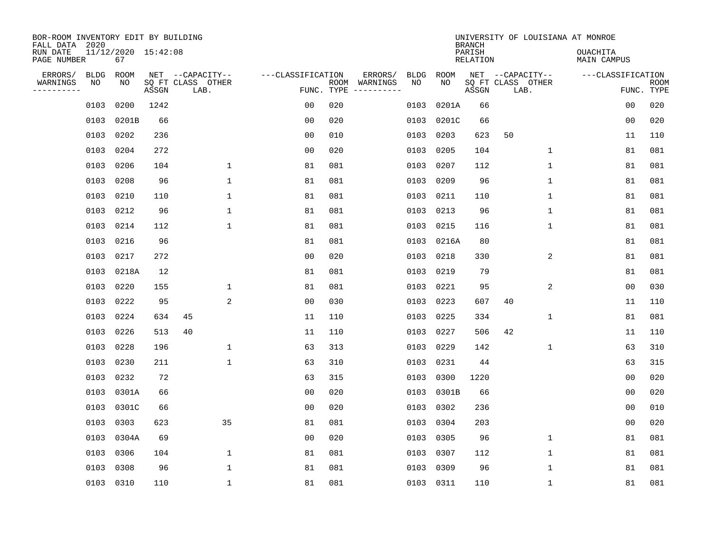| BOR-ROOM INVENTORY EDIT BY BUILDING<br>FALL DATA 2020 |             |                           |       |                           |                   |                    |                         |             |             | <b>BRANCH</b>             |                           |              | UNIVERSITY OF LOUISIANA AT MONROE |                |                           |
|-------------------------------------------------------|-------------|---------------------------|-------|---------------------------|-------------------|--------------------|-------------------------|-------------|-------------|---------------------------|---------------------------|--------------|-----------------------------------|----------------|---------------------------|
| RUN DATE<br>PAGE NUMBER                               |             | 11/12/2020 15:42:08<br>67 |       |                           |                   |                    |                         |             |             | PARISH<br><b>RELATION</b> |                           |              | OUACHITA<br><b>MAIN CAMPUS</b>    |                |                           |
| ERRORS/                                               | <b>BLDG</b> | ROOM                      |       | NET --CAPACITY--          | ---CLASSIFICATION |                    | ERRORS/                 | <b>BLDG</b> | <b>ROOM</b> |                           | NET --CAPACITY--          |              | ---CLASSIFICATION                 |                |                           |
| WARNINGS<br>----------                                | ΝO          | NO                        | ASSGN | SQ FT CLASS OTHER<br>LAB. |                   | ROOM<br>FUNC. TYPE | WARNINGS<br>----------- | NO          | NO          | ASSGN                     | SQ FT CLASS OTHER<br>LAB. |              |                                   |                | <b>ROOM</b><br>FUNC. TYPE |
|                                                       | 0103        | 0200                      | 1242  |                           | 00                | 020                |                         | 0103        | 0201A       | 66                        |                           |              |                                   | 00             | 020                       |
|                                                       | 0103        | 0201B                     | 66    |                           | 00                | 020                |                         | 0103        | 0201C       | 66                        |                           |              |                                   | 00             | 020                       |
|                                                       | 0103        | 0202                      | 236   |                           | 0 <sub>0</sub>    | 010                |                         | 0103        | 0203        | 623                       | 50                        |              |                                   | 11             | 110                       |
|                                                       | 0103        | 0204                      | 272   |                           | 0 <sub>0</sub>    | 020                |                         | 0103        | 0205        | 104                       |                           | $\mathbf 1$  |                                   | 81             | 081                       |
|                                                       | 0103        | 0206                      | 104   | $\mathbf 1$               | 81                | 081                |                         | 0103        | 0207        | 112                       |                           | $\mathbf{1}$ |                                   | 81             | 081                       |
|                                                       | 0103        | 0208                      | 96    | $\mathbf{1}$              | 81                | 081                |                         |             | 0103 0209   | 96                        |                           | $\mathbf{1}$ |                                   | 81             | 081                       |
|                                                       | 0103        | 0210                      | 110   | $\mathbf{1}$              | 81                | 081                |                         | 0103        | 0211        | 110                       |                           | $\mathbf{1}$ |                                   | 81             | 081                       |
|                                                       |             | 0103 0212                 | 96    | $\mathbf{1}$              | 81                | 081                |                         | 0103        | 0213        | 96                        |                           | $\mathbf{1}$ |                                   | 81             | 081                       |
|                                                       | 0103        | 0214                      | 112   | $\mathbf{1}$              | 81                | 081                |                         | 0103        | 0215        | 116                       |                           | $\mathbf{1}$ |                                   | 81             | 081                       |
|                                                       |             | 0103 0216                 | 96    |                           | 81                | 081                |                         |             | 0103 0216A  | 80                        |                           |              |                                   | 81             | 081                       |
|                                                       | 0103        | 0217                      | 272   |                           | 0 <sub>0</sub>    | 020                |                         | 0103        | 0218        | 330                       |                           | 2            |                                   | 81             | 081                       |
|                                                       | 0103        | 0218A                     | 12    |                           | 81                | 081                |                         | 0103        | 0219        | 79                        |                           |              |                                   | 81             | 081                       |
|                                                       | 0103        | 0220                      | 155   | $\mathbf 1$               | 81                | 081                |                         | 0103        | 0221        | 95                        |                           | 2            |                                   | 0 <sub>0</sub> | 030                       |
|                                                       | 0103        | 0222                      | 95    | 2                         | 0 <sub>0</sub>    | 030                |                         | 0103        | 0223        | 607                       | 40                        |              |                                   | 11             | 110                       |
|                                                       | 0103        | 0224                      | 634   | 45                        | 11                | 110                |                         | 0103        | 0225        | 334                       |                           | 1            |                                   | 81             | 081                       |
|                                                       | 0103        | 0226                      | 513   | 40                        | 11                | 110                |                         | 0103        | 0227        | 506                       | 42                        |              |                                   | 11             | 110                       |
|                                                       | 0103        | 0228                      | 196   | 1                         | 63                | 313                |                         | 0103        | 0229        | 142                       |                           | 1            |                                   | 63             | 310                       |
|                                                       | 0103        | 0230                      | 211   | $\mathbf 1$               | 63                | 310                |                         | 0103        | 0231        | 44                        |                           |              |                                   | 63             | 315                       |
|                                                       | 0103        | 0232                      | 72    |                           | 63                | 315                |                         | 0103        | 0300        | 1220                      |                           |              |                                   | 0 <sub>0</sub> | 020                       |
|                                                       | 0103        | 0301A                     | 66    |                           | 0 <sub>0</sub>    | 020                |                         | 0103        | 0301B       | 66                        |                           |              |                                   | 0 <sub>0</sub> | 020                       |
|                                                       | 0103        | 0301C                     | 66    |                           | 0 <sub>0</sub>    | 020                |                         | 0103        | 0302        | 236                       |                           |              |                                   | 0 <sub>0</sub> | 010                       |
|                                                       | 0103        | 0303                      | 623   | 35                        | 81                | 081                |                         | 0103        | 0304        | 203                       |                           |              |                                   | 0 <sub>0</sub> | 020                       |
|                                                       | 0103        | 0304A                     | 69    |                           | 0 <sub>0</sub>    | 020                |                         | 0103        | 0305        | 96                        |                           | 1            |                                   | 81             | 081                       |
|                                                       | 0103        | 0306                      | 104   | $\mathbf 1$               | 81                | 081                |                         | 0103        | 0307        | 112                       |                           | 1            |                                   | 81             | 081                       |
|                                                       | 0103        | 0308                      | 96    | $\mathbf{1}$              | 81                | 081                |                         | 0103        | 0309        | 96                        |                           | $\mathbf{1}$ |                                   | 81             | 081                       |
|                                                       |             | 0103 0310                 | 110   | $\mathbf{1}$              | 81                | 081                |                         |             | 0103 0311   | 110                       |                           | 1            |                                   | 81             | 081                       |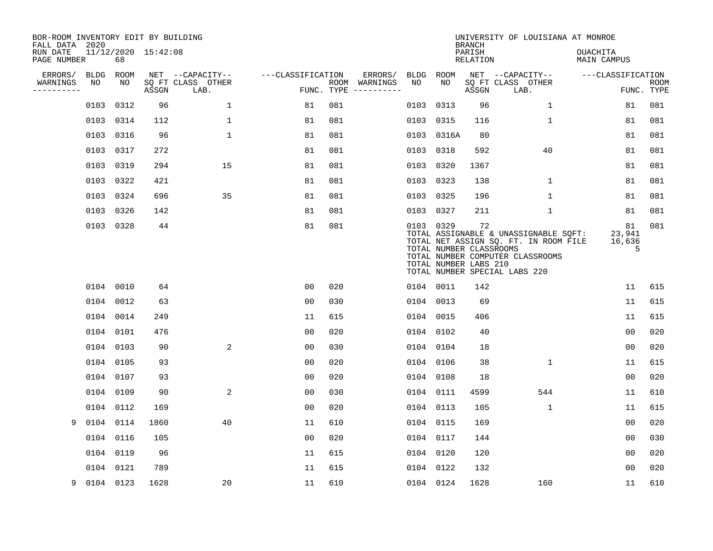| BOR-ROOM INVENTORY EDIT BY BUILDING<br>FALL DATA 2020 |           |           |                     |                           |                   |     |                                      |           |                                                               | <b>BRANCH</b>      | UNIVERSITY OF LOUISIANA AT MONROE                                                                                                                   |                                |                           |
|-------------------------------------------------------|-----------|-----------|---------------------|---------------------------|-------------------|-----|--------------------------------------|-----------|---------------------------------------------------------------|--------------------|-----------------------------------------------------------------------------------------------------------------------------------------------------|--------------------------------|---------------------------|
| RUN DATE<br>PAGE NUMBER                               |           | 68        | 11/12/2020 15:42:08 |                           |                   |     |                                      |           |                                                               | PARISH<br>RELATION |                                                                                                                                                     | OUACHITA<br><b>MAIN CAMPUS</b> |                           |
| ERRORS/                                               | BLDG      | ROOM      |                     | NET --CAPACITY--          | ---CLASSIFICATION |     | ERRORS/                              |           | BLDG ROOM                                                     |                    | NET --CAPACITY--                                                                                                                                    | ---CLASSIFICATION              |                           |
| WARNINGS<br>----------                                | NO        | NO        | ASSGN               | SQ FT CLASS OTHER<br>LAB. |                   |     | ROOM WARNINGS<br>FUNC. TYPE $------$ | NO        | NO                                                            | ASSGN              | SQ FT CLASS OTHER<br>LAB.                                                                                                                           |                                | <b>ROOM</b><br>FUNC. TYPE |
|                                                       | 0103      | 0312      | 96                  | $\mathbf{1}$              | 81                | 081 |                                      |           | 0103 0313                                                     | 96                 | 1                                                                                                                                                   | 81                             | 081                       |
|                                                       |           | 0103 0314 | 112                 | 1                         | 81                | 081 |                                      |           | 0103 0315                                                     | 116                | $\mathbf 1$                                                                                                                                         | 81                             | 081                       |
|                                                       |           | 0103 0316 | 96                  | 1                         | 81                | 081 |                                      |           | 0103 0316A                                                    | 80                 |                                                                                                                                                     | 81                             | 081                       |
|                                                       |           | 0103 0317 | 272                 |                           | 81                | 081 |                                      | 0103 0318 |                                                               | 592                | 40                                                                                                                                                  | 81                             | 081                       |
|                                                       | 0103      | 0319      | 294                 | 15                        | 81                | 081 |                                      | 0103 0320 |                                                               | 1367               |                                                                                                                                                     | 81                             | 081                       |
|                                                       |           | 0103 0322 | 421                 |                           | 81                | 081 |                                      |           | 0103 0323                                                     | 138                | $\mathbf 1$                                                                                                                                         | 81                             | 081                       |
|                                                       |           | 0103 0324 | 696                 | 35                        | 81                | 081 |                                      | 0103 0325 |                                                               | 196                | $\mathbf{1}$                                                                                                                                        | 81                             | 081                       |
|                                                       |           | 0103 0326 | 142                 |                           | 81                | 081 |                                      |           | 0103 0327                                                     | 211                | $\mathbf{1}$                                                                                                                                        | 81                             | 081                       |
|                                                       |           | 0103 0328 | 44                  |                           | 81                | 081 |                                      |           | 0103 0329<br>TOTAL NUMBER CLASSROOMS<br>TOTAL NUMBER LABS 210 | 72                 | TOTAL ASSIGNABLE & UNASSIGNABLE SQFT:<br>TOTAL NET ASSIGN SQ. FT. IN ROOM FILE<br>TOTAL NUMBER COMPUTER CLASSROOMS<br>TOTAL NUMBER SPECIAL LABS 220 | 81<br>23,941<br>16,636<br>5    | 081                       |
|                                                       |           | 0104 0010 | 64                  |                           | 00                | 020 |                                      |           | 0104 0011                                                     | 142                |                                                                                                                                                     | 11                             | 615                       |
|                                                       |           | 0104 0012 | 63                  |                           | 0 <sub>0</sub>    | 030 |                                      |           | 0104 0013                                                     | 69                 |                                                                                                                                                     | 11                             | 615                       |
|                                                       |           | 0104 0014 | 249                 |                           | 11                | 615 |                                      | 0104 0015 |                                                               | 406                |                                                                                                                                                     | 11                             | 615                       |
|                                                       |           | 0104 0101 | 476                 |                           | 0 <sub>0</sub>    | 020 |                                      |           | 0104 0102                                                     | 40                 |                                                                                                                                                     | 0 <sub>0</sub>                 | 020                       |
|                                                       |           | 0104 0103 | 90                  | 2                         | 0 <sub>0</sub>    | 030 |                                      |           | 0104 0104                                                     | 18                 |                                                                                                                                                     | 0 <sub>0</sub>                 | 020                       |
|                                                       |           | 0104 0105 | 93                  |                           | 0 <sub>0</sub>    | 020 |                                      |           | 0104 0106                                                     | 38                 | $\mathbf 1$                                                                                                                                         | 11                             | 615                       |
|                                                       |           | 0104 0107 | 93                  |                           | 0 <sub>0</sub>    | 020 |                                      | 0104 0108 |                                                               | 18                 |                                                                                                                                                     | 0 <sub>0</sub>                 | 020                       |
|                                                       |           | 0104 0109 | 90                  | 2                         | 0 <sub>0</sub>    | 030 |                                      | 0104 0111 |                                                               | 4599               | 544                                                                                                                                                 | 11                             | 610                       |
|                                                       |           | 0104 0112 | 169                 |                           | 0 <sub>0</sub>    | 020 |                                      |           | 0104 0113                                                     | 105                | 1                                                                                                                                                   | 11                             | 615                       |
| 9                                                     |           | 0104 0114 | 1860                | 40                        | 11                | 610 |                                      |           | 0104 0115                                                     | 169                |                                                                                                                                                     | 0 <sub>0</sub>                 | 020                       |
|                                                       |           | 0104 0116 | 105                 |                           | 0 <sub>0</sub>    | 020 |                                      | 0104 0117 |                                                               | 144                |                                                                                                                                                     | 0 <sub>0</sub>                 | 030                       |
|                                                       |           | 0104 0119 | 96                  |                           | 11                | 615 |                                      | 0104 0120 |                                                               | 120                |                                                                                                                                                     | 0 <sub>0</sub>                 | 020                       |
|                                                       |           | 0104 0121 | 789                 |                           | 11                | 615 |                                      |           | 0104 0122                                                     | 132                |                                                                                                                                                     | 0 <sub>0</sub>                 | 020                       |
| 9                                                     | 0104 0123 |           | 1628                | 20                        | 11                | 610 |                                      |           | 0104 0124                                                     | 1628               | 160                                                                                                                                                 | 11                             | 610                       |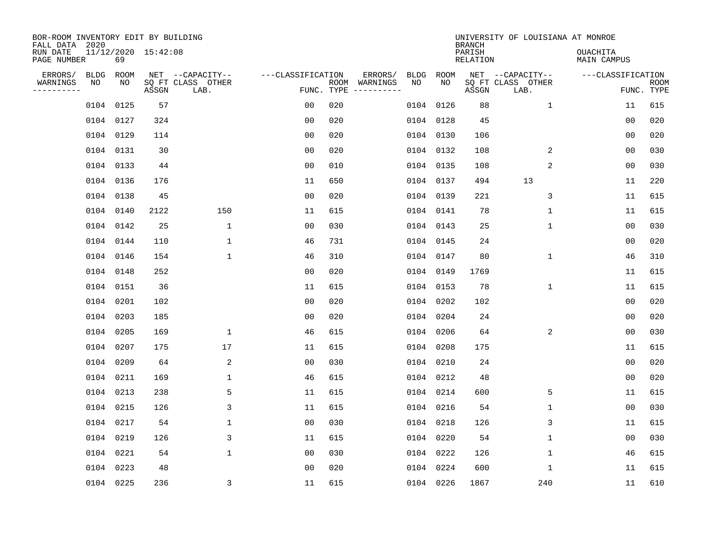| BOR-ROOM INVENTORY EDIT BY BUILDING<br>FALL DATA 2020 |           |      |                     |                           |                   |     |                                                                                                                             |      |            | <b>BRANCH</b>             | UNIVERSITY OF LOUISIANA AT MONROE |                                |             |
|-------------------------------------------------------|-----------|------|---------------------|---------------------------|-------------------|-----|-----------------------------------------------------------------------------------------------------------------------------|------|------------|---------------------------|-----------------------------------|--------------------------------|-------------|
| RUN DATE<br>PAGE NUMBER                               |           | 69   | 11/12/2020 15:42:08 |                           |                   |     |                                                                                                                             |      |            | PARISH<br><b>RELATION</b> |                                   | <b>OUACHITA</b><br>MAIN CAMPUS |             |
| ERRORS/                                               | BLDG      | ROOM |                     | NET --CAPACITY--          | ---CLASSIFICATION |     | ERRORS/                                                                                                                     | BLDG | ROOM<br>NO |                           | NET --CAPACITY--                  | ---CLASSIFICATION              |             |
| WARNINGS<br>. _ _ _ _ _ _ _ _ _                       | NO        | NO   | ASSGN               | SQ FT CLASS OTHER<br>LAB. | FUNC. TYPE        |     | ROOM WARNINGS<br>$\begin{tabular}{ccccccccc} - & - & - & - & - & - & - & - \\ & - & - & - & - & - & - & - \\ \end{tabular}$ | NO   |            | ASSGN                     | SQ FT CLASS OTHER<br>LAB.         | FUNC. TYPE                     | <b>ROOM</b> |
|                                                       | 0104 0125 |      | 57                  |                           | 0 <sub>0</sub>    | 020 |                                                                                                                             | 0104 | 0126       | 88                        | $\mathbf 1$                       | 11                             | 615         |
|                                                       | 0104 0127 |      | 324                 |                           | 0 <sub>0</sub>    | 020 |                                                                                                                             | 0104 | 0128       | 45                        |                                   | 00                             | 020         |
|                                                       | 0104 0129 |      | 114                 |                           | 0 <sub>0</sub>    | 020 |                                                                                                                             | 0104 | 0130       | 106                       |                                   | 00                             | 020         |
|                                                       | 0104 0131 |      | 30                  |                           | 0 <sub>0</sub>    | 020 |                                                                                                                             |      | 0104 0132  | 108                       | 2                                 | 0 <sub>0</sub>                 | 030         |
|                                                       | 0104 0133 |      | 44                  |                           | 0 <sub>0</sub>    | 010 |                                                                                                                             |      | 0104 0135  | 108                       | 2                                 | 00                             | 030         |
|                                                       | 0104 0136 |      | 176                 |                           | 11                | 650 |                                                                                                                             |      | 0104 0137  | 494                       | 13                                | 11                             | 220         |
|                                                       | 0104 0138 |      | 45                  |                           | 0 <sub>0</sub>    | 020 |                                                                                                                             |      | 0104 0139  | 221                       | 3                                 | 11                             | 615         |
|                                                       | 0104 0140 |      | 2122                | 150                       | 11                | 615 |                                                                                                                             |      | 0104 0141  | 78                        | $\mathbf 1$                       | 11                             | 615         |
|                                                       | 0104 0142 |      | 25                  | $\mathbf 1$               | 0 <sub>0</sub>    | 030 |                                                                                                                             | 0104 | 0143       | 25                        | $\mathbf 1$                       | 0 <sub>0</sub>                 | 030         |
|                                                       | 0104 0144 |      | 110                 | $\mathbf 1$               | 46                | 731 |                                                                                                                             |      | 0104 0145  | 24                        |                                   | 0 <sub>0</sub>                 | 020         |
|                                                       | 0104 0146 |      | 154                 | $\mathbf 1$               | 46                | 310 |                                                                                                                             | 0104 | 0147       | 80                        | $\mathbf 1$                       | 46                             | 310         |
|                                                       | 0104 0148 |      | 252                 |                           | 0 <sub>0</sub>    | 020 |                                                                                                                             | 0104 | 0149       | 1769                      |                                   | 11                             | 615         |
|                                                       | 0104 0151 |      | 36                  |                           | 11                | 615 |                                                                                                                             | 0104 | 0153       | 78                        | 1                                 | 11                             | 615         |
|                                                       | 0104 0201 |      | 102                 |                           | 0 <sub>0</sub>    | 020 |                                                                                                                             | 0104 | 0202       | 102                       |                                   | 00                             | 020         |
|                                                       | 0104 0203 |      | 185                 |                           | 0 <sub>0</sub>    | 020 |                                                                                                                             | 0104 | 0204       | 24                        |                                   | 0 <sub>0</sub>                 | 020         |
|                                                       | 0104 0205 |      | 169                 | $\mathbf 1$               | 46                | 615 |                                                                                                                             | 0104 | 0206       | 64                        | 2                                 | 0 <sub>0</sub>                 | 030         |
|                                                       | 0104 0207 |      | 175                 | 17                        | 11                | 615 |                                                                                                                             | 0104 | 0208       | 175                       |                                   | 11                             | 615         |
|                                                       | 0104 0209 |      | 64                  | 2                         | 0 <sub>0</sub>    | 030 |                                                                                                                             | 0104 | 0210       | 24                        |                                   | 0 <sub>0</sub>                 | 020         |
|                                                       | 0104 0211 |      | 169                 | $\mathbf 1$               | 46                | 615 |                                                                                                                             |      | 0104 0212  | 48                        |                                   | 0 <sub>0</sub>                 | 020         |
|                                                       | 0104 0213 |      | 238                 | 5                         | 11                | 615 |                                                                                                                             |      | 0104 0214  | 600                       | 5                                 | 11                             | 615         |
|                                                       | 0104 0215 |      | 126                 | 3                         | 11                | 615 |                                                                                                                             |      | 0104 0216  | 54                        | 1                                 | 0 <sub>0</sub>                 | 030         |
|                                                       | 0104 0217 |      | 54                  | $\mathbf{1}$              | 0 <sub>0</sub>    | 030 |                                                                                                                             |      | 0104 0218  | 126                       | 3                                 | 11                             | 615         |
|                                                       | 0104 0219 |      | 126                 | 3                         | 11                | 615 |                                                                                                                             |      | 0104 0220  | 54                        | 1                                 | 0 <sub>0</sub>                 | 030         |
|                                                       | 0104 0221 |      | 54                  | $\mathbf{1}$              | 0 <sub>0</sub>    | 030 |                                                                                                                             |      | 0104 0222  | 126                       | 1                                 | 46                             | 615         |
|                                                       | 0104 0223 |      | 48                  |                           | 00                | 020 |                                                                                                                             | 0104 | 0224       | 600                       | 1                                 | 11                             | 615         |
|                                                       | 0104 0225 |      | 236                 | $\mathsf 3$               | 11                | 615 |                                                                                                                             |      | 0104 0226  | 1867                      | 240                               | 11                             | 610         |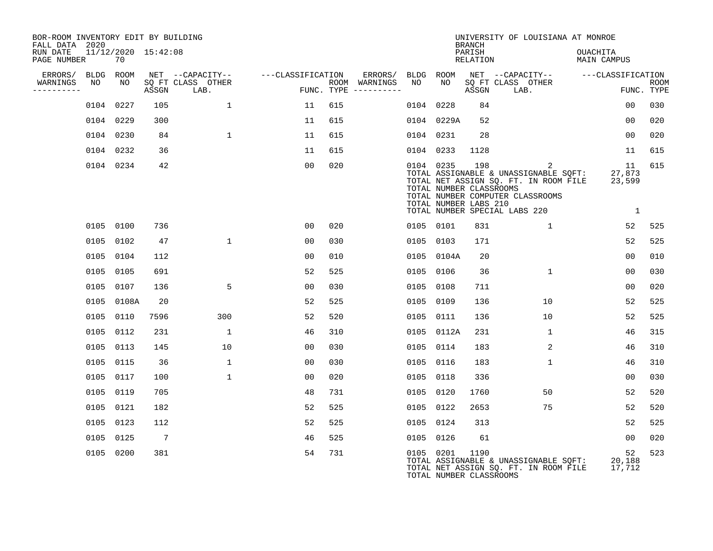| BOR-ROOM INVENTORY EDIT BY BUILDING<br>FALL DATA 2020 |                           |                 |                           |                   |     |                                      |      |                                                               | <b>BRANCH</b>      | UNIVERSITY OF LOUISIANA AT MONROE                                                                                                                        |                                        |                           |
|-------------------------------------------------------|---------------------------|-----------------|---------------------------|-------------------|-----|--------------------------------------|------|---------------------------------------------------------------|--------------------|----------------------------------------------------------------------------------------------------------------------------------------------------------|----------------------------------------|---------------------------|
| RUN DATE<br>PAGE NUMBER                               | 11/12/2020 15:42:08<br>70 |                 |                           |                   |     |                                      |      |                                                               | PARISH<br>RELATION |                                                                                                                                                          | <b>OUACHITA</b><br>MAIN CAMPUS         |                           |
| ERRORS/                                               | BLDG ROOM                 |                 | NET --CAPACITY--          | ---CLASSIFICATION |     | ERRORS/                              | BLDG | ROOM                                                          |                    | NET --CAPACITY--                                                                                                                                         | ---CLASSIFICATION                      |                           |
| WARNINGS<br>NO<br>$- - - - - - - -$                   | NO                        | ASSGN           | SQ FT CLASS OTHER<br>LAB. |                   |     | ROOM WARNINGS<br>FUNC. TYPE $------$ | NO   | NO.                                                           | ASSGN              | SQ FT CLASS OTHER<br>LAB.                                                                                                                                |                                        | <b>ROOM</b><br>FUNC. TYPE |
|                                                       | 0104 0227                 | 105             | $\mathbf{1}$              | 11                | 615 |                                      | 0104 | 0228                                                          | 84                 |                                                                                                                                                          | 0 <sub>0</sub>                         | 030                       |
|                                                       | 0104 0229                 | 300             |                           | 11                | 615 |                                      |      | 0104 0229A                                                    | 52                 |                                                                                                                                                          | 00                                     | 020                       |
|                                                       | 0104 0230                 | 84              | $\mathbf{1}$              | 11                | 615 |                                      |      | 0104 0231                                                     | 28                 |                                                                                                                                                          | 00                                     | 020                       |
|                                                       | 0104 0232                 | 36              |                           | 11                | 615 |                                      |      | 0104 0233                                                     | 1128               |                                                                                                                                                          | 11                                     | 615                       |
|                                                       | 0104 0234                 | 42              |                           | 0 <sub>0</sub>    | 020 |                                      |      | 0104 0235<br>TOTAL NUMBER CLASSROOMS<br>TOTAL NUMBER LABS 210 | 198                | 2<br>TOTAL ASSIGNABLE & UNASSIGNABLE SQFT:<br>TOTAL NET ASSIGN SQ. FT. IN ROOM FILE<br>TOTAL NUMBER COMPUTER CLASSROOMS<br>TOTAL NUMBER SPECIAL LABS 220 | 11<br>27,873<br>23,599<br>$\mathbf{1}$ | 615                       |
|                                                       | 0105 0100                 | 736             |                           | 0 <sub>0</sub>    | 020 |                                      |      | 0105 0101                                                     | 831                | $\mathbf{1}$                                                                                                                                             | 52                                     | 525                       |
|                                                       | 0105 0102                 | 47              | $\mathbf{1}$              | 00                | 030 |                                      |      | 0105 0103                                                     | 171                |                                                                                                                                                          | 52                                     | 525                       |
|                                                       | 0105 0104                 | 112             |                           | 0 <sub>0</sub>    | 010 |                                      |      | 0105 0104A                                                    | 20                 |                                                                                                                                                          | 00                                     | 010                       |
| 0105                                                  | 0105                      | 691             |                           | 52                | 525 |                                      |      | 0105 0106                                                     | 36                 | 1                                                                                                                                                        | 0 <sub>0</sub>                         | 030                       |
|                                                       | 0105 0107                 | 136             | 5                         | 00                | 030 |                                      |      | 0105 0108                                                     | 711                |                                                                                                                                                          | 0 <sub>0</sub>                         | 020                       |
|                                                       | 0105 0108A                | 20              |                           | 52                | 525 |                                      |      | 0105 0109                                                     | 136                | 10                                                                                                                                                       | 52                                     | 525                       |
|                                                       | 0105 0110                 | 7596            | 300                       | 52                | 520 |                                      |      | 0105 0111                                                     | 136                | 10                                                                                                                                                       | 52                                     | 525                       |
|                                                       | 0105 0112                 | 231             | $\mathbf 1$               | 46                | 310 |                                      |      | 0105 0112A                                                    | 231                | 1                                                                                                                                                        | 46                                     | 315                       |
|                                                       | 0105 0113                 | 145             | 10                        | 0 <sub>0</sub>    | 030 |                                      |      | 0105 0114                                                     | 183                | 2                                                                                                                                                        | 46                                     | 310                       |
|                                                       | 0105 0115                 | 36              | $\mathbf{1}$              | 0 <sub>0</sub>    | 030 |                                      |      | 0105 0116                                                     | 183                | $\mathbf{1}$                                                                                                                                             | 46                                     | 310                       |
|                                                       | 0105 0117                 | 100             | $\mathbf{1}$              | 0 <sub>0</sub>    | 020 |                                      | 0105 | 0118                                                          | 336                |                                                                                                                                                          | 00                                     | 030                       |
|                                                       | 0105 0119                 | 705             |                           | 48                | 731 |                                      |      | 0105 0120                                                     | 1760               | 50                                                                                                                                                       | 52                                     | 520                       |
|                                                       | 0105 0121                 | 182             |                           | 52                | 525 |                                      |      | 0105 0122                                                     | 2653               | 75                                                                                                                                                       | 52                                     | 520                       |
|                                                       | 0105 0123                 | 112             |                           | 52                | 525 |                                      |      | 0105 0124                                                     | 313                |                                                                                                                                                          | 52                                     | 525                       |
|                                                       | 0105 0125                 | $7\phantom{.0}$ |                           | 46                | 525 |                                      |      | 0105 0126                                                     | 61                 |                                                                                                                                                          | 0 <sub>0</sub>                         | 020                       |
|                                                       | 0105 0200                 | 381             |                           | 54                | 731 |                                      |      | 0105 0201<br>TOTAL NUMBER CLASSROOMS                          | 1190               | TOTAL ASSIGNABLE & UNASSIGNABLE SQFT:<br>TOTAL NET ASSIGN SQ. FT. IN ROOM FILE                                                                           | 52<br>20,188<br>17,712                 | 523                       |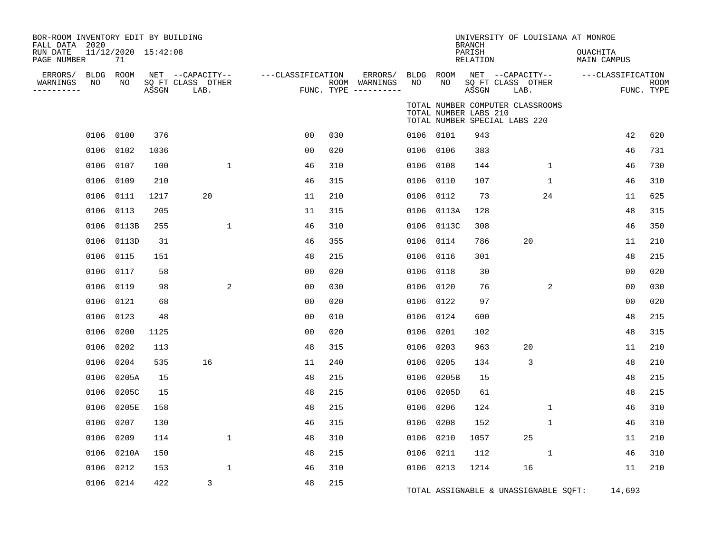| BOR-ROOM INVENTORY EDIT BY BUILDING<br>FALL DATA 2020 |                           |       |                                               |                   |     |                                                 |            |                       | <b>BRANCH</b>             | UNIVERSITY OF LOUISIANA AT MONROE                                 |                         |                           |
|-------------------------------------------------------|---------------------------|-------|-----------------------------------------------|-------------------|-----|-------------------------------------------------|------------|-----------------------|---------------------------|-------------------------------------------------------------------|-------------------------|---------------------------|
| RUN DATE<br>PAGE NUMBER                               | 11/12/2020 15:42:08<br>71 |       |                                               |                   |     |                                                 |            |                       | PARISH<br><b>RELATION</b> |                                                                   | OUACHITA<br>MAIN CAMPUS |                           |
| ERRORS/<br>WARNINGS<br>NO<br>---------                | BLDG ROOM<br>NO           | ASSGN | NET --CAPACITY--<br>SQ FT CLASS OTHER<br>LAB. | ---CLASSIFICATION |     | ERRORS/<br>ROOM WARNINGS<br>FUNC. TYPE $------$ | BLDG<br>NO | ROOM<br>NO            | ASSGN                     | NET --CAPACITY--<br>SQ FT CLASS OTHER<br>LAB.                     | ---CLASSIFICATION       | <b>ROOM</b><br>FUNC. TYPE |
|                                                       |                           |       |                                               |                   |     |                                                 |            | TOTAL NUMBER LABS 210 |                           | TOTAL NUMBER COMPUTER CLASSROOMS<br>TOTAL NUMBER SPECIAL LABS 220 |                         |                           |
|                                                       | 0106 0100                 | 376   |                                               | 0 <sub>0</sub>    | 030 |                                                 | 0106 0101  |                       | 943                       |                                                                   | 42                      | 620                       |
|                                                       | 0106 0102                 | 1036  |                                               | 00                | 020 |                                                 | 0106       | 0106                  | 383                       |                                                                   | 46                      | 731                       |
|                                                       | 0106 0107                 | 100   | $\mathbf{1}$                                  | 46                | 310 |                                                 | 0106       | 0108                  | 144                       | $\mathbf{1}$                                                      | 46                      | 730                       |
| 0106                                                  | 0109                      | 210   |                                               | 46                | 315 |                                                 | 0106       | 0110                  | 107                       | $\mathbf{1}$                                                      | 46                      | 310                       |
|                                                       | 0106 0111                 | 1217  | 20                                            | 11                | 210 |                                                 | 0106       | 0112                  | 73                        | 24                                                                | 11                      | 625                       |
|                                                       | 0106 0113                 | 205   |                                               | 11                | 315 |                                                 | 0106       | 0113A                 | 128                       |                                                                   | 48                      | 315                       |
| 0106                                                  | 0113B                     | 255   | $\mathbf 1$                                   | 46                | 310 |                                                 | 0106       | 0113C                 | 308                       |                                                                   | 46                      | 350                       |
| 0106                                                  | 0113D                     | 31    |                                               | 46                | 355 |                                                 | 0106       | 0114                  | 786                       | 20                                                                | 11                      | 210                       |
| 0106                                                  | 0115                      | 151   |                                               | 48                | 215 |                                                 | 0106       | 0116                  | 301                       |                                                                   | 48                      | 215                       |
|                                                       | 0106 0117                 | 58    |                                               | 0 <sub>0</sub>    | 020 |                                                 | 0106       | 0118                  | 30                        |                                                                   | 0 <sub>0</sub>          | 020                       |
| 0106                                                  | 0119                      | 98    | 2                                             | 0 <sub>0</sub>    | 030 |                                                 | 0106       | 0120                  | 76                        | 2                                                                 | 0 <sub>0</sub>          | 030                       |
|                                                       | 0106 0121                 | 68    |                                               | 0 <sub>0</sub>    | 020 |                                                 | 0106       | 0122                  | 97                        |                                                                   | 0 <sub>0</sub>          | 020                       |
| 0106                                                  | 0123                      | 48    |                                               | 0 <sub>0</sub>    | 010 |                                                 | 0106       | 0124                  | 600                       |                                                                   | 48                      | 215                       |
|                                                       | 0106 0200                 | 1125  |                                               | 0 <sub>0</sub>    | 020 |                                                 | 0106       | 0201                  | 102                       |                                                                   | 48                      | 315                       |
| 0106                                                  | 0202                      | 113   |                                               | 48                | 315 |                                                 | 0106       | 0203                  | 963                       | 20                                                                | 11                      | 210                       |
| 0106                                                  | 0204                      | 535   | 16                                            | 11                | 240 |                                                 | 0106       | 0205                  | 134                       | 3                                                                 | 48                      | 210                       |
| 0106                                                  | 0205A                     | 15    |                                               | 48                | 215 |                                                 | 0106       | 0205B                 | 15                        |                                                                   | 48                      | 215                       |
| 0106                                                  | 0205C                     | 15    |                                               | 48                | 215 |                                                 | 0106       | 0205D                 | 61                        |                                                                   | 48                      | 215                       |
| 0106                                                  | 0205E                     | 158   |                                               | 48                | 215 |                                                 | 0106       | 0206                  | 124                       | 1                                                                 | 46                      | 310                       |
| 0106                                                  | 0207                      | 130   |                                               | 46                | 315 |                                                 | 0106       | 0208                  | 152                       | $\mathbf 1$                                                       | 46                      | 310                       |
| 0106                                                  | 0209                      | 114   | $\mathbf{1}$                                  | 48                | 310 |                                                 | 0106       | 0210                  | 1057                      | 25                                                                | 11                      | 210                       |
| 0106                                                  | 0210A                     | 150   |                                               | 48                | 215 |                                                 | 0106       | 0211                  | 112                       | $\mathbf{1}$                                                      | 46                      | 310                       |
|                                                       | 0106 0212                 | 153   | 1                                             | 46                | 310 |                                                 |            | 0106 0213             | 1214                      | 16                                                                | 11                      | 210                       |
|                                                       | 0106 0214                 | 422   | 3                                             | 48                | 215 |                                                 |            |                       |                           | TOTAL ASSIGNABLE & UNASSIGNABLE SQFT:                             | 14,693                  |                           |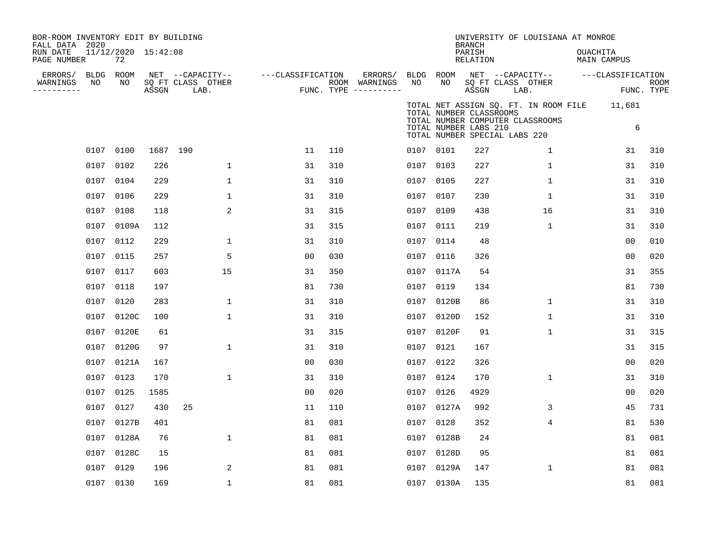| BOR-ROOM INVENTORY EDIT BY BUILDING<br>FALL DATA 2020<br>RUN DATE<br>PAGE NUMBER |                 | 11/12/2020 15:42:08<br>72 |          |                                               |                   |     |                                                   |                 |                                                  | <b>BRANCH</b><br>PARISH<br><b>RELATION</b> |                                                                   | UNIVERSITY OF LOUISIANA AT MONROE     | OUACHITA | <b>MAIN CAMPUS</b>              |             |
|----------------------------------------------------------------------------------|-----------------|---------------------------|----------|-----------------------------------------------|-------------------|-----|---------------------------------------------------|-----------------|--------------------------------------------------|--------------------------------------------|-------------------------------------------------------------------|---------------------------------------|----------|---------------------------------|-------------|
| ERRORS/<br>WARNINGS<br>---------                                                 | BLDG ROOM<br>NO | NO                        | ASSGN    | NET --CAPACITY--<br>SQ FT CLASS OTHER<br>LAB. | ---CLASSIFICATION |     | ERRORS/<br>ROOM WARNINGS<br>FUNC. TYPE ---------- | BLDG ROOM<br>NO | NO                                               | ASSGN                                      | NET --CAPACITY--<br>SQ FT CLASS OTHER<br>LAB.                     |                                       |          | ---CLASSIFICATION<br>FUNC. TYPE | <b>ROOM</b> |
|                                                                                  |                 |                           |          |                                               |                   |     |                                                   |                 | TOTAL NUMBER CLASSROOMS<br>TOTAL NUMBER LABS 210 |                                            | TOTAL NUMBER COMPUTER CLASSROOMS<br>TOTAL NUMBER SPECIAL LABS 220 | TOTAL NET ASSIGN SQ. FT. IN ROOM FILE |          | 11,681<br>6                     |             |
|                                                                                  | 0107 0100       |                           | 1687 190 |                                               | 11                | 110 |                                                   | 0107 0101       |                                                  | 227                                        |                                                                   | 1                                     |          | 31                              | 310         |
|                                                                                  | 0107            | 0102                      | 226      | $\mathbf{1}$                                  | 31                | 310 |                                                   | 0107 0103       |                                                  | 227                                        |                                                                   | $\mathbf{1}$                          |          | 31                              | 310         |
|                                                                                  | 0107            | 0104                      | 229      | 1                                             | 31                | 310 |                                                   | 0107 0105       |                                                  | 227                                        |                                                                   | 1                                     |          | 31                              | 310         |
|                                                                                  | 0107            | 0106                      | 229      | 1                                             | 31                | 310 |                                                   | 0107 0107       |                                                  | 230                                        |                                                                   | 1                                     |          | 31                              | 310         |
|                                                                                  | 0107            | 0108                      | 118      | 2                                             | 31                | 315 |                                                   | 0107 0109       |                                                  | 438                                        |                                                                   | 16                                    |          | 31                              | 310         |
|                                                                                  | 0107            | 0109A                     | 112      |                                               | 31                | 315 |                                                   | 0107 0111       |                                                  | 219                                        |                                                                   | $\mathbf{1}$                          |          | 31                              | 310         |
|                                                                                  | 0107            | 0112                      | 229      | 1                                             | 31                | 310 |                                                   | 0107 0114       |                                                  | 48                                         |                                                                   |                                       |          | 0 <sub>0</sub>                  | 010         |
|                                                                                  | 0107            | 0115                      | 257      | 5                                             | 00                | 030 |                                                   | 0107 0116       |                                                  | 326                                        |                                                                   |                                       |          | 0 <sub>0</sub>                  | 020         |
|                                                                                  | 0107            | 0117                      | 603      | 15                                            | 31                | 350 |                                                   |                 | 0107 0117A                                       | 54                                         |                                                                   |                                       |          | 31                              | 355         |
|                                                                                  | 0107            | 0118                      | 197      |                                               | 81                | 730 |                                                   | 0107 0119       |                                                  | 134                                        |                                                                   |                                       |          | 81                              | 730         |
|                                                                                  | 0107            | 0120                      | 283      | $\mathbf 1$                                   | 31                | 310 |                                                   |                 | 0107 0120B                                       | 86                                         |                                                                   | 1                                     |          | 31                              | 310         |
|                                                                                  | 0107            | 0120C                     | 100      | 1                                             | 31                | 310 |                                                   |                 | 0107 0120D                                       | 152                                        |                                                                   | 1                                     |          | 31                              | 310         |
|                                                                                  | 0107            | 0120E                     | 61       |                                               | 31                | 315 |                                                   |                 | 0107 0120F                                       | 91                                         |                                                                   | $\mathbf{1}$                          |          | 31                              | 315         |
|                                                                                  | 0107            | 0120G                     | 97       | 1                                             | 31                | 310 |                                                   | 0107 0121       |                                                  | 167                                        |                                                                   |                                       |          | 31                              | 315         |
|                                                                                  | 0107            | 0121A                     | 167      |                                               | 00                | 030 |                                                   | 0107 0122       |                                                  | 326                                        |                                                                   |                                       |          | 0 <sub>0</sub>                  | 020         |
|                                                                                  | 0107            | 0123                      | 170      | $\mathbf{1}$                                  | 31                | 310 |                                                   | 0107 0124       |                                                  | 170                                        |                                                                   | $\mathbf{1}$                          |          | 31                              | 310         |
|                                                                                  | 0107            | 0125                      | 1585     |                                               | 00                | 020 |                                                   | 0107 0126       |                                                  | 4929                                       |                                                                   |                                       |          | 0 <sup>0</sup>                  | 020         |
|                                                                                  | 0107            | 0127                      | 430      | 25                                            | 11                | 110 |                                                   |                 | 0107 0127A                                       | 992                                        |                                                                   | 3                                     |          | 45                              | 731         |
|                                                                                  | 0107            | 0127B                     | 401      |                                               | 81                | 081 |                                                   | 0107 0128       |                                                  | 352                                        |                                                                   | 4                                     |          | 81                              | 530         |
|                                                                                  | 0107            | 0128A                     | 76       | $\mathbf{1}$                                  | 81                | 081 |                                                   |                 | 0107 0128B                                       | 24                                         |                                                                   |                                       |          | 81                              | 081         |
|                                                                                  | 0107            | 0128C                     | 15       |                                               | 81                | 081 |                                                   |                 | 0107 0128D                                       | 95                                         |                                                                   |                                       |          | 81                              | 081         |
|                                                                                  | 0107            | 0129                      | 196      | 2                                             | 81                | 081 |                                                   |                 | 0107 0129A                                       | 147                                        |                                                                   | 1                                     |          | 81                              | 081         |
|                                                                                  | 0107 0130       |                           | 169      | $\mathbf 1$                                   | 81                | 081 |                                                   |                 | 0107 0130A                                       | 135                                        |                                                                   |                                       |          | 81                              | 081         |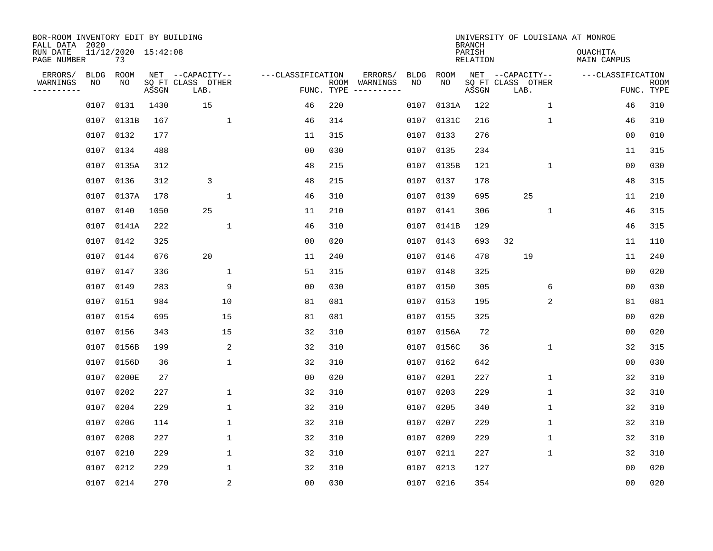| BOR-ROOM INVENTORY EDIT BY BUILDING<br>FALL DATA 2020<br>RUN DATE |                   | 11/12/2020 15:42:08 |       |                                               |                                 |      |                     |                   |             | <b>BRANCH</b><br>PARISH | UNIVERSITY OF LOUISIANA AT MONROE             | <b>OUACHITA</b>   |                           |
|-------------------------------------------------------------------|-------------------|---------------------|-------|-----------------------------------------------|---------------------------------|------|---------------------|-------------------|-------------|-------------------------|-----------------------------------------------|-------------------|---------------------------|
| PAGE NUMBER                                                       |                   | 73                  |       |                                               |                                 |      |                     |                   |             | <b>RELATION</b>         |                                               | MAIN CAMPUS       |                           |
| ERRORS/<br>WARNINGS<br>---------                                  | <b>BLDG</b><br>ΝO | ROOM<br>NO          | ASSGN | NET --CAPACITY--<br>SQ FT CLASS OTHER<br>LAB. | ---CLASSIFICATION<br>FUNC. TYPE | ROOM | ERRORS/<br>WARNINGS | <b>BLDG</b><br>NO | ROOM<br>NO. | ASSGN                   | NET --CAPACITY--<br>SQ FT CLASS OTHER<br>LAB. | ---CLASSIFICATION | <b>ROOM</b><br>FUNC. TYPE |
|                                                                   | 0107              | 0131                | 1430  | 15                                            | 46                              | 220  |                     | 0107              | 0131A       | 122                     | $\mathbf{1}$                                  | 46                | 310                       |
|                                                                   | 0107              | 0131B               | 167   | $\mathbf 1$                                   | 46                              | 314  |                     | 0107              | 0131C       | 216                     | $\mathbf{1}$                                  | 46                | 310                       |
|                                                                   | 0107              | 0132                | 177   |                                               | 11                              | 315  |                     | 0107              | 0133        | 276                     |                                               | 00                | 010                       |
|                                                                   | 0107              | 0134                | 488   |                                               | 0 <sub>0</sub>                  | 030  |                     | 0107              | 0135        | 234                     |                                               | 11                | 315                       |
|                                                                   | 0107              | 0135A               | 312   |                                               | 48                              | 215  |                     | 0107              | 0135B       | 121                     | $\mathbf{1}$                                  | 00                | 030                       |
|                                                                   | 0107              | 0136                | 312   | 3                                             | 48                              | 215  |                     |                   | 0107 0137   | 178                     |                                               | 48                | 315                       |
|                                                                   | 0107              | 0137A               | 178   | 1                                             | 46                              | 310  |                     | 0107              | 0139        | 695                     | 25                                            | 11                | 210                       |
|                                                                   | 0107              | 0140                | 1050  | 25                                            | 11                              | 210  |                     |                   | 0107 0141   | 306                     | 1                                             | 46                | 315                       |
|                                                                   | 0107              | 0141A               | 222   | $\mathbf{1}$                                  | 46                              | 310  |                     | 0107              | 0141B       | 129                     |                                               | 46                | 315                       |
|                                                                   | 0107 0142         |                     | 325   |                                               | 0 <sub>0</sub>                  | 020  |                     | 0107              | 0143        | 693                     | 32                                            | 11                | 110                       |
|                                                                   | 0107              | 0144                | 676   | 20                                            | 11                              | 240  |                     | 0107              | 0146        | 478                     | 19                                            | 11                | 240                       |
|                                                                   | 0107              | 0147                | 336   | $\mathbf 1$                                   | 51                              | 315  |                     | 0107              | 0148        | 325                     |                                               | 00                | 020                       |
|                                                                   | 0107              | 0149                | 283   | 9                                             | 0 <sub>0</sub>                  | 030  |                     | 0107              | 0150        | 305                     | 6                                             | 0 <sub>0</sub>    | 030                       |
|                                                                   | 0107              | 0151                | 984   | 10                                            | 81                              | 081  |                     | 0107              | 0153        | 195                     | 2                                             | 81                | 081                       |
|                                                                   | 0107              | 0154                | 695   | 15                                            | 81                              | 081  |                     | 0107              | 0155        | 325                     |                                               | 0 <sub>0</sub>    | 020                       |
|                                                                   | 0107              | 0156                | 343   | 15                                            | 32                              | 310  |                     | 0107              | 0156A       | 72                      |                                               | 0 <sub>0</sub>    | 020                       |
|                                                                   | 0107              | 0156B               | 199   | 2                                             | 32                              | 310  |                     | 0107              | 0156C       | 36                      | 1                                             | 32                | 315                       |
|                                                                   | 0107              | 0156D               | 36    | $\mathbf{1}$                                  | 32                              | 310  |                     | 0107              | 0162        | 642                     |                                               | 0 <sub>0</sub>    | 030                       |
|                                                                   | 0107              | 0200E               | 27    |                                               | 0 <sub>0</sub>                  | 020  |                     | 0107              | 0201        | 227                     | 1                                             | 32                | 310                       |
|                                                                   | 0107              | 0202                | 227   | $\mathbf 1$                                   | 32                              | 310  |                     | 0107              | 0203        | 229                     | 1                                             | 32                | 310                       |
|                                                                   | 0107              | 0204                | 229   | $\mathbf 1$                                   | 32                              | 310  |                     | 0107              | 0205        | 340                     | 1                                             | 32                | 310                       |
|                                                                   | 0107              | 0206                | 114   | $\mathbf 1$                                   | 32                              | 310  |                     | 0107              | 0207        | 229                     | 1                                             | 32                | 310                       |
|                                                                   | 0107              | 0208                | 227   | $\mathbf 1$                                   | 32                              | 310  |                     | 0107              | 0209        | 229                     | 1                                             | 32                | 310                       |
|                                                                   | 0107              | 0210                | 229   | $\mathbf 1$                                   | 32                              | 310  |                     | 0107              | 0211        | 227                     | $\mathbf 1$                                   | 32                | 310                       |
|                                                                   | 0107              | 0212                | 229   | 1                                             | 32                              | 310  |                     | 0107              | 0213        | 127                     |                                               | 00                | 020                       |
|                                                                   | 0107 0214         |                     | 270   | $\sqrt{2}$                                    | 0 <sub>0</sub>                  | 030  |                     |                   | 0107 0216   | 354                     |                                               | 00                | 020                       |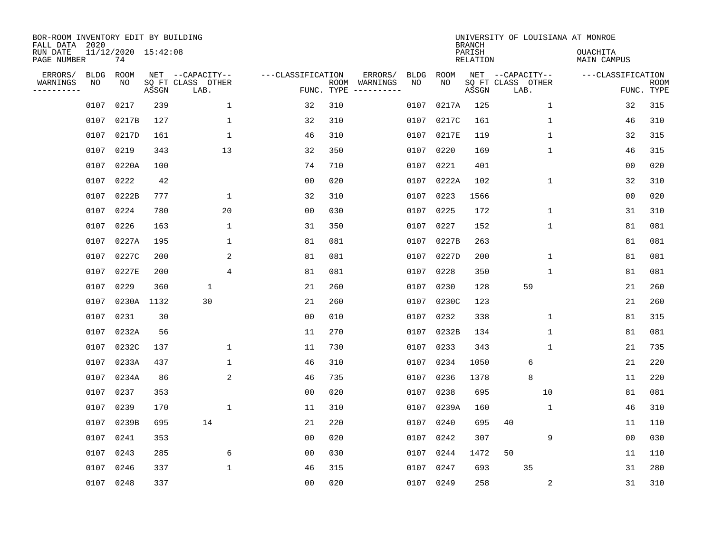| BOR-ROOM INVENTORY EDIT BY BUILDING<br>FALL DATA 2020 |                   |                           |       |                                       |                   |            |                     |                   |            | <b>BRANCH</b>             | UNIVERSITY OF LOUISIANA AT MONROE     |              |                                |             |
|-------------------------------------------------------|-------------------|---------------------------|-------|---------------------------------------|-------------------|------------|---------------------|-------------------|------------|---------------------------|---------------------------------------|--------------|--------------------------------|-------------|
| RUN DATE<br>PAGE NUMBER                               |                   | 11/12/2020 15:42:08<br>74 |       |                                       |                   |            |                     |                   |            | PARISH<br><b>RELATION</b> |                                       |              | <b>OUACHITA</b><br>MAIN CAMPUS |             |
| ERRORS/<br>WARNINGS                                   | <b>BLDG</b><br>NO | ROOM<br>NO                |       | NET --CAPACITY--<br>SO FT CLASS OTHER | ---CLASSIFICATION | ROOM       | ERRORS/<br>WARNINGS | <b>BLDG</b><br>NO | ROOM<br>NO |                           | NET --CAPACITY--<br>SQ FT CLASS OTHER |              | ---CLASSIFICATION              | <b>ROOM</b> |
| --------                                              |                   |                           | ASSGN | LAB.                                  |                   | FUNC. TYPE |                     |                   |            | ASSGN                     | LAB.                                  |              |                                | FUNC. TYPE  |
|                                                       | 0107              | 0217                      | 239   | $\mathbf{1}$                          | 32                | 310        |                     | 0107              | 0217A      | 125                       |                                       | $\mathbf 1$  | 32                             | 315         |
|                                                       | 0107              | 0217B                     | 127   | $\mathbf{1}$                          | 32                | 310        |                     |                   | 0107 0217C | 161                       |                                       | 1            | 46                             | 310         |
|                                                       | 0107              | 0217D                     | 161   | $\mathbf{1}$                          | 46                | 310        |                     |                   | 0107 0217E | 119                       |                                       | $\mathbf{1}$ | 32                             | 315         |
|                                                       | 0107              | 0219                      | 343   | 13                                    | 32                | 350        |                     |                   | 0107 0220  | 169                       |                                       | $\mathbf{1}$ | 46                             | 315         |
|                                                       | 0107              | 0220A                     | 100   |                                       | 74                | 710        |                     | 0107              | 0221       | 401                       |                                       |              | 0 <sub>0</sub>                 | 020         |
|                                                       | 0107              | 0222                      | 42    |                                       | 0 <sub>0</sub>    | 020        |                     |                   | 0107 0222A | 102                       |                                       | $\mathbf{1}$ | 32                             | 310         |
|                                                       | 0107              | 0222B                     | 777   | $\mathbf{1}$                          | 32                | 310        |                     |                   | 0107 0223  | 1566                      |                                       |              | 0 <sub>0</sub>                 | 020         |
|                                                       | 0107              | 0224                      | 780   | 20                                    | 0 <sub>0</sub>    | 030        |                     |                   | 0107 0225  | 172                       |                                       | $\mathbf 1$  | 31                             | 310         |
|                                                       | 0107              | 0226                      | 163   | $\mathbf{1}$                          | 31                | 350        |                     | 0107              | 0227       | 152                       |                                       | $\mathbf 1$  | 81                             | 081         |
|                                                       | 0107              | 0227A                     | 195   | 1                                     | 81                | 081        |                     |                   | 0107 0227B | 263                       |                                       |              | 81                             | 081         |
|                                                       | 0107              | 0227C                     | 200   | 2                                     | 81                | 081        |                     |                   | 0107 0227D | 200                       |                                       | $\mathbf 1$  | 81                             | 081         |
|                                                       | 0107              | 0227E                     | 200   | 4                                     | 81                | 081        |                     |                   | 0107 0228  | 350                       |                                       | $\mathbf 1$  | 81                             | 081         |
|                                                       | 0107              | 0229                      | 360   | $\mathbf 1$                           | 21                | 260        |                     | 0107              | 0230       | 128                       | 59                                    |              | 21                             | 260         |
|                                                       | 0107              | 0230A                     | 1132  | 30                                    | 21                | 260        |                     | 0107              | 0230C      | 123                       |                                       |              | 21                             | 260         |
|                                                       | 0107              | 0231                      | 30    |                                       | 0 <sub>0</sub>    | 010        |                     | 0107              | 0232       | 338                       |                                       | 1            | 81                             | 315         |
|                                                       | 0107              | 0232A                     | 56    |                                       | 11                | 270        |                     | 0107              | 0232B      | 134                       |                                       | 1            | 81                             | 081         |
|                                                       | 0107              | 0232C                     | 137   | 1                                     | 11                | 730        |                     | 0107              | 0233       | 343                       |                                       | $\mathbf{1}$ | 21                             | 735         |
|                                                       | 0107              | 0233A                     | 437   | $\mathbf 1$                           | 46                | 310        |                     | 0107              | 0234       | 1050                      | 6                                     |              | 21                             | 220         |
|                                                       | 0107              | 0234A                     | 86    | 2                                     | 46                | 735        |                     | 0107              | 0236       | 1378                      | 8                                     |              | 11                             | 220         |
|                                                       | 0107              | 0237                      | 353   |                                       | 0 <sub>0</sub>    | 020        |                     | 0107              | 0238       | 695                       | 10                                    |              | 81                             | 081         |
|                                                       | 0107              | 0239                      | 170   | $\mathbf{1}$                          | 11                | 310        |                     |                   | 0107 0239A | 160                       |                                       | 1            | 46                             | 310         |
|                                                       | 0107              | 0239B                     | 695   | 14                                    | 21                | 220        |                     | 0107              | 0240       | 695                       | 40                                    |              | 11                             | 110         |
|                                                       | 0107              | 0241                      | 353   |                                       | 0 <sub>0</sub>    | 020        |                     | 0107              | 0242       | 307                       |                                       | 9            | 00                             | 030         |
|                                                       | 0107              | 0243                      | 285   | 6                                     | 00                | 030        |                     | 0107              | 0244       | 1472                      | 50                                    |              | 11                             | 110         |
|                                                       | 0107              | 0246                      | 337   | 1                                     | 46                | 315        |                     | 0107              | 0247       | 693                       | 35                                    |              | 31                             | 280         |
|                                                       | 0107 0248         |                           | 337   |                                       | 0 <sub>0</sub>    | 020        |                     |                   | 0107 0249  | 258                       |                                       | 2            | 31                             | 310         |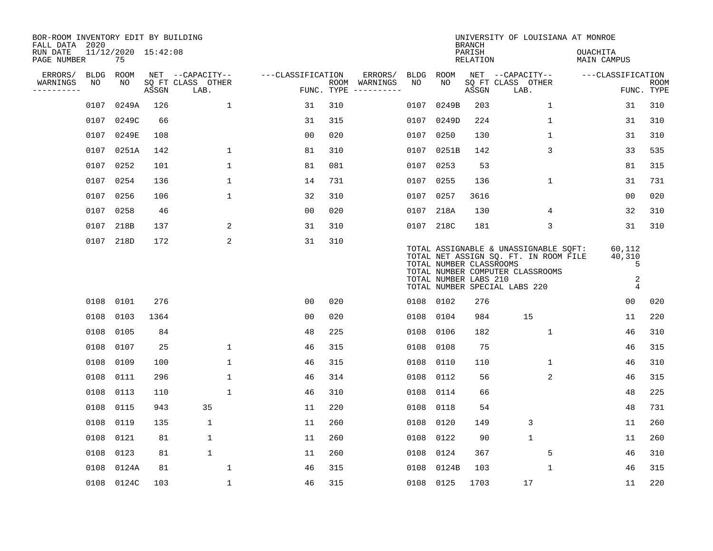| BOR-ROOM INVENTORY EDIT BY BUILDING<br>FALL DATA 2020 |             |                           |       |                           |                   |            |                              |             |                                                  | <b>BRANCH</b>             | UNIVERSITY OF LOUISIANA AT MONROE                                                                                                                   |                                              |                           |
|-------------------------------------------------------|-------------|---------------------------|-------|---------------------------|-------------------|------------|------------------------------|-------------|--------------------------------------------------|---------------------------|-----------------------------------------------------------------------------------------------------------------------------------------------------|----------------------------------------------|---------------------------|
| RUN DATE<br>PAGE NUMBER                               |             | 11/12/2020 15:42:08<br>75 |       |                           |                   |            |                              |             |                                                  | PARISH<br><b>RELATION</b> |                                                                                                                                                     | OUACHITA<br><b>MAIN CAMPUS</b>               |                           |
| ERRORS/                                               | <b>BLDG</b> | <b>ROOM</b>               |       | NET --CAPACITY--          | ---CLASSIFICATION |            | ERRORS/                      | <b>BLDG</b> | <b>ROOM</b>                                      |                           | NET --CAPACITY--                                                                                                                                    | ---CLASSIFICATION                            |                           |
| WARNINGS<br>----------                                | NO          | NO                        | ASSGN | SQ FT CLASS OTHER<br>LAB. |                   | FUNC. TYPE | ROOM WARNINGS<br>----------- | NO          | NO                                               | ASSGN                     | SQ FT CLASS OTHER<br>LAB.                                                                                                                           |                                              | <b>ROOM</b><br>FUNC. TYPE |
|                                                       | 0107        | 0249A                     | 126   | 1                         | 31                | 310        |                              | 0107        | 0249B                                            | 203                       | $\mathbf 1$                                                                                                                                         | 31                                           | 310                       |
|                                                       | 0107        | 0249C                     | 66    |                           | 31                | 315        |                              | 0107        | 0249D                                            | 224                       | 1                                                                                                                                                   | 31                                           | 310                       |
|                                                       | 0107        | 0249E                     | 108   |                           | 0 <sub>0</sub>    | 020        |                              | 0107        | 0250                                             | 130                       | $\mathbf 1$                                                                                                                                         | 31                                           | 310                       |
|                                                       | 0107        | 0251A                     | 142   | $\mathbf 1$               | 81                | 310        |                              | 0107        | 0251B                                            | 142                       | 3                                                                                                                                                   | 33                                           | 535                       |
|                                                       | 0107        | 0252                      | 101   | $\mathbf{1}$              | 81                | 081        |                              | 0107        | 0253                                             | 53                        |                                                                                                                                                     | 81                                           | 315                       |
|                                                       | 0107        | 0254                      | 136   | $\mathbf{1}$              | 14                | 731        |                              |             | 0107 0255                                        | 136                       | $\mathbf 1$                                                                                                                                         | 31                                           | 731                       |
|                                                       | 0107        | 0256                      | 106   | $\mathbf{1}$              | 32                | 310        |                              | 0107        | 0257                                             | 3616                      |                                                                                                                                                     | 00                                           | 020                       |
|                                                       |             | 0107 0258                 | 46    |                           | 0 <sub>0</sub>    | 020        |                              | 0107        | 218A                                             | 130                       | 4                                                                                                                                                   | 32                                           | 310                       |
|                                                       | 0107        | 218B                      | 137   | 2                         | 31                | 310        |                              | 0107        | 218C                                             | 181                       | 3                                                                                                                                                   | 31                                           | 310                       |
|                                                       |             | 0107 218D                 | 172   | 2                         | 31                | 310        |                              |             | TOTAL NUMBER CLASSROOMS<br>TOTAL NUMBER LABS 210 |                           | TOTAL ASSIGNABLE & UNASSIGNABLE SQFT:<br>TOTAL NET ASSIGN SQ. FT. IN ROOM FILE<br>TOTAL NUMBER COMPUTER CLASSROOMS<br>TOTAL NUMBER SPECIAL LABS 220 | 60,112<br>40,310<br>5<br>2<br>$\overline{4}$ |                           |
|                                                       |             | 0108 0101                 | 276   |                           | 0 <sub>0</sub>    | 020        |                              |             | 0108 0102                                        | 276                       |                                                                                                                                                     | 0 <sub>0</sub>                               | 020                       |
|                                                       | 0108        | 0103                      | 1364  |                           | 0 <sub>0</sub>    | 020        |                              | 0108        | 0104                                             | 984                       | 15                                                                                                                                                  | 11                                           | 220                       |
|                                                       | 0108        | 0105                      | 84    |                           | 48                | 225        |                              | 0108        | 0106                                             | 182                       | 1                                                                                                                                                   | 46                                           | 310                       |
|                                                       | 0108        | 0107                      | 25    | $\mathbf{1}$              | 46                | 315        |                              | 0108        | 0108                                             | 75                        |                                                                                                                                                     | 46                                           | 315                       |
|                                                       | 0108        | 0109                      | 100   | $\mathbf 1$               | 46                | 315        |                              | 0108        | 0110                                             | 110                       | 1                                                                                                                                                   | 46                                           | 310                       |
|                                                       | 0108        | 0111                      | 296   | $\mathbf 1$               | 46                | 314        |                              | 0108        | 0112                                             | 56                        | 2                                                                                                                                                   | 46                                           | 315                       |
|                                                       | 0108        | 0113                      | 110   | $\mathbf{1}$              | 46                | 310        |                              | 0108        | 0114                                             | 66                        |                                                                                                                                                     | 48                                           | 225                       |
|                                                       | 0108        | 0115                      | 943   | 35                        | 11                | 220        |                              | 0108        | 0118                                             | 54                        |                                                                                                                                                     | 48                                           | 731                       |
|                                                       | 0108        | 0119                      | 135   | $\mathbf 1$               | 11                | 260        |                              | 0108        | 0120                                             | 149                       | 3                                                                                                                                                   | 11                                           | 260                       |
|                                                       | 0108        | 0121                      | 81    | $\mathbf 1$               | 11                | 260        |                              | 0108        | 0122                                             | 90                        | $\mathbf{1}$                                                                                                                                        | 11                                           | 260                       |
|                                                       | 0108        | 0123                      | 81    | $\mathbf{1}$              | 11                | 260        |                              | 0108        | 0124                                             | 367                       | 5                                                                                                                                                   | 46                                           | 310                       |
|                                                       | 0108        | 0124A                     | 81    | $\mathbf{1}$              | 46                | 315        |                              | 0108        | 0124B                                            | 103                       | 1                                                                                                                                                   | 46                                           | 315                       |
|                                                       |             | 0108 0124C                | 103   | $\mathbf 1$               | 46                | 315        |                              |             | 0108 0125                                        | 1703                      | 17                                                                                                                                                  | 11                                           | 220                       |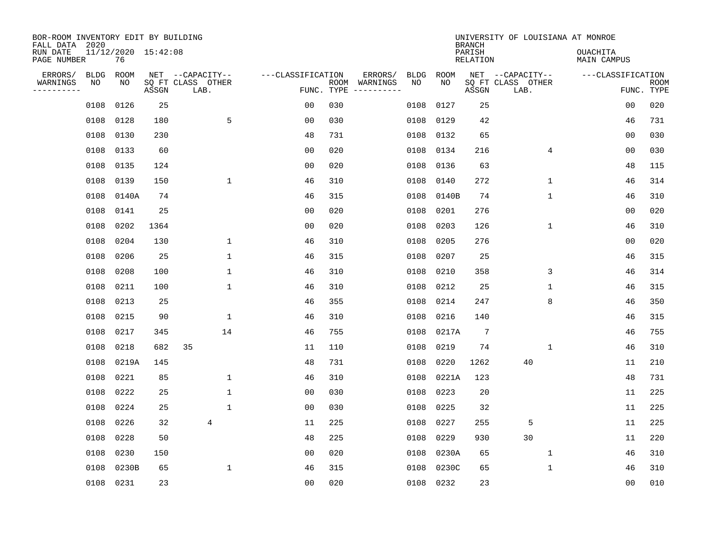| BOR-ROOM INVENTORY EDIT BY BUILDING<br>FALL DATA 2020 |             |                           |       |                           |                   |      |          |             |       | <b>BRANCH</b>             | UNIVERSITY OF LOUISIANA AT MONROE |                                |                           |
|-------------------------------------------------------|-------------|---------------------------|-------|---------------------------|-------------------|------|----------|-------------|-------|---------------------------|-----------------------------------|--------------------------------|---------------------------|
| RUN DATE<br>PAGE NUMBER                               |             | 11/12/2020 15:42:08<br>76 |       |                           |                   |      |          |             |       | PARISH<br><b>RELATION</b> |                                   | <b>OUACHITA</b><br>MAIN CAMPUS |                           |
| ERRORS/                                               | <b>BLDG</b> | ROOM                      |       | NET --CAPACITY--          | ---CLASSIFICATION |      | ERRORS/  | <b>BLDG</b> | ROOM  |                           | NET --CAPACITY--                  | ---CLASSIFICATION              |                           |
| WARNINGS<br>. <u>.</u> .                              | NO          | NO                        | ASSGN | SQ FT CLASS OTHER<br>LAB. | FUNC. TYPE        | ROOM | WARNINGS | NO          | NO.   | ASSGN                     | SQ FT CLASS OTHER<br>LAB.         |                                | <b>ROOM</b><br>FUNC. TYPE |
|                                                       | 0108        | 0126                      | 25    |                           | 0 <sub>0</sub>    | 030  |          | 0108        | 0127  | 25                        |                                   | 0 <sub>0</sub>                 | 020                       |
|                                                       | 0108        | 0128                      | 180   | 5                         | 0 <sub>0</sub>    | 030  |          | 0108        | 0129  | 42                        |                                   | 46                             | 731                       |
|                                                       | 0108        | 0130                      | 230   |                           | 48                | 731  |          | 0108        | 0132  | 65                        |                                   | 00                             | 030                       |
|                                                       | 0108        | 0133                      | 60    |                           | 0 <sub>0</sub>    | 020  |          | 0108        | 0134  | 216                       | 4                                 | 0 <sub>0</sub>                 | 030                       |
|                                                       | 0108        | 0135                      | 124   |                           | 0 <sub>0</sub>    | 020  |          | 0108        | 0136  | 63                        |                                   | 48                             | 115                       |
|                                                       | 0108        | 0139                      | 150   | $\mathbf{1}$              | 46                | 310  |          | 0108        | 0140  | 272                       | $\mathbf{1}$                      | 46                             | 314                       |
|                                                       | 0108        | 0140A                     | 74    |                           | 46                | 315  |          | 0108        | 0140B | 74                        | $\mathbf{1}$                      | 46                             | 310                       |
|                                                       | 0108        | 0141                      | 25    |                           | 0 <sub>0</sub>    | 020  |          | 0108        | 0201  | 276                       |                                   | 00                             | 020                       |
|                                                       | 0108        | 0202                      | 1364  |                           | 0 <sub>0</sub>    | 020  |          | 0108        | 0203  | 126                       | $\mathbf 1$                       | 46                             | 310                       |
|                                                       | 0108        | 0204                      | 130   | 1                         | 46                | 310  |          | 0108        | 0205  | 276                       |                                   | 0 <sub>0</sub>                 | 020                       |
|                                                       | 0108        | 0206                      | 25    | 1                         | 46                | 315  |          | 0108        | 0207  | 25                        |                                   | 46                             | 315                       |
|                                                       | 0108        | 0208                      | 100   | 1                         | 46                | 310  |          | 0108        | 0210  | 358                       | 3                                 | 46                             | 314                       |
|                                                       | 0108        | 0211                      | 100   | 1                         | 46                | 310  |          | 0108        | 0212  | 25                        | $\mathbf 1$                       | 46                             | 315                       |
|                                                       | 0108        | 0213                      | 25    |                           | 46                | 355  |          | 0108        | 0214  | 247                       | 8                                 | 46                             | 350                       |
|                                                       | 0108        | 0215                      | 90    | 1                         | 46                | 310  |          | 0108        | 0216  | 140                       |                                   | 46                             | 315                       |
|                                                       | 0108        | 0217                      | 345   | 14                        | 46                | 755  |          | 0108        | 0217A | $7\phantom{.0}$           |                                   | 46                             | 755                       |
|                                                       | 0108        | 0218                      | 682   | 35                        | 11                | 110  |          | 0108        | 0219  | 74                        | 1                                 | 46                             | 310                       |
|                                                       | 0108        | 0219A                     | 145   |                           | 48                | 731  |          | 0108        | 0220  | 1262                      | 40                                | 11                             | 210                       |
|                                                       | 0108        | 0221                      | 85    | $\mathbf{1}$              | 46                | 310  |          | 0108        | 0221A | 123                       |                                   | 48                             | 731                       |
|                                                       | 0108        | 0222                      | 25    | $\mathbf{1}$              | 0 <sub>0</sub>    | 030  |          | 0108        | 0223  | 20                        |                                   | 11                             | 225                       |
|                                                       | 0108        | 0224                      | 25    | $\mathbf{1}$              | 0 <sub>0</sub>    | 030  |          | 0108        | 0225  | 32                        |                                   | 11                             | 225                       |
|                                                       | 0108        | 0226                      | 32    | $\overline{4}$            | 11                | 225  |          | 0108        | 0227  | 255                       | 5                                 | 11                             | 225                       |
|                                                       | 0108        | 0228                      | 50    |                           | 48                | 225  |          | 0108        | 0229  | 930                       | 30                                | 11                             | 220                       |
|                                                       | 0108        | 0230                      | 150   |                           | 00                | 020  |          | 0108        | 0230A | 65                        | 1                                 | 46                             | 310                       |
|                                                       | 0108        | 0230B                     | 65    | 1                         | 46                | 315  |          | 0108        | 0230C | 65                        | 1                                 | 46                             | 310                       |
|                                                       | 0108        | 0231                      | 23    |                           | 0 <sub>0</sub>    | 020  |          | 0108        | 0232  | 23                        |                                   | 0 <sub>0</sub>                 | 010                       |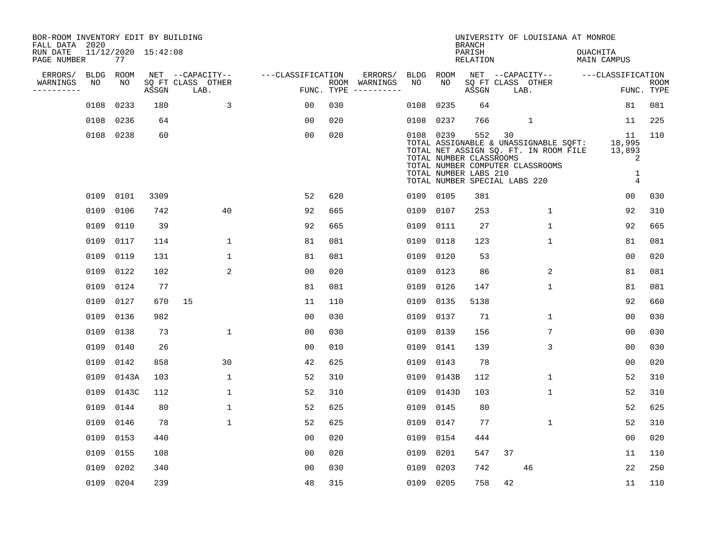| BOR-ROOM INVENTORY EDIT BY BUILDING<br>FALL DATA 2020 |             |       |                     |                           |                   |     |               |           |                                                                                   | <b>BRANCH</b>      |        | UNIVERSITY OF LOUISIANA AT MONROE                                                                                  |                 |                                       |                           |
|-------------------------------------------------------|-------------|-------|---------------------|---------------------------|-------------------|-----|---------------|-----------|-----------------------------------------------------------------------------------|--------------------|--------|--------------------------------------------------------------------------------------------------------------------|-----------------|---------------------------------------|---------------------------|
| RUN DATE<br>PAGE NUMBER                               |             | 77    | 11/12/2020 15:42:08 |                           |                   |     |               |           |                                                                                   | PARISH<br>RELATION |        |                                                                                                                    | <b>OUACHITA</b> | MAIN CAMPUS                           |                           |
| ERRORS/                                               | <b>BLDG</b> | ROOM  |                     | NET --CAPACITY--          | ---CLASSIFICATION |     | ERRORS/       | BLDG      | ROOM                                                                              |                    |        | NET --CAPACITY--                                                                                                   |                 | ---CLASSIFICATION                     |                           |
| WARNINGS<br>---------                                 | NO          | NO    | ASSGN               | SQ FT CLASS OTHER<br>LAB. | FUNC. TYPE        |     | ROOM WARNINGS | NO        | NO                                                                                | ASSGN              |        | SQ FT CLASS OTHER<br>LAB.                                                                                          |                 |                                       | <b>ROOM</b><br>FUNC. TYPE |
|                                                       | 0108        | 0233  | 180                 | 3                         | 00                | 030 |               | 0108      | 0235                                                                              | 64                 |        |                                                                                                                    |                 | 81                                    | 081                       |
|                                                       | 0108 0236   |       | 64                  |                           | 0 <sub>0</sub>    | 020 |               | 0108      | 0237                                                                              | 766                |        | $\mathbf{1}$                                                                                                       |                 | 11                                    | 225                       |
|                                                       | 0108 0238   |       | 60                  |                           | 0 <sub>0</sub>    | 020 |               | 0108 0239 | TOTAL NUMBER CLASSROOMS<br>TOTAL NUMBER LABS 210<br>TOTAL NUMBER SPECIAL LABS 220 |                    | 552 30 | TOTAL ASSIGNABLE & UNASSIGNABLE SQFT:<br>TOTAL NET ASSIGN SQ. FT. IN ROOM FILE<br>TOTAL NUMBER COMPUTER CLASSROOMS |                 | 11<br>18,995<br>13,893<br>2<br>1<br>4 | 110                       |
|                                                       | 0109 0101   |       | 3309                |                           | 52                | 620 |               | 0109 0105 |                                                                                   | 381                |        |                                                                                                                    |                 | 0 <sub>0</sub>                        | 030                       |
|                                                       | 0109 0106   |       | 742                 | 40                        | 92                | 665 |               | 0109      | 0107                                                                              | 253                |        | 1                                                                                                                  |                 | 92                                    | 310                       |
|                                                       | 0109        | 0110  | 39                  |                           | 92                | 665 |               | 0109      | 0111                                                                              | 27                 |        | $\mathbf{1}$                                                                                                       |                 | 92                                    | 665                       |
|                                                       | 0109 0117   |       | 114                 | 1                         | 81                | 081 |               | 0109      | 0118                                                                              | 123                |        | $\mathbf 1$                                                                                                        |                 | 81                                    | 081                       |
|                                                       | 0109 0119   |       | 131                 | $\mathbf{1}$              | 81                | 081 |               | 0109      | 0120                                                                              | 53                 |        |                                                                                                                    |                 | 00                                    | 020                       |
|                                                       | 0109 0122   |       | 102                 | 2                         | 0 <sub>0</sub>    | 020 |               | 0109      | 0123                                                                              | 86                 |        | 2                                                                                                                  |                 | 81                                    | 081                       |
|                                                       | 0109        | 0124  | 77                  |                           | 81                | 081 |               | 0109      | 0126                                                                              | 147                |        | $\mathbf{1}$                                                                                                       |                 | 81                                    | 081                       |
|                                                       | 0109        | 0127  | 670                 | 15                        | 11                | 110 |               | 0109      | 0135                                                                              | 5138               |        |                                                                                                                    |                 | 92                                    | 660                       |
|                                                       | 0109        | 0136  | 982                 |                           | 0 <sub>0</sub>    | 030 |               | 0109      | 0137                                                                              | 71                 |        | 1                                                                                                                  |                 | 00                                    | 030                       |
|                                                       | 0109        | 0138  | 73                  | $\mathbf 1$               | 0 <sub>0</sub>    | 030 |               | 0109      | 0139                                                                              | 156                |        | 7                                                                                                                  |                 | 0 <sub>0</sub>                        | 030                       |
|                                                       | 0109        | 0140  | 26                  |                           | 0 <sub>0</sub>    | 010 |               | 0109      | 0141                                                                              | 139                |        | 3                                                                                                                  |                 | 0 <sub>0</sub>                        | 030                       |
|                                                       | 0109        | 0142  | 858                 | 30                        | 42                | 625 |               | 0109      | 0143                                                                              | 78                 |        |                                                                                                                    |                 | 0 <sub>0</sub>                        | 020                       |
|                                                       | 0109        | 0143A | 103                 | $\mathbf{1}$              | 52                | 310 |               | 0109      | 0143B                                                                             | 112                |        | $\mathbf{1}$                                                                                                       |                 | 52                                    | 310                       |
|                                                       | 0109        | 0143C | 112                 | $\mathbf{1}$              | 52                | 310 |               | 0109      | 0143D                                                                             | 103                |        | $\mathbf{1}$                                                                                                       |                 | 52                                    | 310                       |
|                                                       | 0109        | 0144  | 80                  | $\mathbf{1}$              | 52                | 625 |               | 0109      | 0145                                                                              | 80                 |        |                                                                                                                    |                 | 52                                    | 625                       |
|                                                       | 0109        | 0146  | 78                  | $\mathbf{1}$              | 52                | 625 |               | 0109      | 0147                                                                              | 77                 |        | $\mathbf{1}$                                                                                                       |                 | 52                                    | 310                       |
|                                                       | 0109        | 0153  | 440                 |                           | 0 <sub>0</sub>    | 020 |               | 0109      | 0154                                                                              | 444                |        |                                                                                                                    |                 | 0 <sub>0</sub>                        | 020                       |
|                                                       | 0109        | 0155  | 108                 |                           | 0 <sub>0</sub>    | 020 |               | 0109      | 0201                                                                              | 547                | 37     |                                                                                                                    |                 | 11                                    | 110                       |
|                                                       | 0109        | 0202  | 340                 |                           | 00                | 030 |               | 0109      | 0203                                                                              | 742                |        | 46                                                                                                                 |                 | 22                                    | 250                       |
|                                                       | 0109 0204   |       | 239                 |                           | 48                | 315 |               | 0109 0205 |                                                                                   | 758                | 42     |                                                                                                                    |                 | 11                                    | 110                       |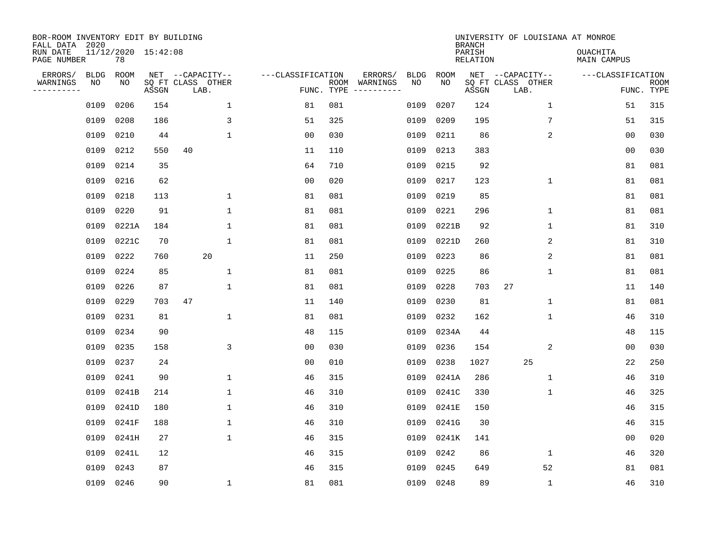| BOR-ROOM INVENTORY EDIT BY BUILDING<br>FALL DATA 2020 |                   |                           |       |                                               |                   |                    |                                                                                                                                   |                   |             | <b>BRANCH</b>             | UNIVERSITY OF LOUISIANA AT MONROE             |                                |                           |
|-------------------------------------------------------|-------------------|---------------------------|-------|-----------------------------------------------|-------------------|--------------------|-----------------------------------------------------------------------------------------------------------------------------------|-------------------|-------------|---------------------------|-----------------------------------------------|--------------------------------|---------------------------|
| RUN DATE<br>PAGE NUMBER                               |                   | 11/12/2020 15:42:08<br>78 |       |                                               |                   |                    |                                                                                                                                   |                   |             | PARISH<br><b>RELATION</b> |                                               | <b>OUACHITA</b><br>MAIN CAMPUS |                           |
| ERRORS/<br>WARNINGS<br>---------                      | <b>BLDG</b><br>NO | ROOM<br>NO                | ASSGN | NET --CAPACITY--<br>SQ FT CLASS OTHER<br>LAB. | ---CLASSIFICATION | ROOM<br>FUNC. TYPE | ERRORS/<br>WARNINGS<br>$\begin{tabular}{ccccccccc} - & - & - & - & - & - & - & - \\ & - & - & - & - & - & - & - \\ \end{tabular}$ | <b>BLDG</b><br>NO | ROOM<br>NO. | ASSGN                     | NET --CAPACITY--<br>SQ FT CLASS OTHER<br>LAB. | ---CLASSIFICATION              | <b>ROOM</b><br>FUNC. TYPE |
|                                                       | 0109              | 0206                      | 154   | $\mathbf{1}$                                  | 81                | 081                |                                                                                                                                   | 0109              | 0207        | 124                       | $\mathbf 1$                                   | 51                             | 315                       |
|                                                       | 0109              | 0208                      | 186   | 3                                             | 51                | 325                |                                                                                                                                   | 0109              | 0209        | 195                       | 7                                             | 51                             | 315                       |
|                                                       | 0109              | 0210                      | 44    | $\mathbf{1}$                                  | 0 <sub>0</sub>    | 030                |                                                                                                                                   | 0109              | 0211        | 86                        | 2                                             | 00                             | 030                       |
|                                                       | 0109              | 0212                      | 550   | 40                                            | 11                | 110                |                                                                                                                                   | 0109              | 0213        | 383                       |                                               | 0 <sub>0</sub>                 | 030                       |
|                                                       | 0109              | 0214                      | 35    |                                               | 64                | 710                |                                                                                                                                   | 0109              | 0215        | 92                        |                                               | 81                             | 081                       |
|                                                       | 0109              | 0216                      | 62    |                                               | 0 <sub>0</sub>    | 020                |                                                                                                                                   | 0109              | 0217        | 123                       | $\mathbf 1$                                   | 81                             | 081                       |
|                                                       | 0109              | 0218                      | 113   | $\mathbf 1$                                   | 81                | 081                |                                                                                                                                   | 0109              | 0219        | 85                        |                                               | 81                             | 081                       |
|                                                       | 0109              | 0220                      | 91    | 1                                             | 81                | 081                |                                                                                                                                   | 0109              | 0221        | 296                       | 1                                             | 81                             | 081                       |
|                                                       | 0109              | 0221A                     | 184   | $\mathbf 1$                                   | 81                | 081                |                                                                                                                                   | 0109              | 0221B       | 92                        | 1                                             | 81                             | 310                       |
|                                                       | 0109              | 0221C                     | 70    | $\mathbf 1$                                   | 81                | 081                |                                                                                                                                   | 0109              | 0221D       | 260                       | 2                                             | 81                             | 310                       |
|                                                       | 0109              | 0222                      | 760   | 20                                            | 11                | 250                |                                                                                                                                   | 0109              | 0223        | 86                        | 2                                             | 81                             | 081                       |
|                                                       | 0109              | 0224                      | 85    | $\mathbf 1$                                   | 81                | 081                |                                                                                                                                   | 0109              | 0225        | 86                        | 1                                             | 81                             | 081                       |
|                                                       | 0109              | 0226                      | 87    | $\mathbf{1}$                                  | 81                | 081                |                                                                                                                                   | 0109              | 0228        | 703                       | 27                                            | 11                             | 140                       |
|                                                       | 0109              | 0229                      | 703   | 47                                            | 11                | 140                |                                                                                                                                   | 0109              | 0230        | 81                        | 1                                             | 81                             | 081                       |
|                                                       | 0109              | 0231                      | 81    | $\mathbf{1}$                                  | 81                | 081                |                                                                                                                                   | 0109              | 0232        | 162                       | 1                                             | 46                             | 310                       |
|                                                       | 0109              | 0234                      | 90    |                                               | 48                | 115                |                                                                                                                                   | 0109              | 0234A       | 44                        |                                               | 48                             | 115                       |
|                                                       | 0109              | 0235                      | 158   | 3                                             | 0 <sub>0</sub>    | 030                |                                                                                                                                   | 0109              | 0236        | 154                       | 2                                             | 0 <sub>0</sub>                 | 030                       |
|                                                       | 0109              | 0237                      | 24    |                                               | 0 <sub>0</sub>    | 010                |                                                                                                                                   | 0109              | 0238        | 1027                      | 25                                            | 22                             | 250                       |
|                                                       | 0109              | 0241                      | 90    | 1                                             | 46                | 315                |                                                                                                                                   | 0109              | 0241A       | 286                       | 1                                             | 46                             | 310                       |
|                                                       | 0109              | 0241B                     | 214   | $\mathbf{1}$                                  | 46                | 310                |                                                                                                                                   | 0109              | 0241C       | 330                       | 1                                             | 46                             | 325                       |
|                                                       | 0109              | 0241D                     | 180   | 1                                             | 46                | 310                |                                                                                                                                   | 0109              | 0241E       | 150                       |                                               | 46                             | 315                       |
|                                                       | 0109              | 0241F                     | 188   | $\mathbf{1}$                                  | 46                | 310                |                                                                                                                                   | 0109              | 0241G       | 30                        |                                               | 46                             | 315                       |
|                                                       | 0109              | 0241H                     | 27    | $\mathbf{1}$                                  | 46                | 315                |                                                                                                                                   | 0109              | 0241K       | 141                       |                                               | 0 <sub>0</sub>                 | 020                       |
|                                                       | 0109              | 0241L                     | 12    |                                               | 46                | 315                |                                                                                                                                   | 0109              | 0242        | 86                        | $\mathbf 1$                                   | 46                             | 320                       |
|                                                       | 0109              | 0243                      | 87    |                                               | 46                | 315                |                                                                                                                                   | 0109              | 0245        | 649                       | 52                                            | 81                             | 081                       |
|                                                       | 0109 0246         |                           | 90    | $\mathbf{1}$                                  | 81                | 081                |                                                                                                                                   | 0109              | 0248        | 89                        | $\mathbf 1$                                   | 46                             | 310                       |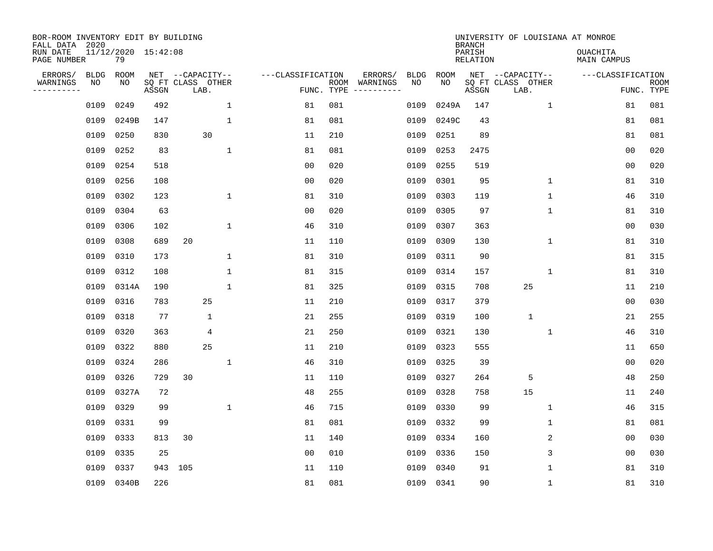| BOR-ROOM INVENTORY EDIT BY BUILDING<br>FALL DATA 2020<br>RUN DATE<br>PAGE NUMBER |                   | 11/12/2020 15:42:08<br>79 |       |                                               |              |                   |            |                                                                                                                                        |                   |             | <b>BRANCH</b><br>PARISH<br><b>RELATION</b> | UNIVERSITY OF LOUISIANA AT MONROE             | <b>OUACHITA</b><br>MAIN CAMPUS |                           |
|----------------------------------------------------------------------------------|-------------------|---------------------------|-------|-----------------------------------------------|--------------|-------------------|------------|----------------------------------------------------------------------------------------------------------------------------------------|-------------------|-------------|--------------------------------------------|-----------------------------------------------|--------------------------------|---------------------------|
|                                                                                  |                   |                           |       |                                               |              |                   |            |                                                                                                                                        |                   |             |                                            |                                               |                                |                           |
| ERRORS/<br>WARNINGS<br>---------                                                 | <b>BLDG</b><br>NO | ROOM<br>ΝO                | ASSGN | NET --CAPACITY--<br>SQ FT CLASS OTHER<br>LAB. |              | ---CLASSIFICATION | FUNC. TYPE | ERRORS/<br>ROOM WARNINGS<br>$\begin{tabular}{ccccccccc} - & - & - & - & - & - & - & - \\ & - & - & - & - & - & - & - \\ \end{tabular}$ | <b>BLDG</b><br>NO | ROOM<br>NO. | ASSGN                                      | NET --CAPACITY--<br>SQ FT CLASS OTHER<br>LAB. | ---CLASSIFICATION              | <b>ROOM</b><br>FUNC. TYPE |
|                                                                                  | 0109              | 0249                      | 492   |                                               | $\mathbf 1$  | 81                | 081        |                                                                                                                                        | 0109              | 0249A       | 147                                        | $\mathbf{1}$                                  | 81                             | 081                       |
|                                                                                  | 0109              | 0249B                     | 147   |                                               | $\mathbf 1$  | 81                | 081        |                                                                                                                                        | 0109              | 0249C       | 43                                         |                                               | 81                             | 081                       |
|                                                                                  | 0109              | 0250                      | 830   | 30                                            |              | 11                | 210        |                                                                                                                                        | 0109              | 0251        | 89                                         |                                               | 81                             | 081                       |
|                                                                                  | 0109              | 0252                      | 83    |                                               | $\mathbf{1}$ | 81                | 081        |                                                                                                                                        | 0109              | 0253        | 2475                                       |                                               | 0 <sub>0</sub>                 | 020                       |
|                                                                                  | 0109              | 0254                      | 518   |                                               |              | 0 <sub>0</sub>    | 020        |                                                                                                                                        | 0109              | 0255        | 519                                        |                                               | 00                             | 020                       |
|                                                                                  | 0109              | 0256                      | 108   |                                               |              | 0 <sub>0</sub>    | 020        |                                                                                                                                        | 0109              | 0301        | 95                                         | $\mathbf 1$                                   | 81                             | 310                       |
|                                                                                  | 0109              | 0302                      | 123   |                                               | $\mathbf 1$  | 81                | 310        |                                                                                                                                        | 0109              | 0303        | 119                                        | $\mathbf 1$                                   | 46                             | 310                       |
|                                                                                  | 0109              | 0304                      | 63    |                                               |              | 0 <sub>0</sub>    | 020        |                                                                                                                                        | 0109              | 0305        | 97                                         | 1                                             | 81                             | 310                       |
|                                                                                  | 0109              | 0306                      | 102   |                                               | $\mathbf 1$  | 46                | 310        |                                                                                                                                        | 0109              | 0307        | 363                                        |                                               | 0 <sub>0</sub>                 | 030                       |
|                                                                                  | 0109              | 0308                      | 689   | 20                                            |              | 11                | 110        |                                                                                                                                        | 0109              | 0309        | 130                                        | $\mathbf 1$                                   | 81                             | 310                       |
|                                                                                  | 0109              | 0310                      | 173   |                                               | $\mathbf 1$  | 81                | 310        |                                                                                                                                        | 0109              | 0311        | 90                                         |                                               | 81                             | 315                       |
|                                                                                  | 0109              | 0312                      | 108   |                                               | $\mathbf{1}$ | 81                | 315        |                                                                                                                                        | 0109              | 0314        | 157                                        | $\mathbf{1}$                                  | 81                             | 310                       |
|                                                                                  | 0109              | 0314A                     | 190   |                                               | $\mathbf{1}$ | 81                | 325        |                                                                                                                                        | 0109              | 0315        | 708                                        | 25                                            | 11                             | 210                       |
|                                                                                  | 0109              | 0316                      | 783   | 25                                            |              | 11                | 210        |                                                                                                                                        | 0109              | 0317        | 379                                        |                                               | 0 <sub>0</sub>                 | 030                       |
|                                                                                  | 0109              | 0318                      | 77    | 1                                             |              | 21                | 255        |                                                                                                                                        | 0109              | 0319        | 100                                        | $\mathbf{1}$                                  | 21                             | 255                       |
|                                                                                  | 0109              | 0320                      | 363   | 4                                             |              | 21                | 250        |                                                                                                                                        | 0109              | 0321        | 130                                        | 1                                             | 46                             | 310                       |
|                                                                                  | 0109              | 0322                      | 880   | 25                                            |              | 11                | 210        |                                                                                                                                        | 0109              | 0323        | 555                                        |                                               | 11                             | 650                       |
|                                                                                  | 0109              | 0324                      | 286   |                                               | 1            | 46                | 310        |                                                                                                                                        | 0109              | 0325        | 39                                         |                                               | 0 <sub>0</sub>                 | 020                       |
|                                                                                  | 0109              | 0326                      | 729   | 30                                            |              | 11                | 110        |                                                                                                                                        | 0109              | 0327        | 264                                        | 5                                             | 48                             | 250                       |
|                                                                                  | 0109              | 0327A                     | 72    |                                               |              | 48                | 255        |                                                                                                                                        | 0109              | 0328        | 758                                        | 15                                            | 11                             | 240                       |
|                                                                                  | 0109              | 0329                      | 99    |                                               | $\mathbf 1$  | 46                | 715        |                                                                                                                                        | 0109              | 0330        | 99                                         | 1                                             | 46                             | 315                       |
|                                                                                  | 0109              | 0331                      | 99    |                                               |              | 81                | 081        |                                                                                                                                        | 0109              | 0332        | 99                                         | 1                                             | 81                             | 081                       |
|                                                                                  | 0109              | 0333                      | 813   | 30                                            |              | 11                | 140        |                                                                                                                                        | 0109              | 0334        | 160                                        | 2                                             | 0 <sub>0</sub>                 | 030                       |
|                                                                                  | 0109              | 0335                      | 25    |                                               |              | 0 <sub>0</sub>    | 010        |                                                                                                                                        | 0109              | 0336        | 150                                        | 3                                             | 0 <sub>0</sub>                 | 030                       |
|                                                                                  | 0109              | 0337                      | 943   | 105                                           |              | 11                | 110        |                                                                                                                                        | 0109              | 0340        | 91                                         | 1                                             | 81                             | 310                       |
|                                                                                  |                   | 0109 0340B                | 226   |                                               |              | 81                | 081        |                                                                                                                                        | 0109              | 0341        | 90                                         | 1                                             | 81                             | 310                       |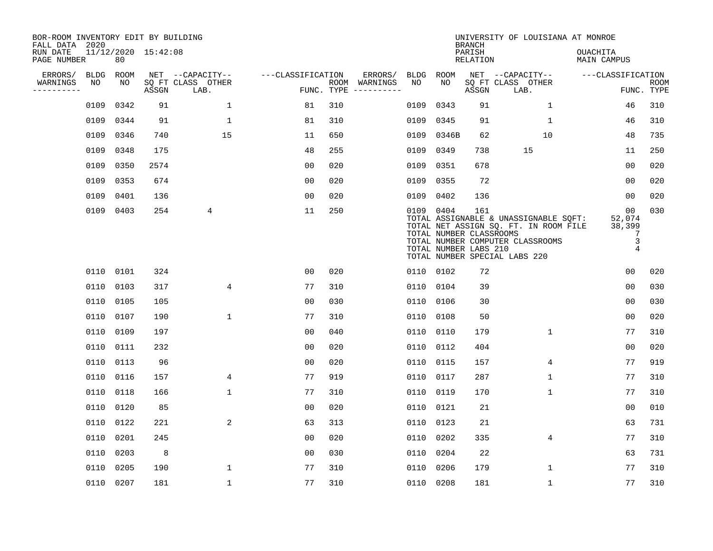| BOR-ROOM INVENTORY EDIT BY BUILDING<br>FALL DATA 2020 |           |      |                     |                           |                   |            |                              |             |                                                               | <b>BRANCH</b>             | UNIVERSITY OF LOUISIANA AT MONROE                                                                                                                   |                                       |                           |
|-------------------------------------------------------|-----------|------|---------------------|---------------------------|-------------------|------------|------------------------------|-------------|---------------------------------------------------------------|---------------------------|-----------------------------------------------------------------------------------------------------------------------------------------------------|---------------------------------------|---------------------------|
| RUN DATE<br>PAGE NUMBER                               |           | 80   | 11/12/2020 15:42:08 |                           |                   |            |                              |             |                                                               | PARISH<br><b>RELATION</b> |                                                                                                                                                     | OUACHITA<br><b>MAIN CAMPUS</b>        |                           |
| ERRORS/                                               | BLDG      | ROOM |                     | NET --CAPACITY--          | ---CLASSIFICATION |            | ERRORS/                      | <b>BLDG</b> | <b>ROOM</b>                                                   |                           | NET --CAPACITY--                                                                                                                                    | ---CLASSIFICATION                     |                           |
| WARNINGS<br>----------                                | NO        | NO   | ASSGN               | SQ FT CLASS OTHER<br>LAB. |                   | FUNC. TYPE | ROOM WARNINGS<br>----------- | NO          | NO                                                            | ASSGN                     | SQ FT CLASS OTHER<br>LAB.                                                                                                                           |                                       | <b>ROOM</b><br>FUNC. TYPE |
|                                                       | 0109      | 0342 | 91                  | $\mathbf 1$               | 81                | 310        |                              | 0109        | 0343                                                          | 91                        | 1                                                                                                                                                   | 46                                    | 310                       |
|                                                       | 0109      | 0344 | 91                  | $\mathbf{1}$              | 81                | 310        |                              | 0109        | 0345                                                          | 91                        | $\mathbf 1$                                                                                                                                         | 46                                    | 310                       |
|                                                       | 0109      | 0346 | 740                 | 15                        | 11                | 650        |                              | 0109        | 0346B                                                         | 62                        | 10                                                                                                                                                  | 48                                    | 735                       |
|                                                       | 0109      | 0348 | 175                 |                           | 48                | 255        |                              | 0109        | 0349                                                          | 738                       | 15                                                                                                                                                  | 11                                    | 250                       |
|                                                       | 0109      | 0350 | 2574                |                           | 0 <sub>0</sub>    | 020        |                              | 0109        | 0351                                                          | 678                       |                                                                                                                                                     | 0 <sub>0</sub>                        | 020                       |
|                                                       | 0109      | 0353 | 674                 |                           | 0 <sub>0</sub>    | 020        |                              | 0109        | 0355                                                          | 72                        |                                                                                                                                                     | 0 <sub>0</sub>                        | 020                       |
|                                                       | 0109      | 0401 | 136                 |                           | 0 <sub>0</sub>    | 020        |                              | 0109        | 0402                                                          | 136                       |                                                                                                                                                     | 0 <sub>0</sub>                        | 020                       |
|                                                       | 0109 0403 |      | 254                 | 4                         | 11                | 250        |                              |             | 0109 0404<br>TOTAL NUMBER CLASSROOMS<br>TOTAL NUMBER LABS 210 | 161                       | TOTAL ASSIGNABLE & UNASSIGNABLE SQFT:<br>TOTAL NET ASSIGN SQ. FT. IN ROOM FILE<br>TOTAL NUMBER COMPUTER CLASSROOMS<br>TOTAL NUMBER SPECIAL LABS 220 | 00<br>52,074<br>38,399<br>7<br>3<br>4 | 030                       |
|                                                       | 0110 0101 |      | 324                 |                           | 0 <sub>0</sub>    | 020        |                              |             | 0110 0102                                                     | 72                        |                                                                                                                                                     | 00                                    | 020                       |
|                                                       | 0110      | 0103 | 317                 | 4                         | 77                | 310        |                              | 0110        | 0104                                                          | 39                        |                                                                                                                                                     | 0 <sub>0</sub>                        | 030                       |
|                                                       | 0110      | 0105 | 105                 |                           | 0 <sub>0</sub>    | 030        |                              | 0110        | 0106                                                          | 30                        |                                                                                                                                                     | 0 <sub>0</sub>                        | 030                       |
|                                                       | 0110      | 0107 | 190                 | $\mathbf{1}$              | 77                | 310        |                              | 0110        | 0108                                                          | 50                        |                                                                                                                                                     | 0 <sub>0</sub>                        | 020                       |
|                                                       | 0110      | 0109 | 197                 |                           | 0 <sub>0</sub>    | 040        |                              | 0110        | 0110                                                          | 179                       | 1                                                                                                                                                   | 77                                    | 310                       |
|                                                       | 0110      | 0111 | 232                 |                           | 0 <sub>0</sub>    | 020        |                              | 0110        | 0112                                                          | 404                       |                                                                                                                                                     | 0 <sub>0</sub>                        | 020                       |
|                                                       | 0110      | 0113 | 96                  |                           | 0 <sub>0</sub>    | 020        |                              | 0110        | 0115                                                          | 157                       | 4                                                                                                                                                   | 77                                    | 919                       |
|                                                       | 0110 0116 |      | 157                 | 4                         | 77                | 919        |                              | 0110        | 0117                                                          | 287                       | 1                                                                                                                                                   | 77                                    | 310                       |
|                                                       | 0110      | 0118 | 166                 | $\mathbf{1}$              | 77                | 310        |                              | 0110        | 0119                                                          | 170                       | $\mathbf{1}$                                                                                                                                        | 77                                    | 310                       |
|                                                       | 0110 0120 |      | 85                  |                           | 0 <sub>0</sub>    | 020        |                              | 0110        | 0121                                                          | 21                        |                                                                                                                                                     | 0 <sub>0</sub>                        | 010                       |
|                                                       | 0110      | 0122 | 221                 | $\overline{\mathbf{c}}$   | 63                | 313        |                              | 0110        | 0123                                                          | 21                        |                                                                                                                                                     | 63                                    | 731                       |
|                                                       | 0110      | 0201 | 245                 |                           | 0 <sub>0</sub>    | 020        |                              | 0110        | 0202                                                          | 335                       | 4                                                                                                                                                   | 77                                    | 310                       |
|                                                       | 0110      | 0203 | 8                   |                           | 0 <sub>0</sub>    | 030        |                              | 0110        | 0204                                                          | 22                        |                                                                                                                                                     | 63                                    | 731                       |
|                                                       | 0110      | 0205 | 190                 | $\mathbf{1}$              | 77                | 310        |                              | 0110        | 0206                                                          | 179                       | $\mathbf{1}$                                                                                                                                        | 77                                    | 310                       |
|                                                       | 0110 0207 |      | 181                 | $\mathbf{1}$              | 77                | 310        |                              |             | 0110 0208                                                     | 181                       | $\mathbf{1}$                                                                                                                                        | 77                                    | 310                       |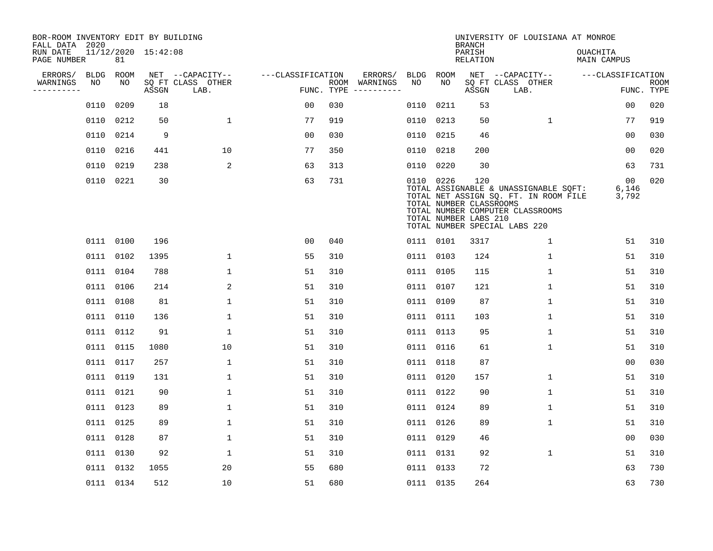| BOR-ROOM INVENTORY EDIT BY BUILDING<br>FALL DATA 2020 |             |           |                     |                           |                   |                    |          |      |           | <b>BRANCH</b>                                           | UNIVERSITY OF LOUISIANA AT MONROE                                                                                                                   |                                   |                           |
|-------------------------------------------------------|-------------|-----------|---------------------|---------------------------|-------------------|--------------------|----------|------|-----------|---------------------------------------------------------|-----------------------------------------------------------------------------------------------------------------------------------------------------|-----------------------------------|---------------------------|
| RUN DATE<br>PAGE NUMBER                               |             | 81        | 11/12/2020 15:42:08 |                           |                   |                    |          |      |           | PARISH<br><b>RELATION</b>                               |                                                                                                                                                     | OUACHITA<br><b>MAIN CAMPUS</b>    |                           |
| ERRORS/                                               | <b>BLDG</b> | ROOM      |                     | NET --CAPACITY--          | ---CLASSIFICATION |                    | ERRORS/  | BLDG | ROOM      |                                                         | NET --CAPACITY--                                                                                                                                    | ---CLASSIFICATION                 |                           |
| WARNINGS<br>----------                                | NO          | NO        | ASSGN               | SQ FT CLASS OTHER<br>LAB. |                   | ROOM<br>FUNC. TYPE | WARNINGS | NO   | NO        | ASSGN                                                   | SQ FT CLASS OTHER<br>LAB.                                                                                                                           |                                   | <b>ROOM</b><br>FUNC. TYPE |
|                                                       | 0110        | 0209      | 18                  |                           | 00                | 030                |          | 0110 | 0211      | 53                                                      |                                                                                                                                                     | 00                                | 020                       |
|                                                       | 0110        | 0212      | 50                  | 1                         | 77                | 919                |          | 0110 | 0213      | 50                                                      | 1                                                                                                                                                   | 77                                | 919                       |
|                                                       | 0110        | 0214      | 9                   |                           | 0 <sub>0</sub>    | 030                |          |      | 0110 0215 | 46                                                      |                                                                                                                                                     | 00                                | 030                       |
|                                                       | 0110        | 0216      | 441                 | 10                        | 77                | 350                |          |      | 0110 0218 | 200                                                     |                                                                                                                                                     | 00                                | 020                       |
|                                                       | 0110        | 0219      | 238                 | 2                         | 63                | 313                |          | 0110 | 0220      | 30                                                      |                                                                                                                                                     | 63                                | 731                       |
|                                                       |             | 0110 0221 | 30                  |                           | 63                | 731                |          |      | 0110 0226 | 120<br>TOTAL NUMBER CLASSROOMS<br>TOTAL NUMBER LABS 210 | TOTAL ASSIGNABLE & UNASSIGNABLE SQFT:<br>TOTAL NET ASSIGN SQ. FT. IN ROOM FILE<br>TOTAL NUMBER COMPUTER CLASSROOMS<br>TOTAL NUMBER SPECIAL LABS 220 | 00 <sub>o</sub><br>6,146<br>3,792 | 020                       |
|                                                       |             | 0111 0100 | 196                 |                           | 0 <sub>0</sub>    | 040                |          |      | 0111 0101 | 3317                                                    | 1                                                                                                                                                   | 51                                | 310                       |
|                                                       |             | 0111 0102 | 1395                | $\mathbf{1}$              | 55                | 310                |          |      | 0111 0103 | 124                                                     | $\mathbf{1}$                                                                                                                                        | 51                                | 310                       |
|                                                       |             | 0111 0104 | 788                 | $\mathbf 1$               | 51                | 310                |          |      | 0111 0105 | 115                                                     | $\mathbf 1$                                                                                                                                         | 51                                | 310                       |
|                                                       | 0111        | 0106      | 214                 | 2                         | 51                | 310                |          |      | 0111 0107 | 121                                                     | 1                                                                                                                                                   | 51                                | 310                       |
|                                                       |             | 0111 0108 | 81                  | $\mathbf{1}$              | 51                | 310                |          |      | 0111 0109 | 87                                                      | 1                                                                                                                                                   | 51                                | 310                       |
|                                                       | 0111        | 0110      | 136                 | 1                         | 51                | 310                |          |      | 0111 0111 | 103                                                     | 1                                                                                                                                                   | 51                                | 310                       |
|                                                       |             | 0111 0112 | 91                  | $\mathbf{1}$              | 51                | 310                |          |      | 0111 0113 | 95                                                      | 1                                                                                                                                                   | 51                                | 310                       |
|                                                       | 0111        | 0115      | 1080                | 10                        | 51                | 310                |          |      | 0111 0116 | 61                                                      | 1                                                                                                                                                   | 51                                | 310                       |
|                                                       |             | 0111 0117 | 257                 | $\mathbf{1}$              | 51                | 310                |          |      | 0111 0118 | 87                                                      |                                                                                                                                                     | 0 <sub>0</sub>                    | 030                       |
|                                                       |             | 0111 0119 | 131                 | $\mathbf{1}$              | 51                | 310                |          |      | 0111 0120 | 157                                                     | $\mathbf 1$                                                                                                                                         | 51                                | 310                       |
|                                                       |             | 0111 0121 | 90                  | $\mathbf{1}$              | 51                | 310                |          |      | 0111 0122 | 90                                                      | 1                                                                                                                                                   | 51                                | 310                       |
|                                                       |             | 0111 0123 | 89                  | $\mathbf 1$               | 51                | 310                |          |      | 0111 0124 | 89                                                      | 1                                                                                                                                                   | 51                                | 310                       |
|                                                       |             | 0111 0125 | 89                  | $\mathbf 1$               | 51                | 310                |          |      | 0111 0126 | 89                                                      | 1                                                                                                                                                   | 51                                | 310                       |
|                                                       |             | 0111 0128 | 87                  | $\mathbf 1$               | 51                | 310                |          |      | 0111 0129 | 46                                                      |                                                                                                                                                     | 0 <sub>0</sub>                    | 030                       |
|                                                       |             | 0111 0130 | 92                  | $\mathbf{1}$              | 51                | 310                |          |      | 0111 0131 | 92                                                      | $\mathbf{1}$                                                                                                                                        | 51                                | 310                       |
|                                                       |             | 0111 0132 | 1055                | 20                        | 55                | 680                |          |      | 0111 0133 | 72                                                      |                                                                                                                                                     | 63                                | 730                       |
|                                                       |             | 0111 0134 | 512                 | 10                        | 51                | 680                |          |      | 0111 0135 | 264                                                     |                                                                                                                                                     | 63                                | 730                       |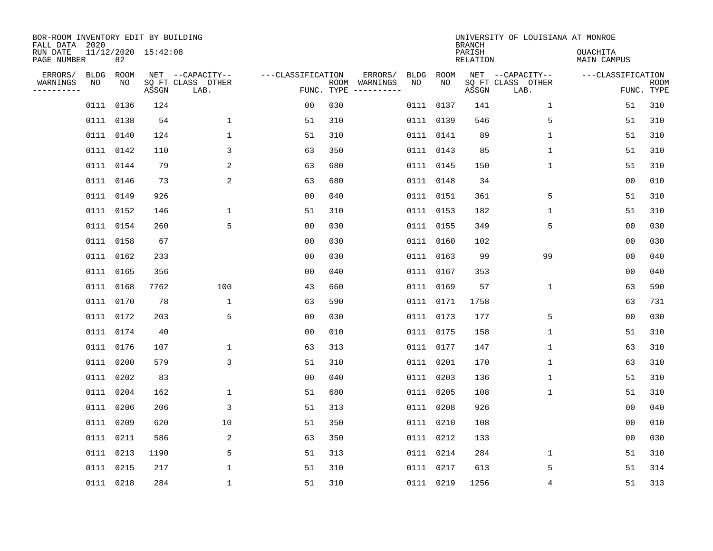| BOR-ROOM INVENTORY EDIT BY BUILDING<br>FALL DATA 2020 |                           |       |                                               |                   |            |                          |            |            | <b>BRANCH</b>      | UNIVERSITY OF LOUISIANA AT MONROE             |                                 |             |
|-------------------------------------------------------|---------------------------|-------|-----------------------------------------------|-------------------|------------|--------------------------|------------|------------|--------------------|-----------------------------------------------|---------------------------------|-------------|
| RUN DATE<br>PAGE NUMBER                               | 11/12/2020 15:42:08<br>82 |       |                                               |                   |            |                          |            |            | PARISH<br>RELATION |                                               | <b>OUACHITA</b><br>MAIN CAMPUS  |             |
| ERRORS/<br>BLDG<br>WARNINGS<br>NO<br>---------        | ROOM<br>NO                | ASSGN | NET --CAPACITY--<br>SQ FT CLASS OTHER<br>LAB. | ---CLASSIFICATION | FUNC. TYPE | ERRORS/<br>ROOM WARNINGS | BLDG<br>NO | ROOM<br>NO | ASSGN              | NET --CAPACITY--<br>SQ FT CLASS OTHER<br>LAB. | ---CLASSIFICATION<br>FUNC. TYPE | <b>ROOM</b> |
|                                                       | 0111 0136                 | 124   |                                               | 0 <sub>0</sub>    | 030        |                          |            | 0111 0137  | 141                | $\mathbf{1}$                                  | 51                              | 310         |
|                                                       | 0111 0138                 | 54    | $\mathbf 1$                                   | 51                | 310        |                          |            | 0111 0139  | 546                | 5                                             | 51                              | 310         |
|                                                       | 0111 0140                 | 124   | $\mathbf{1}$                                  | 51                | 310        |                          |            | 0111 0141  | 89                 | $\mathbf{1}$                                  | 51                              | 310         |
|                                                       | 0111 0142                 | 110   | 3                                             | 63                | 350        |                          |            | 0111 0143  | 85                 | $\mathbf{1}$                                  | 51                              | 310         |
|                                                       | 0111 0144                 | 79    | 2                                             | 63                | 680        |                          |            | 0111 0145  | 150                | $\mathbf{1}$                                  | 51                              | 310         |
|                                                       | 0111 0146                 | 73    | 2                                             | 63                | 680        |                          |            | 0111 0148  | 34                 |                                               | 0 <sub>0</sub>                  | 010         |
|                                                       | 0111 0149                 | 926   |                                               | 00                | 040        |                          |            | 0111 0151  | 361                | 5                                             | 51                              | 310         |
|                                                       | 0111 0152                 | 146   | $\mathbf 1$                                   | 51                | 310        |                          |            | 0111 0153  | 182                | $\mathbf 1$                                   | 51                              | 310         |
| 0111                                                  | 0154                      | 260   | 5                                             | 0 <sub>0</sub>    | 030        |                          |            | 0111 0155  | 349                | 5                                             | 0 <sub>0</sub>                  | 030         |
|                                                       | 0111 0158                 | 67    |                                               | 0 <sub>0</sub>    | 030        |                          |            | 0111 0160  | 102                |                                               | 0 <sub>0</sub>                  | 030         |
|                                                       | 0111 0162                 | 233   |                                               | 0 <sub>0</sub>    | 030        |                          |            | 0111 0163  | 99                 | 99                                            | 0 <sub>0</sub>                  | 040         |
|                                                       | 0111 0165                 | 356   |                                               | 0 <sub>0</sub>    | 040        |                          |            | 0111 0167  | 353                |                                               | 0 <sub>0</sub>                  | 040         |
| 0111                                                  | 0168                      | 7762  | 100                                           | 43                | 660        |                          |            | 0111 0169  | 57                 | $\mathbf 1$                                   | 63                              | 590         |
|                                                       | 0111 0170                 | 78    | $\mathbf{1}$                                  | 63                | 590        |                          |            | 0111 0171  | 1758               |                                               | 63                              | 731         |
| 0111                                                  | 0172                      | 203   | 5                                             | 00                | 030        |                          |            | 0111 0173  | 177                | 5                                             | 0 <sub>0</sub>                  | 030         |
|                                                       | 0111 0174                 | 40    |                                               | 0 <sub>0</sub>    | 010        |                          |            | 0111 0175  | 158                | 1                                             | 51                              | 310         |
| 0111                                                  | 0176                      | 107   | $\mathbf 1$                                   | 63                | 313        |                          |            | 0111 0177  | 147                | 1                                             | 63                              | 310         |
| 0111                                                  | 0200                      | 579   | 3                                             | 51                | 310        |                          |            | 0111 0201  | 170                | 1                                             | 63                              | 310         |
|                                                       | 0111 0202                 | 83    |                                               | 0 <sub>0</sub>    | 040        |                          |            | 0111 0203  | 136                | 1                                             | 51                              | 310         |
|                                                       | 0111 0204                 | 162   | $\mathbf 1$                                   | 51                | 680        |                          |            | 0111 0205  | 108                | $\mathbf 1$                                   | 51                              | 310         |
|                                                       | 0111 0206                 | 206   | 3                                             | 51                | 313        |                          |            | 0111 0208  | 926                |                                               | 0 <sub>0</sub>                  | 040         |
|                                                       | 0111 0209                 | 620   | 10                                            | 51                | 350        |                          |            | 0111 0210  | 108                |                                               | 00                              | 010         |
|                                                       | 0111 0211                 | 586   | 2                                             | 63                | 350        |                          |            | 0111 0212  | 133                |                                               | 0 <sub>0</sub>                  | 030         |
|                                                       | 0111 0213                 | 1190  | 5                                             | 51                | 313        |                          |            | 0111 0214  | 284                | $\mathbf{1}$                                  | 51                              | 310         |
|                                                       | 0111 0215                 | 217   | 1                                             | 51                | 310        |                          |            | 0111 0217  | 613                | 5                                             | 51                              | 314         |
|                                                       | 0111 0218                 | 284   | $\mathbf{1}$                                  | 51                | 310        |                          |            | 0111 0219  | 1256               | 4                                             | 51                              | 313         |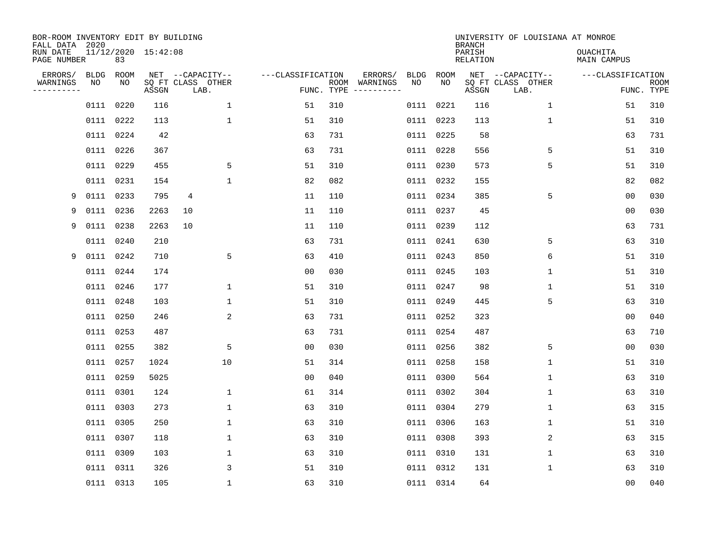| BOR-ROOM INVENTORY EDIT BY BUILDING<br>FALL DATA 2020 |            |            |                     |                                               |                   |            |                          |                   |            | <b>BRANCH</b>      | UNIVERSITY OF LOUISIANA AT MONROE             |                                |                           |
|-------------------------------------------------------|------------|------------|---------------------|-----------------------------------------------|-------------------|------------|--------------------------|-------------------|------------|--------------------|-----------------------------------------------|--------------------------------|---------------------------|
| RUN DATE<br>PAGE NUMBER                               |            | 83         | 11/12/2020 15:42:08 |                                               |                   |            |                          |                   |            | PARISH<br>RELATION |                                               | <b>OUACHITA</b><br>MAIN CAMPUS |                           |
| ERRORS/<br>WARNINGS<br>---------                      | BLDG<br>ΝO | ROOM<br>NO | ASSGN               | NET --CAPACITY--<br>SQ FT CLASS OTHER<br>LAB. | ---CLASSIFICATION | FUNC. TYPE | ERRORS/<br>ROOM WARNINGS | <b>BLDG</b><br>NO | ROOM<br>NO | ASSGN              | NET --CAPACITY--<br>SQ FT CLASS OTHER<br>LAB. | ---CLASSIFICATION              | <b>ROOM</b><br>FUNC. TYPE |
|                                                       |            | 0111 0220  | 116                 | $\mathbf 1$                                   | 51                | 310        |                          | 0111              | 0221       | 116                | 1                                             | 51                             | 310                       |
|                                                       |            | 0111 0222  | 113                 | $\mathbf{1}$                                  | 51                | 310        |                          |                   | 0111 0223  | 113                | $\mathbf 1$                                   | 51                             | 310                       |
|                                                       |            | 0111 0224  | 42                  |                                               | 63                | 731        |                          |                   | 0111 0225  | 58                 |                                               | 63                             | 731                       |
|                                                       |            | 0111 0226  | 367                 |                                               | 63                | 731        |                          |                   | 0111 0228  | 556                | 5                                             | 51                             | 310                       |
|                                                       |            | 0111 0229  | 455                 | 5                                             | 51                | 310        |                          |                   | 0111 0230  | 573                | 5                                             | 51                             | 310                       |
|                                                       |            | 0111 0231  | 154                 | $\mathbf{1}$                                  | 82                | 082        |                          |                   | 0111 0232  | 155                |                                               | 82                             | 082                       |
| 9                                                     |            | 0111 0233  | 795                 | $\overline{4}$                                | 11                | 110        |                          |                   | 0111 0234  | 385                | 5                                             | 0 <sub>0</sub>                 | 030                       |
| 9                                                     |            | 0111 0236  | 2263                | 10                                            | 11                | 110        |                          |                   | 0111 0237  | 45                 |                                               | 0 <sub>0</sub>                 | 030                       |
| 9                                                     | 0111       | 0238       | 2263                | 10                                            | 11                | 110        |                          | 0111              | 0239       | 112                |                                               | 63                             | 731                       |
|                                                       |            | 0111 0240  | 210                 |                                               | 63                | 731        |                          |                   | 0111 0241  | 630                | 5                                             | 63                             | 310                       |
| 9                                                     |            | 0111 0242  | 710                 | 5                                             | 63                | 410        |                          |                   | 0111 0243  | 850                | 6                                             | 51                             | 310                       |
|                                                       |            | 0111 0244  | 174                 |                                               | 0 <sub>0</sub>    | 030        |                          |                   | 0111 0245  | 103                | 1                                             | 51                             | 310                       |
|                                                       |            | 0111 0246  | 177                 | $\mathbf{1}$                                  | 51                | 310        |                          |                   | 0111 0247  | 98                 | $\mathbf{1}$                                  | 51                             | 310                       |
|                                                       |            | 0111 0248  | 103                 | $\mathbf{1}$                                  | 51                | 310        |                          |                   | 0111 0249  | 445                | 5                                             | 63                             | 310                       |
|                                                       |            | 0111 0250  | 246                 | 2                                             | 63                | 731        |                          |                   | 0111 0252  | 323                |                                               | 0 <sub>0</sub>                 | 040                       |
|                                                       |            | 0111 0253  | 487                 |                                               | 63                | 731        |                          |                   | 0111 0254  | 487                |                                               | 63                             | 710                       |
|                                                       | 0111 0255  |            | 382                 | 5                                             | 0 <sub>0</sub>    | 030        |                          |                   | 0111 0256  | 382                | 5                                             | 0 <sub>0</sub>                 | 030                       |
|                                                       | 0111 0257  |            | 1024                | 10                                            | 51                | 314        |                          |                   | 0111 0258  | 158                | $\mathbf 1$                                   | 51                             | 310                       |
|                                                       |            | 0111 0259  | 5025                |                                               | 0 <sub>0</sub>    | 040        |                          |                   | 0111 0300  | 564                | $\mathbf 1$                                   | 63                             | 310                       |
|                                                       |            | 0111 0301  | 124                 | $\mathbf{1}$                                  | 61                | 314        |                          |                   | 0111 0302  | 304                | $\mathbf 1$                                   | 63                             | 310                       |
|                                                       | 0111 0303  |            | 273                 | 1                                             | 63                | 310        |                          |                   | 0111 0304  | 279                | 1                                             | 63                             | 315                       |
|                                                       | 0111 0305  |            | 250                 | 1                                             | 63                | 310        |                          |                   | 0111 0306  | 163                | 1                                             | 51                             | 310                       |
|                                                       |            | 0111 0307  | 118                 | 1                                             | 63                | 310        |                          |                   | 0111 0308  | 393                | 2                                             | 63                             | 315                       |
|                                                       |            | 0111 0309  | 103                 | 1                                             | 63                | 310        |                          |                   | 0111 0310  | 131                | 1                                             | 63                             | 310                       |
|                                                       | 0111 0311  |            | 326                 | 3                                             | 51                | 310        |                          |                   | 0111 0312  | 131                | $\mathbf{1}$                                  | 63                             | 310                       |
|                                                       |            | 0111 0313  | 105                 | $\mathbf{1}$                                  | 63                | 310        |                          |                   | 0111 0314  | 64                 |                                               | 0 <sub>0</sub>                 | 040                       |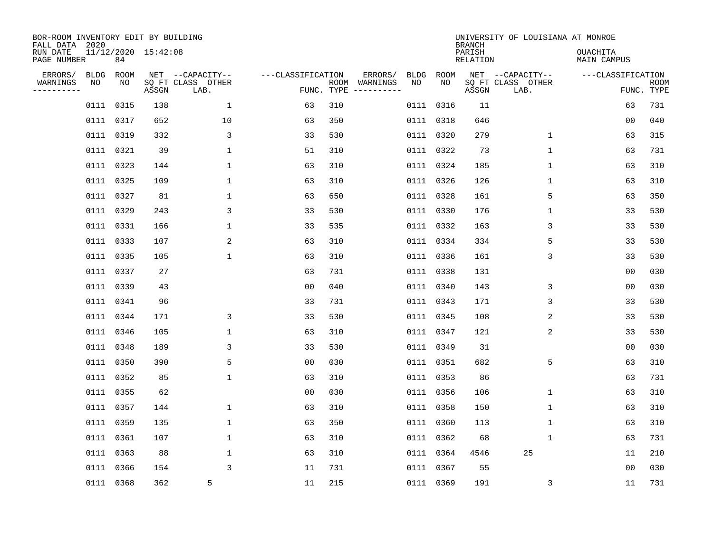| BOR-ROOM INVENTORY EDIT BY BUILDING<br>FALL DATA 2020 |            |            |                     |                           |                   |            |                                        |             | <b>BRANCH</b>             | UNIVERSITY OF LOUISIANA AT MONROE |                                |             |
|-------------------------------------------------------|------------|------------|---------------------|---------------------------|-------------------|------------|----------------------------------------|-------------|---------------------------|-----------------------------------|--------------------------------|-------------|
| RUN DATE<br>PAGE NUMBER                               |            | 84         | 11/12/2020 15:42:08 |                           |                   |            |                                        |             | PARISH<br><b>RELATION</b> |                                   | <b>OUACHITA</b><br>MAIN CAMPUS |             |
| ERRORS/<br>WARNINGS                                   | BLDG<br>NO | ROOM<br>NO |                     | NET --CAPACITY--          | ---CLASSIFICATION |            | ERRORS/<br>BLDG<br>ROOM WARNINGS<br>NO | ROOM<br>NO. |                           | NET --CAPACITY--                  | ---CLASSIFICATION              | <b>ROOM</b> |
| .                                                     |            |            | ASSGN               | SQ FT CLASS OTHER<br>LAB. |                   | FUNC. TYPE |                                        |             | ASSGN                     | SQ FT CLASS OTHER<br>LAB.         |                                | FUNC. TYPE  |
|                                                       |            | 0111 0315  | 138                 | $\mathbf 1$               | 63                | 310        |                                        | 0111 0316   | 11                        |                                   | 63                             | 731         |
|                                                       |            | 0111 0317  | 652                 | 10                        | 63                | 350        |                                        | 0111 0318   | 646                       |                                   | 0 <sub>0</sub>                 | 040         |
|                                                       |            | 0111 0319  | 332                 | 3                         | 33                | 530        |                                        | 0111 0320   | 279                       | $\mathbf{1}$                      | 63                             | 315         |
|                                                       |            | 0111 0321  | 39                  | $\mathbf{1}$              | 51                | 310        |                                        | 0111 0322   | 73                        | $\mathbf{1}$                      | 63                             | 731         |
|                                                       |            | 0111 0323  | 144                 | $\mathbf{1}$              | 63                | 310        |                                        | 0111 0324   | 185                       | $\mathbf 1$                       | 63                             | 310         |
|                                                       |            | 0111 0325  | 109                 | $\mathbf 1$               | 63                | 310        |                                        | 0111 0326   | 126                       | 1                                 | 63                             | 310         |
|                                                       |            | 0111 0327  | 81                  | $\mathbf 1$               | 63                | 650        |                                        | 0111 0328   | 161                       | 5                                 | 63                             | 350         |
|                                                       |            | 0111 0329  | 243                 | 3                         | 33                | 530        |                                        | 0111 0330   | 176                       | 1                                 | 33                             | 530         |
|                                                       |            | 0111 0331  | 166                 | $\mathbf 1$               | 33                | 535        |                                        | 0111 0332   | 163                       | 3                                 | 33                             | 530         |
|                                                       |            | 0111 0333  | 107                 | 2                         | 63                | 310        |                                        | 0111 0334   | 334                       | 5                                 | 33                             | 530         |
|                                                       |            | 0111 0335  | 105                 | $\mathbf 1$               | 63                | 310        |                                        | 0111 0336   | 161                       | 3                                 | 33                             | 530         |
|                                                       |            | 0111 0337  | 27                  |                           | 63                | 731        |                                        | 0111 0338   | 131                       |                                   | 00                             | 030         |
|                                                       |            | 0111 0339  | 43                  |                           | 0 <sub>0</sub>    | 040        | 0111                                   | 0340        | 143                       | 3                                 | 0 <sub>0</sub>                 | 030         |
|                                                       |            | 0111 0341  | 96                  |                           | 33                | 731        |                                        | 0111 0343   | 171                       | 3                                 | 33                             | 530         |
|                                                       |            | 0111 0344  | 171                 | 3                         | 33                | 530        |                                        | 0111 0345   | 108                       | 2                                 | 33                             | 530         |
|                                                       |            | 0111 0346  | 105                 | $\mathbf 1$               | 63                | 310        |                                        | 0111 0347   | 121                       | 2                                 | 33                             | 530         |
|                                                       |            | 0111 0348  | 189                 | 3                         | 33                | 530        |                                        | 0111 0349   | 31                        |                                   | 0 <sub>0</sub>                 | 030         |
|                                                       |            | 0111 0350  | 390                 | 5                         | 0 <sub>0</sub>    | 030        |                                        | 0111 0351   | 682                       | 5                                 | 63                             | 310         |
|                                                       |            | 0111 0352  | 85                  | 1                         | 63                | 310        |                                        | 0111 0353   | 86                        |                                   | 63                             | 731         |
|                                                       |            | 0111 0355  | 62                  |                           | 0 <sub>0</sub>    | 030        |                                        | 0111 0356   | 106                       | $\mathbf 1$                       | 63                             | 310         |
|                                                       |            | 0111 0357  | 144                 | 1                         | 63                | 310        |                                        | 0111 0358   | 150                       | 1                                 | 63                             | 310         |
|                                                       |            | 0111 0359  | 135                 | $\mathbf 1$               | 63                | 350        |                                        | 0111 0360   | 113                       | $\mathbf 1$                       | 63                             | 310         |
|                                                       |            | 0111 0361  | 107                 | $\mathbf 1$               | 63                | 310        |                                        | 0111 0362   | 68                        | 1                                 | 63                             | 731         |
|                                                       |            | 0111 0363  | 88                  | $\mathbf 1$               | 63                | 310        |                                        | 0111 0364   | 4546                      | 25                                | 11                             | 210         |
|                                                       |            | 0111 0366  | 154                 | 3                         | 11                | 731        |                                        | 0111 0367   | 55                        |                                   | 00                             | 030         |
|                                                       |            | 0111 0368  | 362                 | 5                         | 11                | 215        |                                        | 0111 0369   | 191                       | 3                                 | 11                             | 731         |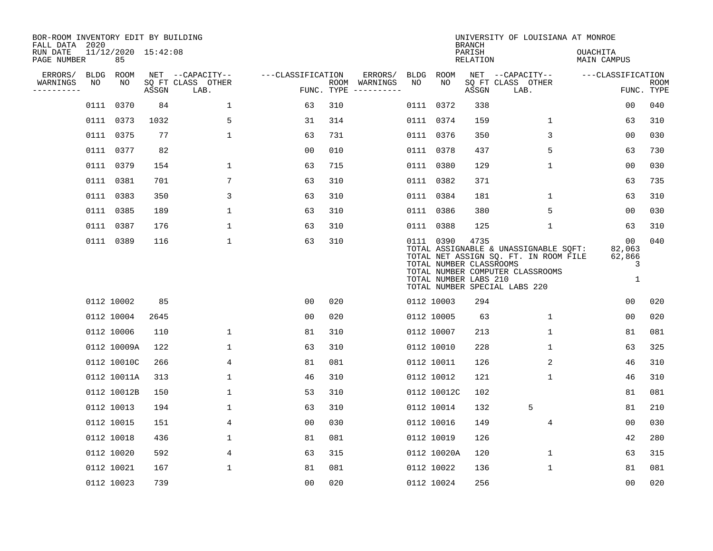| BOR-ROOM INVENTORY EDIT BY BUILDING<br>FALL DATA 2020 |             |                           |       |                           |                   |            |                              |             |             | <b>BRANCH</b>                                            | UNIVERSITY OF LOUISIANA AT MONROE                                                                                                                   |                                  |                           |
|-------------------------------------------------------|-------------|---------------------------|-------|---------------------------|-------------------|------------|------------------------------|-------------|-------------|----------------------------------------------------------|-----------------------------------------------------------------------------------------------------------------------------------------------------|----------------------------------|---------------------------|
| RUN DATE<br>PAGE NUMBER                               |             | 11/12/2020 15:42:08<br>85 |       |                           |                   |            |                              |             |             | PARISH<br><b>RELATION</b>                                |                                                                                                                                                     | OUACHITA<br>MAIN CAMPUS          |                           |
| ERRORS/                                               | <b>BLDG</b> | <b>ROOM</b>               |       | NET --CAPACITY--          | ---CLASSIFICATION |            | ERRORS/                      | <b>BLDG</b> | <b>ROOM</b> |                                                          | NET --CAPACITY--                                                                                                                                    | ---CLASSIFICATION                |                           |
| WARNINGS<br>----------                                | NO          | NO                        | ASSGN | SQ FT CLASS OTHER<br>LAB. |                   | FUNC. TYPE | ROOM WARNINGS<br>----------- | NO          | NO          | ASSGN                                                    | SQ FT CLASS OTHER<br>LAB.                                                                                                                           |                                  | <b>ROOM</b><br>FUNC. TYPE |
|                                                       | 0111        | 0370                      | 84    | $\mathbf{1}$              | 63                | 310        |                              | 0111        | 0372        | 338                                                      |                                                                                                                                                     | 00                               | 040                       |
|                                                       | 0111        | 0373                      | 1032  | 5                         | 31                | 314        |                              |             | 0111 0374   | 159                                                      | 1                                                                                                                                                   | 63                               | 310                       |
|                                                       | 0111        | 0375                      | 77    | $\mathbf 1$               | 63                | 731        |                              |             | 0111 0376   | 350                                                      | 3                                                                                                                                                   | 0 <sub>0</sub>                   | 030                       |
|                                                       |             | 0111 0377                 | 82    |                           | 0 <sub>0</sub>    | 010        |                              |             | 0111 0378   | 437                                                      | 5                                                                                                                                                   | 63                               | 730                       |
|                                                       |             | 0111 0379                 | 154   | $\mathbf 1$               | 63                | 715        |                              |             | 0111 0380   | 129                                                      | $\mathbf 1$                                                                                                                                         | 00                               | 030                       |
|                                                       |             | 0111 0381                 | 701   | 7                         | 63                | 310        |                              |             | 0111 0382   | 371                                                      |                                                                                                                                                     | 63                               | 735                       |
|                                                       |             | 0111 0383                 | 350   | 3                         | 63                | 310        |                              |             | 0111 0384   | 181                                                      | $\mathbf 1$                                                                                                                                         | 63                               | 310                       |
|                                                       |             | 0111 0385                 | 189   | 1                         | 63                | 310        |                              |             | 0111 0386   | 380                                                      | 5                                                                                                                                                   | 00                               | 030                       |
|                                                       | 0111        | 0387                      | 176   | 1                         | 63                | 310        |                              |             | 0111 0388   | 125                                                      | $\mathbf{1}$                                                                                                                                        | 63                               | 310                       |
|                                                       |             | 0111 0389                 | 116   | 1                         | 63                | 310        |                              |             | 0111 0390   | 4735<br>TOTAL NUMBER CLASSROOMS<br>TOTAL NUMBER LABS 210 | TOTAL ASSIGNABLE & UNASSIGNABLE SQFT:<br>TOTAL NET ASSIGN SQ. FT. IN ROOM FILE<br>TOTAL NUMBER COMPUTER CLASSROOMS<br>TOTAL NUMBER SPECIAL LABS 220 | 00<br>82,063<br>62,866<br>3<br>1 | 040                       |
|                                                       |             | 0112 10002                | 85    |                           | 0 <sub>0</sub>    | 020        |                              |             | 0112 10003  | 294                                                      |                                                                                                                                                     | 00                               | 020                       |
|                                                       |             | 0112 10004                | 2645  |                           | 0 <sub>0</sub>    | 020        |                              |             | 0112 10005  | 63                                                       | $\mathbf 1$                                                                                                                                         | 0 <sub>0</sub>                   | 020                       |
|                                                       |             | 0112 10006                | 110   | 1                         | 81                | 310        |                              |             | 0112 10007  | 213                                                      | 1                                                                                                                                                   | 81                               | 081                       |
|                                                       |             | 0112 10009A               | 122   | 1                         | 63                | 310        |                              |             | 0112 10010  | 228                                                      | 1                                                                                                                                                   | 63                               | 325                       |
|                                                       |             | 0112 10010C               | 266   | 4                         | 81                | 081        |                              |             | 0112 10011  | 126                                                      | 2                                                                                                                                                   | 46                               | 310                       |
|                                                       |             | 0112 10011A               | 313   | 1                         | 46                | 310        |                              |             | 0112 10012  | 121                                                      | 1                                                                                                                                                   | 46                               | 310                       |
|                                                       |             | 0112 10012B               | 150   | 1                         | 53                | 310        |                              |             | 0112 10012C | 102                                                      |                                                                                                                                                     | 81                               | 081                       |
|                                                       |             | 0112 10013                | 194   | 1                         | 63                | 310        |                              |             | 0112 10014  | 132                                                      | 5                                                                                                                                                   | 81                               | 210                       |
|                                                       |             | 0112 10015                | 151   | 4                         | 0 <sub>0</sub>    | 030        |                              |             | 0112 10016  | 149                                                      | 4                                                                                                                                                   | 0 <sub>0</sub>                   | 030                       |
|                                                       |             | 0112 10018                | 436   | 1                         | 81                | 081        |                              |             | 0112 10019  | 126                                                      |                                                                                                                                                     | 42                               | 280                       |
|                                                       |             | 0112 10020                | 592   | 4                         | 63                | 315        |                              |             | 0112 10020A | 120                                                      | 1                                                                                                                                                   | 63                               | 315                       |
|                                                       |             | 0112 10021                | 167   | 1                         | 81                | 081        |                              |             | 0112 10022  | 136                                                      | 1                                                                                                                                                   | 81                               | 081                       |
|                                                       |             | 0112 10023                | 739   |                           | 0 <sub>0</sub>    | 020        |                              |             | 0112 10024  | 256                                                      |                                                                                                                                                     | 0 <sub>0</sub>                   | 020                       |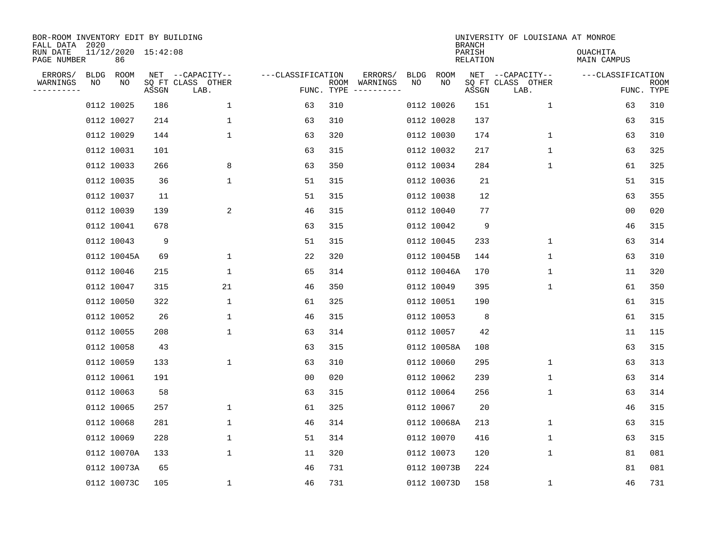| BOR-ROOM INVENTORY EDIT BY BUILDING<br>FALL DATA 2020 |    |                           |       |                           |                   |                    |                                                                                                                        |      |             | <b>BRANCH</b>      | UNIVERSITY OF LOUISIANA AT MONROE |                                |                    |
|-------------------------------------------------------|----|---------------------------|-------|---------------------------|-------------------|--------------------|------------------------------------------------------------------------------------------------------------------------|------|-------------|--------------------|-----------------------------------|--------------------------------|--------------------|
| RUN DATE<br>PAGE NUMBER                               |    | 11/12/2020 15:42:08<br>86 |       |                           |                   |                    |                                                                                                                        |      |             | PARISH<br>RELATION |                                   | <b>OUACHITA</b><br>MAIN CAMPUS |                    |
| ERRORS/                                               |    | BLDG ROOM                 |       | NET --CAPACITY--          | ---CLASSIFICATION |                    | ERRORS/                                                                                                                | BLDG | ROOM        |                    | NET --CAPACITY--                  | ---CLASSIFICATION              |                    |
| WARNINGS                                              | ΝO | ΝO                        | ASSGN | SQ FT CLASS OTHER<br>LAB. |                   | ROOM<br>FUNC. TYPE | WARNINGS<br>$\begin{tabular}{ccccccccc} - & - & - & - & - & - & - & - \\ & - & - & - & - & - & - & - \\ \end{tabular}$ | NO   | NO          | ASSGN              | SQ FT CLASS OTHER<br>LAB.         |                                | ROOM<br>FUNC. TYPE |
|                                                       |    | 0112 10025                | 186   | $\mathbf{1}$              | 63                | 310                |                                                                                                                        |      | 0112 10026  | 151                | $\mathbf 1$                       | 63                             | 310                |
|                                                       |    | 0112 10027                | 214   | $\mathbf{1}$              | 63                | 310                |                                                                                                                        |      | 0112 10028  | 137                |                                   | 63                             | 315                |
|                                                       |    | 0112 10029                | 144   | $\mathbf{1}$              | 63                | 320                |                                                                                                                        |      | 0112 10030  | 174                | $\mathbf{1}$                      | 63                             | 310                |
|                                                       |    | 0112 10031                | 101   |                           | 63                | 315                |                                                                                                                        |      | 0112 10032  | 217                | 1                                 | 63                             | 325                |
|                                                       |    | 0112 10033                | 266   | 8                         | 63                | 350                |                                                                                                                        |      | 0112 10034  | 284                | $\mathbf 1$                       | 61                             | 325                |
|                                                       |    | 0112 10035                | 36    | $\mathbf{1}$              | 51                | 315                |                                                                                                                        |      | 0112 10036  | 21                 |                                   | 51                             | 315                |
|                                                       |    | 0112 10037                | 11    |                           | 51                | 315                |                                                                                                                        |      | 0112 10038  | 12                 |                                   | 63                             | 355                |
|                                                       |    | 0112 10039                | 139   | 2                         | 46                | 315                |                                                                                                                        |      | 0112 10040  | 77                 |                                   | 0 <sub>0</sub>                 | 020                |
|                                                       |    | 0112 10041                | 678   |                           | 63                | 315                |                                                                                                                        |      | 0112 10042  | 9                  |                                   | 46                             | 315                |
|                                                       |    | 0112 10043                | 9     |                           | 51                | 315                |                                                                                                                        |      | 0112 10045  | 233                | $\mathbf 1$                       | 63                             | 314                |
|                                                       |    | 0112 10045A               | 69    | $\mathbf 1$               | 22                | 320                |                                                                                                                        |      | 0112 10045B | 144                | $\mathbf 1$                       | 63                             | 310                |
|                                                       |    | 0112 10046                | 215   | $\mathbf{1}$              | 65                | 314                |                                                                                                                        |      | 0112 10046A | 170                | $\mathbf 1$                       | 11                             | 320                |
|                                                       |    | 0112 10047                | 315   | 21                        | 46                | 350                |                                                                                                                        |      | 0112 10049  | 395                | $\mathbf 1$                       | 61                             | 350                |
|                                                       |    | 0112 10050                | 322   | $\mathbf 1$               | 61                | 325                |                                                                                                                        |      | 0112 10051  | 190                |                                   | 61                             | 315                |
|                                                       |    | 0112 10052                | 26    | 1                         | 46                | 315                |                                                                                                                        |      | 0112 10053  | 8                  |                                   | 61                             | 315                |
|                                                       |    | 0112 10055                | 208   | $\mathbf 1$               | 63                | 314                |                                                                                                                        |      | 0112 10057  | 42                 |                                   | 11                             | 115                |
|                                                       |    | 0112 10058                | 43    |                           | 63                | 315                |                                                                                                                        |      | 0112 10058A | 108                |                                   | 63                             | 315                |
|                                                       |    | 0112 10059                | 133   | $\mathbf 1$               | 63                | 310                |                                                                                                                        |      | 0112 10060  | 295                | 1                                 | 63                             | 313                |
|                                                       |    | 0112 10061                | 191   |                           | 0 <sub>0</sub>    | 020                |                                                                                                                        |      | 0112 10062  | 239                | 1                                 | 63                             | 314                |
|                                                       |    | 0112 10063                | 58    |                           | 63                | 315                |                                                                                                                        |      | 0112 10064  | 256                | 1                                 | 63                             | 314                |
|                                                       |    | 0112 10065                | 257   | $\mathbf 1$               | 61                | 325                |                                                                                                                        |      | 0112 10067  | 20                 |                                   | 46                             | 315                |
|                                                       |    | 0112 10068                | 281   | $\mathbf 1$               | 46                | 314                |                                                                                                                        |      | 0112 10068A | 213                | 1                                 | 63                             | 315                |
|                                                       |    | 0112 10069                | 228   | $\mathbf 1$               | 51                | 314                |                                                                                                                        |      | 0112 10070  | 416                | 1                                 | 63                             | 315                |
|                                                       |    | 0112 10070A               | 133   | $\mathbf 1$               | 11                | 320                |                                                                                                                        |      | 0112 10073  | 120                | $\mathbf 1$                       | 81                             | 081                |
|                                                       |    | 0112 10073A               | 65    |                           | 46                | 731                |                                                                                                                        |      | 0112 10073B | 224                |                                   | 81                             | 081                |
|                                                       |    | 0112 10073C               | 105   | $\mathbf{1}$              | 46                | 731                |                                                                                                                        |      | 0112 10073D | 158                | 1                                 | 46                             | 731                |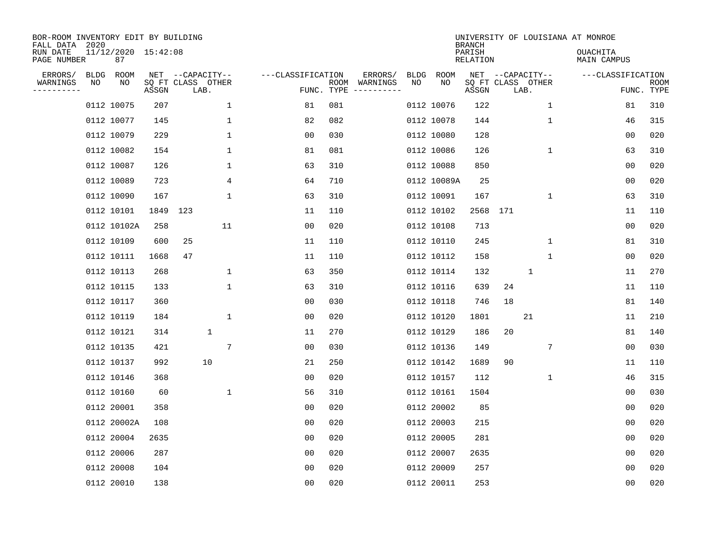| BOR-ROOM INVENTORY EDIT BY BUILDING<br>FALL DATA 2020 |             |                           |          |                           |                 |                   |                    |                         |             |             | <b>BRANCH</b>      |                   |              |             | UNIVERSITY OF LOUISIANA AT MONROE |                |                           |
|-------------------------------------------------------|-------------|---------------------------|----------|---------------------------|-----------------|-------------------|--------------------|-------------------------|-------------|-------------|--------------------|-------------------|--------------|-------------|-----------------------------------|----------------|---------------------------|
| RUN DATE<br>PAGE NUMBER                               |             | 11/12/2020 15:42:08<br>87 |          |                           |                 |                   |                    |                         |             |             | PARISH<br>RELATION |                   |              |             | OUACHITA<br>MAIN CAMPUS           |                |                           |
| ERRORS/                                               | <b>BLDG</b> | ROOM                      |          | NET --CAPACITY--          |                 | ---CLASSIFICATION |                    | ERRORS/                 | <b>BLDG</b> | <b>ROOM</b> |                    | NET --CAPACITY--  |              |             | ---CLASSIFICATION                 |                |                           |
| WARNINGS<br>-----------                               | NO          | ΝO                        | ASSGN    | SQ FT CLASS OTHER<br>LAB. |                 |                   | ROOM<br>FUNC. TYPE | WARNINGS<br>----------- | NO          | NO          | ASSGN              | SQ FT CLASS OTHER | LAB.         |             |                                   |                | <b>ROOM</b><br>FUNC. TYPE |
|                                                       |             | 0112 10075                | 207      |                           | 1               | 81                | 081                |                         |             | 0112 10076  | 122                |                   |              | 1           |                                   | 81             | 310                       |
|                                                       |             | 0112 10077                | 145      |                           | 1               | 82                | 082                |                         |             | 0112 10078  | 144                |                   |              | 1           |                                   | 46             | 315                       |
|                                                       |             | 0112 10079                | 229      |                           | $\mathbf 1$     | 0 <sub>0</sub>    | 030                |                         |             | 0112 10080  | 128                |                   |              |             |                                   | 00             | 020                       |
|                                                       |             | 0112 10082                | 154      |                           | $\mathbf 1$     | 81                | 081                |                         |             | 0112 10086  | 126                |                   |              | $\mathbf 1$ |                                   | 63             | 310                       |
|                                                       |             | 0112 10087                | 126      |                           | $\mathbf 1$     | 63                | 310                |                         |             | 0112 10088  | 850                |                   |              |             |                                   | 0 <sub>0</sub> | 020                       |
|                                                       |             | 0112 10089                | 723      |                           | 4               | 64                | 710                |                         |             | 0112 10089A | 25                 |                   |              |             |                                   | 0 <sub>0</sub> | 020                       |
|                                                       |             | 0112 10090                | 167      |                           | $\mathbf{1}$    | 63                | 310                |                         |             | 0112 10091  | 167                |                   |              | $\mathbf 1$ |                                   | 63             | 310                       |
|                                                       |             | 0112 10101                | 1849 123 |                           |                 | 11                | 110                |                         |             | 0112 10102  | 2568               | 171               |              |             |                                   | 11             | 110                       |
|                                                       |             | 0112 10102A               | 258      |                           | 11              | 0 <sub>0</sub>    | 020                |                         |             | 0112 10108  | 713                |                   |              |             |                                   | 0 <sub>0</sub> | 020                       |
|                                                       |             | 0112 10109                | 600      | 25                        |                 | 11                | 110                |                         |             | 0112 10110  | 245                |                   |              | 1           |                                   | 81             | 310                       |
|                                                       |             | 0112 10111                | 1668     | 47                        |                 | 11                | 110                |                         |             | 0112 10112  | 158                |                   |              | 1           |                                   | 0 <sub>0</sub> | 020                       |
|                                                       |             | 0112 10113                | 268      |                           | 1               | 63                | 350                |                         |             | 0112 10114  | 132                |                   | $\mathbf{1}$ |             |                                   | 11             | 270                       |
|                                                       |             | 0112 10115                | 133      |                           | $\mathbf 1$     | 63                | 310                |                         |             | 0112 10116  | 639                | 24                |              |             |                                   | 11             | 110                       |
|                                                       |             | 0112 10117                | 360      |                           |                 | 0 <sub>0</sub>    | 030                |                         |             | 0112 10118  | 746                | 18                |              |             |                                   | 81             | 140                       |
|                                                       |             | 0112 10119                | 184      |                           | 1               | 0 <sub>0</sub>    | 020                |                         |             | 0112 10120  | 1801               |                   | 21           |             |                                   | 11             | 210                       |
|                                                       |             | 0112 10121                | 314      | $\mathbf 1$               |                 | 11                | 270                |                         |             | 0112 10129  | 186                | 20                |              |             |                                   | 81             | 140                       |
|                                                       |             | 0112 10135                | 421      |                           | $7\phantom{.0}$ | 00                | 030                |                         |             | 0112 10136  | 149                |                   |              | 7           |                                   | 0 <sub>0</sub> | 030                       |
|                                                       |             | 0112 10137                | 992      | 10                        |                 | 21                | 250                |                         |             | 0112 10142  | 1689               | 90                |              |             |                                   | 11             | 110                       |
|                                                       |             | 0112 10146                | 368      |                           |                 | 0 <sub>0</sub>    | 020                |                         |             | 0112 10157  | 112                |                   |              | 1           |                                   | 46             | 315                       |
|                                                       |             | 0112 10160                | 60       |                           | 1               | 56                | 310                |                         |             | 0112 10161  | 1504               |                   |              |             |                                   | 0 <sub>0</sub> | 030                       |
|                                                       |             | 0112 20001                | 358      |                           |                 | 0 <sub>0</sub>    | 020                |                         |             | 0112 20002  | 85                 |                   |              |             |                                   | 0 <sub>0</sub> | 020                       |
|                                                       |             | 0112 20002A               | 108      |                           |                 | 0 <sub>0</sub>    | 020                |                         |             | 0112 20003  | 215                |                   |              |             |                                   | 0 <sub>0</sub> | 020                       |
|                                                       |             | 0112 20004                | 2635     |                           |                 | 0 <sub>0</sub>    | 020                |                         |             | 0112 20005  | 281                |                   |              |             |                                   | 0 <sub>0</sub> | 020                       |
|                                                       |             | 0112 20006                | 287      |                           |                 | 0 <sub>0</sub>    | 020                |                         |             | 0112 20007  | 2635               |                   |              |             |                                   | 0 <sub>0</sub> | 020                       |
|                                                       |             | 0112 20008                | 104      |                           |                 | 0 <sub>0</sub>    | 020                |                         |             | 0112 20009  | 257                |                   |              |             |                                   | 0 <sub>0</sub> | 020                       |
|                                                       |             | 0112 20010                | 138      |                           |                 | 0 <sub>0</sub>    | 020                |                         |             | 0112 20011  | 253                |                   |              |             |                                   | 0 <sub>0</sub> | 020                       |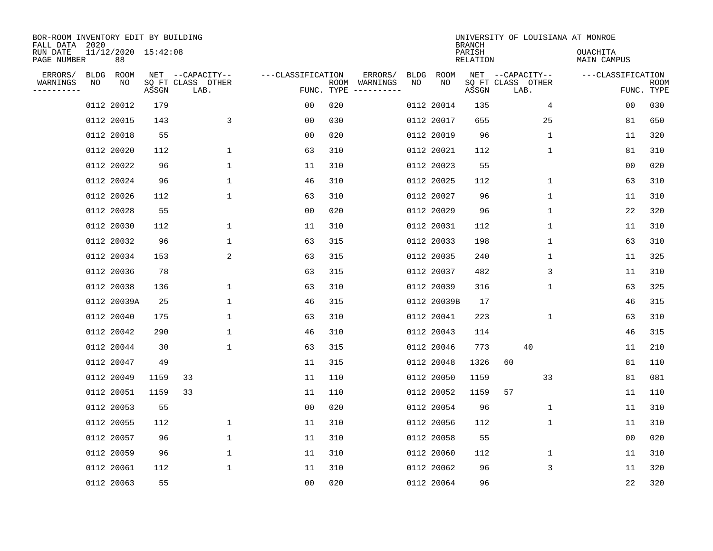| BOR-ROOM INVENTORY EDIT BY BUILDING<br>FALL DATA 2020 |             |                           |       |                           |                   |                    |                         |             |             | <b>BRANCH</b>      |    |                           | UNIVERSITY OF LOUISIANA AT MONROE |                |                           |
|-------------------------------------------------------|-------------|---------------------------|-------|---------------------------|-------------------|--------------------|-------------------------|-------------|-------------|--------------------|----|---------------------------|-----------------------------------|----------------|---------------------------|
| RUN DATE<br>PAGE NUMBER                               |             | 11/12/2020 15:42:08<br>88 |       |                           |                   |                    |                         |             |             | PARISH<br>RELATION |    |                           | OUACHITA<br>MAIN CAMPUS           |                |                           |
| ERRORS/                                               | <b>BLDG</b> | ROOM                      |       | NET --CAPACITY--          | ---CLASSIFICATION |                    | ERRORS/                 | <b>BLDG</b> | ROOM        |                    |    | NET --CAPACITY--          | ---CLASSIFICATION                 |                |                           |
| WARNINGS<br>----------                                | NO          | NO                        | ASSGN | SQ FT CLASS OTHER<br>LAB. |                   | ROOM<br>FUNC. TYPE | WARNINGS<br>----------- | NO          | NO          | ASSGN              |    | SQ FT CLASS OTHER<br>LAB. |                                   |                | <b>ROOM</b><br>FUNC. TYPE |
|                                                       |             | 0112 20012                | 179   |                           | 00                | 020                |                         |             | 0112 20014  | 135                |    | 4                         |                                   | 00             | 030                       |
|                                                       |             | 0112 20015                | 143   | 3                         | 00                | 030                |                         |             | 0112 20017  | 655                |    | 25                        |                                   | 81             | 650                       |
|                                                       |             | 0112 20018                | 55    |                           | 00                | 020                |                         |             | 0112 20019  | 96                 |    | 1                         |                                   | 11             | 320                       |
|                                                       |             | 0112 20020                | 112   | 1                         | 63                | 310                |                         |             | 0112 20021  | 112                |    | 1                         |                                   | 81             | 310                       |
|                                                       |             | 0112 20022                | 96    | 1                         | 11                | 310                |                         |             | 0112 20023  | 55                 |    |                           |                                   | 0 <sub>0</sub> | 020                       |
|                                                       |             | 0112 20024                | 96    | $\mathbf 1$               | 46                | 310                |                         |             | 0112 20025  | 112                |    | $\mathbf 1$               |                                   | 63             | 310                       |
|                                                       |             | 0112 20026                | 112   | $\mathbf 1$               | 63                | 310                |                         |             | 0112 20027  | 96                 |    | $\mathbf{1}$              |                                   | 11             | 310                       |
|                                                       |             | 0112 20028                | 55    |                           | 0 <sub>0</sub>    | 020                |                         |             | 0112 20029  | 96                 |    | $\mathbf 1$               |                                   | 22             | 320                       |
|                                                       |             | 0112 20030                | 112   | 1                         | 11                | 310                |                         |             | 0112 20031  | 112                |    | $\mathbf 1$               |                                   | 11             | 310                       |
|                                                       |             | 0112 20032                | 96    | 1                         | 63                | 315                |                         |             | 0112 20033  | 198                |    | 1                         |                                   | 63             | 310                       |
|                                                       |             | 0112 20034                | 153   | 2                         | 63                | 315                |                         |             | 0112 20035  | 240                |    | 1                         |                                   | 11             | 325                       |
|                                                       |             | 0112 20036                | 78    |                           | 63                | 315                |                         |             | 0112 20037  | 482                |    | 3                         |                                   | 11             | 310                       |
|                                                       |             | 0112 20038                | 136   | 1                         | 63                | 310                |                         |             | 0112 20039  | 316                |    | 1                         |                                   | 63             | 325                       |
|                                                       |             | 0112 20039A               | 25    | 1                         | 46                | 315                |                         |             | 0112 20039B | 17                 |    |                           |                                   | 46             | 315                       |
|                                                       |             | 0112 20040                | 175   | 1                         | 63                | 310                |                         |             | 0112 20041  | 223                |    | 1                         |                                   | 63             | 310                       |
|                                                       |             | 0112 20042                | 290   | 1                         | 46                | 310                |                         |             | 0112 20043  | 114                |    |                           |                                   | 46             | 315                       |
|                                                       |             | 0112 20044                | 30    | 1                         | 63                | 315                |                         |             | 0112 20046  | 773                |    | 40                        |                                   | 11             | 210                       |
|                                                       |             | 0112 20047                | 49    |                           | 11                | 315                |                         |             | 0112 20048  | 1326               | 60 |                           |                                   | 81             | 110                       |
|                                                       |             | 0112 20049                | 1159  | 33                        | 11                | 110                |                         |             | 0112 20050  | 1159               |    | 33                        |                                   | 81             | 081                       |
|                                                       |             | 0112 20051                | 1159  | 33                        | 11                | 110                |                         |             | 0112 20052  | 1159               | 57 |                           |                                   | 11             | 110                       |
|                                                       |             | 0112 20053                | 55    |                           | 0 <sub>0</sub>    | 020                |                         |             | 0112 20054  | 96                 |    | 1                         |                                   | 11             | 310                       |
|                                                       |             | 0112 20055                | 112   | $\mathbf 1$               | 11                | 310                |                         |             | 0112 20056  | 112                |    | 1                         |                                   | 11             | 310                       |
|                                                       |             | 0112 20057                | 96    | 1                         | 11                | 310                |                         |             | 0112 20058  | 55                 |    |                           |                                   | 0 <sub>0</sub> | 020                       |
|                                                       |             | 0112 20059                | 96    | 1                         | 11                | 310                |                         |             | 0112 20060  | 112                |    | 1                         |                                   | 11             | 310                       |
|                                                       |             | 0112 20061                | 112   | $\mathbf 1$               | 11                | 310                |                         |             | 0112 20062  | 96                 |    | 3                         |                                   | 11             | 320                       |
|                                                       |             | 0112 20063                | 55    |                           | 0 <sub>0</sub>    | 020                |                         |             | 0112 20064  | 96                 |    |                           |                                   | 22             | 320                       |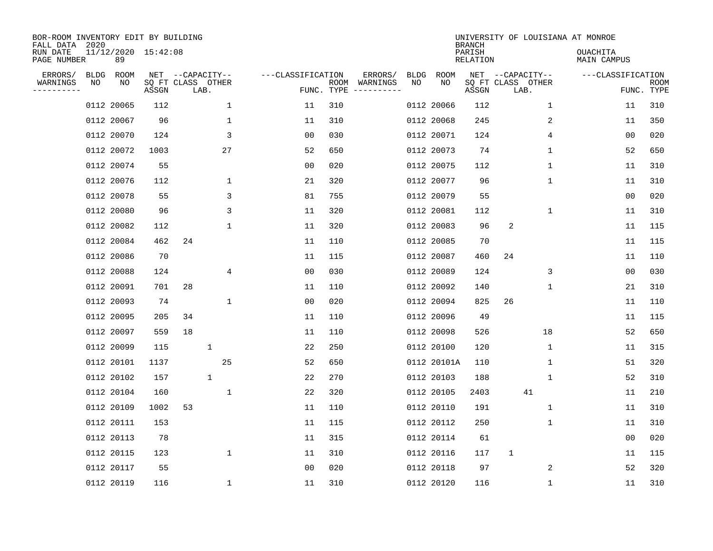| BOR-ROOM INVENTORY EDIT BY BUILDING<br>FALL DATA 2020 |    |            |                     |                   |              |                   |                    |          |      |             | <b>BRANCH</b>      | UNIVERSITY OF LOUISIANA AT MONROE |                                |                    |
|-------------------------------------------------------|----|------------|---------------------|-------------------|--------------|-------------------|--------------------|----------|------|-------------|--------------------|-----------------------------------|--------------------------------|--------------------|
| RUN DATE<br>PAGE NUMBER                               |    | 89         | 11/12/2020 15:42:08 |                   |              |                   |                    |          |      |             | PARISH<br>RELATION |                                   | <b>OUACHITA</b><br>MAIN CAMPUS |                    |
| ERRORS/                                               |    | BLDG ROOM  |                     | NET --CAPACITY--  |              | ---CLASSIFICATION |                    | ERRORS/  | BLDG | ROOM<br>NO  |                    | NET --CAPACITY--                  | ---CLASSIFICATION              |                    |
| WARNINGS<br>--------                                  | NO | NO         | ASSGN               | SQ FT CLASS OTHER | LAB.         |                   | ROOM<br>FUNC. TYPE | WARNINGS | NO   |             | ASSGN              | SQ FT CLASS OTHER<br>LAB.         |                                | ROOM<br>FUNC. TYPE |
|                                                       |    | 0112 20065 | 112                 |                   | 1            | 11                | 310                |          |      | 0112 20066  | 112                | 1                                 | 11                             | 310                |
|                                                       |    | 0112 20067 | 96                  |                   | 1            | 11                | 310                |          |      | 0112 20068  | 245                | 2                                 | 11                             | 350                |
|                                                       |    | 0112 20070 | 124                 |                   | 3            | 0 <sub>0</sub>    | 030                |          |      | 0112 20071  | 124                | 4                                 | 0 <sub>0</sub>                 | 020                |
|                                                       |    | 0112 20072 | 1003                |                   | 27           | 52                | 650                |          |      | 0112 20073  | 74                 | $\mathbf 1$                       | 52                             | 650                |
|                                                       |    | 0112 20074 | 55                  |                   |              | 0 <sub>0</sub>    | 020                |          |      | 0112 20075  | 112                | $\mathbf 1$                       | 11                             | 310                |
|                                                       |    | 0112 20076 | 112                 |                   | $\mathbf 1$  | 21                | 320                |          |      | 0112 20077  | 96                 | 1                                 | 11                             | 310                |
|                                                       |    | 0112 20078 | 55                  |                   | 3            | 81                | 755                |          |      | 0112 20079  | 55                 |                                   | 0 <sub>0</sub>                 | 020                |
|                                                       |    | 0112 20080 | 96                  |                   | 3            | 11                | 320                |          |      | 0112 20081  | 112                | 1                                 | 11                             | 310                |
|                                                       |    | 0112 20082 | 112                 |                   | 1            | 11                | 320                |          |      | 0112 20083  | 96                 | 2                                 | 11                             | 115                |
|                                                       |    | 0112 20084 | 462                 | 24                |              | 11                | 110                |          |      | 0112 20085  | 70                 |                                   | 11                             | 115                |
|                                                       |    | 0112 20086 | 70                  |                   |              | 11                | 115                |          |      | 0112 20087  | 460                | 24                                | 11                             | 110                |
|                                                       |    | 0112 20088 | 124                 |                   | 4            | 0 <sub>0</sub>    | 030                |          |      | 0112 20089  | 124                | 3                                 | 0 <sub>0</sub>                 | 030                |
|                                                       |    | 0112 20091 | 701                 | 28                |              | 11                | 110                |          |      | 0112 20092  | 140                | 1                                 | 21                             | 310                |
|                                                       |    | 0112 20093 | 74                  |                   | 1            | 0 <sub>0</sub>    | 020                |          |      | 0112 20094  | 825                | 26                                | 11                             | 110                |
|                                                       |    | 0112 20095 | 205                 | 34                |              | 11                | 110                |          |      | 0112 20096  | 49                 |                                   | 11                             | 115                |
|                                                       |    | 0112 20097 | 559                 | 18                |              | 11                | 110                |          |      | 0112 20098  | 526                | 18                                | 52                             | 650                |
|                                                       |    | 0112 20099 | 115                 |                   | 1            | 22                | 250                |          |      | 0112 20100  | 120                | 1                                 | 11                             | 315                |
|                                                       |    | 0112 20101 | 1137                |                   | 25           | 52                | 650                |          |      | 0112 20101A | 110                | 1                                 | 51                             | 320                |
|                                                       |    | 0112 20102 | 157                 |                   | $\mathbf{1}$ | 22                | 270                |          |      | 0112 20103  | 188                | 1                                 | 52                             | 310                |
|                                                       |    | 0112 20104 | 160                 |                   | $\mathbf 1$  | 22                | 320                |          |      | 0112 20105  | 2403               | 41                                | 11                             | 210                |
|                                                       |    | 0112 20109 | 1002                | 53                |              | 11                | 110                |          |      | 0112 20110  | 191                | 1                                 | 11                             | 310                |
|                                                       |    | 0112 20111 | 153                 |                   |              | 11                | 115                |          |      | 0112 20112  | 250                | 1                                 | 11                             | 310                |
|                                                       |    | 0112 20113 | 78                  |                   |              | 11                | 315                |          |      | 0112 20114  | 61                 |                                   | 0 <sub>0</sub>                 | 020                |
|                                                       |    | 0112 20115 | 123                 |                   | $\mathbf{1}$ | 11                | 310                |          |      | 0112 20116  | 117                | 1                                 | 11                             | 115                |
|                                                       |    | 0112 20117 | 55                  |                   |              | 0 <sub>0</sub>    | 020                |          |      | 0112 20118  | 97                 | 2                                 | 52                             | 320                |
|                                                       |    | 0112 20119 | 116                 |                   | $\mathbf{1}$ | 11                | 310                |          |      | 0112 20120  | 116                | 1                                 | 11                             | 310                |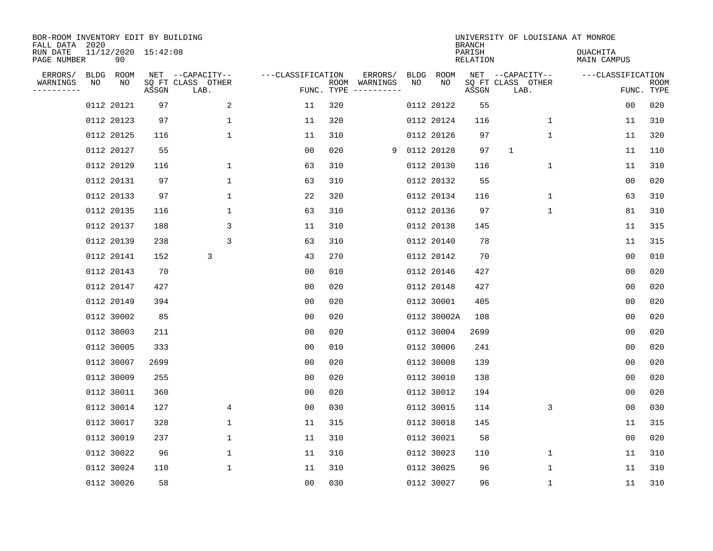| BOR-ROOM INVENTORY EDIT BY BUILDING<br>FALL DATA 2020 |    |            |                     |                           |                   |                    |                         |      |             | <b>BRANCH</b>      | UNIVERSITY OF LOUISIANA AT MONROE |                         |                           |
|-------------------------------------------------------|----|------------|---------------------|---------------------------|-------------------|--------------------|-------------------------|------|-------------|--------------------|-----------------------------------|-------------------------|---------------------------|
| RUN DATE<br>PAGE NUMBER                               |    | 90         | 11/12/2020 15:42:08 |                           |                   |                    |                         |      |             | PARISH<br>RELATION |                                   | OUACHITA<br>MAIN CAMPUS |                           |
| ERRORS/                                               |    | BLDG ROOM  |                     | NET --CAPACITY--          | ---CLASSIFICATION |                    | ERRORS/                 | BLDG | ROOM        |                    | NET --CAPACITY--                  | ---CLASSIFICATION       |                           |
| WARNINGS<br>-----------                               | NO | ΝO         | ASSGN               | SQ FT CLASS OTHER<br>LAB. |                   | ROOM<br>FUNC. TYPE | WARNINGS<br>----------- | NO   | NO          | ASSGN              | SQ FT CLASS OTHER<br>LAB.         |                         | <b>ROOM</b><br>FUNC. TYPE |
|                                                       |    | 0112 20121 | 97                  | 2                         | 11                | 320                |                         |      | 0112 20122  | 55                 |                                   | 00                      | 020                       |
|                                                       |    | 0112 20123 | 97                  | $\mathbf{1}$              | 11                | 320                |                         |      | 0112 20124  | 116                | 1                                 | 11                      | 310                       |
|                                                       |    | 0112 20125 | 116                 | $\mathbf 1$               | 11                | 310                |                         |      | 0112 20126  | 97                 | 1                                 | 11                      | 320                       |
|                                                       |    | 0112 20127 | 55                  |                           | 0 <sub>0</sub>    | 020                | 9                       |      | 0112 20128  | 97                 | $\mathbf 1$                       | 11                      | 110                       |
|                                                       |    | 0112 20129 | 116                 | $\mathbf 1$               | 63                | 310                |                         |      | 0112 20130  | 116                | $\mathbf 1$                       | 11                      | 310                       |
|                                                       |    | 0112 20131 | 97                  | $\mathbf 1$               | 63                | 310                |                         |      | 0112 20132  | 55                 |                                   | 0 <sub>0</sub>          | 020                       |
|                                                       |    | 0112 20133 | 97                  | $\mathbf{1}$              | 22                | 320                |                         |      | 0112 20134  | 116                | $\mathbf 1$                       | 63                      | 310                       |
|                                                       |    | 0112 20135 | 116                 | $\mathbf{1}$              | 63                | 310                |                         |      | 0112 20136  | 97                 | $\mathbf{1}$                      | 81                      | 310                       |
|                                                       |    | 0112 20137 | 188                 | 3                         | 11                | 310                |                         |      | 0112 20138  | 145                |                                   | 11                      | 315                       |
|                                                       |    | 0112 20139 | 238                 | 3                         | 63                | 310                |                         |      | 0112 20140  | 78                 |                                   | 11                      | 315                       |
|                                                       |    | 0112 20141 | 152                 | 3                         | 43                | 270                |                         |      | 0112 20142  | 70                 |                                   | 0 <sub>0</sub>          | 010                       |
|                                                       |    | 0112 20143 | 70                  |                           | 0 <sub>0</sub>    | 010                |                         |      | 0112 20146  | 427                |                                   | 0 <sub>0</sub>          | 020                       |
|                                                       |    | 0112 20147 | 427                 |                           | 0 <sub>0</sub>    | 020                |                         |      | 0112 20148  | 427                |                                   | 0 <sub>0</sub>          | 020                       |
|                                                       |    | 0112 20149 | 394                 |                           | 00                | 020                |                         |      | 0112 30001  | 405                |                                   | 0 <sub>0</sub>          | 020                       |
|                                                       |    | 0112 30002 | 85                  |                           | 0 <sub>0</sub>    | 020                |                         |      | 0112 30002A | 108                |                                   | 0 <sub>0</sub>          | 020                       |
|                                                       |    | 0112 30003 | 211                 |                           | 0 <sub>0</sub>    | 020                |                         |      | 0112 30004  | 2699               |                                   | 0 <sub>0</sub>          | 020                       |
|                                                       |    | 0112 30005 | 333                 |                           | 00                | 010                |                         |      | 0112 30006  | 241                |                                   | 0 <sub>0</sub>          | 020                       |
|                                                       |    | 0112 30007 | 2699                |                           | 00                | 020                |                         |      | 0112 30008  | 139                |                                   | 0 <sub>0</sub>          | 020                       |
|                                                       |    | 0112 30009 | 255                 |                           | 0 <sub>0</sub>    | 020                |                         |      | 0112 30010  | 138                |                                   | 0 <sub>0</sub>          | 020                       |
|                                                       |    | 0112 30011 | 360                 |                           | 0 <sub>0</sub>    | 020                |                         |      | 0112 30012  | 194                |                                   | 0 <sub>0</sub>          | 020                       |
|                                                       |    | 0112 30014 | 127                 | 4                         | 0 <sub>0</sub>    | 030                |                         |      | 0112 30015  | 114                | 3                                 | 0 <sub>0</sub>          | 030                       |
|                                                       |    | 0112 30017 | 328                 | $\mathbf 1$               | 11                | 315                |                         |      | 0112 30018  | 145                |                                   | 11                      | 315                       |
|                                                       |    | 0112 30019 | 237                 | $\mathbf 1$               | 11                | 310                |                         |      | 0112 30021  | 58                 |                                   | 0 <sub>0</sub>          | 020                       |
|                                                       |    | 0112 30022 | 96                  | $\mathbf 1$               | 11                | 310                |                         |      | 0112 30023  | 110                | 1                                 | 11                      | 310                       |
|                                                       |    | 0112 30024 | 110                 | $\mathbf 1$               | 11                | 310                |                         |      | 0112 30025  | 96                 | 1                                 | 11                      | 310                       |
|                                                       |    | 0112 30026 | 58                  |                           | 0 <sub>0</sub>    | 030                |                         |      | 0112 30027  | 96                 | 1                                 | 11                      | 310                       |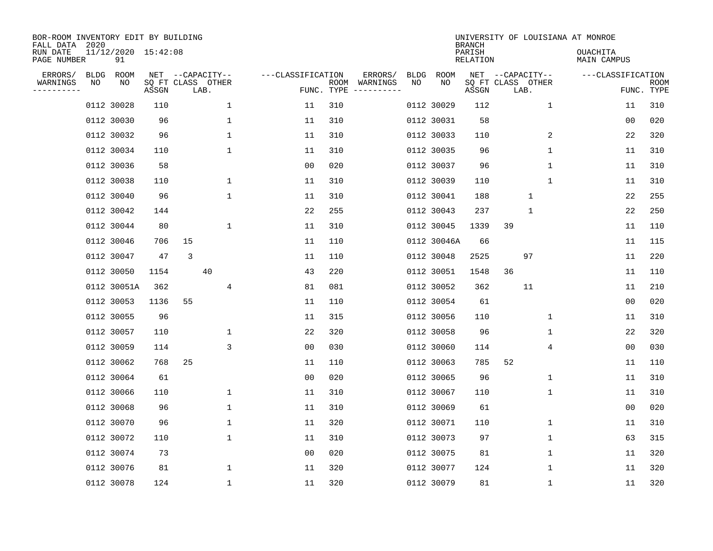| BOR-ROOM INVENTORY EDIT BY BUILDING<br>FALL DATA 2020<br>RUN DATE |                   | 11/12/2020 15:42:08 |       |                                               |                     |                    |                                             |                   |             | <b>BRANCH</b><br>PARISH |                                               |             | UNIVERSITY OF LOUISIANA AT MONROE<br><b>OUACHITA</b> |                    |
|-------------------------------------------------------------------|-------------------|---------------------|-------|-----------------------------------------------|---------------------|--------------------|---------------------------------------------|-------------------|-------------|-------------------------|-----------------------------------------------|-------------|------------------------------------------------------|--------------------|
| PAGE NUMBER                                                       |                   | 91                  |       |                                               |                     |                    |                                             |                   |             | RELATION                |                                               |             | MAIN CAMPUS                                          |                    |
| ERRORS/<br>WARNINGS<br>---------                                  | <b>BLDG</b><br>NO | ROOM<br>NO          | ASSGN | NET --CAPACITY--<br>SQ FT CLASS OTHER<br>LAB. | ---CLASSIFICATION   | ROOM<br>FUNC. TYPE | ERRORS/<br>WARNINGS<br>$-- - - - - - - - -$ | <b>BLDG</b><br>NO | ROOM<br>NO  | ASSGN                   | NET --CAPACITY--<br>SQ FT CLASS OTHER<br>LAB. |             | ---CLASSIFICATION                                    | ROOM<br>FUNC. TYPE |
|                                                                   |                   | 0112 30028          | 110   |                                               | $\mathbf 1$<br>11   | 310                |                                             |                   | 0112 30029  | 112                     |                                               | $\mathbf 1$ | 11                                                   | 310                |
|                                                                   |                   | 0112 30030          | 96    |                                               | 1<br>11             | 310                |                                             |                   | 0112 30031  | 58                      |                                               |             | 00                                                   | 020                |
|                                                                   |                   | 0112 30032          | 96    |                                               | 1<br>11             | 310                |                                             |                   | 0112 30033  | 110                     |                                               | 2           | 22                                                   | 320                |
|                                                                   |                   | 0112 30034          | 110   |                                               | 1<br>11             | 310                |                                             |                   | 0112 30035  | 96                      |                                               | 1           | 11                                                   | 310                |
|                                                                   |                   | 0112 30036          | 58    |                                               | 0 <sub>0</sub>      | 020                |                                             |                   | 0112 30037  | 96                      |                                               | $\mathbf 1$ | 11                                                   | 310                |
|                                                                   |                   | 0112 30038          | 110   |                                               | 1<br>11             | 310                |                                             |                   | 0112 30039  | 110                     |                                               | 1           | 11                                                   | 310                |
|                                                                   |                   | 0112 30040          | 96    |                                               | 1<br>11             | 310                |                                             |                   | 0112 30041  | 188                     | $\mathbf{1}$                                  |             | 22                                                   | 255                |
|                                                                   |                   | 0112 30042          | 144   |                                               | 22                  | 255                |                                             |                   | 0112 30043  | 237                     | $\mathbf{1}$                                  |             | 22                                                   | 250                |
|                                                                   |                   | 0112 30044          | 80    |                                               | 1<br>11             | 310                |                                             |                   | 0112 30045  | 1339                    | 39                                            |             | 11                                                   | 110                |
|                                                                   |                   | 0112 30046          | 706   | 15                                            | 11                  | 110                |                                             |                   | 0112 30046A | 66                      |                                               |             | 11                                                   | 115                |
|                                                                   |                   | 0112 30047          | 47    | 3                                             | 11                  | 110                |                                             |                   | 0112 30048  | 2525                    | 97                                            |             | 11                                                   | 220                |
|                                                                   |                   | 0112 30050          | 1154  | 40                                            | 43                  | 220                |                                             |                   | 0112 30051  | 1548                    | 36                                            |             | 11                                                   | 110                |
|                                                                   |                   | 0112 30051A         | 362   |                                               | 4<br>81             | 081                |                                             |                   | 0112 30052  | 362                     | 11                                            |             | 11                                                   | 210                |
|                                                                   |                   | 0112 30053          | 1136  | 55                                            | 11                  | 110                |                                             |                   | 0112 30054  | 61                      |                                               |             | 0 <sub>0</sub>                                       | 020                |
|                                                                   |                   | 0112 30055          | 96    |                                               | 11                  | 315                |                                             |                   | 0112 30056  | 110                     |                                               | 1           | 11                                                   | 310                |
|                                                                   |                   | 0112 30057          | 110   |                                               | 22<br>1             | 320                |                                             |                   | 0112 30058  | 96                      |                                               | 1           | 22                                                   | 320                |
|                                                                   |                   | 0112 30059          | 114   |                                               | 3<br>0 <sub>0</sub> | 030                |                                             |                   | 0112 30060  | 114                     |                                               | 4           | 0 <sub>0</sub>                                       | 030                |
|                                                                   |                   | 0112 30062          | 768   | 25                                            | 11                  | 110                |                                             |                   | 0112 30063  | 785                     | 52                                            |             | 11                                                   | 110                |
|                                                                   |                   | 0112 30064          | 61    |                                               | 0 <sub>0</sub>      | 020                |                                             |                   | 0112 30065  | 96                      |                                               | 1           | 11                                                   | 310                |
|                                                                   |                   | 0112 30066          | 110   |                                               | 1<br>11             | 310                |                                             |                   | 0112 30067  | 110                     |                                               | 1           | 11                                                   | 310                |
|                                                                   |                   | 0112 30068          | 96    |                                               | 1<br>11             | 310                |                                             |                   | 0112 30069  | 61                      |                                               |             | 0 <sub>0</sub>                                       | 020                |
|                                                                   |                   | 0112 30070          | 96    |                                               | $\mathbf 1$<br>11   | 320                |                                             |                   | 0112 30071  | 110                     |                                               | 1           | 11                                                   | 310                |
|                                                                   |                   | 0112 30072          | 110   |                                               | 1<br>11             | 310                |                                             |                   | 0112 30073  | 97                      |                                               | 1           | 63                                                   | 315                |
|                                                                   |                   | 0112 30074          | 73    |                                               | 0 <sub>0</sub>      | 020                |                                             |                   | 0112 30075  | 81                      |                                               | 1           | 11                                                   | 320                |
|                                                                   |                   | 0112 30076          | 81    |                                               | 1<br>11             | 320                |                                             |                   | 0112 30077  | 124                     |                                               | 1           | 11                                                   | 320                |
|                                                                   |                   | 0112 30078          | 124   |                                               | 1<br>11             | 320                |                                             |                   | 0112 30079  | 81                      |                                               | 1           | 11                                                   | 320                |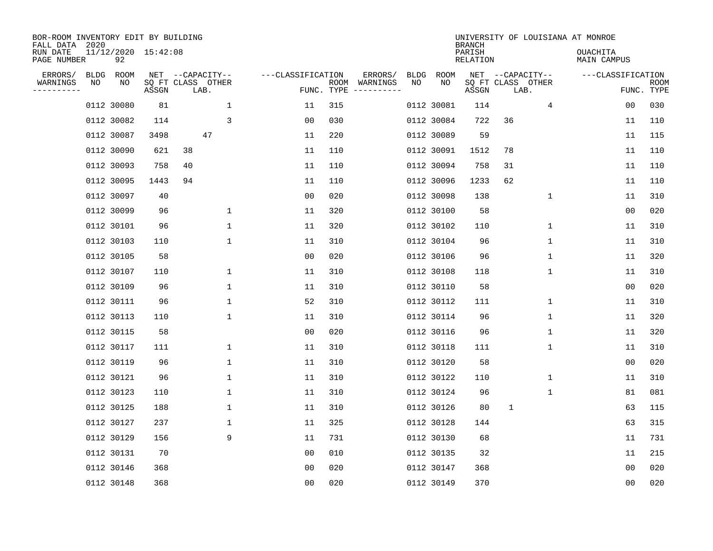| BOR-ROOM INVENTORY EDIT BY BUILDING<br>FALL DATA 2020 |      |                           |       |                           |              |                   |                    |                         |             |            | <b>BRANCH</b>      |                           |                  | UNIVERSITY OF LOUISIANA AT MONROE |                |                           |
|-------------------------------------------------------|------|---------------------------|-------|---------------------------|--------------|-------------------|--------------------|-------------------------|-------------|------------|--------------------|---------------------------|------------------|-----------------------------------|----------------|---------------------------|
| RUN DATE<br>PAGE NUMBER                               |      | 11/12/2020 15:42:08<br>92 |       |                           |              |                   |                    |                         |             |            | PARISH<br>RELATION |                           |                  | OUACHITA<br>MAIN CAMPUS           |                |                           |
| ERRORS/                                               | BLDG | ROOM                      |       | NET --CAPACITY--          |              | ---CLASSIFICATION |                    | ERRORS/                 | <b>BLDG</b> | ROOM       |                    |                           | NET --CAPACITY-- | ---CLASSIFICATION                 |                |                           |
| WARNINGS<br>----------                                | ΝO   | NO                        | ASSGN | SQ FT CLASS OTHER<br>LAB. |              |                   | ROOM<br>FUNC. TYPE | WARNINGS<br>----------- | NO          | NO         | ASSGN              | SQ FT CLASS OTHER<br>LAB. |                  |                                   |                | <b>ROOM</b><br>FUNC. TYPE |
|                                                       |      | 0112 30080                | 81    |                           | $\mathbf 1$  | 11                | 315                |                         |             | 0112 30081 | 114                |                           | 4                |                                   | 0 <sub>0</sub> | 030                       |
|                                                       |      | 0112 30082                | 114   |                           | 3            | 00                | 030                |                         |             | 0112 30084 | 722                | 36                        |                  |                                   | 11             | 110                       |
|                                                       |      | 0112 30087                | 3498  | 47                        |              | 11                | 220                |                         |             | 0112 30089 | 59                 |                           |                  |                                   | 11             | 115                       |
|                                                       |      | 0112 30090                | 621   | 38                        |              | 11                | 110                |                         |             | 0112 30091 | 1512               | 78                        |                  |                                   | 11             | 110                       |
|                                                       |      | 0112 30093                | 758   | 40                        |              | 11                | 110                |                         |             | 0112 30094 | 758                | 31                        |                  |                                   | 11             | 110                       |
|                                                       |      | 0112 30095                | 1443  | 94                        |              | 11                | 110                |                         |             | 0112 30096 | 1233               | 62                        |                  |                                   | 11             | 110                       |
|                                                       |      | 0112 30097                | 40    |                           |              | 0 <sub>0</sub>    | 020                |                         |             | 0112 30098 | 138                |                           | 1                |                                   | 11             | 310                       |
|                                                       |      | 0112 30099                | 96    |                           | 1            | 11                | 320                |                         |             | 0112 30100 | 58                 |                           |                  |                                   | 0 <sub>0</sub> | 020                       |
|                                                       |      | 0112 30101                | 96    |                           | 1            | 11                | 320                |                         |             | 0112 30102 | 110                |                           | $\mathbf 1$      |                                   | 11             | 310                       |
|                                                       |      | 0112 30103                | 110   |                           | 1            | 11                | 310                |                         |             | 0112 30104 | 96                 |                           | $\mathbf{1}$     |                                   | 11             | 310                       |
|                                                       |      | 0112 30105                | 58    |                           |              | 00                | 020                |                         |             | 0112 30106 | 96                 |                           | $\mathbf 1$      |                                   | 11             | 320                       |
|                                                       |      | 0112 30107                | 110   |                           | $\mathbf{1}$ | 11                | 310                |                         |             | 0112 30108 | 118                |                           | $\mathbf{1}$     |                                   | 11             | 310                       |
|                                                       |      | 0112 30109                | 96    |                           | 1            | 11                | 310                |                         |             | 0112 30110 | 58                 |                           |                  |                                   | 00             | 020                       |
|                                                       |      | 0112 30111                | 96    |                           | 1            | 52                | 310                |                         |             | 0112 30112 | 111                |                           | $\mathbf 1$      |                                   | 11             | 310                       |
|                                                       |      | 0112 30113                | 110   |                           | 1            | 11                | 310                |                         |             | 0112 30114 | 96                 |                           | 1                |                                   | 11             | 320                       |
|                                                       |      | 0112 30115                | 58    |                           |              | 00                | 020                |                         |             | 0112 30116 | 96                 |                           | 1                |                                   | 11             | 320                       |
|                                                       |      | 0112 30117                | 111   |                           | 1            | 11                | 310                |                         |             | 0112 30118 | 111                |                           | 1                |                                   | 11             | 310                       |
|                                                       |      | 0112 30119                | 96    |                           | 1            | 11                | 310                |                         |             | 0112 30120 | 58                 |                           |                  |                                   | 0 <sub>0</sub> | 020                       |
|                                                       |      | 0112 30121                | 96    |                           | 1            | 11                | 310                |                         |             | 0112 30122 | 110                |                           | 1                |                                   | 11             | 310                       |
|                                                       |      | 0112 30123                | 110   |                           | 1            | 11                | 310                |                         |             | 0112 30124 | 96                 |                           | 1                |                                   | 81             | 081                       |
|                                                       |      | 0112 30125                | 188   |                           | 1            | 11                | 310                |                         |             | 0112 30126 | 80                 | 1                         |                  |                                   | 63             | 115                       |
|                                                       |      | 0112 30127                | 237   |                           | $\mathbf{1}$ | 11                | 325                |                         |             | 0112 30128 | 144                |                           |                  |                                   | 63             | 315                       |
|                                                       |      | 0112 30129                | 156   |                           | 9            | 11                | 731                |                         |             | 0112 30130 | 68                 |                           |                  |                                   | 11             | 731                       |
|                                                       |      | 0112 30131                | 70    |                           |              | 00                | 010                |                         |             | 0112 30135 | 32                 |                           |                  |                                   | 11             | 215                       |
|                                                       |      | 0112 30146                | 368   |                           |              | 0 <sub>0</sub>    | 020                |                         |             | 0112 30147 | 368                |                           |                  |                                   | 0 <sub>0</sub> | 020                       |
|                                                       |      | 0112 30148                | 368   |                           |              | 0 <sub>0</sub>    | 020                |                         |             | 0112 30149 | 370                |                           |                  |                                   | 0 <sub>0</sub> | 020                       |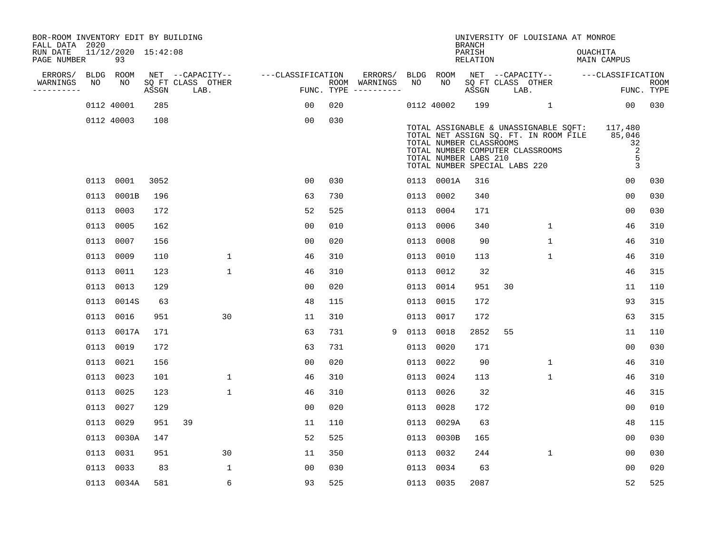| BOR-ROOM INVENTORY EDIT BY BUILDING<br>FALL DATA 2020 |      |                           |       |                                       |                   |     |                          |      |                                                                                   | <b>BRANCH</b>      |    | UNIVERSITY OF LOUISIANA AT MONROE                                                                                  |          |                                                     |                    |
|-------------------------------------------------------|------|---------------------------|-------|---------------------------------------|-------------------|-----|--------------------------|------|-----------------------------------------------------------------------------------|--------------------|----|--------------------------------------------------------------------------------------------------------------------|----------|-----------------------------------------------------|--------------------|
| RUN DATE<br>PAGE NUMBER                               |      | 11/12/2020 15:42:08<br>93 |       |                                       |                   |     |                          |      |                                                                                   | PARISH<br>RELATION |    |                                                                                                                    | OUACHITA | MAIN CAMPUS                                         |                    |
| ERRORS/<br>WARNINGS                                   | NO   | BLDG ROOM<br>NO           |       | NET --CAPACITY--<br>SO FT CLASS OTHER | ---CLASSIFICATION |     | ERRORS/<br>ROOM WARNINGS | NO   | BLDG ROOM<br>NO                                                                   |                    |    | NET --CAPACITY--                                                                                                   |          | ---CLASSIFICATION                                   |                    |
| ----------                                            |      |                           | ASSGN | LAB.                                  |                   |     | FUNC. TYPE $------$      |      |                                                                                   | ASSGN              |    | SQ FT CLASS OTHER<br>LAB.                                                                                          |          |                                                     | ROOM<br>FUNC. TYPE |
|                                                       |      | 0112 40001                | 285   |                                       | 00                | 020 |                          |      | 0112 40002                                                                        | 199                |    | $\mathbf{1}$                                                                                                       |          | 00 <sub>o</sub>                                     | 030                |
|                                                       |      | 0112 40003                | 108   |                                       | 0 <sub>0</sub>    | 030 |                          |      | TOTAL NUMBER CLASSROOMS<br>TOTAL NUMBER LABS 210<br>TOTAL NUMBER SPECIAL LABS 220 |                    |    | TOTAL ASSIGNABLE & UNASSIGNABLE SQFT:<br>TOTAL NET ASSIGN SQ. FT. IN ROOM FILE<br>TOTAL NUMBER COMPUTER CLASSROOMS |          | 117,480<br>85,046<br>32<br>2<br>5<br>$\overline{3}$ |                    |
|                                                       |      | 0113 0001                 | 3052  |                                       | 0 <sub>0</sub>    | 030 |                          |      | 0113 0001A                                                                        | 316                |    |                                                                                                                    |          | 0 <sub>0</sub>                                      | 030                |
|                                                       |      | 0113 0001B                | 196   |                                       | 63                | 730 |                          | 0113 | 0002                                                                              | 340                |    |                                                                                                                    |          | 0 <sub>0</sub>                                      | 030                |
|                                                       |      | 0113 0003                 | 172   |                                       | 52                | 525 |                          | 0113 | 0004                                                                              | 171                |    |                                                                                                                    |          | 0 <sub>0</sub>                                      | 030                |
|                                                       | 0113 | 0005                      | 162   |                                       | 0 <sub>0</sub>    | 010 |                          | 0113 | 0006                                                                              | 340                |    | $\mathbf{1}$                                                                                                       |          | 46                                                  | 310                |
|                                                       |      | 0113 0007                 | 156   |                                       | 00                | 020 |                          | 0113 | 0008                                                                              | 90                 |    | $\mathbf{1}$                                                                                                       |          | 46                                                  | 310                |
|                                                       | 0113 | 0009                      | 110   | $\mathbf 1$                           | 46                | 310 |                          | 0113 | 0010                                                                              | 113                |    | 1                                                                                                                  |          | 46                                                  | 310                |
|                                                       | 0113 | 0011                      | 123   | $\mathbf{1}$                          | 46                | 310 |                          | 0113 | 0012                                                                              | 32                 |    |                                                                                                                    |          | 46                                                  | 315                |
|                                                       | 0113 | 0013                      | 129   |                                       | 0 <sub>0</sub>    | 020 |                          | 0113 | 0014                                                                              | 951                | 30 |                                                                                                                    |          | 11                                                  | 110                |
|                                                       |      | 0113 0014S                | 63    |                                       | 48                | 115 |                          | 0113 | 0015                                                                              | 172                |    |                                                                                                                    |          | 93                                                  | 315                |
|                                                       | 0113 | 0016                      | 951   | 30                                    | 11                | 310 |                          | 0113 | 0017                                                                              | 172                |    |                                                                                                                    |          | 63                                                  | 315                |
|                                                       |      | 0113 0017A                | 171   |                                       | 63                | 731 | 9                        | 0113 | 0018                                                                              | 2852               | 55 |                                                                                                                    |          | 11                                                  | 110                |
|                                                       | 0113 | 0019                      | 172   |                                       | 63                | 731 |                          | 0113 | 0020                                                                              | 171                |    |                                                                                                                    |          | 0 <sub>0</sub>                                      | 030                |
|                                                       |      | 0113 0021                 | 156   |                                       | 0 <sub>0</sub>    | 020 |                          |      | 0113 0022                                                                         | 90                 |    | $\mathbf{1}$                                                                                                       |          | 46                                                  | 310                |
|                                                       |      | 0113 0023                 | 101   | $\mathbf{1}$                          | 46                | 310 |                          |      | 0113 0024                                                                         | 113                |    | $\mathbf{1}$                                                                                                       |          | 46                                                  | 310                |
|                                                       |      | 0113 0025                 | 123   | $\mathbf{1}$                          | 46                | 310 |                          | 0113 | 0026                                                                              | 32                 |    |                                                                                                                    |          | 46                                                  | 315                |
|                                                       | 0113 | 0027                      | 129   |                                       | 0 <sub>0</sub>    | 020 |                          |      | 0113 0028                                                                         | 172                |    |                                                                                                                    |          | 0 <sub>0</sub>                                      | 010                |
|                                                       | 0113 | 0029                      | 951   | 39                                    | 11                | 110 |                          |      | 0113 0029A                                                                        | 63                 |    |                                                                                                                    |          | 48                                                  | 115                |
|                                                       |      | 0113 0030A                | 147   |                                       | 52                | 525 |                          |      | 0113 0030B                                                                        | 165                |    |                                                                                                                    |          | 0 <sub>0</sub>                                      | 030                |
|                                                       | 0113 | 0031                      | 951   | 30                                    | 11                | 350 |                          | 0113 | 0032                                                                              | 244                |    | $\mathbf{1}$                                                                                                       |          | 0 <sub>0</sub>                                      | 030                |
|                                                       |      | 0113 0033                 | 83    | $\mathbf 1$                           | 0 <sub>0</sub>    | 030 |                          | 0113 | 0034                                                                              | 63                 |    |                                                                                                                    |          | 0 <sub>0</sub>                                      | 020                |
|                                                       |      | 0113 0034A                | 581   | 6                                     | 93                | 525 |                          |      | 0113 0035                                                                         | 2087               |    |                                                                                                                    |          | 52                                                  | 525                |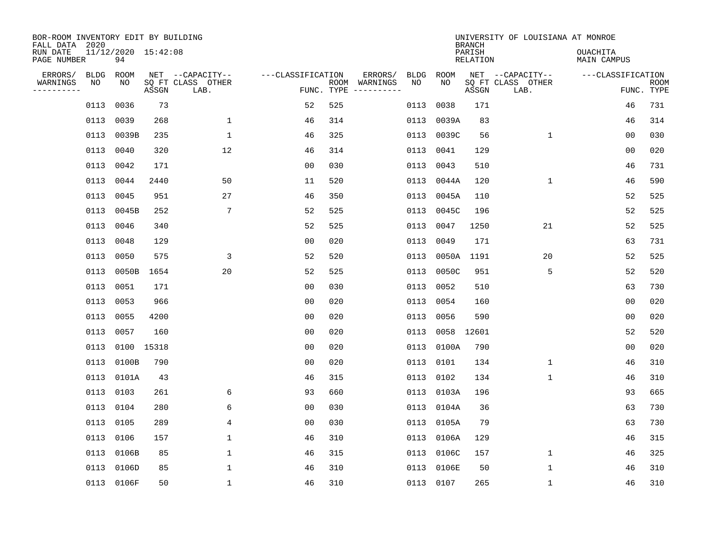| BOR-ROOM INVENTORY EDIT BY BUILDING<br>FALL DATA 2020<br>RUN DATE<br>PAGE NUMBER | 11/12/2020 15:42:08<br>94 |            |                                               |                   |            |                          |            |            | <b>BRANCH</b><br>PARISH<br><b>RELATION</b> | UNIVERSITY OF LOUISIANA AT MONROE             | <b>OUACHITA</b><br>MAIN CAMPUS  |             |
|----------------------------------------------------------------------------------|---------------------------|------------|-----------------------------------------------|-------------------|------------|--------------------------|------------|------------|--------------------------------------------|-----------------------------------------------|---------------------------------|-------------|
| ERRORS/<br>WARNINGS<br>NO<br>---------                                           | BLDG<br>ROOM<br>NO        | ASSGN      | NET --CAPACITY--<br>SQ FT CLASS OTHER<br>LAB. | ---CLASSIFICATION | FUNC. TYPE | ERRORS/<br>ROOM WARNINGS | BLDG<br>NO | ROOM<br>NO | ASSGN                                      | NET --CAPACITY--<br>SQ FT CLASS OTHER<br>LAB. | ---CLASSIFICATION<br>FUNC. TYPE | <b>ROOM</b> |
|                                                                                  | 0036<br>0113              | 73         |                                               | 52                | 525        |                          | 0113       | 0038       | 171                                        |                                               | 46                              | 731         |
|                                                                                  | 0039<br>0113              | 268        | $\mathbf{1}$                                  | 46                | 314        |                          | 0113       | 0039A      | 83                                         |                                               | 46                              | 314         |
|                                                                                  | 0039B<br>0113             | 235        | $\mathbf 1$                                   | 46                | 325        |                          | 0113       | 0039C      | 56                                         | $\mathbf 1$                                   | 0 <sub>0</sub>                  | 030         |
|                                                                                  | 0113<br>0040              | 320        | 12                                            | 46                | 314        |                          | 0113       | 0041       | 129                                        |                                               | 0 <sub>0</sub>                  | 020         |
|                                                                                  | 0113<br>0042              | 171        |                                               | 0 <sub>0</sub>    | 030        |                          | 0113       | 0043       | 510                                        |                                               | 46                              | 731         |
|                                                                                  | 0113<br>0044              | 2440       | 50                                            | 11                | 520        |                          | 0113       | 0044A      | 120                                        | $\mathbf 1$                                   | 46                              | 590         |
|                                                                                  | 0113<br>0045              | 951        | 27                                            | 46                | 350        |                          | 0113       | 0045A      | 110                                        |                                               | 52                              | 525         |
|                                                                                  | 0113 0045B                | 252        | $7\phantom{.0}$                               | 52                | 525        |                          | 0113       | 0045C      | 196                                        |                                               | 52                              | 525         |
|                                                                                  | 0046<br>0113              | 340        |                                               | 52                | 525        |                          | 0113       | 0047       | 1250                                       | 21                                            | 52                              | 525         |
|                                                                                  | 0113<br>0048              | 129        |                                               | 00                | 020        |                          | 0113       | 0049       | 171                                        |                                               | 63                              | 731         |
|                                                                                  | 0050<br>0113              | 575        | 3                                             | 52                | 520        |                          | 0113       | 0050A      | 1191                                       | 20                                            | 52                              | 525         |
|                                                                                  | 0113<br>0050B             | 1654       | 20                                            | 52                | 525        |                          | 0113       | 0050C      | 951                                        | 5                                             | 52                              | 520         |
|                                                                                  | 0113<br>0051              | 171        |                                               | 0 <sub>0</sub>    | 030        |                          | 0113       | 0052       | 510                                        |                                               | 63                              | 730         |
|                                                                                  | 0113<br>0053              | 966        |                                               | 0 <sub>0</sub>    | 020        |                          | 0113       | 0054       | 160                                        |                                               | 0 <sub>0</sub>                  | 020         |
|                                                                                  | 0113<br>0055              | 4200       |                                               | 0 <sub>0</sub>    | 020        |                          | 0113       | 0056       | 590                                        |                                               | 0 <sub>0</sub>                  | 020         |
|                                                                                  | 0057<br>0113              | 160        |                                               | 0 <sub>0</sub>    | 020        |                          | 0113       | 0058       | 12601                                      |                                               | 52                              | 520         |
|                                                                                  | 0113                      | 0100 15318 |                                               | 0 <sub>0</sub>    | 020        |                          | 0113       | 0100A      | 790                                        |                                               | 0 <sub>0</sub>                  | 020         |
|                                                                                  | 0113<br>0100B             | 790        |                                               | 0 <sub>0</sub>    | 020        |                          | 0113       | 0101       | 134                                        | 1                                             | 46                              | 310         |
|                                                                                  | 0113 0101A                | 43         |                                               | 46                | 315        |                          | 0113       | 0102       | 134                                        | 1                                             | 46                              | 310         |
|                                                                                  | 0113 0103                 | 261        | 6                                             | 93                | 660        |                          |            | 0113 0103A | 196                                        |                                               | 93                              | 665         |
|                                                                                  | 0113 0104                 | 280        | 6                                             | 0 <sub>0</sub>    | 030        |                          |            | 0113 0104A | 36                                         |                                               | 63                              | 730         |
|                                                                                  | 0113<br>0105              | 289        | 4                                             | 0 <sub>0</sub>    | 030        |                          | 0113       | 0105A      | 79                                         |                                               | 63                              | 730         |
|                                                                                  | 0113 0106                 | 157        | $\mathbf 1$                                   | 46                | 310        |                          | 0113       | 0106A      | 129                                        |                                               | 46                              | 315         |
|                                                                                  | 0113<br>0106B             | 85         | $\mathbf{1}$                                  | 46                | 315        |                          | 0113       | 0106C      | 157                                        | $\mathbf 1$                                   | 46                              | 325         |
|                                                                                  | 0113<br>0106D             | 85         | $\mathbf 1$                                   | 46                | 310        |                          | 0113       | 0106E      | 50                                         | 1                                             | 46                              | 310         |
|                                                                                  | 0113 0106F                | 50         | $\mathbf{1}$                                  | 46                | 310        |                          |            | 0113 0107  | 265                                        | $\mathbf{1}$                                  | 46                              | 310         |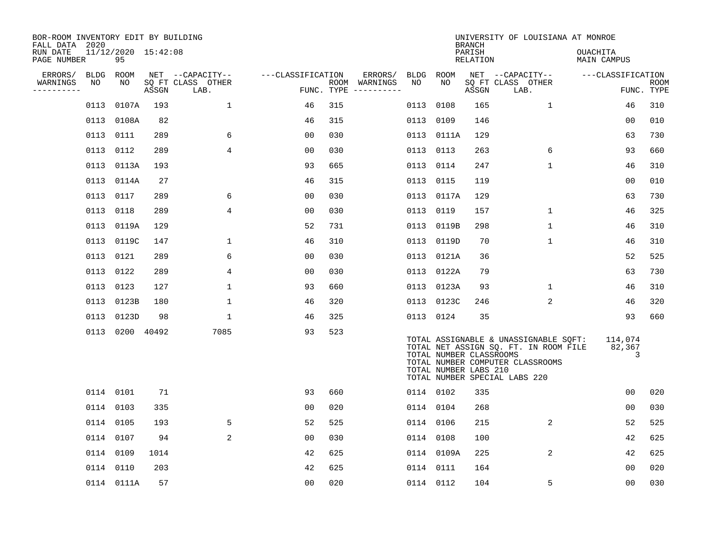| BOR-ROOM INVENTORY EDIT BY BUILDING<br>FALL DATA 2020 |           |                           |       |                           |                   |     |                                      |           |                                                  | <b>BRANCH</b>             | UNIVERSITY OF LOUISIANA AT MONROE                                                                                                                   |                                |                           |
|-------------------------------------------------------|-----------|---------------------------|-------|---------------------------|-------------------|-----|--------------------------------------|-----------|--------------------------------------------------|---------------------------|-----------------------------------------------------------------------------------------------------------------------------------------------------|--------------------------------|---------------------------|
| RUN DATE<br>PAGE NUMBER                               |           | 11/12/2020 15:42:08<br>95 |       |                           |                   |     |                                      |           |                                                  | PARISH<br><b>RELATION</b> |                                                                                                                                                     | OUACHITA<br><b>MAIN CAMPUS</b> |                           |
| ERRORS/                                               | BLDG ROOM |                           |       | NET --CAPACITY--          | ---CLASSIFICATION |     | ERRORS/                              |           | BLDG ROOM                                        |                           | NET --CAPACITY--                                                                                                                                    | ---CLASSIFICATION              |                           |
| WARNINGS<br>----------                                | NO        | NO                        | ASSGN | SQ FT CLASS OTHER<br>LAB. |                   |     | ROOM WARNINGS<br>FUNC. TYPE $------$ | NO        | NO                                               | ASSGN                     | SQ FT CLASS OTHER<br>LAB.                                                                                                                           |                                | <b>ROOM</b><br>FUNC. TYPE |
|                                                       | 0113      | 0107A                     | 193   | $\mathbf{1}$              | 46                | 315 |                                      | 0113      | 0108                                             | 165                       | $\mathbf{1}$                                                                                                                                        | 46                             | 310                       |
|                                                       |           | 0113 0108A                | 82    |                           | 46                | 315 |                                      | 0113 0109 |                                                  | 146                       |                                                                                                                                                     | 00                             | 010                       |
|                                                       |           | 0113 0111                 | 289   | 6                         | 00                | 030 |                                      |           | 0113 0111A                                       | 129                       |                                                                                                                                                     | 63                             | 730                       |
|                                                       |           | 0113 0112                 | 289   | 4                         | 0 <sub>0</sub>    | 030 |                                      | 0113 0113 |                                                  | 263                       | 6                                                                                                                                                   | 93                             | 660                       |
|                                                       |           | 0113 0113A                | 193   |                           | 93                | 665 |                                      |           | 0113 0114                                        | 247                       | $\mathbf{1}$                                                                                                                                        | 46                             | 310                       |
|                                                       |           | 0113 0114A                | 27    |                           | 46                | 315 |                                      |           | 0113 0115                                        | 119                       |                                                                                                                                                     | 00                             | 010                       |
|                                                       |           | 0113 0117                 | 289   | 6                         | 0 <sub>0</sub>    | 030 |                                      |           | 0113 0117A                                       | 129                       |                                                                                                                                                     | 63                             | 730                       |
|                                                       |           | 0113 0118                 | 289   | $\overline{4}$            | 0 <sub>0</sub>    | 030 |                                      | 0113 0119 |                                                  | 157                       | $\mathbf{1}$                                                                                                                                        | 46                             | 325                       |
|                                                       |           | 0113 0119A                | 129   |                           | 52                | 731 |                                      |           | 0113 0119B                                       | 298                       | $\mathbf 1$                                                                                                                                         | 46                             | 310                       |
|                                                       |           | 0113 0119C                | 147   | 1                         | 46                | 310 |                                      |           | 0113 0119D                                       | 70                        | $\mathbf 1$                                                                                                                                         | 46                             | 310                       |
|                                                       |           | 0113 0121                 | 289   | 6                         | 0 <sub>0</sub>    | 030 |                                      |           | 0113 0121A                                       | 36                        |                                                                                                                                                     | 52                             | 525                       |
|                                                       |           | 0113 0122                 | 289   | 4                         | 0 <sub>0</sub>    | 030 |                                      |           | 0113 0122A                                       | 79                        |                                                                                                                                                     | 63                             | 730                       |
|                                                       | 0113      | 0123                      | 127   | 1                         | 93                | 660 |                                      |           | 0113 0123A                                       | 93                        | 1                                                                                                                                                   | 46                             | 310                       |
|                                                       |           | 0113 0123B                | 180   | 1                         | 46                | 320 |                                      |           | 0113 0123C                                       | 246                       | $\overline{2}$                                                                                                                                      | 46                             | 320                       |
|                                                       |           | 0113 0123D                | 98    | $\mathbf{1}$              | 46                | 325 |                                      |           | 0113 0124                                        | 35                        |                                                                                                                                                     | 93                             | 660                       |
|                                                       |           | 0113 0200 40492           |       | 7085                      | 93                | 523 |                                      |           | TOTAL NUMBER CLASSROOMS<br>TOTAL NUMBER LABS 210 |                           | TOTAL ASSIGNABLE & UNASSIGNABLE SQFT:<br>TOTAL NET ASSIGN SQ. FT. IN ROOM FILE<br>TOTAL NUMBER COMPUTER CLASSROOMS<br>TOTAL NUMBER SPECIAL LABS 220 | 114,074<br>82,367<br>3         |                           |
|                                                       |           | 0114 0101                 | 71    |                           | 93                | 660 |                                      | 0114 0102 |                                                  | 335                       |                                                                                                                                                     | 0 <sub>0</sub>                 | 020                       |
|                                                       |           | 0114 0103                 | 335   |                           | 0 <sub>0</sub>    | 020 |                                      |           | 0114 0104                                        | 268                       |                                                                                                                                                     | 00                             | 030                       |
|                                                       | 0114 0105 |                           | 193   | 5                         | 52                | 525 |                                      |           | 0114 0106                                        | 215                       | $\overline{a}$                                                                                                                                      | 52                             | 525                       |
|                                                       |           | 0114 0107                 | 94    | 2                         | 00                | 030 |                                      | 0114 0108 |                                                  | 100                       |                                                                                                                                                     | 42                             | 625                       |
|                                                       | 0114 0109 |                           | 1014  |                           | 42                | 625 |                                      |           | 0114 0109A                                       | 225                       | $\overline{2}$                                                                                                                                      | 42                             | 625                       |
|                                                       |           | 0114 0110                 | 203   |                           | 42                | 625 |                                      |           | 0114 0111                                        | 164                       |                                                                                                                                                     | 0 <sub>0</sub>                 | 020                       |
|                                                       |           | 0114 0111A                | 57    |                           | 0 <sub>0</sub>    | 020 |                                      | 0114 0112 |                                                  | 104                       | 5                                                                                                                                                   | 0 <sub>0</sub>                 | 030                       |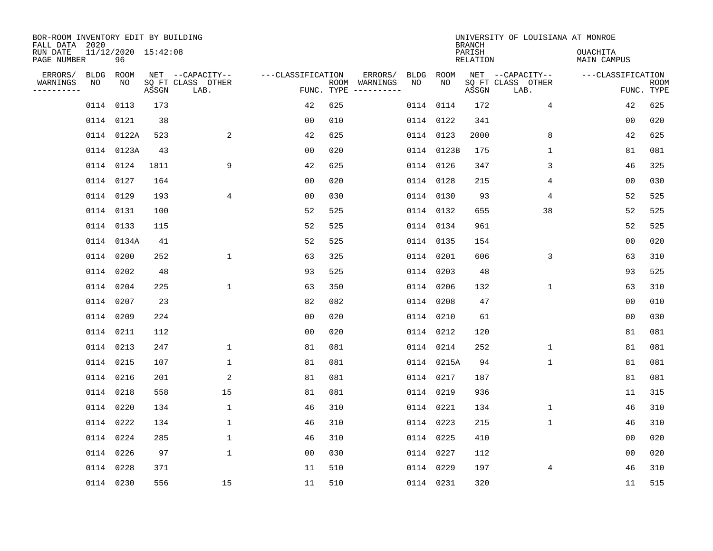| BOR-ROOM INVENTORY EDIT BY BUILDING<br>FALL DATA 2020 |           |                 |                     |                                               |                   |     |                                                 |            |             | <b>BRANCH</b>      | UNIVERSITY OF LOUISIANA AT MONROE             |                                |                           |
|-------------------------------------------------------|-----------|-----------------|---------------------|-----------------------------------------------|-------------------|-----|-------------------------------------------------|------------|-------------|--------------------|-----------------------------------------------|--------------------------------|---------------------------|
| RUN DATE<br>PAGE NUMBER                               |           | 96              | 11/12/2020 15:42:08 |                                               |                   |     |                                                 |            |             | PARISH<br>RELATION |                                               | <b>OUACHITA</b><br>MAIN CAMPUS |                           |
| ERRORS/<br>WARNINGS<br>---------                      | NO        | BLDG ROOM<br>NO | ASSGN               | NET --CAPACITY--<br>SQ FT CLASS OTHER<br>LAB. | ---CLASSIFICATION |     | ERRORS/<br>ROOM WARNINGS<br>FUNC. TYPE $------$ | BLDG<br>NO | ROOM<br>NO. | ASSGN              | NET --CAPACITY--<br>SQ FT CLASS OTHER<br>LAB. | ---CLASSIFICATION              | <b>ROOM</b><br>FUNC. TYPE |
|                                                       |           | 0114 0113       | 173                 |                                               | 42                | 625 |                                                 |            | 0114 0114   | 172                | $\overline{4}$                                | 42                             | 625                       |
|                                                       |           | 0114 0121       | 38                  |                                               | 00                | 010 |                                                 |            | 0114 0122   | 341                |                                               | 00                             | 020                       |
|                                                       |           | 0114 0122A      | 523                 | 2                                             | 42                | 625 |                                                 |            | 0114 0123   | 2000               | 8                                             | 42                             | 625                       |
|                                                       |           | 0114 0123A      | 43                  |                                               | 0 <sub>0</sub>    | 020 |                                                 |            | 0114 0123B  | 175                | $\mathbf{1}$                                  | 81                             | 081                       |
|                                                       |           | 0114 0124       | 1811                | 9                                             | 42                | 625 |                                                 |            | 0114 0126   | 347                | 3                                             | 46                             | 325                       |
|                                                       |           | 0114 0127       | 164                 |                                               | 0 <sub>0</sub>    | 020 |                                                 |            | 0114 0128   | 215                | 4                                             | 0 <sub>0</sub>                 | 030                       |
|                                                       |           | 0114 0129       | 193                 | 4                                             | 00                | 030 |                                                 |            | 0114 0130   | 93                 | 4                                             | 52                             | 525                       |
|                                                       |           | 0114 0131       | 100                 |                                               | 52                | 525 |                                                 |            | 0114 0132   | 655                | 38                                            | 52                             | 525                       |
|                                                       |           | 0114 0133       | 115                 |                                               | 52                | 525 |                                                 |            | 0114 0134   | 961                |                                               | 52                             | 525                       |
|                                                       |           | 0114 0134A      | 41                  |                                               | 52                | 525 |                                                 |            | 0114 0135   | 154                |                                               | 00                             | 020                       |
|                                                       |           | 0114 0200       | 252                 | $\mathbf{1}$                                  | 63                | 325 |                                                 |            | 0114 0201   | 606                | 3                                             | 63                             | 310                       |
|                                                       |           | 0114 0202       | 48                  |                                               | 93                | 525 |                                                 |            | 0114 0203   | 48                 |                                               | 93                             | 525                       |
|                                                       | 0114 0204 |                 | 225                 | $\mathbf{1}$                                  | 63                | 350 |                                                 |            | 0114 0206   | 132                | $\mathbf 1$                                   | 63                             | 310                       |
|                                                       | 0114 0207 |                 | 23                  |                                               | 82                | 082 |                                                 |            | 0114 0208   | 47                 |                                               | 0 <sub>0</sub>                 | 010                       |
|                                                       | 0114 0209 |                 | 224                 |                                               | 00                | 020 |                                                 |            | 0114 0210   | 61                 |                                               | 0 <sub>0</sub>                 | 030                       |
|                                                       | 0114 0211 |                 | 112                 |                                               | 0 <sub>0</sub>    | 020 |                                                 |            | 0114 0212   | 120                |                                               | 81                             | 081                       |
|                                                       | 0114 0213 |                 | 247                 | $\mathbf 1$                                   | 81                | 081 |                                                 |            | 0114 0214   | 252                | 1                                             | 81                             | 081                       |
|                                                       | 0114 0215 |                 | 107                 | $\mathbf 1$                                   | 81                | 081 |                                                 |            | 0114 0215A  | 94                 | $\mathbf 1$                                   | 81                             | 081                       |
|                                                       | 0114 0216 |                 | 201                 | 2                                             | 81                | 081 |                                                 |            | 0114 0217   | 187                |                                               | 81                             | 081                       |
|                                                       |           | 0114 0218       | 558                 | 15                                            | 81                | 081 |                                                 |            | 0114 0219   | 936                |                                               | 11                             | 315                       |
|                                                       | 0114 0220 |                 | 134                 | $\mathbf 1$                                   | 46                | 310 |                                                 |            | 0114 0221   | 134                | $\mathbf 1$                                   | 46                             | 310                       |
|                                                       |           | 0114 0222       | 134                 | $\mathbf 1$                                   | 46                | 310 |                                                 |            | 0114 0223   | 215                | $\mathbf 1$                                   | 46                             | 310                       |
|                                                       |           | 0114 0224       | 285                 | $\mathbf{1}$                                  | 46                | 310 |                                                 |            | 0114 0225   | 410                |                                               | 0 <sub>0</sub>                 | 020                       |
|                                                       |           | 0114 0226       | 97                  | $\mathbf{1}$                                  | 0 <sub>0</sub>    | 030 |                                                 |            | 0114 0227   | 112                |                                               | 0 <sub>0</sub>                 | 020                       |
|                                                       | 0114 0228 |                 | 371                 |                                               | 11                | 510 |                                                 |            | 0114 0229   | 197                | 4                                             | 46                             | 310                       |
|                                                       |           | 0114 0230       | 556                 | 15                                            | 11                | 510 |                                                 |            | 0114 0231   | 320                |                                               | 11                             | 515                       |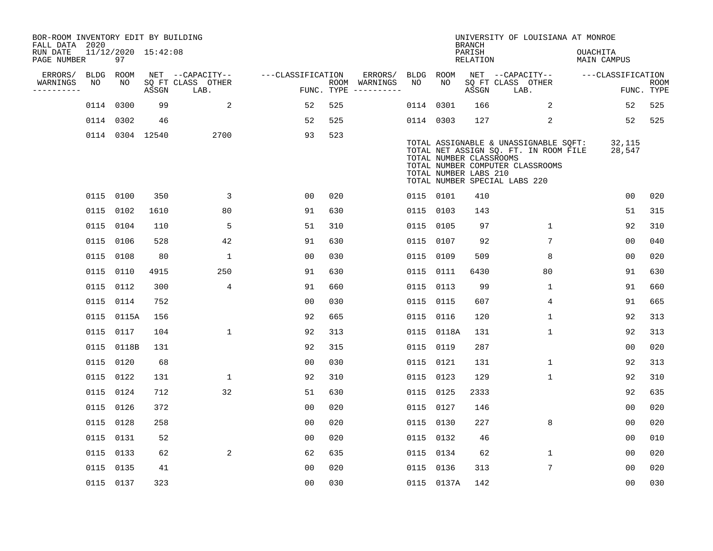| BOR-ROOM INVENTORY EDIT BY BUILDING<br>FALL DATA 2020 |      |                           |       |                           |                   |     |                                      |      |             | <b>BRANCH</b>                                    | UNIVERSITY OF LOUISIANA AT MONROE                                                                                                                   |                                |                           |
|-------------------------------------------------------|------|---------------------------|-------|---------------------------|-------------------|-----|--------------------------------------|------|-------------|--------------------------------------------------|-----------------------------------------------------------------------------------------------------------------------------------------------------|--------------------------------|---------------------------|
| RUN DATE<br>PAGE NUMBER                               |      | 11/12/2020 15:42:08<br>97 |       |                           |                   |     |                                      |      |             | PARISH<br><b>RELATION</b>                        |                                                                                                                                                     | OUACHITA<br><b>MAIN CAMPUS</b> |                           |
| ERRORS/                                               | BLDG | ROOM                      |       | NET --CAPACITY--          | ---CLASSIFICATION |     | ERRORS/                              | BLDG | <b>ROOM</b> |                                                  | NET --CAPACITY--                                                                                                                                    | ---CLASSIFICATION              |                           |
| WARNINGS<br>----------                                | NO   | NO                        | ASSGN | SQ FT CLASS OTHER<br>LAB. |                   |     | ROOM WARNINGS<br>FUNC. TYPE $------$ | NO   | NO          | ASSGN                                            | SQ FT CLASS OTHER<br>LAB.                                                                                                                           |                                | <b>ROOM</b><br>FUNC. TYPE |
|                                                       |      | 0114 0300                 | 99    | 2                         | 52                | 525 |                                      |      | 0114 0301   | 166                                              | 2                                                                                                                                                   | 52                             | 525                       |
|                                                       |      | 0114 0302                 | 46    |                           | 52                | 525 |                                      |      | 0114 0303   | 127                                              | 2                                                                                                                                                   | 52                             | 525                       |
|                                                       |      | 0114 0304 12540           |       | 2700                      | 93                | 523 |                                      |      |             | TOTAL NUMBER CLASSROOMS<br>TOTAL NUMBER LABS 210 | TOTAL ASSIGNABLE & UNASSIGNABLE SQFT:<br>TOTAL NET ASSIGN SQ. FT. IN ROOM FILE<br>TOTAL NUMBER COMPUTER CLASSROOMS<br>TOTAL NUMBER SPECIAL LABS 220 | 32,115<br>28,547               |                           |
|                                                       |      | 0115 0100                 | 350   | 3                         | 00                | 020 |                                      |      | 0115 0101   | 410                                              |                                                                                                                                                     | 0 <sub>0</sub>                 | 020                       |
|                                                       |      | 0115 0102                 | 1610  | 80                        | 91                | 630 |                                      |      | 0115 0103   | 143                                              |                                                                                                                                                     | 51                             | 315                       |
|                                                       |      | 0115 0104                 | 110   | 5                         | 51                | 310 |                                      |      | 0115 0105   | 97                                               | $\mathbf 1$                                                                                                                                         | 92                             | 310                       |
|                                                       |      | 0115 0106                 | 528   | 42                        | 91                | 630 |                                      |      | 0115 0107   | 92                                               | 7                                                                                                                                                   | 00                             | 040                       |
|                                                       |      | 0115 0108                 | 80    | $\mathbf{1}$              | 0 <sub>0</sub>    | 030 |                                      |      | 0115 0109   | 509                                              | 8                                                                                                                                                   | 00                             | 020                       |
|                                                       |      | 0115 0110                 | 4915  | 250                       | 91                | 630 |                                      |      | 0115 0111   | 6430                                             | 80                                                                                                                                                  | 91                             | 630                       |
|                                                       |      | 0115 0112                 | 300   | 4                         | 91                | 660 |                                      |      | 0115 0113   | 99                                               | $\mathbf 1$                                                                                                                                         | 91                             | 660                       |
|                                                       |      | 0115 0114                 | 752   |                           | 0 <sub>0</sub>    | 030 |                                      |      | 0115 0115   | 607                                              | 4                                                                                                                                                   | 91                             | 665                       |
|                                                       |      | 0115 0115A                | 156   |                           | 92                | 665 |                                      |      | 0115 0116   | 120                                              | $\mathbf{1}$                                                                                                                                        | 92                             | 313                       |
|                                                       |      | 0115 0117                 | 104   | $\mathbf{1}$              | 92                | 313 |                                      |      | 0115 0118A  | 131                                              | $\mathbf 1$                                                                                                                                         | 92                             | 313                       |
|                                                       |      | 0115 0118B                | 131   |                           | 92                | 315 |                                      |      | 0115 0119   | 287                                              |                                                                                                                                                     | 0 <sub>0</sub>                 | 020                       |
|                                                       |      | 0115 0120                 | 68    |                           | 00                | 030 |                                      |      | 0115 0121   | 131                                              | 1                                                                                                                                                   | 92                             | 313                       |
|                                                       |      | 0115 0122                 | 131   | 1                         | 92                | 310 |                                      |      | 0115 0123   | 129                                              | 1                                                                                                                                                   | 92                             | 310                       |
|                                                       |      | 0115 0124                 | 712   | 32                        | 51                | 630 |                                      |      | 0115 0125   | 2333                                             |                                                                                                                                                     | 92                             | 635                       |
|                                                       |      | 0115 0126                 | 372   |                           | 00                | 020 |                                      |      | 0115 0127   | 146                                              |                                                                                                                                                     | 00                             | 020                       |
|                                                       |      | 0115 0128                 | 258   |                           | 00                | 020 |                                      |      | 0115 0130   | 227                                              | 8                                                                                                                                                   | 0 <sub>0</sub>                 | 020                       |
|                                                       |      | 0115 0131                 | 52    |                           | 0 <sub>0</sub>    | 020 |                                      |      | 0115 0132   | 46                                               |                                                                                                                                                     | 0 <sub>0</sub>                 | 010                       |
|                                                       |      | 0115 0133                 | 62    | 2                         | 62                | 635 |                                      |      | 0115 0134   | 62                                               | 1                                                                                                                                                   | 00                             | 020                       |
|                                                       |      | 0115 0135                 | 41    |                           | 0 <sub>0</sub>    | 020 |                                      |      | 0115 0136   | 313                                              | 7                                                                                                                                                   | 00                             | 020                       |
|                                                       |      | 0115 0137                 | 323   |                           | 0 <sub>0</sub>    | 030 |                                      |      | 0115 0137A  | 142                                              |                                                                                                                                                     | 0 <sub>0</sub>                 | 030                       |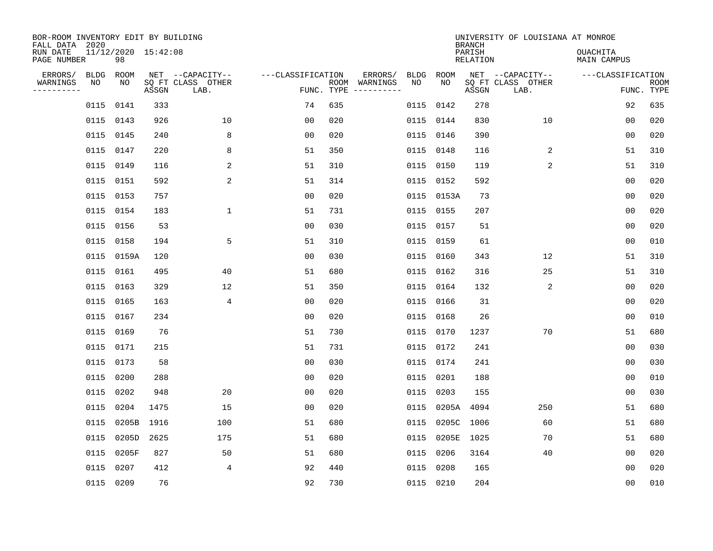| BOR-ROOM INVENTORY EDIT BY BUILDING<br>FALL DATA 2020 |           |                           |       |                           |                   |            |                                                                                                                             |      |            | <b>BRANCH</b>             | UNIVERSITY OF LOUISIANA AT MONROE |                                |                           |
|-------------------------------------------------------|-----------|---------------------------|-------|---------------------------|-------------------|------------|-----------------------------------------------------------------------------------------------------------------------------|------|------------|---------------------------|-----------------------------------|--------------------------------|---------------------------|
| RUN DATE<br>PAGE NUMBER                               |           | 11/12/2020 15:42:08<br>98 |       |                           |                   |            |                                                                                                                             |      |            | PARISH<br><b>RELATION</b> |                                   | <b>OUACHITA</b><br>MAIN CAMPUS |                           |
| ERRORS/                                               | BLDG      | ROOM<br>NO                |       | NET --CAPACITY--          | ---CLASSIFICATION |            | ERRORS/                                                                                                                     | BLDG | ROOM<br>NO |                           | NET --CAPACITY--                  | ---CLASSIFICATION              |                           |
| WARNINGS<br>.                                         | NO        |                           | ASSGN | SQ FT CLASS OTHER<br>LAB. |                   | FUNC. TYPE | ROOM WARNINGS<br>$\begin{tabular}{ccccccccc} - & - & - & - & - & - & - & - \\ & - & - & - & - & - & - & - \\ \end{tabular}$ | NO   |            | ASSGN                     | SQ FT CLASS OTHER<br>LAB.         |                                | <b>ROOM</b><br>FUNC. TYPE |
|                                                       | 0115 0141 |                           | 333   |                           | 74                | 635        |                                                                                                                             | 0115 | 0142       | 278                       |                                   | 92                             | 635                       |
|                                                       | 0115 0143 |                           | 926   | 10                        | 0 <sub>0</sub>    | 020        |                                                                                                                             |      | 0115 0144  | 830                       | 10                                | 00                             | 020                       |
|                                                       | 0115 0145 |                           | 240   | 8                         | 00                | 020        |                                                                                                                             | 0115 | 0146       | 390                       |                                   | 00                             | 020                       |
|                                                       | 0115 0147 |                           | 220   | 8                         | 51                | 350        |                                                                                                                             | 0115 | 0148       | 116                       | 2                                 | 51                             | 310                       |
|                                                       | 0115 0149 |                           | 116   | 2                         | 51                | 310        |                                                                                                                             | 0115 | 0150       | 119                       | 2                                 | 51                             | 310                       |
|                                                       | 0115 0151 |                           | 592   | 2                         | 51                | 314        |                                                                                                                             |      | 0115 0152  | 592                       |                                   | 0 <sub>0</sub>                 | 020                       |
|                                                       | 0115 0153 |                           | 757   |                           | 0 <sub>0</sub>    | 020        |                                                                                                                             |      | 0115 0153A | 73                        |                                   | 0 <sub>0</sub>                 | 020                       |
|                                                       | 0115 0154 |                           | 183   | $\mathbf 1$               | 51                | 731        |                                                                                                                             |      | 0115 0155  | 207                       |                                   | 0 <sub>0</sub>                 | 020                       |
|                                                       | 0115 0156 |                           | 53    |                           | 0 <sub>0</sub>    | 030        |                                                                                                                             | 0115 | 0157       | 51                        |                                   | 0 <sub>0</sub>                 | 020                       |
|                                                       | 0115 0158 |                           | 194   | 5                         | 51                | 310        |                                                                                                                             |      | 0115 0159  | 61                        |                                   | 0 <sub>0</sub>                 | 010                       |
|                                                       |           | 0115 0159A                | 120   |                           | 0 <sub>0</sub>    | 030        |                                                                                                                             | 0115 | 0160       | 343                       | 12                                | 51                             | 310                       |
|                                                       | 0115 0161 |                           | 495   | 40                        | 51                | 680        |                                                                                                                             |      | 0115 0162  | 316                       | 25                                | 51                             | 310                       |
|                                                       | 0115 0163 |                           | 329   | 12                        | 51                | 350        |                                                                                                                             | 0115 | 0164       | 132                       | 2                                 | 0 <sub>0</sub>                 | 020                       |
|                                                       | 0115 0165 |                           | 163   | 4                         | 0 <sub>0</sub>    | 020        |                                                                                                                             |      | 0115 0166  | 31                        |                                   | 00                             | 020                       |
|                                                       | 0115 0167 |                           | 234   |                           | 0 <sub>0</sub>    | 020        |                                                                                                                             | 0115 | 0168       | 26                        |                                   | 0 <sub>0</sub>                 | 010                       |
|                                                       | 0115 0169 |                           | 76    |                           | 51                | 730        |                                                                                                                             | 0115 | 0170       | 1237                      | 70                                | 51                             | 680                       |
|                                                       | 0115 0171 |                           | 215   |                           | 51                | 731        |                                                                                                                             |      | 0115 0172  | 241                       |                                   | 0 <sub>0</sub>                 | 030                       |
|                                                       | 0115      | 0173                      | 58    |                           | 0 <sub>0</sub>    | 030        |                                                                                                                             | 0115 | 0174       | 241                       |                                   | 0 <sub>0</sub>                 | 030                       |
|                                                       | 0115 0200 |                           | 288   |                           | 0 <sub>0</sub>    | 020        |                                                                                                                             | 0115 | 0201       | 188                       |                                   | 0 <sub>0</sub>                 | 010                       |
|                                                       | 0115 0202 |                           | 948   | 20                        | 0 <sub>0</sub>    | 020        |                                                                                                                             | 0115 | 0203       | 155                       |                                   | 0 <sub>0</sub>                 | 030                       |
|                                                       | 0115      | 0204                      | 1475  | 15                        | 0 <sub>0</sub>    | 020        |                                                                                                                             | 0115 | 0205A      | 4094                      | 250                               | 51                             | 680                       |
|                                                       | 0115      | 0205B                     | 1916  | 100                       | 51                | 680        |                                                                                                                             | 0115 | 0205C      | 1006                      | 60                                | 51                             | 680                       |
|                                                       | 0115      | 0205D                     | 2625  | 175                       | 51                | 680        |                                                                                                                             | 0115 | 0205E      | 1025                      | 70                                | 51                             | 680                       |
|                                                       | 0115      | 0205F                     | 827   | 50                        | 51                | 680        |                                                                                                                             | 0115 | 0206       | 3164                      | 40                                | 0 <sub>0</sub>                 | 020                       |
|                                                       | 0115      | 0207                      | 412   | 4                         | 92                | 440        |                                                                                                                             | 0115 | 0208       | 165                       |                                   | 00                             | 020                       |
|                                                       | 0115 0209 |                           | 76    |                           | 92                | 730        |                                                                                                                             |      | 0115 0210  | 204                       |                                   | 0 <sub>0</sub>                 | 010                       |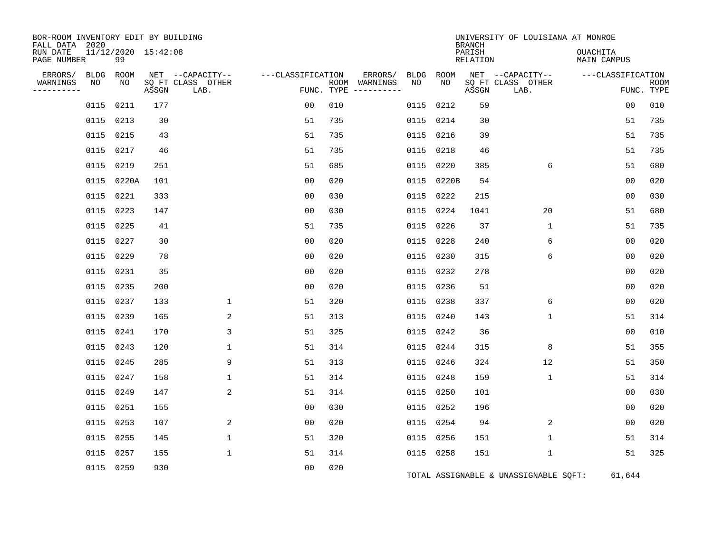| BOR-ROOM INVENTORY EDIT BY BUILDING<br>FALL DATA 2020 |           |                           |       |                           |                   |     |                                      |      |            | <b>BRANCH</b>      | UNIVERSITY OF LOUISIANA AT MONROE     |                                       |                           |
|-------------------------------------------------------|-----------|---------------------------|-------|---------------------------|-------------------|-----|--------------------------------------|------|------------|--------------------|---------------------------------------|---------------------------------------|---------------------------|
| RUN DATE<br>PAGE NUMBER                               |           | 11/12/2020 15:42:08<br>99 |       |                           |                   |     |                                      |      |            | PARISH<br>RELATION |                                       | <b>OUACHITA</b><br><b>MAIN CAMPUS</b> |                           |
| ERRORS/                                               | BLDG      | ROOM                      |       | NET --CAPACITY--          | ---CLASSIFICATION |     | ERRORS/                              | BLDG | ROOM       |                    | NET --CAPACITY--                      | ---CLASSIFICATION                     |                           |
| WARNINGS<br>----------                                | NO        | NO                        | ASSGN | SQ FT CLASS OTHER<br>LAB. |                   |     | ROOM WARNINGS<br>FUNC. TYPE $------$ | NO.  | NO.        | ASSGN              | SQ FT CLASS OTHER<br>LAB.             |                                       | <b>ROOM</b><br>FUNC. TYPE |
|                                                       | 0115      | 0211                      | 177   |                           | 0 <sub>0</sub>    | 010 |                                      | 0115 | 0212       | 59                 |                                       | 0 <sub>0</sub>                        | 010                       |
|                                                       | 0115      | 0213                      | 30    |                           | 51                | 735 |                                      | 0115 | 0214       | 30                 |                                       | 51                                    | 735                       |
|                                                       | 0115 0215 |                           | 43    |                           | 51                | 735 |                                      |      | 0115 0216  | 39                 |                                       | 51                                    | 735                       |
|                                                       | 0115      | 0217                      | 46    |                           | 51                | 735 |                                      | 0115 | 0218       | 46                 |                                       | 51                                    | 735                       |
|                                                       | 0115 0219 |                           | 251   |                           | 51                | 685 |                                      |      | 0115 0220  | 385                | 6                                     | 51                                    | 680                       |
|                                                       |           | 0115 0220A                | 101   |                           | 00                | 020 |                                      |      | 0115 0220B | 54                 |                                       | 0 <sub>0</sub>                        | 020                       |
|                                                       |           | 0115 0221                 | 333   |                           | 0 <sub>0</sub>    | 030 |                                      |      | 0115 0222  | 215                |                                       | 0 <sub>0</sub>                        | 030                       |
|                                                       | 0115      | 0223                      | 147   |                           | 0 <sub>0</sub>    | 030 |                                      |      | 0115 0224  | 1041               | 20                                    | 51                                    | 680                       |
|                                                       | 0115 0225 |                           | 41    |                           | 51                | 735 |                                      |      | 0115 0226  | 37                 | 1                                     | 51                                    | 735                       |
|                                                       | 0115 0227 |                           | 30    |                           | 0 <sub>0</sub>    | 020 |                                      |      | 0115 0228  | 240                | 6                                     | 0 <sub>0</sub>                        | 020                       |
|                                                       | 0115 0229 |                           | 78    |                           | 0 <sub>0</sub>    | 020 |                                      |      | 0115 0230  | 315                | 6                                     | 0 <sub>0</sub>                        | 020                       |
|                                                       | 0115      | 0231                      | 35    |                           | 0 <sub>0</sub>    | 020 |                                      |      | 0115 0232  | 278                |                                       | 0 <sub>0</sub>                        | 020                       |
|                                                       | 0115 0235 |                           | 200   |                           | 0 <sub>0</sub>    | 020 |                                      |      | 0115 0236  | 51                 |                                       | 00                                    | 020                       |
|                                                       | 0115      | 0237                      | 133   | $\mathbf 1$               | 51                | 320 |                                      |      | 0115 0238  | 337                | 6                                     | 0 <sub>0</sub>                        | 020                       |
|                                                       | 0115 0239 |                           | 165   | 2                         | 51                | 313 |                                      |      | 0115 0240  | 143                | 1                                     | 51                                    | 314                       |
|                                                       | 0115      | 0241                      | 170   | 3                         | 51                | 325 |                                      |      | 0115 0242  | 36                 |                                       | 0 <sub>0</sub>                        | 010                       |
|                                                       | 0115 0243 |                           | 120   | 1                         | 51                | 314 |                                      |      | 0115 0244  | 315                | 8                                     | 51                                    | 355                       |
|                                                       |           | 0115 0245                 | 285   | 9                         | 51                | 313 |                                      |      | 0115 0246  | 324                | 12                                    | 51                                    | 350                       |
|                                                       | 0115      | 0247                      | 158   | $\mathbf 1$               | 51                | 314 |                                      | 0115 | 0248       | 159                | $\mathbf 1$                           | 51                                    | 314                       |
|                                                       | 0115 0249 |                           | 147   | 2                         | 51                | 314 |                                      |      | 0115 0250  | 101                |                                       | 0 <sub>0</sub>                        | 030                       |
|                                                       |           | 0115 0251                 | 155   |                           | 00                | 030 |                                      |      | 0115 0252  | 196                |                                       | 00                                    | 020                       |
|                                                       | 0115 0253 |                           | 107   | 2                         | 0 <sub>0</sub>    | 020 |                                      |      | 0115 0254  | 94                 | 2                                     | 00                                    | 020                       |
|                                                       | 0115      | 0255                      | 145   | $\mathbf{1}$              | 51                | 320 |                                      |      | 0115 0256  | 151                | $\mathbf{1}$                          | 51                                    | 314                       |
|                                                       | 0115 0257 |                           | 155   | $\mathbf 1$               | 51                | 314 |                                      |      | 0115 0258  | 151                | $\mathbf 1$                           | 51                                    | 325                       |
|                                                       |           | 0115 0259                 | 930   |                           | 0 <sub>0</sub>    | 020 |                                      |      |            |                    | TOTAL ASSIGNABLE & UNASSIGNABLE SQFT: | 61,644                                |                           |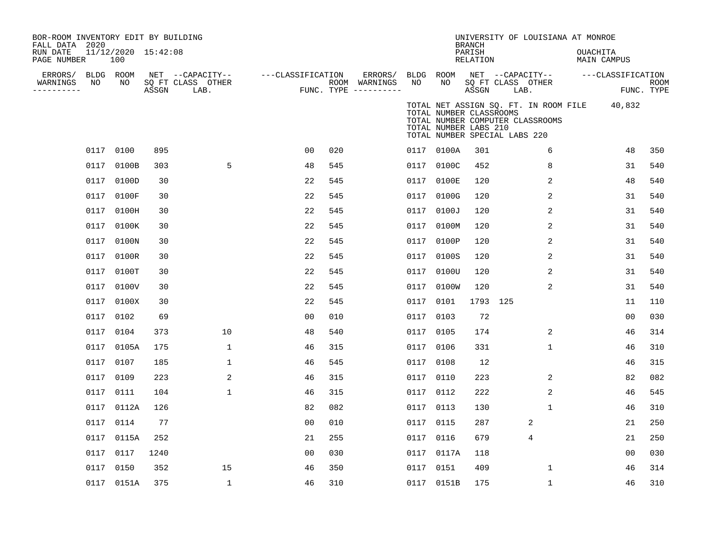| BOR-ROOM INVENTORY EDIT BY BUILDING<br>FALL DATA 2020 |      |                            |       |                           |                   |     |                                      |           |                                                                                   | <b>BRANCH</b>      |      | UNIVERSITY OF LOUISIANA AT MONROE                                                |                                |                   |                           |
|-------------------------------------------------------|------|----------------------------|-------|---------------------------|-------------------|-----|--------------------------------------|-----------|-----------------------------------------------------------------------------------|--------------------|------|----------------------------------------------------------------------------------|--------------------------------|-------------------|---------------------------|
| RUN DATE<br>PAGE NUMBER                               |      | 11/12/2020 15:42:08<br>100 |       |                           |                   |     |                                      |           |                                                                                   | PARISH<br>RELATION |      |                                                                                  | OUACHITA<br><b>MAIN CAMPUS</b> |                   |                           |
| ERRORS/                                               |      | BLDG ROOM                  |       | NET --CAPACITY--          | ---CLASSIFICATION |     | ERRORS/                              |           | BLDG ROOM                                                                         |                    |      | NET --CAPACITY--                                                                 |                                | ---CLASSIFICATION |                           |
| WARNINGS<br>---------                                 | NO   | NO                         | ASSGN | SQ FT CLASS OTHER<br>LAB. |                   |     | ROOM WARNINGS<br>FUNC. TYPE $------$ | NO        | NO                                                                                | ASSGN              | LAB. | SQ FT CLASS OTHER                                                                |                                |                   | <b>ROOM</b><br>FUNC. TYPE |
|                                                       |      |                            |       |                           |                   |     |                                      |           | TOTAL NUMBER CLASSROOMS<br>TOTAL NUMBER LABS 210<br>TOTAL NUMBER SPECIAL LABS 220 |                    |      | TOTAL NET ASSIGN SQ. FT. IN ROOM FILE 40,832<br>TOTAL NUMBER COMPUTER CLASSROOMS |                                |                   |                           |
|                                                       |      | 0117 0100                  | 895   |                           | 0 <sub>0</sub>    | 020 |                                      |           | 0117 0100A                                                                        | 301                |      | 6                                                                                |                                | 48                | 350                       |
|                                                       | 0117 | 0100B                      | 303   | 5                         | 48                | 545 |                                      |           | 0117 0100C                                                                        | 452                |      | 8                                                                                |                                | 31                | 540                       |
|                                                       | 0117 | 0100D                      | 30    |                           | 22                | 545 |                                      |           | 0117 0100E                                                                        | 120                |      | 2                                                                                |                                | 48                | 540                       |
|                                                       | 0117 | 0100F                      | 30    |                           | 22                | 545 |                                      |           | 0117 0100G                                                                        | 120                |      | 2                                                                                |                                | 31                | 540                       |
|                                                       | 0117 | 0100H                      | 30    |                           | 22                | 545 |                                      |           | 0117 0100J                                                                        | 120                |      | 2                                                                                |                                | 31                | 540                       |
|                                                       | 0117 | 0100K                      | 30    |                           | 22                | 545 |                                      |           | 0117 0100M                                                                        | 120                |      | 2                                                                                |                                | 31                | 540                       |
|                                                       |      | 0117 0100N                 | 30    |                           | 22                | 545 |                                      |           | 0117 0100P                                                                        | 120                |      | 2                                                                                |                                | 31                | 540                       |
|                                                       | 0117 | 0100R                      | 30    |                           | 22                | 545 |                                      |           | 0117 0100S                                                                        | 120                |      | 2                                                                                |                                | 31                | 540                       |
|                                                       | 0117 | 0100T                      | 30    |                           | 22                | 545 |                                      |           | 0117 0100U                                                                        | 120                |      | 2                                                                                |                                | 31                | 540                       |
|                                                       | 0117 | 0100V                      | 30    |                           | 22                | 545 |                                      |           | 0117 0100W                                                                        | 120                |      | 2                                                                                |                                | 31                | 540                       |
|                                                       | 0117 | 0100X                      | 30    |                           | 22                | 545 |                                      | 0117 0101 |                                                                                   | 1793 125           |      |                                                                                  |                                | 11                | 110                       |
|                                                       | 0117 | 0102                       | 69    |                           | 0 <sub>0</sub>    | 010 |                                      | 0117 0103 |                                                                                   | 72                 |      |                                                                                  |                                | 0 <sub>0</sub>    | 030                       |
|                                                       |      | 0117 0104                  | 373   | 10                        | 48                | 540 |                                      | 0117 0105 |                                                                                   | 174                |      | 2                                                                                |                                | 46                | 314                       |
|                                                       |      | 0117 0105A                 | 175   | 1                         | 46                | 315 |                                      | 0117 0106 |                                                                                   | 331                |      | $\mathbf{1}$                                                                     |                                | 46                | 310                       |
|                                                       |      | 0117 0107                  | 185   | 1                         | 46                | 545 |                                      | 0117 0108 |                                                                                   | 12                 |      |                                                                                  |                                | 46                | 315                       |
|                                                       |      | 0117 0109                  | 223   | 2                         | 46                | 315 |                                      | 0117 0110 |                                                                                   | 223                |      | $\sqrt{2}$                                                                       |                                | 82                | 082                       |
|                                                       |      | 0117 0111                  | 104   | $\mathbf 1$               | 46                | 315 |                                      | 0117 0112 |                                                                                   | 222                |      | 2                                                                                |                                | 46                | 545                       |
|                                                       |      | 0117 0112A                 | 126   |                           | 82                | 082 |                                      | 0117 0113 |                                                                                   | 130                |      | $\mathbf{1}$                                                                     |                                | 46                | 310                       |
|                                                       |      | 0117 0114                  | 77    |                           | 0 <sub>0</sub>    | 010 |                                      | 0117 0115 |                                                                                   | 287                |      | 2                                                                                |                                | 21                | 250                       |
|                                                       |      | 0117 0115A                 | 252   |                           | 21                | 255 |                                      | 0117 0116 |                                                                                   | 679                |      | 4                                                                                |                                | 21                | 250                       |
|                                                       | 0117 | 0117                       | 1240  |                           | 0 <sub>0</sub>    | 030 |                                      |           | 0117 0117A                                                                        | 118                |      |                                                                                  |                                | 0 <sub>0</sub>    | 030                       |
|                                                       | 0117 | 0150                       | 352   | 15                        | 46                | 350 |                                      |           | 0117 0151                                                                         | 409                |      | 1                                                                                |                                | 46                | 314                       |
|                                                       |      | 0117 0151A                 | 375   | $\mathbf{1}$              | 46                | 310 |                                      |           | 0117 0151B                                                                        | 175                |      | 1                                                                                |                                | 46                | 310                       |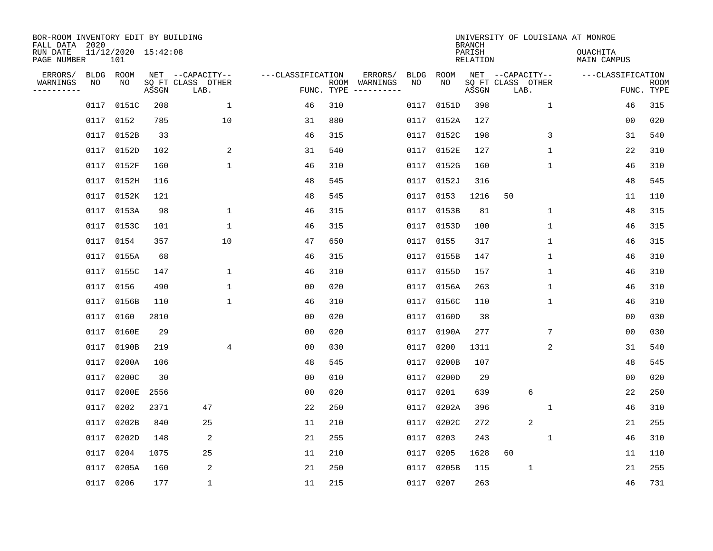| BOR-ROOM INVENTORY EDIT BY BUILDING<br>FALL DATA 2020<br>RUN DATE<br>PAGE NUMBER |            | 11/12/2020 15:42:08<br>101 |       |                                               |                   |            |                                         |            |             | <b>BRANCH</b><br>PARISH<br>RELATION | UNIVERSITY OF LOUISIANA AT MONROE             | OUACHITA<br>MAIN CAMPUS |                    |
|----------------------------------------------------------------------------------|------------|----------------------------|-------|-----------------------------------------------|-------------------|------------|-----------------------------------------|------------|-------------|-------------------------------------|-----------------------------------------------|-------------------------|--------------------|
| ERRORS/<br>WARNINGS<br>----------                                                | BLDG<br>ΝO | ROOM<br>NO                 | ASSGN | NET --CAPACITY--<br>SQ FT CLASS OTHER<br>LAB. | ---CLASSIFICATION | FUNC. TYPE | ERRORS/<br>ROOM WARNINGS<br>----------- | BLDG<br>NO | ROOM<br>NO. | ASSGN                               | NET --CAPACITY--<br>SQ FT CLASS OTHER<br>LAB. | ---CLASSIFICATION       | ROOM<br>FUNC. TYPE |
|                                                                                  | 0117       | 0151C                      | 208   | $\mathbf 1$                                   | 46                | 310        |                                         | 0117       | 0151D       | 398                                 | $\mathbf 1$                                   | 46                      | 315                |
|                                                                                  | 0117       | 0152                       | 785   | 10                                            | 31                | 880        |                                         | 0117       | 0152A       | 127                                 |                                               | 0 <sub>0</sub>          | 020                |
|                                                                                  | 0117       | 0152B                      | 33    |                                               | 46                | 315        |                                         | 0117       | 0152C       | 198                                 | 3                                             | 31                      | 540                |
|                                                                                  | 0117       | 0152D                      | 102   | 2                                             | 31                | 540        |                                         | 0117       | 0152E       | 127                                 | 1                                             | 22                      | 310                |
|                                                                                  | 0117       | 0152F                      | 160   | $\mathbf{1}$                                  | 46                | 310        |                                         | 0117       | 0152G       | 160                                 | 1                                             | 46                      | 310                |
|                                                                                  | 0117       | 0152H                      | 116   |                                               | 48                | 545        |                                         | 0117       | 0152J       | 316                                 |                                               | 48                      | 545                |
|                                                                                  | 0117       | 0152K                      | 121   |                                               | 48                | 545        |                                         | 0117       | 0153        | 1216                                | 50                                            | 11                      | 110                |
|                                                                                  | 0117       | 0153A                      | 98    | 1                                             | 46                | 315        |                                         | 0117       | 0153B       | 81                                  | 1                                             | 48                      | 315                |
|                                                                                  | 0117       | 0153C                      | 101   | 1                                             | 46                | 315        |                                         | 0117       | 0153D       | 100                                 | 1                                             | 46                      | 315                |
|                                                                                  | 0117       | 0154                       | 357   | 10                                            | 47                | 650        |                                         | 0117       | 0155        | 317                                 | $\mathbf{1}$                                  | 46                      | 315                |
|                                                                                  | 0117       | 0155A                      | 68    |                                               | 46                | 315        |                                         | 0117       | 0155B       | 147                                 | 1                                             | 46                      | 310                |
|                                                                                  | 0117       | 0155C                      | 147   | 1                                             | 46                | 310        |                                         | 0117       | 0155D       | 157                                 | 1                                             | 46                      | 310                |
|                                                                                  | 0117       | 0156                       | 490   | 1                                             | 00                | 020        |                                         | 0117       | 0156A       | 263                                 | 1                                             | 46                      | 310                |
|                                                                                  | 0117       | 0156B                      | 110   | 1                                             | 46                | 310        |                                         | 0117       | 0156C       | 110                                 | 1                                             | 46                      | 310                |
|                                                                                  | 0117       | 0160                       | 2810  |                                               | 0 <sub>0</sub>    | 020        |                                         | 0117       | 0160D       | 38                                  |                                               | 0 <sub>0</sub>          | 030                |
|                                                                                  | 0117       | 0160E                      | 29    |                                               | 0 <sub>0</sub>    | 020        |                                         | 0117       | 0190A       | 277                                 | 7                                             | 0 <sub>0</sub>          | 030                |
|                                                                                  | 0117       | 0190B                      | 219   | $\overline{4}$                                | 0 <sub>0</sub>    | 030        |                                         | 0117       | 0200        | 1311                                | 2                                             | 31                      | 540                |
|                                                                                  | 0117       | 0200A                      | 106   |                                               | 48                | 545        |                                         | 0117       | 0200B       | 107                                 |                                               | 48                      | 545                |
|                                                                                  | 0117       | 0200C                      | 30    |                                               | 0 <sub>0</sub>    | 010        |                                         | 0117       | 0200D       | 29                                  |                                               | 0 <sub>0</sub>          | 020                |
|                                                                                  | 0117       | 0200E                      | 2556  |                                               | 0 <sub>0</sub>    | 020        |                                         | 0117       | 0201        | 639                                 | 6                                             | 22                      | 250                |
|                                                                                  | 0117       | 0202                       | 2371  | 47                                            | 22                | 250        |                                         | 0117       | 0202A       | 396                                 | 1                                             | 46                      | 310                |
|                                                                                  | 0117       | 0202B                      | 840   | 25                                            | 11                | 210        |                                         | 0117       | 0202C       | 272                                 | 2                                             | 21                      | 255                |
|                                                                                  | 0117       | 0202D                      | 148   | 2                                             | 21                | 255        |                                         | 0117       | 0203        | 243                                 | 1                                             | 46                      | 310                |
|                                                                                  | 0117       | 0204                       | 1075  | 25                                            | 11                | 210        |                                         | 0117       | 0205        | 1628                                | 60                                            | 11                      | 110                |
|                                                                                  | 0117       | 0205A                      | 160   | 2                                             | 21                | 250        |                                         | 0117       | 0205B       | 115                                 | $1\,$                                         | 21                      | 255                |
|                                                                                  | 0117 0206  |                            | 177   | $\mathbf 1$                                   | 11                | 215        |                                         |            | 0117 0207   | 263                                 |                                               | 46                      | 731                |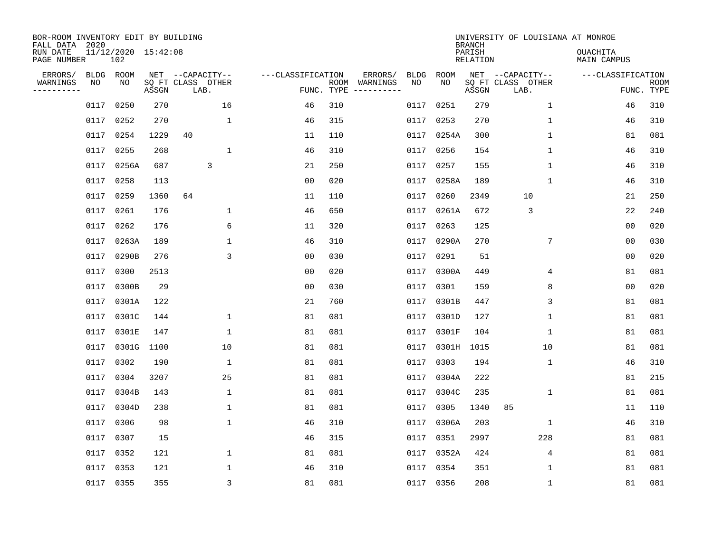| BOR-ROOM INVENTORY EDIT BY BUILDING<br>FALL DATA 2020 |                 |                            |       |                                       |                   |            |                                                                                                            |            |             | <b>BRANCH</b>             | UNIVERSITY OF LOUISIANA AT MONROE     |                                |             |
|-------------------------------------------------------|-----------------|----------------------------|-------|---------------------------------------|-------------------|------------|------------------------------------------------------------------------------------------------------------|------------|-------------|---------------------------|---------------------------------------|--------------------------------|-------------|
| RUN DATE<br>PAGE NUMBER                               |                 | 11/12/2020 15:42:08<br>102 |       |                                       |                   |            |                                                                                                            |            |             | PARISH<br><b>RELATION</b> |                                       | <b>OUACHITA</b><br>MAIN CAMPUS |             |
| ERRORS/<br>WARNINGS                                   | BLDG ROOM<br>NO | NO                         |       | NET --CAPACITY--<br>SQ FT CLASS OTHER | ---CLASSIFICATION |            | ERRORS/<br>ROOM WARNINGS                                                                                   | BLDG<br>NO | ROOM<br>NO. |                           | NET --CAPACITY--<br>SQ FT CLASS OTHER | ---CLASSIFICATION              | <b>ROOM</b> |
| ---------                                             |                 |                            | ASSGN | LAB.                                  |                   | FUNC. TYPE | $\begin{tabular}{ccccccccc} - & - & - & - & - & - & - & - \\ & - & - & - & - & - & - & - \\ \end{tabular}$ |            |             | ASSGN                     | LAB.                                  |                                | FUNC. TYPE  |
|                                                       | 0117            | 0250                       | 270   | 16                                    | 46                | 310        |                                                                                                            | 0117       | 0251        | 279                       | $\mathbf 1$                           | 46                             | 310         |
|                                                       | 0117            | 0252                       | 270   | $\mathbf 1$                           | 46                | 315        |                                                                                                            | 0117       | 0253        | 270                       | $\mathbf{1}$                          | 46                             | 310         |
|                                                       | 0117            | 0254                       | 1229  | 40                                    | 11                | 110        |                                                                                                            | 0117       | 0254A       | 300                       | $\mathbf{1}$                          | 81                             | 081         |
|                                                       | 0117            | 0255                       | 268   | $\mathbf{1}$                          | 46                | 310        |                                                                                                            | 0117       | 0256        | 154                       | $\mathbf{1}$                          | 46                             | 310         |
|                                                       | 0117            | 0256A                      | 687   | 3                                     | 21                | 250        |                                                                                                            | 0117       | 0257        | 155                       | $\mathbf 1$                           | 46                             | 310         |
|                                                       | 0117            | 0258                       | 113   |                                       | 0 <sub>0</sub>    | 020        |                                                                                                            | 0117       | 0258A       | 189                       | 1                                     | 46                             | 310         |
|                                                       | 0117            | 0259                       | 1360  | 64                                    | 11                | 110        |                                                                                                            | 0117       | 0260        | 2349                      | 10                                    | 21                             | 250         |
|                                                       | 0117            | 0261                       | 176   | 1                                     | 46                | 650        |                                                                                                            | 0117       | 0261A       | 672                       | 3                                     | 22                             | 240         |
|                                                       | 0117            | 0262                       | 176   | 6                                     | 11                | 320        |                                                                                                            | 0117       | 0263        | 125                       |                                       | 0 <sub>0</sub>                 | 020         |
|                                                       | 0117            | 0263A                      | 189   | $\mathbf 1$                           | 46                | 310        |                                                                                                            | 0117       | 0290A       | 270                       | 7                                     | 0 <sub>0</sub>                 | 030         |
|                                                       | 0117            | 0290B                      | 276   | 3                                     | 0 <sub>0</sub>    | 030        |                                                                                                            | 0117       | 0291        | 51                        |                                       | 0 <sub>0</sub>                 | 020         |
|                                                       | 0117            | 0300                       | 2513  |                                       | 0 <sub>0</sub>    | 020        |                                                                                                            | 0117       | 0300A       | 449                       | 4                                     | 81                             | 081         |
|                                                       | 0117            | 0300B                      | 29    |                                       | 0 <sub>0</sub>    | 030        |                                                                                                            | 0117       | 0301        | 159                       | 8                                     | 0 <sub>0</sub>                 | 020         |
|                                                       | 0117            | 0301A                      | 122   |                                       | 21                | 760        |                                                                                                            | 0117       | 0301B       | 447                       | 3                                     | 81                             | 081         |
|                                                       | 0117            | 0301C                      | 144   | 1                                     | 81                | 081        |                                                                                                            | 0117       | 0301D       | 127                       | 1                                     | 81                             | 081         |
|                                                       | 0117            | 0301E                      | 147   | 1                                     | 81                | 081        |                                                                                                            | 0117       | 0301F       | 104                       | 1                                     | 81                             | 081         |
|                                                       | 0117            | 0301G                      | 1100  | 10                                    | 81                | 081        |                                                                                                            | 0117       | 0301H       | 1015                      | 10                                    | 81                             | 081         |
|                                                       | 0117            | 0302                       | 190   | $\mathbf{1}$                          | 81                | 081        |                                                                                                            | 0117       | 0303        | 194                       | 1                                     | 46                             | 310         |
|                                                       | 0117            | 0304                       | 3207  | 25                                    | 81                | 081        |                                                                                                            | 0117       | 0304A       | 222                       |                                       | 81                             | 215         |
|                                                       | 0117            | 0304B                      | 143   | 1                                     | 81                | 081        |                                                                                                            | 0117       | 0304C       | 235                       | 1                                     | 81                             | 081         |
|                                                       | 0117            | 0304D                      | 238   | 1                                     | 81                | 081        |                                                                                                            | 0117       | 0305        | 1340                      | 85                                    | 11                             | 110         |
|                                                       | 0117            | 0306                       | 98    | $\mathbf{1}$                          | 46                | 310        |                                                                                                            | 0117       | 0306A       | 203                       | 1                                     | 46                             | 310         |
|                                                       | 0117            | 0307                       | 15    |                                       | 46                | 315        |                                                                                                            | 0117       | 0351        | 2997                      | 228                                   | 81                             | 081         |
|                                                       | 0117            | 0352                       | 121   | $\mathbf 1$                           | 81                | 081        |                                                                                                            | 0117       | 0352A       | 424                       | 4                                     | 81                             | 081         |
|                                                       | 0117            | 0353                       | 121   | 1                                     | 46                | 310        |                                                                                                            | 0117       | 0354        | 351                       | 1                                     | 81                             | 081         |
|                                                       | 0117 0355       |                            | 355   | $\overline{3}$                        | 81                | 081        |                                                                                                            |            | 0117 0356   | 208                       | 1                                     | 81                             | 081         |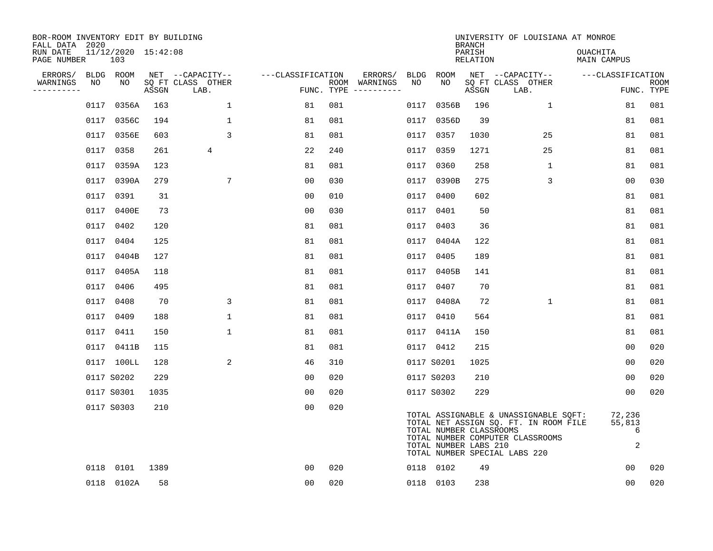| BOR-ROOM INVENTORY EDIT BY BUILDING<br>FALL DATA 2020 |      |                            |       |                           |                   |            |                              |      |                                                  | <b>BRANCH</b>      | UNIVERSITY OF LOUISIANA AT MONROE                                                                                                                   |                                |                           |
|-------------------------------------------------------|------|----------------------------|-------|---------------------------|-------------------|------------|------------------------------|------|--------------------------------------------------|--------------------|-----------------------------------------------------------------------------------------------------------------------------------------------------|--------------------------------|---------------------------|
| RUN DATE<br>PAGE NUMBER                               |      | 11/12/2020 15:42:08<br>103 |       |                           |                   |            |                              |      |                                                  | PARISH<br>RELATION |                                                                                                                                                     | OUACHITA<br><b>MAIN CAMPUS</b> |                           |
| ERRORS/                                               |      | BLDG ROOM                  |       | NET --CAPACITY--          | ---CLASSIFICATION |            | ERRORS/                      |      | BLDG ROOM                                        |                    | NET --CAPACITY--                                                                                                                                    | ---CLASSIFICATION              |                           |
| WARNINGS<br>----------                                | NO   | NO                         | ASSGN | SQ FT CLASS OTHER<br>LAB. |                   | FUNC. TYPE | ROOM WARNINGS<br>----------- | NO   | NO                                               | ASSGN              | SQ FT CLASS OTHER<br>LAB.                                                                                                                           |                                | <b>ROOM</b><br>FUNC. TYPE |
|                                                       | 0117 | 0356A                      | 163   | $\mathbf{1}$              | 81                | 081        |                              | 0117 | 0356B                                            | 196                | $\mathbf{1}$                                                                                                                                        | 81                             | 081                       |
|                                                       | 0117 | 0356C                      | 194   | $\mathbf 1$               | 81                | 081        |                              | 0117 | 0356D                                            | 39                 |                                                                                                                                                     | 81                             | 081                       |
|                                                       |      | 0117 0356E                 | 603   | 3                         | 81                | 081        |                              | 0117 | 0357                                             | 1030               | 25                                                                                                                                                  | 81                             | 081                       |
|                                                       |      | 0117 0358                  | 261   | 4                         | 22                | 240        |                              | 0117 | 0359                                             | 1271               | 25                                                                                                                                                  | 81                             | 081                       |
|                                                       | 0117 | 0359A                      | 123   |                           | 81                | 081        |                              | 0117 | 0360                                             | 258                | $\mathbf{1}$                                                                                                                                        | 81                             | 081                       |
|                                                       |      | 0117 0390A                 | 279   | $7\phantom{.0}$           | 0 <sub>0</sub>    | 030        |                              |      | 0117 0390B                                       | 275                | 3                                                                                                                                                   | 0 <sub>0</sub>                 | 030                       |
|                                                       |      | 0117 0391                  | 31    |                           | 00                | 010        |                              | 0117 | 0400                                             | 602                |                                                                                                                                                     | 81                             | 081                       |
|                                                       |      | 0117 0400E                 | 73    |                           | 0 <sub>0</sub>    | 030        |                              |      | 0117 0401                                        | 50                 |                                                                                                                                                     | 81                             | 081                       |
|                                                       | 0117 | 0402                       | 120   |                           | 81                | 081        |                              | 0117 | 0403                                             | 36                 |                                                                                                                                                     | 81                             | 081                       |
|                                                       |      | 0117 0404                  | 125   |                           | 81                | 081        |                              |      | 0117 0404A                                       | 122                |                                                                                                                                                     | 81                             | 081                       |
|                                                       | 0117 | 0404B                      | 127   |                           | 81                | 081        |                              | 0117 | 0405                                             | 189                |                                                                                                                                                     | 81                             | 081                       |
|                                                       |      | 0117 0405A                 | 118   |                           | 81                | 081        |                              | 0117 | 0405B                                            | 141                |                                                                                                                                                     | 81                             | 081                       |
|                                                       | 0117 | 0406                       | 495   |                           | 81                | 081        |                              | 0117 | 0407                                             | 70                 |                                                                                                                                                     | 81                             | 081                       |
|                                                       | 0117 | 0408                       | 70    | 3                         | 81                | 081        |                              |      | 0117 0408A                                       | 72                 | $\mathbf{1}$                                                                                                                                        | 81                             | 081                       |
|                                                       | 0117 | 0409                       | 188   | $\mathbf{1}$              | 81                | 081        |                              | 0117 | 0410                                             | 564                |                                                                                                                                                     | 81                             | 081                       |
|                                                       |      | 0117 0411                  | 150   | $\mathbf{1}$              | 81                | 081        |                              |      | 0117 0411A                                       | 150                |                                                                                                                                                     | 81                             | 081                       |
|                                                       |      | 0117 0411B                 | 115   |                           | 81                | 081        |                              |      | 0117 0412                                        | 215                |                                                                                                                                                     | 0 <sub>0</sub>                 | 020                       |
|                                                       |      | 0117 100LL                 | 128   | 2                         | 46                | 310        |                              |      | 0117 S0201                                       | 1025               |                                                                                                                                                     | 0 <sub>0</sub>                 | 020                       |
|                                                       |      | 0117 S0202                 | 229   |                           | 0 <sub>0</sub>    | 020        |                              |      | 0117 S0203                                       | 210                |                                                                                                                                                     | 0 <sub>0</sub>                 | 020                       |
|                                                       |      | 0117 S0301                 | 1035  |                           | 0 <sub>0</sub>    | 020        |                              |      | 0117 S0302                                       | 229                |                                                                                                                                                     | 00                             | 020                       |
|                                                       |      | 0117 S0303                 | 210   |                           | 0 <sub>0</sub>    | 020        |                              |      | TOTAL NUMBER CLASSROOMS<br>TOTAL NUMBER LABS 210 |                    | TOTAL ASSIGNABLE & UNASSIGNABLE SQFT:<br>TOTAL NET ASSIGN SQ. FT. IN ROOM FILE<br>TOTAL NUMBER COMPUTER CLASSROOMS<br>TOTAL NUMBER SPECIAL LABS 220 | 72,236<br>55,813<br>6<br>2     |                           |
|                                                       |      | 0118 0101                  | 1389  |                           | 0 <sub>0</sub>    | 020        |                              |      | 0118 0102                                        | 49                 |                                                                                                                                                     | 00                             | 020                       |
|                                                       |      | 0118 0102A                 | 58    |                           | 0 <sub>0</sub>    | 020        |                              |      | 0118 0103                                        | 238                |                                                                                                                                                     | 0 <sub>0</sub>                 | 020                       |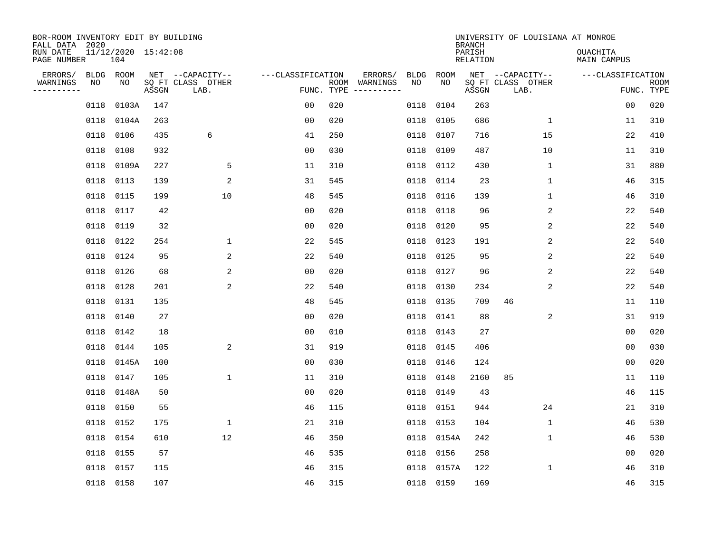| BOR-ROOM INVENTORY EDIT BY BUILDING<br>FALL DATA 2020<br>RUN DATE |                 | 11/12/2020 15:42:08 |       |                                               |                                 |     |                                                                                                                                        |            |            | <b>BRANCH</b><br>PARISH | UNIVERSITY OF LOUISIANA AT MONROE             | <b>OUACHITA</b>   |                           |
|-------------------------------------------------------------------|-----------------|---------------------|-------|-----------------------------------------------|---------------------------------|-----|----------------------------------------------------------------------------------------------------------------------------------------|------------|------------|-------------------------|-----------------------------------------------|-------------------|---------------------------|
| PAGE NUMBER                                                       |                 | 104                 |       |                                               |                                 |     |                                                                                                                                        |            |            | <b>RELATION</b>         |                                               | MAIN CAMPUS       |                           |
| ERRORS/<br>WARNINGS<br>. _ _ _ _ _ _ _ _ _                        | BLDG ROOM<br>NO | NO                  | ASSGN | NET --CAPACITY--<br>SQ FT CLASS OTHER<br>LAB. | ---CLASSIFICATION<br>FUNC. TYPE |     | ERRORS/<br>ROOM WARNINGS<br>$\begin{tabular}{ccccccccc} - & - & - & - & - & - & - & - \\ & - & - & - & - & - & - & - \\ \end{tabular}$ | BLDG<br>NO | ROOM<br>NO | ASSGN                   | NET --CAPACITY--<br>SQ FT CLASS OTHER<br>LAB. | ---CLASSIFICATION | <b>ROOM</b><br>FUNC. TYPE |
|                                                                   | 0118            | 0103A               | 147   |                                               | 0 <sub>0</sub>                  | 020 |                                                                                                                                        | 0118       | 0104       | 263                     |                                               | 00                | 020                       |
|                                                                   | 0118            | 0104A               | 263   |                                               | 0 <sub>0</sub>                  | 020 |                                                                                                                                        | 0118       | 0105       | 686                     | $\mathbf 1$                                   | 11                | 310                       |
|                                                                   | 0118            | 0106                | 435   | 6                                             | 41                              | 250 |                                                                                                                                        | 0118       | 0107       | 716                     | 15                                            | 22                | 410                       |
|                                                                   | 0118            | 0108                | 932   |                                               | 0 <sub>0</sub>                  | 030 |                                                                                                                                        | 0118       | 0109       | 487                     | 10                                            | 11                | 310                       |
|                                                                   | 0118            | 0109A               | 227   | 5                                             | 11                              | 310 |                                                                                                                                        | 0118       | 0112       | 430                     | $\mathbf{1}$                                  | 31                | 880                       |
|                                                                   |                 | 0118 0113           | 139   | 2                                             | 31                              | 545 |                                                                                                                                        | 0118       | 0114       | 23                      | $\mathbf{1}$                                  | 46                | 315                       |
|                                                                   | 0118            | 0115                | 199   | 10                                            | 48                              | 545 |                                                                                                                                        | 0118       | 0116       | 139                     | $\mathbf{1}$                                  | 46                | 310                       |
|                                                                   |                 | 0118 0117           | 42    |                                               | 0 <sub>0</sub>                  | 020 |                                                                                                                                        | 0118       | 0118       | 96                      | 2                                             | 22                | 540                       |
|                                                                   | 0118            | 0119                | 32    |                                               | 0 <sub>0</sub>                  | 020 |                                                                                                                                        | 0118       | 0120       | 95                      | 2                                             | 22                | 540                       |
|                                                                   |                 | 0118 0122           | 254   | 1                                             | 22                              | 545 |                                                                                                                                        | 0118       | 0123       | 191                     | 2                                             | 22                | 540                       |
|                                                                   | 0118            | 0124                | 95    | 2                                             | 22                              | 540 |                                                                                                                                        | 0118       | 0125       | 95                      | 2                                             | 22                | 540                       |
|                                                                   |                 | 0118 0126           | 68    | 2                                             | 0 <sub>0</sub>                  | 020 |                                                                                                                                        | 0118       | 0127       | 96                      | 2                                             | 22                | 540                       |
|                                                                   | 0118            | 0128                | 201   | 2                                             | 22                              | 540 |                                                                                                                                        | 0118       | 0130       | 234                     | 2                                             | 22                | 540                       |
|                                                                   | 0118            | 0131                | 135   |                                               | 48                              | 545 |                                                                                                                                        | 0118       | 0135       | 709                     | 46                                            | 11                | 110                       |
|                                                                   | 0118            | 0140                | 27    |                                               | 0 <sub>0</sub>                  | 020 |                                                                                                                                        | 0118       | 0141       | 88                      | 2                                             | 31                | 919                       |
|                                                                   | 0118            | 0142                | 18    |                                               | 0 <sub>0</sub>                  | 010 |                                                                                                                                        | 0118       | 0143       | 27                      |                                               | 0 <sub>0</sub>    | 020                       |
|                                                                   | 0118            | 0144                | 105   | 2                                             | 31                              | 919 |                                                                                                                                        | 0118       | 0145       | 406                     |                                               | 0 <sub>0</sub>    | 030                       |
|                                                                   | 0118            | 0145A               | 100   |                                               | 0 <sub>0</sub>                  | 030 |                                                                                                                                        | 0118       | 0146       | 124                     |                                               | 0 <sub>0</sub>    | 020                       |
|                                                                   |                 | 0118 0147           | 105   | $\mathbf{1}$                                  | 11                              | 310 |                                                                                                                                        | 0118       | 0148       | 2160                    | 85                                            | 11                | 110                       |
|                                                                   |                 | 0118 0148A          | 50    |                                               | 0 <sub>0</sub>                  | 020 |                                                                                                                                        | 0118       | 0149       | 43                      |                                               | 46                | 115                       |
|                                                                   | 0118            | 0150                | 55    |                                               | 46                              | 115 |                                                                                                                                        | 0118       | 0151       | 944                     | 24                                            | 21                | 310                       |
|                                                                   | 0118            | 0152                | 175   | $\mathbf{1}$                                  | 21                              | 310 |                                                                                                                                        | 0118       | 0153       | 104                     | $\mathbf{1}$                                  | 46                | 530                       |
|                                                                   | 0118            | 0154                | 610   | 12                                            | 46                              | 350 |                                                                                                                                        | 0118       | 0154A      | 242                     | 1                                             | 46                | 530                       |
|                                                                   | 0118            | 0155                | 57    |                                               | 46                              | 535 |                                                                                                                                        | 0118       | 0156       | 258                     |                                               | 00                | 020                       |
|                                                                   | 0118            | 0157                | 115   |                                               | 46                              | 315 |                                                                                                                                        | 0118       | 0157A      | 122                     | 1                                             | 46                | 310                       |
|                                                                   |                 | 0118 0158           | 107   |                                               | 46                              | 315 |                                                                                                                                        |            | 0118 0159  | 169                     |                                               | 46                | 315                       |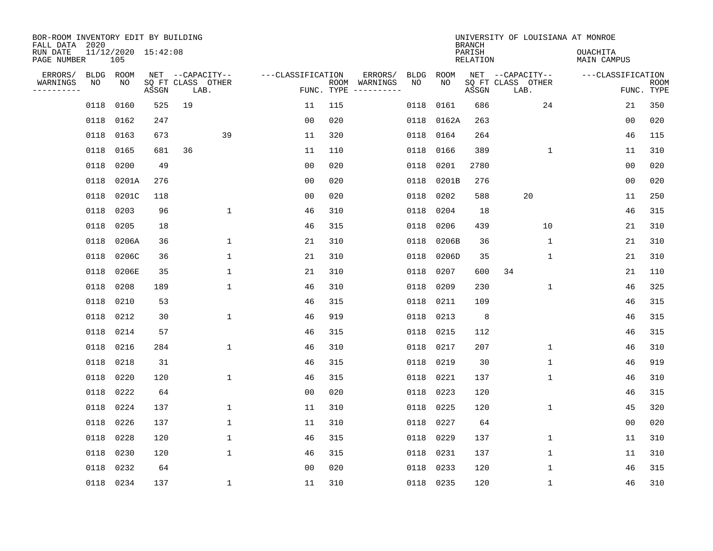| BOR-ROOM INVENTORY EDIT BY BUILDING<br>FALL DATA 2020 |                            |       |                                       |                   |     |                                        |            | <b>BRANCH</b>      | UNIVERSITY OF LOUISIANA AT MONROE     |                                |             |
|-------------------------------------------------------|----------------------------|-------|---------------------------------------|-------------------|-----|----------------------------------------|------------|--------------------|---------------------------------------|--------------------------------|-------------|
| RUN DATE<br>PAGE NUMBER                               | 11/12/2020 15:42:08<br>105 |       |                                       |                   |     |                                        |            | PARISH<br>RELATION |                                       | <b>OUACHITA</b><br>MAIN CAMPUS |             |
| ERRORS/<br>WARNINGS<br>NO                             | BLDG ROOM<br>NO            |       | NET --CAPACITY--<br>SQ FT CLASS OTHER | ---CLASSIFICATION |     | ERRORS/<br>BLDG<br>ROOM WARNINGS<br>NO | ROOM<br>NO |                    | NET --CAPACITY--<br>SQ FT CLASS OTHER | ---CLASSIFICATION              | <b>ROOM</b> |
| ---------                                             |                            | ASSGN | LAB.                                  |                   |     | FUNC. TYPE $------$                    |            | ASSGN              | LAB.                                  |                                | FUNC. TYPE  |
| 0118                                                  | 0160                       | 525   | 19                                    | 11                | 115 | 0118                                   | 0161       | 686                | 24                                    | 21                             | 350         |
| 0118                                                  | 0162                       | 247   |                                       | 0 <sub>0</sub>    | 020 | 0118                                   | 0162A      | 263                |                                       | 0 <sub>0</sub>                 | 020         |
| 0118                                                  | 0163                       | 673   | 39                                    | 11                | 320 | 0118                                   | 0164       | 264                |                                       | 46                             | 115         |
| 0118                                                  | 0165                       | 681   | 36                                    | 11                | 110 | 0118                                   | 0166       | 389                | 1                                     | 11                             | 310         |
| 0118                                                  | 0200                       | 49    |                                       | 0 <sub>0</sub>    | 020 | 0118                                   | 0201       | 2780               |                                       | 0 <sub>0</sub>                 | 020         |
| 0118                                                  | 0201A                      | 276   |                                       | 0 <sub>0</sub>    | 020 | 0118                                   | 0201B      | 276                |                                       | 0 <sub>0</sub>                 | 020         |
| 0118                                                  | 0201C                      | 118   |                                       | 00                | 020 | 0118                                   | 0202       | 588                | 20                                    | 11                             | 250         |
| 0118                                                  | 0203                       | 96    | $\mathbf 1$                           | 46                | 310 | 0118                                   | 0204       | 18                 |                                       | 46                             | 315         |
| 0118                                                  | 0205                       | 18    |                                       | 46                | 315 | 0118                                   | 0206       | 439                | 10                                    | 21                             | 310         |
| 0118                                                  | 0206A                      | 36    | 1                                     | 21                | 310 | 0118                                   | 0206B      | 36                 | 1                                     | 21                             | 310         |
| 0118                                                  | 0206C                      | 36    | $\mathbf{1}$                          | 21                | 310 | 0118                                   | 0206D      | 35                 | $\mathbf{1}$                          | 21                             | 310         |
| 0118                                                  | 0206E                      | 35    | 1                                     | 21                | 310 | 0118                                   | 0207       | 600                | 34                                    | 21                             | 110         |
| 0118                                                  | 0208                       | 189   | $\mathbf 1$                           | 46                | 310 | 0118                                   | 0209       | 230                | 1                                     | 46                             | 325         |
| 0118                                                  | 0210                       | 53    |                                       | 46                | 315 | 0118                                   | 0211       | 109                |                                       | 46                             | 315         |
| 0118                                                  | 0212                       | 30    | $\mathbf 1$                           | 46                | 919 | 0118                                   | 0213       | 8                  |                                       | 46                             | 315         |
| 0118                                                  | 0214                       | 57    |                                       | 46                | 315 | 0118                                   | 0215       | 112                |                                       | 46                             | 315         |
| 0118                                                  | 0216                       | 284   | $\mathbf 1$                           | 46                | 310 | 0118                                   | 0217       | 207                | $\mathbf 1$                           | 46                             | 310         |
| 0118                                                  | 0218                       | 31    |                                       | 46                | 315 | 0118                                   | 0219       | 30                 | $\mathbf{1}$                          | 46                             | 919         |
| 0118                                                  | 0220                       | 120   | $\mathbf{1}$                          | 46                | 315 | 0118                                   | 0221       | 137                | 1                                     | 46                             | 310         |
| 0118                                                  | 0222                       | 64    |                                       | 0 <sub>0</sub>    | 020 | 0118                                   | 0223       | 120                |                                       | 46                             | 315         |
| 0118                                                  | 0224                       | 137   | $\mathbf 1$                           | 11                | 310 | 0118                                   | 0225       | 120                | $\mathbf 1$                           | 45                             | 320         |
| 0118                                                  | 0226                       | 137   | $\mathbf{1}$                          | 11                | 310 | 0118                                   | 0227       | 64                 |                                       | 00                             | 020         |
| 0118                                                  | 0228                       | 120   | $\mathbf 1$                           | 46                | 315 | 0118                                   | 0229       | 137                | $\mathbf 1$                           | 11                             | 310         |
| 0118                                                  | 0230                       | 120   | $\mathbf{1}$                          | 46                | 315 | 0118                                   | 0231       | 137                | $\mathbf{1}$                          | 11                             | 310         |
| 0118                                                  | 0232                       | 64    |                                       | 0 <sub>0</sub>    | 020 | 0118                                   | 0233       | 120                | $\mathbf{1}$                          | 46                             | 315         |
|                                                       | 0118 0234                  | 137   | $\mathbf{1}$                          | 11                | 310 |                                        | 0118 0235  | 120                | $\mathbf{1}$                          | 46                             | 310         |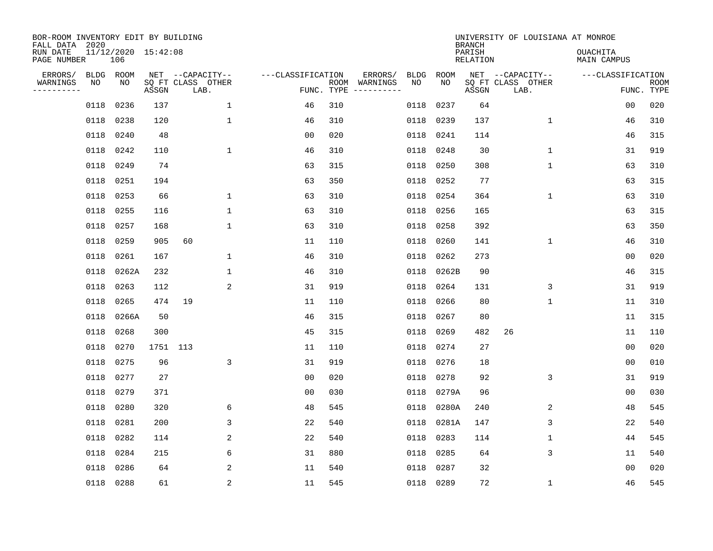| BOR-ROOM INVENTORY EDIT BY BUILDING<br>FALL DATA 2020 |                 |                            |          |                                       |                   |            |                          |            |            | <b>BRANCH</b>             | UNIVERSITY OF LOUISIANA AT MONROE     |                                |             |
|-------------------------------------------------------|-----------------|----------------------------|----------|---------------------------------------|-------------------|------------|--------------------------|------------|------------|---------------------------|---------------------------------------|--------------------------------|-------------|
| RUN DATE<br>PAGE NUMBER                               |                 | 11/12/2020 15:42:08<br>106 |          |                                       |                   |            |                          |            |            | PARISH<br><b>RELATION</b> |                                       | OUACHITA<br><b>MAIN CAMPUS</b> |             |
| ERRORS/<br>WARNINGS                                   | BLDG ROOM<br>NO | NO                         |          | NET --CAPACITY--<br>SQ FT CLASS OTHER | ---CLASSIFICATION |            | ERRORS/<br>ROOM WARNINGS | BLDG<br>NO | ROOM<br>NO |                           | NET --CAPACITY--<br>SQ FT CLASS OTHER | ---CLASSIFICATION              | <b>ROOM</b> |
| .                                                     |                 |                            | ASSGN    | LAB.                                  |                   | FUNC. TYPE |                          |            |            | ASSGN                     | LAB.                                  |                                | FUNC. TYPE  |
|                                                       | 0118            | 0236                       | 137      | $\mathbf{1}$                          | 46                | 310        |                          | 0118       | 0237       | 64                        |                                       | 0 <sub>0</sub>                 | 020         |
|                                                       | 0118            | 0238                       | 120      | $\mathbf{1}$                          | 46                | 310        |                          | 0118       | 0239       | 137                       | $\mathbf 1$                           | 46                             | 310         |
|                                                       | 0118            | 0240                       | 48       |                                       | 0 <sub>0</sub>    | 020        |                          | 0118       | 0241       | 114                       |                                       | 46                             | 315         |
|                                                       | 0118 0242       |                            | 110      | $\mathbf 1$                           | 46                | 310        |                          | 0118       | 0248       | 30                        | $\mathbf 1$                           | 31                             | 919         |
|                                                       | 0118            | 0249                       | 74       |                                       | 63                | 315        |                          | 0118       | 0250       | 308                       | $\mathbf 1$                           | 63                             | 310         |
|                                                       | 0118            | 0251                       | 194      |                                       | 63                | 350        |                          | 0118       | 0252       | 77                        |                                       | 63                             | 315         |
|                                                       | 0118            | 0253                       | 66       | $\mathbf 1$                           | 63                | 310        |                          | 0118       | 0254       | 364                       | $\mathbf 1$                           | 63                             | 310         |
|                                                       | 0118            | 0255                       | 116      | $\mathbf{1}$                          | 63                | 310        |                          | 0118       | 0256       | 165                       |                                       | 63                             | 315         |
|                                                       | 0118            | 0257                       | 168      | $\mathbf{1}$                          | 63                | 310        |                          | 0118       | 0258       | 392                       |                                       | 63                             | 350         |
|                                                       | 0118            | 0259                       | 905      | 60                                    | 11                | 110        |                          | 0118       | 0260       | 141                       | 1                                     | 46                             | 310         |
|                                                       | 0118            | 0261                       | 167      | $\mathbf{1}$                          | 46                | 310        |                          | 0118       | 0262       | 273                       |                                       | 0 <sub>0</sub>                 | 020         |
|                                                       | 0118            | 0262A                      | 232      | $\mathbf 1$                           | 46                | 310        |                          | 0118       | 0262B      | 90                        |                                       | 46                             | 315         |
|                                                       | 0118            | 0263                       | 112      | 2                                     | 31                | 919        |                          | 0118       | 0264       | 131                       | 3                                     | 31                             | 919         |
|                                                       | 0118            | 0265                       | 474      | 19                                    | 11                | 110        |                          | 0118       | 0266       | 80                        | 1                                     | 11                             | 310         |
|                                                       | 0118            | 0266A                      | 50       |                                       | 46                | 315        |                          | 0118       | 0267       | 80                        |                                       | 11                             | 315         |
|                                                       | 0118            | 0268                       | 300      |                                       | 45                | 315        |                          | 0118       | 0269       | 482                       | 26                                    | 11                             | 110         |
|                                                       | 0118            | 0270                       | 1751 113 |                                       | 11                | 110        |                          | 0118       | 0274       | 27                        |                                       | 0 <sub>0</sub>                 | 020         |
|                                                       | 0118            | 0275                       | 96       | 3                                     | 31                | 919        |                          | 0118       | 0276       | 18                        |                                       | 00                             | 010         |
|                                                       | 0118 0277       |                            | 27       |                                       | 0 <sub>0</sub>    | 020        |                          | 0118       | 0278       | 92                        | 3                                     | 31                             | 919         |
|                                                       | 0118            | 0279                       | 371      |                                       | 0 <sub>0</sub>    | 030        |                          | 0118       | 0279A      | 96                        |                                       | 0 <sub>0</sub>                 | 030         |
|                                                       | 0118            | 0280                       | 320      | 6                                     | 48                | 545        |                          | 0118       | 0280A      | 240                       | 2                                     | 48                             | 545         |
|                                                       | 0118            | 0281                       | 200      | 3                                     | 22                | 540        |                          | 0118       | 0281A      | 147                       | 3                                     | 22                             | 540         |
|                                                       | 0118            | 0282                       | 114      | 2                                     | 22                | 540        |                          | 0118       | 0283       | 114                       | $\mathbf{1}$                          | 44                             | 545         |
|                                                       | 0118            | 0284                       | 215      | 6                                     | 31                | 880        |                          | 0118       | 0285       | 64                        | 3                                     | 11                             | 540         |
|                                                       | 0118            | 0286                       | 64       | 2                                     | 11                | 540        |                          | 0118       | 0287       | 32                        |                                       | 0 <sub>0</sub>                 | 020         |
|                                                       | 0118 0288       |                            | 61       | 2                                     | 11                | 545        |                          | 0118       | 0289       | 72                        | $\mathbf 1$                           | 46                             | 545         |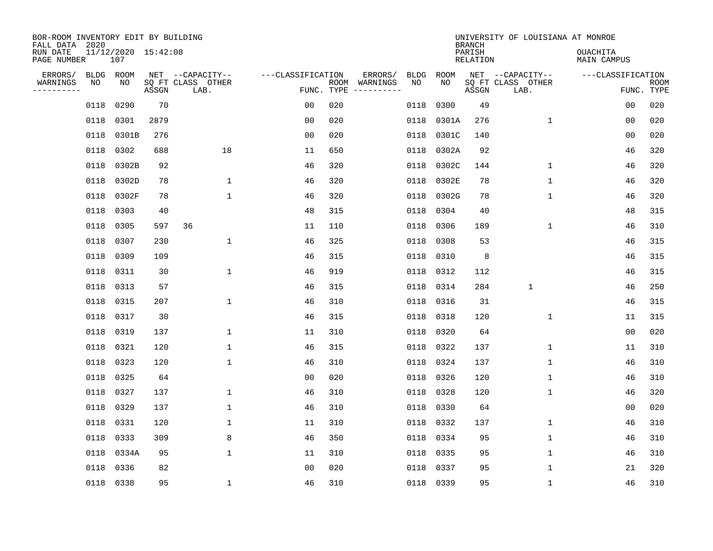| BOR-ROOM INVENTORY EDIT BY BUILDING<br>FALL DATA 2020 |             |                            |       |                           |                   |      |                         |      |             | <b>BRANCH</b>             | UNIVERSITY OF LOUISIANA AT MONROE |                                |                           |
|-------------------------------------------------------|-------------|----------------------------|-------|---------------------------|-------------------|------|-------------------------|------|-------------|---------------------------|-----------------------------------|--------------------------------|---------------------------|
| RUN DATE<br>PAGE NUMBER                               |             | 11/12/2020 15:42:08<br>107 |       |                           |                   |      |                         |      |             | PARISH<br><b>RELATION</b> |                                   | OUACHITA<br><b>MAIN CAMPUS</b> |                           |
| ERRORS/                                               | <b>BLDG</b> | ROOM                       |       | NET --CAPACITY--          | ---CLASSIFICATION |      | ERRORS/                 | BLDG | <b>ROOM</b> |                           | NET --CAPACITY--                  | ---CLASSIFICATION              |                           |
| WARNINGS<br>----------                                | NO          | ΝO                         | ASSGN | SQ FT CLASS OTHER<br>LAB. | FUNC. TYPE        | ROOM | WARNINGS<br>----------- | NO   | NO          | ASSGN                     | SQ FT CLASS OTHER<br>LAB.         |                                | <b>ROOM</b><br>FUNC. TYPE |
|                                                       | 0118        | 0290                       | 70    |                           | 00                | 020  |                         | 0118 | 0300        | 49                        |                                   | 00                             | 020                       |
|                                                       | 0118        | 0301                       | 2879  |                           | 00                | 020  |                         | 0118 | 0301A       | 276                       | 1                                 | 00                             | 020                       |
|                                                       | 0118        | 0301B                      | 276   |                           | 0 <sub>0</sub>    | 020  |                         | 0118 | 0301C       | 140                       |                                   | 00                             | 020                       |
|                                                       | 0118        | 0302                       | 688   | 18                        | 11                | 650  |                         | 0118 | 0302A       | 92                        |                                   | 46                             | 320                       |
|                                                       | 0118        | 0302B                      | 92    |                           | 46                | 320  |                         | 0118 | 0302C       | 144                       | $\mathbf 1$                       | 46                             | 320                       |
|                                                       | 0118        | 0302D                      | 78    | $\mathbf 1$               | 46                | 320  |                         | 0118 | 0302E       | 78                        | $\mathbf 1$                       | 46                             | 320                       |
|                                                       | 0118        | 0302F                      | 78    | $\mathbf{1}$              | 46                | 320  |                         | 0118 | 0302G       | 78                        | $\mathbf{1}$                      | 46                             | 320                       |
|                                                       | 0118        | 0303                       | 40    |                           | 48                | 315  |                         | 0118 | 0304        | 40                        |                                   | 48                             | 315                       |
|                                                       | 0118        | 0305                       | 597   | 36                        | 11                | 110  |                         | 0118 | 0306        | 189                       | 1                                 | 46                             | 310                       |
|                                                       | 0118        | 0307                       | 230   | 1                         | 46                | 325  |                         | 0118 | 0308        | 53                        |                                   | 46                             | 315                       |
|                                                       | 0118        | 0309                       | 109   |                           | 46                | 315  |                         | 0118 | 0310        | 8                         |                                   | 46                             | 315                       |
|                                                       | 0118        | 0311                       | 30    | $\mathbf 1$               | 46                | 919  |                         | 0118 | 0312        | 112                       |                                   | 46                             | 315                       |
|                                                       | 0118        | 0313                       | 57    |                           | 46                | 315  |                         | 0118 | 0314        | 284                       | $\mathbf 1$                       | 46                             | 250                       |
|                                                       | 0118        | 0315                       | 207   | $\mathbf 1$               | 46                | 310  |                         | 0118 | 0316        | 31                        |                                   | 46                             | 315                       |
|                                                       | 0118        | 0317                       | 30    |                           | 46                | 315  |                         | 0118 | 0318        | 120                       | 1                                 | 11                             | 315                       |
|                                                       | 0118        | 0319                       | 137   | $\mathbf 1$               | 11                | 310  |                         | 0118 | 0320        | 64                        |                                   | 0 <sub>0</sub>                 | 020                       |
|                                                       | 0118        | 0321                       | 120   | 1                         | 46                | 315  |                         | 0118 | 0322        | 137                       | 1                                 | 11                             | 310                       |
|                                                       | 0118        | 0323                       | 120   | $\mathbf 1$               | 46                | 310  |                         | 0118 | 0324        | 137                       | 1                                 | 46                             | 310                       |
|                                                       | 0118        | 0325                       | 64    |                           | 0 <sub>0</sub>    | 020  |                         | 0118 | 0326        | 120                       | 1                                 | 46                             | 310                       |
|                                                       | 0118        | 0327                       | 137   | $\mathbf 1$               | 46                | 310  |                         | 0118 | 0328        | 120                       | 1                                 | 46                             | 320                       |
|                                                       | 0118        | 0329                       | 137   | 1                         | 46                | 310  |                         | 0118 | 0330        | 64                        |                                   | 0 <sub>0</sub>                 | 020                       |
|                                                       | 0118        | 0331                       | 120   | $\mathbf 1$               | 11                | 310  |                         | 0118 | 0332        | 137                       | $\mathbf 1$                       | 46                             | 310                       |
|                                                       | 0118        | 0333                       | 309   | 8                         | 46                | 350  |                         | 0118 | 0334        | 95                        | 1                                 | 46                             | 310                       |
|                                                       | 0118        | 0334A                      | 95    | $\mathbf{1}$              | 11                | 310  |                         | 0118 | 0335        | 95                        | $\mathbf 1$                       | 46                             | 310                       |
|                                                       | 0118        | 0336                       | 82    |                           | 0 <sub>0</sub>    | 020  |                         | 0118 | 0337        | 95                        | $\mathbf{1}$                      | 21                             | 320                       |
|                                                       |             | 0118 0338                  | 95    | $\mathbf{1}$              | 46                | 310  |                         |      | 0118 0339   | 95                        | 1                                 | 46                             | 310                       |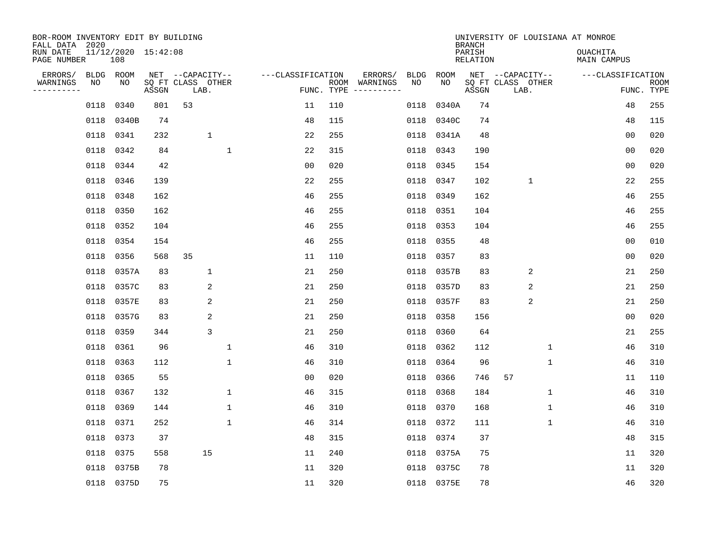| BOR-ROOM INVENTORY EDIT BY BUILDING<br>FALL DATA 2020 |                            |       |                           |                   |     |                                            |           |            | <b>BRANCH</b>      |                           |                  | UNIVERSITY OF LOUISIANA AT MONROE |                |                           |
|-------------------------------------------------------|----------------------------|-------|---------------------------|-------------------|-----|--------------------------------------------|-----------|------------|--------------------|---------------------------|------------------|-----------------------------------|----------------|---------------------------|
| RUN DATE<br>PAGE NUMBER                               | 11/12/2020 15:42:08<br>108 |       |                           |                   |     |                                            |           |            | PARISH<br>RELATION |                           |                  | <b>OUACHITA</b><br>MAIN CAMPUS    |                |                           |
| ERRORS/                                               | BLDG ROOM                  |       | NET --CAPACITY--          | ---CLASSIFICATION |     | ERRORS/<br>BLDG                            |           | ROOM       |                    |                           | NET --CAPACITY-- | ---CLASSIFICATION                 |                |                           |
| WARNINGS<br>NO<br>---------                           | NO                         | ASSGN | SQ FT CLASS OTHER<br>LAB. |                   |     | ROOM WARNINGS<br>NO<br>FUNC. TYPE $------$ |           | NO.        | ASSGN              | SQ FT CLASS OTHER<br>LAB. |                  |                                   |                | <b>ROOM</b><br>FUNC. TYPE |
| 0118                                                  | 0340                       | 801   | 53                        | 11                | 110 |                                            | 0118      | 0340A      | 74                 |                           |                  |                                   | 48             | 255                       |
|                                                       | 0118 0340B                 | 74    |                           | 48                | 115 |                                            |           | 0118 0340C | 74                 |                           |                  |                                   | 48             | 115                       |
| 0118                                                  | 0341                       | 232   | $\mathbf{1}$              | 22                | 255 |                                            |           | 0118 0341A | 48                 |                           |                  |                                   | 0 <sub>0</sub> | 020                       |
|                                                       | 0118 0342                  | 84    | $\mathbf{1}$              | 22                | 315 |                                            | 0118 0343 |            | 190                |                           |                  |                                   | 0 <sub>0</sub> | 020                       |
| 0118                                                  | 0344                       | 42    |                           | 00                | 020 |                                            | 0118      | 0345       | 154                |                           |                  |                                   | 00             | 020                       |
|                                                       | 0118 0346                  | 139   |                           | 22                | 255 |                                            | 0118 0347 |            | 102                |                           | $\mathbf 1$      |                                   | 22             | 255                       |
| 0118                                                  | 0348                       | 162   |                           | 46                | 255 |                                            | 0118 0349 |            | 162                |                           |                  |                                   | 46             | 255                       |
| 0118                                                  | 0350                       | 162   |                           | 46                | 255 |                                            | 0118 0351 |            | 104                |                           |                  |                                   | 46             | 255                       |
| 0118                                                  | 0352                       | 104   |                           | 46                | 255 |                                            | 0118      | 0353       | 104                |                           |                  |                                   | 46             | 255                       |
| 0118                                                  | 0354                       | 154   |                           | 46                | 255 |                                            | 0118 0355 |            | 48                 |                           |                  |                                   | 0 <sub>0</sub> | 010                       |
| 0118                                                  | 0356                       | 568   | 35                        | 11                | 110 |                                            | 0118      | 0357       | 83                 |                           |                  |                                   | 0 <sub>0</sub> | 020                       |
| 0118                                                  | 0357A                      | 83    | $\mathbf 1$               | 21                | 250 |                                            |           | 0118 0357B | 83                 |                           | 2                |                                   | 21             | 250                       |
| 0118                                                  | 0357C                      | 83    | 2                         | 21                | 250 |                                            | 0118      | 0357D      | 83                 |                           | 2                |                                   | 21             | 250                       |
| 0118                                                  | 0357E                      | 83    | 2                         | 21                | 250 |                                            |           | 0118 0357F | 83                 |                           | $\overline{2}$   |                                   | 21             | 250                       |
|                                                       | 0118 0357G                 | 83    | 2                         | 21                | 250 |                                            | 0118      | 0358       | 156                |                           |                  |                                   | 0 <sub>0</sub> | 020                       |
| 0118                                                  | 0359                       | 344   | 3                         | 21                | 250 |                                            | 0118      | 0360       | 64                 |                           |                  |                                   | 21             | 255                       |
| 0118                                                  | 0361                       | 96    | 1                         | 46                | 310 |                                            | 0118      | 0362       | 112                |                           | 1                |                                   | 46             | 310                       |
| 0118                                                  | 0363                       | 112   | $\mathbf{1}$              | 46                | 310 |                                            | 0118      | 0364       | 96                 |                           | 1                |                                   | 46             | 310                       |
| 0118                                                  | 0365                       | 55    |                           | 0 <sub>0</sub>    | 020 |                                            | 0118      | 0366       | 746                | 57                        |                  |                                   | 11             | 110                       |
| 0118                                                  | 0367                       | 132   | $\mathbf 1$               | 46                | 315 |                                            | 0118      | 0368       | 184                |                           | $\mathbf 1$      |                                   | 46             | 310                       |
| 0118                                                  | 0369                       | 144   | $\mathbf{1}$              | 46                | 310 |                                            | 0118      | 0370       | 168                |                           | 1                |                                   | 46             | 310                       |
| 0118                                                  | 0371                       | 252   | $\mathbf{1}$              | 46                | 314 |                                            | 0118      | 0372       | 111                |                           | $\mathbf 1$      |                                   | 46             | 310                       |
| 0118                                                  | 0373                       | 37    |                           | 48                | 315 |                                            | 0118 0374 |            | 37                 |                           |                  |                                   | 48             | 315                       |
| 0118                                                  | 0375                       | 558   | 15                        | 11                | 240 |                                            |           | 0118 0375A | 75                 |                           |                  |                                   | 11             | 320                       |
| 0118                                                  | 0375B                      | 78    |                           | 11                | 320 |                                            |           | 0118 0375C | 78                 |                           |                  |                                   | 11             | 320                       |
|                                                       | 0118 0375D                 | 75    |                           | 11                | 320 |                                            |           | 0118 0375E | 78                 |                           |                  |                                   | 46             | 320                       |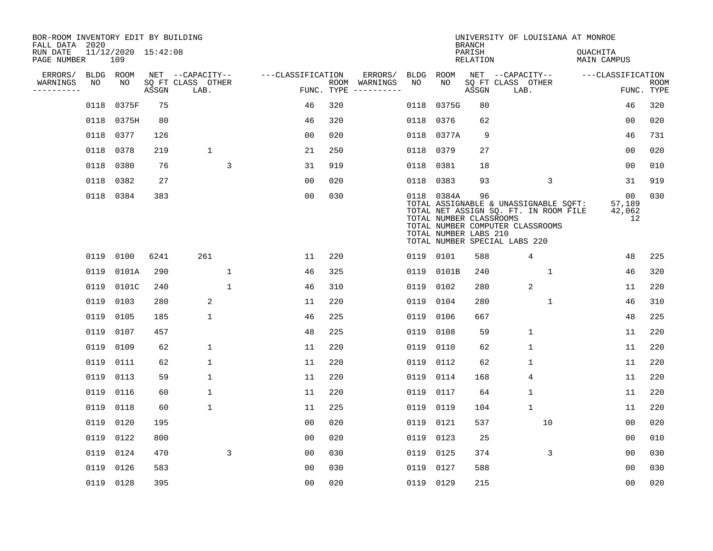| BOR-ROOM INVENTORY EDIT BY BUILDING<br>FALL DATA 2020 |      |                            |       |                           |              |                   |     |                                      |             |                                                                | <b>BRANCH</b>             |                               | UNIVERSITY OF LOUISIANA AT MONROE                                                                                  |                                |                           |
|-------------------------------------------------------|------|----------------------------|-------|---------------------------|--------------|-------------------|-----|--------------------------------------|-------------|----------------------------------------------------------------|---------------------------|-------------------------------|--------------------------------------------------------------------------------------------------------------------|--------------------------------|---------------------------|
| RUN DATE<br>PAGE NUMBER                               |      | 11/12/2020 15:42:08<br>109 |       |                           |              |                   |     |                                      |             |                                                                | PARISH<br><b>RELATION</b> |                               |                                                                                                                    | OUACHITA<br><b>MAIN CAMPUS</b> |                           |
| ERRORS/                                               |      | BLDG ROOM                  |       | NET --CAPACITY--          |              | ---CLASSIFICATION |     | ERRORS/                              | <b>BLDG</b> | <b>ROOM</b>                                                    |                           | NET --CAPACITY--              |                                                                                                                    | ---CLASSIFICATION              |                           |
| WARNINGS<br>----------                                | NO   | NO                         | ASSGN | SQ FT CLASS OTHER<br>LAB. |              |                   |     | ROOM WARNINGS<br>FUNC. TYPE $------$ | NO          | NO                                                             | ASSGN                     | SQ FT CLASS OTHER<br>LAB.     |                                                                                                                    |                                | <b>ROOM</b><br>FUNC. TYPE |
|                                                       | 0118 | 0375F                      | 75    |                           |              | 46                | 320 |                                      | 0118        | 0375G                                                          | 80                        |                               |                                                                                                                    | 46                             | 320                       |
|                                                       |      | 0118 0375H                 | 80    |                           |              | 46                | 320 |                                      | 0118        | 0376                                                           | 62                        |                               |                                                                                                                    | 00                             | 020                       |
|                                                       | 0118 | 0377                       | 126   |                           |              | 0 <sub>0</sub>    | 020 |                                      |             | 0118 0377A                                                     | 9                         |                               |                                                                                                                    | 46                             | 731                       |
|                                                       | 0118 | 0378                       | 219   | $\mathbf{1}$              |              | 21                | 250 |                                      |             | 0118 0379                                                      | 27                        |                               |                                                                                                                    | 00                             | 020                       |
|                                                       | 0118 | 0380                       | 76    |                           | 3            | 31                | 919 |                                      | 0118        | 0381                                                           | 18                        |                               |                                                                                                                    | 0 <sub>0</sub>                 | 010                       |
|                                                       |      | 0118 0382                  | 27    |                           |              | 0 <sub>0</sub>    | 020 |                                      |             | 0118 0383                                                      | 93                        |                               | 3                                                                                                                  | 31                             | 919                       |
|                                                       |      | 0118 0384                  | 383   |                           |              | 0 <sub>0</sub>    | 030 |                                      |             | 0118 0384A<br>TOTAL NUMBER CLASSROOMS<br>TOTAL NUMBER LABS 210 | 96                        | TOTAL NUMBER SPECIAL LABS 220 | TOTAL ASSIGNABLE & UNASSIGNABLE SQFT:<br>TOTAL NET ASSIGN SQ. FT. IN ROOM FILE<br>TOTAL NUMBER COMPUTER CLASSROOMS | 00<br>57,189<br>42,062<br>12   | 030                       |
|                                                       | 0119 | 0100                       | 6241  | 261                       |              | 11                | 220 |                                      |             | 0119 0101                                                      | 588                       |                               | 4                                                                                                                  | 48                             | 225                       |
|                                                       | 0119 | 0101A                      | 290   |                           | $\mathbf{1}$ | 46                | 325 |                                      |             | 0119 0101B                                                     | 240                       |                               | $\mathbf{1}$                                                                                                       | 46                             | 320                       |
|                                                       | 0119 | 0101C                      | 240   |                           | $\mathbf{1}$ | 46                | 310 |                                      | 0119        | 0102                                                           | 280                       |                               | $\overline{2}$                                                                                                     | 11                             | 220                       |
|                                                       | 0119 | 0103                       | 280   | 2                         |              | 11                | 220 |                                      | 0119        | 0104                                                           | 280                       |                               | $\mathbf 1$                                                                                                        | 46                             | 310                       |
|                                                       | 0119 | 0105                       | 185   | $\mathbf 1$               |              | 46                | 225 |                                      | 0119        | 0106                                                           | 667                       |                               |                                                                                                                    | 48                             | 225                       |
|                                                       | 0119 | 0107                       | 457   |                           |              | 48                | 225 |                                      | 0119        | 0108                                                           | 59                        |                               | $\mathbf 1$                                                                                                        | 11                             | 220                       |
|                                                       | 0119 | 0109                       | 62    | $\mathbf 1$               |              | 11                | 220 |                                      | 0119        | 0110                                                           | 62                        |                               | $\mathbf{1}$                                                                                                       | 11                             | 220                       |
|                                                       | 0119 | 0111                       | 62    | $\mathbf{1}$              |              | 11                | 220 |                                      | 0119        | 0112                                                           | 62                        |                               | $\mathbf{1}$                                                                                                       | 11                             | 220                       |
|                                                       | 0119 | 0113                       | 59    | $\mathbf 1$               |              | 11                | 220 |                                      | 0119        | 0114                                                           | 168                       |                               | 4                                                                                                                  | 11                             | 220                       |
|                                                       | 0119 | 0116                       | 60    | 1                         |              | 11                | 220 |                                      | 0119        | 0117                                                           | 64                        |                               | $\mathbf 1$                                                                                                        | 11                             | 220                       |
|                                                       | 0119 | 0118                       | 60    | 1                         |              | 11                | 225 |                                      | 0119        | 0119                                                           | 104                       |                               | $\mathbf{1}$                                                                                                       | 11                             | 220                       |
|                                                       | 0119 | 0120                       | 195   |                           |              | 0 <sub>0</sub>    | 020 |                                      | 0119        | 0121                                                           | 537                       |                               | 10                                                                                                                 | 0 <sub>0</sub>                 | 020                       |
|                                                       | 0119 | 0122                       | 800   |                           |              | 0 <sub>0</sub>    | 020 |                                      | 0119        | 0123                                                           | 25                        |                               |                                                                                                                    | 0 <sub>0</sub>                 | 010                       |
|                                                       | 0119 | 0124                       | 470   |                           | 3            | 0 <sub>0</sub>    | 030 |                                      | 0119        | 0125                                                           | 374                       |                               | 3                                                                                                                  | 0 <sub>0</sub>                 | 030                       |
|                                                       | 0119 | 0126                       | 583   |                           |              | 0 <sub>0</sub>    | 030 |                                      | 0119        | 0127                                                           | 588                       |                               |                                                                                                                    | 0 <sub>0</sub>                 | 030                       |
|                                                       |      | 0119 0128                  | 395   |                           |              | 0 <sub>0</sub>    | 020 |                                      |             | 0119 0129                                                      | 215                       |                               |                                                                                                                    | 00                             | 020                       |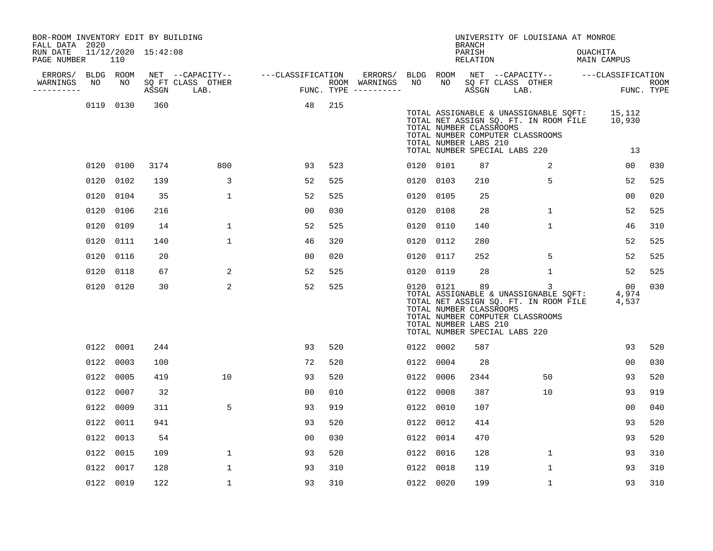| BOR-ROOM INVENTORY EDIT BY BUILDING<br>FALL DATA 2020 |      |                 |                     |                                       |                   |     |                                    |           |      | <b>BRANCH</b>                                          | UNIVERSITY OF LOUISIANA AT MONROE                                                                                                                   |              |                                    |             |
|-------------------------------------------------------|------|-----------------|---------------------|---------------------------------------|-------------------|-----|------------------------------------|-----------|------|--------------------------------------------------------|-----------------------------------------------------------------------------------------------------------------------------------------------------|--------------|------------------------------------|-------------|
| RUN DATE<br>PAGE NUMBER                               |      | 110             | 11/12/2020 15:42:08 |                                       |                   |     |                                    |           |      | PARISH<br>RELATION                                     |                                                                                                                                                     |              | OUACHITA<br>MAIN CAMPUS            |             |
| ERRORS/<br>WARNINGS                                   | NO   | BLDG ROOM<br>NO |                     | NET --CAPACITY--<br>SQ FT CLASS OTHER | ---CLASSIFICATION |     | ERRORS/ BLDG ROOM<br>ROOM WARNINGS | NO        | NO   |                                                        | SQ FT CLASS OTHER                                                                                                                                   |              | NET --CAPACITY-- ---CLASSIFICATION | <b>ROOM</b> |
| ----------                                            |      |                 | ASSGN               | LAB.                                  |                   |     | FUNC. TYPE ----------              |           |      | ASSGN                                                  | LAB.                                                                                                                                                |              |                                    | FUNC. TYPE  |
|                                                       |      | 0119 0130       | 360                 |                                       | 48                | 215 |                                    |           |      | TOTAL NUMBER CLASSROOMS<br>TOTAL NUMBER LABS 210       | TOTAL ASSIGNABLE & UNASSIGNABLE SQFT:<br>TOTAL NET ASSIGN SQ. FT. IN ROOM FILE<br>TOTAL NUMBER COMPUTER CLASSROOMS<br>TOTAL NUMBER SPECIAL LABS 220 |              | 15,112<br>10,930<br>13             |             |
|                                                       |      | 0120 0100       | 3174                | 800                                   | 93                | 523 |                                    | 0120 0101 |      | 87                                                     |                                                                                                                                                     | 2            | 00                                 | 030         |
|                                                       | 0120 | 0102            | 139                 | 3                                     | 52                | 525 |                                    | 0120 0103 |      | 210                                                    |                                                                                                                                                     | 5            | 52                                 | 525         |
|                                                       | 0120 | 0104            | 35                  | 1                                     | 52                | 525 |                                    | 0120 0105 |      | 25                                                     |                                                                                                                                                     |              | 0 <sub>0</sub>                     | 020         |
|                                                       | 0120 | 0106            | 216                 |                                       | 0 <sub>0</sub>    | 030 |                                    | 0120 0108 |      | 28                                                     |                                                                                                                                                     | $\mathbf{1}$ | 52                                 | 525         |
|                                                       | 0120 | 0109            | 14                  | $\mathbf 1$                           | 52                | 525 |                                    | 0120 0110 |      | 140                                                    |                                                                                                                                                     | $\mathbf{1}$ | 46                                 | 310         |
|                                                       | 0120 | 0111            | 140                 | $\mathbf 1$                           | 46                | 320 |                                    | 0120 0112 |      | 280                                                    |                                                                                                                                                     |              | 52                                 | 525         |
|                                                       |      | 0120 0116       | 20                  |                                       | 00                | 020 |                                    | 0120 0117 |      | 252                                                    |                                                                                                                                                     | 5            | 52                                 | 525         |
|                                                       |      | 0120 0118       | 67                  | 2                                     | 52                | 525 |                                    | 0120 0119 |      | 28                                                     |                                                                                                                                                     | $\mathbf{1}$ | 52                                 | 525         |
|                                                       |      | 0120 0120       | 30                  | $\overline{a}$                        | 52                | 525 |                                    | 0120 0121 |      | 89<br>TOTAL NUMBER CLASSROOMS<br>TOTAL NUMBER LABS 210 | TOTAL ASSIGNABLE & UNASSIGNABLE SQFT:<br>TOTAL NET ASSIGN SQ. FT. IN ROOM FILE<br>TOTAL NUMBER COMPUTER CLASSROOMS<br>TOTAL NUMBER SPECIAL LABS 220 | 3            | 00<br>4,974<br>4,537               | 030         |
|                                                       |      | 0122 0001       | 244                 |                                       | 93                | 520 |                                    | 0122 0002 |      | 587                                                    |                                                                                                                                                     |              | 93                                 | 520         |
|                                                       | 0122 | 0003            | 100                 |                                       | 72                | 520 |                                    | 0122 0004 |      | 28                                                     |                                                                                                                                                     |              | 0 <sub>0</sub>                     | 030         |
|                                                       |      | 0122 0005       | 419                 | 10                                    | 93                | 520 |                                    | 0122 0006 |      | 2344                                                   |                                                                                                                                                     | 50           | 93                                 | 520         |
|                                                       |      | 0122 0007       | 32                  |                                       | 00                | 010 |                                    | 0122      | 0008 | 387                                                    |                                                                                                                                                     | 10           | 93                                 | 919         |
|                                                       |      | 0122 0009       | 311                 | 5                                     | 93                | 919 |                                    | 0122 0010 |      | 107                                                    |                                                                                                                                                     |              | 0 <sup>0</sup>                     | 040         |
|                                                       |      | 0122 0011       | 941                 |                                       | 93                | 520 |                                    | 0122 0012 |      | 414                                                    |                                                                                                                                                     |              | 93                                 | 520         |
|                                                       |      | 0122 0013       | 54                  |                                       | 0 <sub>0</sub>    | 030 |                                    | 0122 0014 |      | 470                                                    |                                                                                                                                                     |              | 93                                 | 520         |
|                                                       |      | 0122 0015       | 109                 | $\mathbf 1$                           | 93                | 520 |                                    | 0122 0016 |      | 128                                                    |                                                                                                                                                     | 1            | 93                                 | 310         |
|                                                       |      | 0122 0017       | 128                 | $\mathbf 1$                           | 93                | 310 |                                    | 0122 0018 |      | 119                                                    |                                                                                                                                                     | $\mathbf{1}$ | 93                                 | 310         |
|                                                       |      | 0122 0019       | 122                 | 1                                     | 93                | 310 |                                    | 0122 0020 |      | 199                                                    |                                                                                                                                                     | $\mathbf{1}$ | 93                                 | 310         |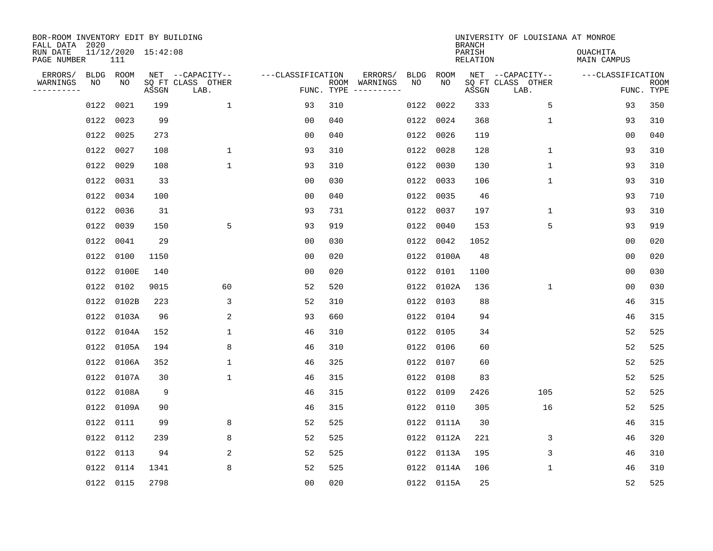| BOR-ROOM INVENTORY EDIT BY BUILDING       |                            |       |                                               |                   |     |                                                 |            |             |                                     | UNIVERSITY OF LOUISIANA AT MONROE             |                                 |             |
|-------------------------------------------|----------------------------|-------|-----------------------------------------------|-------------------|-----|-------------------------------------------------|------------|-------------|-------------------------------------|-----------------------------------------------|---------------------------------|-------------|
| FALL DATA 2020<br>RUN DATE<br>PAGE NUMBER | 11/12/2020 15:42:08<br>111 |       |                                               |                   |     |                                                 |            |             | <b>BRANCH</b><br>PARISH<br>RELATION |                                               | <b>OUACHITA</b><br>MAIN CAMPUS  |             |
| ERRORS/<br>WARNINGS<br>NO<br>---------    | BLDG ROOM<br>NO            | ASSGN | NET --CAPACITY--<br>SQ FT CLASS OTHER<br>LAB. | ---CLASSIFICATION |     | ERRORS/<br>ROOM WARNINGS<br>FUNC. TYPE $------$ | BLDG<br>NO | ROOM<br>NO. | ASSGN                               | NET --CAPACITY--<br>SQ FT CLASS OTHER<br>LAB. | ---CLASSIFICATION<br>FUNC. TYPE | <b>ROOM</b> |
| 0122                                      | 0021                       | 199   | $\mathbf{1}$                                  | 93                | 310 |                                                 |            | 0122 0022   | 333                                 | 5                                             | 93                              | 350         |
| 0122                                      | 0023                       | 99    |                                               | 0 <sub>0</sub>    | 040 |                                                 |            | 0122 0024   | 368                                 | $\mathbf{1}$                                  | 93                              | 310         |
| 0122                                      | 0025                       | 273   |                                               | 0 <sub>0</sub>    | 040 |                                                 |            | 0122 0026   | 119                                 |                                               | 0 <sub>0</sub>                  | 040         |
| 0122                                      | 0027                       | 108   | $\mathbf{1}$                                  | 93                | 310 |                                                 |            | 0122 0028   | 128                                 | $\mathbf{1}$                                  | 93                              | 310         |
| 0122                                      | 0029                       | 108   | $\mathbf{1}$                                  | 93                | 310 |                                                 |            | 0122 0030   | 130                                 | $\mathbf{1}$                                  | 93                              | 310         |
| 0122                                      | 0031                       | 33    |                                               | 0 <sub>0</sub>    | 030 |                                                 |            | 0122 0033   | 106                                 | $\mathbf 1$                                   | 93                              | 310         |
| 0122                                      | 0034                       | 100   |                                               | 0 <sub>0</sub>    | 040 |                                                 |            | 0122 0035   | 46                                  |                                               | 93                              | 710         |
| 0122                                      | 0036                       | 31    |                                               | 93                | 731 |                                                 |            | 0122 0037   | 197                                 | $\mathbf 1$                                   | 93                              | 310         |
| 0122                                      | 0039                       | 150   | 5                                             | 93                | 919 |                                                 | 0122       | 0040        | 153                                 | 5                                             | 93                              | 919         |
| 0122                                      | 0041                       | 29    |                                               | 0 <sub>0</sub>    | 030 |                                                 |            | 0122 0042   | 1052                                |                                               | 0 <sub>0</sub>                  | 020         |
| 0122                                      | 0100                       | 1150  |                                               | 0 <sub>0</sub>    | 020 |                                                 |            | 0122 0100A  | 48                                  |                                               | 0 <sub>0</sub>                  | 020         |
| 0122                                      | 0100E                      | 140   |                                               | 0 <sub>0</sub>    | 020 |                                                 |            | 0122 0101   | 1100                                |                                               | 0 <sub>0</sub>                  | 030         |
| 0122                                      | 0102                       | 9015  | 60                                            | 52                | 520 |                                                 |            | 0122 0102A  | 136                                 | $\mathbf{1}$                                  | 0 <sub>0</sub>                  | 030         |
| 0122                                      | 0102B                      | 223   | 3                                             | 52                | 310 |                                                 |            | 0122 0103   | 88                                  |                                               | 46                              | 315         |
|                                           | 0122 0103A                 | 96    | $\overline{c}$                                | 93                | 660 |                                                 |            | 0122 0104   | 94                                  |                                               | 46                              | 315         |
|                                           | 0122 0104A                 | 152   | 1                                             | 46                | 310 |                                                 |            | 0122 0105   | 34                                  |                                               | 52                              | 525         |
|                                           | 0122 0105A                 | 194   | 8                                             | 46                | 310 |                                                 |            | 0122 0106   | 60                                  |                                               | 52                              | 525         |
| 0122                                      | 0106A                      | 352   | $\mathbf{1}$                                  | 46                | 325 |                                                 |            | 0122 0107   | 60                                  |                                               | 52                              | 525         |
|                                           | 0122 0107A                 | 30    | $\mathbf 1$                                   | 46                | 315 |                                                 |            | 0122 0108   | 83                                  |                                               | 52                              | 525         |
|                                           | 0122 0108A                 | 9     |                                               | 46                | 315 |                                                 |            | 0122 0109   | 2426                                | 105                                           | 52                              | 525         |
|                                           | 0122 0109A                 | 90    |                                               | 46                | 315 |                                                 |            | 0122 0110   | 305                                 | 16                                            | 52                              | 525         |
|                                           | 0122 0111                  | 99    | 8                                             | 52                | 525 |                                                 |            | 0122 0111A  | 30                                  |                                               | 46                              | 315         |
|                                           | 0122 0112                  | 239   | 8                                             | 52                | 525 |                                                 |            | 0122 0112A  | 221                                 | 3                                             | 46                              | 320         |
| 0122                                      | 0113                       | 94    | 2                                             | 52                | 525 |                                                 |            | 0122 0113A  | 195                                 | 3                                             | 46                              | 310         |
| 0122                                      | 0114                       | 1341  | 8                                             | 52                | 525 |                                                 |            | 0122 0114A  | 106                                 | 1                                             | 46                              | 310         |
|                                           | 0122 0115                  | 2798  |                                               | 0 <sub>0</sub>    | 020 |                                                 |            | 0122 0115A  | 25                                  |                                               | 52                              | 525         |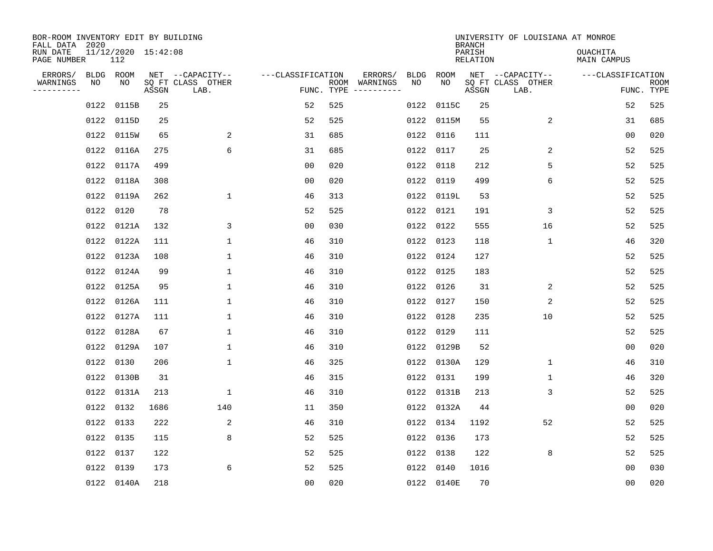| BOR-ROOM INVENTORY EDIT BY BUILDING<br>FALL DATA 2020 |                 |                            |       |                                       |                   |     |                          |            |            | <b>BRANCH</b>      | UNIVERSITY OF LOUISIANA AT MONROE     |                                |             |
|-------------------------------------------------------|-----------------|----------------------------|-------|---------------------------------------|-------------------|-----|--------------------------|------------|------------|--------------------|---------------------------------------|--------------------------------|-------------|
| RUN DATE<br>PAGE NUMBER                               |                 | 11/12/2020 15:42:08<br>112 |       |                                       |                   |     |                          |            |            | PARISH<br>RELATION |                                       | <b>OUACHITA</b><br>MAIN CAMPUS |             |
| ERRORS/<br>WARNINGS                                   | BLDG ROOM<br>NO | NO                         |       | NET --CAPACITY--<br>SQ FT CLASS OTHER | ---CLASSIFICATION |     | ERRORS/<br>ROOM WARNINGS | BLDG<br>NO | ROOM<br>NO |                    | NET --CAPACITY--<br>SQ FT CLASS OTHER | ---CLASSIFICATION              | <b>ROOM</b> |
| ---------                                             |                 |                            | ASSGN | LAB.                                  |                   |     | FUNC. TYPE $------$      |            |            | ASSGN              | LAB.                                  |                                | FUNC. TYPE  |
|                                                       | 0122            | 0115B                      | 25    |                                       | 52                | 525 |                          |            | 0122 0115C | 25                 |                                       | 52                             | 525         |
|                                                       | 0122            | 0115D                      | 25    |                                       | 52                | 525 |                          |            | 0122 0115M | 55                 | 2                                     | 31                             | 685         |
|                                                       |                 | 0122 0115W                 | 65    | 2                                     | 31                | 685 |                          |            | 0122 0116  | 111                |                                       | 0 <sub>0</sub>                 | 020         |
|                                                       | 0122            | 0116A                      | 275   | 6                                     | 31                | 685 |                          |            | 0122 0117  | 25                 | 2                                     | 52                             | 525         |
|                                                       | 0122            | 0117A                      | 499   |                                       | 0 <sub>0</sub>    | 020 |                          | 0122       | 0118       | 212                | 5                                     | 52                             | 525         |
|                                                       | 0122            | 0118A                      | 308   |                                       | 0 <sub>0</sub>    | 020 |                          |            | 0122 0119  | 499                | 6                                     | 52                             | 525         |
|                                                       | 0122            | 0119A                      | 262   | $\mathbf 1$                           | 46                | 313 |                          |            | 0122 0119L | 53                 |                                       | 52                             | 525         |
|                                                       | 0122            | 0120                       | 78    |                                       | 52                | 525 |                          |            | 0122 0121  | 191                | 3                                     | 52                             | 525         |
|                                                       | 0122            | 0121A                      | 132   | 3                                     | 0 <sub>0</sub>    | 030 |                          |            | 0122 0122  | 555                | 16                                    | 52                             | 525         |
|                                                       | 0122            | 0122A                      | 111   | $\mathbf 1$                           | 46                | 310 |                          |            | 0122 0123  | 118                | 1                                     | 46                             | 320         |
|                                                       |                 | 0122 0123A                 | 108   | $\mathbf{1}$                          | 46                | 310 |                          |            | 0122 0124  | 127                |                                       | 52                             | 525         |
|                                                       | 0122            | 0124A                      | 99    | 1                                     | 46                | 310 |                          |            | 0122 0125  | 183                |                                       | 52                             | 525         |
|                                                       | 0122            | 0125A                      | 95    | $\mathbf{1}$                          | 46                | 310 |                          | 0122       | 0126       | 31                 | 2                                     | 52                             | 525         |
|                                                       | 0122            | 0126A                      | 111   | $\mathbf{1}$                          | 46                | 310 |                          |            | 0122 0127  | 150                | 2                                     | 52                             | 525         |
|                                                       |                 | 0122 0127A                 | 111   | 1                                     | 46                | 310 |                          |            | 0122 0128  | 235                | 10                                    | 52                             | 525         |
|                                                       |                 | 0122 0128A                 | 67    | 1                                     | 46                | 310 |                          |            | 0122 0129  | 111                |                                       | 52                             | 525         |
|                                                       |                 | 0122 0129A                 | 107   | $\mathbf 1$                           | 46                | 310 |                          |            | 0122 0129B | 52                 |                                       | 0 <sub>0</sub>                 | 020         |
|                                                       | 0122            | 0130                       | 206   | $\mathbf 1$                           | 46                | 325 |                          |            | 0122 0130A | 129                | 1                                     | 46                             | 310         |
|                                                       |                 | 0122 0130B                 | 31    |                                       | 46                | 315 |                          |            | 0122 0131  | 199                | 1                                     | 46                             | 320         |
|                                                       |                 | 0122 0131A                 | 213   | $\mathbf 1$                           | 46                | 310 |                          |            | 0122 0131B | 213                | 3                                     | 52                             | 525         |
|                                                       | 0122 0132       |                            | 1686  | 140                                   | 11                | 350 |                          |            | 0122 0132A | 44                 |                                       | 0 <sub>0</sub>                 | 020         |
|                                                       | 0122 0133       |                            | 222   | 2                                     | 46                | 310 |                          |            | 0122 0134  | 1192               | 52                                    | 52                             | 525         |
|                                                       | 0122 0135       |                            | 115   | 8                                     | 52                | 525 |                          |            | 0122 0136  | 173                |                                       | 52                             | 525         |
|                                                       | 0122            | 0137                       | 122   |                                       | 52                | 525 |                          |            | 0122 0138  | 122                | 8                                     | 52                             | 525         |
|                                                       | 0122            | 0139                       | 173   | 6                                     | 52                | 525 |                          |            | 0122 0140  | 1016               |                                       | 00                             | 030         |
|                                                       |                 | 0122 0140A                 | 218   |                                       | 0 <sub>0</sub>    | 020 |                          |            | 0122 0140E | 70                 |                                       | 0 <sub>0</sub>                 | 020         |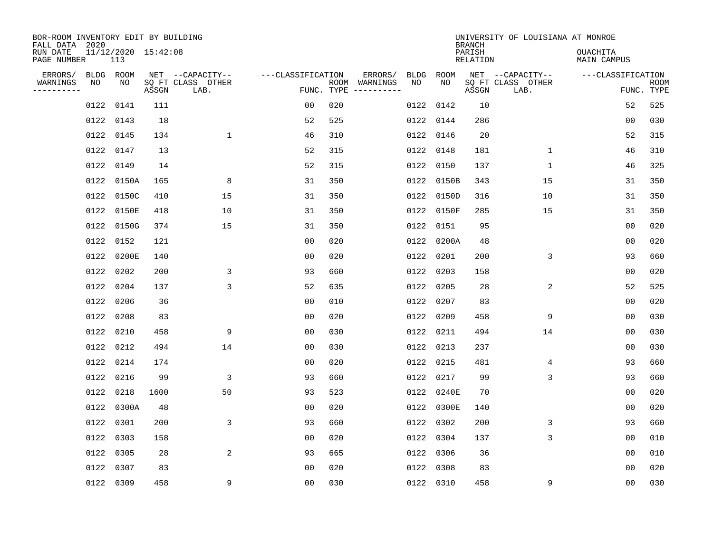| BOR-ROOM INVENTORY EDIT BY BUILDING<br>FALL DATA 2020 |      |                            |       |                           |                   |                    |                         |      |            | <b>BRANCH</b>             | UNIVERSITY OF LOUISIANA AT MONROE |                                |                           |
|-------------------------------------------------------|------|----------------------------|-------|---------------------------|-------------------|--------------------|-------------------------|------|------------|---------------------------|-----------------------------------|--------------------------------|---------------------------|
| RUN DATE<br>PAGE NUMBER                               |      | 11/12/2020 15:42:08<br>113 |       |                           |                   |                    |                         |      |            | PARISH<br><b>RELATION</b> |                                   | OUACHITA<br><b>MAIN CAMPUS</b> |                           |
| ERRORS/                                               |      | BLDG ROOM                  |       | NET --CAPACITY--          | ---CLASSIFICATION |                    | ERRORS/                 | BLDG | ROOM       |                           | NET --CAPACITY--                  | ---CLASSIFICATION              |                           |
| WARNINGS<br>----------                                | NO   | NO                         | ASSGN | SQ FT CLASS OTHER<br>LAB. |                   | ROOM<br>FUNC. TYPE | WARNINGS<br>----------- | NO   | NO         | ASSGN                     | SQ FT CLASS OTHER<br>LAB.         |                                | <b>ROOM</b><br>FUNC. TYPE |
|                                                       | 0122 | 0141                       | 111   |                           | 00                | 020                |                         | 0122 | 0142       | 10                        |                                   | 52                             | 525                       |
|                                                       | 0122 | 0143                       | 18    |                           | 52                | 525                |                         |      | 0122 0144  | 286                       |                                   | 00                             | 030                       |
|                                                       | 0122 | 0145                       | 134   | $\mathbf 1$               | 46                | 310                |                         |      | 0122 0146  | 20                        |                                   | 52                             | 315                       |
|                                                       | 0122 | 0147                       | 13    |                           | 52                | 315                |                         |      | 0122 0148  | 181                       | $\mathbf 1$                       | 46                             | 310                       |
|                                                       | 0122 | 0149                       | 14    |                           | 52                | 315                |                         |      | 0122 0150  | 137                       | $\mathbf 1$                       | 46                             | 325                       |
|                                                       | 0122 | 0150A                      | 165   | 8                         | 31                | 350                |                         |      | 0122 0150B | 343                       | 15                                | 31                             | 350                       |
|                                                       | 0122 | 0150C                      | 410   | 15                        | 31                | 350                |                         |      | 0122 0150D | 316                       | 10                                | 31                             | 350                       |
|                                                       | 0122 | 0150E                      | 418   | 10                        | 31                | 350                |                         |      | 0122 0150F | 285                       | 15                                | 31                             | 350                       |
|                                                       | 0122 | 0150G                      | 374   | 15                        | 31                | 350                |                         | 0122 | 0151       | 95                        |                                   | 0 <sub>0</sub>                 | 020                       |
|                                                       | 0122 | 0152                       | 121   |                           | 00                | 020                |                         |      | 0122 0200A | 48                        |                                   | 0 <sub>0</sub>                 | 020                       |
|                                                       | 0122 | 0200E                      | 140   |                           | 0 <sub>0</sub>    | 020                |                         | 0122 | 0201       | 200                       | 3                                 | 93                             | 660                       |
|                                                       | 0122 | 0202                       | 200   | 3                         | 93                | 660                |                         |      | 0122 0203  | 158                       |                                   | 0 <sub>0</sub>                 | 020                       |
|                                                       | 0122 | 0204                       | 137   | 3                         | 52                | 635                |                         | 0122 | 0205       | 28                        | 2                                 | 52                             | 525                       |
|                                                       | 0122 | 0206                       | 36    |                           | 0 <sub>0</sub>    | 010                |                         | 0122 | 0207       | 83                        |                                   | 00                             | 020                       |
|                                                       | 0122 | 0208                       | 83    |                           | 0 <sub>0</sub>    | 020                |                         | 0122 | 0209       | 458                       | 9                                 | 0 <sub>0</sub>                 | 030                       |
|                                                       | 0122 | 0210                       | 458   | 9                         | 0 <sub>0</sub>    | 030                |                         |      | 0122 0211  | 494                       | 14                                | 00                             | 030                       |
|                                                       | 0122 | 0212                       | 494   | 14                        | 00                | 030                |                         | 0122 | 0213       | 237                       |                                   | 0 <sub>0</sub>                 | 030                       |
|                                                       | 0122 | 0214                       | 174   |                           | 0 <sub>0</sub>    | 020                |                         | 0122 | 0215       | 481                       | 4                                 | 93                             | 660                       |
|                                                       | 0122 | 0216                       | 99    | 3                         | 93                | 660                |                         |      | 0122 0217  | 99                        | 3                                 | 93                             | 660                       |
|                                                       | 0122 | 0218                       | 1600  | 50                        | 93                | 523                |                         |      | 0122 0240E | 70                        |                                   | 0 <sub>0</sub>                 | 020                       |
|                                                       | 0122 | 0300A                      | 48    |                           | 0 <sub>0</sub>    | 020                |                         |      | 0122 0300E | 140                       |                                   | 0 <sub>0</sub>                 | 020                       |
|                                                       | 0122 | 0301                       | 200   | 3                         | 93                | 660                |                         |      | 0122 0302  | 200                       | 3                                 | 93                             | 660                       |
|                                                       | 0122 | 0303                       | 158   |                           | 0 <sub>0</sub>    | 020                |                         |      | 0122 0304  | 137                       | 3                                 | 0 <sub>0</sub>                 | 010                       |
|                                                       | 0122 | 0305                       | 28    | 2                         | 93                | 665                |                         |      | 0122 0306  | 36                        |                                   | 0 <sub>0</sub>                 | 010                       |
|                                                       | 0122 | 0307                       | 83    |                           | 0 <sub>0</sub>    | 020                |                         |      | 0122 0308  | 83                        |                                   | 0 <sub>0</sub>                 | 020                       |
|                                                       |      | 0122 0309                  | 458   | 9                         | 0 <sub>0</sub>    | 030                |                         |      | 0122 0310  | 458                       | 9                                 | 00                             | 030                       |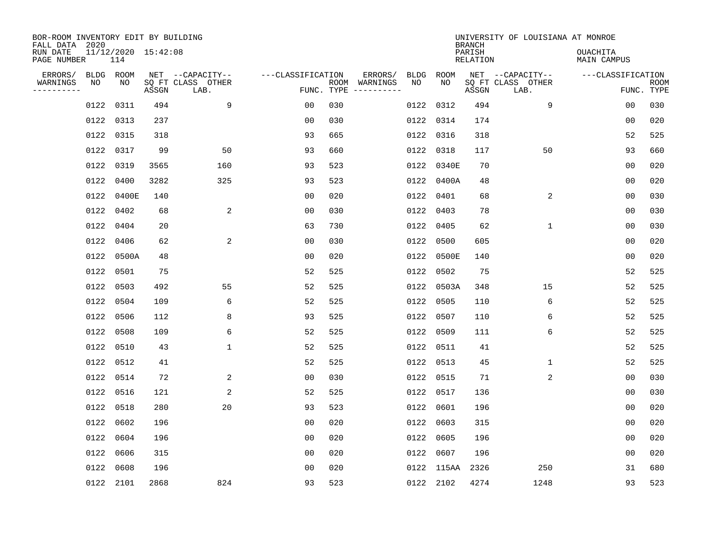| BOR-ROOM INVENTORY EDIT BY BUILDING<br>FALL DATA 2020 |      |                            |       |                           |                   |            |                              |      |            | <b>BRANCH</b>             | UNIVERSITY OF LOUISIANA AT MONROE |                                |                           |
|-------------------------------------------------------|------|----------------------------|-------|---------------------------|-------------------|------------|------------------------------|------|------------|---------------------------|-----------------------------------|--------------------------------|---------------------------|
| RUN DATE<br>PAGE NUMBER                               |      | 11/12/2020 15:42:08<br>114 |       |                           |                   |            |                              |      |            | PARISH<br><b>RELATION</b> |                                   | OUACHITA<br><b>MAIN CAMPUS</b> |                           |
| ERRORS/                                               |      | BLDG ROOM                  |       | NET --CAPACITY--          | ---CLASSIFICATION |            | ERRORS/                      | BLDG | ROOM       |                           | NET --CAPACITY--                  | ---CLASSIFICATION              |                           |
| WARNINGS<br>----------                                | NO   | NO                         | ASSGN | SQ FT CLASS OTHER<br>LAB. |                   | FUNC. TYPE | ROOM WARNINGS<br>----------- | NO   | NO         | ASSGN                     | SQ FT CLASS OTHER<br>LAB.         |                                | <b>ROOM</b><br>FUNC. TYPE |
|                                                       | 0122 | 0311                       | 494   | 9                         | 00                | 030        |                              |      | 0122 0312  | 494                       | 9                                 | 00                             | 030                       |
|                                                       | 0122 | 0313                       | 237   |                           | 00                | 030        |                              |      | 0122 0314  | 174                       |                                   | 00                             | 020                       |
|                                                       | 0122 | 0315                       | 318   |                           | 93                | 665        |                              |      | 0122 0316  | 318                       |                                   | 52                             | 525                       |
|                                                       | 0122 | 0317                       | 99    | 50                        | 93                | 660        |                              |      | 0122 0318  | 117                       | 50                                | 93                             | 660                       |
|                                                       | 0122 | 0319                       | 3565  | 160                       | 93                | 523        |                              |      | 0122 0340E | 70                        |                                   | 00                             | 020                       |
|                                                       | 0122 | 0400                       | 3282  | 325                       | 93                | 523        |                              |      | 0122 0400A | 48                        |                                   | 0 <sub>0</sub>                 | 020                       |
|                                                       | 0122 | 0400E                      | 140   |                           | 0 <sub>0</sub>    | 020        |                              |      | 0122 0401  | 68                        | 2                                 | 00                             | 030                       |
|                                                       | 0122 | 0402                       | 68    | 2                         | 0 <sub>0</sub>    | 030        |                              |      | 0122 0403  | 78                        |                                   | 0 <sub>0</sub>                 | 030                       |
|                                                       | 0122 | 0404                       | 20    |                           | 63                | 730        |                              | 0122 | 0405       | 62                        | $\mathbf 1$                       | 0 <sub>0</sub>                 | 030                       |
|                                                       | 0122 | 0406                       | 62    | 2                         | 0 <sub>0</sub>    | 030        |                              | 0122 | 0500       | 605                       |                                   | 00                             | 020                       |
|                                                       | 0122 | 0500A                      | 48    |                           | 0 <sub>0</sub>    | 020        |                              |      | 0122 0500E | 140                       |                                   | 0 <sub>0</sub>                 | 020                       |
|                                                       | 0122 | 0501                       | 75    |                           | 52                | 525        |                              |      | 0122 0502  | 75                        |                                   | 52                             | 525                       |
|                                                       | 0122 | 0503                       | 492   | 55                        | 52                | 525        |                              |      | 0122 0503A | 348                       | 15                                | 52                             | 525                       |
|                                                       | 0122 | 0504                       | 109   | 6                         | 52                | 525        |                              |      | 0122 0505  | 110                       | 6                                 | 52                             | 525                       |
|                                                       | 0122 | 0506                       | 112   | 8                         | 93                | 525        |                              |      | 0122 0507  | 110                       | 6                                 | 52                             | 525                       |
|                                                       | 0122 | 0508                       | 109   | 6                         | 52                | 525        |                              |      | 0122 0509  | 111                       | 6                                 | 52                             | 525                       |
|                                                       | 0122 | 0510                       | 43    | $\mathbf{1}$              | 52                | 525        |                              |      | 0122 0511  | 41                        |                                   | 52                             | 525                       |
|                                                       | 0122 | 0512                       | 41    |                           | 52                | 525        |                              |      | 0122 0513  | 45                        | 1                                 | 52                             | 525                       |
|                                                       | 0122 | 0514                       | 72    | 2                         | 0 <sub>0</sub>    | 030        |                              |      | 0122 0515  | 71                        | 2                                 | 0 <sub>0</sub>                 | 030                       |
|                                                       | 0122 | 0516                       | 121   | 2                         | 52                | 525        |                              |      | 0122 0517  | 136                       |                                   | 0 <sub>0</sub>                 | 030                       |
|                                                       | 0122 | 0518                       | 280   | 20                        | 93                | 523        |                              |      | 0122 0601  | 196                       |                                   | 0 <sub>0</sub>                 | 020                       |
|                                                       | 0122 | 0602                       | 196   |                           | 0 <sub>0</sub>    | 020        |                              |      | 0122 0603  | 315                       |                                   | 0 <sub>0</sub>                 | 020                       |
|                                                       | 0122 | 0604                       | 196   |                           | 0 <sub>0</sub>    | 020        |                              |      | 0122 0605  | 196                       |                                   | 0 <sub>0</sub>                 | 020                       |
|                                                       | 0122 | 0606                       | 315   |                           | 0 <sub>0</sub>    | 020        |                              |      | 0122 0607  | 196                       |                                   | 0 <sub>0</sub>                 | 020                       |
|                                                       | 0122 | 0608                       | 196   |                           | 0 <sub>0</sub>    | 020        |                              |      | 0122 115AA | 2326                      | 250                               | 31                             | 680                       |
|                                                       |      | 0122 2101                  | 2868  | 824                       | 93                | 523        |                              |      | 0122 2102  | 4274                      | 1248                              | 93                             | 523                       |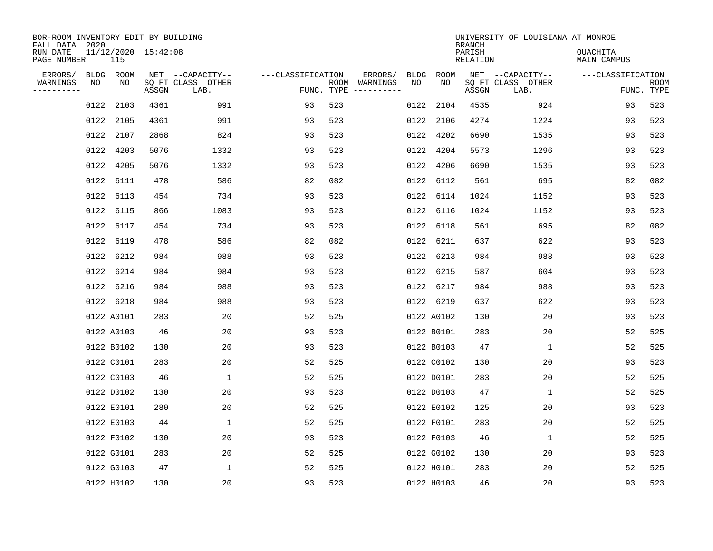| BOR-ROOM INVENTORY EDIT BY BUILDING<br>FALL DATA 2020 |      |                 |                     |                                               |                   |                    |                                              |            |            | <b>BRANCH</b>      | UNIVERSITY OF LOUISIANA AT MONROE             |                                |                           |
|-------------------------------------------------------|------|-----------------|---------------------|-----------------------------------------------|-------------------|--------------------|----------------------------------------------|------------|------------|--------------------|-----------------------------------------------|--------------------------------|---------------------------|
| RUN DATE<br>PAGE NUMBER                               |      | 115             | 11/12/2020 15:42:08 |                                               |                   |                    |                                              |            |            | PARISH<br>RELATION |                                               | <b>OUACHITA</b><br>MAIN CAMPUS |                           |
| ERRORS/<br>WARNINGS                                   | NO   | BLDG ROOM<br>NO | ASSGN               | NET --CAPACITY--<br>SQ FT CLASS OTHER<br>LAB. | ---CLASSIFICATION | ROOM<br>FUNC. TYPE | ERRORS/<br>WARNINGS<br>$- - - - - - - - - -$ | BLDG<br>NO | ROOM<br>NO | ASSGN              | NET --CAPACITY--<br>SQ FT CLASS OTHER<br>LAB. | ---CLASSIFICATION              | <b>ROOM</b><br>FUNC. TYPE |
|                                                       | 0122 | 2103            | 4361                | 991                                           | 93                | 523                |                                              | 0122       | 2104       | 4535               | 924                                           | 93                             | 523                       |
|                                                       |      | 0122 2105       | 4361                | 991                                           | 93                | 523                |                                              | 0122       | 2106       | 4274               | 1224                                          | 93                             | 523                       |
|                                                       |      | 0122 2107       | 2868                | 824                                           | 93                | 523                |                                              | 0122       | 4202       | 6690               | 1535                                          | 93                             | 523                       |
|                                                       |      | 0122 4203       | 5076                | 1332                                          | 93                | 523                |                                              | 0122       | 4204       | 5573               | 1296                                          | 93                             | 523                       |
|                                                       |      | 0122 4205       | 5076                | 1332                                          | 93                | 523                |                                              | 0122       | 4206       | 6690               | 1535                                          | 93                             | 523                       |
|                                                       |      | 0122 6111       | 478                 | 586                                           | 82                | 082                |                                              |            | 0122 6112  | 561                | 695                                           | 82                             | 082                       |
|                                                       |      | 0122 6113       | 454                 | 734                                           | 93                | 523                |                                              |            | 0122 6114  | 1024               | 1152                                          | 93                             | 523                       |
|                                                       |      | 0122 6115       | 866                 | 1083                                          | 93                | 523                |                                              |            | 0122 6116  | 1024               | 1152                                          | 93                             | 523                       |
|                                                       | 0122 | 6117            | 454                 | 734                                           | 93                | 523                |                                              | 0122       | 6118       | 561                | 695                                           | 82                             | 082                       |
|                                                       | 0122 | 6119            | 478                 | 586                                           | 82                | 082                |                                              |            | 0122 6211  | 637                | 622                                           | 93                             | 523                       |
|                                                       |      | 0122 6212       | 984                 | 988                                           | 93                | 523                |                                              |            | 0122 6213  | 984                | 988                                           | 93                             | 523                       |
|                                                       |      |                 |                     |                                               |                   |                    |                                              |            |            |                    |                                               |                                |                           |
|                                                       |      | 0122 6214       | 984                 | 984                                           | 93                | 523                |                                              |            | 0122 6215  | 587                | 604                                           | 93                             | 523                       |
|                                                       |      | 0122 6216       | 984<br>984          | 988<br>988                                    | 93                | 523                |                                              |            | 0122 6217  | 984                | 988                                           | 93                             | 523                       |
|                                                       |      | 0122 6218       |                     |                                               | 93                | 523                |                                              |            | 0122 6219  | 637                | 622                                           | 93                             | 523                       |
|                                                       |      | 0122 A0101      | 283                 | 20                                            | 52                | 525                |                                              |            | 0122 A0102 | 130                | 20                                            | 93                             | 523                       |
|                                                       |      | 0122 A0103      | 46                  | 20                                            | 93                | 523                |                                              |            | 0122 B0101 | 283                | 20                                            | 52                             | 525                       |
|                                                       |      | 0122 B0102      | 130                 | 20                                            | 93                | 523                |                                              |            | 0122 B0103 | 47                 | 1                                             | 52                             | 525                       |
|                                                       |      | 0122 C0101      | 283                 | 20                                            | 52                | 525                |                                              |            | 0122 C0102 | 130                | 20                                            | 93                             | 523                       |
|                                                       |      | 0122 C0103      | 46                  | $\mathbf 1$                                   | 52                | 525                |                                              |            | 0122 D0101 | 283                | 20                                            | 52                             | 525                       |
|                                                       |      | 0122 D0102      | 130                 | 20                                            | 93                | 523                |                                              |            | 0122 D0103 | 47                 | $\mathbf{1}$                                  | 52                             | 525                       |
|                                                       |      | 0122 E0101      | 280                 | 20                                            | 52                | 525                |                                              |            | 0122 E0102 | 125                | 20                                            | 93                             | 523                       |
|                                                       |      | 0122 E0103      | 44                  | $\mathbf 1$                                   | 52                | 525                |                                              |            | 0122 F0101 | 283                | 20                                            | 52                             | 525                       |
|                                                       |      | 0122 F0102      | 130                 | 20                                            | 93                | 523                |                                              |            | 0122 F0103 | 46                 | $\mathbf{1}$                                  | 52                             | 525                       |
|                                                       |      | 0122 G0101      | 283                 | 20                                            | 52                | 525                |                                              |            | 0122 G0102 | 130                | 20                                            | 93                             | 523                       |
|                                                       |      | 0122 G0103      | 47                  | 1                                             | 52                | 525                |                                              |            | 0122 H0101 | 283                | 20                                            | 52                             | 525                       |
|                                                       |      | 0122 H0102      | 130                 | 20                                            | 93                | 523                |                                              |            | 0122 H0103 | 46                 | 20                                            | 93                             | 523                       |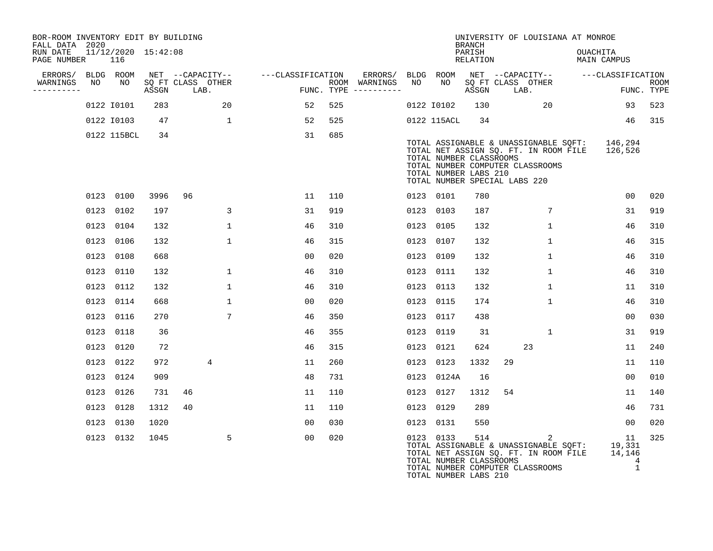| BOR-ROOM INVENTORY EDIT BY BUILDING<br>FALL DATA 2020 |    |                            |       |    |                              |                                    |     |                                                       |    |                                                                                   | <b>BRANCH</b>      |    | UNIVERSITY OF LOUISIANA AT MONROE                                                                                                  |          |                                   |                    |
|-------------------------------------------------------|----|----------------------------|-------|----|------------------------------|------------------------------------|-----|-------------------------------------------------------|----|-----------------------------------------------------------------------------------|--------------------|----|------------------------------------------------------------------------------------------------------------------------------------|----------|-----------------------------------|--------------------|
| RUN DATE<br>PAGE NUMBER                               |    | 11/12/2020 15:42:08<br>116 |       |    |                              |                                    |     |                                                       |    |                                                                                   | PARISH<br>RELATION |    |                                                                                                                                    | OUACHITA | MAIN CAMPUS                       |                    |
| ERRORS/ BLDG ROOM                                     |    |                            |       |    |                              | NET --CAPACITY-- ---CLASSIFICATION |     | ERRORS/ BLDG ROOM NET --CAPACITY--  ---CLASSIFICATION |    |                                                                                   |                    |    |                                                                                                                                    |          |                                   |                    |
| WARNINGS<br>----------                                | NO |                            | ASSGN |    | NO SQ FT CLASS OTHER<br>LAB. | د ده چې په د                       |     | ROOM WARNINGS<br>FUNC. TYPE ----------                | NO |                                                                                   | ASSGN              |    | NO SQ FT CLASS OTHER<br>LAB.                                                                                                       |          |                                   | ROOM<br>FUNC. TYPE |
|                                                       |    | 0122 10101                 | 283   |    | 20                           | 52                                 | 525 |                                                       |    | 0122 10102 130                                                                    |                    |    | $\sim$ 20                                                                                                                          |          | 93                                | 523                |
|                                                       |    | 0122 10103                 | 47    |    | 1                            | 52                                 | 525 |                                                       |    | 0122 115ACL                                                                       | 34                 |    |                                                                                                                                    |          | 46                                | 315                |
|                                                       |    | 0122 115BCL                | 34    |    |                              | 31                                 | 685 |                                                       |    | TOTAL NUMBER CLASSROOMS<br>TOTAL NUMBER LABS 210<br>TOTAL NUMBER SPECIAL LABS 220 |                    |    | TOTAL ASSIGNABLE & UNASSIGNABLE SQFT: 146,294<br>TOTAL NET ASSIGN SQ. FT. IN ROOM FILE 126,526<br>TOTAL NUMBER COMPUTER CLASSROOMS |          |                                   |                    |
|                                                       |    | 0123 0100                  | 3996  | 96 |                              | 11                                 | 110 |                                                       |    | 0123 0101                                                                         | 780                |    |                                                                                                                                    |          | 0 <sub>0</sub>                    | 020                |
|                                                       |    | 0123 0102                  | 197   |    | 3                            | 31                                 | 919 |                                                       |    | 0123 0103                                                                         | 187                |    | 7                                                                                                                                  |          | 31                                | 919                |
|                                                       |    | 0123 0104                  | 132   |    | $\mathbf{1}$                 | 46                                 | 310 |                                                       |    | 0123 0105                                                                         | 132                |    | $\mathbf{1}$                                                                                                                       |          | 46                                | 310                |
|                                                       |    | 0123 0106                  | 132   |    | $\mathbf{1}$                 | 46                                 | 315 |                                                       |    | 0123 0107                                                                         | 132                |    | $\mathbf{1}$                                                                                                                       |          | 46                                | 315                |
|                                                       |    | 0123 0108                  | 668   |    |                              | 00                                 | 020 |                                                       |    | 0123 0109                                                                         | 132                |    | $\mathbf{1}$                                                                                                                       |          | 46                                | 310                |
|                                                       |    | 0123 0110                  | 132   |    | $\mathbf{1}$                 | 46                                 | 310 |                                                       |    | 0123 0111                                                                         | 132                |    | $\mathbf{1}$                                                                                                                       |          | 46                                | 310                |
|                                                       |    | 0123 0112                  | 132   |    | $\mathbf{1}$                 | 46                                 | 310 |                                                       |    | 0123 0113                                                                         | 132                |    | $\mathbf{1}$                                                                                                                       |          | 11                                | 310                |
|                                                       |    | 0123 0114                  | 668   |    | $\mathbf{1}$                 | 00                                 | 020 |                                                       |    | 0123 0115                                                                         | 174                |    | $\mathbf{1}$                                                                                                                       |          | 46                                | 310                |
|                                                       |    | 0123 0116                  | 270   |    | $7\phantom{.0}$              | 46                                 | 350 |                                                       |    | 0123 0117                                                                         | 438                |    |                                                                                                                                    |          | 00                                | 030                |
|                                                       |    | 0123 0118                  | 36    |    |                              | 46                                 | 355 |                                                       |    | 0123 0119                                                                         | 31                 |    | 1                                                                                                                                  |          | 31                                | 919                |
|                                                       |    | 0123 0120                  | 72    |    |                              | 46                                 | 315 |                                                       |    | 0123 0121                                                                         | 624                |    | 23                                                                                                                                 |          | 11                                | 240                |
|                                                       |    | 0123 0122                  | 972   |    | 4                            | 11                                 | 260 |                                                       |    | 0123 0123                                                                         | 1332               | 29 |                                                                                                                                    |          | 11                                | 110                |
|                                                       |    | 0123 0124                  | 909   |    |                              | 48                                 | 731 |                                                       |    | 0123 0124A                                                                        | 16                 |    |                                                                                                                                    |          | 00                                | 010                |
|                                                       |    | 0123 0126                  | 731   | 46 |                              | 11                                 | 110 |                                                       |    | 0123 0127                                                                         | 1312               | 54 |                                                                                                                                    |          | 11                                | 140                |
|                                                       |    | 0123 0128                  | 1312  | 40 |                              | 11                                 | 110 |                                                       |    | 0123 0129                                                                         | 289                |    |                                                                                                                                    |          | 46                                | 731                |
|                                                       |    | 0123 0130                  | 1020  |    |                              | 00                                 | 030 |                                                       |    | 0123 0131                                                                         | 550                |    |                                                                                                                                    |          | 00 <sub>o</sub>                   | 020                |
|                                                       |    | 0123 0132                  | 1045  |    | 5                            | 00                                 | 020 |                                                       |    | 0123 0133<br>TOTAL NUMBER CLASSROOMS                                              | 514                |    | 2<br>TOTAL ASSIGNABLE & UNASSIGNABLE SQFT: 19,331<br>TOTAL NET ASSIGN SQ. FT. IN ROOM FILE<br>TOTAL NUMBER COMPUTER CLASSROOMS     |          | 11<br>14,146<br>4<br>$\mathbf{1}$ | 325                |

TOTAL NUMBER LABS 210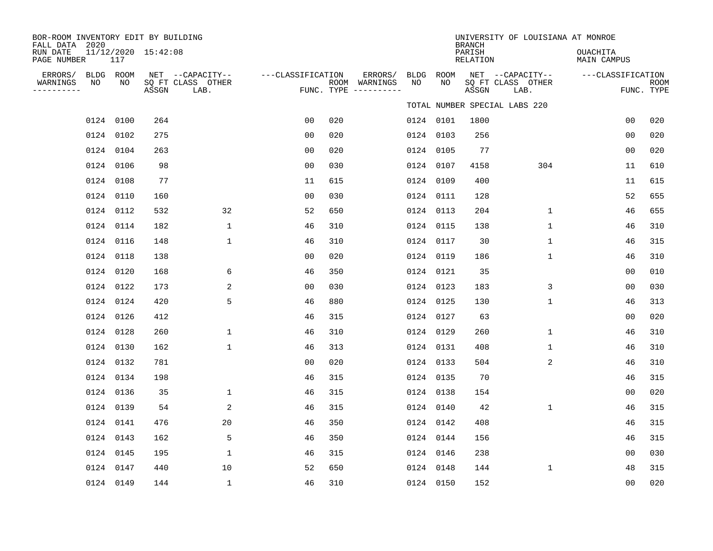| BOR-ROOM INVENTORY EDIT BY BUILDING<br>FALL DATA 2020 |                            |       |                                               |                   |     |                                                   |    |                 | <b>BRANCH</b>      | UNIVERSITY OF LOUISIANA AT MONROE             |                                |                           |
|-------------------------------------------------------|----------------------------|-------|-----------------------------------------------|-------------------|-----|---------------------------------------------------|----|-----------------|--------------------|-----------------------------------------------|--------------------------------|---------------------------|
| RUN DATE<br>PAGE NUMBER                               | 11/12/2020 15:42:08<br>117 |       |                                               |                   |     |                                                   |    |                 | PARISH<br>RELATION |                                               | <b>OUACHITA</b><br>MAIN CAMPUS |                           |
| ERRORS/ BLDG ROOM<br>WARNINGS<br>NO<br>---------      | NO                         | ASSGN | NET --CAPACITY--<br>SQ FT CLASS OTHER<br>LAB. | ---CLASSIFICATION |     | ERRORS/<br>ROOM WARNINGS<br>FUNC. TYPE ---------- | NO | BLDG ROOM<br>NO | ASSGN              | NET --CAPACITY--<br>SQ FT CLASS OTHER<br>LAB. | ---CLASSIFICATION              | <b>ROOM</b><br>FUNC. TYPE |
|                                                       |                            |       |                                               |                   |     |                                                   |    |                 |                    | TOTAL NUMBER SPECIAL LABS 220                 |                                |                           |
|                                                       | 0124 0100                  | 264   |                                               | 0 <sub>0</sub>    | 020 |                                                   |    | 0124 0101       | 1800               |                                               | 0 <sub>0</sub>                 | 020                       |
|                                                       | 0124 0102                  | 275   |                                               | 0 <sub>0</sub>    | 020 |                                                   |    | 0124 0103       | 256                |                                               | 0 <sub>0</sub>                 | 020                       |
|                                                       | 0124 0104                  | 263   |                                               | 0 <sub>0</sub>    | 020 |                                                   |    | 0124 0105       | 77                 |                                               | 0 <sub>0</sub>                 | 020                       |
|                                                       | 0124 0106                  | 98    |                                               | 00                | 030 |                                                   |    | 0124 0107       | 4158               | 304                                           | 11                             | 610                       |
|                                                       | 0124 0108                  | 77    |                                               | 11                | 615 |                                                   |    | 0124 0109       | 400                |                                               | 11                             | 615                       |
|                                                       | 0124 0110                  | 160   |                                               | 00                | 030 |                                                   |    | 0124 0111       | 128                |                                               | 52                             | 655                       |
|                                                       | 0124 0112                  | 532   | 32                                            | 52                | 650 |                                                   |    | 0124 0113       | 204                | $\mathbf{1}$                                  | 46                             | 655                       |
|                                                       | 0124 0114                  | 182   | $\mathbf{1}$                                  | 46                | 310 |                                                   |    | 0124 0115       | 138                | $\mathbf{1}$                                  | 46                             | 310                       |
|                                                       | 0124 0116                  | 148   | 1                                             | 46                | 310 |                                                   |    | 0124 0117       | 30                 | $\mathbf{1}$                                  | 46                             | 315                       |
|                                                       | 0124 0118                  | 138   |                                               | 00                | 020 |                                                   |    | 0124 0119       | 186                | 1                                             | 46                             | 310                       |
|                                                       | 0124 0120                  | 168   | 6                                             | 46                | 350 |                                                   |    | 0124 0121       | 35                 |                                               | 0 <sub>0</sub>                 | 010                       |
|                                                       | 0124 0122                  | 173   | 2                                             | 0 <sub>0</sub>    | 030 |                                                   |    | 0124 0123       | 183                | 3                                             | 0 <sub>0</sub>                 | 030                       |
|                                                       | 0124 0124                  | 420   | 5                                             | 46                | 880 |                                                   |    | 0124 0125       | 130                | $\mathbf{1}$                                  | 46                             | 313                       |
|                                                       | 0124 0126                  | 412   |                                               | 46                | 315 |                                                   |    | 0124 0127       | 63                 |                                               | 0 <sub>0</sub>                 | 020                       |
|                                                       | 0124 0128                  | 260   | $\mathbf{1}$                                  | 46                | 310 |                                                   |    | 0124 0129       | 260                | $\mathbf{1}$                                  | 46                             | 310                       |
|                                                       | 0124 0130                  | 162   | $\mathbf{1}$                                  | 46                | 313 |                                                   |    | 0124 0131       | 408                | $\mathbf{1}$                                  | 46                             | 310                       |
|                                                       | 0124 0132                  | 781   |                                               | 00                | 020 |                                                   |    | 0124 0133       | 504                | 2                                             | 46                             | 310                       |
|                                                       | 0124 0134                  | 198   |                                               | 46                | 315 |                                                   |    | 0124 0135       | 70                 |                                               | 46                             | 315                       |
|                                                       | 0124 0136                  | 35    | 1                                             | 46                | 315 |                                                   |    | 0124 0138       | 154                |                                               | 0 <sub>0</sub>                 | 020                       |
|                                                       | 0124 0139                  | 54    | 2                                             | 46                | 315 |                                                   |    | 0124 0140       | 42                 | $\mathbf 1$                                   | 46                             | 315                       |
|                                                       | 0124 0141                  | 476   | 20                                            | 46                | 350 |                                                   |    | 0124 0142       | 408                |                                               | 46                             | 315                       |
|                                                       | 0124 0143                  | 162   | 5                                             | 46                | 350 |                                                   |    | 0124 0144       | 156                |                                               | 46                             | 315                       |
|                                                       | 0124 0145                  | 195   | $\mathbf{1}$                                  | 46                | 315 |                                                   |    | 0124 0146       | 238                |                                               | 00                             | 030                       |
|                                                       | 0124 0147                  | 440   | 10                                            | 52                | 650 |                                                   |    | 0124 0148       | 144                | $\mathbf{1}$                                  | 48                             | 315                       |
|                                                       | 0124 0149                  | 144   | $\mathbf{1}$                                  | 46                | 310 |                                                   |    | 0124 0150       | 152                |                                               | 0 <sub>0</sub>                 | 020                       |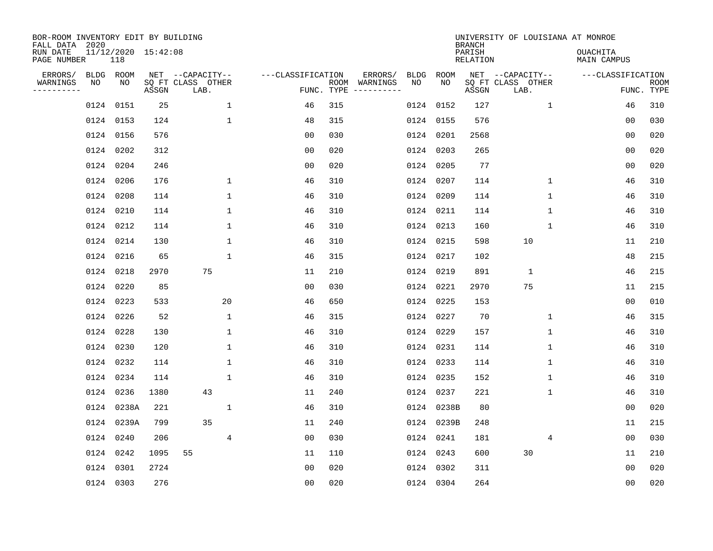| BOR-ROOM INVENTORY EDIT BY BUILDING<br>FALL DATA 2020 |    |            |                     |                           |                   |            |               |      |            | <b>BRANCH</b>             | UNIVERSITY OF LOUISIANA AT MONROE |                                |                           |
|-------------------------------------------------------|----|------------|---------------------|---------------------------|-------------------|------------|---------------|------|------------|---------------------------|-----------------------------------|--------------------------------|---------------------------|
| RUN DATE<br>PAGE NUMBER                               |    | 118        | 11/12/2020 15:42:08 |                           |                   |            |               |      |            | PARISH<br><b>RELATION</b> |                                   | <b>OUACHITA</b><br>MAIN CAMPUS |                           |
| ERRORS/                                               |    | BLDG ROOM  |                     | NET --CAPACITY--          | ---CLASSIFICATION |            | ERRORS/       | BLDG | ROOM       |                           | NET --CAPACITY--                  | ---CLASSIFICATION              |                           |
| WARNINGS<br>. _ _ _ _ _ _ _ _ _                       | NO | NO         | ASSGN               | SQ FT CLASS OTHER<br>LAB. |                   | FUNC. TYPE | ROOM WARNINGS | NO   | NO         | ASSGN                     | SQ FT CLASS OTHER<br>LAB.         |                                | <b>ROOM</b><br>FUNC. TYPE |
|                                                       |    | 0124 0151  | 25                  | $\mathbf{1}$              | 46                | 315        |               | 0124 | 0152       | 127                       | $\mathbf{1}$                      | 46                             | 310                       |
|                                                       |    | 0124 0153  | 124                 | $\mathbf{1}$              | 48                | 315        |               |      | 0124 0155  | 576                       |                                   | 00                             | 030                       |
|                                                       |    | 0124 0156  | 576                 |                           | 00                | 030        |               |      | 0124 0201  | 2568                      |                                   | 0 <sub>0</sub>                 | 020                       |
|                                                       |    | 0124 0202  | 312                 |                           | 0 <sub>0</sub>    | 020        |               |      | 0124 0203  | 265                       |                                   | 0 <sub>0</sub>                 | 020                       |
|                                                       |    | 0124 0204  | 246                 |                           | 0 <sub>0</sub>    | 020        |               |      | 0124 0205  | 77                        |                                   | 00                             | 020                       |
|                                                       |    | 0124 0206  | 176                 | $\mathbf 1$               | 46                | 310        |               |      | 0124 0207  | 114                       | $\mathbf 1$                       | 46                             | 310                       |
|                                                       |    | 0124 0208  | 114                 | $\mathbf 1$               | 46                | 310        |               |      | 0124 0209  | 114                       | $\mathbf 1$                       | 46                             | 310                       |
|                                                       |    | 0124 0210  | 114                 | $\mathbf 1$               | 46                | 310        |               |      | 0124 0211  | 114                       | $\mathbf 1$                       | 46                             | 310                       |
|                                                       |    | 0124 0212  | 114                 | $\mathbf 1$               | 46                | 310        |               |      | 0124 0213  | 160                       | $\mathbf{1}$                      | 46                             | 310                       |
|                                                       |    | 0124 0214  | 130                 | $\mathbf 1$               | 46                | 310        |               |      | 0124 0215  | 598                       | 10                                | 11                             | 210                       |
|                                                       |    | 0124 0216  | 65                  | $\mathbf 1$               | 46                | 315        |               |      | 0124 0217  | 102                       |                                   | 48                             | 215                       |
|                                                       |    | 0124 0218  | 2970                | 75                        | 11                | 210        |               |      | 0124 0219  | 891                       | $\mathbf{1}$                      | 46                             | 215                       |
|                                                       |    | 0124 0220  | 85                  |                           | 0 <sub>0</sub>    | 030        |               | 0124 | 0221       | 2970                      | 75                                | 11                             | 215                       |
|                                                       |    | 0124 0223  | 533                 | 20                        | 46                | 650        |               |      | 0124 0225  | 153                       |                                   | 00                             | 010                       |
|                                                       |    | 0124 0226  | 52                  | $\mathbf{1}$              | 46                | 315        |               |      | 0124 0227  | 70                        | 1                                 | 46                             | 315                       |
|                                                       |    | 0124 0228  | 130                 | $\mathbf 1$               | 46                | 310        |               |      | 0124 0229  | 157                       | 1                                 | 46                             | 310                       |
|                                                       |    | 0124 0230  | 120                 | $\mathbf 1$               | 46                | 310        |               |      | 0124 0231  | 114                       | 1                                 | 46                             | 310                       |
|                                                       |    | 0124 0232  | 114                 | $\mathbf{1}$              | 46                | 310        |               |      | 0124 0233  | 114                       | 1                                 | 46                             | 310                       |
|                                                       |    | 0124 0234  | 114                 | 1                         | 46                | 310        |               |      | 0124 0235  | 152                       | 1                                 | 46                             | 310                       |
|                                                       |    | 0124 0236  | 1380                | 43                        | 11                | 240        |               |      | 0124 0237  | 221                       | $\mathbf 1$                       | 46                             | 310                       |
|                                                       |    | 0124 0238A | 221                 | $\mathbf 1$               | 46                | 310        |               |      | 0124 0238B | 80                        |                                   | 0 <sub>0</sub>                 | 020                       |
|                                                       |    | 0124 0239A | 799                 | 35                        | 11                | 240        |               |      | 0124 0239B | 248                       |                                   | 11                             | 215                       |
|                                                       |    | 0124 0240  | 206                 | $\overline{4}$            | 0 <sub>0</sub>    | 030        |               |      | 0124 0241  | 181                       | 4                                 | 0 <sub>0</sub>                 | 030                       |
|                                                       |    | 0124 0242  | 1095                | 55                        | 11                | 110        |               |      | 0124 0243  | 600                       | 30                                | 11                             | 210                       |
|                                                       |    | 0124 0301  | 2724                |                           | 0 <sub>0</sub>    | 020        |               |      | 0124 0302  | 311                       |                                   | 00                             | 020                       |
|                                                       |    | 0124 0303  | 276                 |                           | 0 <sub>0</sub>    | 020        |               |      | 0124 0304  | 264                       |                                   | 0 <sub>0</sub>                 | 020                       |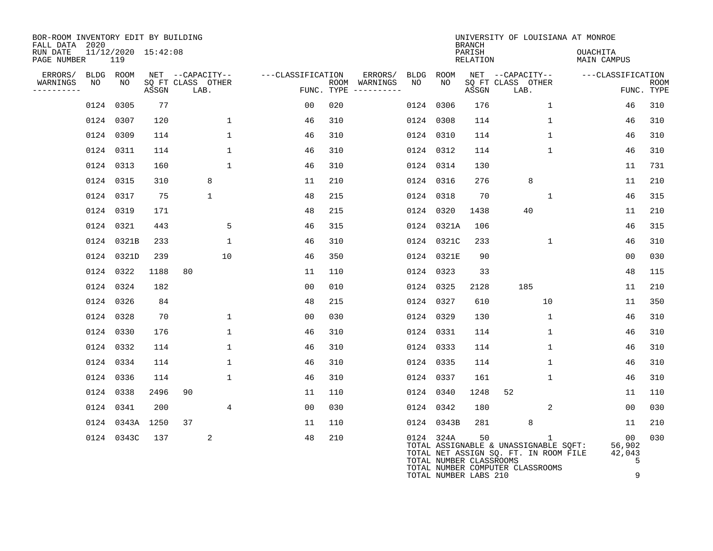| BOR-ROOM INVENTORY EDIT BY BUILDING<br>FALL DATA 2020 |    |                            |       |                           |                   |                                        |                      |                         | <b>BRANCH</b>      | UNIVERSITY OF LOUISIANA AT MONROE                                                                                       |                                          |                    |
|-------------------------------------------------------|----|----------------------------|-------|---------------------------|-------------------|----------------------------------------|----------------------|-------------------------|--------------------|-------------------------------------------------------------------------------------------------------------------------|------------------------------------------|--------------------|
| RUN DATE<br>PAGE NUMBER                               |    | 11/12/2020 15:42:08<br>119 |       |                           |                   |                                        |                      |                         | PARISH<br>RELATION |                                                                                                                         | <b>OUACHITA</b><br>MAIN CAMPUS           |                    |
| ERRORS/                                               |    | BLDG ROOM                  |       | NET --CAPACITY--          | ---CLASSIFICATION |                                        | ERRORS/<br>BLDG ROOM |                         |                    | NET --CAPACITY--                                                                                                        | ---CLASSIFICATION                        |                    |
| WARNINGS<br>----------                                | NO | NO                         | ASSGN | SQ FT CLASS OTHER<br>LAB. |                   | ROOM WARNINGS<br>FUNC. TYPE ---------- | NO                   | NO                      | ASSGN              | SQ FT CLASS OTHER<br>LAB.                                                                                               |                                          | ROOM<br>FUNC. TYPE |
|                                                       |    | 0124 0305                  | 77    |                           | 00                | 020                                    | 0124 0306            |                         | 176                | $\mathbf{1}$                                                                                                            | 46                                       | 310                |
|                                                       |    | 0124 0307                  | 120   | $\mathbf{1}$              | 46                | 310                                    | 0124 0308            |                         | 114                | $\mathbf{1}$                                                                                                            | 46                                       | 310                |
|                                                       |    | 0124 0309                  | 114   | $\mathbf{1}$              | 46                | 310                                    | 0124 0310            |                         | 114                | $\mathbf{1}$                                                                                                            | 46                                       | 310                |
|                                                       |    | 0124 0311                  | 114   | $\mathbf{1}$              | 46                | 310                                    | 0124 0312            |                         | 114                | $\mathbf{1}$                                                                                                            | 46                                       | 310                |
|                                                       |    | 0124 0313                  | 160   | $\mathbf{1}$              | 46                | 310                                    | 0124 0314            |                         | 130                |                                                                                                                         | 11                                       | 731                |
|                                                       |    | 0124 0315                  | 310   | 8                         | 11                | 210                                    | 0124 0316            |                         | 276                | 8                                                                                                                       | 11                                       | 210                |
|                                                       |    | 0124 0317                  | 75    | $\mathbf{1}$              | 48                | 215                                    | 0124 0318            |                         | 70                 | $\mathbf{1}$                                                                                                            | 46                                       | 315                |
|                                                       |    | 0124 0319                  | 171   |                           | 48                | 215                                    | 0124 0320            |                         | 1438               | 40                                                                                                                      | 11                                       | 210                |
|                                                       |    | 0124 0321                  | 443   | 5                         | 46                | 315                                    |                      | 0124 0321A              | 106                |                                                                                                                         | 46                                       | 315                |
|                                                       |    | 0124 0321B                 | 233   | $\mathbf{1}$              | 46                | 310                                    |                      | 0124 0321C              | 233                | 1                                                                                                                       | 46                                       | 310                |
|                                                       |    | 0124 0321D                 | 239   | 10                        | 46                | 350                                    |                      | 0124 0321E              | 90                 |                                                                                                                         | 00                                       | 030                |
|                                                       |    | 0124 0322                  | 1188  | 80                        | 11                | 110                                    | 0124 0323            |                         | 33                 |                                                                                                                         | 48                                       | 115                |
|                                                       |    | 0124 0324                  | 182   |                           | 0 <sub>0</sub>    | 010                                    | 0124 0325            |                         | 2128               | 185                                                                                                                     | 11                                       | 210                |
|                                                       |    | 0124 0326                  | 84    |                           | 48                | 215                                    | 0124 0327            |                         | 610                | 10                                                                                                                      | 11                                       | 350                |
|                                                       |    | 0124 0328                  | 70    | $\mathbf{1}$              | 0 <sub>0</sub>    | 030                                    | 0124 0329            |                         | 130                | $\mathbf{1}$                                                                                                            | 46                                       | 310                |
|                                                       |    | 0124 0330                  | 176   | $\mathbf{1}$              | 46                | 310                                    | 0124 0331            |                         | 114                | $\mathbf{1}$                                                                                                            | 46                                       | 310                |
|                                                       |    | 0124 0332                  | 114   | 1                         | 46                | 310                                    | 0124 0333            |                         | 114                | 1                                                                                                                       | 46                                       | 310                |
|                                                       |    | 0124 0334                  | 114   | $\mathbf 1$               | 46                | 310                                    | 0124 0335            |                         | 114                | $\mathbf{1}$                                                                                                            | 46                                       | 310                |
|                                                       |    | 0124 0336                  | 114   | 1                         | 46                | 310                                    | 0124 0337            |                         | 161                | 1                                                                                                                       | 46                                       | 310                |
|                                                       |    | 0124 0338                  | 2496  | 90                        | 11                | 110                                    | 0124 0340            |                         | 1248               | 52                                                                                                                      | 11                                       | 110                |
|                                                       |    | 0124 0341                  | 200   | 4                         | 0 <sub>0</sub>    | 030                                    | 0124 0342            |                         | 180                | 2                                                                                                                       | 00                                       | 030                |
|                                                       |    | 0124 0343A 1250            |       | 37                        | 11                | 110                                    |                      | 0124 0343B              | 281                | 8                                                                                                                       | 11                                       | 210                |
|                                                       |    | 0124 0343C                 | 137   | 2                         | 48                | 210                                    | 0124 324A            | TOTAL NUMBER CLASSROOMS | 50                 | 1<br>TOTAL ASSIGNABLE & UNASSIGNABLE SQFT:<br>TOTAL NET ASSIGN SQ. FT. IN ROOM FILE<br>TOTAL NUMBER COMPUTER CLASSROOMS | 00 <sub>o</sub><br>56,902<br>42,043<br>5 | 030                |

TOTAL NUMBER LABS 210 9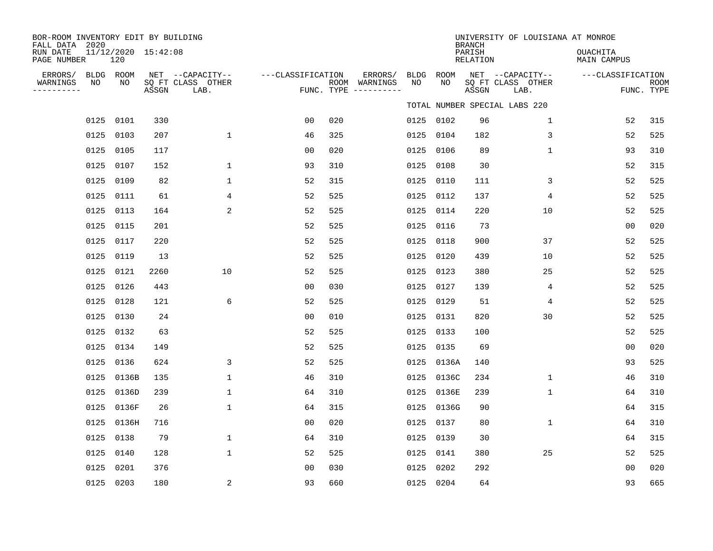| BOR-ROOM INVENTORY EDIT BY BUILDING<br>FALL DATA 2020 |                 |                            |       |                                               |                   |     |                                                 |                   |            | <b>BRANCH</b>      | UNIVERSITY OF LOUISIANA AT MONROE             |                         |                           |
|-------------------------------------------------------|-----------------|----------------------------|-------|-----------------------------------------------|-------------------|-----|-------------------------------------------------|-------------------|------------|--------------------|-----------------------------------------------|-------------------------|---------------------------|
| RUN DATE<br>PAGE NUMBER                               |                 | 11/12/2020 15:42:08<br>120 |       |                                               |                   |     |                                                 |                   |            | PARISH<br>RELATION |                                               | OUACHITA<br>MAIN CAMPUS |                           |
| ERRORS/<br>WARNINGS<br>----------                     | BLDG ROOM<br>NO | NO                         | ASSGN | NET --CAPACITY--<br>SQ FT CLASS OTHER<br>LAB. | ---CLASSIFICATION |     | ERRORS/<br>ROOM WARNINGS<br>FUNC. TYPE $------$ | <b>BLDG</b><br>NO | ROOM<br>NO | ASSGN              | NET --CAPACITY--<br>SQ FT CLASS OTHER<br>LAB. | ---CLASSIFICATION       | <b>ROOM</b><br>FUNC. TYPE |
|                                                       |                 |                            |       |                                               |                   |     |                                                 |                   |            |                    | TOTAL NUMBER SPECIAL LABS 220                 |                         |                           |
|                                                       | 0125 0101       |                            | 330   |                                               | 0 <sub>0</sub>    | 020 |                                                 |                   | 0125 0102  | 96                 | $\mathbf 1$                                   | 52                      | 315                       |
|                                                       | 0125 0103       |                            | 207   | $\mathbf 1$                                   | 46                | 325 |                                                 | 0125              | 0104       | 182                | 3                                             | 52                      | 525                       |
|                                                       | 0125 0105       |                            | 117   |                                               | 0 <sub>0</sub>    | 020 |                                                 | 0125              | 0106       | 89                 | $\mathbf{1}$                                  | 93                      | 310                       |
|                                                       | 0125            | 0107                       | 152   | $\mathbf{1}$                                  | 93                | 310 |                                                 | 0125              | 0108       | 30                 |                                               | 52                      | 315                       |
|                                                       | 0125 0109       |                            | 82    | $\mathbf{1}$                                  | 52                | 315 |                                                 | 0125              | 0110       | 111                | 3                                             | 52                      | 525                       |
|                                                       | 0125            | 0111                       | 61    | 4                                             | 52                | 525 |                                                 | 0125              | 0112       | 137                | 4                                             | 52                      | 525                       |
|                                                       | 0125            | 0113                       | 164   | 2                                             | 52                | 525 |                                                 |                   | 0125 0114  | 220                | 10                                            | 52                      | 525                       |
|                                                       | 0125            | 0115                       | 201   |                                               | 52                | 525 |                                                 | 0125              | 0116       | 73                 |                                               | 0 <sub>0</sub>          | 020                       |
|                                                       | 0125            | 0117                       | 220   |                                               | 52                | 525 |                                                 | 0125              | 0118       | 900                | 37                                            | 52                      | 525                       |
|                                                       | 0125 0119       |                            | 13    |                                               | 52                | 525 |                                                 | 0125              | 0120       | 439                | 10                                            | 52                      | 525                       |
|                                                       | 0125            | 0121                       | 2260  | 10                                            | 52                | 525 |                                                 | 0125              | 0123       | 380                | 25                                            | 52                      | 525                       |
|                                                       | 0125            | 0126                       | 443   |                                               | 0 <sub>0</sub>    | 030 |                                                 | 0125              | 0127       | 139                | 4                                             | 52                      | 525                       |
|                                                       | 0125            | 0128                       | 121   | 6                                             | 52                | 525 |                                                 | 0125              | 0129       | 51                 | 4                                             | 52                      | 525                       |
|                                                       | 0125 0130       |                            | 24    |                                               | 0 <sub>0</sub>    | 010 |                                                 |                   | 0125 0131  | 820                | 30                                            | 52                      | 525                       |
|                                                       | 0125            | 0132                       | 63    |                                               | 52                | 525 |                                                 | 0125              | 0133       | 100                |                                               | 52                      | 525                       |
|                                                       | 0125            | 0134                       | 149   |                                               | 52                | 525 |                                                 |                   | 0125 0135  | 69                 |                                               | 0 <sub>0</sub>          | 020                       |
|                                                       | 0125            | 0136                       | 624   | 3                                             | 52                | 525 |                                                 | 0125              | 0136A      | 140                |                                               | 93                      | 525                       |
|                                                       |                 | 0125 0136B                 | 135   | $\mathbf 1$                                   | 46                | 310 |                                                 | 0125              | 0136C      | 234                | $\mathbf 1$                                   | 46                      | 310                       |
|                                                       |                 | 0125 0136D                 | 239   | $\mathbf{1}$                                  | 64                | 310 |                                                 | 0125              | 0136E      | 239                | $\mathbf{1}$                                  | 64                      | 310                       |
|                                                       |                 | 0125 0136F                 | 26    | $\mathbf{1}$                                  | 64                | 315 |                                                 | 0125              | 0136G      | 90                 |                                               | 64                      | 315                       |
|                                                       |                 | 0125 0136H                 | 716   |                                               | 0 <sub>0</sub>    | 020 |                                                 | 0125              | 0137       | 80                 | $\mathbf{1}$                                  | 64                      | 310                       |
|                                                       | 0125 0138       |                            | 79    | $\mathbf{1}$                                  | 64                | 310 |                                                 | 0125              | 0139       | 30                 |                                               | 64                      | 315                       |
|                                                       | 0125 0140       |                            | 128   | $\mathbf{1}$                                  | 52                | 525 |                                                 | 0125              | 0141       | 380                | 25                                            | 52                      | 525                       |
|                                                       | 0125            | 0201                       | 376   |                                               | 0 <sub>0</sub>    | 030 |                                                 | 0125              | 0202       | 292                |                                               | 0 <sub>0</sub>          | 020                       |
|                                                       | 0125 0203       |                            | 180   | 2                                             | 93                | 660 |                                                 |                   | 0125 0204  | 64                 |                                               | 93                      | 665                       |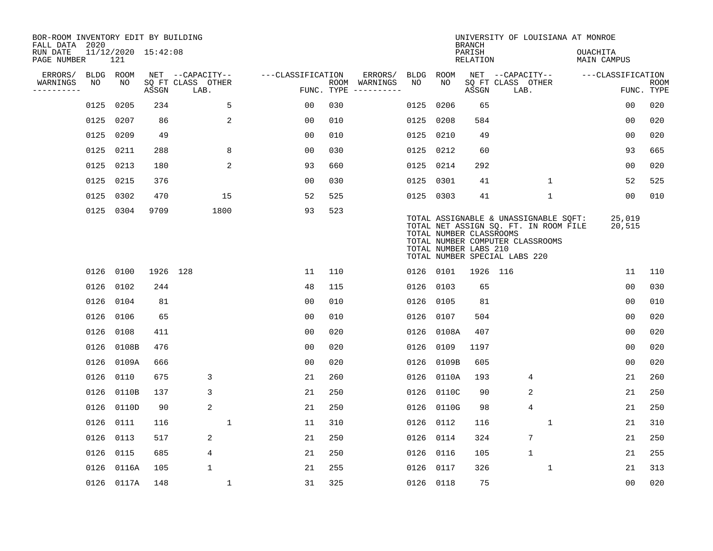| BOR-ROOM INVENTORY EDIT BY BUILDING<br>FALL DATA 2020 |           |            |                     |                           |                   |     |                                      |           |            | <b>BRANCH</b>                                                                                                                                                                                           |                   |                |              | UNIVERSITY OF LOUISIANA AT MONROE |                   |                           |
|-------------------------------------------------------|-----------|------------|---------------------|---------------------------|-------------------|-----|--------------------------------------|-----------|------------|---------------------------------------------------------------------------------------------------------------------------------------------------------------------------------------------------------|-------------------|----------------|--------------|-----------------------------------|-------------------|---------------------------|
| RUN DATE<br>PAGE NUMBER                               |           | 121        | 11/12/2020 15:42:08 |                           |                   |     |                                      |           |            | PARISH<br><b>RELATION</b>                                                                                                                                                                               |                   |                |              | OUACHITA<br><b>MAIN CAMPUS</b>    |                   |                           |
| ERRORS/                                               | BLDG ROOM |            |                     | NET --CAPACITY--          | ---CLASSIFICATION |     | ERRORS/                              | BLDG      | ROOM       |                                                                                                                                                                                                         | NET --CAPACITY--  |                |              |                                   | ---CLASSIFICATION |                           |
| WARNINGS<br>----------                                | NO        | NO         | ASSGN               | SQ FT CLASS OTHER<br>LAB. |                   |     | ROOM WARNINGS<br>FUNC. TYPE $------$ | NO        | NO         | ASSGN                                                                                                                                                                                                   | SQ FT CLASS OTHER | LAB.           |              |                                   |                   | <b>ROOM</b><br>FUNC. TYPE |
|                                                       | 0125      | 0205       | 234                 | 5                         | 0 <sub>0</sub>    | 030 |                                      | 0125      | 0206       | 65                                                                                                                                                                                                      |                   |                |              |                                   | 0 <sub>0</sub>    | 020                       |
|                                                       | 0125      | 0207       | 86                  | 2                         | 0 <sub>0</sub>    | 010 |                                      | 0125 0208 |            | 584                                                                                                                                                                                                     |                   |                |              |                                   | 00                | 020                       |
|                                                       | 0125      | 0209       | 49                  |                           | 0 <sub>0</sub>    | 010 |                                      | 0125 0210 |            | 49                                                                                                                                                                                                      |                   |                |              |                                   | 0 <sub>0</sub>    | 020                       |
|                                                       | 0125      | 0211       | 288                 | 8                         | 0 <sub>0</sub>    | 030 |                                      | 0125 0212 |            | 60                                                                                                                                                                                                      |                   |                |              |                                   | 93                | 665                       |
|                                                       | 0125      | 0213       | 180                 | $\overline{a}$            | 93                | 660 |                                      | 0125 0214 |            | 292                                                                                                                                                                                                     |                   |                |              |                                   | 00                | 020                       |
|                                                       | 0125 0215 |            | 376                 |                           | 0 <sub>0</sub>    | 030 |                                      | 0125 0301 |            | 41                                                                                                                                                                                                      |                   |                | $\mathbf{1}$ |                                   | 52                | 525                       |
|                                                       |           | 0125 0302  | 470                 | 15                        | 52                | 525 |                                      | 0125 0303 |            | 41                                                                                                                                                                                                      |                   |                | $\mathbf 1$  |                                   | 00                | 010                       |
|                                                       |           | 0125 0304  | 9709                | 1800                      | 93                | 523 |                                      |           |            | TOTAL ASSIGNABLE & UNASSIGNABLE SQFT:<br>TOTAL NET ASSIGN SQ. FT. IN ROOM FILE<br>TOTAL NUMBER CLASSROOMS<br>TOTAL NUMBER COMPUTER CLASSROOMS<br>TOTAL NUMBER LABS 210<br>TOTAL NUMBER SPECIAL LABS 220 |                   |                |              |                                   | 25,019<br>20,515  |                           |
|                                                       |           | 0126 0100  | 1926 128            |                           | 11                | 110 |                                      | 0126 0101 |            | 1926 116                                                                                                                                                                                                |                   |                |              |                                   | 11                | 110                       |
|                                                       | 0126      | 0102       | 244                 |                           | 48                | 115 |                                      | 0126 0103 |            | 65                                                                                                                                                                                                      |                   |                |              |                                   | 0 <sub>0</sub>    | 030                       |
|                                                       | 0126      | 0104       | 81                  |                           | 0 <sub>0</sub>    | 010 |                                      | 0126 0105 |            | 81                                                                                                                                                                                                      |                   |                |              |                                   | 00                | 010                       |
|                                                       | 0126      | 0106       | 65                  |                           | 0 <sub>0</sub>    | 010 |                                      | 0126 0107 |            | 504                                                                                                                                                                                                     |                   |                |              |                                   | 0 <sub>0</sub>    | 020                       |
|                                                       | 0126      | 0108       | 411                 |                           | 0 <sub>0</sub>    | 020 |                                      |           | 0126 0108A | 407                                                                                                                                                                                                     |                   |                |              |                                   | 0 <sub>0</sub>    | 020                       |
|                                                       | 0126      | 0108B      | 476                 |                           | 0 <sub>0</sub>    | 020 |                                      | 0126      | 0109       | 1197                                                                                                                                                                                                    |                   |                |              |                                   | 0 <sub>0</sub>    | 020                       |
|                                                       | 0126      | 0109A      | 666                 |                           | 0 <sub>0</sub>    | 020 |                                      | 0126      | 0109B      | 605                                                                                                                                                                                                     |                   |                |              |                                   | 0 <sub>0</sub>    | 020                       |
|                                                       |           | 0126 0110  | 675                 | 3                         | 21                | 260 |                                      |           | 0126 0110A | 193                                                                                                                                                                                                     |                   | 4              |              |                                   | 21                | 260                       |
|                                                       | 0126      | 0110B      | 137                 | 3                         | 21                | 250 |                                      |           | 0126 0110C | 90                                                                                                                                                                                                      |                   | 2              |              |                                   | 21                | 250                       |
|                                                       | 0126      | 0110D      | 90                  | 2                         | 21                | 250 |                                      |           | 0126 0110G | 98                                                                                                                                                                                                      |                   | $\overline{4}$ |              |                                   | 21                | 250                       |
|                                                       | 0126      | 0111       | 116                 | $\mathbf{1}$              | 11                | 310 |                                      | 0126 0112 |            | 116                                                                                                                                                                                                     |                   |                | 1            |                                   | 21                | 310                       |
|                                                       | 0126      | 0113       | 517                 | 2                         | 21                | 250 |                                      | 0126 0114 |            | 324                                                                                                                                                                                                     |                   | 7              |              |                                   | 21                | 250                       |
|                                                       | 0126      | 0115       | 685                 | 4                         | 21                | 250 |                                      | 0126 0116 |            | 105                                                                                                                                                                                                     |                   | $\mathbf{1}$   |              |                                   | 21                | 255                       |
|                                                       | 0126      | 0116A      | 105                 | $\mathbf{1}$              | 21                | 255 |                                      |           | 0126 0117  | 326                                                                                                                                                                                                     |                   |                | $\mathbf 1$  |                                   | 21                | 313                       |
|                                                       |           | 0126 0117A | 148                 | $\mathbf{1}$              | 31                | 325 |                                      | 0126 0118 |            | 75                                                                                                                                                                                                      |                   |                |              |                                   | 0 <sub>0</sub>    | 020                       |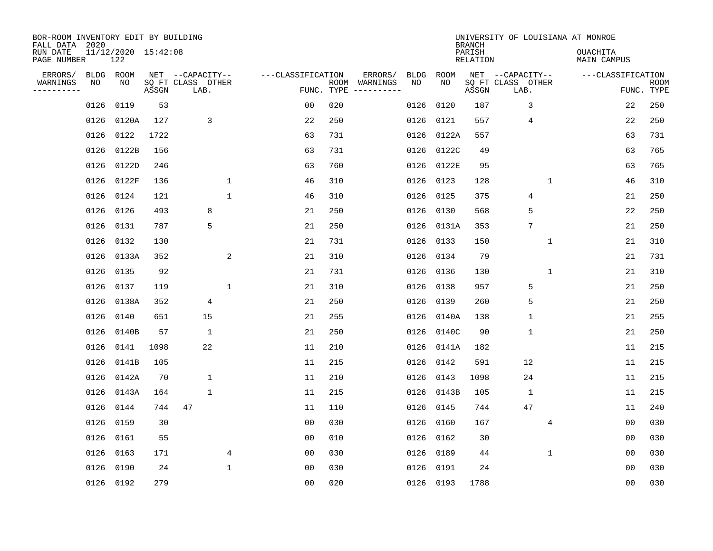| BOR-ROOM INVENTORY EDIT BY BUILDING<br>FALL DATA 2020<br>RUN DATE |                 | 11/12/2020 15:42:08 |       |                                               |              |                   |                    |                     |            |            | <b>BRANCH</b><br>PARISH | UNIVERSITY OF LOUISIANA AT MONROE             |                | <b>OUACHITA</b>   |                |             |
|-------------------------------------------------------------------|-----------------|---------------------|-------|-----------------------------------------------|--------------|-------------------|--------------------|---------------------|------------|------------|-------------------------|-----------------------------------------------|----------------|-------------------|----------------|-------------|
| PAGE NUMBER                                                       |                 | 122                 |       |                                               |              |                   |                    |                     |            |            | <b>RELATION</b>         |                                               |                | MAIN CAMPUS       |                |             |
| ERRORS/<br>WARNINGS<br>----------                                 | BLDG ROOM<br>NO | NO                  | ASSGN | NET --CAPACITY--<br>SQ FT CLASS OTHER<br>LAB. |              | ---CLASSIFICATION | ROOM<br>FUNC. TYPE | ERRORS/<br>WARNINGS | BLDG<br>NO | ROOM<br>NO | ASSGN                   | NET --CAPACITY--<br>SQ FT CLASS OTHER<br>LAB. |                | ---CLASSIFICATION | FUNC. TYPE     | <b>ROOM</b> |
|                                                                   | 0126            | 0119                | 53    |                                               |              | 0 <sub>0</sub>    | 020                |                     | 0126       | 0120       | 187                     | 3                                             |                |                   | 22             | 250         |
|                                                                   | 0126            | 0120A               | 127   | 3                                             |              | 22                | 250                |                     | 0126       | 0121       | 557                     | 4                                             |                |                   | 22             | 250         |
|                                                                   | 0126            | 0122                | 1722  |                                               |              | 63                | 731                |                     | 0126       | 0122A      | 557                     |                                               |                |                   | 63             | 731         |
|                                                                   | 0126            | 0122B               | 156   |                                               |              | 63                | 731                |                     | 0126       | 0122C      | 49                      |                                               |                |                   | 63             | 765         |
|                                                                   | 0126            | 0122D               | 246   |                                               |              | 63                | 760                |                     | 0126       | 0122E      | 95                      |                                               |                |                   | 63             | 765         |
|                                                                   | 0126            | 0122F               | 136   |                                               | $\mathbf{1}$ | 46                | 310                |                     | 0126       | 0123       | 128                     |                                               | $\mathbf{1}$   |                   | 46             | 310         |
|                                                                   | 0126            | 0124                | 121   |                                               | $\mathbf{1}$ | 46                | 310                |                     | 0126       | 0125       | 375                     | $\overline{4}$                                |                |                   | 21             | 250         |
|                                                                   | 0126            | 0126                | 493   | 8                                             |              | 21                | 250                |                     | 0126       | 0130       | 568                     | 5                                             |                |                   | 22             | 250         |
|                                                                   | 0126            | 0131                | 787   | 5                                             |              | 21                | 250                |                     | 0126       | 0131A      | 353                     | 7                                             |                |                   | 21             | 250         |
|                                                                   | 0126            | 0132                | 130   |                                               |              | 21                | 731                |                     | 0126       | 0133       | 150                     |                                               | 1              |                   | 21             | 310         |
|                                                                   |                 | 0126 0133A          | 352   |                                               | 2            | 21                | 310                |                     | 0126       | 0134       | 79                      |                                               |                |                   | 21             | 731         |
|                                                                   | 0126            | 0135                | 92    |                                               |              | 21                | 731                |                     | 0126       | 0136       | 130                     |                                               | $\mathbf 1$    |                   | 21             | 310         |
|                                                                   | 0126            | 0137                | 119   |                                               | $\mathbf 1$  | 21                | 310                |                     | 0126       | 0138       | 957                     | 5                                             |                |                   | 21             | 250         |
|                                                                   |                 | 0126 0138A          | 352   | 4                                             |              | 21                | 250                |                     | 0126       | 0139       | 260                     | 5                                             |                |                   | 21             | 250         |
|                                                                   | 0126            | 0140                | 651   | 15                                            |              | 21                | 255                |                     | 0126       | 0140A      | 138                     | $\mathbf 1$                                   |                |                   | 21             | 255         |
|                                                                   | 0126            | 0140B               | 57    | 1                                             |              | 21                | 250                |                     | 0126       | 0140C      | 90                      | $\mathbf{1}$                                  |                |                   | 21             | 250         |
|                                                                   | 0126            | 0141                | 1098  | 22                                            |              | 11                | 210                |                     | 0126       | 0141A      | 182                     |                                               |                |                   | 11             | 215         |
|                                                                   | 0126            | 0141B               | 105   |                                               |              | 11                | 215                |                     | 0126       | 0142       | 591                     | 12                                            |                |                   | 11             | 215         |
|                                                                   | 0126            | 0142A               | 70    | $\mathbf 1$                                   |              | 11                | 210                |                     | 0126       | 0143       | 1098                    | 24                                            |                |                   | 11             | 215         |
|                                                                   | 0126            | 0143A               | 164   | 1                                             |              | 11                | 215                |                     | 0126       | 0143B      | 105                     | $\mathbf{1}$                                  |                |                   | 11             | 215         |
|                                                                   | 0126            | 0144                | 744   | 47                                            |              | 11                | 110                |                     | 0126       | 0145       | 744                     | 47                                            |                |                   | 11             | 240         |
|                                                                   | 0126            | 0159                | 30    |                                               |              | 0 <sub>0</sub>    | 030                |                     | 0126       | 0160       | 167                     |                                               | $\overline{4}$ |                   | 00             | 030         |
|                                                                   | 0126            | 0161                | 55    |                                               |              | 0 <sub>0</sub>    | 010                |                     | 0126       | 0162       | 30                      |                                               |                |                   | 00             | 030         |
|                                                                   | 0126            | 0163                | 171   |                                               | 4            | 0 <sub>0</sub>    | 030                |                     | 0126       | 0189       | 44                      |                                               | 1              |                   | 00             | 030         |
|                                                                   | 0126            | 0190                | 24    |                                               | 1            | 0 <sub>0</sub>    | 030                |                     | 0126       | 0191       | 24                      |                                               |                |                   | 0 <sub>0</sub> | 030         |
|                                                                   |                 | 0126 0192           | 279   |                                               |              | 0 <sub>0</sub>    | 020                |                     |            | 0126 0193  | 1788                    |                                               |                |                   | 0 <sub>0</sub> | 030         |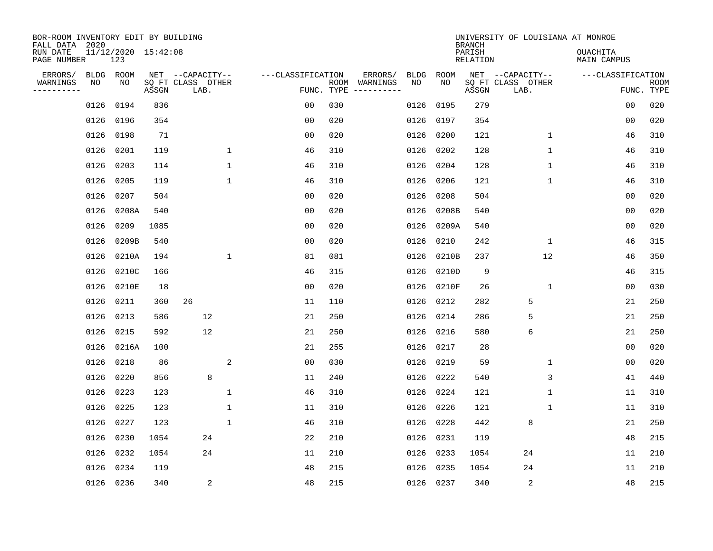| BOR-ROOM INVENTORY EDIT BY BUILDING<br>FALL DATA 2020 |           |                            |       |                           |              |                   |            |               |           |             | <b>BRANCH</b>             | UNIVERSITY OF LOUISIANA AT MONROE |                                |                           |
|-------------------------------------------------------|-----------|----------------------------|-------|---------------------------|--------------|-------------------|------------|---------------|-----------|-------------|---------------------------|-----------------------------------|--------------------------------|---------------------------|
| RUN DATE<br>PAGE NUMBER                               |           | 11/12/2020 15:42:08<br>123 |       |                           |              |                   |            |               |           |             | PARISH<br><b>RELATION</b> |                                   | <b>OUACHITA</b><br>MAIN CAMPUS |                           |
| ERRORS/                                               | BLDG ROOM |                            |       | NET --CAPACITY--          |              | ---CLASSIFICATION |            | ERRORS/       | BLDG      | ROOM<br>NO. |                           | NET --CAPACITY--                  | ---CLASSIFICATION              |                           |
| WARNINGS<br>---------                                 | NO        | NO                         | ASSGN | SQ FT CLASS OTHER<br>LAB. |              |                   | FUNC. TYPE | ROOM WARNINGS | NO        |             | ASSGN                     | SQ FT CLASS OTHER<br>LAB.         |                                | <b>ROOM</b><br>FUNC. TYPE |
|                                                       | 0126      | 0194                       | 836   |                           |              | 0 <sub>0</sub>    | 030        |               | 0126      | 0195        | 279                       |                                   | 00                             | 020                       |
|                                                       | 0126      | 0196                       | 354   |                           |              | 0 <sub>0</sub>    | 020        |               | 0126      | 0197        | 354                       |                                   | 0 <sub>0</sub>                 | 020                       |
|                                                       | 0126      | 0198                       | 71    |                           |              | 0 <sub>0</sub>    | 020        |               | 0126      | 0200        | 121                       | $\mathbf{1}$                      | 46                             | 310                       |
|                                                       | 0126      | 0201                       | 119   |                           | 1            | 46                | 310        |               | 0126      | 0202        | 128                       | $\mathbf{1}$                      | 46                             | 310                       |
|                                                       | 0126      | 0203                       | 114   |                           | $\mathbf{1}$ | 46                | 310        |               | 0126      | 0204        | 128                       | $\mathbf 1$                       | 46                             | 310                       |
|                                                       | 0126      | 0205                       | 119   |                           | $\mathbf 1$  | 46                | 310        |               | 0126      | 0206        | 121                       | 1                                 | 46                             | 310                       |
|                                                       | 0126      | 0207                       | 504   |                           |              | 0 <sub>0</sub>    | 020        |               | 0126      | 0208        | 504                       |                                   | 0 <sub>0</sub>                 | 020                       |
|                                                       | 0126      | 0208A                      | 540   |                           |              | 0 <sub>0</sub>    | 020        |               | 0126      | 0208B       | 540                       |                                   | 0 <sub>0</sub>                 | 020                       |
|                                                       | 0126      | 0209                       | 1085  |                           |              | 0 <sub>0</sub>    | 020        |               | 0126      | 0209A       | 540                       |                                   | 0 <sub>0</sub>                 | 020                       |
|                                                       | 0126      | 0209B                      | 540   |                           |              | 0 <sub>0</sub>    | 020        |               | 0126      | 0210        | 242                       | $\mathbf 1$                       | 46                             | 315                       |
|                                                       | 0126      | 0210A                      | 194   |                           | $\mathbf 1$  | 81                | 081        |               | 0126      | 0210B       | 237                       | 12                                | 46                             | 350                       |
|                                                       | 0126      | 0210C                      | 166   |                           |              | 46                | 315        |               | 0126      | 0210D       | 9                         |                                   | 46                             | 315                       |
|                                                       | 0126      | 0210E                      | 18    |                           |              | 0 <sub>0</sub>    | 020        |               | 0126      | 0210F       | 26                        | 1                                 | 0 <sub>0</sub>                 | 030                       |
|                                                       | 0126      | 0211                       | 360   | 26                        |              | 11                | 110        |               | 0126      | 0212        | 282                       | 5                                 | 21                             | 250                       |
|                                                       | 0126      | 0213                       | 586   | 12                        |              | 21                | 250        |               | 0126      | 0214        | 286                       | 5                                 | 21                             | 250                       |
|                                                       | 0126      | 0215                       | 592   | 12                        |              | 21                | 250        |               | 0126      | 0216        | 580                       | 6                                 | 21                             | 250                       |
|                                                       | 0126      | 0216A                      | 100   |                           |              | 21                | 255        |               | 0126      | 0217        | 28                        |                                   | 0 <sub>0</sub>                 | 020                       |
|                                                       | 0126      | 0218                       | 86    |                           | 2            | 0 <sub>0</sub>    | 030        |               | 0126      | 0219        | 59                        | 1                                 | 0 <sub>0</sub>                 | 020                       |
|                                                       | 0126      | 0220                       | 856   | 8                         |              | 11                | 240        |               | 0126      | 0222        | 540                       | 3                                 | 41                             | 440                       |
|                                                       | 0126      | 0223                       | 123   |                           | 1            | 46                | 310        |               | 0126      | 0224        | 121                       | 1                                 | 11                             | 310                       |
|                                                       | 0126      | 0225                       | 123   |                           | 1            | 11                | 310        |               | 0126      | 0226        | 121                       | 1                                 | 11                             | 310                       |
|                                                       | 0126      | 0227                       | 123   |                           | $\mathbf{1}$ | 46                | 310        |               | 0126      | 0228        | 442                       | 8                                 | 21                             | 250                       |
|                                                       | 0126      | 0230                       | 1054  | 24                        |              | 22                | 210        |               | 0126      | 0231        | 119                       |                                   | 48                             | 215                       |
|                                                       | 0126      | 0232                       | 1054  | 24                        |              | 11                | 210        |               | 0126      | 0233        | 1054                      | 24                                | 11                             | 210                       |
|                                                       | 0126      | 0234                       | 119   |                           |              | 48                | 215        |               | 0126      | 0235        | 1054                      | 24                                | 11                             | 210                       |
|                                                       | 0126 0236 |                            | 340   | $\overline{a}$            |              | 48                | 215        |               | 0126 0237 |             | 340                       | $\sqrt{2}$                        | 48                             | 215                       |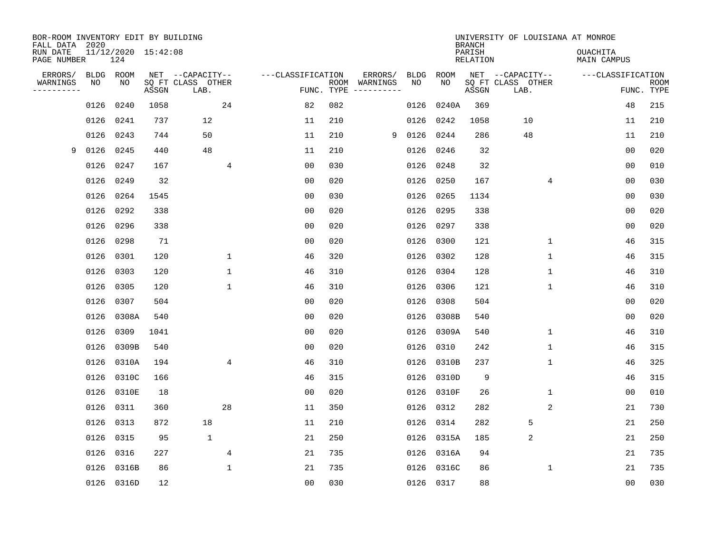| BOR-ROOM INVENTORY EDIT BY BUILDING<br>FALL DATA 2020 |           |                            |       |                           |                |                   |            |               |           |            | <b>BRANCH</b>      | UNIVERSITY OF LOUISIANA AT MONROE |                                |                           |
|-------------------------------------------------------|-----------|----------------------------|-------|---------------------------|----------------|-------------------|------------|---------------|-----------|------------|--------------------|-----------------------------------|--------------------------------|---------------------------|
| RUN DATE<br>PAGE NUMBER                               |           | 11/12/2020 15:42:08<br>124 |       |                           |                |                   |            |               |           |            | PARISH<br>RELATION |                                   | <b>OUACHITA</b><br>MAIN CAMPUS |                           |
| ERRORS/                                               | BLDG ROOM |                            |       | NET --CAPACITY--          |                | ---CLASSIFICATION |            | ERRORS/       | BLDG      | ROOM       |                    | NET --CAPACITY--                  | ---CLASSIFICATION              |                           |
| WARNINGS<br>---------                                 | NO        | NO                         | ASSGN | SQ FT CLASS OTHER<br>LAB. |                |                   | FUNC. TYPE | ROOM WARNINGS | NO        | NO         | ASSGN              | SQ FT CLASS OTHER<br>LAB.         |                                | <b>ROOM</b><br>FUNC. TYPE |
|                                                       | 0126      | 0240                       | 1058  |                           | 24             | 82                | 082        |               | 0126      | 0240A      | 369                |                                   | 48                             | 215                       |
|                                                       | 0126      | 0241                       | 737   | 12                        |                | 11                | 210        |               |           | 0126 0242  | 1058               | 10                                | 11                             | 210                       |
|                                                       | 0126      | 0243                       | 744   | 50                        |                | 11                | 210        | 9             | 0126 0244 |            | 286                | 48                                | 11                             | 210                       |
| 9                                                     | 0126      | 0245                       | 440   | 48                        |                | 11                | 210        |               |           | 0126 0246  | 32                 |                                   | 0 <sub>0</sub>                 | 020                       |
|                                                       | 0126      | 0247                       | 167   |                           | 4              | 0 <sub>0</sub>    | 030        |               | 0126      | 0248       | 32                 |                                   | 00                             | 010                       |
|                                                       | 0126      | 0249                       | 32    |                           |                | 0 <sub>0</sub>    | 020        |               | 0126      | 0250       | 167                | 4                                 | 0 <sub>0</sub>                 | 030                       |
|                                                       | 0126      | 0264                       | 1545  |                           |                | 0 <sub>0</sub>    | 030        |               | 0126      | 0265       | 1134               |                                   | 0 <sub>0</sub>                 | 030                       |
|                                                       | 0126      | 0292                       | 338   |                           |                | 0 <sub>0</sub>    | 020        |               |           | 0126 0295  | 338                |                                   | 0 <sub>0</sub>                 | 020                       |
|                                                       | 0126      | 0296                       | 338   |                           |                | 0 <sub>0</sub>    | 020        |               | 0126      | 0297       | 338                |                                   | 0 <sub>0</sub>                 | 020                       |
|                                                       | 0126      | 0298                       | 71    |                           |                | 0 <sub>0</sub>    | 020        |               |           | 0126 0300  | 121                | $\mathbf 1$                       | 46                             | 315                       |
|                                                       | 0126      | 0301                       | 120   |                           | $\mathbf{1}$   | 46                | 320        |               |           | 0126 0302  | 128                | $\mathbf 1$                       | 46                             | 315                       |
|                                                       | 0126      | 0303                       | 120   |                           | $\mathbf 1$    | 46                | 310        |               |           | 0126 0304  | 128                | $\mathbf 1$                       | 46                             | 310                       |
|                                                       | 0126      | 0305                       | 120   |                           | $\mathbf{1}$   | 46                | 310        |               | 0126      | 0306       | 121                | 1                                 | 46                             | 310                       |
|                                                       | 0126      | 0307                       | 504   |                           |                | 0 <sub>0</sub>    | 020        |               |           | 0126 0308  | 504                |                                   | 0 <sub>0</sub>                 | 020                       |
|                                                       | 0126      | 0308A                      | 540   |                           |                | 0 <sub>0</sub>    | 020        |               |           | 0126 0308B | 540                |                                   | 0 <sub>0</sub>                 | 020                       |
|                                                       | 0126      | 0309                       | 1041  |                           |                | 0 <sub>0</sub>    | 020        |               |           | 0126 0309A | 540                | $\mathbf{1}$                      | 46                             | 310                       |
|                                                       | 0126      | 0309B                      | 540   |                           |                | 0 <sub>0</sub>    | 020        |               | 0126      | 0310       | 242                | 1                                 | 46                             | 315                       |
|                                                       | 0126      | 0310A                      | 194   |                           | $\overline{4}$ | 46                | 310        |               |           | 0126 0310B | 237                | 1                                 | 46                             | 325                       |
|                                                       | 0126      | 0310C                      | 166   |                           |                | 46                | 315        |               |           | 0126 0310D | 9                  |                                   | 46                             | 315                       |
|                                                       | 0126      | 0310E                      | 18    |                           |                | 0 <sub>0</sub>    | 020        |               |           | 0126 0310F | 26                 | $\mathbf 1$                       | 0 <sub>0</sub>                 | 010                       |
|                                                       | 0126      | 0311                       | 360   |                           | 28             | 11                | 350        |               |           | 0126 0312  | 282                | 2                                 | 21                             | 730                       |
|                                                       | 0126      | 0313                       | 872   | 18                        |                | 11                | 210        |               | 0126      | 0314       | 282                | 5                                 | 21                             | 250                       |
|                                                       | 0126      | 0315                       | 95    | $\mathbf{1}$              |                | 21                | 250        |               |           | 0126 0315A | 185                | 2                                 | 21                             | 250                       |
|                                                       | 0126      | 0316                       | 227   |                           | 4              | 21                | 735        |               |           | 0126 0316A | 94                 |                                   | 21                             | 735                       |
|                                                       | 0126      | 0316B                      | 86    |                           | $\mathbf{1}$   | 21                | 735        |               |           | 0126 0316C | 86                 | 1                                 | 21                             | 735                       |
|                                                       |           | 0126 0316D                 | 12    |                           |                | 00                | 030        |               |           | 0126 0317  | 88                 |                                   | 00                             | 030                       |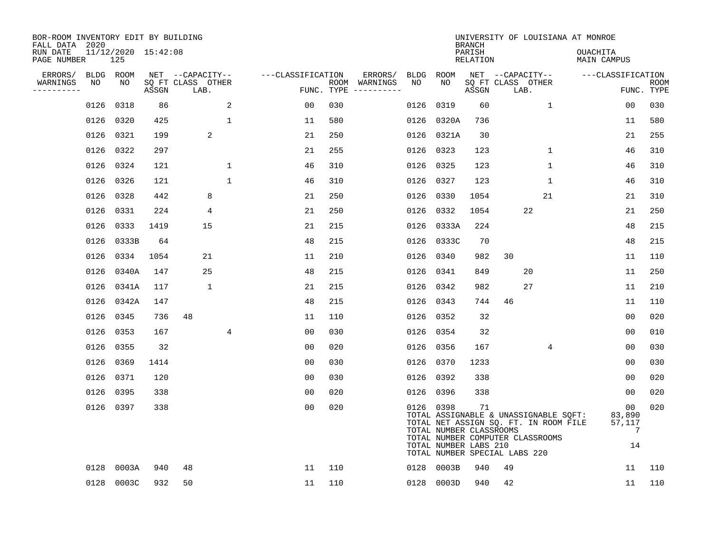| BOR-ROOM INVENTORY EDIT BY BUILDING<br>FALL DATA 2020 |      |                            |       |                           |                |                   |            |                              |      |                                                               | <b>BRANCH</b>      | UNIVERSITY OF LOUISIANA AT MONROE                                                                                                                   |              |                                |                |                           |
|-------------------------------------------------------|------|----------------------------|-------|---------------------------|----------------|-------------------|------------|------------------------------|------|---------------------------------------------------------------|--------------------|-----------------------------------------------------------------------------------------------------------------------------------------------------|--------------|--------------------------------|----------------|---------------------------|
| RUN DATE<br>PAGE NUMBER                               |      | 11/12/2020 15:42:08<br>125 |       |                           |                |                   |            |                              |      |                                                               | PARISH<br>RELATION |                                                                                                                                                     |              | OUACHITA<br><b>MAIN CAMPUS</b> |                |                           |
| ERRORS/                                               |      | BLDG ROOM                  |       | NET --CAPACITY--          |                | ---CLASSIFICATION |            | ERRORS/                      | BLDG | ROOM                                                          |                    | NET --CAPACITY--                                                                                                                                    |              | ---CLASSIFICATION              |                |                           |
| WARNINGS<br>----------                                | NO   | NO                         | ASSGN | SQ FT CLASS OTHER<br>LAB. |                |                   | FUNC. TYPE | ROOM WARNINGS<br>----------- | NO   | NO                                                            | ASSGN              | SQ FT CLASS OTHER<br>LAB.                                                                                                                           |              |                                |                | <b>ROOM</b><br>FUNC. TYPE |
|                                                       | 0126 | 0318                       | 86    |                           | 2              | 00                | 030        |                              | 0126 | 0319                                                          | 60                 |                                                                                                                                                     | 1            |                                | 0 <sub>0</sub> | 030                       |
|                                                       | 0126 | 0320                       | 425   |                           | $\mathbf{1}$   | 11                | 580        |                              |      | 0126 0320A                                                    | 736                |                                                                                                                                                     |              |                                | 11             | 580                       |
|                                                       | 0126 | 0321                       | 199   | 2                         |                | 21                | 250        |                              |      | 0126 0321A                                                    | 30                 |                                                                                                                                                     |              |                                | 21             | 255                       |
|                                                       | 0126 | 0322                       | 297   |                           |                | 21                | 255        |                              |      | 0126 0323                                                     | 123                |                                                                                                                                                     | $\mathbf{1}$ |                                | 46             | 310                       |
|                                                       | 0126 | 0324                       | 121   |                           | $\mathbf{1}$   | 46                | 310        |                              |      | 0126 0325                                                     | 123                |                                                                                                                                                     | $\mathbf{1}$ |                                | 46             | 310                       |
|                                                       |      | 0126 0326                  | 121   |                           | $\mathbf{1}$   | 46                | 310        |                              |      | 0126 0327                                                     | 123                |                                                                                                                                                     | $\mathbf 1$  |                                | 46             | 310                       |
|                                                       | 0126 | 0328                       | 442   | 8                         |                | 21                | 250        |                              | 0126 | 0330                                                          | 1054               |                                                                                                                                                     | 21           |                                | 21             | 310                       |
|                                                       | 0126 | 0331                       | 224   | 4                         |                | 21                | 250        |                              |      | 0126 0332                                                     | 1054               | 22                                                                                                                                                  |              |                                | 21             | 250                       |
|                                                       | 0126 | 0333                       | 1419  | 15                        |                | 21                | 215        |                              |      | 0126 0333A                                                    | 224                |                                                                                                                                                     |              |                                | 48             | 215                       |
|                                                       | 0126 | 0333B                      | 64    |                           |                | 48                | 215        |                              |      | 0126 0333C                                                    | 70                 |                                                                                                                                                     |              |                                | 48             | 215                       |
|                                                       | 0126 | 0334                       | 1054  | 21                        |                | 11                | 210        |                              | 0126 | 0340                                                          | 982                | 30                                                                                                                                                  |              |                                | 11             | 110                       |
|                                                       | 0126 | 0340A                      | 147   | 25                        |                | 48                | 215        |                              |      | 0126 0341                                                     | 849                | 20                                                                                                                                                  |              |                                | 11             | 250                       |
|                                                       | 0126 | 0341A                      | 117   | 1                         |                | 21                | 215        |                              | 0126 | 0342                                                          | 982                | 27                                                                                                                                                  |              |                                | 11             | 210                       |
|                                                       | 0126 | 0342A                      | 147   |                           |                | 48                | 215        |                              |      | 0126 0343                                                     | 744                | 46                                                                                                                                                  |              |                                | 11             | 110                       |
|                                                       | 0126 | 0345                       | 736   | 48                        |                | 11                | 110        |                              |      | 0126 0352                                                     | 32                 |                                                                                                                                                     |              |                                | 0 <sub>0</sub> | 020                       |
|                                                       | 0126 | 0353                       | 167   |                           | $\overline{4}$ | 0 <sub>0</sub>    | 030        |                              |      | 0126 0354                                                     | 32                 |                                                                                                                                                     |              |                                | 0 <sub>0</sub> | 010                       |
|                                                       | 0126 | 0355                       | 32    |                           |                | 0 <sub>0</sub>    | 020        |                              |      | 0126 0356                                                     | 167                |                                                                                                                                                     | 4            |                                | 0 <sub>0</sub> | 030                       |
|                                                       | 0126 | 0369                       | 1414  |                           |                | 0 <sub>0</sub>    | 030        |                              |      | 0126 0370                                                     | 1233               |                                                                                                                                                     |              |                                | 0 <sub>0</sub> | 030                       |
|                                                       | 0126 | 0371                       | 120   |                           |                | 0 <sub>0</sub>    | 030        |                              |      | 0126 0392                                                     | 338                |                                                                                                                                                     |              |                                | 0 <sub>0</sub> | 020                       |
|                                                       | 0126 | 0395                       | 338   |                           |                | 0 <sub>0</sub>    | 020        |                              |      | 0126 0396                                                     | 338                |                                                                                                                                                     |              |                                | 00             | 020                       |
|                                                       |      | 0126 0397                  | 338   |                           |                | 0 <sub>0</sub>    | 020        |                              |      | 0126 0398<br>TOTAL NUMBER CLASSROOMS<br>TOTAL NUMBER LABS 210 | 71                 | TOTAL ASSIGNABLE & UNASSIGNABLE SQFT:<br>TOTAL NET ASSIGN SQ. FT. IN ROOM FILE<br>TOTAL NUMBER COMPUTER CLASSROOMS<br>TOTAL NUMBER SPECIAL LABS 220 |              | 83,890<br>57,117               | 00<br>7<br>14  | 020                       |
|                                                       | 0128 | 0003A                      | 940   | 48                        |                | 11                | 110        |                              | 0128 | 0003B                                                         | 940                | 49                                                                                                                                                  |              |                                | 11             | 110                       |
|                                                       |      | 0128 0003C                 | 932   | 50                        |                | 11                | 110        |                              |      | 0128 0003D                                                    | 940                | 42                                                                                                                                                  |              |                                | 11             | 110                       |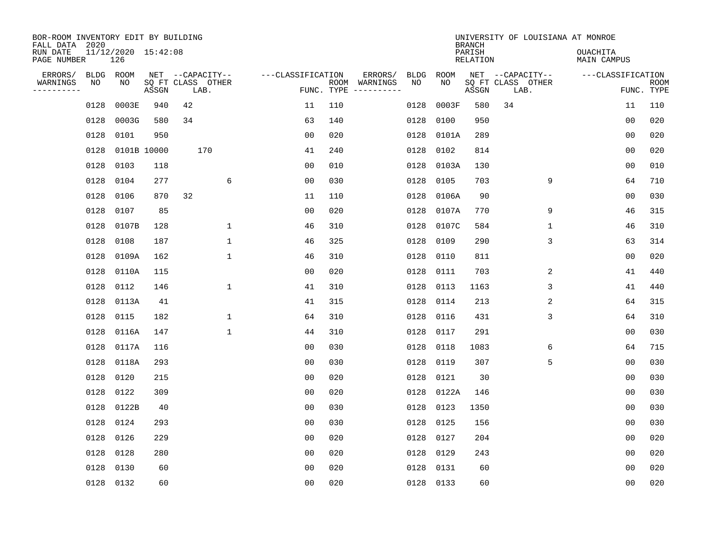| BOR-ROOM INVENTORY EDIT BY BUILDING<br>FALL DATA 2020 |      |                            |             |                           |                   |            |                              |      |             | <b>BRANCH</b>             |                           | UNIVERSITY OF LOUISIANA AT MONROE |                |                           |
|-------------------------------------------------------|------|----------------------------|-------------|---------------------------|-------------------|------------|------------------------------|------|-------------|---------------------------|---------------------------|-----------------------------------|----------------|---------------------------|
| RUN DATE<br>PAGE NUMBER                               |      | 11/12/2020 15:42:08<br>126 |             |                           |                   |            |                              |      |             | PARISH<br><b>RELATION</b> |                           | OUACHITA<br><b>MAIN CAMPUS</b>    |                |                           |
| ERRORS/                                               |      | BLDG ROOM                  |             | NET --CAPACITY--          | ---CLASSIFICATION |            | ERRORS/                      | BLDG | <b>ROOM</b> |                           | NET --CAPACITY--          | ---CLASSIFICATION                 |                |                           |
| WARNINGS<br>----------                                | NO   | NO                         | ASSGN       | SQ FT CLASS OTHER<br>LAB. |                   | FUNC. TYPE | ROOM WARNINGS<br>----------- | NO   | NO          | ASSGN                     | SQ FT CLASS OTHER<br>LAB. |                                   |                | <b>ROOM</b><br>FUNC. TYPE |
|                                                       | 0128 | 0003E                      | 940         | 42                        | 11                | 110        |                              | 0128 | 0003F       | 580                       | 34                        |                                   | 11             | 110                       |
|                                                       | 0128 | 0003G                      | 580         | 34                        | 63                | 140        |                              | 0128 | 0100        | 950                       |                           |                                   | 00             | 020                       |
|                                                       | 0128 | 0101                       | 950         |                           | 0 <sub>0</sub>    | 020        |                              | 0128 | 0101A       | 289                       |                           |                                   | 0 <sub>0</sub> | 020                       |
|                                                       | 0128 |                            | 0101B 10000 | 170                       | 41                | 240        |                              | 0128 | 0102        | 814                       |                           |                                   | 0 <sub>0</sub> | 020                       |
|                                                       | 0128 | 0103                       | 118         |                           | 0 <sub>0</sub>    | 010        |                              | 0128 | 0103A       | 130                       |                           |                                   | 00             | 010                       |
|                                                       | 0128 | 0104                       | 277         | 6                         | 0 <sub>0</sub>    | 030        |                              | 0128 | 0105        | 703                       | 9                         |                                   | 64             | 710                       |
|                                                       | 0128 | 0106                       | 870         | 32                        | 11                | 110        |                              | 0128 | 0106A       | 90                        |                           |                                   | 00             | 030                       |
|                                                       | 0128 | 0107                       | 85          |                           | 0 <sub>0</sub>    | 020        |                              | 0128 | 0107A       | 770                       | 9                         |                                   | 46             | 315                       |
|                                                       | 0128 | 0107B                      | 128         | $\mathbf 1$               | 46                | 310        |                              | 0128 | 0107C       | 584                       | $\mathbf 1$               |                                   | 46             | 310                       |
|                                                       | 0128 | 0108                       | 187         | $\mathbf{1}$              | 46                | 325        |                              | 0128 | 0109        | 290                       | 3                         |                                   | 63             | 314                       |
|                                                       | 0128 | 0109A                      | 162         | $\mathbf 1$               | 46                | 310        |                              | 0128 | 0110        | 811                       |                           |                                   | 0 <sub>0</sub> | 020                       |
|                                                       | 0128 | 0110A                      | 115         |                           | 0 <sub>0</sub>    | 020        |                              | 0128 | 0111        | 703                       | 2                         |                                   | 41             | 440                       |
|                                                       | 0128 | 0112                       | 146         | $\mathbf 1$               | 41                | 310        |                              | 0128 | 0113        | 1163                      | 3                         |                                   | 41             | 440                       |
|                                                       | 0128 | 0113A                      | 41          |                           | 41                | 315        |                              | 0128 | 0114        | 213                       | 2                         |                                   | 64             | 315                       |
|                                                       | 0128 | 0115                       | 182         | 1                         | 64                | 310        |                              | 0128 | 0116        | 431                       | 3                         |                                   | 64             | 310                       |
|                                                       | 0128 | 0116A                      | 147         | $\mathbf{1}$              | 44                | 310        |                              | 0128 | 0117        | 291                       |                           |                                   | 00             | 030                       |
|                                                       | 0128 | 0117A                      | 116         |                           | 00                | 030        |                              | 0128 | 0118        | 1083                      | 6                         |                                   | 64             | 715                       |
|                                                       | 0128 | 0118A                      | 293         |                           | 0 <sub>0</sub>    | 030        |                              | 0128 | 0119        | 307                       | 5                         |                                   | 00             | 030                       |
|                                                       | 0128 | 0120                       | 215         |                           | 0 <sub>0</sub>    | 020        |                              | 0128 | 0121        | 30                        |                           |                                   | 0 <sub>0</sub> | 030                       |
|                                                       | 0128 | 0122                       | 309         |                           | 0 <sub>0</sub>    | 020        |                              | 0128 | 0122A       | 146                       |                           |                                   | 0 <sub>0</sub> | 030                       |
|                                                       | 0128 | 0122B                      | 40          |                           | 0 <sub>0</sub>    | 030        |                              | 0128 | 0123        | 1350                      |                           |                                   | 0 <sub>0</sub> | 030                       |
|                                                       | 0128 | 0124                       | 293         |                           | 0 <sub>0</sub>    | 030        |                              | 0128 | 0125        | 156                       |                           |                                   | 0 <sub>0</sub> | 030                       |
|                                                       | 0128 | 0126                       | 229         |                           | 0 <sub>0</sub>    | 020        |                              | 0128 | 0127        | 204                       |                           |                                   | 0 <sub>0</sub> | 020                       |
|                                                       | 0128 | 0128                       | 280         |                           | 0 <sub>0</sub>    | 020        |                              | 0128 | 0129        | 243                       |                           |                                   | 0 <sub>0</sub> | 020                       |
|                                                       | 0128 | 0130                       | 60          |                           | 0 <sub>0</sub>    | 020        |                              | 0128 | 0131        | 60                        |                           |                                   | 0 <sub>0</sub> | 020                       |
|                                                       |      | 0128 0132                  | 60          |                           | 0 <sub>0</sub>    | 020        |                              |      | 0128 0133   | 60                        |                           |                                   | 0 <sub>0</sub> | 020                       |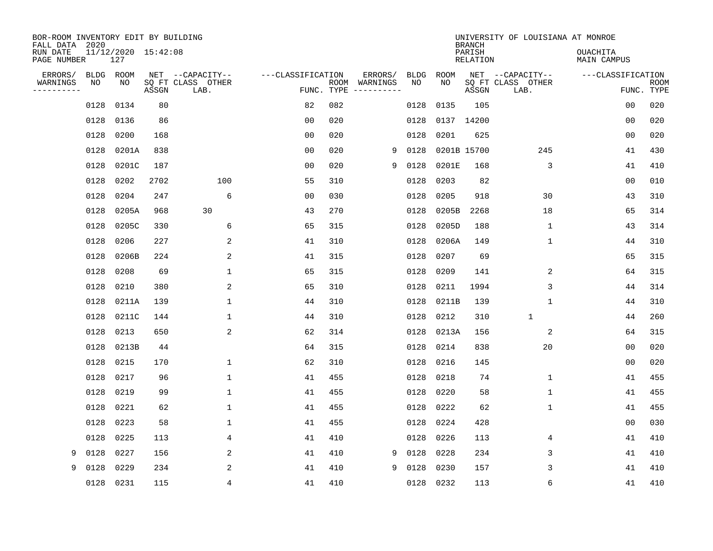| BOR-ROOM INVENTORY EDIT BY BUILDING<br>FALL DATA 2020 |                   |                            |       |                           |                   |      |                         |                   |             | <b>BRANCH</b>             | UNIVERSITY OF LOUISIANA AT MONROE |                         |             |
|-------------------------------------------------------|-------------------|----------------------------|-------|---------------------------|-------------------|------|-------------------------|-------------------|-------------|---------------------------|-----------------------------------|-------------------------|-------------|
| RUN DATE<br>PAGE NUMBER                               |                   | 11/12/2020 15:42:08<br>127 |       |                           |                   |      |                         |                   |             | PARISH<br><b>RELATION</b> |                                   | OUACHITA<br>MAIN CAMPUS |             |
| ERRORS/                                               | <b>BLDG</b><br>NO | ROOM                       |       | NET --CAPACITY--          | ---CLASSIFICATION |      | ERRORS/                 | <b>BLDG</b><br>NO | ROOM<br>NO  |                           | NET --CAPACITY--                  | ---CLASSIFICATION       |             |
| WARNINGS<br>----------                                |                   | NO                         | ASSGN | SQ FT CLASS OTHER<br>LAB. | FUNC. TYPE        | ROOM | WARNINGS<br>----------- |                   |             | ASSGN                     | SQ FT CLASS OTHER<br>LAB.         | FUNC. TYPE              | <b>ROOM</b> |
|                                                       | 0128              | 0134                       | 80    |                           | 82                | 082  |                         | 0128              | 0135        | 105                       |                                   | 00                      | 020         |
|                                                       | 0128              | 0136                       | 86    |                           | 0 <sub>0</sub>    | 020  |                         | 0128              | 0137        | 14200                     |                                   | 00                      | 020         |
|                                                       | 0128              | 0200                       | 168   |                           | 0 <sub>0</sub>    | 020  |                         | 0128              | 0201        | 625                       |                                   | 00                      | 020         |
|                                                       | 0128              | 0201A                      | 838   |                           | 0 <sub>0</sub>    | 020  | 9                       | 0128              | 0201B 15700 |                           | 245                               | 41                      | 430         |
|                                                       | 0128              | 0201C                      | 187   |                           | 0 <sub>0</sub>    | 020  | 9                       | 0128              | 0201E       | 168                       | 3                                 | 41                      | 410         |
|                                                       | 0128              | 0202                       | 2702  | 100                       | 55                | 310  |                         | 0128              | 0203        | 82                        |                                   | 00                      | 010         |
|                                                       | 0128              | 0204                       | 247   | 6                         | 0 <sub>0</sub>    | 030  |                         | 0128              | 0205        | 918                       | 30                                | 43                      | 310         |
|                                                       | 0128              | 0205A                      | 968   | 30                        | 43                | 270  |                         | 0128              | 0205B       | 2268                      | 18                                | 65                      | 314         |
|                                                       | 0128              | 0205C                      | 330   | 6                         | 65                | 315  |                         | 0128              | 0205D       | 188                       | $\mathbf 1$                       | 43                      | 314         |
|                                                       | 0128              | 0206                       | 227   | 2                         | 41                | 310  |                         | 0128              | 0206A       | 149                       | 1                                 | 44                      | 310         |
|                                                       | 0128              | 0206B                      | 224   | 2                         | 41                | 315  |                         | 0128              | 0207        | 69                        |                                   | 65                      | 315         |
|                                                       | 0128              | 0208                       | 69    | $\mathbf 1$               | 65                | 315  |                         | 0128              | 0209        | 141                       | 2                                 | 64                      | 315         |
|                                                       | 0128              | 0210                       | 380   | 2                         | 65                | 310  |                         | 0128              | 0211        | 1994                      | 3                                 | 44                      | 314         |
|                                                       | 0128              | 0211A                      | 139   | 1                         | 44                | 310  |                         | 0128              | 0211B       | 139                       | $\mathbf 1$                       | 44                      | 310         |
|                                                       | 0128              | 0211C                      | 144   | 1                         | 44                | 310  |                         | 0128              | 0212        | 310                       | $\mathbf{1}$                      | 44                      | 260         |
|                                                       | 0128              | 0213                       | 650   | $\overline{2}$            | 62                | 314  |                         | 0128              | 0213A       | 156                       | 2                                 | 64                      | 315         |
|                                                       | 0128              | 0213B                      | 44    |                           | 64                | 315  |                         | 0128              | 0214        | 838                       | 20                                | 00                      | 020         |
|                                                       | 0128              | 0215                       | 170   | 1                         | 62                | 310  |                         | 0128              | 0216        | 145                       |                                   | 00                      | 020         |
|                                                       | 0128              | 0217                       | 96    | 1                         | 41                | 455  |                         | 0128              | 0218        | 74                        | 1                                 | 41                      | 455         |
|                                                       | 0128              | 0219                       | 99    | 1                         | 41                | 455  |                         | 0128              | 0220        | 58                        | $1\,$                             | 41                      | 455         |
|                                                       | 0128              | 0221                       | 62    | $\mathbf 1$               | 41                | 455  |                         | 0128              | 0222        | 62                        | $1\,$                             | 41                      | 455         |
|                                                       | 0128              | 0223                       | 58    | $\mathbf 1$               | 41                | 455  |                         | 0128              | 0224        | 428                       |                                   | 00                      | 030         |
|                                                       | 0128              | 0225                       | 113   | $\overline{4}$            | 41                | 410  |                         | 0128              | 0226        | 113                       | 4                                 | 41                      | 410         |
| 9                                                     | 0128              | 0227                       | 156   | 2                         | 41                | 410  | 9                       | 0128              | 0228        | 234                       | 3                                 | 41                      | 410         |
| 9                                                     | 0128              | 0229                       | 234   | $\overline{a}$            | 41                | 410  | 9                       | 0128              | 0230        | 157                       | 3                                 | 41                      | 410         |
|                                                       | 0128              | 0231                       | 115   | 4                         | 41                | 410  |                         | 0128              | 0232        | 113                       | 6                                 | 41                      | 410         |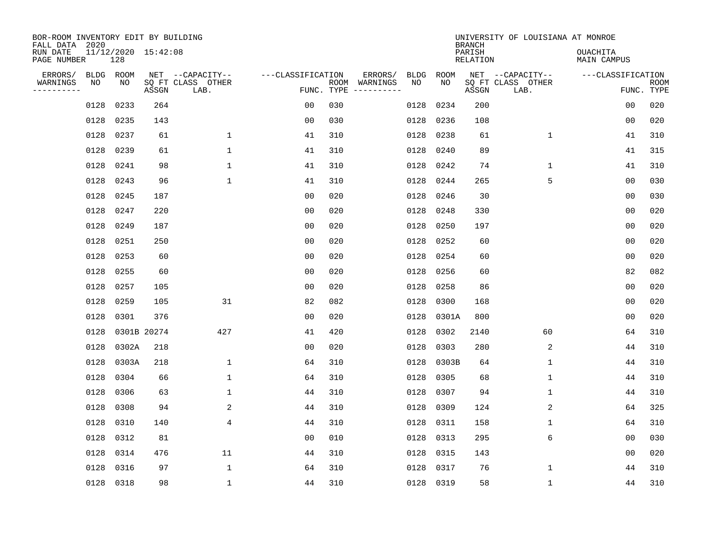| BOR-ROOM INVENTORY EDIT BY BUILDING<br>FALL DATA 2020 |                            |             |                                               |                   |            |                          |            |             | <b>BRANCH</b>      | UNIVERSITY OF LOUISIANA AT MONROE             |                                |                           |
|-------------------------------------------------------|----------------------------|-------------|-----------------------------------------------|-------------------|------------|--------------------------|------------|-------------|--------------------|-----------------------------------------------|--------------------------------|---------------------------|
| RUN DATE<br>PAGE NUMBER                               | 11/12/2020 15:42:08<br>128 |             |                                               |                   |            |                          |            |             | PARISH<br>RELATION |                                               | <b>OUACHITA</b><br>MAIN CAMPUS |                           |
| ERRORS/<br>WARNINGS<br>NO<br>---------                | BLDG ROOM<br>NO            | ASSGN       | NET --CAPACITY--<br>SQ FT CLASS OTHER<br>LAB. | ---CLASSIFICATION | FUNC. TYPE | ERRORS/<br>ROOM WARNINGS | BLDG<br>NO | ROOM<br>NO. | ASSGN              | NET --CAPACITY--<br>SQ FT CLASS OTHER<br>LAB. | ---CLASSIFICATION              | <b>ROOM</b><br>FUNC. TYPE |
| 0128                                                  | 0233                       | 264         |                                               | 00                | 030        |                          | 0128       | 0234        | 200                |                                               | 0 <sub>0</sub>                 | 020                       |
| 0128                                                  | 0235                       | 143         |                                               | 0 <sub>0</sub>    | 030        |                          | 0128       | 0236        | 108                |                                               | 0 <sub>0</sub>                 | 020                       |
| 0128                                                  | 0237                       | 61          | $\mathbf{1}$                                  | 41                | 310        |                          | 0128       | 0238        | 61                 | $\mathbf{1}$                                  | 41                             | 310                       |
| 0128                                                  | 0239                       | 61          | $\mathbf{1}$                                  | 41                | 310        |                          | 0128       | 0240        | 89                 |                                               | 41                             | 315                       |
| 0128                                                  | 0241                       | 98          | $\mathbf{1}$                                  | 41                | 310        |                          | 0128       | 0242        | 74                 | $\mathbf 1$                                   | 41                             | 310                       |
| 0128                                                  | 0243                       | 96          | $\mathbf 1$                                   | 41                | 310        |                          | 0128       | 0244        | 265                | 5                                             | 0 <sub>0</sub>                 | 030                       |
| 0128                                                  | 0245                       | 187         |                                               | 00                | 020        |                          | 0128       | 0246        | 30                 |                                               | 0 <sub>0</sub>                 | 030                       |
| 0128                                                  | 0247                       | 220         |                                               | 0 <sub>0</sub>    | 020        |                          | 0128       | 0248        | 330                |                                               | 0 <sub>0</sub>                 | 020                       |
| 0128                                                  | 0249                       | 187         |                                               | 0 <sub>0</sub>    | 020        |                          | 0128       | 0250        | 197                |                                               | 0 <sub>0</sub>                 | 020                       |
| 0128                                                  | 0251                       | 250         |                                               | 0 <sub>0</sub>    | 020        |                          | 0128       | 0252        | 60                 |                                               | 0 <sub>0</sub>                 | 020                       |
| 0128                                                  | 0253                       | 60          |                                               | 0 <sub>0</sub>    | 020        |                          | 0128       | 0254        | 60                 |                                               | 0 <sub>0</sub>                 | 020                       |
| 0128                                                  | 0255                       | 60          |                                               | 0 <sub>0</sub>    | 020        |                          | 0128       | 0256        | 60                 |                                               | 82                             | 082                       |
| 0128                                                  | 0257                       | 105         |                                               | 0 <sub>0</sub>    | 020        |                          | 0128       | 0258        | 86                 |                                               | 0 <sub>0</sub>                 | 020                       |
| 0128                                                  | 0259                       | 105         | 31                                            | 82                | 082        |                          | 0128       | 0300        | 168                |                                               | 0 <sub>0</sub>                 | 020                       |
| 0128                                                  | 0301                       | 376         |                                               | 0 <sub>0</sub>    | 020        |                          | 0128       | 0301A       | 800                |                                               | 0 <sub>0</sub>                 | 020                       |
| 0128                                                  |                            | 0301B 20274 | 427                                           | 41                | 420        |                          | 0128       | 0302        | 2140               | 60                                            | 64                             | 310                       |
| 0128                                                  | 0302A                      | 218         |                                               | 0 <sub>0</sub>    | 020        |                          | 0128       | 0303        | 280                | 2                                             | 44                             | 310                       |
| 0128                                                  | 0303A                      | 218         | $\mathbf 1$                                   | 64                | 310        |                          | 0128       | 0303B       | 64                 | 1                                             | 44                             | 310                       |
| 0128                                                  | 0304                       | 66          | $\mathbf 1$                                   | 64                | 310        |                          | 0128       | 0305        | 68                 | 1                                             | 44                             | 310                       |
| 0128                                                  | 0306                       | 63          | $\mathbf 1$                                   | 44                | 310        |                          | 0128       | 0307        | 94                 | $\mathbf 1$                                   | 44                             | 310                       |
| 0128                                                  | 0308                       | 94          | 2                                             | 44                | 310        |                          | 0128       | 0309        | 124                | 2                                             | 64                             | 325                       |
| 0128                                                  | 0310                       | 140         | 4                                             | 44                | 310        |                          | 0128       | 0311        | 158                | $\mathbf 1$                                   | 64                             | 310                       |
| 0128                                                  | 0312                       | 81          |                                               | 0 <sub>0</sub>    | 010        |                          | 0128       | 0313        | 295                | 6                                             | 0 <sub>0</sub>                 | 030                       |
| 0128                                                  | 0314                       | 476         | 11                                            | 44                | 310        |                          | 0128       | 0315        | 143                |                                               | 0 <sub>0</sub>                 | 020                       |
| 0128                                                  | 0316                       | 97          | $\mathbf{1}$                                  | 64                | 310        |                          | 0128       | 0317        | 76                 | 1                                             | 44                             | 310                       |
|                                                       | 0128 0318                  | 98          | $\mathbf{1}$                                  | 44                | 310        |                          |            | 0128 0319   | 58                 | $\mathbf 1$                                   | 44                             | 310                       |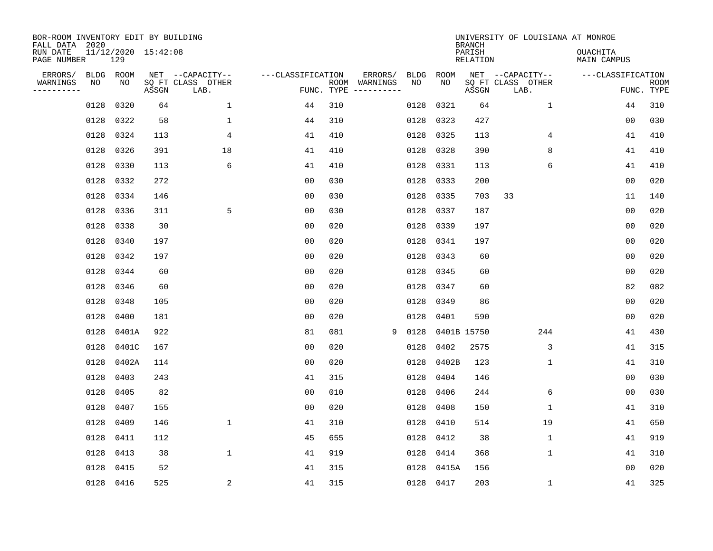| BOR-ROOM INVENTORY EDIT BY BUILDING<br>FALL DATA 2020 |           |           |                     |                           |                   |            |               |      |            | <b>BRANCH</b>      | UNIVERSITY OF LOUISIANA AT MONROE |                                |                           |
|-------------------------------------------------------|-----------|-----------|---------------------|---------------------------|-------------------|------------|---------------|------|------------|--------------------|-----------------------------------|--------------------------------|---------------------------|
| RUN DATE<br>PAGE NUMBER                               |           | 129       | 11/12/2020 15:42:08 |                           |                   |            |               |      |            | PARISH<br>RELATION |                                   | <b>OUACHITA</b><br>MAIN CAMPUS |                           |
| ERRORS/                                               | BLDG ROOM | NO        |                     | NET --CAPACITY--          | ---CLASSIFICATION |            | ERRORS/       | BLDG | ROOM<br>NO |                    | NET --CAPACITY--                  | ---CLASSIFICATION              |                           |
| WARNINGS<br>. <u>.</u>                                | NO        |           | ASSGN               | SQ FT CLASS OTHER<br>LAB. |                   | FUNC. TYPE | ROOM WARNINGS | NO   |            | ASSGN              | SQ FT CLASS OTHER<br>LAB.         |                                | <b>ROOM</b><br>FUNC. TYPE |
|                                                       | 0128      | 0320      | 64                  | $\mathbf{1}$              | 44                | 310        |               | 0128 | 0321       | 64                 | $\mathbf{1}$                      | 44                             | 310                       |
|                                                       | 0128 0322 |           | 58                  | $\mathbf{1}$              | 44                | 310        |               | 0128 | 0323       | 427                |                                   | 00                             | 030                       |
|                                                       | 0128      | 0324      | 113                 | $\overline{4}$            | 41                | 410        |               | 0128 | 0325       | 113                | 4                                 | 41                             | 410                       |
|                                                       | 0128      | 0326      | 391                 | 18                        | 41                | 410        |               | 0128 | 0328       | 390                | 8                                 | 41                             | 410                       |
|                                                       | 0128      | 0330      | 113                 | 6                         | 41                | 410        |               | 0128 | 0331       | 113                | 6                                 | 41                             | 410                       |
|                                                       | 0128 0332 |           | 272                 |                           | 0 <sub>0</sub>    | 030        |               | 0128 | 0333       | 200                |                                   | 0 <sub>0</sub>                 | 020                       |
|                                                       |           | 0128 0334 | 146                 |                           | 0 <sub>0</sub>    | 030        |               | 0128 | 0335       | 703                | 33                                | 11                             | 140                       |
|                                                       | 0128 0336 |           | 311                 | 5                         | 0 <sub>0</sub>    | 030        |               | 0128 | 0337       | 187                |                                   | 0 <sub>0</sub>                 | 020                       |
|                                                       | 0128      | 0338      | 30                  |                           | 0 <sub>0</sub>    | 020        |               | 0128 | 0339       | 197                |                                   | 0 <sub>0</sub>                 | 020                       |
|                                                       | 0128      | 0340      | 197                 |                           | 0 <sub>0</sub>    | 020        |               | 0128 | 0341       | 197                |                                   | 0 <sub>0</sub>                 | 020                       |
|                                                       | 0128      | 0342      | 197                 |                           | 0 <sub>0</sub>    | 020        |               | 0128 | 0343       | 60                 |                                   | 0 <sub>0</sub>                 | 020                       |
|                                                       | 0128      | 0344      | 60                  |                           | 0 <sub>0</sub>    | 020        |               | 0128 | 0345       | 60                 |                                   | 0 <sub>0</sub>                 | 020                       |
|                                                       | 0128      | 0346      | 60                  |                           | 0 <sub>0</sub>    | 020        |               | 0128 | 0347       | 60                 |                                   | 82                             | 082                       |
|                                                       | 0128      | 0348      | 105                 |                           | 0 <sub>0</sub>    | 020        |               | 0128 | 0349       | 86                 |                                   | 0 <sub>0</sub>                 | 020                       |
|                                                       | 0128      | 0400      | 181                 |                           | 0 <sub>0</sub>    | 020        |               | 0128 | 0401       | 590                |                                   | 0 <sub>0</sub>                 | 020                       |
|                                                       | 0128      | 0401A     | 922                 |                           | 81                | 081        | 9             | 0128 |            | 0401B 15750        | 244                               | 41                             | 430                       |
|                                                       | 0128      | 0401C     | 167                 |                           | 0 <sub>0</sub>    | 020        |               | 0128 | 0402       | 2575               | 3                                 | 41                             | 315                       |
|                                                       | 0128      | 0402A     | 114                 |                           | 0 <sub>0</sub>    | 020        |               | 0128 | 0402B      | 123                | 1                                 | 41                             | 310                       |
|                                                       | 0128      | 0403      | 243                 |                           | 41                | 315        |               | 0128 | 0404       | 146                |                                   | 0 <sub>0</sub>                 | 030                       |
|                                                       | 0128      | 0405      | 82                  |                           | 0 <sub>0</sub>    | 010        |               | 0128 | 0406       | 244                | 6                                 | 0 <sub>0</sub>                 | 030                       |
|                                                       | 0128      | 0407      | 155                 |                           | 0 <sub>0</sub>    | 020        |               | 0128 | 0408       | 150                | 1                                 | 41                             | 310                       |
|                                                       | 0128      | 0409      | 146                 | $\mathbf 1$               | 41                | 310        |               | 0128 | 0410       | 514                | 19                                | 41                             | 650                       |
|                                                       | 0128      | 0411      | 112                 |                           | 45                | 655        |               | 0128 | 0412       | 38                 | 1                                 | 41                             | 919                       |
|                                                       | 0128      | 0413      | 38                  | $\mathbf{1}$              | 41                | 919        |               | 0128 | 0414       | 368                | $\mathbf 1$                       | 41                             | 310                       |
|                                                       | 0128      | 0415      | 52                  |                           | 41                | 315        |               | 0128 | 0415A      | 156                |                                   | 00                             | 020                       |
|                                                       | 0128 0416 |           | 525                 | $\overline{a}$            | 41                | 315        |               |      | 0128 0417  | 203                | 1                                 | 41                             | 325                       |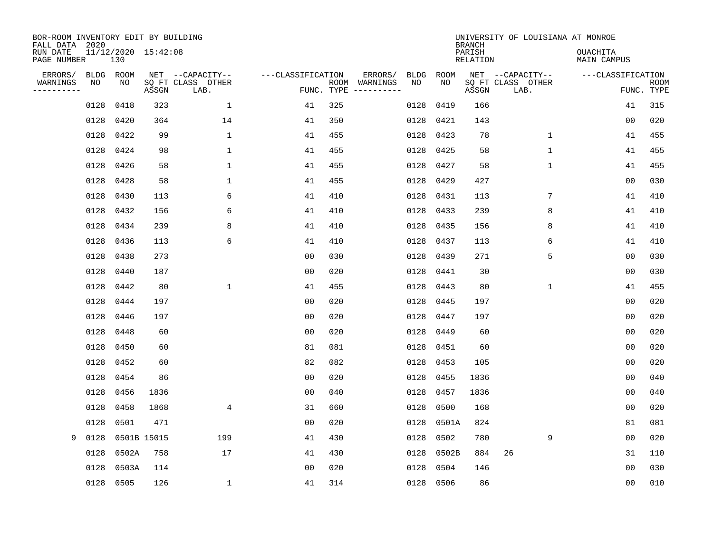| BOR-ROOM INVENTORY EDIT BY BUILDING<br>FALL DATA 2020<br>RUN DATE |                   | 11/12/2020 15:42:08 |       |                                               |                   |            |                                                                                                                                                                                                                                                                                                                                                                                                                                                                                     |                   |            | <b>BRANCH</b><br>PARISH | UNIVERSITY OF LOUISIANA AT MONROE             | <b>OUACHITA</b>                 |      |
|-------------------------------------------------------------------|-------------------|---------------------|-------|-----------------------------------------------|-------------------|------------|-------------------------------------------------------------------------------------------------------------------------------------------------------------------------------------------------------------------------------------------------------------------------------------------------------------------------------------------------------------------------------------------------------------------------------------------------------------------------------------|-------------------|------------|-------------------------|-----------------------------------------------|---------------------------------|------|
| PAGE NUMBER                                                       |                   | 130                 |       |                                               |                   |            |                                                                                                                                                                                                                                                                                                                                                                                                                                                                                     |                   |            | <b>RELATION</b>         |                                               | MAIN CAMPUS                     |      |
| ERRORS/<br>WARNINGS<br>----------                                 | <b>BLDG</b><br>NO | ROOM<br>NO          | ASSGN | NET --CAPACITY--<br>SQ FT CLASS OTHER<br>LAB. | ---CLASSIFICATION | FUNC. TYPE | ERRORS/<br>ROOM WARNINGS<br>$\begin{tabular}{ccccccccc} \multicolumn{2}{c }{\textbf{1} } & \multicolumn{2}{c }{\textbf{2} } & \multicolumn{2}{c }{\textbf{3} } & \multicolumn{2}{c }{\textbf{4} } & \multicolumn{2}{c }{\textbf{5} } & \multicolumn{2}{c }{\textbf{6} } & \multicolumn{2}{c }{\textbf{7} } & \multicolumn{2}{c }{\textbf{8} } & \multicolumn{2}{c }{\textbf{9} } & \multicolumn{2}{c }{\textbf{1} } & \multicolumn{2}{c }{\textbf{1} } & \multicolumn{2}{c }{\text$ | <b>BLDG</b><br>NO | ROOM<br>NO | ASSGN                   | NET --CAPACITY--<br>SQ FT CLASS OTHER<br>LAB. | ---CLASSIFICATION<br>FUNC. TYPE | ROOM |
|                                                                   | 0128              | 0418                | 323   | $\mathbf{1}$                                  | 41                | 325        |                                                                                                                                                                                                                                                                                                                                                                                                                                                                                     | 0128              | 0419       | 166                     |                                               | 41                              | 315  |
|                                                                   | 0128              | 0420                | 364   | 14                                            | 41                | 350        |                                                                                                                                                                                                                                                                                                                                                                                                                                                                                     | 0128              | 0421       | 143                     |                                               | 0 <sub>0</sub>                  | 020  |
|                                                                   | 0128              | 0422                | 99    | $\mathbf 1$                                   | 41                | 455        |                                                                                                                                                                                                                                                                                                                                                                                                                                                                                     | 0128              | 0423       | 78                      | $\mathbf 1$                                   | 41                              | 455  |
|                                                                   | 0128              | 0424                | 98    | 1                                             | 41                | 455        |                                                                                                                                                                                                                                                                                                                                                                                                                                                                                     | 0128              | 0425       | 58                      | $\mathbf{1}$                                  | 41                              | 455  |
|                                                                   | 0128              | 0426                | 58    | $\mathbf{1}$                                  | 41                | 455        |                                                                                                                                                                                                                                                                                                                                                                                                                                                                                     | 0128              | 0427       | 58                      | $\mathbf{1}$                                  | 41                              | 455  |
|                                                                   | 0128              | 0428                | 58    | $\mathbf 1$                                   | 41                | 455        |                                                                                                                                                                                                                                                                                                                                                                                                                                                                                     | 0128              | 0429       | 427                     |                                               | 0 <sub>0</sub>                  | 030  |
|                                                                   | 0128              | 0430                | 113   | 6                                             | 41                | 410        |                                                                                                                                                                                                                                                                                                                                                                                                                                                                                     |                   | 0128 0431  | 113                     | 7                                             | 41                              | 410  |
|                                                                   | 0128              | 0432                | 156   | 6                                             | 41                | 410        |                                                                                                                                                                                                                                                                                                                                                                                                                                                                                     | 0128              | 0433       | 239                     | 8                                             | 41                              | 410  |
|                                                                   | 0128              | 0434                | 239   | 8                                             | 41                | 410        |                                                                                                                                                                                                                                                                                                                                                                                                                                                                                     |                   | 0128 0435  | 156                     | 8                                             | 41                              | 410  |
|                                                                   | 0128              | 0436                | 113   | 6                                             | 41                | 410        |                                                                                                                                                                                                                                                                                                                                                                                                                                                                                     |                   | 0128 0437  | 113                     | 6                                             | 41                              | 410  |
|                                                                   | 0128              | 0438                | 273   |                                               | 0 <sub>0</sub>    | 030        |                                                                                                                                                                                                                                                                                                                                                                                                                                                                                     |                   | 0128 0439  | 271                     | 5                                             | 0 <sub>0</sub>                  | 030  |
|                                                                   | 0128              | 0440                | 187   |                                               | 0 <sub>0</sub>    | 020        |                                                                                                                                                                                                                                                                                                                                                                                                                                                                                     |                   | 0128 0441  | 30                      |                                               | 0 <sub>0</sub>                  | 030  |
|                                                                   | 0128              | 0442                | 80    | $\mathbf{1}$                                  | 41                | 455        |                                                                                                                                                                                                                                                                                                                                                                                                                                                                                     | 0128              | 0443       | 80                      | $\mathbf{1}$                                  | 41                              | 455  |
|                                                                   | 0128              | 0444                | 197   |                                               | 0 <sub>0</sub>    | 020        |                                                                                                                                                                                                                                                                                                                                                                                                                                                                                     | 0128              | 0445       | 197                     |                                               | 0 <sub>0</sub>                  | 020  |
|                                                                   | 0128              | 0446                | 197   |                                               | 00                | 020        |                                                                                                                                                                                                                                                                                                                                                                                                                                                                                     |                   | 0128 0447  | 197                     |                                               | 0 <sub>0</sub>                  | 020  |
|                                                                   | 0128              | 0448                | 60    |                                               | 00                | 020        |                                                                                                                                                                                                                                                                                                                                                                                                                                                                                     | 0128              | 0449       | 60                      |                                               | 00                              | 020  |
|                                                                   | 0128              | 0450                | 60    |                                               | 81                | 081        |                                                                                                                                                                                                                                                                                                                                                                                                                                                                                     | 0128              | 0451       | 60                      |                                               | 0 <sub>0</sub>                  | 020  |
|                                                                   | 0128              | 0452                | 60    |                                               | 82                | 082        |                                                                                                                                                                                                                                                                                                                                                                                                                                                                                     | 0128              | 0453       | 105                     |                                               | 0 <sub>0</sub>                  | 020  |
|                                                                   | 0128              | 0454                | 86    |                                               | 00                | 020        |                                                                                                                                                                                                                                                                                                                                                                                                                                                                                     | 0128              | 0455       | 1836                    |                                               | 00                              | 040  |
|                                                                   | 0128              | 0456                | 1836  |                                               | 0 <sup>0</sup>    | 040        |                                                                                                                                                                                                                                                                                                                                                                                                                                                                                     | 0128              | 0457       | 1836                    |                                               | 00                              | 040  |
|                                                                   | 0128              | 0458                | 1868  | 4                                             | 31                | 660        |                                                                                                                                                                                                                                                                                                                                                                                                                                                                                     | 0128              | 0500       | 168                     |                                               | 0 <sub>0</sub>                  | 020  |
|                                                                   | 0128              | 0501                | 471   |                                               | 0 <sub>0</sub>    | 020        |                                                                                                                                                                                                                                                                                                                                                                                                                                                                                     | 0128              | 0501A      | 824                     |                                               | 81                              | 081  |
| 9                                                                 | 0128              | 0501B 15015         |       | 199                                           | 41                | 430        |                                                                                                                                                                                                                                                                                                                                                                                                                                                                                     | 0128              | 0502       | 780                     | 9                                             | 0 <sub>0</sub>                  | 020  |
|                                                                   | 0128              | 0502A               | 758   | 17                                            | 41                | 430        |                                                                                                                                                                                                                                                                                                                                                                                                                                                                                     | 0128              | 0502B      | 884                     | 26                                            | 31                              | 110  |
|                                                                   | 0128              | 0503A               | 114   |                                               | 0 <sub>0</sub>    | 020        |                                                                                                                                                                                                                                                                                                                                                                                                                                                                                     | 0128              | 0504       | 146                     |                                               | 0 <sub>0</sub>                  | 030  |
|                                                                   |                   | 0128 0505           | 126   | $\mathbf 1$                                   | 41                | 314        |                                                                                                                                                                                                                                                                                                                                                                                                                                                                                     |                   | 0128 0506  | 86                      |                                               | 00                              | 010  |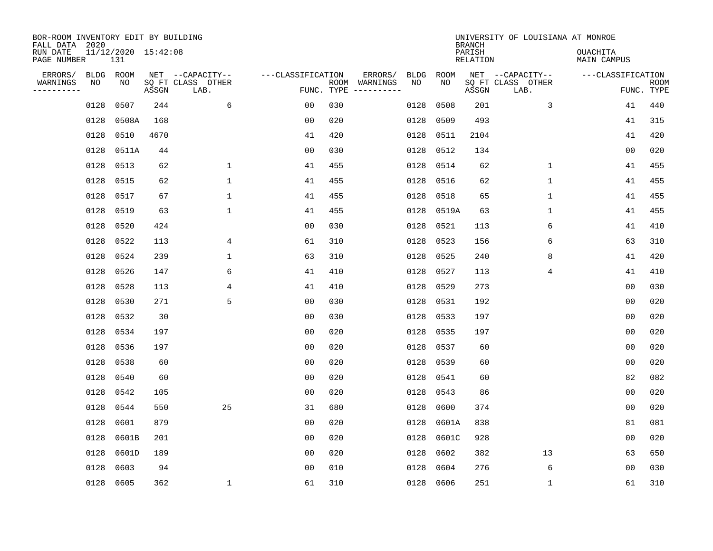| BOR-ROOM INVENTORY EDIT BY BUILDING<br>FALL DATA 2020 |           |                            |       |                           |                   |            |               |      |           | <b>BRANCH</b>             | UNIVERSITY OF LOUISIANA AT MONROE |                                |                           |
|-------------------------------------------------------|-----------|----------------------------|-------|---------------------------|-------------------|------------|---------------|------|-----------|---------------------------|-----------------------------------|--------------------------------|---------------------------|
| RUN DATE<br>PAGE NUMBER                               |           | 11/12/2020 15:42:08<br>131 |       |                           |                   |            |               |      |           | PARISH<br><b>RELATION</b> |                                   | OUACHITA<br><b>MAIN CAMPUS</b> |                           |
| ERRORS/                                               | BLDG ROOM |                            |       | NET --CAPACITY--          | ---CLASSIFICATION |            | ERRORS/       | BLDG | ROOM      |                           | NET --CAPACITY--                  | ---CLASSIFICATION              |                           |
| WARNINGS<br>----------                                | NO        | NO                         | ASSGN | SQ FT CLASS OTHER<br>LAB. |                   | FUNC. TYPE | ROOM WARNINGS | NO   | NO        | ASSGN                     | SQ FT CLASS OTHER<br>LAB.         |                                | <b>ROOM</b><br>FUNC. TYPE |
|                                                       | 0128      | 0507                       | 244   | 6                         | 0 <sub>0</sub>    | 030        |               | 0128 | 0508      | 201                       | 3                                 | 41                             | 440                       |
|                                                       | 0128      | 0508A                      | 168   |                           | 00                | 020        |               | 0128 | 0509      | 493                       |                                   | 41                             | 315                       |
|                                                       | 0128      | 0510                       | 4670  |                           | 41                | 420        |               | 0128 | 0511      | 2104                      |                                   | 41                             | 420                       |
|                                                       | 0128      | 0511A                      | 44    |                           | 0 <sub>0</sub>    | 030        |               | 0128 | 0512      | 134                       |                                   | 00                             | 020                       |
|                                                       | 0128      | 0513                       | 62    | $\mathbf{1}$              | 41                | 455        |               | 0128 | 0514      | 62                        | $\mathbf 1$                       | 41                             | 455                       |
|                                                       | 0128      | 0515                       | 62    | $\mathbf 1$               | 41                | 455        |               | 0128 | 0516      | 62                        | $\mathbf{1}$                      | 41                             | 455                       |
|                                                       | 0128      | 0517                       | 67    | $\mathbf{1}$              | 41                | 455        |               | 0128 | 0518      | 65                        | $\mathbf{1}$                      | 41                             | 455                       |
|                                                       | 0128      | 0519                       | 63    | $\mathbf{1}$              | 41                | 455        |               | 0128 | 0519A     | 63                        | $\mathbf{1}$                      | 41                             | 455                       |
|                                                       | 0128      | 0520                       | 424   |                           | 0 <sub>0</sub>    | 030        |               | 0128 | 0521      | 113                       | 6                                 | 41                             | 410                       |
|                                                       | 0128      | 0522                       | 113   | 4                         | 61                | 310        |               | 0128 | 0523      | 156                       | 6                                 | 63                             | 310                       |
|                                                       | 0128      | 0524                       | 239   | $\mathbf{1}$              | 63                | 310        |               | 0128 | 0525      | 240                       | 8                                 | 41                             | 420                       |
|                                                       | 0128      | 0526                       | 147   | 6                         | 41                | 410        |               | 0128 | 0527      | 113                       | 4                                 | 41                             | 410                       |
|                                                       | 0128      | 0528                       | 113   | 4                         | 41                | 410        |               | 0128 | 0529      | 273                       |                                   | 0 <sub>0</sub>                 | 030                       |
|                                                       | 0128      | 0530                       | 271   | 5                         | 0 <sub>0</sub>    | 030        |               | 0128 | 0531      | 192                       |                                   | 0 <sub>0</sub>                 | 020                       |
|                                                       | 0128      | 0532                       | 30    |                           | 00                | 030        |               | 0128 | 0533      | 197                       |                                   | 0 <sub>0</sub>                 | 020                       |
|                                                       | 0128      | 0534                       | 197   |                           | 0 <sub>0</sub>    | 020        |               | 0128 | 0535      | 197                       |                                   | 0 <sub>0</sub>                 | 020                       |
|                                                       | 0128      | 0536                       | 197   |                           | 0 <sub>0</sub>    | 020        |               | 0128 | 0537      | 60                        |                                   | 0 <sub>0</sub>                 | 020                       |
|                                                       | 0128      | 0538                       | 60    |                           | 0 <sub>0</sub>    | 020        |               | 0128 | 0539      | 60                        |                                   | 0 <sub>0</sub>                 | 020                       |
|                                                       | 0128      | 0540                       | 60    |                           | 0 <sub>0</sub>    | 020        |               | 0128 | 0541      | 60                        |                                   | 82                             | 082                       |
|                                                       | 0128      | 0542                       | 105   |                           | 0 <sub>0</sub>    | 020        |               | 0128 | 0543      | 86                        |                                   | 0 <sub>0</sub>                 | 020                       |
|                                                       | 0128      | 0544                       | 550   | 25                        | 31                | 680        |               | 0128 | 0600      | 374                       |                                   | 0 <sub>0</sub>                 | 020                       |
|                                                       | 0128      | 0601                       | 879   |                           | 0 <sub>0</sub>    | 020        |               | 0128 | 0601A     | 838                       |                                   | 81                             | 081                       |
|                                                       | 0128      | 0601B                      | 201   |                           | 0 <sub>0</sub>    | 020        |               | 0128 | 0601C     | 928                       |                                   | 0 <sub>0</sub>                 | 020                       |
|                                                       | 0128      | 0601D                      | 189   |                           | 0 <sub>0</sub>    | 020        |               | 0128 | 0602      | 382                       | 13                                | 63                             | 650                       |
|                                                       | 0128      | 0603                       | 94    |                           | 0 <sub>0</sub>    | 010        |               | 0128 | 0604      | 276                       | 6                                 | 00                             | 030                       |
|                                                       | 0128 0605 |                            | 362   | 1                         | 61                | 310        |               |      | 0128 0606 | 251                       | 1                                 | 61                             | 310                       |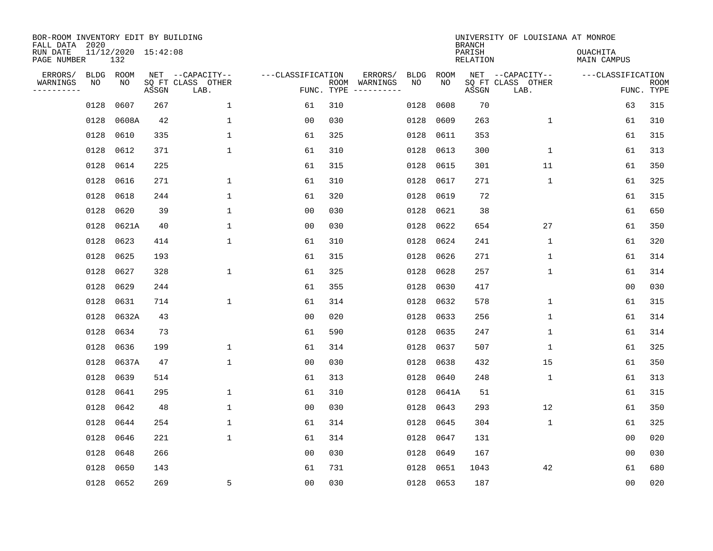| BOR-ROOM INVENTORY EDIT BY BUILDING<br>FALL DATA 2020 |                 |                            |       |                                               |                   |                    |                     |                   |            | <b>BRANCH</b>      | UNIVERSITY OF LOUISIANA AT MONROE             |                                |                           |
|-------------------------------------------------------|-----------------|----------------------------|-------|-----------------------------------------------|-------------------|--------------------|---------------------|-------------------|------------|--------------------|-----------------------------------------------|--------------------------------|---------------------------|
| RUN DATE<br>PAGE NUMBER                               |                 | 11/12/2020 15:42:08<br>132 |       |                                               |                   |                    |                     |                   |            | PARISH<br>RELATION |                                               | <b>OUACHITA</b><br>MAIN CAMPUS |                           |
| ERRORS/<br>WARNINGS<br>---------                      | BLDG ROOM<br>NO | NO                         | ASSGN | NET --CAPACITY--<br>SQ FT CLASS OTHER<br>LAB. | ---CLASSIFICATION | ROOM<br>FUNC. TYPE | ERRORS/<br>WARNINGS | <b>BLDG</b><br>NO | ROOM<br>NO | ASSGN              | NET --CAPACITY--<br>SQ FT CLASS OTHER<br>LAB. | ---CLASSIFICATION              | <b>ROOM</b><br>FUNC. TYPE |
|                                                       | 0128            | 0607                       | 267   | $\mathbf{1}$                                  | 61                | 310                |                     | 0128              | 0608       | 70                 |                                               | 63                             | 315                       |
|                                                       | 0128            | 0608A                      | 42    | $\mathbf 1$                                   | 0 <sub>0</sub>    | 030                |                     | 0128              | 0609       | 263                | $\mathbf 1$                                   | 61                             | 310                       |
|                                                       | 0128            | 0610                       | 335   | $\mathbf{1}$                                  | 61                | 325                |                     | 0128              | 0611       | 353                |                                               | 61                             | 315                       |
|                                                       | 0128            | 0612                       | 371   | $\mathbf{1}$                                  | 61                | 310                |                     | 0128              | 0613       | 300                | $\mathbf{1}$                                  | 61                             | 313                       |
|                                                       | 0128            | 0614                       | 225   |                                               | 61                | 315                |                     | 0128              | 0615       | 301                | 11                                            | 61                             | 350                       |
|                                                       | 0128            | 0616                       | 271   | $\mathbf{1}$                                  | 61                | 310                |                     | 0128              | 0617       | 271                | $\mathbf{1}$                                  | 61                             | 325                       |
|                                                       | 0128            | 0618                       | 244   | $\mathbf{1}$                                  | 61                | 320                |                     | 0128              | 0619       | 72                 |                                               | 61                             | 315                       |
|                                                       | 0128            | 0620                       | 39    | $\mathbf{1}$                                  | 0 <sub>0</sub>    | 030                |                     | 0128              | 0621       | 38                 |                                               | 61                             | 650                       |
|                                                       | 0128            | 0621A                      | 40    | $\mathbf{1}$                                  | 0 <sub>0</sub>    | 030                |                     | 0128              | 0622       | 654                | 27                                            | 61                             | 350                       |
|                                                       | 0128            | 0623                       | 414   | 1                                             | 61                | 310                |                     | 0128              | 0624       | 241                | $\mathbf 1$                                   | 61                             | 320                       |
|                                                       | 0128            | 0625                       | 193   |                                               | 61                | 315                |                     | 0128              | 0626       | 271                | $\mathbf 1$                                   | 61                             | 314                       |
|                                                       | 0128            | 0627                       | 328   | $\mathbf 1$                                   | 61                | 325                |                     | 0128              | 0628       | 257                | $\mathbf 1$                                   | 61                             | 314                       |
|                                                       | 0128            | 0629                       | 244   |                                               | 61                | 355                |                     | 0128              | 0630       | 417                |                                               | 0 <sub>0</sub>                 | 030                       |
|                                                       | 0128            | 0631                       | 714   | $\mathbf 1$                                   | 61                | 314                |                     | 0128              | 0632       | 578                | 1                                             | 61                             | 315                       |
|                                                       | 0128            | 0632A                      | 43    |                                               | 0 <sub>0</sub>    | 020                |                     | 0128              | 0633       | 256                | 1                                             | 61                             | 314                       |
|                                                       | 0128            | 0634                       | 73    |                                               | 61                | 590                |                     | 0128              | 0635       | 247                | 1                                             | 61                             | 314                       |
|                                                       | 0128            | 0636                       | 199   | $\mathbf 1$                                   | 61                | 314                |                     | 0128              | 0637       | 507                | 1                                             | 61                             | 325                       |
|                                                       | 0128            | 0637A                      | 47    | $\mathbf 1$                                   | 0 <sub>0</sub>    | 030                |                     | 0128              | 0638       | 432                | 15                                            | 61                             | 350                       |
|                                                       | 0128            | 0639                       | 514   |                                               | 61                | 313                |                     | 0128              | 0640       | 248                | 1                                             | 61                             | 313                       |
|                                                       | 0128            | 0641                       | 295   | $\mathbf{1}$                                  | 61                | 310                |                     | 0128              | 0641A      | 51                 |                                               | 61                             | 315                       |
|                                                       | 0128            | 0642                       | 48    | $\mathbf{1}$                                  | 0 <sub>0</sub>    | 030                |                     | 0128              | 0643       | 293                | 12                                            | 61                             | 350                       |
|                                                       | 0128            | 0644                       | 254   | $\mathbf{1}$                                  | 61                | 314                |                     | 0128              | 0645       | 304                | $\mathbf{1}$                                  | 61                             | 325                       |
|                                                       | 0128            | 0646                       | 221   | $\mathbf{1}$                                  | 61                | 314                |                     | 0128              | 0647       | 131                |                                               | 00                             | 020                       |
|                                                       | 0128            | 0648                       | 266   |                                               | 0 <sub>0</sub>    | 030                |                     | 0128              | 0649       | 167                |                                               | 00                             | 030                       |
|                                                       | 0128            | 0650                       | 143   |                                               | 61                | 731                |                     | 0128              | 0651       | 1043               | 42                                            | 61                             | 680                       |
|                                                       | 0128 0652       |                            | 269   | 5                                             | 00                | 030                |                     |                   | 0128 0653  | 187                |                                               | 0 <sub>0</sub>                 | 020                       |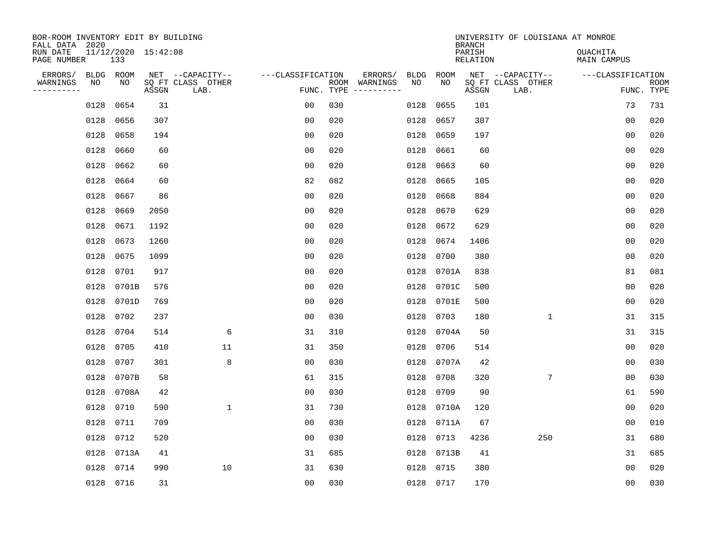| BOR-ROOM INVENTORY EDIT BY BUILDING<br>FALL DATA 2020 |           |                     |                           |                   |            |               |      |           | <b>BRANCH</b>             | UNIVERSITY OF LOUISIANA AT MONROE |                                |                           |
|-------------------------------------------------------|-----------|---------------------|---------------------------|-------------------|------------|---------------|------|-----------|---------------------------|-----------------------------------|--------------------------------|---------------------------|
| RUN DATE<br>PAGE NUMBER                               | 133       | 11/12/2020 15:42:08 |                           |                   |            |               |      |           | PARISH<br><b>RELATION</b> |                                   | <b>OUACHITA</b><br>MAIN CAMPUS |                           |
| ERRORS/                                               | BLDG ROOM |                     | NET --CAPACITY--          | ---CLASSIFICATION |            | ERRORS/       | BLDG | ROOM      |                           | NET --CAPACITY--                  | ---CLASSIFICATION              |                           |
| WARNINGS<br>NO<br>. <u>.</u>                          | ΝO        | ASSGN               | SQ FT CLASS OTHER<br>LAB. |                   | FUNC. TYPE | ROOM WARNINGS | NO   | NO        | ASSGN                     | SQ FT CLASS OTHER<br>LAB.         |                                | <b>ROOM</b><br>FUNC. TYPE |
| 0128                                                  | 0654      | 31                  |                           | 0 <sub>0</sub>    | 030        |               | 0128 | 0655      | 101                       |                                   | 73                             | 731                       |
| 0128                                                  | 0656      | 307                 |                           | 0 <sub>0</sub>    | 020        |               | 0128 | 0657      | 307                       |                                   | 0 <sub>0</sub>                 | 020                       |
| 0128                                                  | 0658      | 194                 |                           | 0 <sub>0</sub>    | 020        |               | 0128 | 0659      | 197                       |                                   | 0 <sub>0</sub>                 | 020                       |
| 0128                                                  | 0660      | 60                  |                           | 0 <sub>0</sub>    | 020        |               | 0128 | 0661      | 60                        |                                   | 0 <sub>0</sub>                 | 020                       |
| 0128                                                  | 0662      | 60                  |                           | 0 <sub>0</sub>    | 020        |               | 0128 | 0663      | 60                        |                                   | 00                             | 020                       |
| 0128                                                  | 0664      | 60                  |                           | 82                | 082        |               | 0128 | 0665      | 105                       |                                   | 0 <sub>0</sub>                 | 020                       |
| 0128                                                  | 0667      | 86                  |                           | 0 <sub>0</sub>    | 020        |               | 0128 | 0668      | 884                       |                                   | 0 <sub>0</sub>                 | 020                       |
| 0128                                                  | 0669      | 2050                |                           | 0 <sub>0</sub>    | 020        |               | 0128 | 0670      | 629                       |                                   | 0 <sub>0</sub>                 | 020                       |
| 0128                                                  | 0671      | 1192                |                           | 0 <sub>0</sub>    | 020        |               | 0128 | 0672      | 629                       |                                   | 0 <sub>0</sub>                 | 020                       |
| 0128                                                  | 0673      | 1260                |                           | 0 <sub>0</sub>    | 020        |               | 0128 | 0674      | 1406                      |                                   | 0 <sub>0</sub>                 | 020                       |
| 0128                                                  | 0675      | 1099                |                           | 0 <sub>0</sub>    | 020        |               | 0128 | 0700      | 380                       |                                   | 0 <sub>0</sub>                 | 020                       |
| 0128                                                  | 0701      | 917                 |                           | 0 <sub>0</sub>    | 020        |               | 0128 | 0701A     | 838                       |                                   | 81                             | 081                       |
| 0128                                                  | 0701B     | 576                 |                           | 0 <sub>0</sub>    | 020        |               | 0128 | 0701C     | 500                       |                                   | 0 <sub>0</sub>                 | 020                       |
| 0128                                                  | 0701D     | 769                 |                           | 0 <sub>0</sub>    | 020        |               | 0128 | 0701E     | 500                       |                                   | 0 <sub>0</sub>                 | 020                       |
| 0128                                                  | 0702      | 237                 |                           | 0 <sub>0</sub>    | 030        |               | 0128 | 0703      | 180                       | $\mathbf{1}$                      | 31                             | 315                       |
| 0128                                                  | 0704      | 514                 | 6                         | 31                | 310        |               | 0128 | 0704A     | 50                        |                                   | 31                             | 315                       |
| 0128                                                  | 0705      | 410                 | 11                        | 31                | 350        |               | 0128 | 0706      | 514                       |                                   | 0 <sub>0</sub>                 | 020                       |
| 0128                                                  | 0707      | 301                 | 8                         | 0 <sub>0</sub>    | 030        |               | 0128 | 0707A     | 42                        |                                   | 0 <sub>0</sub>                 | 030                       |
| 0128                                                  | 0707B     | 58                  |                           | 61                | 315        |               | 0128 | 0708      | 320                       | 7                                 | 0 <sub>0</sub>                 | 030                       |
| 0128                                                  | 0708A     | 42                  |                           | 0 <sub>0</sub>    | 030        |               | 0128 | 0709      | 90                        |                                   | 61                             | 590                       |
| 0128                                                  | 0710      | 590                 | $\mathbf 1$               | 31                | 730        |               | 0128 | 0710A     | 120                       |                                   | 0 <sub>0</sub>                 | 020                       |
| 0128                                                  | 0711      | 709                 |                           | 0 <sub>0</sub>    | 030        |               | 0128 | 0711A     | 67                        |                                   | 0 <sub>0</sub>                 | 010                       |
| 0128                                                  | 0712      | 520                 |                           | 0 <sub>0</sub>    | 030        |               | 0128 | 0713      | 4236                      | 250                               | 31                             | 680                       |
| 0128                                                  | 0713A     | 41                  |                           | 31                | 685        |               | 0128 | 0713B     | 41                        |                                   | 31                             | 685                       |
| 0128                                                  | 0714      | 990                 | 10                        | 31                | 630        |               | 0128 | 0715      | 380                       |                                   | 0 <sub>0</sub>                 | 020                       |
|                                                       | 0128 0716 | 31                  |                           | 0 <sub>0</sub>    | 030        |               |      | 0128 0717 | 170                       |                                   | 0 <sub>0</sub>                 | 030                       |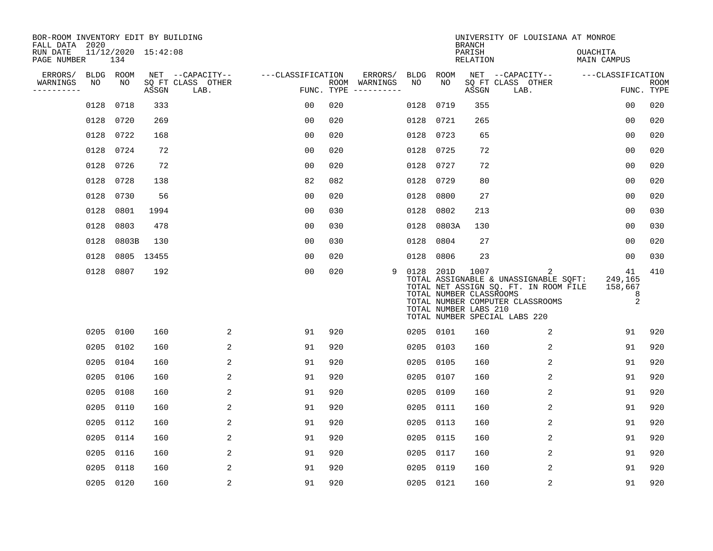| BOR-ROOM INVENTORY EDIT BY BUILDING<br>FALL DATA 2020 |             |           |                     |                           |                   |            |                              |           |                                                  | <b>BRANCH</b>      | UNIVERSITY OF LOUISIANA AT MONROE                                                                                                                        |                                    |                    |
|-------------------------------------------------------|-------------|-----------|---------------------|---------------------------|-------------------|------------|------------------------------|-----------|--------------------------------------------------|--------------------|----------------------------------------------------------------------------------------------------------------------------------------------------------|------------------------------------|--------------------|
| RUN DATE<br>PAGE NUMBER                               |             | 134       | 11/12/2020 15:42:08 |                           |                   |            |                              |           |                                                  | PARISH<br>RELATION |                                                                                                                                                          | OUACHITA<br>MAIN CAMPUS            |                    |
| ERRORS/                                               | <b>BLDG</b> | ROOM      |                     | NET --CAPACITY--          | ---CLASSIFICATION |            | ERRORS/                      | BLDG      | ROOM                                             |                    | NET --CAPACITY--                                                                                                                                         | ---CLASSIFICATION                  |                    |
| WARNINGS<br>----------                                | NO          | NO        | ASSGN               | SQ FT CLASS OTHER<br>LAB. |                   | FUNC. TYPE | ROOM WARNINGS<br>----------- | NO        | NO                                               | ASSGN              | SQ FT CLASS OTHER<br>LAB.                                                                                                                                |                                    | ROOM<br>FUNC. TYPE |
|                                                       | 0128        | 0718      | 333                 |                           | 00                | 020        |                              | 0128      | 0719                                             | 355                |                                                                                                                                                          | 00                                 | 020                |
|                                                       | 0128        | 0720      | 269                 |                           | 00                | 020        |                              | 0128      | 0721                                             | 265                |                                                                                                                                                          | 0 <sub>0</sub>                     | 020                |
|                                                       | 0128        | 0722      | 168                 |                           | 0 <sub>0</sub>    | 020        |                              | 0128      | 0723                                             | 65                 |                                                                                                                                                          | 0 <sub>0</sub>                     | 020                |
|                                                       | 0128        | 0724      | 72                  |                           | 0 <sub>0</sub>    | 020        |                              | 0128      | 0725                                             | 72                 |                                                                                                                                                          | 00                                 | 020                |
|                                                       | 0128        | 0726      | 72                  |                           | 0 <sub>0</sub>    | 020        |                              | 0128      | 0727                                             | 72                 |                                                                                                                                                          | 0 <sub>0</sub>                     | 020                |
|                                                       | 0128        | 0728      | 138                 |                           | 82                | 082        |                              | 0128      | 0729                                             | 80                 |                                                                                                                                                          | 0 <sub>0</sub>                     | 020                |
|                                                       | 0128        | 0730      | 56                  |                           | 0 <sub>0</sub>    | 020        |                              | 0128      | 0800                                             | 27                 |                                                                                                                                                          | 0 <sub>0</sub>                     | 020                |
|                                                       | 0128        | 0801      | 1994                |                           | 0 <sub>0</sub>    | 030        |                              | 0128      | 0802                                             | 213                |                                                                                                                                                          | 0 <sub>0</sub>                     | 030                |
|                                                       | 0128        | 0803      | 478                 |                           | 0 <sub>0</sub>    | 030        |                              | 0128      | 0803A                                            | 130                |                                                                                                                                                          | 0 <sub>0</sub>                     | 030                |
|                                                       | 0128        | 0803B     | 130                 |                           | 0 <sub>0</sub>    | 030        |                              | 0128      | 0804                                             | 27                 |                                                                                                                                                          | 0 <sub>0</sub>                     | 020                |
|                                                       | 0128        |           | 0805 13455          |                           | 0 <sub>0</sub>    | 020        |                              | 0128      | 0806                                             | 23                 |                                                                                                                                                          | 00                                 | 030                |
|                                                       | 0128        | 0807      | 192                 |                           | 0 <sub>0</sub>    | 020        | 9                            | 0128 201D | TOTAL NUMBER CLASSROOMS<br>TOTAL NUMBER LABS 210 | 1007               | 2<br>TOTAL ASSIGNABLE & UNASSIGNABLE SQFT:<br>TOTAL NET ASSIGN SQ. FT. IN ROOM FILE<br>TOTAL NUMBER COMPUTER CLASSROOMS<br>TOTAL NUMBER SPECIAL LABS 220 | 41<br>249,165<br>158,667<br>8<br>2 | 410                |
|                                                       | 0205        | 0100      | 160                 | 2                         | 91                | 920        |                              |           | 0205 0101                                        | 160                | $\overline{2}$                                                                                                                                           | 91                                 | 920                |
|                                                       | 0205        | 0102      | 160                 | 2                         | 91                | 920        |                              | 0205      | 0103                                             | 160                | 2                                                                                                                                                        | 91                                 | 920                |
|                                                       | 0205        | 0104      | 160                 | 2                         | 91                | 920        |                              | 0205      | 0105                                             | 160                | 2                                                                                                                                                        | 91                                 | 920                |
|                                                       | 0205        | 0106      | 160                 | 2                         | 91                | 920        |                              | 0205      | 0107                                             | 160                | 2                                                                                                                                                        | 91                                 | 920                |
|                                                       | 0205        | 0108      | 160                 | 2                         | 91                | 920        |                              | 0205      | 0109                                             | 160                | $\overline{a}$                                                                                                                                           | 91                                 | 920                |
|                                                       | 0205        | 0110      | 160                 | 2                         | 91                | 920        |                              | 0205      | 0111                                             | 160                | 2                                                                                                                                                        | 91                                 | 920                |
|                                                       | 0205        | 0112      | 160                 | 2                         | 91                | 920        |                              | 0205      | 0113                                             | 160                | 2                                                                                                                                                        | 91                                 | 920                |
|                                                       | 0205        | 0114      | 160                 | 2                         | 91                | 920        |                              | 0205      | 0115                                             | 160                | $\overline{2}$                                                                                                                                           | 91                                 | 920                |
|                                                       | 0205        | 0116      | 160                 | 2                         | 91                | 920        |                              | 0205      | 0117                                             | 160                | $\overline{2}$                                                                                                                                           | 91                                 | 920                |
|                                                       | 0205        | 0118      | 160                 | 2                         | 91                | 920        |                              | 0205      | 0119                                             | 160                | 2                                                                                                                                                        | 91                                 | 920                |
|                                                       |             | 0205 0120 | 160                 | 2                         | 91                | 920        |                              |           | 0205 0121                                        | 160                | 2                                                                                                                                                        | 91                                 | 920                |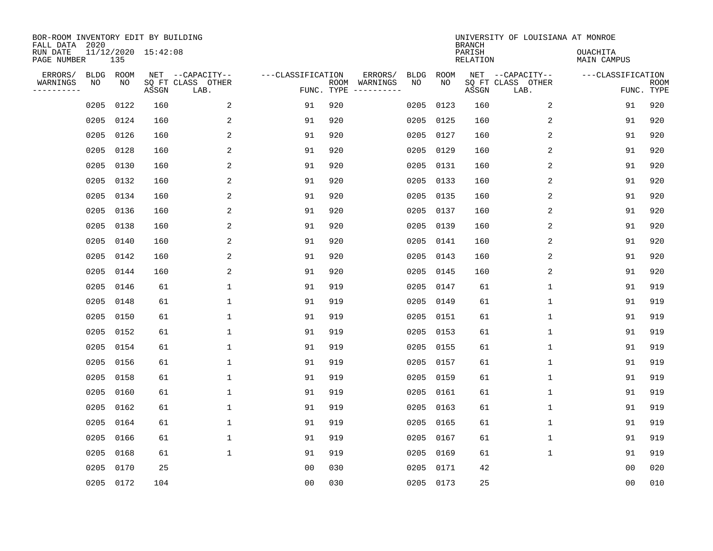| BOR-ROOM INVENTORY EDIT BY BUILDING<br>FALL DATA 2020 |            |            |                     |                                               |                                 |     |                          |                   |            | <b>BRANCH</b>      | UNIVERSITY OF LOUISIANA AT MONROE             |                                |                           |
|-------------------------------------------------------|------------|------------|---------------------|-----------------------------------------------|---------------------------------|-----|--------------------------|-------------------|------------|--------------------|-----------------------------------------------|--------------------------------|---------------------------|
| RUN DATE<br>PAGE NUMBER                               |            | 135        | 11/12/2020 15:42:08 |                                               |                                 |     |                          |                   |            | PARISH<br>RELATION |                                               | <b>OUACHITA</b><br>MAIN CAMPUS |                           |
| ERRORS/<br>WARNINGS<br>---------                      | BLDG<br>ΝO | ROOM<br>NO | ASSGN               | NET --CAPACITY--<br>SQ FT CLASS OTHER<br>LAB. | ---CLASSIFICATION<br>FUNC. TYPE |     | ERRORS/<br>ROOM WARNINGS | <b>BLDG</b><br>NO | ROOM<br>NO | ASSGN              | NET --CAPACITY--<br>SQ FT CLASS OTHER<br>LAB. | ---CLASSIFICATION              | <b>ROOM</b><br>FUNC. TYPE |
|                                                       | 0205       | 0122       | 160                 | 2                                             | 91                              | 920 |                          | 0205              | 0123       | 160                | 2                                             | 91                             | 920                       |
|                                                       | 0205       | 0124       | 160                 | 2                                             | 91                              | 920 |                          | 0205              | 0125       | 160                | 2                                             | 91                             | 920                       |
|                                                       | 0205       | 0126       | 160                 | 2                                             | 91                              | 920 |                          | 0205              | 0127       | 160                | 2                                             | 91                             | 920                       |
|                                                       | 0205 0128  |            | 160                 | 2                                             | 91                              | 920 |                          | 0205              | 0129       | 160                | 2                                             | 91                             | 920                       |
|                                                       | 0205       | 0130       | 160                 | 2                                             | 91                              | 920 |                          | 0205              | 0131       | 160                | 2                                             | 91                             | 920                       |
|                                                       | 0205 0132  |            | 160                 | 2                                             | 91                              | 920 |                          | 0205              | 0133       | 160                | 2                                             | 91                             | 920                       |
|                                                       | 0205 0134  |            | 160                 | 2                                             | 91                              | 920 |                          | 0205              | 0135       | 160                | 2                                             | 91                             | 920                       |
|                                                       | 0205 0136  |            | 160                 | 2                                             | 91                              | 920 |                          | 0205              | 0137       | 160                | 2                                             | 91                             | 920                       |
|                                                       | 0205       | 0138       | 160                 | 2                                             | 91                              | 920 |                          | 0205              | 0139       | 160                | 2                                             | 91                             | 920                       |
|                                                       | 0205       | 0140       | 160                 | 2                                             | 91                              | 920 |                          | 0205              | 0141       | 160                | 2                                             | 91                             | 920                       |
|                                                       | 0205       | 0142       | 160                 | 2                                             | 91                              | 920 |                          | 0205              | 0143       | 160                | 2                                             | 91                             | 920                       |
|                                                       | 0205 0144  |            | 160                 | 2                                             | 91                              | 920 |                          | 0205              | 0145       | 160                | 2                                             | 91                             | 920                       |
|                                                       | 0205       | 0146       | 61                  | $\mathbf{1}$                                  | 91                              | 919 |                          | 0205              | 0147       | 61                 | $\mathbf{1}$                                  | 91                             | 919                       |
|                                                       | 0205       | 0148       | 61                  | $\mathbf{1}$                                  | 91                              | 919 |                          | 0205              | 0149       | 61                 | $\mathbf 1$                                   | 91                             | 919                       |
|                                                       | 0205       | 0150       | 61                  | 1                                             | 91                              | 919 |                          | 0205              | 0151       | 61                 | 1                                             | 91                             | 919                       |
|                                                       | 0205       | 0152       | 61                  | 1                                             | 91                              | 919 |                          | 0205              | 0153       | 61                 | 1                                             | 91                             | 919                       |
|                                                       | 0205       | 0154       | 61                  | 1                                             | 91                              | 919 |                          | 0205              | 0155       | 61                 | 1                                             | 91                             | 919                       |
|                                                       | 0205       | 0156       | 61                  | $\mathbf{1}$                                  | 91                              | 919 |                          | 0205              | 0157       | 61                 | $\mathbf 1$                                   | 91                             | 919                       |
|                                                       | 0205       | 0158       | 61                  | 1                                             | 91                              | 919 |                          | 0205              | 0159       | 61                 | 1                                             | 91                             | 919                       |
|                                                       | 0205       | 0160       | 61                  | 1                                             | 91                              | 919 |                          | 0205              | 0161       | 61                 | $\mathbf 1$                                   | 91                             | 919                       |
|                                                       | 0205       | 0162       | 61                  | $\mathbf{1}$                                  | 91                              | 919 |                          | 0205              | 0163       | 61                 | $\mathbf 1$                                   | 91                             | 919                       |
|                                                       | 0205       | 0164       | 61                  | $\mathbf{1}$                                  | 91                              | 919 |                          | 0205              | 0165       | 61                 | $\mathbf{1}$                                  | 91                             | 919                       |
|                                                       | 0205       | 0166       | 61                  | $\mathbf{1}$                                  | 91                              | 919 |                          | 0205              | 0167       | 61                 | $\mathbf 1$                                   | 91                             | 919                       |
|                                                       | 0205       | 0168       | 61                  | $\mathbf{1}$                                  | 91                              | 919 |                          | 0205              | 0169       | 61                 | $\mathbf{1}$                                  | 91                             | 919                       |
|                                                       | 0205       | 0170       | 25                  |                                               | 00                              | 030 |                          | 0205              | 0171       | 42                 |                                               | 00                             | 020                       |
|                                                       | 0205 0172  |            | 104                 |                                               | 0 <sub>0</sub>                  | 030 |                          |                   | 0205 0173  | 25                 |                                               | 0 <sub>0</sub>                 | 010                       |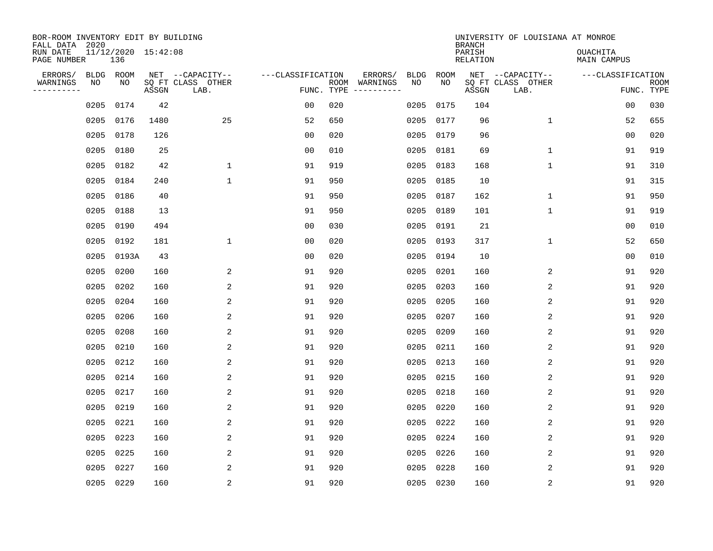| BOR-ROOM INVENTORY EDIT BY BUILDING<br>FALL DATA 2020 |                            |       |                                               |                   |                    |                     |                   |            | <b>BRANCH</b>             | UNIVERSITY OF LOUISIANA AT MONROE             |                                |                           |
|-------------------------------------------------------|----------------------------|-------|-----------------------------------------------|-------------------|--------------------|---------------------|-------------------|------------|---------------------------|-----------------------------------------------|--------------------------------|---------------------------|
| RUN DATE<br>PAGE NUMBER                               | 11/12/2020 15:42:08<br>136 |       |                                               |                   |                    |                     |                   |            | PARISH<br><b>RELATION</b> |                                               | <b>OUACHITA</b><br>MAIN CAMPUS |                           |
| ERRORS/<br>WARNINGS<br>NO<br>---------                | BLDG ROOM<br>NO            | ASSGN | NET --CAPACITY--<br>SQ FT CLASS OTHER<br>LAB. | ---CLASSIFICATION | ROOM<br>FUNC. TYPE | ERRORS/<br>WARNINGS | <b>BLDG</b><br>NO | ROOM<br>NO | ASSGN                     | NET --CAPACITY--<br>SQ FT CLASS OTHER<br>LAB. | ---CLASSIFICATION              | <b>ROOM</b><br>FUNC. TYPE |
| 0205                                                  | 0174                       | 42    |                                               | 0 <sub>0</sub>    | 020                |                     | 0205              | 0175       | 104                       |                                               | 00                             | 030                       |
| 0205                                                  | 0176                       | 1480  | 25                                            | 52                | 650                |                     | 0205              | 0177       | 96                        | $\mathbf 1$                                   | 52                             | 655                       |
| 0205                                                  | 0178                       | 126   |                                               | 0 <sub>0</sub>    | 020                |                     | 0205              | 0179       | 96                        |                                               | 0 <sub>0</sub>                 | 020                       |
| 0205                                                  | 0180                       | 25    |                                               | 0 <sub>0</sub>    | 010                |                     | 0205              | 0181       | 69                        | $\mathbf{1}$                                  | 91                             | 919                       |
| 0205                                                  | 0182                       | 42    | 1                                             | 91                | 919                |                     | 0205              | 0183       | 168                       | $\mathbf 1$                                   | 91                             | 310                       |
| 0205                                                  | 0184                       | 240   | $\mathbf{1}$                                  | 91                | 950                |                     |                   | 0205 0185  | 10                        |                                               | 91                             | 315                       |
| 0205                                                  | 0186                       | 40    |                                               | 91                | 950                |                     | 0205              | 0187       | 162                       | $\mathbf 1$                                   | 91                             | 950                       |
| 0205                                                  | 0188                       | 13    |                                               | 91                | 950                |                     |                   | 0205 0189  | 101                       | $\mathbf 1$                                   | 91                             | 919                       |
| 0205                                                  | 0190                       | 494   |                                               | 0 <sub>0</sub>    | 030                |                     | 0205              | 0191       | 21                        |                                               | 0 <sub>0</sub>                 | 010                       |
| 0205                                                  | 0192                       | 181   | $\mathbf 1$                                   | 0 <sub>0</sub>    | 020                |                     |                   | 0205 0193  | 317                       | $\mathbf 1$                                   | 52                             | 650                       |
| 0205                                                  | 0193A                      | 43    |                                               | 0 <sub>0</sub>    | 020                |                     | 0205              | 0194       | 10                        |                                               | 0 <sub>0</sub>                 | 010                       |
| 0205                                                  | 0200                       | 160   | 2                                             | 91                | 920                |                     | 0205              | 0201       | 160                       | 2                                             | 91                             | 920                       |
| 0205                                                  | 0202                       | 160   | 2                                             | 91                | 920                |                     | 0205              | 0203       | 160                       | 2                                             | 91                             | 920                       |
| 0205                                                  | 0204                       | 160   | 2                                             | 91                | 920                |                     | 0205              | 0205       | 160                       | 2                                             | 91                             | 920                       |
| 0205                                                  | 0206                       | 160   | $\overline{c}$                                | 91                | 920                |                     | 0205              | 0207       | 160                       | 2                                             | 91                             | 920                       |
| 0205                                                  | 0208                       | 160   | 2                                             | 91                | 920                |                     | 0205              | 0209       | 160                       | 2                                             | 91                             | 920                       |
| 0205                                                  | 0210                       | 160   | 2                                             | 91                | 920                |                     | 0205              | 0211       | 160                       | 2                                             | 91                             | 920                       |
| 0205                                                  | 0212                       | 160   | 2                                             | 91                | 920                |                     | 0205              | 0213       | 160                       | 2                                             | 91                             | 920                       |
| 0205                                                  | 0214                       | 160   | 2                                             | 91                | 920                |                     | 0205              | 0215       | 160                       | 2                                             | 91                             | 920                       |
| 0205                                                  | 0217                       | 160   | 2                                             | 91                | 920                |                     | 0205              | 0218       | 160                       | 2                                             | 91                             | 920                       |
| 0205                                                  | 0219                       | 160   | 2                                             | 91                | 920                |                     | 0205              | 0220       | 160                       | 2                                             | 91                             | 920                       |
| 0205                                                  | 0221                       | 160   | 2                                             | 91                | 920                |                     | 0205              | 0222       | 160                       | 2                                             | 91                             | 920                       |
| 0205                                                  | 0223                       | 160   | 2                                             | 91                | 920                |                     | 0205              | 0224       | 160                       | 2                                             | 91                             | 920                       |
| 0205                                                  | 0225                       | 160   | 2                                             | 91                | 920                |                     | 0205              | 0226       | 160                       | 2                                             | 91                             | 920                       |
| 0205                                                  | 0227                       | 160   | 2                                             | 91                | 920                |                     | 0205              | 0228       | 160                       | 2                                             | 91                             | 920                       |
|                                                       | 0205 0229                  | 160   | $\overline{c}$                                | 91                | 920                |                     |                   | 0205 0230  | 160                       | $\sqrt{2}$                                    | 91                             | 920                       |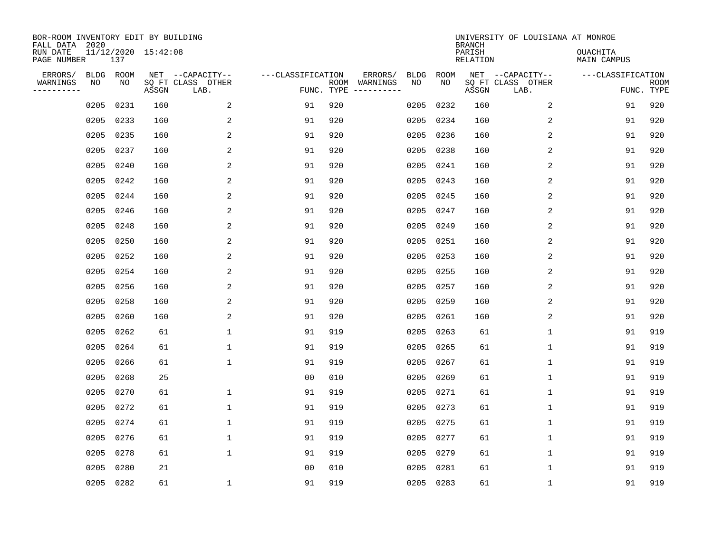| BOR-ROOM INVENTORY EDIT BY BUILDING<br>FALL DATA 2020 |            |            |                     |                                               |                                 |     |                          |                   |            | <b>BRANCH</b>      | UNIVERSITY OF LOUISIANA AT MONROE             |                                |                           |
|-------------------------------------------------------|------------|------------|---------------------|-----------------------------------------------|---------------------------------|-----|--------------------------|-------------------|------------|--------------------|-----------------------------------------------|--------------------------------|---------------------------|
| RUN DATE<br>PAGE NUMBER                               |            | 137        | 11/12/2020 15:42:08 |                                               |                                 |     |                          |                   |            | PARISH<br>RELATION |                                               | <b>OUACHITA</b><br>MAIN CAMPUS |                           |
| ERRORS/<br>WARNINGS<br>---------                      | BLDG<br>ΝO | ROOM<br>NO | ASSGN               | NET --CAPACITY--<br>SQ FT CLASS OTHER<br>LAB. | ---CLASSIFICATION<br>FUNC. TYPE |     | ERRORS/<br>ROOM WARNINGS | <b>BLDG</b><br>NO | ROOM<br>NO | ASSGN              | NET --CAPACITY--<br>SQ FT CLASS OTHER<br>LAB. | ---CLASSIFICATION              | <b>ROOM</b><br>FUNC. TYPE |
|                                                       | 0205       | 0231       | 160                 | 2                                             | 91                              | 920 |                          | 0205              | 0232       | 160                | 2                                             | 91                             | 920                       |
|                                                       | 0205       | 0233       | 160                 | 2                                             | 91                              | 920 |                          | 0205              | 0234       | 160                | 2                                             | 91                             | 920                       |
|                                                       | 0205       | 0235       | 160                 | 2                                             | 91                              | 920 |                          | 0205              | 0236       | 160                | 2                                             | 91                             | 920                       |
|                                                       | 0205 0237  |            | 160                 | $\overline{a}$                                | 91                              | 920 |                          | 0205              | 0238       | 160                | 2                                             | 91                             | 920                       |
|                                                       | 0205       | 0240       | 160                 | 2                                             | 91                              | 920 |                          | 0205              | 0241       | 160                | 2                                             | 91                             | 920                       |
|                                                       | 0205 0242  |            | 160                 | 2                                             | 91                              | 920 |                          | 0205              | 0243       | 160                | 2                                             | 91                             | 920                       |
|                                                       | 0205 0244  |            | 160                 | 2                                             | 91                              | 920 |                          | 0205              | 0245       | 160                | 2                                             | 91                             | 920                       |
|                                                       | 0205 0246  |            | 160                 | 2                                             | 91                              | 920 |                          | 0205              | 0247       | 160                | 2                                             | 91                             | 920                       |
|                                                       | 0205       | 0248       | 160                 | 2                                             | 91                              | 920 |                          | 0205              | 0249       | 160                | 2                                             | 91                             | 920                       |
|                                                       | 0205       | 0250       | 160                 | 2                                             | 91                              | 920 |                          | 0205              | 0251       | 160                | 2                                             | 91                             | 920                       |
|                                                       | 0205       | 0252       | 160                 | 2                                             | 91                              | 920 |                          | 0205              | 0253       | 160                | 2                                             | 91                             | 920                       |
|                                                       | 0205 0254  |            | 160                 | 2                                             | 91                              | 920 |                          | 0205              | 0255       | 160                | 2                                             | 91                             | 920                       |
|                                                       | 0205       | 0256       | 160                 | 2                                             | 91                              | 920 |                          | 0205              | 0257       | 160                | 2                                             | 91                             | 920                       |
|                                                       | 0205       | 0258       | 160                 | 2                                             | 91                              | 920 |                          | 0205              | 0259       | 160                | 2                                             | 91                             | 920                       |
|                                                       | 0205       | 0260       | 160                 | $\overline{\mathbf{c}}$                       | 91                              | 920 |                          | 0205              | 0261       | 160                | 2                                             | 91                             | 920                       |
|                                                       | 0205       | 0262       | 61                  | 1                                             | 91                              | 919 |                          | 0205              | 0263       | 61                 | 1                                             | 91                             | 919                       |
|                                                       | 0205       | 0264       | 61                  | 1                                             | 91                              | 919 |                          | 0205              | 0265       | 61                 | 1                                             | 91                             | 919                       |
|                                                       | 0205       | 0266       | 61                  | 1                                             | 91                              | 919 |                          | 0205              | 0267       | 61                 | $\mathbf 1$                                   | 91                             | 919                       |
|                                                       | 0205       | 0268       | 25                  |                                               | 0 <sub>0</sub>                  | 010 |                          | 0205              | 0269       | 61                 | 1                                             | 91                             | 919                       |
|                                                       | 0205       | 0270       | 61                  | 1                                             | 91                              | 919 |                          | 0205              | 0271       | 61                 | $\mathbf 1$                                   | 91                             | 919                       |
|                                                       | 0205       | 0272       | 61                  | $\mathbf{1}$                                  | 91                              | 919 |                          | 0205              | 0273       | 61                 | $\mathbf{1}$                                  | 91                             | 919                       |
|                                                       | 0205       | 0274       | 61                  | $\mathbf{1}$                                  | 91                              | 919 |                          | 0205              | 0275       | 61                 | $\mathbf{1}$                                  | 91                             | 919                       |
|                                                       | 0205       | 0276       | 61                  | $\mathbf{1}$                                  | 91                              | 919 |                          | 0205              | 0277       | 61                 | $\mathbf{1}$                                  | 91                             | 919                       |
|                                                       | 0205       | 0278       | 61                  | $\mathbf{1}$                                  | 91                              | 919 |                          | 0205              | 0279       | 61                 | $\mathbf{1}$                                  | 91                             | 919                       |
|                                                       | 0205       | 0280       | 21                  |                                               | 00                              | 010 |                          | 0205              | 0281       | 61                 | 1                                             | 91                             | 919                       |
|                                                       | 0205 0282  |            | 61                  | 1                                             | 91                              | 919 |                          |                   | 0205 0283  | 61                 | $\mathbf{1}$                                  | 91                             | 919                       |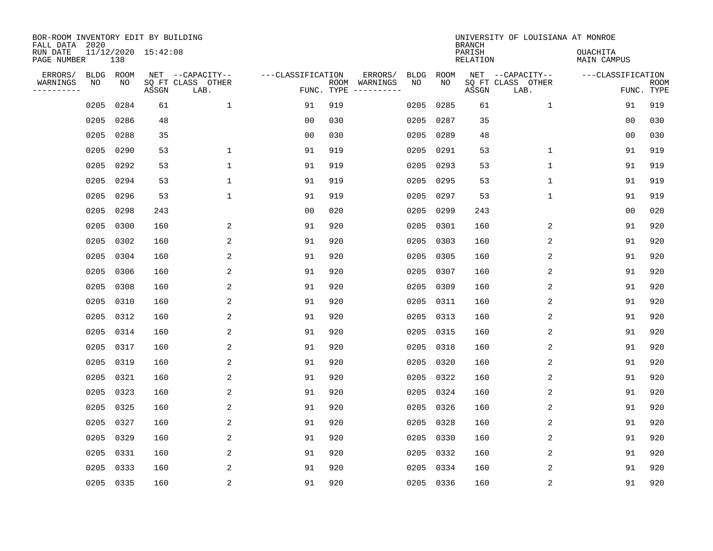| BOR-ROOM INVENTORY EDIT BY BUILDING<br>FALL DATA 2020 |            |            |                     |                                               |                                 |     |                                                                                                                             |                   |            | <b>BRANCH</b>      | UNIVERSITY OF LOUISIANA AT MONROE             |                                |                           |
|-------------------------------------------------------|------------|------------|---------------------|-----------------------------------------------|---------------------------------|-----|-----------------------------------------------------------------------------------------------------------------------------|-------------------|------------|--------------------|-----------------------------------------------|--------------------------------|---------------------------|
| RUN DATE<br>PAGE NUMBER                               |            | 138        | 11/12/2020 15:42:08 |                                               |                                 |     |                                                                                                                             |                   |            | PARISH<br>RELATION |                                               | <b>OUACHITA</b><br>MAIN CAMPUS |                           |
| ERRORS/<br>WARNINGS<br>---------                      | BLDG<br>ΝO | ROOM<br>NO | ASSGN               | NET --CAPACITY--<br>SQ FT CLASS OTHER<br>LAB. | ---CLASSIFICATION<br>FUNC. TYPE |     | ERRORS/<br>ROOM WARNINGS<br>$\begin{tabular}{cccccc} - & - & - & - & - & - & - \\ & - & - & - & - & - & - \\ \end{tabular}$ | <b>BLDG</b><br>NO | ROOM<br>NO | ASSGN              | NET --CAPACITY--<br>SQ FT CLASS OTHER<br>LAB. | ---CLASSIFICATION              | <b>ROOM</b><br>FUNC. TYPE |
|                                                       | 0205       | 0284       | 61                  | $\mathbf{1}$                                  | 91                              | 919 |                                                                                                                             | 0205              | 0285       | 61                 | $\mathbf{1}$                                  | 91                             | 919                       |
|                                                       | 0205       | 0286       | 48                  |                                               | 0 <sub>0</sub>                  | 030 |                                                                                                                             | 0205              | 0287       | 35                 |                                               | 0 <sub>0</sub>                 | 030                       |
|                                                       | 0205       | 0288       | 35                  |                                               | 0 <sub>0</sub>                  | 030 |                                                                                                                             | 0205              | 0289       | 48                 |                                               | 0 <sub>0</sub>                 | 030                       |
|                                                       | 0205 0290  |            | 53                  | 1                                             | 91                              | 919 |                                                                                                                             | 0205              | 0291       | 53                 | $\mathbf{1}$                                  | 91                             | 919                       |
|                                                       | 0205       | 0292       | 53                  | $\mathbf{1}$                                  | 91                              | 919 |                                                                                                                             | 0205              | 0293       | 53                 | $\mathbf{1}$                                  | 91                             | 919                       |
|                                                       | 0205 0294  |            | 53                  | $\mathbf 1$                                   | 91                              | 919 |                                                                                                                             | 0205              | 0295       | 53                 | $\mathbf 1$                                   | 91                             | 919                       |
|                                                       | 0205 0296  |            | 53                  | $\mathbf{1}$                                  | 91                              | 919 |                                                                                                                             | 0205              | 0297       | 53                 | $\mathbf 1$                                   | 91                             | 919                       |
|                                                       | 0205 0298  |            | 243                 |                                               | 0 <sub>0</sub>                  | 020 |                                                                                                                             | 0205              | 0299       | 243                |                                               | 0 <sub>0</sub>                 | 020                       |
|                                                       | 0205       | 0300       | 160                 | 2                                             | 91                              | 920 |                                                                                                                             | 0205              | 0301       | 160                | 2                                             | 91                             | 920                       |
|                                                       | 0205 0302  |            | 160                 | 2                                             | 91                              | 920 |                                                                                                                             | 0205              | 0303       | 160                | 2                                             | 91                             | 920                       |
|                                                       | 0205       | 0304       | 160                 | 2                                             | 91                              | 920 |                                                                                                                             | 0205              | 0305       | 160                | 2                                             | 91                             | 920                       |
|                                                       | 0205 0306  |            | 160                 | 2                                             | 91                              | 920 |                                                                                                                             | 0205              | 0307       | 160                | 2                                             | 91                             | 920                       |
|                                                       | 0205       | 0308       | 160                 | 2                                             | 91                              | 920 |                                                                                                                             | 0205              | 0309       | 160                | 2                                             | 91                             | 920                       |
|                                                       | 0205       | 0310       | 160                 | 2                                             | 91                              | 920 |                                                                                                                             | 0205              | 0311       | 160                | 2                                             | 91                             | 920                       |
|                                                       | 0205       | 0312       | 160                 | 2                                             | 91                              | 920 |                                                                                                                             | 0205              | 0313       | 160                | 2                                             | 91                             | 920                       |
|                                                       | 0205       | 0314       | 160                 | 2                                             | 91                              | 920 |                                                                                                                             | 0205              | 0315       | 160                | $\overline{2}$                                | 91                             | 920                       |
|                                                       | 0205       | 0317       | 160                 | 2                                             | 91                              | 920 |                                                                                                                             | 0205              | 0318       | 160                | 2                                             | 91                             | 920                       |
|                                                       | 0205       | 0319       | 160                 | 2                                             | 91                              | 920 |                                                                                                                             | 0205              | 0320       | 160                | 2                                             | 91                             | 920                       |
|                                                       | 0205       | 0321       | 160                 | 2                                             | 91                              | 920 |                                                                                                                             | 0205              | 0322       | 160                | 2                                             | 91                             | 920                       |
|                                                       | 0205       | 0323       | 160                 | 2                                             | 91                              | 920 |                                                                                                                             | 0205              | 0324       | 160                | 2                                             | 91                             | 920                       |
|                                                       | 0205       | 0325       | 160                 | 2                                             | 91                              | 920 |                                                                                                                             | 0205              | 0326       | 160                | 2                                             | 91                             | 920                       |
|                                                       | 0205       | 0327       | 160                 | 2                                             | 91                              | 920 |                                                                                                                             | 0205              | 0328       | 160                | 2                                             | 91                             | 920                       |
|                                                       | 0205       | 0329       | 160                 | 2                                             | 91                              | 920 |                                                                                                                             | 0205              | 0330       | 160                | 2                                             | 91                             | 920                       |
|                                                       | 0205       | 0331       | 160                 | 2                                             | 91                              | 920 |                                                                                                                             | 0205              | 0332       | 160                | 2                                             | 91                             | 920                       |
|                                                       | 0205       | 0333       | 160                 | 2                                             | 91                              | 920 |                                                                                                                             | 0205              | 0334       | 160                | 2                                             | 91                             | 920                       |
|                                                       | 0205 0335  |            | 160                 | $\overline{2}$                                | 91                              | 920 |                                                                                                                             |                   | 0205 0336  | 160                | $\sqrt{2}$                                    | 91                             | 920                       |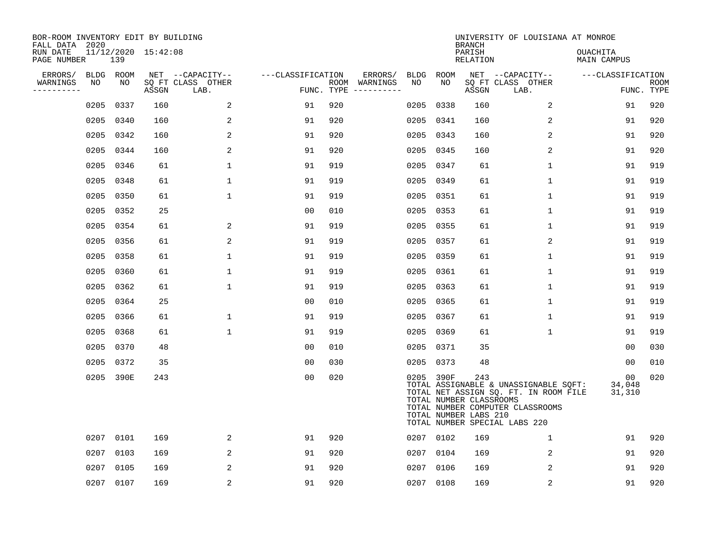| BOR-ROOM INVENTORY EDIT BY BUILDING<br>FALL DATA 2020 |           |           |                     |                           |                   |     |                                        |             |             | <b>BRANCH</b>                                           | UNIVERSITY OF LOUISIANA AT MONROE                                                                                                                   |                                     |                           |
|-------------------------------------------------------|-----------|-----------|---------------------|---------------------------|-------------------|-----|----------------------------------------|-------------|-------------|---------------------------------------------------------|-----------------------------------------------------------------------------------------------------------------------------------------------------|-------------------------------------|---------------------------|
| RUN DATE<br>PAGE NUMBER                               |           | 139       | 11/12/2020 15:42:08 |                           |                   |     |                                        |             |             | PARISH<br><b>RELATION</b>                               |                                                                                                                                                     | OUACHITA<br><b>MAIN CAMPUS</b>      |                           |
| ERRORS/                                               |           | BLDG ROOM |                     | NET --CAPACITY--          | ---CLASSIFICATION |     | ERRORS/                                | <b>BLDG</b> | <b>ROOM</b> |                                                         | NET --CAPACITY--                                                                                                                                    | ---CLASSIFICATION                   |                           |
| WARNINGS<br>----------                                | NO        | NO        | ASSGN               | SQ FT CLASS OTHER<br>LAB. |                   |     | ROOM WARNINGS<br>FUNC. TYPE ---------- | NO          | NO          | ASSGN                                                   | SQ FT CLASS OTHER<br>LAB.                                                                                                                           |                                     | <b>ROOM</b><br>FUNC. TYPE |
|                                                       | 0205      | 0337      | 160                 | 2                         | 91                | 920 |                                        | 0205        | 0338        | 160                                                     | 2                                                                                                                                                   | 91                                  | 920                       |
|                                                       | 0205      | 0340      | 160                 | 2                         | 91                | 920 |                                        | 0205        | 0341        | 160                                                     | 2                                                                                                                                                   | 91                                  | 920                       |
|                                                       | 0205      | 0342      | 160                 | 2                         | 91                | 920 |                                        | 0205        | 0343        | 160                                                     | 2                                                                                                                                                   | 91                                  | 920                       |
|                                                       | 0205      | 0344      | 160                 | 2                         | 91                | 920 |                                        | 0205        | 0345        | 160                                                     | 2                                                                                                                                                   | 91                                  | 920                       |
|                                                       | 0205      | 0346      | 61                  | $\mathbf{1}$              | 91                | 919 |                                        | 0205        | 0347        | 61                                                      | $\mathbf{1}$                                                                                                                                        | 91                                  | 919                       |
|                                                       | 0205 0348 |           | 61                  | $\mathbf{1}$              | 91                | 919 |                                        |             | 0205 0349   | 61                                                      | $\mathbf{1}$                                                                                                                                        | 91                                  | 919                       |
|                                                       | 0205      | 0350      | 61                  | $\mathbf 1$               | 91                | 919 |                                        | 0205        | 0351        | 61                                                      | $\mathbf{1}$                                                                                                                                        | 91                                  | 919                       |
|                                                       | 0205 0352 |           | 25                  |                           | 0 <sub>0</sub>    | 010 |                                        | 0205        | 0353        | 61                                                      | $\mathbf 1$                                                                                                                                         | 91                                  | 919                       |
|                                                       | 0205 0354 |           | 61                  | 2                         | 91                | 919 |                                        | 0205        | 0355        | 61                                                      | $\mathbf 1$                                                                                                                                         | 91                                  | 919                       |
|                                                       | 0205 0356 |           | 61                  | 2                         | 91                | 919 |                                        | 0205        | 0357        | 61                                                      | 2                                                                                                                                                   | 91                                  | 919                       |
|                                                       | 0205 0358 |           | 61                  | $\mathbf{1}$              | 91                | 919 |                                        | 0205        | 0359        | 61                                                      | $\mathbf 1$                                                                                                                                         | 91                                  | 919                       |
|                                                       | 0205 0360 |           | 61                  | $\mathbf{1}$              | 91                | 919 |                                        | 0205        | 0361        | 61                                                      | $\mathbf{1}$                                                                                                                                        | 91                                  | 919                       |
|                                                       | 0205 0362 |           | 61                  | $\mathbf 1$               | 91                | 919 |                                        | 0205        | 0363        | 61                                                      | $\mathbf 1$                                                                                                                                         | 91                                  | 919                       |
|                                                       | 0205      | 0364      | 25                  |                           | 00                | 010 |                                        | 0205        | 0365        | 61                                                      | 1                                                                                                                                                   | 91                                  | 919                       |
|                                                       | 0205      | 0366      | 61                  | $\mathbf 1$               | 91                | 919 |                                        | 0205        | 0367        | 61                                                      | 1                                                                                                                                                   | 91                                  | 919                       |
|                                                       | 0205      | 0368      | 61                  | $\mathbf 1$               | 91                | 919 |                                        | 0205        | 0369        | 61                                                      | 1                                                                                                                                                   | 91                                  | 919                       |
|                                                       | 0205      | 0370      | 48                  |                           | 0 <sub>0</sub>    | 010 |                                        | 0205        | 0371        | 35                                                      |                                                                                                                                                     | 00                                  | 030                       |
|                                                       | 0205      | 0372      | 35                  |                           | 0 <sub>0</sub>    | 030 |                                        | 0205        | 0373        | 48                                                      |                                                                                                                                                     | 00                                  | 010                       |
|                                                       |           | 0205 390E | 243                 |                           | 0 <sub>0</sub>    | 020 |                                        |             | 0205 390F   | 243<br>TOTAL NUMBER CLASSROOMS<br>TOTAL NUMBER LABS 210 | TOTAL ASSIGNABLE & UNASSIGNABLE SQFT:<br>TOTAL NET ASSIGN SQ. FT. IN ROOM FILE<br>TOTAL NUMBER COMPUTER CLASSROOMS<br>TOTAL NUMBER SPECIAL LABS 220 | 00 <sub>o</sub><br>34,048<br>31,310 | 020                       |
|                                                       | 0207      | 0101      | 169                 | 2                         | 91                | 920 |                                        |             | 0207 0102   | 169                                                     | $\mathbf 1$                                                                                                                                         | 91                                  | 920                       |
|                                                       | 0207      | 0103      | 169                 | 2                         | 91                | 920 |                                        | 0207        | 0104        | 169                                                     | 2                                                                                                                                                   | 91                                  | 920                       |
|                                                       | 0207      | 0105      | 169                 | 2                         | 91                | 920 |                                        | 0207        | 0106        | 169                                                     | 2                                                                                                                                                   | 91                                  | 920                       |
|                                                       | 0207 0107 |           | 169                 | $\sqrt{2}$                | 91                | 920 |                                        | 0207 0108   |             | 169                                                     | 2                                                                                                                                                   | 91                                  | 920                       |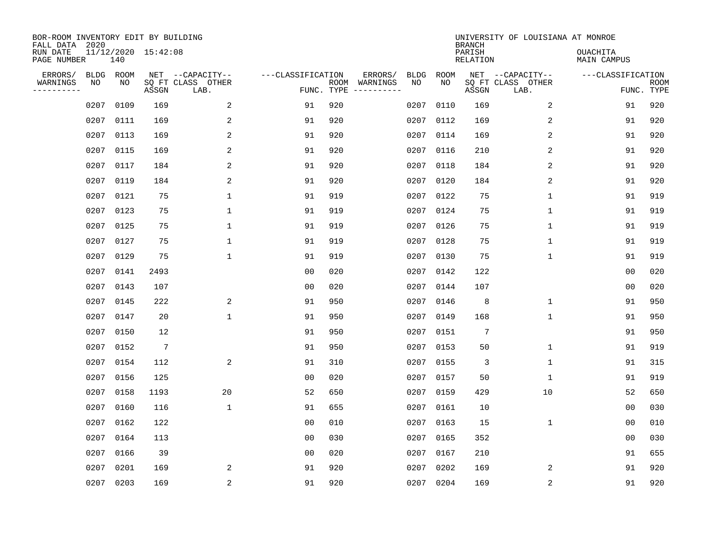| BOR-ROOM INVENTORY EDIT BY BUILDING<br>FALL DATA 2020 |                   |            |                     |                                               |                                 |      |                                                                                                                                                                                                                                                                                                                                                                                                                                                                                                    |                   |            | <b>BRANCH</b>             | UNIVERSITY OF LOUISIANA AT MONROE             |                                |                           |
|-------------------------------------------------------|-------------------|------------|---------------------|-----------------------------------------------|---------------------------------|------|----------------------------------------------------------------------------------------------------------------------------------------------------------------------------------------------------------------------------------------------------------------------------------------------------------------------------------------------------------------------------------------------------------------------------------------------------------------------------------------------------|-------------------|------------|---------------------------|-----------------------------------------------|--------------------------------|---------------------------|
| RUN DATE<br>PAGE NUMBER                               |                   | 140        | 11/12/2020 15:42:08 |                                               |                                 |      |                                                                                                                                                                                                                                                                                                                                                                                                                                                                                                    |                   |            | PARISH<br><b>RELATION</b> |                                               | <b>OUACHITA</b><br>MAIN CAMPUS |                           |
| ERRORS/<br>WARNINGS<br>----------                     | <b>BLDG</b><br>NO | ROOM<br>NO | ASSGN               | NET --CAPACITY--<br>SQ FT CLASS OTHER<br>LAB. | ---CLASSIFICATION<br>FUNC. TYPE | ROOM | ERRORS/<br>WARNINGS<br>$\begin{tabular}{ccccccccc} \multicolumn{2}{c }{\multicolumn{2}{c }{\multicolumn{2}{c }{\multicolumn{2}{c }{\multicolumn{2}{c}}}} & \multicolumn{2}{c }{\multicolumn{2}{c }{\multicolumn{2}{c }{\multicolumn{2}{c}}}} & \multicolumn{2}{c }{\multicolumn{2}{c }{\multicolumn{2}{c }{\multicolumn{2}{c}}}} & \multicolumn{2}{c }{\multicolumn{2}{c }{\multicolumn{2}{c }{\multicolumn{2}{c}}}} & \multicolumn{2}{c }{\multicolumn{2}{c }{\multicolumn{2}{c }{\multicolumn{2$ | <b>BLDG</b><br>NO | ROOM<br>NO | ASSGN                     | NET --CAPACITY--<br>SQ FT CLASS OTHER<br>LAB. | ---CLASSIFICATION              | <b>ROOM</b><br>FUNC. TYPE |
|                                                       | 0207              | 0109       | 169                 | 2                                             | 91                              | 920  |                                                                                                                                                                                                                                                                                                                                                                                                                                                                                                    | 0207              | 0110       | 169                       | 2                                             | 91                             | 920                       |
|                                                       | 0207              | 0111       | 169                 | 2                                             | 91                              | 920  |                                                                                                                                                                                                                                                                                                                                                                                                                                                                                                    |                   | 0207 0112  | 169                       | 2                                             | 91                             | 920                       |
|                                                       | 0207              | 0113       | 169                 | 2                                             | 91                              | 920  |                                                                                                                                                                                                                                                                                                                                                                                                                                                                                                    | 0207              | 0114       | 169                       | 2                                             | 91                             | 920                       |
|                                                       | 0207              | 0115       | 169                 | 2                                             | 91                              | 920  |                                                                                                                                                                                                                                                                                                                                                                                                                                                                                                    |                   | 0207 0116  | 210                       | 2                                             | 91                             | 920                       |
|                                                       | 0207              | 0117       | 184                 | 2                                             | 91                              | 920  |                                                                                                                                                                                                                                                                                                                                                                                                                                                                                                    | 0207              | 0118       | 184                       | 2                                             | 91                             | 920                       |
|                                                       | 0207              | 0119       | 184                 | 2                                             | 91                              | 920  |                                                                                                                                                                                                                                                                                                                                                                                                                                                                                                    |                   | 0207 0120  | 184                       | 2                                             | 91                             | 920                       |
|                                                       | 0207              | 0121       | 75                  | $\mathbf{1}$                                  | 91                              | 919  |                                                                                                                                                                                                                                                                                                                                                                                                                                                                                                    |                   | 0207 0122  | 75                        | $\mathbf{1}$                                  | 91                             | 919                       |
|                                                       | 0207              | 0123       | 75                  | 1                                             | 91                              | 919  |                                                                                                                                                                                                                                                                                                                                                                                                                                                                                                    |                   | 0207 0124  | 75                        | $\mathbf 1$                                   | 91                             | 919                       |
|                                                       | 0207              | 0125       | 75                  | $\mathbf{1}$                                  | 91                              | 919  |                                                                                                                                                                                                                                                                                                                                                                                                                                                                                                    | 0207              | 0126       | 75                        | $\mathbf 1$                                   | 91                             | 919                       |
|                                                       | 0207              | 0127       | 75                  | 1                                             | 91                              | 919  |                                                                                                                                                                                                                                                                                                                                                                                                                                                                                                    |                   | 0207 0128  | 75                        | $\mathbf 1$                                   | 91                             | 919                       |
|                                                       | 0207              | 0129       | 75                  | $\mathbf 1$                                   | 91                              | 919  |                                                                                                                                                                                                                                                                                                                                                                                                                                                                                                    | 0207              | 0130       | 75                        | $\mathbf 1$                                   | 91                             | 919                       |
|                                                       | 0207              | 0141       | 2493                |                                               | 0 <sub>0</sub>                  | 020  |                                                                                                                                                                                                                                                                                                                                                                                                                                                                                                    |                   | 0207 0142  | 122                       |                                               | 0 <sub>0</sub>                 | 020                       |
|                                                       | 0207              | 0143       | 107                 |                                               | 0 <sub>0</sub>                  | 020  |                                                                                                                                                                                                                                                                                                                                                                                                                                                                                                    | 0207              | 0144       | 107                       |                                               | 0 <sub>0</sub>                 | 020                       |
|                                                       | 0207              | 0145       | 222                 | 2                                             | 91                              | 950  |                                                                                                                                                                                                                                                                                                                                                                                                                                                                                                    | 0207              | 0146       | 8                         | 1                                             | 91                             | 950                       |
|                                                       | 0207              | 0147       | 20                  | $\mathbf 1$                                   | 91                              | 950  |                                                                                                                                                                                                                                                                                                                                                                                                                                                                                                    | 0207              | 0149       | 168                       | 1                                             | 91                             | 950                       |
|                                                       | 0207              | 0150       | 12                  |                                               | 91                              | 950  |                                                                                                                                                                                                                                                                                                                                                                                                                                                                                                    | 0207              | 0151       | $7\phantom{.0}$           |                                               | 91                             | 950                       |
|                                                       | 0207              | 0152       | $7\phantom{.0}$     |                                               | 91                              | 950  |                                                                                                                                                                                                                                                                                                                                                                                                                                                                                                    | 0207              | 0153       | 50                        | 1                                             | 91                             | 919                       |
|                                                       | 0207              | 0154       | 112                 | 2                                             | 91                              | 310  |                                                                                                                                                                                                                                                                                                                                                                                                                                                                                                    | 0207              | 0155       | 3                         | 1                                             | 91                             | 315                       |
|                                                       | 0207              | 0156       | 125                 |                                               | 0 <sub>0</sub>                  | 020  |                                                                                                                                                                                                                                                                                                                                                                                                                                                                                                    |                   | 0207 0157  | 50                        | 1                                             | 91                             | 919                       |
|                                                       | 0207              | 0158       | 1193                | 20                                            | 52                              | 650  |                                                                                                                                                                                                                                                                                                                                                                                                                                                                                                    | 0207              | 0159       | 429                       | 10                                            | 52                             | 650                       |
|                                                       | 0207              | 0160       | 116                 | $\mathbf{1}$                                  | 91                              | 655  |                                                                                                                                                                                                                                                                                                                                                                                                                                                                                                    |                   | 0207 0161  | 10                        |                                               | 0 <sub>0</sub>                 | 030                       |
|                                                       | 0207              | 0162       | 122                 |                                               | 0 <sub>0</sub>                  | 010  |                                                                                                                                                                                                                                                                                                                                                                                                                                                                                                    | 0207              | 0163       | 15                        | 1                                             | 0 <sub>0</sub>                 | 010                       |
|                                                       | 0207              | 0164       | 113                 |                                               | 0 <sub>0</sub>                  | 030  |                                                                                                                                                                                                                                                                                                                                                                                                                                                                                                    | 0207              | 0165       | 352                       |                                               | 00                             | 030                       |
|                                                       | 0207              | 0166       | 39                  |                                               | 0 <sub>0</sub>                  | 020  |                                                                                                                                                                                                                                                                                                                                                                                                                                                                                                    | 0207              | 0167       | 210                       |                                               | 91                             | 655                       |
|                                                       | 0207              | 0201       | 169                 | 2                                             | 91                              | 920  |                                                                                                                                                                                                                                                                                                                                                                                                                                                                                                    | 0207              | 0202       | 169                       | 2                                             | 91                             | 920                       |
|                                                       |                   | 0207 0203  | 169                 | 2                                             | 91                              | 920  |                                                                                                                                                                                                                                                                                                                                                                                                                                                                                                    |                   | 0207 0204  | 169                       | 2                                             | 91                             | 920                       |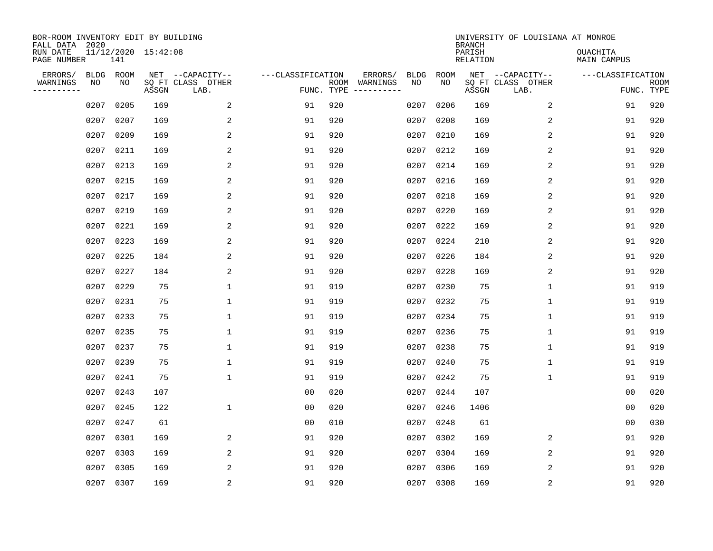| BOR-ROOM INVENTORY EDIT BY BUILDING<br>FALL DATA 2020 |                   |            |                     |                                               |                                 |      |                     |            |             | <b>BRANCH</b>      | UNIVERSITY OF LOUISIANA AT MONROE             |                                |                           |
|-------------------------------------------------------|-------------------|------------|---------------------|-----------------------------------------------|---------------------------------|------|---------------------|------------|-------------|--------------------|-----------------------------------------------|--------------------------------|---------------------------|
| RUN DATE<br>PAGE NUMBER                               |                   | 141        | 11/12/2020 15:42:08 |                                               |                                 |      |                     |            |             | PARISH<br>RELATION |                                               | <b>OUACHITA</b><br>MAIN CAMPUS |                           |
| ERRORS/<br>WARNINGS<br>---------                      | <b>BLDG</b><br>NO | ROOM<br>NO | ASSGN               | NET --CAPACITY--<br>SQ FT CLASS OTHER<br>LAB. | ---CLASSIFICATION<br>FUNC. TYPE | ROOM | ERRORS/<br>WARNINGS | BLDG<br>NO | ROOM<br>NO. | ASSGN              | NET --CAPACITY--<br>SQ FT CLASS OTHER<br>LAB. | ---CLASSIFICATION              | <b>ROOM</b><br>FUNC. TYPE |
|                                                       | 0207              | 0205       | 169                 | 2                                             | 91                              | 920  |                     | 0207       | 0206        | 169                | 2                                             | 91                             | 920                       |
|                                                       | 0207              | 0207       | 169                 | 2                                             | 91                              | 920  |                     | 0207       | 0208        | 169                | 2                                             | 91                             | 920                       |
|                                                       | 0207              | 0209       | 169                 | 2                                             | 91                              | 920  |                     | 0207       | 0210        | 169                | 2                                             | 91                             | 920                       |
|                                                       | 0207              | 0211       | 169                 | 2                                             | 91                              | 920  |                     |            | 0207 0212   | 169                | 2                                             | 91                             | 920                       |
|                                                       | 0207              | 0213       | 169                 | 2                                             | 91                              | 920  |                     |            | 0207 0214   | 169                | 2                                             | 91                             | 920                       |
|                                                       | 0207              | 0215       | 169                 | 2                                             | 91                              | 920  |                     |            | 0207 0216   | 169                | 2                                             | 91                             | 920                       |
|                                                       | 0207              | 0217       | 169                 | 2                                             | 91                              | 920  |                     | 0207       | 0218        | 169                | 2                                             | 91                             | 920                       |
|                                                       | 0207              | 0219       | 169                 | 2                                             | 91                              | 920  |                     |            | 0207 0220   | 169                | 2                                             | 91                             | 920                       |
|                                                       | 0207              | 0221       | 169                 | 2                                             | 91                              | 920  |                     | 0207       | 0222        | 169                | 2                                             | 91                             | 920                       |
|                                                       | 0207              | 0223       | 169                 | 2                                             | 91                              | 920  |                     |            | 0207 0224   | 210                | 2                                             | 91                             | 920                       |
|                                                       | 0207              | 0225       | 184                 | 2                                             | 91                              | 920  |                     | 0207       | 0226        | 184                | 2                                             | 91                             | 920                       |
|                                                       | 0207              | 0227       | 184                 | 2                                             | 91                              | 920  |                     |            | 0207 0228   | 169                | 2                                             | 91                             | 920                       |
|                                                       | 0207              | 0229       | 75                  | $\mathbf{1}$                                  | 91                              | 919  |                     | 0207       | 0230        | 75                 | 1                                             | 91                             | 919                       |
|                                                       | 0207              | 0231       | 75                  | $\mathbf{1}$                                  | 91                              | 919  |                     | 0207       | 0232        | 75                 | 1                                             | 91                             | 919                       |
|                                                       | 0207              | 0233       | 75                  | 1                                             | 91                              | 919  |                     | 0207       | 0234        | 75                 | 1                                             | 91                             | 919                       |
|                                                       | 0207              | 0235       | 75                  | 1                                             | 91                              | 919  |                     | 0207       | 0236        | 75                 | 1                                             | 91                             | 919                       |
|                                                       | 0207              | 0237       | 75                  | 1                                             | 91                              | 919  |                     | 0207       | 0238        | 75                 | 1                                             | 91                             | 919                       |
|                                                       | 0207              | 0239       | 75                  | $\mathbf{1}$                                  | 91                              | 919  |                     | 0207       | 0240        | 75                 | 1                                             | 91                             | 919                       |
|                                                       | 0207              | 0241       | 75                  | 1                                             | 91                              | 919  |                     | 0207       | 0242        | 75                 | 1                                             | 91                             | 919                       |
|                                                       | 0207              | 0243       | 107                 |                                               | 0 <sub>0</sub>                  | 020  |                     | 0207       | 0244        | 107                |                                               | 0 <sub>0</sub>                 | 020                       |
|                                                       | 0207              | 0245       | 122                 | $\mathbf 1$                                   | 0 <sub>0</sub>                  | 020  |                     | 0207       | 0246        | 1406               |                                               | 0 <sub>0</sub>                 | 020                       |
|                                                       | 0207              | 0247       | 61                  |                                               | 0 <sub>0</sub>                  | 010  |                     | 0207       | 0248        | 61                 |                                               | 00                             | 030                       |
|                                                       | 0207              | 0301       | 169                 | 2                                             | 91                              | 920  |                     | 0207       | 0302        | 169                | 2                                             | 91                             | 920                       |
|                                                       | 0207              | 0303       | 169                 | 2                                             | 91                              | 920  |                     | 0207       | 0304        | 169                | 2                                             | 91                             | 920                       |
|                                                       | 0207              | 0305       | 169                 | 2                                             | 91                              | 920  |                     | 0207       | 0306        | 169                | 2                                             | 91                             | 920                       |
|                                                       | 0207 0307         |            | 169                 | $\overline{2}$                                | 91                              | 920  |                     |            | 0207 0308   | 169                | 2                                             | 91                             | 920                       |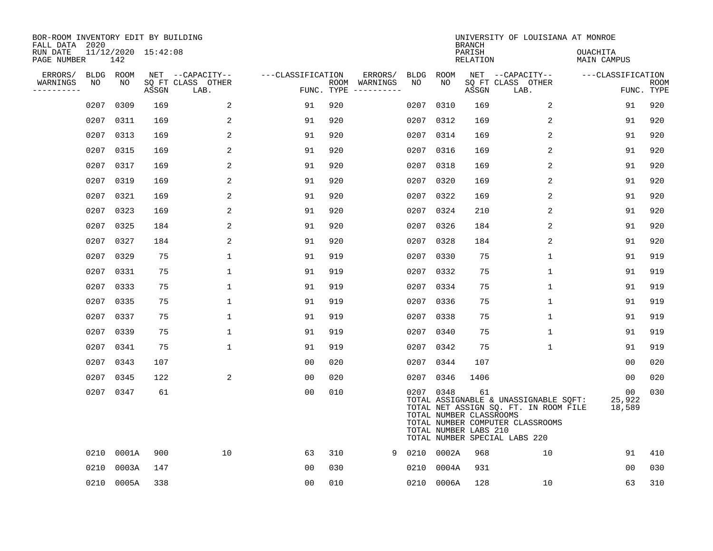| BOR-ROOM INVENTORY EDIT BY BUILDING<br>FALL DATA 2020 |                   |            |                     |                                       |                   |     |                          |                   |            | <b>BRANCH</b>                                          | UNIVERSITY OF LOUISIANA AT MONROE                                                                                                                   |                                |                           |
|-------------------------------------------------------|-------------------|------------|---------------------|---------------------------------------|-------------------|-----|--------------------------|-------------------|------------|--------------------------------------------------------|-----------------------------------------------------------------------------------------------------------------------------------------------------|--------------------------------|---------------------------|
| RUN DATE<br>PAGE NUMBER                               |                   | 142        | 11/12/2020 15:42:08 |                                       |                   |     |                          |                   |            | PARISH<br><b>RELATION</b>                              |                                                                                                                                                     | OUACHITA<br><b>MAIN CAMPUS</b> |                           |
| ERRORS/<br>WARNINGS                                   | <b>BLDG</b><br>NO | ROOM<br>NO |                     | NET --CAPACITY--<br>SQ FT CLASS OTHER | ---CLASSIFICATION |     | ERRORS/<br>ROOM WARNINGS | <b>BLDG</b><br>NO | ROOM<br>NO |                                                        | NET --CAPACITY--                                                                                                                                    | ---CLASSIFICATION              |                           |
| ----------                                            |                   |            | ASSGN               | LAB.                                  | FUNC. TYPE        |     |                          |                   |            | ASSGN                                                  | SQ FT CLASS OTHER<br>LAB.                                                                                                                           |                                | <b>ROOM</b><br>FUNC. TYPE |
|                                                       | 0207              | 0309       | 169                 | 2                                     | 91                | 920 |                          | 0207              | 0310       | 169                                                    | 2                                                                                                                                                   | 91                             | 920                       |
|                                                       | 0207              | 0311       | 169                 | 2                                     | 91                | 920 |                          | 0207              | 0312       | 169                                                    | 2                                                                                                                                                   | 91                             | 920                       |
|                                                       | 0207              | 0313       | 169                 | 2                                     | 91                | 920 |                          | 0207              | 0314       | 169                                                    | 2                                                                                                                                                   | 91                             | 920                       |
|                                                       | 0207              | 0315       | 169                 | 2                                     | 91                | 920 |                          | 0207              | 0316       | 169                                                    | 2                                                                                                                                                   | 91                             | 920                       |
|                                                       | 0207              | 0317       | 169                 | 2                                     | 91                | 920 |                          | 0207              | 0318       | 169                                                    | $\overline{2}$                                                                                                                                      | 91                             | 920                       |
|                                                       | 0207              | 0319       | 169                 | 2                                     | 91                | 920 |                          |                   | 0207 0320  | 169                                                    | 2                                                                                                                                                   | 91                             | 920                       |
|                                                       | 0207              | 0321       | 169                 | 2                                     | 91                | 920 |                          | 0207              | 0322       | 169                                                    | $\overline{2}$                                                                                                                                      | 91                             | 920                       |
|                                                       | 0207              | 0323       | 169                 | 2                                     | 91                | 920 |                          | 0207              | 0324       | 210                                                    | 2                                                                                                                                                   | 91                             | 920                       |
|                                                       | 0207              | 0325       | 184                 | 2                                     | 91                | 920 |                          | 0207              | 0326       | 184                                                    | 2                                                                                                                                                   | 91                             | 920                       |
|                                                       | 0207              | 0327       | 184                 | 2                                     | 91                | 920 |                          | 0207              | 0328       | 184                                                    | 2                                                                                                                                                   | 91                             | 920                       |
|                                                       | 0207              | 0329       | 75                  | $\mathbf 1$                           | 91                | 919 |                          | 0207              | 0330       | 75                                                     | $\mathbf 1$                                                                                                                                         | 91                             | 919                       |
|                                                       | 0207              | 0331       | 75                  | $\mathbf 1$                           | 91                | 919 |                          | 0207              | 0332       | 75                                                     | $\mathbf 1$                                                                                                                                         | 91                             | 919                       |
|                                                       | 0207              | 0333       | 75                  | 1                                     | 91                | 919 |                          | 0207              | 0334       | 75                                                     | 1                                                                                                                                                   | 91                             | 919                       |
|                                                       | 0207              | 0335       | 75                  | 1                                     | 91                | 919 |                          | 0207              | 0336       | 75                                                     | 1                                                                                                                                                   | 91                             | 919                       |
|                                                       | 0207              | 0337       | 75                  | 1                                     | 91                | 919 |                          | 0207              | 0338       | 75                                                     | 1                                                                                                                                                   | 91                             | 919                       |
|                                                       | 0207              | 0339       | 75                  | $\mathbf{1}$                          | 91                | 919 |                          | 0207              | 0340       | 75                                                     | $\mathbf 1$                                                                                                                                         | 91                             | 919                       |
|                                                       | 0207              | 0341       | 75                  | $\mathbf{1}$                          | 91                | 919 |                          | 0207              | 0342       | 75                                                     | 1                                                                                                                                                   | 91                             | 919                       |
|                                                       | 0207              | 0343       | 107                 |                                       | 0 <sub>0</sub>    | 020 |                          | 0207              | 0344       | 107                                                    |                                                                                                                                                     | 0 <sub>0</sub>                 | 020                       |
|                                                       | 0207              | 0345       | 122                 | 2                                     | 0 <sub>0</sub>    | 020 |                          | 0207              | 0346       | 1406                                                   |                                                                                                                                                     | 0 <sub>0</sub>                 | 020                       |
|                                                       | 0207              | 0347       | 61                  |                                       | 0 <sub>0</sub>    | 010 |                          |                   | 0207 0348  | 61<br>TOTAL NUMBER CLASSROOMS<br>TOTAL NUMBER LABS 210 | TOTAL ASSIGNABLE & UNASSIGNABLE SQFT:<br>TOTAL NET ASSIGN SQ. FT. IN ROOM FILE<br>TOTAL NUMBER COMPUTER CLASSROOMS<br>TOTAL NUMBER SPECIAL LABS 220 | 00<br>25,922<br>18,589         | 030                       |
|                                                       | 0210              | 0001A      | 900                 | 10                                    | 63                | 310 | 9                        | 0210              | 0002A      | 968                                                    | 10                                                                                                                                                  | 91                             | 410                       |
|                                                       | 0210              | 0003A      | 147                 |                                       | 0 <sub>0</sub>    | 030 |                          | 0210              | 0004A      | 931                                                    |                                                                                                                                                     | 0 <sub>0</sub>                 | 030                       |
|                                                       | 0210              | 0005A      | 338                 |                                       | 0 <sub>0</sub>    | 010 |                          |                   | 0210 0006A | 128                                                    | 10                                                                                                                                                  | 63                             | 310                       |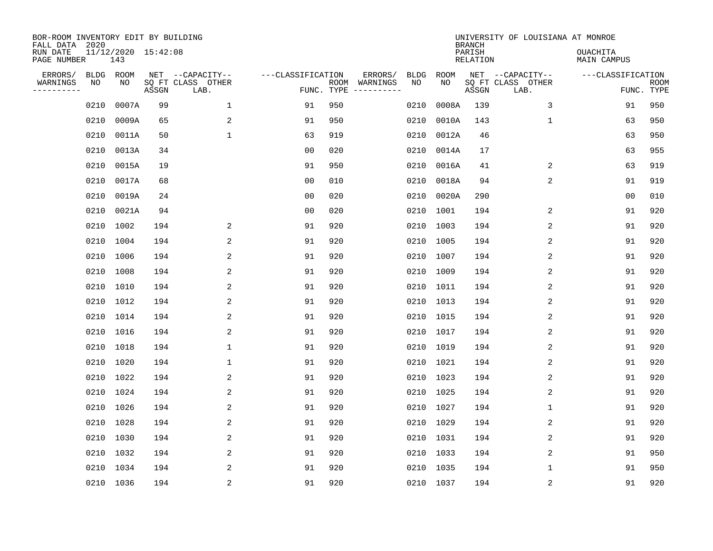| BOR-ROOM INVENTORY EDIT BY BUILDING<br>FALL DATA 2020 |            |                            |       |                                       |                   |     |                                                                                                                                                                                                                                                                                                                                                                                                                                                                                      |                   |            | <b>BRANCH</b>      | UNIVERSITY OF LOUISIANA AT MONROE     |                                |             |
|-------------------------------------------------------|------------|----------------------------|-------|---------------------------------------|-------------------|-----|--------------------------------------------------------------------------------------------------------------------------------------------------------------------------------------------------------------------------------------------------------------------------------------------------------------------------------------------------------------------------------------------------------------------------------------------------------------------------------------|-------------------|------------|--------------------|---------------------------------------|--------------------------------|-------------|
| RUN DATE<br>PAGE NUMBER                               |            | 11/12/2020 15:42:08<br>143 |       |                                       |                   |     |                                                                                                                                                                                                                                                                                                                                                                                                                                                                                      |                   |            | PARISH<br>RELATION |                                       | <b>OUACHITA</b><br>MAIN CAMPUS |             |
| ERRORS/<br>WARNINGS                                   | BLDG<br>ΝO | ROOM<br>NO                 |       | NET --CAPACITY--<br>SQ FT CLASS OTHER | ---CLASSIFICATION |     | ERRORS/<br>ROOM WARNINGS                                                                                                                                                                                                                                                                                                                                                                                                                                                             | <b>BLDG</b><br>NO | ROOM<br>NO |                    | NET --CAPACITY--<br>SQ FT CLASS OTHER | ---CLASSIFICATION              | <b>ROOM</b> |
| ---------                                             |            |                            | ASSGN | LAB.                                  | FUNC. TYPE        |     | $\begin{tabular}{cccccc} \multicolumn{2}{c}{} & \multicolumn{2}{c}{} & \multicolumn{2}{c}{} & \multicolumn{2}{c}{} & \multicolumn{2}{c}{} & \multicolumn{2}{c}{} & \multicolumn{2}{c}{} & \multicolumn{2}{c}{} & \multicolumn{2}{c}{} & \multicolumn{2}{c}{} & \multicolumn{2}{c}{} & \multicolumn{2}{c}{} & \multicolumn{2}{c}{} & \multicolumn{2}{c}{} & \multicolumn{2}{c}{} & \multicolumn{2}{c}{} & \multicolumn{2}{c}{} & \multicolumn{2}{c}{} & \multicolumn{2}{c}{} & \mult$ |                   |            | ASSGN              | LAB.                                  |                                | FUNC. TYPE  |
|                                                       | 0210       | 0007A                      | 99    | $\mathbf 1$                           | 91                | 950 |                                                                                                                                                                                                                                                                                                                                                                                                                                                                                      | 0210              | 0008A      | 139                | 3                                     | 91                             | 950         |
|                                                       | 0210       | 0009A                      | 65    | 2                                     | 91                | 950 |                                                                                                                                                                                                                                                                                                                                                                                                                                                                                      | 0210              | 0010A      | 143                | $\mathbf{1}$                          | 63                             | 950         |
|                                                       | 0210       | 0011A                      | 50    | $\mathbf{1}$                          | 63                | 919 |                                                                                                                                                                                                                                                                                                                                                                                                                                                                                      | 0210              | 0012A      | 46                 |                                       | 63                             | 950         |
|                                                       | 0210       | 0013A                      | 34    |                                       | 0 <sub>0</sub>    | 020 |                                                                                                                                                                                                                                                                                                                                                                                                                                                                                      | 0210              | 0014A      | 17                 |                                       | 63                             | 955         |
|                                                       | 0210       | 0015A                      | 19    |                                       | 91                | 950 |                                                                                                                                                                                                                                                                                                                                                                                                                                                                                      | 0210              | 0016A      | 41                 | 2                                     | 63                             | 919         |
|                                                       | 0210       | 0017A                      | 68    |                                       | 0 <sub>0</sub>    | 010 |                                                                                                                                                                                                                                                                                                                                                                                                                                                                                      | 0210              | 0018A      | 94                 | 2                                     | 91                             | 919         |
|                                                       | 0210       | 0019A                      | 24    |                                       | 0 <sub>0</sub>    | 020 |                                                                                                                                                                                                                                                                                                                                                                                                                                                                                      | 0210              | 0020A      | 290                |                                       | 0 <sub>0</sub>                 | 010         |
|                                                       | 0210       | 0021A                      | 94    |                                       | 0 <sub>0</sub>    | 020 |                                                                                                                                                                                                                                                                                                                                                                                                                                                                                      |                   | 0210 1001  | 194                | 2                                     | 91                             | 920         |
|                                                       | 0210       | 1002                       | 194   | 2                                     | 91                | 920 |                                                                                                                                                                                                                                                                                                                                                                                                                                                                                      | 0210              | 1003       | 194                | 2                                     | 91                             | 920         |
|                                                       | 0210       | 1004                       | 194   | 2                                     | 91                | 920 |                                                                                                                                                                                                                                                                                                                                                                                                                                                                                      |                   | 0210 1005  | 194                | 2                                     | 91                             | 920         |
|                                                       | 0210       | 1006                       | 194   | 2                                     | 91                | 920 |                                                                                                                                                                                                                                                                                                                                                                                                                                                                                      |                   | 0210 1007  | 194                | 2                                     | 91                             | 920         |
|                                                       | 0210       | 1008                       | 194   | 2                                     | 91                | 920 |                                                                                                                                                                                                                                                                                                                                                                                                                                                                                      |                   | 0210 1009  | 194                | 2                                     | 91                             | 920         |
|                                                       | 0210       | 1010                       | 194   | 2                                     | 91                | 920 |                                                                                                                                                                                                                                                                                                                                                                                                                                                                                      |                   | 0210 1011  | 194                | 2                                     | 91                             | 920         |
|                                                       | 0210       | 1012                       | 194   | 2                                     | 91                | 920 |                                                                                                                                                                                                                                                                                                                                                                                                                                                                                      |                   | 0210 1013  | 194                | 2                                     | 91                             | 920         |
|                                                       | 0210 1014  |                            | 194   | 2                                     | 91                | 920 |                                                                                                                                                                                                                                                                                                                                                                                                                                                                                      |                   | 0210 1015  | 194                | 2                                     | 91                             | 920         |
|                                                       | 0210       | 1016                       | 194   | 2                                     | 91                | 920 |                                                                                                                                                                                                                                                                                                                                                                                                                                                                                      |                   | 0210 1017  | 194                | $\overline{2}$                        | 91                             | 920         |
|                                                       | 0210       | 1018                       | 194   | 1                                     | 91                | 920 |                                                                                                                                                                                                                                                                                                                                                                                                                                                                                      |                   | 0210 1019  | 194                | 2                                     | 91                             | 920         |
|                                                       | 0210       | 1020                       | 194   | $\mathbf{1}$                          | 91                | 920 |                                                                                                                                                                                                                                                                                                                                                                                                                                                                                      |                   | 0210 1021  | 194                | 2                                     | 91                             | 920         |
|                                                       | 0210 1022  |                            | 194   | 2                                     | 91                | 920 |                                                                                                                                                                                                                                                                                                                                                                                                                                                                                      |                   | 0210 1023  | 194                | 2                                     | 91                             | 920         |
|                                                       | 0210       | 1024                       | 194   | 2                                     | 91                | 920 |                                                                                                                                                                                                                                                                                                                                                                                                                                                                                      |                   | 0210 1025  | 194                | 2                                     | 91                             | 920         |
|                                                       | 0210 1026  |                            | 194   | 2                                     | 91                | 920 |                                                                                                                                                                                                                                                                                                                                                                                                                                                                                      |                   | 0210 1027  | 194                | 1                                     | 91                             | 920         |
|                                                       | 0210       | 1028                       | 194   | 2                                     | 91                | 920 |                                                                                                                                                                                                                                                                                                                                                                                                                                                                                      |                   | 0210 1029  | 194                | 2                                     | 91                             | 920         |
|                                                       | 0210 1030  |                            | 194   | 2                                     | 91                | 920 |                                                                                                                                                                                                                                                                                                                                                                                                                                                                                      |                   | 0210 1031  | 194                | 2                                     | 91                             | 920         |
|                                                       | 0210       | 1032                       | 194   | 2                                     | 91                | 920 |                                                                                                                                                                                                                                                                                                                                                                                                                                                                                      |                   | 0210 1033  | 194                | 2                                     | 91                             | 950         |
|                                                       |            | 0210 1034                  | 194   | 2                                     | 91                | 920 |                                                                                                                                                                                                                                                                                                                                                                                                                                                                                      |                   | 0210 1035  | 194                | 1                                     | 91                             | 950         |
|                                                       | 0210 1036  |                            | 194   | $\overline{2}$                        | 91                | 920 |                                                                                                                                                                                                                                                                                                                                                                                                                                                                                      |                   | 0210 1037  | 194                | $\sqrt{2}$                            | 91                             | 920         |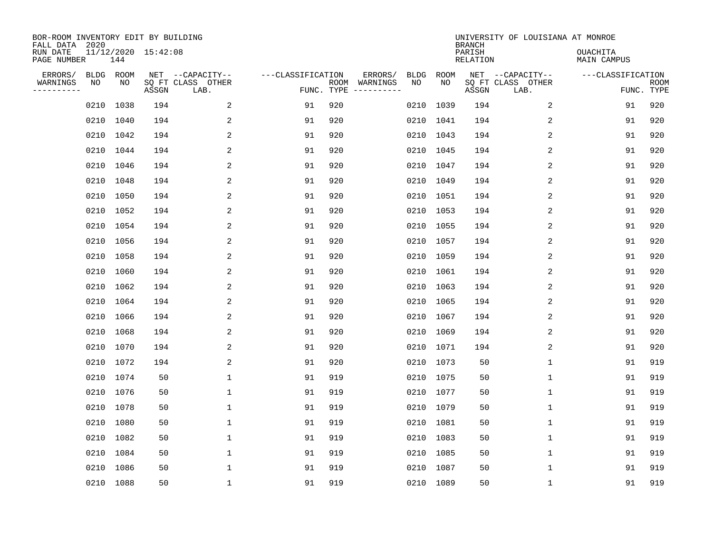| BOR-ROOM INVENTORY EDIT BY BUILDING<br>FALL DATA 2020 |            |            |                     |                                               |                                 |     |                                                                                                                                                                                                                                                                                                                                                                                                                                                                                                                  |                   |            | <b>BRANCH</b>      | UNIVERSITY OF LOUISIANA AT MONROE             |                                |                           |
|-------------------------------------------------------|------------|------------|---------------------|-----------------------------------------------|---------------------------------|-----|------------------------------------------------------------------------------------------------------------------------------------------------------------------------------------------------------------------------------------------------------------------------------------------------------------------------------------------------------------------------------------------------------------------------------------------------------------------------------------------------------------------|-------------------|------------|--------------------|-----------------------------------------------|--------------------------------|---------------------------|
| RUN DATE<br>PAGE NUMBER                               |            | 144        | 11/12/2020 15:42:08 |                                               |                                 |     |                                                                                                                                                                                                                                                                                                                                                                                                                                                                                                                  |                   |            | PARISH<br>RELATION |                                               | <b>OUACHITA</b><br>MAIN CAMPUS |                           |
| ERRORS/<br>WARNINGS<br>---------                      | BLDG<br>ΝO | ROOM<br>NO | ASSGN               | NET --CAPACITY--<br>SQ FT CLASS OTHER<br>LAB. | ---CLASSIFICATION<br>FUNC. TYPE |     | ERRORS/<br>ROOM WARNINGS<br>$\begin{tabular}{cccccc} \multicolumn{2}{c}{} & \multicolumn{2}{c}{} & \multicolumn{2}{c}{} & \multicolumn{2}{c}{} & \multicolumn{2}{c}{} & \multicolumn{2}{c}{} & \multicolumn{2}{c}{} & \multicolumn{2}{c}{} & \multicolumn{2}{c}{} & \multicolumn{2}{c}{} & \multicolumn{2}{c}{} & \multicolumn{2}{c}{} & \multicolumn{2}{c}{} & \multicolumn{2}{c}{} & \multicolumn{2}{c}{} & \multicolumn{2}{c}{} & \multicolumn{2}{c}{} & \multicolumn{2}{c}{} & \multicolumn{2}{c}{} & \mult$ | <b>BLDG</b><br>NO | ROOM<br>NO | ASSGN              | NET --CAPACITY--<br>SQ FT CLASS OTHER<br>LAB. | ---CLASSIFICATION              | <b>ROOM</b><br>FUNC. TYPE |
|                                                       | 0210       | 1038       | 194                 | 2                                             | 91                              | 920 |                                                                                                                                                                                                                                                                                                                                                                                                                                                                                                                  |                   | 0210 1039  | 194                | 2                                             | 91                             | 920                       |
|                                                       | 0210       | 1040       | 194                 | 2                                             | 91                              | 920 |                                                                                                                                                                                                                                                                                                                                                                                                                                                                                                                  |                   | 0210 1041  | 194                | 2                                             | 91                             | 920                       |
|                                                       | 0210       | 1042       | 194                 | 2                                             | 91                              | 920 |                                                                                                                                                                                                                                                                                                                                                                                                                                                                                                                  |                   | 0210 1043  | 194                | 2                                             | 91                             | 920                       |
|                                                       |            | 0210 1044  | 194                 | $\overline{a}$                                | 91                              | 920 |                                                                                                                                                                                                                                                                                                                                                                                                                                                                                                                  |                   | 0210 1045  | 194                | 2                                             | 91                             | 920                       |
|                                                       | 0210       | 1046       | 194                 | 2                                             | 91                              | 920 |                                                                                                                                                                                                                                                                                                                                                                                                                                                                                                                  |                   | 0210 1047  | 194                | 2                                             | 91                             | 920                       |
|                                                       |            | 0210 1048  | 194                 | 2                                             | 91                              | 920 |                                                                                                                                                                                                                                                                                                                                                                                                                                                                                                                  |                   | 0210 1049  | 194                | 2                                             | 91                             | 920                       |
|                                                       | 0210       | 1050       | 194                 | 2                                             | 91                              | 920 |                                                                                                                                                                                                                                                                                                                                                                                                                                                                                                                  |                   | 0210 1051  | 194                | 2                                             | 91                             | 920                       |
|                                                       |            | 0210 1052  | 194                 | 2                                             | 91                              | 920 |                                                                                                                                                                                                                                                                                                                                                                                                                                                                                                                  |                   | 0210 1053  | 194                | 2                                             | 91                             | 920                       |
|                                                       | 0210       | 1054       | 194                 | 2                                             | 91                              | 920 |                                                                                                                                                                                                                                                                                                                                                                                                                                                                                                                  |                   | 0210 1055  | 194                | 2                                             | 91                             | 920                       |
|                                                       | 0210       | 1056       | 194                 | 2                                             | 91                              | 920 |                                                                                                                                                                                                                                                                                                                                                                                                                                                                                                                  |                   | 0210 1057  | 194                | 2                                             | 91                             | 920                       |
|                                                       | 0210       | 1058       | 194                 | 2                                             | 91                              | 920 |                                                                                                                                                                                                                                                                                                                                                                                                                                                                                                                  |                   | 0210 1059  | 194                | 2                                             | 91                             | 920                       |
|                                                       | 0210       | 1060       | 194                 | 2                                             | 91                              | 920 |                                                                                                                                                                                                                                                                                                                                                                                                                                                                                                                  |                   | 0210 1061  | 194                | 2                                             | 91                             | 920                       |
|                                                       | 0210       | 1062       | 194                 | 2                                             | 91                              | 920 |                                                                                                                                                                                                                                                                                                                                                                                                                                                                                                                  |                   | 0210 1063  | 194                | 2                                             | 91                             | 920                       |
|                                                       | 0210       | 1064       | 194                 | 2                                             | 91                              | 920 |                                                                                                                                                                                                                                                                                                                                                                                                                                                                                                                  |                   | 0210 1065  | 194                | 2                                             | 91                             | 920                       |
|                                                       | 0210       | 1066       | 194                 | 2                                             | 91                              | 920 |                                                                                                                                                                                                                                                                                                                                                                                                                                                                                                                  |                   | 0210 1067  | 194                | 2                                             | 91                             | 920                       |
|                                                       | 0210       | 1068       | 194                 | 2                                             | 91                              | 920 |                                                                                                                                                                                                                                                                                                                                                                                                                                                                                                                  |                   | 0210 1069  | 194                | $\overline{2}$                                | 91                             | 920                       |
|                                                       | 0210       | 1070       | 194                 | 2                                             | 91                              | 920 |                                                                                                                                                                                                                                                                                                                                                                                                                                                                                                                  |                   | 0210 1071  | 194                | 2                                             | 91                             | 920                       |
|                                                       | 0210       | 1072       | 194                 | 2                                             | 91                              | 920 |                                                                                                                                                                                                                                                                                                                                                                                                                                                                                                                  |                   | 0210 1073  | 50                 | 1                                             | 91                             | 919                       |
|                                                       |            | 0210 1074  | 50                  | 1                                             | 91                              | 919 |                                                                                                                                                                                                                                                                                                                                                                                                                                                                                                                  |                   | 0210 1075  | 50                 | 1                                             | 91                             | 919                       |
|                                                       |            | 0210 1076  | 50                  | 1                                             | 91                              | 919 |                                                                                                                                                                                                                                                                                                                                                                                                                                                                                                                  |                   | 0210 1077  | 50                 | $\mathbf 1$                                   | 91                             | 919                       |
|                                                       | 0210 1078  |            | 50                  | $\mathbf{1}$                                  | 91                              | 919 |                                                                                                                                                                                                                                                                                                                                                                                                                                                                                                                  |                   | 0210 1079  | 50                 | $\mathbf{1}$                                  | 91                             | 919                       |
|                                                       | 0210       | 1080       | 50                  | $\mathbf{1}$                                  | 91                              | 919 |                                                                                                                                                                                                                                                                                                                                                                                                                                                                                                                  |                   | 0210 1081  | 50                 | $\mathbf{1}$                                  | 91                             | 919                       |
|                                                       |            | 0210 1082  | 50                  | $\mathbf{1}$                                  | 91                              | 919 |                                                                                                                                                                                                                                                                                                                                                                                                                                                                                                                  |                   | 0210 1083  | 50                 | $\mathbf{1}$                                  | 91                             | 919                       |
|                                                       | 0210       | 1084       | 50                  | $\mathbf{1}$                                  | 91                              | 919 |                                                                                                                                                                                                                                                                                                                                                                                                                                                                                                                  |                   | 0210 1085  | 50                 | $\mathbf 1$                                   | 91                             | 919                       |
|                                                       |            | 0210 1086  | 50                  | 1                                             | 91                              | 919 |                                                                                                                                                                                                                                                                                                                                                                                                                                                                                                                  |                   | 0210 1087  | 50                 | 1                                             | 91                             | 919                       |
|                                                       |            | 0210 1088  | 50                  | $\mathbf{1}$                                  | 91                              | 919 |                                                                                                                                                                                                                                                                                                                                                                                                                                                                                                                  |                   | 0210 1089  | 50                 | $\mathbf{1}$                                  | 91                             | 919                       |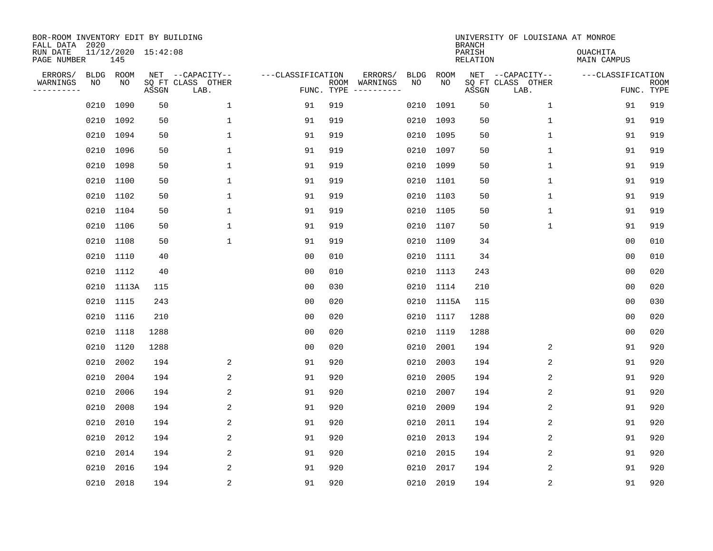| BOR-ROOM INVENTORY EDIT BY BUILDING<br>FALL DATA 2020 |                 |            |                     |                                               |                   |            |                          |                   |            | <b>BRANCH</b>      | UNIVERSITY OF LOUISIANA AT MONROE             |                                |                           |
|-------------------------------------------------------|-----------------|------------|---------------------|-----------------------------------------------|-------------------|------------|--------------------------|-------------------|------------|--------------------|-----------------------------------------------|--------------------------------|---------------------------|
| RUN DATE<br>PAGE NUMBER                               |                 | 145        | 11/12/2020 15:42:08 |                                               |                   |            |                          |                   |            | PARISH<br>RELATION |                                               | <b>OUACHITA</b><br>MAIN CAMPUS |                           |
| ERRORS/<br>WARNINGS<br>---------                      | BLDG ROOM<br>NO | NO         | ASSGN               | NET --CAPACITY--<br>SQ FT CLASS OTHER<br>LAB. | ---CLASSIFICATION | FUNC. TYPE | ERRORS/<br>ROOM WARNINGS | <b>BLDG</b><br>NO | ROOM<br>NO | ASSGN              | NET --CAPACITY--<br>SQ FT CLASS OTHER<br>LAB. | ---CLASSIFICATION              | <b>ROOM</b><br>FUNC. TYPE |
|                                                       | 0210            | 1090       | 50                  | $\mathbf{1}$                                  | 91                | 919        |                          | 0210              | 1091       | 50                 | $\mathbf{1}$                                  | 91                             | 919                       |
|                                                       |                 | 0210 1092  | 50                  | $\mathbf{1}$                                  | 91                | 919        |                          |                   | 0210 1093  | 50                 | $\mathbf{1}$                                  | 91                             | 919                       |
|                                                       | 0210            | 1094       | 50                  | $\mathbf{1}$                                  | 91                | 919        |                          |                   | 0210 1095  | 50                 | $\mathbf{1}$                                  | 91                             | 919                       |
|                                                       | 0210 1096       |            | 50                  | $\mathbf{1}$                                  | 91                | 919        |                          |                   | 0210 1097  | 50                 | $\mathbf{1}$                                  | 91                             | 919                       |
|                                                       | 0210            | 1098       | 50                  | $\mathbf{1}$                                  | 91                | 919        |                          |                   | 0210 1099  | 50                 | $\mathbf 1$                                   | 91                             | 919                       |
|                                                       | 0210 1100       |            | 50                  | $\mathbf 1$                                   | 91                | 919        |                          |                   | 0210 1101  | 50                 | $\mathbf 1$                                   | 91                             | 919                       |
|                                                       |                 | 0210 1102  | 50                  | $\mathbf 1$                                   | 91                | 919        |                          |                   | 0210 1103  | 50                 | $\mathbf 1$                                   | 91                             | 919                       |
|                                                       | 0210 1104       |            | 50                  | 1                                             | 91                | 919        |                          |                   | 0210 1105  | 50                 | $\mathbf 1$                                   | 91                             | 919                       |
|                                                       | 0210 1106       |            | 50                  | $\mathbf 1$                                   | 91                | 919        |                          |                   | 0210 1107  | 50                 | $\mathbf 1$                                   | 91                             | 919                       |
|                                                       | 0210 1108       |            | 50                  | $\mathbf{1}$                                  | 91                | 919        |                          |                   | 0210 1109  | 34                 |                                               | 00                             | 010                       |
|                                                       | 0210 1110       |            | 40                  |                                               | 0 <sub>0</sub>    | 010        |                          |                   | 0210 1111  | 34                 |                                               | 0 <sub>0</sub>                 | 010                       |
|                                                       |                 | 0210 1112  | 40                  |                                               | 0 <sub>0</sub>    | 010        |                          |                   | 0210 1113  | 243                |                                               | 0 <sub>0</sub>                 | 020                       |
|                                                       |                 | 0210 1113A | 115                 |                                               | 0 <sub>0</sub>    | 030        |                          |                   | 0210 1114  | 210                |                                               | 0 <sub>0</sub>                 | 020                       |
|                                                       |                 | 0210 1115  | 243                 |                                               | 0 <sub>0</sub>    | 020        |                          |                   | 0210 1115A | 115                |                                               | 0 <sub>0</sub>                 | 030                       |
|                                                       | 0210            | 1116       | 210                 |                                               | 0 <sub>0</sub>    | 020        |                          |                   | 0210 1117  | 1288               |                                               | 0 <sub>0</sub>                 | 020                       |
|                                                       | 0210            | 1118       | 1288                |                                               | 0 <sub>0</sub>    | 020        |                          | 0210              | 1119       | 1288               |                                               | 0 <sub>0</sub>                 | 020                       |
|                                                       | 0210            | 1120       | 1288                |                                               | 0 <sub>0</sub>    | 020        |                          | 0210              | 2001       | 194                | 2                                             | 91                             | 920                       |
|                                                       | 0210            | 2002       | 194                 | 2                                             | 91                | 920        |                          | 0210              | 2003       | 194                | 2                                             | 91                             | 920                       |
|                                                       | 0210            | 2004       | 194                 | 2                                             | 91                | 920        |                          | 0210              | 2005       | 194                | 2                                             | 91                             | 920                       |
|                                                       | 0210            | 2006       | 194                 | 2                                             | 91                | 920        |                          | 0210              | 2007       | 194                | 2                                             | 91                             | 920                       |
|                                                       | 0210            | 2008       | 194                 | 2                                             | 91                | 920        |                          | 0210              | 2009       | 194                | 2                                             | 91                             | 920                       |
|                                                       | 0210            | 2010       | 194                 | 2                                             | 91                | 920        |                          | 0210              | 2011       | 194                | 2                                             | 91                             | 920                       |
|                                                       | 0210            | 2012       | 194                 | 2                                             | 91                | 920        |                          | 0210              | 2013       | 194                | 2                                             | 91                             | 920                       |
|                                                       | 0210            | 2014       | 194                 | 2                                             | 91                | 920        |                          | 0210              | 2015       | 194                | 2                                             | 91                             | 920                       |
|                                                       | 0210            | 2016       | 194                 | 2                                             | 91                | 920        |                          | 0210              | 2017       | 194                | 2                                             | 91                             | 920                       |
|                                                       |                 | 0210 2018  | 194                 | $\overline{2}$                                | 91                | 920        |                          |                   | 0210 2019  | 194                | 2                                             | 91                             | 920                       |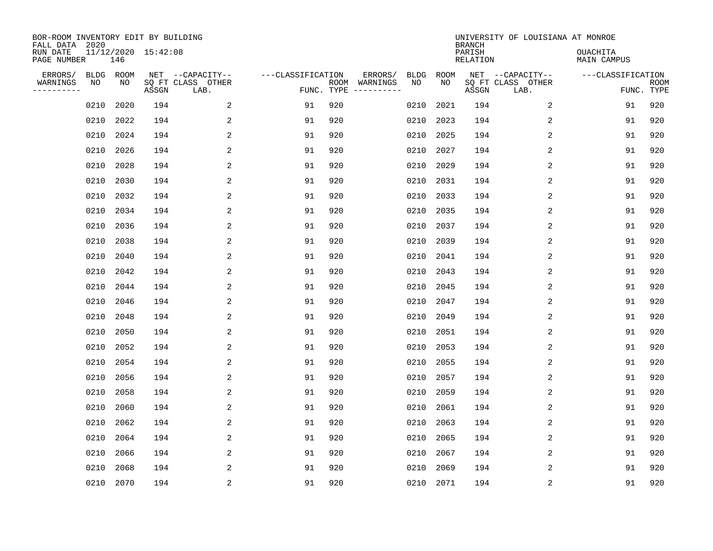| BOR-ROOM INVENTORY EDIT BY BUILDING<br>FALL DATA 2020 |            |            |                     |                                               |                                 |     |                          |                   |            | <b>BRANCH</b>      | UNIVERSITY OF LOUISIANA AT MONROE             |                                |                           |
|-------------------------------------------------------|------------|------------|---------------------|-----------------------------------------------|---------------------------------|-----|--------------------------|-------------------|------------|--------------------|-----------------------------------------------|--------------------------------|---------------------------|
| RUN DATE<br>PAGE NUMBER                               |            | 146        | 11/12/2020 15:42:08 |                                               |                                 |     |                          |                   |            | PARISH<br>RELATION |                                               | <b>OUACHITA</b><br>MAIN CAMPUS |                           |
| ERRORS/<br>WARNINGS<br>---------                      | BLDG<br>ΝO | ROOM<br>NO | ASSGN               | NET --CAPACITY--<br>SQ FT CLASS OTHER<br>LAB. | ---CLASSIFICATION<br>FUNC. TYPE |     | ERRORS/<br>ROOM WARNINGS | <b>BLDG</b><br>NO | ROOM<br>NO | ASSGN              | NET --CAPACITY--<br>SQ FT CLASS OTHER<br>LAB. | ---CLASSIFICATION              | <b>ROOM</b><br>FUNC. TYPE |
|                                                       | 0210       | 2020       | 194                 | 2                                             | 91                              | 920 |                          | 0210              | 2021       | 194                | 2                                             | 91                             | 920                       |
|                                                       | 0210       | 2022       | 194                 | 2                                             | 91                              | 920 |                          | 0210              | 2023       | 194                | 2                                             | 91                             | 920                       |
|                                                       | 0210       | 2024       | 194                 | 2                                             | 91                              | 920 |                          | 0210              | 2025       | 194                | 2                                             | 91                             | 920                       |
|                                                       | 0210       | 2026       | 194                 | $\overline{a}$                                | 91                              | 920 |                          | 0210              | 2027       | 194                | 2                                             | 91                             | 920                       |
|                                                       | 0210       | 2028       | 194                 | 2                                             | 91                              | 920 |                          | 0210              | 2029       | 194                | 2                                             | 91                             | 920                       |
|                                                       | 0210       | 2030       | 194                 | 2                                             | 91                              | 920 |                          | 0210              | 2031       | 194                | 2                                             | 91                             | 920                       |
|                                                       | 0210       | 2032       | 194                 | 2                                             | 91                              | 920 |                          | 0210              | 2033       | 194                | 2                                             | 91                             | 920                       |
|                                                       | 0210       | 2034       | 194                 | 2                                             | 91                              | 920 |                          | 0210              | 2035       | 194                | 2                                             | 91                             | 920                       |
|                                                       | 0210       | 2036       | 194                 | 2                                             | 91                              | 920 |                          | 0210              | 2037       | 194                | 2                                             | 91                             | 920                       |
|                                                       | 0210       | 2038       | 194                 | 2                                             | 91                              | 920 |                          | 0210              | 2039       | 194                | 2                                             | 91                             | 920                       |
|                                                       | 0210       | 2040       | 194                 | 2                                             | 91                              | 920 |                          | 0210              | 2041       | 194                | 2                                             | 91                             | 920                       |
|                                                       | 0210       | 2042       | 194                 | 2                                             | 91                              | 920 |                          | 0210              | 2043       | 194                | 2                                             | 91                             | 920                       |
|                                                       | 0210       | 2044       | 194                 | 2                                             | 91                              | 920 |                          | 0210              | 2045       | 194                | 2                                             | 91                             | 920                       |
|                                                       | 0210       | 2046       | 194                 | 2                                             | 91                              | 920 |                          | 0210              | 2047       | 194                | 2                                             | 91                             | 920                       |
|                                                       | 0210       | 2048       | 194                 | 2                                             | 91                              | 920 |                          | 0210              | 2049       | 194                | 2                                             | 91                             | 920                       |
|                                                       | 0210       | 2050       | 194                 | 2                                             | 91                              | 920 |                          | 0210              | 2051       | 194                | 2                                             | 91                             | 920                       |
|                                                       | 0210       | 2052       | 194                 | 2                                             | 91                              | 920 |                          | 0210              | 2053       | 194                | 2                                             | 91                             | 920                       |
|                                                       | 0210       | 2054       | 194                 | 2                                             | 91                              | 920 |                          | 0210              | 2055       | 194                | 2                                             | 91                             | 920                       |
|                                                       | 0210       | 2056       | 194                 | 2                                             | 91                              | 920 |                          | 0210              | 2057       | 194                | 2                                             | 91                             | 920                       |
|                                                       | 0210       | 2058       | 194                 | 2                                             | 91                              | 920 |                          | 0210              | 2059       | 194                | 2                                             | 91                             | 920                       |
|                                                       | 0210       | 2060       | 194                 | 2                                             | 91                              | 920 |                          | 0210              | 2061       | 194                | 2                                             | 91                             | 920                       |
|                                                       | 0210       | 2062       | 194                 | 2                                             | 91                              | 920 |                          | 0210              | 2063       | 194                | 2                                             | 91                             | 920                       |
|                                                       | 0210       | 2064       | 194                 | 2                                             | 91                              | 920 |                          | 0210              | 2065       | 194                | 2                                             | 91                             | 920                       |
|                                                       | 0210       | 2066       | 194                 | 2                                             | 91                              | 920 |                          | 0210              | 2067       | 194                | 2                                             | 91                             | 920                       |
|                                                       | 0210       | 2068       | 194                 | 2                                             | 91                              | 920 |                          | 0210              | 2069       | 194                | 2                                             | 91                             | 920                       |
|                                                       |            | 0210 2070  | 194                 | $\overline{2}$                                | 91                              | 920 |                          |                   | 0210 2071  | 194                | $\sqrt{2}$                                    | 91                             | 920                       |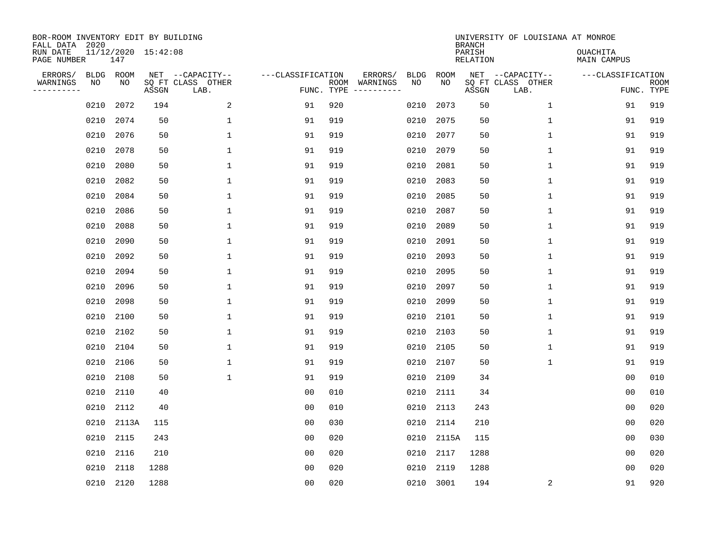| BOR-ROOM INVENTORY EDIT BY BUILDING<br>FALL DATA 2020 |           |                            |       |                           |                   |     |                                                                                                                             |             |           | <b>BRANCH</b>      | UNIVERSITY OF LOUISIANA AT MONROE |                                |                           |
|-------------------------------------------------------|-----------|----------------------------|-------|---------------------------|-------------------|-----|-----------------------------------------------------------------------------------------------------------------------------|-------------|-----------|--------------------|-----------------------------------|--------------------------------|---------------------------|
| RUN DATE<br>PAGE NUMBER                               |           | 11/12/2020 15:42:08<br>147 |       |                           |                   |     |                                                                                                                             |             |           | PARISH<br>RELATION |                                   | <b>OUACHITA</b><br>MAIN CAMPUS |                           |
| ERRORS/                                               | BLDG      | ROOM                       |       | NET --CAPACITY--          | ---CLASSIFICATION |     | ERRORS/                                                                                                                     | <b>BLDG</b> | ROOM      |                    | NET --CAPACITY--                  | ---CLASSIFICATION              |                           |
| WARNINGS<br>---------                                 | ΝO        | NO                         | ASSGN | SQ FT CLASS OTHER<br>LAB. | FUNC. TYPE        |     | ROOM WARNINGS<br>$\begin{tabular}{ccccccccc} - & - & - & - & - & - & - & - \\ & - & - & - & - & - & - & - \\ \end{tabular}$ | NO          | NO        | ASSGN              | SQ FT CLASS OTHER<br>LAB.         |                                | <b>ROOM</b><br>FUNC. TYPE |
|                                                       | 0210      | 2072                       | 194   | 2                         | 91                | 920 |                                                                                                                             | 0210        | 2073      | 50                 | $\mathbf{1}$                      | 91                             | 919                       |
|                                                       | 0210      | 2074                       | 50    | 1                         | 91                | 919 |                                                                                                                             | 0210        | 2075      | 50                 | $\mathbf{1}$                      | 91                             | 919                       |
|                                                       | 0210      | 2076                       | 50    | $\mathbf{1}$              | 91                | 919 |                                                                                                                             | 0210        | 2077      | 50                 | $\mathbf{1}$                      | 91                             | 919                       |
|                                                       | 0210      | 2078                       | 50    | $\mathbf{1}$              | 91                | 919 |                                                                                                                             | 0210        | 2079      | 50                 | $\mathbf{1}$                      | 91                             | 919                       |
|                                                       | 0210      | 2080                       | 50    | $\mathbf{1}$              | 91                | 919 |                                                                                                                             | 0210        | 2081      | 50                 | $\mathbf{1}$                      | 91                             | 919                       |
|                                                       | 0210      | 2082                       | 50    | $\mathbf 1$               | 91                | 919 |                                                                                                                             | 0210        | 2083      | 50                 | $\mathbf 1$                       | 91                             | 919                       |
|                                                       | 0210      | 2084                       | 50    | $\mathbf 1$               | 91                | 919 |                                                                                                                             | 0210        | 2085      | 50                 | $\mathbf 1$                       | 91                             | 919                       |
|                                                       | 0210      | 2086                       | 50    | $\mathbf{1}$              | 91                | 919 |                                                                                                                             | 0210        | 2087      | 50                 | $\mathbf 1$                       | 91                             | 919                       |
|                                                       | 0210      | 2088                       | 50    | 1                         | 91                | 919 |                                                                                                                             | 0210        | 2089      | 50                 | $\mathbf 1$                       | 91                             | 919                       |
|                                                       | 0210      | 2090                       | 50    | 1                         | 91                | 919 |                                                                                                                             | 0210        | 2091      | 50                 | $\mathbf 1$                       | 91                             | 919                       |
|                                                       | 0210      | 2092                       | 50    | $\mathbf{1}$              | 91                | 919 |                                                                                                                             | 0210        | 2093      | 50                 | $\mathbf{1}$                      | 91                             | 919                       |
|                                                       | 0210      | 2094                       | 50    | $\mathbf{1}$              | 91                | 919 |                                                                                                                             | 0210        | 2095      | 50                 | $\mathbf{1}$                      | 91                             | 919                       |
|                                                       | 0210      | 2096                       | 50    | $\mathbf{1}$              | 91                | 919 |                                                                                                                             | 0210        | 2097      | 50                 | $\mathbf{1}$                      | 91                             | 919                       |
|                                                       | 0210      | 2098                       | 50    | $\mathbf{1}$              | 91                | 919 |                                                                                                                             | 0210        | 2099      | 50                 | $\mathbf 1$                       | 91                             | 919                       |
|                                                       | 0210      | 2100                       | 50    | 1                         | 91                | 919 |                                                                                                                             | 0210        | 2101      | 50                 | 1                                 | 91                             | 919                       |
|                                                       | 0210      | 2102                       | 50    | 1                         | 91                | 919 |                                                                                                                             | 0210        | 2103      | 50                 | 1                                 | 91                             | 919                       |
|                                                       | 0210      | 2104                       | 50    | 1                         | 91                | 919 |                                                                                                                             | 0210        | 2105      | 50                 | 1                                 | 91                             | 919                       |
|                                                       | 0210      | 2106                       | 50    | $\mathbf{1}$              | 91                | 919 |                                                                                                                             | 0210        | 2107      | 50                 | $\mathbf{1}$                      | 91                             | 919                       |
|                                                       | 0210      | 2108                       | 50    | $\mathbf{1}$              | 91                | 919 |                                                                                                                             | 0210        | 2109      | 34                 |                                   | 0 <sub>0</sub>                 | 010                       |
|                                                       | 0210      | 2110                       | 40    |                           | 0 <sub>0</sub>    | 010 |                                                                                                                             | 0210        | 2111      | 34                 |                                   | 0 <sub>0</sub>                 | 010                       |
|                                                       | 0210      | 2112                       | 40    |                           | 0 <sub>0</sub>    | 010 |                                                                                                                             | 0210        | 2113      | 243                |                                   | 0 <sub>0</sub>                 | 020                       |
|                                                       | 0210      | 2113A                      | 115   |                           | 0 <sub>0</sub>    | 030 |                                                                                                                             | 0210        | 2114      | 210                |                                   | 0 <sub>0</sub>                 | 020                       |
|                                                       | 0210 2115 |                            | 243   |                           | 0 <sub>0</sub>    | 020 |                                                                                                                             | 0210        | 2115A     | 115                |                                   | 0 <sub>0</sub>                 | 030                       |
|                                                       | 0210      | 2116                       | 210   |                           | 0 <sub>0</sub>    | 020 |                                                                                                                             | 0210        | 2117      | 1288               |                                   | 0 <sub>0</sub>                 | 020                       |
|                                                       | 0210      | 2118                       | 1288  |                           | 00                | 020 |                                                                                                                             | 0210        | 2119      | 1288               |                                   | 00                             | 020                       |
|                                                       | 0210 2120 |                            | 1288  |                           | 0 <sub>0</sub>    | 020 |                                                                                                                             |             | 0210 3001 | 194                | 2                                 | 91                             | 920                       |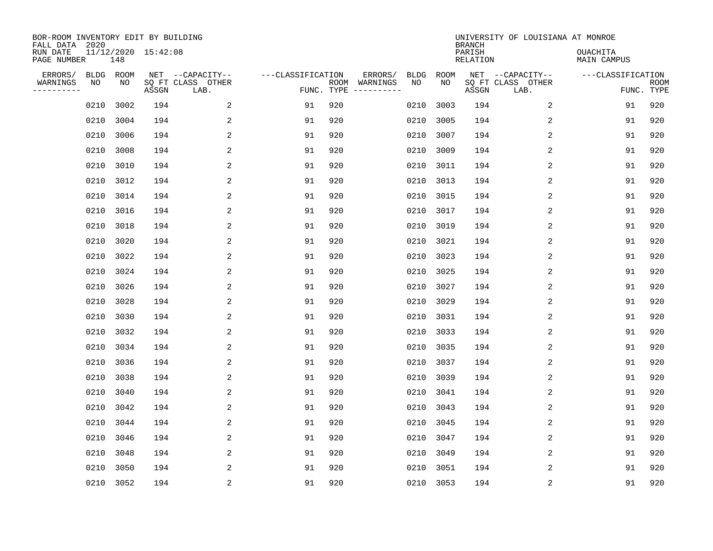| BOR-ROOM INVENTORY EDIT BY BUILDING<br>FALL DATA 2020 |            |            |                     |                                       |                   |     |                          |                   |            | <b>BRANCH</b>      | UNIVERSITY OF LOUISIANA AT MONROE     |                                |             |
|-------------------------------------------------------|------------|------------|---------------------|---------------------------------------|-------------------|-----|--------------------------|-------------------|------------|--------------------|---------------------------------------|--------------------------------|-------------|
| RUN DATE<br>PAGE NUMBER                               |            | 148        | 11/12/2020 15:42:08 |                                       |                   |     |                          |                   |            | PARISH<br>RELATION |                                       | <b>OUACHITA</b><br>MAIN CAMPUS |             |
| ERRORS/<br>WARNINGS                                   | BLDG<br>ΝO | ROOM<br>NO |                     | NET --CAPACITY--<br>SQ FT CLASS OTHER | ---CLASSIFICATION |     | ERRORS/<br>ROOM WARNINGS | <b>BLDG</b><br>NO | ROOM<br>NO |                    | NET --CAPACITY--<br>SQ FT CLASS OTHER | ---CLASSIFICATION              | <b>ROOM</b> |
| ---------                                             |            |            | ASSGN               | LAB.                                  | FUNC. TYPE        |     |                          |                   |            | ASSGN              | LAB.                                  |                                | FUNC. TYPE  |
|                                                       | 0210       | 3002       | 194                 | 2                                     | 91                | 920 |                          | 0210              | 3003       | 194                | 2                                     | 91                             | 920         |
|                                                       | 0210       | 3004       | 194                 | 2                                     | 91                | 920 |                          | 0210              | 3005       | 194                | 2                                     | 91                             | 920         |
|                                                       | 0210       | 3006       | 194                 | 2                                     | 91                | 920 |                          | 0210              | 3007       | 194                | 2                                     | 91                             | 920         |
|                                                       | 0210       | 3008       | 194                 | $\overline{a}$                        | 91                | 920 |                          | 0210              | 3009       | 194                | 2                                     | 91                             | 920         |
|                                                       | 0210       | 3010       | 194                 | 2                                     | 91                | 920 |                          | 0210              | 3011       | 194                | 2                                     | 91                             | 920         |
|                                                       | 0210       | 3012       | 194                 | 2                                     | 91                | 920 |                          | 0210              | 3013       | 194                | 2                                     | 91                             | 920         |
|                                                       | 0210       | 3014       | 194                 | 2                                     | 91                | 920 |                          | 0210              | 3015       | 194                | 2                                     | 91                             | 920         |
|                                                       | 0210       | 3016       | 194                 | 2                                     | 91                | 920 |                          | 0210              | 3017       | 194                | 2                                     | 91                             | 920         |
|                                                       | 0210       | 3018       | 194                 | 2                                     | 91                | 920 |                          | 0210              | 3019       | 194                | 2                                     | 91                             | 920         |
|                                                       | 0210       | 3020       | 194                 | 2                                     | 91                | 920 |                          | 0210              | 3021       | 194                | 2                                     | 91                             | 920         |
|                                                       | 0210       | 3022       | 194                 | 2                                     | 91                | 920 |                          | 0210              | 3023       | 194                | 2                                     | 91                             | 920         |
|                                                       | 0210       | 3024       | 194                 | 2                                     | 91                | 920 |                          | 0210              | 3025       | 194                | 2                                     | 91                             | 920         |
|                                                       | 0210       | 3026       | 194                 | 2                                     | 91                | 920 |                          | 0210              | 3027       | 194                | 2                                     | 91                             | 920         |
|                                                       | 0210       | 3028       | 194                 | 2                                     | 91                | 920 |                          | 0210              | 3029       | 194                | $\overline{2}$                        | 91                             | 920         |
|                                                       | 0210       | 3030       | 194                 | 2                                     | 91                | 920 |                          | 0210              | 3031       | 194                | 2                                     | 91                             | 920         |
|                                                       | 0210       | 3032       | 194                 | 2                                     | 91                | 920 |                          | 0210              | 3033       | 194                | 2                                     | 91                             | 920         |
|                                                       | 0210       | 3034       | 194                 | 2                                     | 91                | 920 |                          | 0210              | 3035       | 194                | 2                                     | 91                             | 920         |
|                                                       | 0210       | 3036       | 194                 | 2                                     | 91                | 920 |                          | 0210              | 3037       | 194                | 2                                     | 91                             | 920         |
|                                                       | 0210       | 3038       | 194                 | 2                                     | 91                | 920 |                          | 0210              | 3039       | 194                | 2                                     | 91                             | 920         |
|                                                       | 0210       | 3040       | 194                 | 2                                     | 91                | 920 |                          | 0210              | 3041       | 194                | 2                                     | 91                             | 920         |
|                                                       | 0210       | 3042       | 194                 | 2                                     | 91                | 920 |                          | 0210              | 3043       | 194                | 2                                     | 91                             | 920         |
|                                                       | 0210       | 3044       | 194                 | 2                                     | 91                | 920 |                          | 0210              | 3045       | 194                | 2                                     | 91                             | 920         |
|                                                       | 0210       | 3046       | 194                 | 2                                     | 91                | 920 |                          | 0210              | 3047       | 194                | 2                                     | 91                             | 920         |
|                                                       | 0210       | 3048       | 194                 | 2                                     | 91                | 920 |                          | 0210              | 3049       | 194                | 2                                     | 91                             | 920         |
|                                                       | 0210       | 3050       | 194                 | 2                                     | 91                | 920 |                          | 0210              | 3051       | 194                | 2                                     | 91                             | 920         |
|                                                       |            | 0210 3052  | 194                 | $\overline{2}$                        | 91                | 920 |                          |                   | 0210 3053  | 194                | $\sqrt{2}$                            | 91                             | 920         |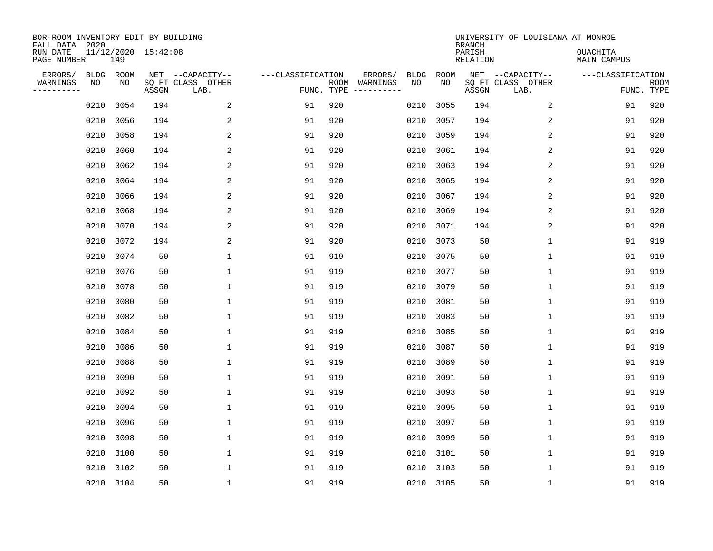| BOR-ROOM INVENTORY EDIT BY BUILDING<br>FALL DATA 2020 |      |                 |                     |                                               |                   |                    |                     |                   |            | <b>BRANCH</b>      | UNIVERSITY OF LOUISIANA AT MONROE             |                                |                           |
|-------------------------------------------------------|------|-----------------|---------------------|-----------------------------------------------|-------------------|--------------------|---------------------|-------------------|------------|--------------------|-----------------------------------------------|--------------------------------|---------------------------|
| RUN DATE<br>PAGE NUMBER                               |      | 149             | 11/12/2020 15:42:08 |                                               |                   |                    |                     |                   |            | PARISH<br>RELATION |                                               | <b>OUACHITA</b><br>MAIN CAMPUS |                           |
| ERRORS/<br>WARNINGS<br>---------                      | NO   | BLDG ROOM<br>NO | ASSGN               | NET --CAPACITY--<br>SQ FT CLASS OTHER<br>LAB. | ---CLASSIFICATION | ROOM<br>FUNC. TYPE | ERRORS/<br>WARNINGS | <b>BLDG</b><br>NO | ROOM<br>NO | ASSGN              | NET --CAPACITY--<br>SQ FT CLASS OTHER<br>LAB. | ---CLASSIFICATION              | <b>ROOM</b><br>FUNC. TYPE |
|                                                       | 0210 | 3054            | 194                 | 2                                             | 91                | 920                |                     | 0210              | 3055       | 194                | 2                                             | 91                             | 920                       |
|                                                       | 0210 | 3056            | 194                 | 2                                             | 91                | 920                |                     | 0210              | 3057       | 194                | 2                                             | 91                             | 920                       |
|                                                       | 0210 | 3058            | 194                 | 2                                             | 91                | 920                |                     | 0210              | 3059       | 194                | 2                                             | 91                             | 920                       |
|                                                       | 0210 | 3060            | 194                 | 2                                             | 91                | 920                |                     | 0210              | 3061       | 194                | 2                                             | 91                             | 920                       |
|                                                       | 0210 | 3062            | 194                 | 2                                             | 91                | 920                |                     | 0210              | 3063       | 194                | 2                                             | 91                             | 920                       |
|                                                       | 0210 | 3064            | 194                 | 2                                             | 91                | 920                |                     | 0210              | 3065       | 194                | 2                                             | 91                             | 920                       |
|                                                       | 0210 | 3066            | 194                 | 2                                             | 91                | 920                |                     | 0210              | 3067       | 194                | 2                                             | 91                             | 920                       |
|                                                       | 0210 | 3068            | 194                 | 2                                             | 91                | 920                |                     | 0210              | 3069       | 194                | 2                                             | 91                             | 920                       |
|                                                       | 0210 | 3070            | 194                 | 2                                             | 91                | 920                |                     | 0210              | 3071       | 194                | 2                                             | 91                             | 920                       |
|                                                       | 0210 | 3072            | 194                 | 2                                             | 91                | 920                |                     | 0210              | 3073       | 50                 | $\mathbf 1$                                   | 91                             | 919                       |
|                                                       | 0210 | 3074            | 50                  | $\mathbf 1$                                   | 91                | 919                |                     | 0210              | 3075       | 50                 | $\mathbf 1$                                   | 91                             | 919                       |
|                                                       | 0210 | 3076            | 50                  | 1                                             | 91                | 919                |                     | 0210              | 3077       | 50                 | $\mathbf 1$                                   | 91                             | 919                       |
|                                                       | 0210 | 3078            | 50                  | $\mathbf 1$                                   | 91                | 919                |                     | 0210              | 3079       | 50                 | 1                                             | 91                             | 919                       |
|                                                       | 0210 | 3080            | 50                  | $\mathbf{1}$                                  | 91                | 919                |                     | 0210              | 3081       | 50                 | 1                                             | 91                             | 919                       |
|                                                       | 0210 | 3082            | 50                  | 1                                             | 91                | 919                |                     | 0210              | 3083       | 50                 | 1                                             | 91                             | 919                       |
|                                                       | 0210 | 3084            | 50                  | 1                                             | 91                | 919                |                     | 0210              | 3085       | 50                 | 1                                             | 91                             | 919                       |
|                                                       | 0210 | 3086            | 50                  | 1                                             | 91                | 919                |                     | 0210              | 3087       | 50                 | 1                                             | 91                             | 919                       |
|                                                       | 0210 | 3088            | 50                  | $\mathbf{1}$                                  | 91                | 919                |                     | 0210              | 3089       | 50                 | 1                                             | 91                             | 919                       |
|                                                       | 0210 | 3090            | 50                  | 1                                             | 91                | 919                |                     | 0210              | 3091       | 50                 | 1                                             | 91                             | 919                       |
|                                                       | 0210 | 3092            | 50                  | 1                                             | 91                | 919                |                     | 0210              | 3093       | 50                 | 1                                             | 91                             | 919                       |
|                                                       | 0210 | 3094            | 50                  | $\mathbf{1}$                                  | 91                | 919                |                     | 0210              | 3095       | 50                 | 1                                             | 91                             | 919                       |
|                                                       | 0210 | 3096            | 50                  | $\mathbf 1$                                   | 91                | 919                |                     | 0210              | 3097       | 50                 | $\mathbf 1$                                   | 91                             | 919                       |
|                                                       | 0210 | 3098            | 50                  | $\mathbf{1}$                                  | 91                | 919                |                     | 0210              | 3099       | 50                 | 1                                             | 91                             | 919                       |
|                                                       | 0210 | 3100            | 50                  | $\mathbf{1}$                                  | 91                | 919                |                     | 0210              | 3101       | 50                 | $\mathbf 1$                                   | 91                             | 919                       |
|                                                       | 0210 | 3102            | 50                  | $\mathbf{1}$                                  | 91                | 919                |                     | 0210              | 3103       | 50                 | 1                                             | 91                             | 919                       |
|                                                       |      | 0210 3104       | 50                  | $\mathbf{1}$                                  | 91                | 919                |                     |                   | 0210 3105  | 50                 | 1                                             | 91                             | 919                       |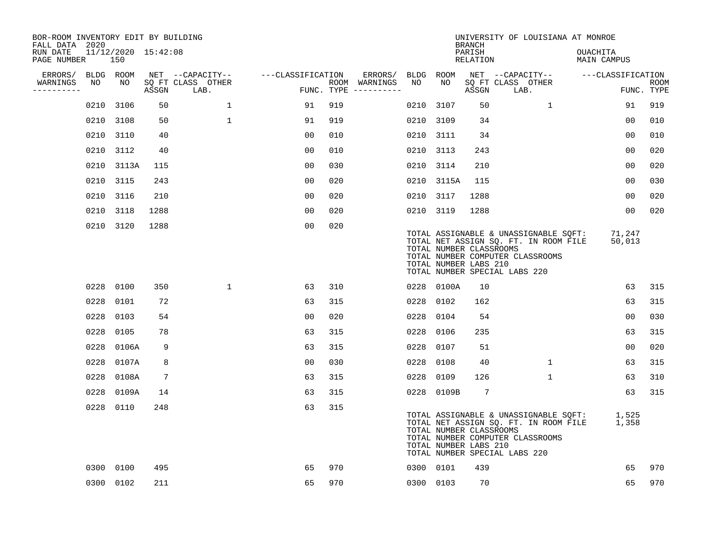| BOR-ROOM INVENTORY EDIT BY BUILDING<br>FALL DATA 2020 |      |                            |                 |                           |                   |     |                                      |      |                                                  | <b>BRANCH</b>      | UNIVERSITY OF LOUISIANA AT MONROE                                                                                                                   |                                |                           |
|-------------------------------------------------------|------|----------------------------|-----------------|---------------------------|-------------------|-----|--------------------------------------|------|--------------------------------------------------|--------------------|-----------------------------------------------------------------------------------------------------------------------------------------------------|--------------------------------|---------------------------|
| RUN DATE<br>PAGE NUMBER                               |      | 11/12/2020 15:42:08<br>150 |                 |                           |                   |     |                                      |      |                                                  | PARISH<br>RELATION |                                                                                                                                                     | <b>OUACHITA</b><br>MAIN CAMPUS |                           |
| ERRORS/ BLDG ROOM                                     |      |                            |                 | NET --CAPACITY--          | ---CLASSIFICATION |     | ERRORS/ BLDG ROOM                    |      |                                                  |                    | NET --CAPACITY--                                                                                                                                    | ---CLASSIFICATION              |                           |
| WARNINGS<br>---------                                 | NO   | NO                         | ASSGN           | SQ FT CLASS OTHER<br>LAB. |                   |     | ROOM WARNINGS<br>FUNC. TYPE $------$ | NO   | NO                                               | ASSGN              | SQ FT CLASS OTHER<br>LAB.                                                                                                                           |                                | <b>ROOM</b><br>FUNC. TYPE |
|                                                       |      | 0210 3106                  | 50              | $\mathbf{1}$              | 91                | 919 |                                      | 0210 | 3107                                             | 50                 | 1                                                                                                                                                   | 91                             | 919                       |
|                                                       |      | 0210 3108                  | 50              | $\mathbf{1}$              | 91                | 919 |                                      |      | 0210 3109                                        | 34                 |                                                                                                                                                     | 00                             | 010                       |
|                                                       |      | 0210 3110                  | 40              |                           | 0 <sub>0</sub>    | 010 |                                      |      | 0210 3111                                        | 34                 |                                                                                                                                                     | 00                             | 010                       |
|                                                       |      | 0210 3112                  | 40              |                           | 0 <sub>0</sub>    | 010 |                                      |      | 0210 3113                                        | 243                |                                                                                                                                                     | 00                             | 020                       |
|                                                       |      | 0210 3113A                 | 115             |                           | 0 <sub>0</sub>    | 030 |                                      |      | 0210 3114                                        | 210                |                                                                                                                                                     | 00                             | 020                       |
|                                                       |      | 0210 3115                  | 243             |                           | 0 <sub>0</sub>    | 020 |                                      |      | 0210 3115A                                       | 115                |                                                                                                                                                     | 00                             | 030                       |
|                                                       |      | 0210 3116                  | 210             |                           | 00                | 020 |                                      |      | 0210 3117                                        | 1288               |                                                                                                                                                     | 00                             | 020                       |
|                                                       |      | 0210 3118                  | 1288            |                           | 0 <sub>0</sub>    | 020 |                                      |      | 0210 3119                                        | 1288               |                                                                                                                                                     | 0 <sub>0</sub>                 | 020                       |
|                                                       |      | 0210 3120                  | 1288            |                           | 00                | 020 |                                      |      | TOTAL NUMBER CLASSROOMS<br>TOTAL NUMBER LABS 210 |                    | TOTAL ASSIGNABLE & UNASSIGNABLE SOFT:<br>TOTAL NET ASSIGN SQ. FT. IN ROOM FILE<br>TOTAL NUMBER COMPUTER CLASSROOMS<br>TOTAL NUMBER SPECIAL LABS 220 | 71,247<br>50,013               |                           |
|                                                       |      | 0228 0100                  | 350             | $\mathbf{1}$              | 63                | 310 |                                      |      | 0228 0100A                                       | 10                 |                                                                                                                                                     | 63                             | 315                       |
|                                                       | 0228 | 0101                       | 72              |                           | 63                | 315 |                                      |      | 0228 0102                                        | 162                |                                                                                                                                                     | 63                             | 315                       |
|                                                       | 0228 | 0103                       | 54              |                           | 00                | 020 |                                      |      | 0228 0104                                        | 54                 |                                                                                                                                                     | 0 <sub>0</sub>                 | 030                       |
|                                                       | 0228 | 0105                       | 78              |                           | 63                | 315 |                                      |      | 0228 0106                                        | 235                |                                                                                                                                                     | 63                             | 315                       |
|                                                       | 0228 | 0106A                      | 9               |                           | 63                | 315 |                                      |      | 0228 0107                                        | 51                 |                                                                                                                                                     | 0 <sub>0</sub>                 | 020                       |
|                                                       | 0228 | 0107A                      | 8               |                           | 0 <sub>0</sub>    | 030 |                                      |      | 0228 0108                                        | 40                 | $\mathbf{1}$                                                                                                                                        | 63                             | 315                       |
|                                                       |      | 0228 0108A                 | $7\phantom{.0}$ |                           | 63                | 315 |                                      | 0228 | 0109                                             | 126                | $\mathbf{1}$                                                                                                                                        | 63                             | 310                       |
|                                                       | 0228 | 0109A                      | 14              |                           | 63                | 315 |                                      |      | 0228 0109B                                       | 7                  |                                                                                                                                                     | 63                             | 315                       |
|                                                       |      | 0228 0110                  | 248             |                           | 63                | 315 |                                      |      | TOTAL NUMBER CLASSROOMS<br>TOTAL NUMBER LABS 210 |                    | TOTAL ASSIGNABLE & UNASSIGNABLE SQFT:<br>TOTAL NET ASSIGN SQ. FT. IN ROOM FILE<br>TOTAL NUMBER COMPUTER CLASSROOMS<br>TOTAL NUMBER SPECIAL LABS 220 | 1,525<br>1,358                 |                           |
|                                                       |      | 0300 0100                  | 495             |                           | 65                | 970 |                                      |      | 0300 0101                                        | 439                |                                                                                                                                                     | 65                             | 970                       |
|                                                       |      | 0300 0102                  | 211             |                           | 65                | 970 |                                      |      | 0300 0103                                        | 70                 |                                                                                                                                                     | 65                             | 970                       |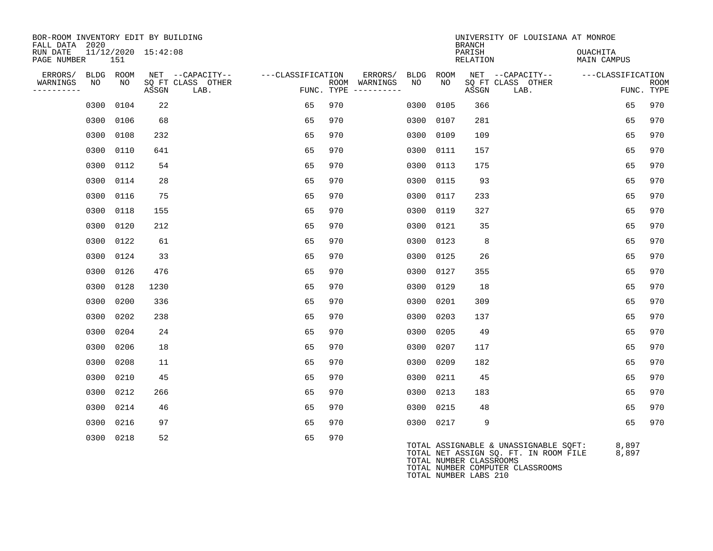| BOR-ROOM INVENTORY EDIT BY BUILDING<br>FALL DATA 2020 |              |                     |                           |                   |     |                                      |      |           | <b>BRANCH</b>      | UNIVERSITY OF LOUISIANA AT MONROE                                                                         |                                |                           |
|-------------------------------------------------------|--------------|---------------------|---------------------------|-------------------|-----|--------------------------------------|------|-----------|--------------------|-----------------------------------------------------------------------------------------------------------|--------------------------------|---------------------------|
| RUN DATE<br>PAGE NUMBER                               | 151          | 11/12/2020 15:42:08 |                           |                   |     |                                      |      |           | PARISH<br>RELATION |                                                                                                           | OUACHITA<br><b>MAIN CAMPUS</b> |                           |
| ERRORS/                                               | BLDG<br>ROOM |                     | NET --CAPACITY--          | ---CLASSIFICATION |     | ERRORS/ BLDG                         |      | ROOM      |                    | NET --CAPACITY--                                                                                          | ---CLASSIFICATION              |                           |
| WARNINGS<br>----------                                | NO           | NO.<br>ASSGN        | SQ FT CLASS OTHER<br>LAB. |                   |     | ROOM WARNINGS<br>FUNC. TYPE $------$ | NO   | NO        | ASSGN              | SQ FT CLASS OTHER<br>LAB.                                                                                 |                                | <b>ROOM</b><br>FUNC. TYPE |
|                                                       | 0104<br>0300 |                     | 22                        | 65                | 970 |                                      | 0300 | 0105      | 366                |                                                                                                           | 65                             | 970                       |
|                                                       | 0106<br>0300 |                     | 68                        | 65                | 970 |                                      | 0300 | 0107      | 281                |                                                                                                           | 65                             | 970                       |
|                                                       | 0300<br>0108 | 232                 |                           | 65                | 970 |                                      | 0300 | 0109      | 109                |                                                                                                           | 65                             | 970                       |
|                                                       | 0300<br>0110 | 641                 |                           | 65                | 970 |                                      | 0300 | 0111      | 157                |                                                                                                           | 65                             | 970                       |
|                                                       | 0112<br>0300 |                     | 54                        | 65                | 970 |                                      | 0300 | 0113      | 175                |                                                                                                           | 65                             | 970                       |
|                                                       | 0300<br>0114 |                     | 28                        | 65                | 970 |                                      | 0300 | 0115      | 93                 |                                                                                                           | 65                             | 970                       |
|                                                       | 0300<br>0116 | 75                  |                           | 65                | 970 |                                      | 0300 | 0117      | 233                |                                                                                                           | 65                             | 970                       |
|                                                       | 0300<br>0118 | 155                 |                           | 65                | 970 |                                      | 0300 | 0119      | 327                |                                                                                                           | 65                             | 970                       |
|                                                       | 0300<br>0120 | 212                 |                           | 65                | 970 |                                      | 0300 | 0121      | 35                 |                                                                                                           | 65                             | 970                       |
|                                                       | 0122<br>0300 | 61                  |                           | 65                | 970 |                                      | 0300 | 0123      | 8                  |                                                                                                           | 65                             | 970                       |
|                                                       | 0300<br>0124 | 33                  |                           | 65                | 970 |                                      | 0300 | 0125      | 26                 |                                                                                                           | 65                             | 970                       |
|                                                       | 0126<br>0300 | 476                 |                           | 65                | 970 |                                      | 0300 | 0127      | 355                |                                                                                                           | 65                             | 970                       |
|                                                       | 0300<br>0128 | 1230                |                           | 65                | 970 |                                      | 0300 | 0129      | 18                 |                                                                                                           | 65                             | 970                       |
|                                                       | 0300<br>0200 | 336                 |                           | 65                | 970 |                                      | 0300 | 0201      | 309                |                                                                                                           | 65                             | 970                       |
|                                                       | 0300<br>0202 | 238                 |                           | 65                | 970 |                                      | 0300 | 0203      | 137                |                                                                                                           | 65                             | 970                       |
|                                                       | 0300<br>0204 | 24                  |                           | 65                | 970 |                                      | 0300 | 0205      | 49                 |                                                                                                           | 65                             | 970                       |
|                                                       | 0300<br>0206 | 18                  |                           | 65                | 970 |                                      | 0300 | 0207      | 117                |                                                                                                           | 65                             | 970                       |
|                                                       | 0208<br>0300 | 11                  |                           | 65                | 970 |                                      | 0300 | 0209      | 182                |                                                                                                           | 65                             | 970                       |
|                                                       | 0300<br>0210 | 45                  |                           | 65                | 970 |                                      | 0300 | 0211      | 45                 |                                                                                                           | 65                             | 970                       |
|                                                       | 0212<br>0300 | 266                 |                           | 65                | 970 |                                      | 0300 | 0213      | 183                |                                                                                                           | 65                             | 970                       |
|                                                       | 0214<br>0300 | 46                  |                           | 65                | 970 |                                      | 0300 | 0215      | 48                 |                                                                                                           | 65                             | 970                       |
|                                                       | 0300<br>0216 |                     | 97                        | 65                | 970 |                                      |      | 0300 0217 | 9                  |                                                                                                           | 65                             | 970                       |
|                                                       | 0300<br>0218 |                     | 52                        | 65                | 970 |                                      |      |           |                    | TOTAL ASSIGNABLE & UNASSIGNABLE SQFT:<br>TOTAL NET ASSIGN SQ. FT. IN ROOM FILE<br>MORAI MIMBRD CLASSOCAMO | 8,897<br>8,897                 |                           |

TOTAL NUMBER CLASSROOMS TOTAL NUMBER COMPUTER CLASSROOMS TOTAL NUMBER LABS 210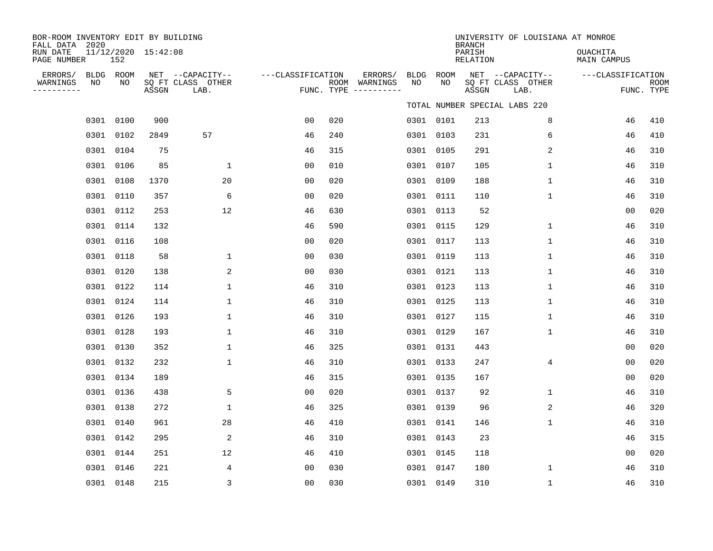| BOR-ROOM INVENTORY EDIT BY BUILDING<br>FALL DATA 2020<br>RUN DATE | 11/12/2020 15:42:08 |       |                                               |                   |     |                                                 |            |             | <b>BRANCH</b><br>PARISH | UNIVERSITY OF LOUISIANA AT MONROE             | OUACHITA          |                    |
|-------------------------------------------------------------------|---------------------|-------|-----------------------------------------------|-------------------|-----|-------------------------------------------------|------------|-------------|-------------------------|-----------------------------------------------|-------------------|--------------------|
| PAGE NUMBER                                                       | 152                 |       |                                               |                   |     |                                                 |            |             | RELATION                |                                               | MAIN CAMPUS       |                    |
| ERRORS/<br>WARNINGS<br>NO<br>----------                           | BLDG ROOM<br>NO     | ASSGN | NET --CAPACITY--<br>SQ FT CLASS OTHER<br>LAB. | ---CLASSIFICATION |     | ERRORS/<br>ROOM WARNINGS<br>FUNC. TYPE $------$ | BLDG<br>NO | ROOM<br>NO. | ASSGN                   | NET --CAPACITY--<br>SQ FT CLASS OTHER<br>LAB. | ---CLASSIFICATION | ROOM<br>FUNC. TYPE |
|                                                                   |                     |       |                                               |                   |     |                                                 |            |             |                         | TOTAL NUMBER SPECIAL LABS 220                 |                   |                    |
|                                                                   | 0301 0100           | 900   |                                               | 0 <sub>0</sub>    | 020 |                                                 |            | 0301 0101   | 213                     | 8                                             | 46                | 410                |
| 0301                                                              | 0102                | 2849  | 57                                            | 46                | 240 |                                                 | 0301       | 0103        | 231                     | 6                                             | 46                | 410                |
|                                                                   | 0301 0104           | 75    |                                               | 46                | 315 |                                                 |            | 0301 0105   | 291                     | 2                                             | 46                | 310                |
| 0301                                                              | 0106                | 85    | $\mathbf{1}$                                  | 0 <sub>0</sub>    | 010 |                                                 | 0301       | 0107        | 105                     | $\mathbf 1$                                   | 46                | 310                |
|                                                                   | 0301 0108           | 1370  | 20                                            | 0 <sub>0</sub>    | 020 |                                                 |            | 0301 0109   | 188                     | $\mathbf 1$                                   | 46                | 310                |
| 0301                                                              | 0110                | 357   | 6                                             | 0 <sub>0</sub>    | 020 |                                                 | 0301       | 0111        | 110                     | $\mathbf 1$                                   | 46                | 310                |
|                                                                   | 0301 0112           | 253   | 12                                            | 46                | 630 |                                                 |            | 0301 0113   | 52                      |                                               | 0 <sub>0</sub>    | 020                |
| 0301                                                              | 0114                | 132   |                                               | 46                | 590 |                                                 | 0301       | 0115        | 129                     | $\mathbf{1}$                                  | 46                | 310                |
| 0301                                                              | 0116                | 108   |                                               | 0 <sub>0</sub>    | 020 |                                                 | 0301       | 0117        | 113                     | $\mathbf 1$                                   | 46                | 310                |
| 0301                                                              | 0118                | 58    | 1                                             | 0 <sub>0</sub>    | 030 |                                                 | 0301       | 0119        | 113                     | 1                                             | 46                | 310                |
| 0301                                                              | 0120                | 138   | 2                                             | 0 <sub>0</sub>    | 030 |                                                 | 0301 0121  |             | 113                     | 1                                             | 46                | 310                |
| 0301                                                              | 0122                | 114   | $\mathbf{1}$                                  | 46                | 310 |                                                 |            | 0301 0123   | 113                     | $\mathbf 1$                                   | 46                | 310                |
|                                                                   | 0301 0124           | 114   | $\mathbf{1}$                                  | 46                | 310 |                                                 |            | 0301 0125   | 113                     | $\mathbf 1$                                   | 46                | 310                |
|                                                                   | 0301 0126           | 193   | $\mathbf{1}$                                  | 46                | 310 |                                                 |            | 0301 0127   | 115                     | $\mathbf 1$                                   | 46                | 310                |
|                                                                   | 0301 0128           | 193   | $\mathbf{1}$                                  | 46                | 310 |                                                 |            | 0301 0129   | 167                     | $\mathbf{1}$                                  | 46                | 310                |
|                                                                   | 0301 0130           | 352   | $\mathbf{1}$                                  | 46                | 325 |                                                 | 0301 0131  |             | 443                     |                                               | 0 <sub>0</sub>    | 020                |
|                                                                   | 0301 0132           | 232   | $\mathbf{1}$                                  | 46                | 310 |                                                 |            | 0301 0133   | 247                     | $\overline{4}$                                | 0 <sub>0</sub>    | 020                |
|                                                                   | 0301 0134           | 189   |                                               | 46                | 315 |                                                 |            | 0301 0135   | 167                     |                                               | 0 <sub>0</sub>    | 020                |
|                                                                   | 0301 0136           | 438   | 5                                             | 00                | 020 |                                                 |            | 0301 0137   | 92                      | 1                                             | 46                | 310                |
|                                                                   | 0301 0138           | 272   | 1                                             | 46                | 325 |                                                 |            | 0301 0139   | 96                      | 2                                             | 46                | 320                |
|                                                                   | 0301 0140           | 961   | 28                                            | 46                | 410 |                                                 |            | 0301 0141   | 146                     | $\mathbf 1$                                   | 46                | 310                |
|                                                                   | 0301 0142           | 295   | 2                                             | 46                | 310 |                                                 |            | 0301 0143   | 23                      |                                               | 46                | 315                |
|                                                                   | 0301 0144           | 251   | 12                                            | 46                | 410 |                                                 |            | 0301 0145   | 118                     |                                               | 0 <sub>0</sub>    | 020                |
|                                                                   | 0301 0146           | 221   | 4                                             | 0 <sub>0</sub>    | 030 |                                                 |            | 0301 0147   | 180                     | $\mathbf{1}$                                  | 46                | 310                |
|                                                                   | 0301 0148           | 215   | 3                                             | 00                | 030 |                                                 | 0301 0149  |             | 310                     | $\mathbf{1}$                                  | 46                | 310                |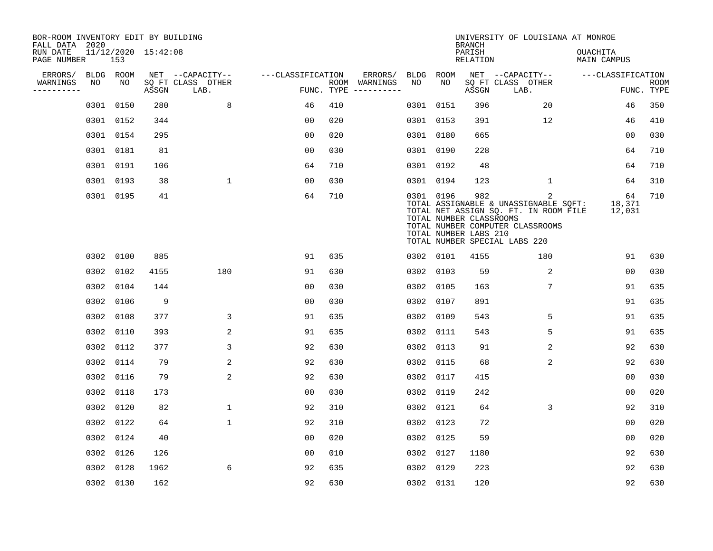| BOR-ROOM INVENTORY EDIT BY BUILDING<br>FALL DATA 2020 |      |           |                     |                           |                   |     |                                      |           |           | <b>BRANCH</b>                                           | UNIVERSITY OF LOUISIANA AT MONROE                                                                                                                        |                                |                           |
|-------------------------------------------------------|------|-----------|---------------------|---------------------------|-------------------|-----|--------------------------------------|-----------|-----------|---------------------------------------------------------|----------------------------------------------------------------------------------------------------------------------------------------------------------|--------------------------------|---------------------------|
| RUN DATE<br>PAGE NUMBER                               |      | 153       | 11/12/2020 15:42:08 |                           |                   |     |                                      |           |           | PARISH<br><b>RELATION</b>                               |                                                                                                                                                          | OUACHITA<br><b>MAIN CAMPUS</b> |                           |
| ERRORS/                                               |      | BLDG ROOM |                     | NET --CAPACITY--          | ---CLASSIFICATION |     | ERRORS/                              | BLDG      | ROOM      |                                                         | NET --CAPACITY--                                                                                                                                         | ---CLASSIFICATION              |                           |
| WARNINGS<br>----------                                | NO   | NO        | ASSGN               | SQ FT CLASS OTHER<br>LAB. |                   |     | ROOM WARNINGS<br>FUNC. TYPE $------$ | NO        | NO        | ASSGN                                                   | SQ FT CLASS OTHER<br>LAB.                                                                                                                                |                                | <b>ROOM</b><br>FUNC. TYPE |
|                                                       | 0301 | 0150      | 280                 | 8                         | 46                | 410 |                                      |           | 0301 0151 | 396                                                     | 20                                                                                                                                                       | 46                             | 350                       |
|                                                       |      | 0301 0152 | 344                 |                           | 00                | 020 |                                      |           | 0301 0153 | 391                                                     | 12                                                                                                                                                       | 46                             | 410                       |
|                                                       |      | 0301 0154 | 295                 |                           | 0 <sub>0</sub>    | 020 |                                      |           | 0301 0180 | 665                                                     |                                                                                                                                                          | 00                             | 030                       |
|                                                       |      | 0301 0181 | 81                  |                           | 0 <sub>0</sub>    | 030 |                                      |           | 0301 0190 | 228                                                     |                                                                                                                                                          | 64                             | 710                       |
|                                                       |      | 0301 0191 | 106                 |                           | 64                | 710 |                                      |           | 0301 0192 | 48                                                      |                                                                                                                                                          | 64                             | 710                       |
|                                                       |      | 0301 0193 | 38                  | $\mathbf 1$               | 0 <sub>0</sub>    | 030 |                                      |           | 0301 0194 | 123                                                     | $\mathbf 1$                                                                                                                                              | 64                             | 310                       |
|                                                       |      | 0301 0195 | 41                  |                           | 64                | 710 |                                      |           | 0301 0196 | 982<br>TOTAL NUMBER CLASSROOMS<br>TOTAL NUMBER LABS 210 | 2<br>TOTAL ASSIGNABLE & UNASSIGNABLE SOFT:<br>TOTAL NET ASSIGN SQ. FT. IN ROOM FILE<br>TOTAL NUMBER COMPUTER CLASSROOMS<br>TOTAL NUMBER SPECIAL LABS 220 | 64<br>18,371<br>12,031         | 710                       |
|                                                       |      | 0302 0100 | 885                 |                           | 91                | 635 |                                      |           | 0302 0101 | 4155                                                    | 180                                                                                                                                                      | 91                             | 630                       |
|                                                       |      | 0302 0102 | 4155                | 180                       | 91                | 630 |                                      |           | 0302 0103 | 59                                                      | 2                                                                                                                                                        | 0 <sub>0</sub>                 | 030                       |
|                                                       | 0302 | 0104      | 144                 |                           | 0 <sub>0</sub>    | 030 |                                      | 0302      | 0105      | 163                                                     | 7                                                                                                                                                        | 91                             | 635                       |
|                                                       | 0302 | 0106      | 9                   |                           | 0 <sub>0</sub>    | 030 |                                      |           | 0302 0107 | 891                                                     |                                                                                                                                                          | 91                             | 635                       |
|                                                       | 0302 | 0108      | 377                 | 3                         | 91                | 635 |                                      | 0302      | 0109      | 543                                                     | 5                                                                                                                                                        | 91                             | 635                       |
|                                                       | 0302 | 0110      | 393                 | 2                         | 91                | 635 |                                      | 0302 0111 |           | 543                                                     | 5                                                                                                                                                        | 91                             | 635                       |
|                                                       | 0302 | 0112      | 377                 | 3                         | 92                | 630 |                                      |           | 0302 0113 | 91                                                      | 2                                                                                                                                                        | 92                             | 630                       |
|                                                       | 0302 | 0114      | 79                  | 2                         | 92                | 630 |                                      |           | 0302 0115 | 68                                                      | 2                                                                                                                                                        | 92                             | 630                       |
|                                                       |      | 0302 0116 | 79                  | 2                         | 92                | 630 |                                      |           | 0302 0117 | 415                                                     |                                                                                                                                                          | 0 <sub>0</sub>                 | 030                       |
|                                                       | 0302 | 0118      | 173                 |                           | 0 <sub>0</sub>    | 030 |                                      |           | 0302 0119 | 242                                                     |                                                                                                                                                          | 0 <sub>0</sub>                 | 020                       |
|                                                       | 0302 | 0120      | 82                  | $\mathbf 1$               | 92                | 310 |                                      |           | 0302 0121 | 64                                                      | 3                                                                                                                                                        | 92                             | 310                       |
|                                                       | 0302 | 0122      | 64                  | $\mathbf 1$               | 92                | 310 |                                      |           | 0302 0123 | 72                                                      |                                                                                                                                                          | 0 <sub>0</sub>                 | 020                       |
|                                                       |      | 0302 0124 | 40                  |                           | 0 <sub>0</sub>    | 020 |                                      |           | 0302 0125 | 59                                                      |                                                                                                                                                          | 0 <sub>0</sub>                 | 020                       |
|                                                       | 0302 | 0126      | 126                 |                           | 0 <sub>0</sub>    | 010 |                                      |           | 0302 0127 | 1180                                                    |                                                                                                                                                          | 92                             | 630                       |
|                                                       | 0302 | 0128      | 1962                | 6                         | 92                | 635 |                                      |           | 0302 0129 | 223                                                     |                                                                                                                                                          | 92                             | 630                       |
|                                                       |      | 0302 0130 | 162                 |                           | 92                | 630 |                                      |           | 0302 0131 | 120                                                     |                                                                                                                                                          | 92                             | 630                       |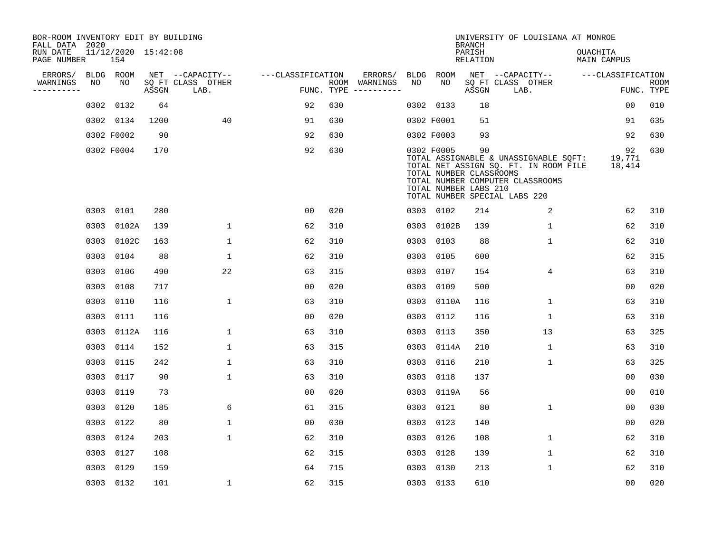| BOR-ROOM INVENTORY EDIT BY BUILDING<br>FALL DATA 2020 |      |                            |       |                           |                   |     |                                      |             |                                                                | <b>BRANCH</b>             | UNIVERSITY OF LOUISIANA AT MONROE                                                                                                                   |                                |                           |
|-------------------------------------------------------|------|----------------------------|-------|---------------------------|-------------------|-----|--------------------------------------|-------------|----------------------------------------------------------------|---------------------------|-----------------------------------------------------------------------------------------------------------------------------------------------------|--------------------------------|---------------------------|
| RUN DATE<br>PAGE NUMBER                               |      | 11/12/2020 15:42:08<br>154 |       |                           |                   |     |                                      |             |                                                                | PARISH<br><b>RELATION</b> |                                                                                                                                                     | OUACHITA<br><b>MAIN CAMPUS</b> |                           |
| ERRORS/                                               |      | BLDG ROOM                  |       | NET --CAPACITY--          | ---CLASSIFICATION |     | ERRORS/                              | <b>BLDG</b> | <b>ROOM</b>                                                    |                           | NET --CAPACITY--                                                                                                                                    | ---CLASSIFICATION              |                           |
| WARNINGS<br>----------                                | NO   | NO                         | ASSGN | SQ FT CLASS OTHER<br>LAB. |                   |     | ROOM WARNINGS<br>FUNC. TYPE $------$ | NO          | NO                                                             | ASSGN                     | SQ FT CLASS OTHER<br>LAB.                                                                                                                           |                                | <b>ROOM</b><br>FUNC. TYPE |
|                                                       | 0302 | 0132                       | 64    |                           | 92                | 630 |                                      |             | 0302 0133                                                      | 18                        |                                                                                                                                                     | 0 <sub>0</sub>                 | 010                       |
|                                                       |      | 0302 0134                  | 1200  | 40                        | 91                | 630 |                                      |             | 0302 F0001                                                     | 51                        |                                                                                                                                                     | 91                             | 635                       |
|                                                       |      | 0302 F0002                 | 90    |                           | 92                | 630 |                                      |             | 0302 F0003                                                     | 93                        |                                                                                                                                                     | 92                             | 630                       |
|                                                       |      | 0302 F0004                 | 170   |                           | 92                | 630 |                                      |             | 0302 F0005<br>TOTAL NUMBER CLASSROOMS<br>TOTAL NUMBER LABS 210 | 90                        | TOTAL ASSIGNABLE & UNASSIGNABLE SQFT:<br>TOTAL NET ASSIGN SQ. FT. IN ROOM FILE<br>TOTAL NUMBER COMPUTER CLASSROOMS<br>TOTAL NUMBER SPECIAL LABS 220 | 92<br>19,771<br>18,414         | 630                       |
|                                                       |      | 0303 0101                  | 280   |                           | 0 <sub>0</sub>    | 020 |                                      |             | 0303 0102                                                      | 214                       | 2                                                                                                                                                   | 62                             | 310                       |
|                                                       |      | 0303 0102A                 | 139   | $\mathbf 1$               | 62                | 310 |                                      | 0303        | 0102B                                                          | 139                       | $\mathbf 1$                                                                                                                                         | 62                             | 310                       |
|                                                       |      | 0303 0102C                 | 163   | $\mathbf{1}$              | 62                | 310 |                                      |             | 0303 0103                                                      | 88                        | $\mathbf 1$                                                                                                                                         | 62                             | 310                       |
|                                                       |      | 0303 0104                  | 88    | $\mathbf 1$               | 62                | 310 |                                      | 0303        | 0105                                                           | 600                       |                                                                                                                                                     | 62                             | 315                       |
|                                                       |      | 0303 0106                  | 490   | 22                        | 63                | 315 |                                      |             | 0303 0107                                                      | 154                       | 4                                                                                                                                                   | 63                             | 310                       |
|                                                       | 0303 | 0108                       | 717   |                           | 0 <sub>0</sub>    | 020 |                                      | 0303        | 0109                                                           | 500                       |                                                                                                                                                     | 0 <sub>0</sub>                 | 020                       |
|                                                       |      | 0303 0110                  | 116   | $\mathbf{1}$              | 63                | 310 |                                      | 0303        | 0110A                                                          | 116                       | 1                                                                                                                                                   | 63                             | 310                       |
|                                                       |      | 0303 0111                  | 116   |                           | 0 <sub>0</sub>    | 020 |                                      | 0303        | 0112                                                           | 116                       | 1                                                                                                                                                   | 63                             | 310                       |
|                                                       |      | 0303 0112A                 | 116   | $\mathbf 1$               | 63                | 310 |                                      | 0303        | 0113                                                           | 350                       | 13                                                                                                                                                  | 63                             | 325                       |
|                                                       | 0303 | 0114                       | 152   | $\mathbf{1}$              | 63                | 315 |                                      | 0303        | 0114A                                                          | 210                       | 1                                                                                                                                                   | 63                             | 310                       |
|                                                       | 0303 | 0115                       | 242   | $\mathbf{1}$              | 63                | 310 |                                      | 0303        | 0116                                                           | 210                       | 1                                                                                                                                                   | 63                             | 325                       |
|                                                       |      | 0303 0117                  | 90    | $\mathbf{1}$              | 63                | 310 |                                      | 0303        | 0118                                                           | 137                       |                                                                                                                                                     | 0 <sub>0</sub>                 | 030                       |
|                                                       |      | 0303 0119                  | 73    |                           | 0 <sub>0</sub>    | 020 |                                      | 0303        | 0119A                                                          | 56                        |                                                                                                                                                     | 0 <sub>0</sub>                 | 010                       |
|                                                       |      | 0303 0120                  | 185   | 6                         | 61                | 315 |                                      | 0303        | 0121                                                           | 80                        | 1                                                                                                                                                   | 0 <sub>0</sub>                 | 030                       |
|                                                       | 0303 | 0122                       | 80    | $\mathbf{1}$              | 0 <sub>0</sub>    | 030 |                                      | 0303        | 0123                                                           | 140                       |                                                                                                                                                     | 0 <sub>0</sub>                 | 020                       |
|                                                       |      | 0303 0124                  | 203   | $\mathbf 1$               | 62                | 310 |                                      | 0303        | 0126                                                           | 108                       | $\mathbf 1$                                                                                                                                         | 62                             | 310                       |
|                                                       |      | 0303 0127                  | 108   |                           | 62                | 315 |                                      | 0303        | 0128                                                           | 139                       | $\mathbf 1$                                                                                                                                         | 62                             | 310                       |
|                                                       |      | 0303 0129                  | 159   |                           | 64                | 715 |                                      | 0303        | 0130                                                           | 213                       | 1                                                                                                                                                   | 62                             | 310                       |
|                                                       |      | 0303 0132                  | 101   | $\mathbf{1}$              | 62                | 315 |                                      |             | 0303 0133                                                      | 610                       |                                                                                                                                                     | 00                             | 020                       |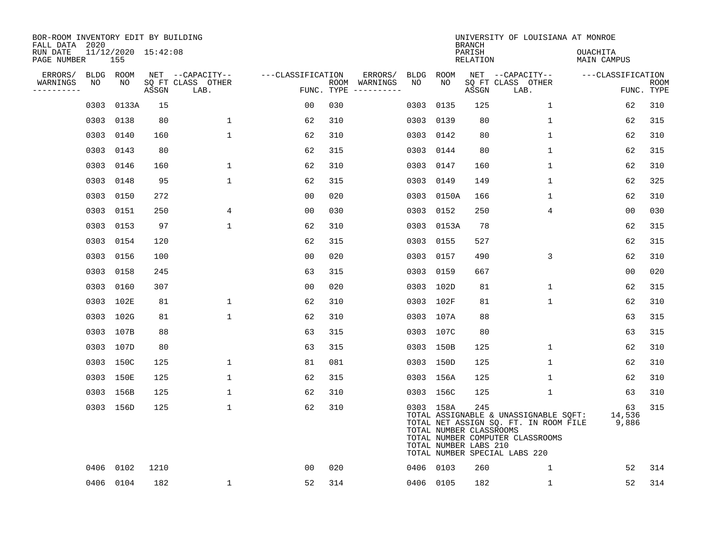| BOR-ROOM INVENTORY EDIT BY BUILDING<br>FALL DATA 2020 |      |           |                     |                           |                   |            |               |      |                                                               | <b>BRANCH</b>             | UNIVERSITY OF LOUISIANA AT MONROE                                                                                                                   |                                |                           |
|-------------------------------------------------------|------|-----------|---------------------|---------------------------|-------------------|------------|---------------|------|---------------------------------------------------------------|---------------------------|-----------------------------------------------------------------------------------------------------------------------------------------------------|--------------------------------|---------------------------|
| RUN DATE<br>PAGE NUMBER                               |      | 155       | 11/12/2020 15:42:08 |                           |                   |            |               |      |                                                               | PARISH<br><b>RELATION</b> |                                                                                                                                                     | OUACHITA<br><b>MAIN CAMPUS</b> |                           |
| ERRORS/                                               |      | BLDG ROOM |                     | NET --CAPACITY--          | ---CLASSIFICATION |            | ERRORS/       |      | BLDG ROOM                                                     |                           | NET --CAPACITY--                                                                                                                                    | ---CLASSIFICATION              |                           |
| WARNINGS<br>----------                                | NO   | NO        | ASSGN               | SQ FT CLASS OTHER<br>LAB. |                   | FUNC. TYPE | ROOM WARNINGS | NO   | NO                                                            | ASSGN                     | SQ FT CLASS OTHER<br>LAB.                                                                                                                           |                                | <b>ROOM</b><br>FUNC. TYPE |
|                                                       | 0303 | 0133A     | 15                  |                           | 00                | 030        |               | 0303 | 0135                                                          | 125                       | $\mathbf{1}$                                                                                                                                        | 62                             | 310                       |
|                                                       |      | 0303 0138 | 80                  | 1                         | 62                | 310        |               | 0303 | 0139                                                          | 80                        | 1                                                                                                                                                   | 62                             | 315                       |
|                                                       |      | 0303 0140 | 160                 | $\mathbf{1}$              | 62                | 310        |               |      | 0303 0142                                                     | 80                        | $\mathbf{1}$                                                                                                                                        | 62                             | 310                       |
|                                                       |      | 0303 0143 | 80                  |                           | 62                | 315        |               |      | 0303 0144                                                     | 80                        | $\mathbf{1}$                                                                                                                                        | 62                             | 315                       |
|                                                       |      | 0303 0146 | 160                 | $\mathbf 1$               | 62                | 310        |               |      | 0303 0147                                                     | 160                       | $\mathbf{1}$                                                                                                                                        | 62                             | 310                       |
|                                                       |      | 0303 0148 | 95                  | $\mathbf{1}$              | 62                | 315        |               |      | 0303 0149                                                     | 149                       | $\mathbf 1$                                                                                                                                         | 62                             | 325                       |
|                                                       |      | 0303 0150 | 272                 |                           | 0 <sub>0</sub>    | 020        |               |      | 0303 0150A                                                    | 166                       | $\mathbf 1$                                                                                                                                         | 62                             | 310                       |
|                                                       |      | 0303 0151 | 250                 | 4                         | 0 <sub>0</sub>    | 030        |               |      | 0303 0152                                                     | 250                       | 4                                                                                                                                                   | 0 <sub>0</sub>                 | 030                       |
|                                                       |      | 0303 0153 | 97                  | $\mathbf{1}$              | 62                | 310        |               |      | 0303 0153A                                                    | 78                        |                                                                                                                                                     | 62                             | 315                       |
|                                                       |      | 0303 0154 | 120                 |                           | 62                | 315        |               |      | 0303 0155                                                     | 527                       |                                                                                                                                                     | 62                             | 315                       |
|                                                       |      | 0303 0156 | 100                 |                           | 0 <sub>0</sub>    | 020        |               |      | 0303 0157                                                     | 490                       | 3                                                                                                                                                   | 62                             | 310                       |
|                                                       |      | 0303 0158 | 245                 |                           | 63                | 315        |               |      | 0303 0159                                                     | 667                       |                                                                                                                                                     | 0 <sub>0</sub>                 | 020                       |
|                                                       |      | 0303 0160 | 307                 |                           | 0 <sub>0</sub>    | 020        |               |      | 0303 102D                                                     | 81                        | $\mathbf{1}$                                                                                                                                        | 62                             | 315                       |
|                                                       |      | 0303 102E | 81                  | 1                         | 62                | 310        |               |      | 0303 102F                                                     | 81                        | 1                                                                                                                                                   | 62                             | 310                       |
|                                                       |      | 0303 102G | 81                  | $\mathbf 1$               | 62                | 310        |               |      | 0303 107A                                                     | 88                        |                                                                                                                                                     | 63                             | 315                       |
|                                                       |      | 0303 107B | 88                  |                           | 63                | 315        |               |      | 0303 107C                                                     | 80                        |                                                                                                                                                     | 63                             | 315                       |
|                                                       |      | 0303 107D | 80                  |                           | 63                | 315        |               |      | 0303 150B                                                     | 125                       | 1                                                                                                                                                   | 62                             | 310                       |
|                                                       |      | 0303 150C | 125                 | 1                         | 81                | 081        |               |      | 0303 150D                                                     | 125                       | 1                                                                                                                                                   | 62                             | 310                       |
|                                                       |      | 0303 150E | 125                 | $\mathbf{1}$              | 62                | 315        |               |      | 0303 156A                                                     | 125                       | 1                                                                                                                                                   | 62                             | 310                       |
|                                                       |      | 0303 156B | 125                 | $\mathbf{1}$              | 62                | 310        |               |      | 0303 156C                                                     | 125                       | 1                                                                                                                                                   | 63                             | 310                       |
|                                                       |      | 0303 156D | 125                 | $\mathbf 1$               | 62                | 310        |               |      | 0303 158A<br>TOTAL NUMBER CLASSROOMS<br>TOTAL NUMBER LABS 210 | 245                       | TOTAL ASSIGNABLE & UNASSIGNABLE SQFT:<br>TOTAL NET ASSIGN SQ. FT. IN ROOM FILE<br>TOTAL NUMBER COMPUTER CLASSROOMS<br>TOTAL NUMBER SPECIAL LABS 220 | 63<br>14,536<br>9,886          | 315                       |
|                                                       | 0406 | 0102      | 1210                |                           | 0 <sub>0</sub>    | 020        |               |      | 0406 0103                                                     | 260                       | 1                                                                                                                                                   | 52                             | 314                       |
|                                                       |      | 0406 0104 | 182                 | $\mathbf 1$               | 52                | 314        |               |      | 0406 0105                                                     | 182                       | 1                                                                                                                                                   | 52                             | 314                       |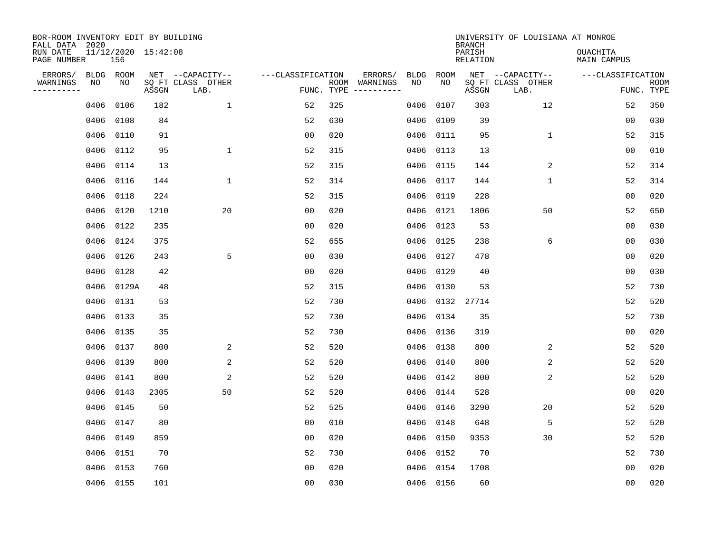| BOR-ROOM INVENTORY EDIT BY BUILDING<br>FALL DATA 2020 |      |                 |                                 |                                               |                   |     |                                                 |            |            | <b>BRANCH</b>      | UNIVERSITY OF LOUISIANA AT MONROE             |                                |                           |
|-------------------------------------------------------|------|-----------------|---------------------------------|-----------------------------------------------|-------------------|-----|-------------------------------------------------|------------|------------|--------------------|-----------------------------------------------|--------------------------------|---------------------------|
| RUN DATE<br>PAGE NUMBER                               |      | 156             | 11/12/2020 15:42:08             |                                               |                   |     |                                                 |            |            | PARISH<br>RELATION |                                               | <b>OUACHITA</b><br>MAIN CAMPUS |                           |
| ERRORS/<br>WARNINGS<br>---------                      | NO   | BLDG ROOM<br>NO | $\operatorname{\mathsf{ASSGN}}$ | NET --CAPACITY--<br>SQ FT CLASS OTHER<br>LAB. | ---CLASSIFICATION |     | ERRORS/<br>ROOM WARNINGS<br>FUNC. TYPE $------$ | BLDG<br>NO | ROOM<br>NO | ASSGN              | NET --CAPACITY--<br>SQ FT CLASS OTHER<br>LAB. | ---CLASSIFICATION              | <b>ROOM</b><br>FUNC. TYPE |
|                                                       | 0406 | 0106            | 182                             | $\mathbf{1}$                                  | 52                | 325 |                                                 | 0406       | 0107       | 303                | 12                                            | 52                             | 350                       |
|                                                       | 0406 | 0108            | 84                              |                                               | 52                | 630 |                                                 | 0406       | 0109       | 39                 |                                               | 0 <sub>0</sub>                 | 030                       |
|                                                       | 0406 | 0110            | 91                              |                                               | 00                | 020 |                                                 | 0406       | 0111       | 95                 | 1                                             | 52                             | 315                       |
|                                                       | 0406 | 0112            | 95                              | $\mathbf 1$                                   | 52                | 315 |                                                 | 0406       | 0113       | 13                 |                                               | 0 <sub>0</sub>                 | 010                       |
|                                                       | 0406 | 0114            | 13                              |                                               | 52                | 315 |                                                 | 0406       | 0115       | 144                | 2                                             | 52                             | 314                       |
|                                                       | 0406 | 0116            | 144                             | 1                                             | 52                | 314 |                                                 | 0406       | 0117       | 144                | $\mathbf{1}$                                  | 52                             | 314                       |
|                                                       | 0406 | 0118            | 224                             |                                               | 52                | 315 |                                                 | 0406       | 0119       | 228                |                                               | 0 <sub>0</sub>                 | 020                       |
|                                                       | 0406 | 0120            | 1210                            | 20                                            | 0 <sub>0</sub>    | 020 |                                                 | 0406       | 0121       | 1806               | 50                                            | 52                             | 650                       |
|                                                       | 0406 | 0122            | 235                             |                                               | 0 <sub>0</sub>    | 020 |                                                 | 0406       | 0123       | 53                 |                                               | 0 <sub>0</sub>                 | 030                       |
|                                                       | 0406 | 0124            | 375                             |                                               | 52                | 655 |                                                 | 0406       | 0125       | 238                | 6                                             | 00                             | 030                       |
|                                                       | 0406 | 0126            | 243                             | 5                                             | 00                | 030 |                                                 | 0406       | 0127       | 478                |                                               | 00                             | 020                       |
|                                                       | 0406 | 0128            | 42                              |                                               | 0 <sub>0</sub>    | 020 |                                                 | 0406       | 0129       | 40                 |                                               | 0 <sub>0</sub>                 | 030                       |
|                                                       | 0406 | 0129A           | 48                              |                                               | 52                | 315 |                                                 | 0406       | 0130       | 53                 |                                               | 52                             | 730                       |
|                                                       | 0406 | 0131            | 53                              |                                               | 52                | 730 |                                                 | 0406       | 0132       | 27714              |                                               | 52                             | 520                       |
|                                                       | 0406 | 0133            | 35                              |                                               | 52                | 730 |                                                 |            | 0406 0134  | 35                 |                                               | 52                             | 730                       |
|                                                       | 0406 | 0135            | 35                              |                                               | 52                | 730 |                                                 |            | 0406 0136  | 319                |                                               | 0 <sub>0</sub>                 | 020                       |
|                                                       | 0406 | 0137            | 800                             | 2                                             | 52                | 520 |                                                 | 0406       | 0138       | 800                | 2                                             | 52                             | 520                       |
|                                                       | 0406 | 0139            | 800                             | 2                                             | 52                | 520 |                                                 | 0406       | 0140       | 800                | 2                                             | 52                             | 520                       |
|                                                       | 0406 | 0141            | 800                             | 2                                             | 52                | 520 |                                                 |            | 0406 0142  | 800                | 2                                             | 52                             | 520                       |
|                                                       | 0406 | 0143            | 2305                            | 50                                            | 52                | 520 |                                                 |            | 0406 0144  | 528                |                                               | 0 <sub>0</sub>                 | 020                       |
|                                                       | 0406 | 0145            | 50                              |                                               | 52                | 525 |                                                 |            | 0406 0146  | 3290               | 20                                            | 52                             | 520                       |
|                                                       | 0406 | 0147            | 80                              |                                               | 0 <sub>0</sub>    | 010 |                                                 | 0406       | 0148       | 648                | 5                                             | 52                             | 520                       |
|                                                       | 0406 | 0149            | 859                             |                                               | 0 <sub>0</sub>    | 020 |                                                 |            | 0406 0150  | 9353               | 30                                            | 52                             | 520                       |
|                                                       | 0406 | 0151            | 70                              |                                               | 52                | 730 |                                                 | 0406       | 0152       | 70                 |                                               | 52                             | 730                       |
|                                                       | 0406 | 0153            | 760                             |                                               | 0 <sub>0</sub>    | 020 |                                                 |            | 0406 0154  | 1708               |                                               | 0 <sub>0</sub>                 | 020                       |
|                                                       |      | 0406 0155       | 101                             |                                               | 0 <sub>0</sub>    | 030 |                                                 |            | 0406 0156  | 60                 |                                               | 0 <sub>0</sub>                 | 020                       |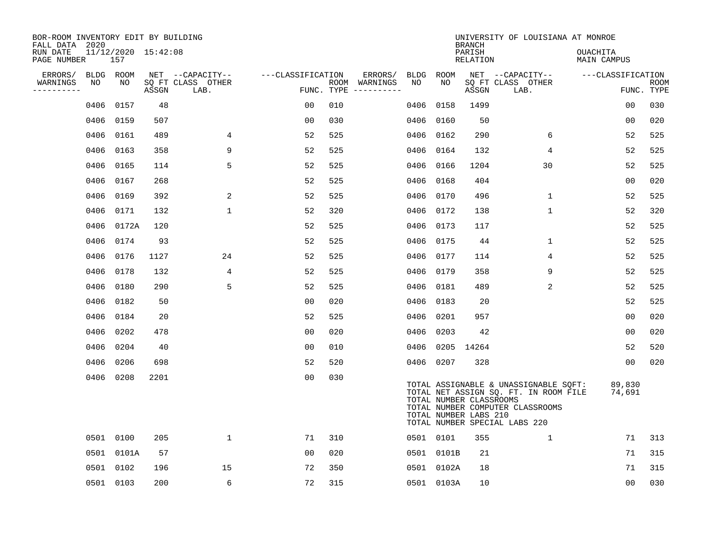| BOR-ROOM INVENTORY EDIT BY BUILDING<br>FALL DATA 2020 |           |                            |       |                           |                   |            |                                                                                                                                                                                                                                                                                                                                                                                                                                                                                              |             |            | <b>BRANCH</b>                                    | UNIVERSITY OF LOUISIANA AT MONROE                                                                                                                   |                         |                    |
|-------------------------------------------------------|-----------|----------------------------|-------|---------------------------|-------------------|------------|----------------------------------------------------------------------------------------------------------------------------------------------------------------------------------------------------------------------------------------------------------------------------------------------------------------------------------------------------------------------------------------------------------------------------------------------------------------------------------------------|-------------|------------|--------------------------------------------------|-----------------------------------------------------------------------------------------------------------------------------------------------------|-------------------------|--------------------|
| RUN DATE<br>PAGE NUMBER                               |           | 11/12/2020 15:42:08<br>157 |       |                           |                   |            |                                                                                                                                                                                                                                                                                                                                                                                                                                                                                              |             |            | PARISH<br>RELATION                               |                                                                                                                                                     | OUACHITA<br>MAIN CAMPUS |                    |
| ERRORS/                                               | BLDG ROOM |                            |       | NET --CAPACITY--          | ---CLASSIFICATION |            | ERRORS/                                                                                                                                                                                                                                                                                                                                                                                                                                                                                      | <b>BLDG</b> | ROOM       |                                                  | NET --CAPACITY--                                                                                                                                    | ---CLASSIFICATION       |                    |
| WARNINGS<br>----------                                | NO        | NO                         | ASSGN | SQ FT CLASS OTHER<br>LAB. |                   | FUNC. TYPE | ROOM WARNINGS<br>$\begin{tabular}{ccccccccc} \multicolumn{2}{c }{\multicolumn{2}{c }{\multicolumn{2}{c }{\multicolumn{2}{c }{\multicolumn{2}{c}}}} & \multicolumn{2}{c }{\multicolumn{2}{c }{\multicolumn{2}{c }{\multicolumn{2}{c}}}} & \multicolumn{2}{c }{\multicolumn{2}{c }{\multicolumn{2}{c }{\multicolumn{2}{c}}}} & \multicolumn{2}{c }{\multicolumn{2}{c }{\multicolumn{2}{c }{\multicolumn{2}{c}}}} & \multicolumn{2}{c }{\multicolumn{2}{c }{\multicolumn{2}{c }{\multicolumn{2$ | NO          | NO         | ASSGN                                            | SQ FT CLASS OTHER<br>LAB.                                                                                                                           |                         | ROOM<br>FUNC. TYPE |
|                                                       | 0406      | 0157                       | 48    |                           | 0 <sub>0</sub>    | 010        |                                                                                                                                                                                                                                                                                                                                                                                                                                                                                              | 0406        | 0158       | 1499                                             |                                                                                                                                                     | 00                      | 030                |
|                                                       | 0406      | 0159                       | 507   |                           | 0 <sub>0</sub>    | 030        |                                                                                                                                                                                                                                                                                                                                                                                                                                                                                              | 0406        | 0160       | 50                                               |                                                                                                                                                     | 00                      | 020                |
|                                                       | 0406      | 0161                       | 489   | 4                         | 52                | 525        |                                                                                                                                                                                                                                                                                                                                                                                                                                                                                              | 0406        | 0162       | 290                                              | 6                                                                                                                                                   | 52                      | 525                |
|                                                       | 0406      | 0163                       | 358   | 9                         | 52                | 525        |                                                                                                                                                                                                                                                                                                                                                                                                                                                                                              | 0406        | 0164       | 132                                              | 4                                                                                                                                                   | 52                      | 525                |
|                                                       | 0406      | 0165                       | 114   | 5                         | 52                | 525        |                                                                                                                                                                                                                                                                                                                                                                                                                                                                                              | 0406        | 0166       | 1204                                             | 30                                                                                                                                                  | 52                      | 525                |
|                                                       | 0406      | 0167                       | 268   |                           | 52                | 525        |                                                                                                                                                                                                                                                                                                                                                                                                                                                                                              | 0406        | 0168       | 404                                              |                                                                                                                                                     | 0 <sub>0</sub>          | 020                |
|                                                       | 0406      | 0169                       | 392   | 2                         | 52                | 525        |                                                                                                                                                                                                                                                                                                                                                                                                                                                                                              | 0406        | 0170       | 496                                              | $\mathbf 1$                                                                                                                                         | 52                      | 525                |
|                                                       |           | 0406 0171                  | 132   | $\mathbf{1}$              | 52                | 320        |                                                                                                                                                                                                                                                                                                                                                                                                                                                                                              |             | 0406 0172  | 138                                              | $\mathbf{1}$                                                                                                                                        | 52                      | 320                |
|                                                       | 0406      | 0172A                      | 120   |                           | 52                | 525        |                                                                                                                                                                                                                                                                                                                                                                                                                                                                                              | 0406        | 0173       | 117                                              |                                                                                                                                                     | 52                      | 525                |
|                                                       | 0406      | 0174                       | 93    |                           | 52                | 525        |                                                                                                                                                                                                                                                                                                                                                                                                                                                                                              | 0406        | 0175       | 44                                               | 1                                                                                                                                                   | 52                      | 525                |
|                                                       | 0406      | 0176                       | 1127  | 24                        | 52                | 525        |                                                                                                                                                                                                                                                                                                                                                                                                                                                                                              | 0406        | 0177       | 114                                              | 4                                                                                                                                                   | 52                      | 525                |
|                                                       | 0406      | 0178                       | 132   | 4                         | 52                | 525        |                                                                                                                                                                                                                                                                                                                                                                                                                                                                                              | 0406        | 0179       | 358                                              | 9                                                                                                                                                   | 52                      | 525                |
|                                                       | 0406      | 0180                       | 290   | 5                         | 52                | 525        |                                                                                                                                                                                                                                                                                                                                                                                                                                                                                              | 0406        | 0181       | 489                                              | 2                                                                                                                                                   | 52                      | 525                |
|                                                       | 0406      | 0182                       | 50    |                           | 0 <sub>0</sub>    | 020        |                                                                                                                                                                                                                                                                                                                                                                                                                                                                                              | 0406        | 0183       | 20                                               |                                                                                                                                                     | 52                      | 525                |
|                                                       | 0406      | 0184                       | 20    |                           | 52                | 525        |                                                                                                                                                                                                                                                                                                                                                                                                                                                                                              | 0406        | 0201       | 957                                              |                                                                                                                                                     | 0 <sub>0</sub>          | 020                |
|                                                       | 0406      | 0202                       | 478   |                           | 0 <sub>0</sub>    | 020        |                                                                                                                                                                                                                                                                                                                                                                                                                                                                                              | 0406        | 0203       | 42                                               |                                                                                                                                                     | 00                      | 020                |
|                                                       | 0406      | 0204                       | 40    |                           | 0 <sub>0</sub>    | 010        |                                                                                                                                                                                                                                                                                                                                                                                                                                                                                              | 0406        | 0205       | 14264                                            |                                                                                                                                                     | 52                      | 520                |
|                                                       | 0406      | 0206                       | 698   |                           | 52                | 520        |                                                                                                                                                                                                                                                                                                                                                                                                                                                                                              |             | 0406 0207  | 328                                              |                                                                                                                                                     | 00                      | 020                |
|                                                       |           | 0406 0208                  | 2201  |                           | 0 <sub>0</sub>    | 030        |                                                                                                                                                                                                                                                                                                                                                                                                                                                                                              |             |            | TOTAL NUMBER CLASSROOMS<br>TOTAL NUMBER LABS 210 | TOTAL ASSIGNABLE & UNASSIGNABLE SQFT:<br>TOTAL NET ASSIGN SQ. FT. IN ROOM FILE<br>TOTAL NUMBER COMPUTER CLASSROOMS<br>TOTAL NUMBER SPECIAL LABS 220 | 89,830<br>74,691        |                    |
|                                                       |           | 0501 0100                  | 205   | $\mathbf 1$               | 71                | 310        |                                                                                                                                                                                                                                                                                                                                                                                                                                                                                              |             | 0501 0101  | 355                                              | $\mathbf{1}$                                                                                                                                        | 71                      | 313                |
|                                                       |           | 0501 0101A                 | 57    |                           | 00                | 020        |                                                                                                                                                                                                                                                                                                                                                                                                                                                                                              |             | 0501 0101B | 21                                               |                                                                                                                                                     | 71                      | 315                |
|                                                       |           | 0501 0102                  | 196   | 15                        | 72                | 350        |                                                                                                                                                                                                                                                                                                                                                                                                                                                                                              |             | 0501 0102A | 18                                               |                                                                                                                                                     | 71                      | 315                |
|                                                       |           | 0501 0103                  | 200   | 6                         | 72                | 315        |                                                                                                                                                                                                                                                                                                                                                                                                                                                                                              |             | 0501 0103A | 10                                               |                                                                                                                                                     | 00                      | 030                |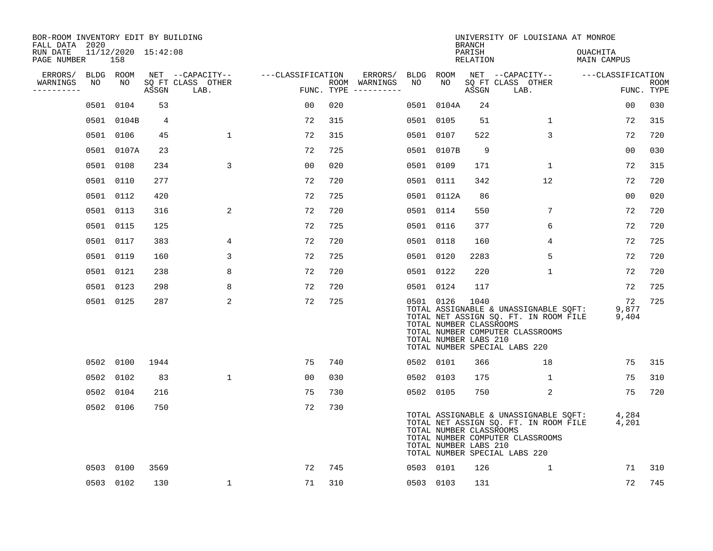| BOR-ROOM INVENTORY EDIT BY BUILDING<br>FALL DATA 2020 |    |                            |       |                           |                   |     |                                      |           |                                                  | <b>BRANCH</b>             | UNIVERSITY OF LOUISIANA AT MONROE                                                                                                                   |                                |                           |
|-------------------------------------------------------|----|----------------------------|-------|---------------------------|-------------------|-----|--------------------------------------|-----------|--------------------------------------------------|---------------------------|-----------------------------------------------------------------------------------------------------------------------------------------------------|--------------------------------|---------------------------|
| RUN DATE<br>PAGE NUMBER                               |    | 11/12/2020 15:42:08<br>158 |       |                           |                   |     |                                      |           |                                                  | PARISH<br><b>RELATION</b> |                                                                                                                                                     | OUACHITA<br><b>MAIN CAMPUS</b> |                           |
| ERRORS/                                               |    | BLDG ROOM                  |       | NET --CAPACITY--          | ---CLASSIFICATION |     | ERRORS/                              | BLDG ROOM |                                                  |                           | NET --CAPACITY--                                                                                                                                    | ---CLASSIFICATION              |                           |
| WARNINGS<br>----------                                | NO | NO                         | ASSGN | SQ FT CLASS OTHER<br>LAB. |                   |     | ROOM WARNINGS<br>FUNC. TYPE $------$ | NO        | NO                                               | ASSGN                     | SQ FT CLASS OTHER<br>LAB.                                                                                                                           |                                | <b>ROOM</b><br>FUNC. TYPE |
|                                                       |    | 0501 0104                  | 53    |                           | 0 <sub>0</sub>    | 020 |                                      | 0501      | 0104A                                            | 24                        |                                                                                                                                                     | 0 <sub>0</sub>                 | 030                       |
|                                                       |    | 0501 0104B                 | 4     |                           | 72                | 315 |                                      | 0501 0105 |                                                  | 51                        | $\mathbf{1}$                                                                                                                                        | 72                             | 315                       |
|                                                       |    | 0501 0106                  | 45    | $\mathbf{1}$              | 72                | 315 |                                      | 0501 0107 |                                                  | 522                       | 3                                                                                                                                                   | 72                             | 720                       |
|                                                       |    | 0501 0107A                 | 23    |                           | 72                | 725 |                                      |           | 0501 0107B                                       | 9                         |                                                                                                                                                     | 00                             | 030                       |
|                                                       |    | 0501 0108                  | 234   | 3                         | 0 <sub>0</sub>    | 020 |                                      | 0501 0109 |                                                  | 171                       | $\mathbf{1}$                                                                                                                                        | 72                             | 315                       |
|                                                       |    | 0501 0110                  | 277   |                           | 72                | 720 |                                      | 0501 0111 |                                                  | 342                       | 12                                                                                                                                                  | 72                             | 720                       |
|                                                       |    | 0501 0112                  | 420   |                           | 72                | 725 |                                      |           | 0501 0112A                                       | 86                        |                                                                                                                                                     | 0 <sub>0</sub>                 | 020                       |
|                                                       |    | 0501 0113                  | 316   | 2                         | 72                | 720 |                                      | 0501 0114 |                                                  | 550                       | 7                                                                                                                                                   | 72                             | 720                       |
|                                                       |    | 0501 0115                  | 125   |                           | 72                | 725 |                                      | 0501 0116 |                                                  | 377                       | 6                                                                                                                                                   | 72                             | 720                       |
|                                                       |    | 0501 0117                  | 383   | 4                         | 72                | 720 |                                      | 0501 0118 |                                                  | 160                       | 4                                                                                                                                                   | 72                             | 725                       |
|                                                       |    | 0501 0119                  | 160   | 3                         | 72                | 725 |                                      | 0501 0120 |                                                  | 2283                      | 5                                                                                                                                                   | 72                             | 720                       |
|                                                       |    | 0501 0121                  | 238   | 8                         | 72                | 720 |                                      | 0501 0122 |                                                  | 220                       | $\mathbf 1$                                                                                                                                         | 72                             | 720                       |
|                                                       |    | 0501 0123                  | 298   | 8                         | 72                | 720 |                                      | 0501 0124 |                                                  | 117                       |                                                                                                                                                     | 72                             | 725                       |
|                                                       |    | 0501 0125                  | 287   | 2                         | 72                | 725 |                                      | 0501 0126 | TOTAL NUMBER CLASSROOMS<br>TOTAL NUMBER LABS 210 | 1040                      | TOTAL ASSIGNABLE & UNASSIGNABLE SQFT:<br>TOTAL NET ASSIGN SQ. FT. IN ROOM FILE<br>TOTAL NUMBER COMPUTER CLASSROOMS<br>TOTAL NUMBER SPECIAL LABS 220 | 72<br>9,877<br>9,404           | 725                       |
|                                                       |    | 0502 0100                  | 1944  |                           | 75                | 740 |                                      | 0502 0101 |                                                  | 366                       | 18                                                                                                                                                  | 75                             | 315                       |
|                                                       |    | 0502 0102                  | 83    | $\mathbf{1}$              | 0 <sub>0</sub>    | 030 |                                      | 0502 0103 |                                                  | 175                       | $\mathbf{1}$                                                                                                                                        | 75                             | 310                       |
|                                                       |    | 0502 0104                  | 216   |                           | 75                | 730 |                                      | 0502 0105 |                                                  | 750                       | 2                                                                                                                                                   | 75                             | 720                       |
|                                                       |    | 0502 0106                  | 750   |                           | 72                | 730 |                                      |           | TOTAL NUMBER CLASSROOMS<br>TOTAL NUMBER LABS 210 |                           | TOTAL ASSIGNABLE & UNASSIGNABLE SQFT:<br>TOTAL NET ASSIGN SQ. FT. IN ROOM FILE<br>TOTAL NUMBER COMPUTER CLASSROOMS<br>TOTAL NUMBER SPECIAL LABS 220 | 4,284<br>4,201                 |                           |
|                                                       |    | 0503 0100                  | 3569  |                           | 72                | 745 |                                      | 0503 0101 |                                                  | 126                       | $\mathbf 1$                                                                                                                                         | 71                             | 310                       |
|                                                       |    | 0503 0102                  | 130   | $\mathbf 1$               | 71                | 310 |                                      | 0503 0103 |                                                  | 131                       |                                                                                                                                                     | 72                             | 745                       |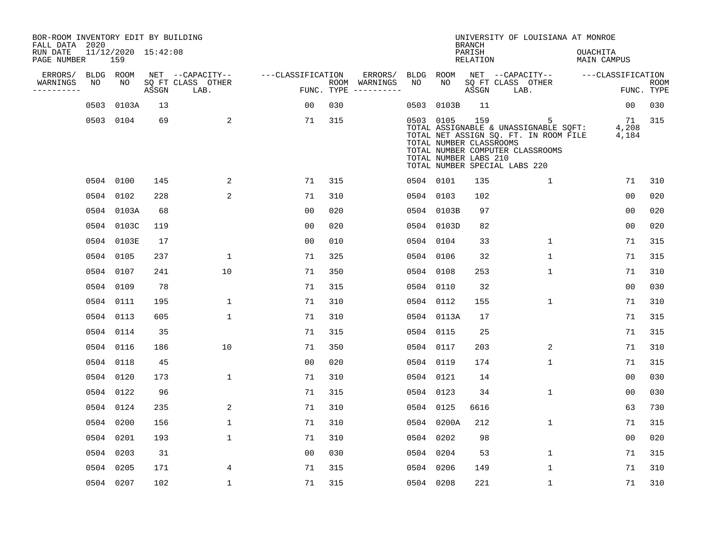| BOR-ROOM INVENTORY EDIT BY BUILDING<br>FALL DATA 2020 |                            |       |                           |                   |                                      |      |                                                               | <b>BRANCH</b>             | UNIVERSITY OF LOUISIANA AT MONROE                                                                                                                        |                                |                           |
|-------------------------------------------------------|----------------------------|-------|---------------------------|-------------------|--------------------------------------|------|---------------------------------------------------------------|---------------------------|----------------------------------------------------------------------------------------------------------------------------------------------------------|--------------------------------|---------------------------|
| RUN DATE<br>PAGE NUMBER                               | 11/12/2020 15:42:08<br>159 |       |                           |                   |                                      |      |                                                               | PARISH<br><b>RELATION</b> |                                                                                                                                                          | OUACHITA<br><b>MAIN CAMPUS</b> |                           |
| ERRORS/                                               | BLDG ROOM                  |       | NET --CAPACITY--          | ---CLASSIFICATION | ERRORS/                              | BLDG | ROOM                                                          |                           | NET --CAPACITY--                                                                                                                                         | ---CLASSIFICATION              |                           |
| WARNINGS<br>NO<br>----------                          | NO                         | ASSGN | SQ FT CLASS OTHER<br>LAB. |                   | ROOM WARNINGS<br>FUNC. TYPE $------$ | NO   | NO                                                            | ASSGN                     | SQ FT CLASS OTHER<br>LAB.                                                                                                                                |                                | <b>ROOM</b><br>FUNC. TYPE |
| 0503                                                  | 0103A                      | 13    |                           | 00                | 030                                  | 0503 | 0103B                                                         | 11                        |                                                                                                                                                          | $00 \,$                        | 030                       |
|                                                       | 0503 0104                  | 69    | 2                         | 71                | 315                                  |      | 0503 0105<br>TOTAL NUMBER CLASSROOMS<br>TOTAL NUMBER LABS 210 | 159                       | 5<br>TOTAL ASSIGNABLE & UNASSIGNABLE SQFT:<br>TOTAL NET ASSIGN SQ. FT. IN ROOM FILE<br>TOTAL NUMBER COMPUTER CLASSROOMS<br>TOTAL NUMBER SPECIAL LABS 220 | 71<br>4,208<br>4,184           | 315                       |
|                                                       | 0504 0100                  | 145   | 2                         | 71                | 315                                  |      | 0504 0101                                                     | 135                       | 1                                                                                                                                                        | 71                             | 310                       |
|                                                       | 0504 0102                  | 228   | 2                         | 71                | 310                                  |      | 0504 0103                                                     | 102                       |                                                                                                                                                          | 0 <sub>0</sub>                 | 020                       |
|                                                       | 0504 0103A                 | 68    |                           | 0 <sub>0</sub>    | 020                                  |      | 0504 0103B                                                    | 97                        |                                                                                                                                                          | 0 <sub>0</sub>                 | 020                       |
|                                                       | 0504 0103C                 | 119   |                           | 0 <sub>0</sub>    | 020                                  |      | 0504 0103D                                                    | 82                        |                                                                                                                                                          | 0 <sub>0</sub>                 | 020                       |
|                                                       | 0504 0103E                 | 17    |                           | 0 <sub>0</sub>    | 010                                  |      | 0504 0104                                                     | 33                        | $\mathbf 1$                                                                                                                                              | 71                             | 315                       |
|                                                       | 0504 0105                  | 237   | $\mathbf{1}$              | 71                | 325                                  | 0504 | 0106                                                          | 32                        | $\mathbf{1}$                                                                                                                                             | 71                             | 315                       |
|                                                       | 0504 0107                  | 241   | 10                        | 71                | 350                                  | 0504 | 0108                                                          | 253                       | $\mathbf{1}$                                                                                                                                             | 71                             | 310                       |
|                                                       | 0504 0109                  | 78    |                           | 71                | 315                                  | 0504 | 0110                                                          | 32                        |                                                                                                                                                          | 0 <sub>0</sub>                 | 030                       |
|                                                       | 0504 0111                  | 195   | 1                         | 71                | 310                                  | 0504 | 0112                                                          | 155                       | 1                                                                                                                                                        | 71                             | 310                       |
|                                                       | 0504 0113                  | 605   | $\mathbf{1}$              | 71                | 310                                  |      | 0504 0113A                                                    | 17                        |                                                                                                                                                          | 71                             | 315                       |
|                                                       | 0504 0114                  | 35    |                           | 71                | 315                                  |      | 0504 0115                                                     | 25                        |                                                                                                                                                          | 71                             | 315                       |
|                                                       | 0504 0116                  | 186   | 10                        | 71                | 350                                  |      | 0504 0117                                                     | 203                       | 2                                                                                                                                                        | 71                             | 310                       |
|                                                       | 0504 0118                  | 45    |                           | 0 <sub>0</sub>    | 020                                  | 0504 | 0119                                                          | 174                       | $\mathbf 1$                                                                                                                                              | 71                             | 315                       |
|                                                       | 0504 0120                  | 173   | $\mathbf{1}$              | 71                | 310                                  |      | 0504 0121                                                     | 14                        |                                                                                                                                                          | 0 <sub>0</sub>                 | 030                       |
|                                                       | 0504 0122                  | 96    |                           | 71                | 315                                  |      | 0504 0123                                                     | 34                        | $\mathbf{1}$                                                                                                                                             | 0 <sub>0</sub>                 | 030                       |
|                                                       | 0504 0124                  | 235   | 2                         | 71                | 310                                  | 0504 | 0125                                                          | 6616                      |                                                                                                                                                          | 63                             | 730                       |
|                                                       | 0504 0200                  | 156   | $\mathbf{1}$              | 71                | 310                                  | 0504 | 0200A                                                         | 212                       | $\mathbf{1}$                                                                                                                                             | 71                             | 315                       |
|                                                       | 0504 0201                  | 193   | $\mathbf 1$               | 71                | 310                                  | 0504 | 0202                                                          | 98                        |                                                                                                                                                          | 0 <sub>0</sub>                 | 020                       |
|                                                       | 0504 0203                  | 31    |                           | 0 <sub>0</sub>    | 030                                  | 0504 | 0204                                                          | 53                        | $\mathbf 1$                                                                                                                                              | 71                             | 315                       |
|                                                       | 0504 0205                  | 171   | 4                         | 71                | 315                                  | 0504 | 0206                                                          | 149                       | $\mathbf{1}$                                                                                                                                             | 71                             | 310                       |
|                                                       | 0504 0207                  | 102   | $\mathbf{1}$              | 71                | 315                                  |      | 0504 0208                                                     | 221                       | $\mathbf{1}$                                                                                                                                             | 71                             | 310                       |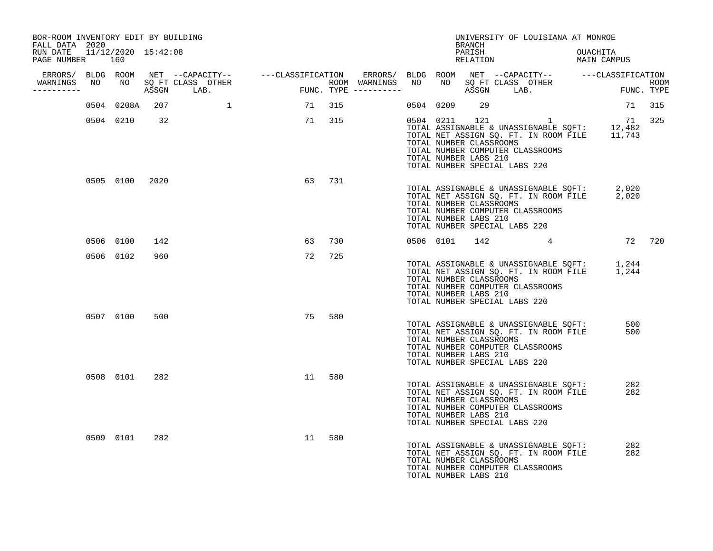| BOR-ROOM INVENTORY EDIT BY BUILDING<br>FALL DATA 2020 |     |                |     |                                                                                                                                                                                                                                  |                                                  |        |                         |           | BRANCH                                                                            | UNIVERSITY OF LOUISIANA AT MONROE                                                                                  |                                                                                                        |  |
|-------------------------------------------------------|-----|----------------|-----|----------------------------------------------------------------------------------------------------------------------------------------------------------------------------------------------------------------------------------|--------------------------------------------------|--------|-------------------------|-----------|-----------------------------------------------------------------------------------|--------------------------------------------------------------------------------------------------------------------|--------------------------------------------------------------------------------------------------------|--|
| RUN DATE 11/12/2020 15:42:08<br>PAGE NUMBER           | 160 |                |     |                                                                                                                                                                                                                                  |                                                  |        |                         |           | PARISH<br>RELATION                                                                |                                                                                                                    | OUACHITA<br>MAIN CAMPUS                                                                                |  |
| WARNINGS NO                                           |     |                |     | ERRORS/ BLDG ROOM NET --CAPACITY--   ---CLASSIFICATION ERRORS/ BLDG ROOM NET --CAPACITY--   ---CLASSIFICATION<br>IARNINGS NO NO SQ FT CLASS OTHER                       ROOM WARNINGS NO  NO SQ FT CLASS OTHER              ROON |                                                  |        |                         |           |                                                                                   |                                                                                                                    |                                                                                                        |  |
| -----------                                           |     |                |     | ASSGN LAB.                                                                                                                                                                                                                       | $\begin{aligned} \mathsf{FUNC}\,. \end{aligned}$ |        | $FUNC. TYPE$ ---------- |           |                                                                                   | ASSGN LAB.                                                                                                         | ROOM<br>FUNC. TYPE                                                                                     |  |
|                                                       |     | 0504 0208A     | 207 |                                                                                                                                                                                                                                  | 71 315                                           |        |                         | 0504 0209 | 29                                                                                |                                                                                                                    | 71 315                                                                                                 |  |
|                                                       |     | 0504 0210      | 32  |                                                                                                                                                                                                                                  |                                                  | 71 315 |                         |           | TOTAL NUMBER CLASSROOMS<br>TOTAL NUMBER LABS 210<br>TOTAL NUMBER SPECIAL LABS 220 | 0504 0211 121 1<br>TOTAL NUMBER COMPUTER CLASSROOMS                                                                | 71 325<br>TOTAL ASSIGNABLE & UNASSIGNABLE SQFT: 12,482<br>TOTAL NET ASSIGN SQ. FT. IN ROOM FILE 11,743 |  |
|                                                       |     | 0505 0100 2020 |     |                                                                                                                                                                                                                                  |                                                  | 63 731 |                         |           | TOTAL NUMBER CLASSROOMS<br>TOTAL NUMBER LABS 210<br>TOTAL NUMBER SPECIAL LABS 220 | TOTAL NUMBER COMPUTER CLASSROOMS                                                                                   | TOTAL ASSIGNABLE & UNASSIGNABLE SQFT: 2,020<br>TOTAL NET ASSIGN SQ. FT. IN ROOM FILE 2,020             |  |
|                                                       |     | 0506 0100      | 142 |                                                                                                                                                                                                                                  | 63                                               | 730    |                         | 0506 0101 |                                                                                   |                                                                                                                    | 142 4 72 720                                                                                           |  |
|                                                       |     | 0506 0102      | 960 |                                                                                                                                                                                                                                  | 72                                               | 725    |                         |           | TOTAL NUMBER CLASSROOMS<br>TOTAL NUMBER LABS 210<br>TOTAL NUMBER SPECIAL LABS 220 | TOTAL NUMBER COMPUTER CLASSROOMS                                                                                   | TOTAL ASSIGNABLE & UNASSIGNABLE SQFT: 1,244<br>TOTAL NET ASSIGN SQ. FT. IN ROOM FILE 1,244             |  |
|                                                       |     | 0507 0100      | 500 |                                                                                                                                                                                                                                  | 75                                               | 580    |                         |           | TOTAL NUMBER CLASSROOMS<br>TOTAL NUMBER LABS 210<br>TOTAL NUMBER SPECIAL LABS 220 | TOTAL ASSIGNABLE & UNASSIGNABLE SQFT:<br>TOTAL NET ASSIGN SQ. FT. IN ROOM FILE<br>TOTAL NUMBER COMPUTER CLASSROOMS | 500<br>500                                                                                             |  |
|                                                       |     | 0508 0101      | 282 |                                                                                                                                                                                                                                  | 11                                               | 580    |                         |           | TOTAL NUMBER CLASSROOMS<br>TOTAL NUMBER LABS 210<br>TOTAL NUMBER SPECIAL LABS 220 | TOTAL ASSIGNABLE & UNASSIGNABLE SQFT:<br>TOTAL NET ASSIGN SQ. FT. IN ROOM FILE<br>TOTAL NUMBER COMPUTER CLASSROOMS | 282<br>282                                                                                             |  |
|                                                       |     | 0509 0101      | 282 |                                                                                                                                                                                                                                  | 11                                               | 580    |                         |           | TOTAL NUMBER CLASSROOMS<br>TOTAL NUMBER LABS 210                                  | TOTAL ASSIGNABLE & UNASSIGNABLE SQFT:<br>TOTAL NET ASSIGN SQ. FT. IN ROOM FILE<br>TOTAL NUMBER COMPUTER CLASSROOMS | 282<br>282                                                                                             |  |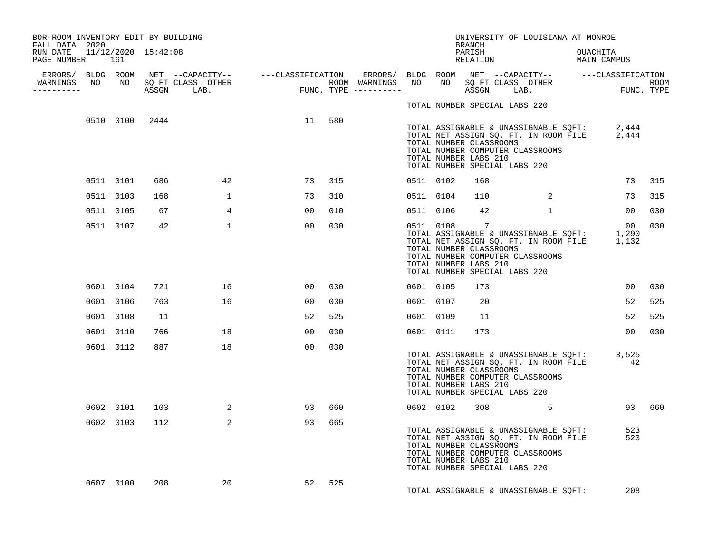| BOR-ROOM INVENTORY EDIT BY BUILDING                           |           |     |                 |                 |     |           |                                                                                                | BRANCH             | UNIVERSITY OF LOUISIANA AT MONROE                                                                                  |          |                                                                                                  |        |
|---------------------------------------------------------------|-----------|-----|-----------------|-----------------|-----|-----------|------------------------------------------------------------------------------------------------|--------------------|--------------------------------------------------------------------------------------------------------------------|----------|--------------------------------------------------------------------------------------------------|--------|
| FALL DATA 2020<br>RUN DATE 11/12/2020 15:42:08<br>PAGE NUMBER | 161       |     |                 |                 |     |           |                                                                                                | PARISH<br>RELATION |                                                                                                                    | OUACHITA | MAIN CAMPUS                                                                                      |        |
| -----------                                                   |           |     |                 |                 |     |           |                                                                                                |                    |                                                                                                                    |          |                                                                                                  |        |
|                                                               |           |     |                 |                 |     |           | TOTAL NUMBER SPECIAL LABS 220                                                                  |                    |                                                                                                                    |          |                                                                                                  |        |
|                                                               |           |     | 0510 0100 2444  | 11              | 580 |           | TOTAL NUMBER CLASSROOMS<br>TOTAL NUMBER LABS 210<br>TOTAL NUMBER SPECIAL LABS 220              |                    | TOTAL NUMBER COMPUTER CLASSROOMS                                                                                   |          | TOTAL ASSIGNABLE & UNASSIGNABLE SQFT: 2,444<br>TOTAL NET ASSIGN SQ. FT. IN ROOM FILE 2,444       |        |
|                                                               | 0511 0101 | 686 | 42              | 73              | 315 | 0511 0102 |                                                                                                | 168                |                                                                                                                    |          | 73                                                                                               | 315    |
|                                                               | 0511 0103 | 168 | $\mathbf{1}$    | 73              | 310 | 0511 0104 |                                                                                                | 110                | 2                                                                                                                  |          | 73                                                                                               | 315    |
|                                                               | 0511 0105 | 67  | $4\overline{ }$ | 00 <sub>o</sub> | 010 | 0511 0106 |                                                                                                | 42                 |                                                                                                                    |          | 00                                                                                               | 030    |
|                                                               | 0511 0107 | 42  | 1               | 00              | 030 |           | 0511 0108<br>TOTAL NUMBER CLASSROOMS<br>TOTAL NUMBER LABS 210<br>TOTAL NUMBER SPECIAL LABS 220 | $\overline{7}$     | TOTAL NUMBER COMPUTER CLASSROOMS                                                                                   |          | 00<br>TOTAL ASSIGNABLE & UNASSIGNABLE SQFT: 1,290<br>TOTAL NET ASSIGN SQ. FT. IN ROOM FILE 1,132 | 030    |
|                                                               | 0601 0104 | 721 | 16              | 00              | 030 | 0601 0105 |                                                                                                | 173                |                                                                                                                    |          | 0 <sub>0</sub>                                                                                   | 030    |
|                                                               | 0601 0106 | 763 | 16              | 00              | 030 | 0601 0107 |                                                                                                | 20                 |                                                                                                                    |          | 52                                                                                               | 525    |
|                                                               | 0601 0108 | 11  |                 | 52              | 525 | 0601 0109 |                                                                                                | 11                 |                                                                                                                    |          | 52                                                                                               | 525    |
|                                                               | 0601 0110 | 766 | 18              | 00              | 030 | 0601 0111 |                                                                                                | 173                |                                                                                                                    |          | 0 <sub>0</sub>                                                                                   | 030    |
|                                                               | 0601 0112 | 887 | 18              | 00              | 030 |           | TOTAL NUMBER CLASSROOMS<br>TOTAL NUMBER LABS 210<br>TOTAL NUMBER SPECIAL LABS 220              |                    | TOTAL NUMBER COMPUTER CLASSROOMS                                                                                   |          | TOTAL ASSIGNABLE & UNASSIGNABLE SQFT: 3,525<br>TOTAL NET ASSIGN SQ. FT. IN ROOM FILE 42          |        |
|                                                               | 0602 0101 | 103 | 2               | 93              | 660 |           | 0602 0102                                                                                      |                    | $308$ 5                                                                                                            |          |                                                                                                  | 93 660 |
|                                                               | 0602 0103 | 112 | 2               | 93              | 665 |           | TOTAL NUMBER CLASSROOMS<br>TOTAL NUMBER LABS 210<br>TOTAL NUMBER SPECIAL LABS 220              |                    | TOTAL ASSIGNABLE & UNASSIGNABLE SQFT:<br>TOTAL NET ASSIGN SQ. FT. IN ROOM FILE<br>TOTAL NUMBER COMPUTER CLASSROOMS |          | 523<br>523                                                                                       |        |
|                                                               | 0607 0100 | 208 | 20              | 52              | 525 |           |                                                                                                |                    | TOTAL ASSIGNABLE & UNASSIGNABLE SOFT:                                                                              |          | 208                                                                                              |        |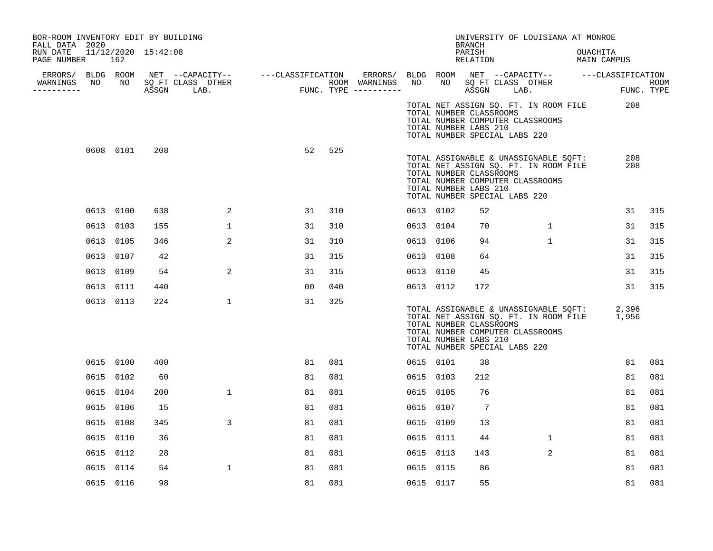| BOR-ROOM INVENTORY EDIT BY BUILDING<br>FALL DATA 2020 |    |           |     |                                                                               |                                       |    |     |                                                                         |           |                                                                                   | BRANCH             | UNIVERSITY OF LOUISIANA AT MONROE                                                                                  |                                                                                            |                    |
|-------------------------------------------------------|----|-----------|-----|-------------------------------------------------------------------------------|---------------------------------------|----|-----|-------------------------------------------------------------------------|-----------|-----------------------------------------------------------------------------------|--------------------|--------------------------------------------------------------------------------------------------------------------|--------------------------------------------------------------------------------------------|--------------------|
| RUN DATE 11/12/2020 15:42:08<br>PAGE NUMBER           |    | 162       |     |                                                                               |                                       |    |     |                                                                         |           |                                                                                   | PARISH<br>RELATION |                                                                                                                    | OUACHITA<br>MAIN CAMPUS                                                                    |                    |
| WARNINGS                                              | NO |           |     | ERRORS/ BLDG ROOM NET --CAPACITY-- ----CLASSIFICATION<br>NO SQ FT CLASS OTHER |                                       |    |     | ERRORS/ BLDG ROOM NET --CAPACITY-- -----CLASSIFICATION<br>ROOM WARNINGS | NO        |                                                                                   |                    |                                                                                                                    |                                                                                            |                    |
| ----------                                            |    |           |     | ASSGN LAB.                                                                    | ROOM WARNINGS<br>FUNC. TYPE --------- |    |     |                                                                         |           |                                                                                   |                    | NO SQ FT CLASS OTHER<br>ASSGN LAB.                                                                                 |                                                                                            | ROOM<br>FUNC. TYPE |
|                                                       |    |           |     |                                                                               |                                       |    |     |                                                                         |           | TOTAL NUMBER CLASSROOMS<br>TOTAL NUMBER LABS 210<br>TOTAL NUMBER SPECIAL LABS 220 |                    | TOTAL NET ASSIGN SQ. FT. IN ROOM FILE<br>TOTAL NUMBER COMPUTER CLASSROOMS                                          | 208                                                                                        |                    |
|                                                       |    | 0608 0101 | 208 |                                                                               |                                       | 52 | 525 |                                                                         |           | TOTAL NUMBER CLASSROOMS<br>TOTAL NUMBER LABS 210<br>TOTAL NUMBER SPECIAL LABS 220 |                    | TOTAL ASSIGNABLE & UNASSIGNABLE SQFT:<br>TOTAL NET ASSIGN SQ. FT. IN ROOM FILE<br>TOTAL NUMBER COMPUTER CLASSROOMS | 208<br>208                                                                                 |                    |
|                                                       |    | 0613 0100 | 638 | 2                                                                             |                                       | 31 | 310 |                                                                         |           | 0613 0102                                                                         | 52                 |                                                                                                                    | 31                                                                                         | 315                |
|                                                       |    | 0613 0103 | 155 | $\mathbf{1}$                                                                  |                                       | 31 | 310 |                                                                         |           | 0613 0104                                                                         | 70                 | $\mathbf{1}$                                                                                                       | 31                                                                                         | 315                |
|                                                       |    | 0613 0105 | 346 | 2                                                                             |                                       | 31 | 310 |                                                                         |           | 0613 0106                                                                         | 94                 | $\mathbf{1}$                                                                                                       | 31                                                                                         | 315                |
|                                                       |    | 0613 0107 | 42  |                                                                               |                                       | 31 | 315 |                                                                         | 0613 0108 |                                                                                   | 64                 |                                                                                                                    | 31                                                                                         | 315                |
|                                                       |    | 0613 0109 | 54  | 2                                                                             |                                       | 31 | 315 |                                                                         |           | 0613 0110                                                                         | 45                 |                                                                                                                    | 31                                                                                         | 315                |
|                                                       |    | 0613 0111 | 440 |                                                                               |                                       | 00 | 040 |                                                                         |           | 0613 0112                                                                         | 172                |                                                                                                                    | 31                                                                                         | 315                |
|                                                       |    | 0613 0113 | 224 | $\mathbf{1}$                                                                  |                                       | 31 | 325 |                                                                         |           | TOTAL NUMBER CLASSROOMS<br>TOTAL NUMBER LABS 210<br>TOTAL NUMBER SPECIAL LABS 220 |                    | TOTAL NUMBER COMPUTER CLASSROOMS                                                                                   | TOTAL ASSIGNABLE & UNASSIGNABLE SQFT: 2,396<br>TOTAL NET ASSIGN SQ. FT. IN ROOM FILE 1,956 |                    |
|                                                       |    | 0615 0100 | 400 |                                                                               |                                       | 81 | 081 |                                                                         | 0615 0101 |                                                                                   | 38                 |                                                                                                                    | 81                                                                                         | 081                |
|                                                       |    | 0615 0102 | 60  |                                                                               |                                       | 81 | 081 |                                                                         | 0615 0103 |                                                                                   | 212                |                                                                                                                    | 81                                                                                         | 081                |
|                                                       |    | 0615 0104 | 200 | $\mathbf{1}$                                                                  |                                       | 81 | 081 |                                                                         | 0615 0105 |                                                                                   | 76                 |                                                                                                                    | 81                                                                                         | 081                |
|                                                       |    | 0615 0106 | 15  |                                                                               |                                       | 81 | 081 |                                                                         | 0615 0107 |                                                                                   | 7                  |                                                                                                                    | 81                                                                                         | 081                |
|                                                       |    | 0615 0108 | 345 | 3                                                                             |                                       | 81 | 081 |                                                                         | 0615 0109 |                                                                                   | 13                 |                                                                                                                    | 81                                                                                         | 081                |
|                                                       |    | 0615 0110 | 36  |                                                                               |                                       | 81 | 081 |                                                                         | 0615 0111 |                                                                                   | 44                 | $\mathbf{1}$                                                                                                       | 81                                                                                         | 081                |
|                                                       |    | 0615 0112 | 28  |                                                                               |                                       | 81 | 081 |                                                                         | 0615 0113 |                                                                                   | 143                | 2                                                                                                                  | 81                                                                                         | 081                |
|                                                       |    | 0615 0114 | 54  | $\mathbf{1}$                                                                  |                                       | 81 | 081 |                                                                         | 0615 0115 |                                                                                   | 86                 |                                                                                                                    | 81                                                                                         | 081                |
|                                                       |    | 0615 0116 | 98  |                                                                               |                                       | 81 | 081 |                                                                         | 0615 0117 |                                                                                   | 55                 |                                                                                                                    | 81                                                                                         | 081                |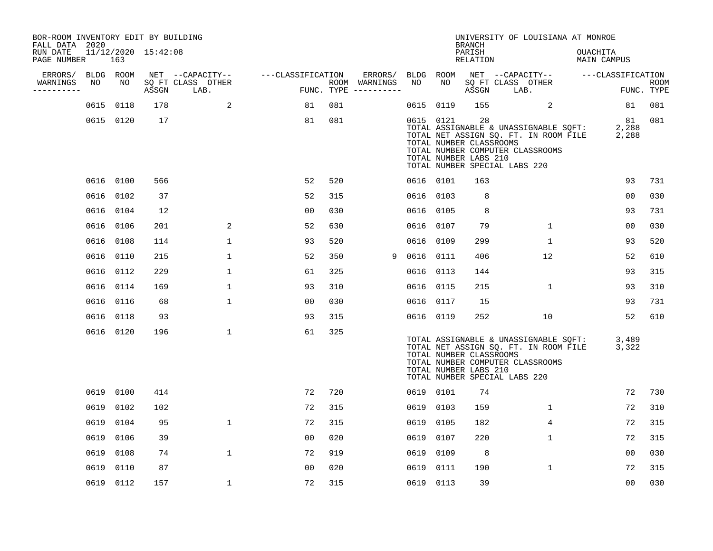| BOR-ROOM INVENTORY EDIT BY BUILDING<br>FALL DATA 2020 |      |           |                     |                           |                   |     |                                      |           |                                                  | <b>BRANCH</b>      | UNIVERSITY OF LOUISIANA AT MONROE                                                                                                                   |                         |                           |
|-------------------------------------------------------|------|-----------|---------------------|---------------------------|-------------------|-----|--------------------------------------|-----------|--------------------------------------------------|--------------------|-----------------------------------------------------------------------------------------------------------------------------------------------------|-------------------------|---------------------------|
| RUN DATE<br>PAGE NUMBER                               |      | 163       | 11/12/2020 15:42:08 |                           |                   |     |                                      |           |                                                  | PARISH<br>RELATION |                                                                                                                                                     | OUACHITA<br>MAIN CAMPUS |                           |
| ERRORS/                                               |      | BLDG ROOM |                     | NET --CAPACITY--          | ---CLASSIFICATION |     | ERRORS/                              | BLDG      | ROOM                                             |                    | NET --CAPACITY--                                                                                                                                    | ---CLASSIFICATION       |                           |
| WARNINGS<br>---------                                 | NO   | NO        | ASSGN               | SQ FT CLASS OTHER<br>LAB. |                   |     | ROOM WARNINGS<br>FUNC. TYPE $------$ | NO        | NO                                               | ASSGN              | SQ FT CLASS OTHER<br>LAB.                                                                                                                           |                         | <b>ROOM</b><br>FUNC. TYPE |
|                                                       |      | 0615 0118 | 178                 | 2                         | 81                | 081 |                                      | 0615      | 0119                                             | 155                | 2                                                                                                                                                   | 81                      | 081                       |
|                                                       |      | 0615 0120 | 17                  |                           | 81                | 081 |                                      | 0615 0121 | TOTAL NUMBER CLASSROOMS<br>TOTAL NUMBER LABS 210 | 28                 | TOTAL ASSIGNABLE & UNASSIGNABLE SQFT:<br>TOTAL NET ASSIGN SQ. FT. IN ROOM FILE<br>TOTAL NUMBER COMPUTER CLASSROOMS<br>TOTAL NUMBER SPECIAL LABS 220 | 81<br>2,288<br>2,288    | 081                       |
|                                                       |      | 0616 0100 | 566                 |                           | 52                | 520 |                                      | 0616 0101 |                                                  | 163                |                                                                                                                                                     | 93                      | 731                       |
|                                                       |      | 0616 0102 | 37                  |                           | 52                | 315 |                                      | 0616      | 0103                                             | 8                  |                                                                                                                                                     | 0 <sub>0</sub>          | 030                       |
|                                                       |      | 0616 0104 | 12                  |                           | 0 <sub>0</sub>    | 030 |                                      | 0616 0105 |                                                  | 8                  |                                                                                                                                                     | 93                      | 731                       |
|                                                       | 0616 | 0106      | 201                 | 2                         | 52                | 630 |                                      | 0616 0107 |                                                  | 79                 | $\mathbf 1$                                                                                                                                         | 0 <sub>0</sub>          | 030                       |
|                                                       | 0616 | 0108      | 114                 | $\mathbf{1}$              | 93                | 520 |                                      | 0616 0109 |                                                  | 299                | $\mathbf{1}$                                                                                                                                        | 93                      | 520                       |
|                                                       |      | 0616 0110 | 215                 | $\mathbf 1$               | 52                | 350 | 9                                    | 0616 0111 |                                                  | 406                | 12                                                                                                                                                  | 52                      | 610                       |
|                                                       |      | 0616 0112 | 229                 | $\mathbf{1}$              | 61                | 325 |                                      | 0616 0113 |                                                  | 144                |                                                                                                                                                     | 93                      | 315                       |
|                                                       |      | 0616 0114 | 169                 | $\mathbf{1}$              | 93                | 310 |                                      | 0616 0115 |                                                  | 215                | $\mathbf 1$                                                                                                                                         | 93                      | 310                       |
|                                                       |      | 0616 0116 | 68                  | $\mathbf 1$               | 00                | 030 |                                      | 0616 0117 |                                                  | 15                 |                                                                                                                                                     | 93                      | 731                       |
|                                                       |      | 0616 0118 | 93                  |                           | 93                | 315 |                                      | 0616 0119 |                                                  | 252                | 10                                                                                                                                                  | 52                      | 610                       |
|                                                       |      | 0616 0120 | 196                 | $\mathbf{1}$              | 61                | 325 |                                      |           | TOTAL NUMBER CLASSROOMS<br>TOTAL NUMBER LABS 210 |                    | TOTAL ASSIGNABLE & UNASSIGNABLE SQFT:<br>TOTAL NET ASSIGN SQ. FT. IN ROOM FILE<br>TOTAL NUMBER COMPUTER CLASSROOMS<br>TOTAL NUMBER SPECIAL LABS 220 | 3,489<br>3,322          |                           |
|                                                       |      | 0619 0100 | 414                 |                           | 72                | 720 |                                      | 0619 0101 |                                                  | 74                 |                                                                                                                                                     | 72                      | 730                       |
|                                                       |      | 0619 0102 | 102                 |                           | 72                | 315 |                                      | 0619 0103 |                                                  | 159                | 1                                                                                                                                                   | 72                      | 310                       |
|                                                       | 0619 | 0104      | 95                  | $\mathbf{1}$              | 72                | 315 |                                      | 0619      | 0105                                             | 182                | 4                                                                                                                                                   | 72                      | 315                       |
|                                                       | 0619 | 0106      | 39                  |                           | 00                | 020 |                                      | 0619      | 0107                                             | 220                | 1                                                                                                                                                   | 72                      | 315                       |
|                                                       | 0619 | 0108      | 74                  | $\mathbf{1}$              | 72                | 919 |                                      | 0619      | 0109                                             | 8                  |                                                                                                                                                     | 0 <sub>0</sub>          | 030                       |
|                                                       | 0619 | 0110      | 87                  |                           | 0 <sub>0</sub>    | 020 |                                      | 0619      | 0111                                             | 190                | $\mathbf{1}$                                                                                                                                        | 72                      | 315                       |
|                                                       |      | 0619 0112 | 157                 | $\mathbf 1$               | 72                | 315 |                                      | 0619 0113 |                                                  | 39                 |                                                                                                                                                     | 0 <sub>0</sub>          | 030                       |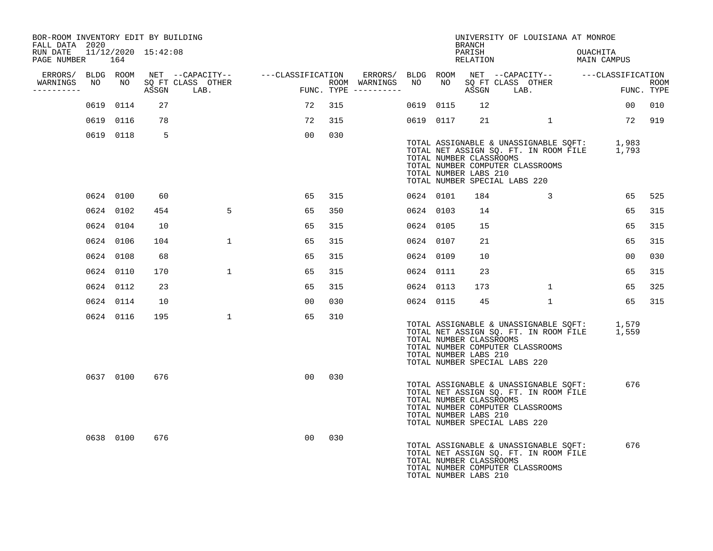| BOR-ROOM INVENTORY EDIT BY BUILDING<br>FALL DATA 2020 |           |     |                                    |    |     |                                                                                            |           |           | BRANCH                                                                            | UNIVERSITY OF LOUISIANA AT MONROE                                                                                  |                                                                                            |                    |
|-------------------------------------------------------|-----------|-----|------------------------------------|----|-----|--------------------------------------------------------------------------------------------|-----------|-----------|-----------------------------------------------------------------------------------|--------------------------------------------------------------------------------------------------------------------|--------------------------------------------------------------------------------------------|--------------------|
| RUN DATE 11/12/2020 15:42:08<br>PAGE NUMBER           | 164       |     |                                    |    |     |                                                                                            |           |           | PARISH<br>RELATION                                                                |                                                                                                                    | OUACHITA<br>MAIN CAMPUS                                                                    |                    |
| ERRORS/ BLDG ROOM                                     |           |     | NET --CAPACITY-- ---CLASSIFICATION |    |     | ERRORS/ BLDG ROOM NET --CAPACITY-- ----CLASSIFICATION                                      |           |           |                                                                                   |                                                                                                                    |                                                                                            |                    |
| WARNINGS<br>NO<br>----------                          | NO        |     | SQ FT CLASS OTHER<br>ASSGN LAB.    |    |     | ROOM WARNINGS NO<br>$\texttt{FUNC.}\quad \texttt{TYPE}\quad \texttt{-----} \texttt{-----}$ |           | NO        |                                                                                   | SQ FT CLASS OTHER<br>ASSGN LAB.                                                                                    |                                                                                            | ROOM<br>FUNC. TYPE |
|                                                       | 0619 0114 | 27  |                                    | 72 | 315 |                                                                                            |           | 0619 0115 | 12                                                                                |                                                                                                                    | 00 <sup>o</sup>                                                                            | 010                |
|                                                       | 0619 0116 | 78  |                                    | 72 | 315 |                                                                                            |           | 0619 0117 | 21                                                                                | $\mathbf{1}$                                                                                                       |                                                                                            | 72 919             |
|                                                       | 0619 0118 | 5   |                                    | 00 | 030 |                                                                                            |           |           | TOTAL NUMBER CLASSROOMS<br>TOTAL NUMBER LABS 210<br>TOTAL NUMBER SPECIAL LABS 220 | TOTAL NUMBER COMPUTER CLASSROOMS                                                                                   | TOTAL ASSIGNABLE & UNASSIGNABLE SQFT: 1,983<br>TOTAL NET ASSIGN SQ. FT. IN ROOM FILE 1,793 |                    |
|                                                       | 0624 0100 | 60  |                                    | 65 | 315 |                                                                                            | 0624 0101 |           | 184                                                                               | $\mathbf{3}$                                                                                                       | 65                                                                                         | 525                |
|                                                       | 0624 0102 | 454 | 5                                  | 65 | 350 |                                                                                            | 0624 0103 |           | 14                                                                                |                                                                                                                    | 65                                                                                         | 315                |
|                                                       | 0624 0104 | 10  |                                    | 65 | 315 |                                                                                            | 0624 0105 |           | 15                                                                                |                                                                                                                    | 65                                                                                         | 315                |
|                                                       | 0624 0106 | 104 | $\mathbf{1}$                       | 65 | 315 |                                                                                            | 0624 0107 |           | 21                                                                                |                                                                                                                    | 65                                                                                         | 315                |
|                                                       | 0624 0108 | 68  |                                    | 65 | 315 |                                                                                            | 0624 0109 |           | 10                                                                                |                                                                                                                    | 00                                                                                         | 030                |
|                                                       | 0624 0110 | 170 | $\mathbf{1}$                       | 65 | 315 |                                                                                            | 0624 0111 |           | 23                                                                                |                                                                                                                    | 65                                                                                         | 315                |
|                                                       | 0624 0112 | 23  |                                    | 65 | 315 |                                                                                            | 0624 0113 |           | 173                                                                               | $\mathbf{1}$                                                                                                       | 65                                                                                         | 325                |
|                                                       | 0624 0114 | 10  |                                    | 00 | 030 |                                                                                            | 0624 0115 |           | 45                                                                                | $\mathbf{1}$                                                                                                       | 65                                                                                         | 315                |
|                                                       | 0624 0116 | 195 | $\mathbf{1}$                       | 65 | 310 |                                                                                            |           |           | TOTAL NUMBER CLASSROOMS<br>TOTAL NUMBER LABS 210<br>TOTAL NUMBER SPECIAL LABS 220 | TOTAL NUMBER COMPUTER CLASSROOMS                                                                                   | TOTAL ASSIGNABLE & UNASSIGNABLE SQFT: 1,579<br>TOTAL NET ASSIGN SO. FT. IN ROOM FILE 1,559 |                    |
|                                                       | 0637 0100 | 676 |                                    | 00 | 030 |                                                                                            |           |           | TOTAL NUMBER CLASSROOMS<br>TOTAL NUMBER LABS 210<br>TOTAL NUMBER SPECIAL LABS 220 | TOTAL ASSIGNABLE & UNASSIGNABLE SOFT:<br>TOTAL NET ASSIGN SQ. FT. IN ROOM FILE<br>TOTAL NUMBER COMPUTER CLASSROOMS | 676                                                                                        |                    |
|                                                       | 0638 0100 | 676 |                                    | 00 | 030 |                                                                                            |           |           | TOTAL NUMBER CLASSROOMS<br>TOTAL NUMBER LABS 210                                  | TOTAL ASSIGNABLE & UNASSIGNABLE SQFT:<br>TOTAL NET ASSIGN SQ. FT. IN ROOM FILE<br>TOTAL NUMBER COMPUTER CLASSROOMS | 676                                                                                        |                    |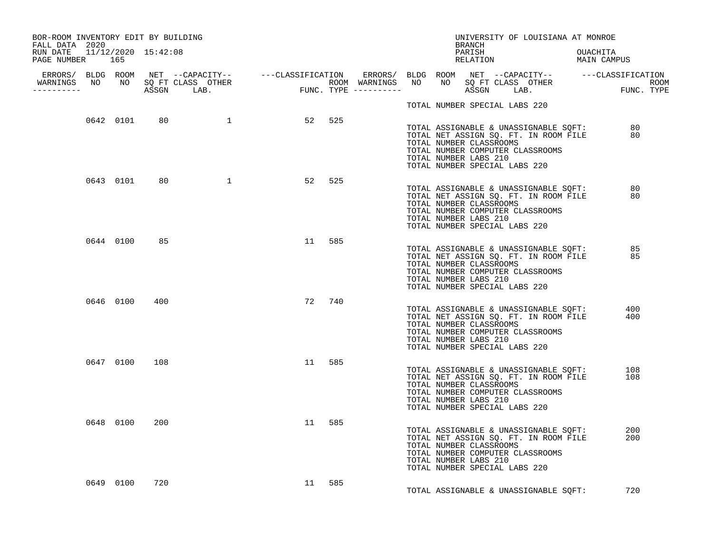| BOR-ROOM INVENTORY EDIT BY BUILDING<br>FALL DATA 2020 |           |               |                       |    |        |  |                       | BRANCH |                                                          | UNIVERSITY OF LOUISIANA AT MONROE                                                                                          |            |  |
|-------------------------------------------------------|-----------|---------------|-----------------------|----|--------|--|-----------------------|--------|----------------------------------------------------------|----------------------------------------------------------------------------------------------------------------------------|------------|--|
| RUN DATE 11/12/2020 15:42:08<br>PAGE NUMBER 165       |           |               |                       |    |        |  |                       | PARISH |                                                          |                                                                                                                            | OUACHITA   |  |
| WARNINGS NO NO SQ FT CLASS OTHER<br>----------        |           |               |                       |    |        |  |                       |        |                                                          |                                                                                                                            |            |  |
|                                                       |           |               |                       |    |        |  |                       |        | TOTAL NUMBER SPECIAL LABS 220                            |                                                                                                                            |            |  |
|                                                       |           |               | 0642 0101 80 1 52 525 |    |        |  | TOTAL NUMBER LABS 210 |        | TOTAL NUMBER CLASSROOMS<br>TOTAL NUMBER SPECIAL LABS 220 | TOTAL ASSIGNABLE & UNASSIGNABLE SQFT: 80<br>TOTAL NET ASSIGN SQ. FT. IN ROOM FILE<br>TOTAL NUMBER COMPUTER CLASSROOMS      | 80         |  |
|                                                       | 0643 0101 |               | 80 1                  |    | 52 525 |  | TOTAL NUMBER LABS 210 |        | TOTAL NUMBER CLASSROOMS<br>TOTAL NUMBER SPECIAL LABS 220 | TOTAL ASSIGNABLE & UNASSIGNABLE SQFT:<br>TOTAL NET ASSIGN SQ. FT. IN ROOM FILE<br>TOTAL NUMBER COMPUTER CLASSROOMS         | 80<br>80   |  |
|                                                       | 0644 0100 | 85            |                       |    | 11 585 |  | TOTAL NUMBER LABS 210 |        | TOTAL NUMBER CLASSROOMS<br>TOTAL NUMBER SPECIAL LABS 220 | TOTAL ASSIGNABLE & UNASSIGNABLE SQFT:<br>TOTAL NET ASSIGN SQ. FT. IN ROOM FILE 85<br>TOTAL NUMBER COMPUTER CLASSROOMS      | 85         |  |
|                                                       |           | 0646 0100 400 |                       |    | 72 740 |  | TOTAL NUMBER LABS 210 |        | TOTAL NUMBER CLASSROOMS<br>TOTAL NUMBER SPECIAL LABS 220 | TOTAL ASSIGNABLE & UNASSIGNABLE SQFT: 400<br>TOTAL NET ASSIGN SQ. FT. IN ROOM FILE<br>TOTAL NUMBER COMPUTER CLASSROOMS     | 400        |  |
|                                                       |           | 0647 0100 108 |                       |    | 11 585 |  | TOTAL NUMBER LABS 210 |        | TOTAL NUMBER CLASSROOMS<br>TOTAL NUMBER SPECIAL LABS 220 | TOTAL ASSIGNABLE & UNASSIGNABLE SQFT: 108<br>TOTAL NET ASSIGN SQ. FT. IN ROOM FILE 108<br>TOTAL NUMBER COMPUTER CLASSROOMS |            |  |
|                                                       |           | 0648 0100 200 |                       | 11 | 585    |  | TOTAL NUMBER LABS 210 |        | TOTAL NUMBER CLASSROOMS<br>TOTAL NUMBER SPECIAL LABS 220 | TOTAL ASSIGNABLE & UNASSIGNABLE SQFT:<br>TOTAL NET ASSIGN SQ. FT. IN ROOM FILE<br>TOTAL NUMBER COMPUTER CLASSROOMS         | 200<br>200 |  |
|                                                       | 0649 0100 | 720           |                       |    | 11 585 |  |                       |        |                                                          | TOTAL ASSIGNABLE & UNASSIGNABLE SQFT:                                                                                      | 720        |  |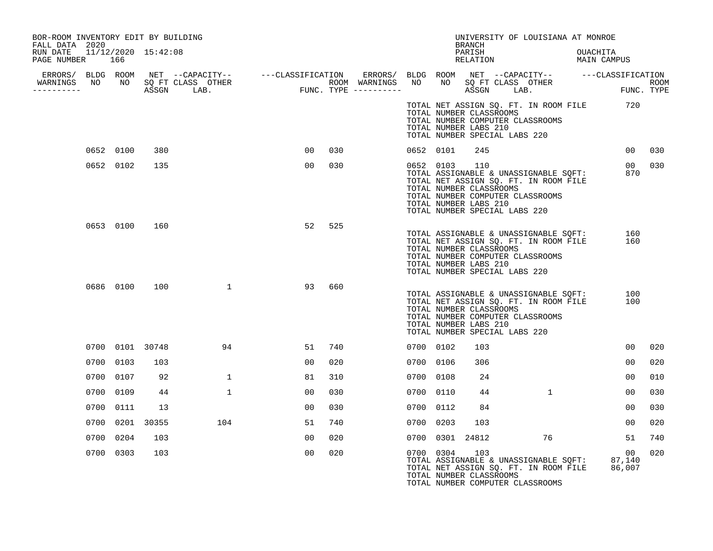| BOR-ROOM INVENTORY EDIT BY BUILDING<br>FALL DATA 2020 |     |           |                 |                                                                                                                                                                                                                                      |                |     |           |           | <b>BRANCH</b>                                                                            | UNIVERSITY OF LOUISIANA AT MONROE                                                                                                |          |                 |        |
|-------------------------------------------------------|-----|-----------|-----------------|--------------------------------------------------------------------------------------------------------------------------------------------------------------------------------------------------------------------------------------|----------------|-----|-----------|-----------|------------------------------------------------------------------------------------------|----------------------------------------------------------------------------------------------------------------------------------|----------|-----------------|--------|
| RUN DATE 11/12/2020 15:42:08<br>PAGE NUMBER           | 166 |           |                 |                                                                                                                                                                                                                                      |                |     |           |           | PARISH                                                                                   | RELATION MAIN CAMPUS                                                                                                             | OUACHITA |                 |        |
| ___________                                           |     |           |                 | ERRORS/ BLDG ROOM NET --CAPACITY-- ----CLASSIFICATION ERRORS/ BLDG ROOM NET --CAPACITY-- -----CLASSIFICATION<br>WARNINGS NO NO SQFTCLASS OTHER ROOM WARNINGS NO NO SQFTCLASS OTHER ROOM<br>----------- ASSGN LAB. FUNC.TYPE -------- |                |     |           |           |                                                                                          |                                                                                                                                  |          |                 |        |
|                                                       |     |           |                 |                                                                                                                                                                                                                                      |                |     |           |           | TOTAL NUMBER CLASSROOMS<br>TOTAL NUMBER LABS 210<br>TOTAL NUMBER SPECIAL LABS 220        | TOTAL NET ASSIGN SQ. FT. IN ROOM FILE 720<br>TOTAL NUMBER COMPUTER CLASSROOMS                                                    |          |                 |        |
|                                                       |     | 0652 0100 | 380             |                                                                                                                                                                                                                                      | 00             | 030 |           | 0652 0101 | 245                                                                                      |                                                                                                                                  |          |                 | 00 030 |
|                                                       |     | 0652 0102 | 135             |                                                                                                                                                                                                                                      | 00             | 030 |           | 0652 0103 | 110<br>TOTAL NUMBER CLASSROOMS<br>TOTAL NUMBER LABS 210<br>TOTAL NUMBER SPECIAL LABS 220 | TOTAL ASSIGNABLE & UNASSIGNABLE SQFT:<br>TOTAL NET ASSIGN SQ. FT. IN ROOM FILE<br>TOTAL NUMBER COMPUTER CLASSROOMS               |          | 870             | 00 030 |
|                                                       |     | 0653 0100 | 160             |                                                                                                                                                                                                                                      | 52             | 525 |           |           | TOTAL NUMBER CLASSROOMS<br>TOTAL NUMBER LABS 210<br>TOTAL NUMBER SPECIAL LABS 220        | TOTAL ASSIGNABLE & UNASSIGNABLE SOFT:<br>TOTAL NET ASSIGN SQ. FT. IN ROOM FILE<br>TOTAL NUMBER COMPUTER CLASSROOMS               |          | 160<br>160      |        |
|                                                       |     | 0686 0100 |                 | 100 1                                                                                                                                                                                                                                | 93             | 660 |           |           | TOTAL NUMBER CLASSROOMS<br>TOTAL NUMBER LABS 210<br>TOTAL NUMBER SPECIAL LABS 220        | TOTAL ASSIGNABLE & UNASSIGNABLE SQFT:<br>TOTAL NET ASSIGN SQ. FT. IN ROOM FILE<br>TOTAL NUMBER COMPUTER CLASSROOMS               |          | 100<br>100      |        |
|                                                       |     |           | 0700 0101 30748 | 94                                                                                                                                                                                                                                   | 51             | 740 |           | 0700 0102 | 103                                                                                      |                                                                                                                                  |          | 00 <sub>o</sub> | 020    |
|                                                       |     | 0700 0103 | 103             |                                                                                                                                                                                                                                      | 00             | 020 | 0700 0106 |           | 306                                                                                      |                                                                                                                                  |          | 00              | 020    |
|                                                       |     | 0700 0107 | 92              | $\mathbf{1}$                                                                                                                                                                                                                         | 81             | 310 |           | 0700 0108 | 24                                                                                       |                                                                                                                                  |          | 00              | 010    |
|                                                       |     | 0700 0109 | 44              | $\mathbf{1}$                                                                                                                                                                                                                         | 00             | 030 | 0700 0110 |           | 44                                                                                       | $\mathbf{1}$                                                                                                                     |          | 00              | 030    |
|                                                       |     | 0700 0111 | 13              |                                                                                                                                                                                                                                      | 0 <sub>0</sub> | 030 |           | 0700 0112 | 84                                                                                       |                                                                                                                                  |          | 0 <sub>0</sub>  | 0.30   |
|                                                       |     |           | 0700 0201 30355 | 104                                                                                                                                                                                                                                  | 51             | 740 | 0700 0203 |           | 103                                                                                      |                                                                                                                                  |          | 00 <sup>o</sup> | 020    |
|                                                       |     | 0700 0204 | 103             |                                                                                                                                                                                                                                      | 00             | 020 |           |           | 0700 0301 24812                                                                          | 76                                                                                                                               |          | 51              | 740    |
|                                                       |     | 0700 0303 | 103             |                                                                                                                                                                                                                                      | 00             | 020 |           | 0700 0304 | 103<br>TOTAL NUMBER CLASSROOMS                                                           | TOTAL ASSIGNABLE & UNASSIGNABLE SQFT: 87,140<br>TOTAL NET ASSIGN SQ. FT. IN ROOM FILE 86,007<br>TOTAL NUMBER COMPUTER CLASSROOMS |          | 00              | 020    |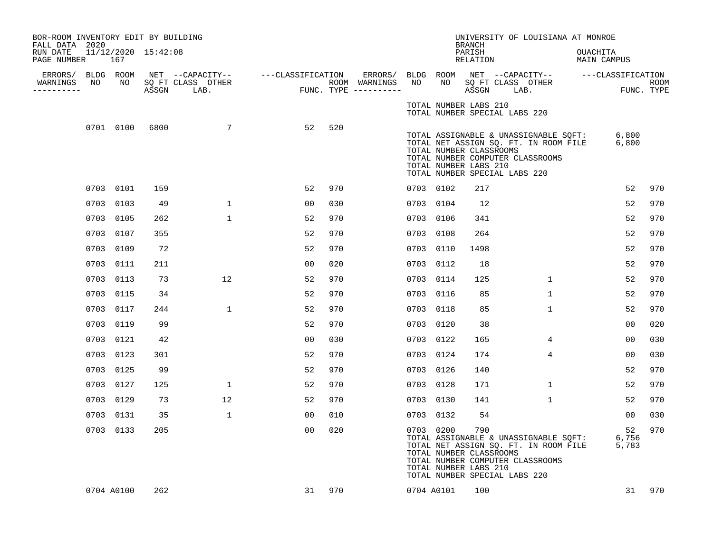| BOR-ROOM INVENTORY EDIT BY BUILDING<br>FALL DATA 2020 |            |                         |                           |                   |     |                                      |           |                                                               | <b>BRANCH</b>      |                               | UNIVERSITY OF LOUISIANA AT MONROE                                                                                  |                                    |                           |
|-------------------------------------------------------|------------|-------------------------|---------------------------|-------------------|-----|--------------------------------------|-----------|---------------------------------------------------------------|--------------------|-------------------------------|--------------------------------------------------------------------------------------------------------------------|------------------------------------|---------------------------|
| RUN DATE<br>PAGE NUMBER                               | 167        | $11/12/2020$ $15:42:08$ |                           |                   |     |                                      |           |                                                               | PARISH<br>RELATION |                               |                                                                                                                    | OUACHITA<br>MAIN CAMPUS            |                           |
| ERRORS/<br>NO                                         | BLDG ROOM  |                         | NET --CAPACITY--          | ---CLASSIFICATION |     | ERRORS/ BLDG ROOM                    |           |                                                               |                    |                               |                                                                                                                    | NET --CAPACITY-- ---CLASSIFICATION |                           |
| WARNINGS<br>----------                                | NO         | ASSGN                   | SQ FT CLASS OTHER<br>LAB. |                   |     | ROOM WARNINGS<br>FUNC. TYPE $------$ | NO        | NO                                                            | ASSGN              | SQ FT CLASS OTHER             | LAB.                                                                                                               |                                    | <b>ROOM</b><br>FUNC. TYPE |
|                                                       |            |                         |                           |                   |     |                                      |           | TOTAL NUMBER LABS 210                                         |                    | TOTAL NUMBER SPECIAL LABS 220 |                                                                                                                    |                                    |                           |
|                                                       | 0701 0100  | 6800                    | $7\overline{ }$           | 52                | 520 |                                      |           | TOTAL NUMBER CLASSROOMS<br>TOTAL NUMBER LABS 210              |                    | TOTAL NUMBER SPECIAL LABS 220 | TOTAL ASSIGNABLE & UNASSIGNABLE SQFT:<br>TOTAL NET ASSIGN SQ. FT. IN ROOM FILE<br>TOTAL NUMBER COMPUTER CLASSROOMS | 6,800<br>6,800                     |                           |
|                                                       | 0703 0101  | 159                     |                           | 52                | 970 |                                      |           | 0703 0102                                                     | 217                |                               |                                                                                                                    | 52                                 | 970                       |
|                                                       | 0703 0103  | 49                      | $\mathbf{1}$              | 00                | 030 |                                      |           | 0703 0104                                                     | 12                 |                               |                                                                                                                    | 52                                 | 970                       |
|                                                       | 0703 0105  | 262                     | $\mathbf{1}$              | 52                | 970 |                                      | 0703 0106 |                                                               | 341                |                               |                                                                                                                    | 52                                 | 970                       |
|                                                       | 0703 0107  | 355                     |                           | 52                | 970 |                                      |           | 0703 0108                                                     | 264                |                               |                                                                                                                    | 52                                 | 970                       |
|                                                       | 0703 0109  | 72                      |                           | 52                | 970 |                                      | 0703      | 0110                                                          | 1498               |                               |                                                                                                                    | 52                                 | 970                       |
|                                                       | 0703 0111  | 211                     |                           | 00                | 020 |                                      | 0703      | 0112                                                          | 18                 |                               |                                                                                                                    | 52                                 | 970                       |
|                                                       | 0703 0113  | 73                      | 12                        | 52                | 970 |                                      | 0703      | 0114                                                          | 125                |                               | $\mathbf{1}$                                                                                                       | 52                                 | 970                       |
|                                                       | 0703 0115  | 34                      |                           | 52                | 970 |                                      |           | 0703 0116                                                     | 85                 |                               | $\mathbf{1}$                                                                                                       | 52                                 | 970                       |
|                                                       | 0703 0117  | 244                     | $\mathbf{1}$              | 52                | 970 |                                      | 0703 0118 |                                                               | 85                 |                               | $\mathbf{1}$                                                                                                       | 52                                 | 970                       |
|                                                       | 0703 0119  | 99                      |                           | 52                | 970 |                                      | 0703      | 0120                                                          | 38                 |                               |                                                                                                                    | 00                                 | 020                       |
|                                                       | 0703 0121  | 42                      |                           | 00                | 030 |                                      |           | 0703 0122                                                     | 165                |                               | 4                                                                                                                  | 0 <sub>0</sub>                     | 030                       |
|                                                       | 0703 0123  | 301                     |                           | 52                | 970 |                                      | 0703      | 0124                                                          | 174                |                               | 4                                                                                                                  | 0 <sub>0</sub>                     | 030                       |
|                                                       | 0703 0125  | 99                      |                           | 52                | 970 |                                      |           | 0703 0126                                                     | 140                |                               |                                                                                                                    | 52                                 | 970                       |
|                                                       | 0703 0127  | 125                     | $\mathbf{1}$              | 52                | 970 |                                      | 0703      | 0128                                                          | 171                |                               | $\mathbf 1$                                                                                                        | 52                                 | 970                       |
|                                                       | 0703 0129  | 73                      | 12                        | 52                | 970 |                                      |           | 0703 0130                                                     | 141                |                               | $\mathbf{1}$                                                                                                       | 52                                 | 970                       |
|                                                       | 0703 0131  | 35                      | $\mathbf{1}$              | 00                | 010 |                                      |           | 0703 0132                                                     | 54                 |                               |                                                                                                                    | 0 <sub>0</sub>                     | 030                       |
|                                                       | 0703 0133  | 205                     |                           | 00                | 020 |                                      |           | 0703 0200<br>TOTAL NUMBER CLASSROOMS<br>TOTAL NUMBER LABS 210 | 790                | TOTAL NUMBER SPECIAL LABS 220 | TOTAL ASSIGNABLE & UNASSIGNABLE SQFT:<br>TOTAL NET ASSIGN SQ. FT. IN ROOM FILE<br>TOTAL NUMBER COMPUTER CLASSROOMS | 52<br>6,756<br>5,783               | 970                       |
|                                                       | 0704 A0100 | 262                     |                           | 31                | 970 |                                      |           | 0704 A0101                                                    | 100                |                               |                                                                                                                    | 31                                 | 970                       |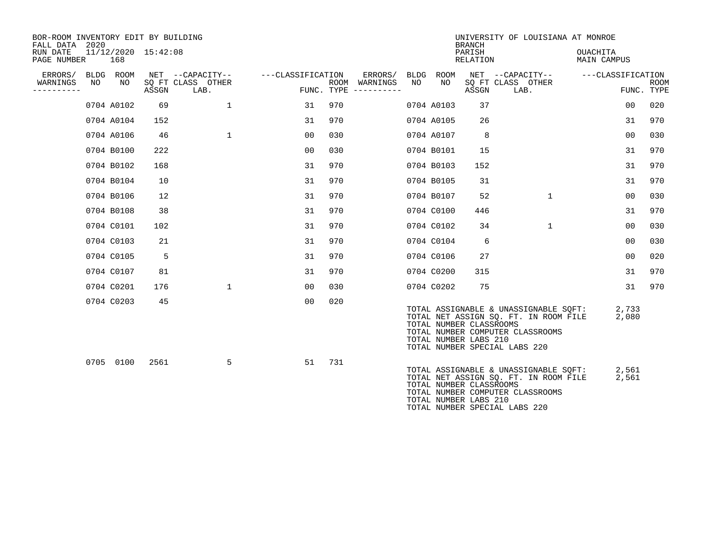| BOR-ROOM INVENTORY EDIT BY BUILDING<br>FALL DATA 2020 |                   |            |                     |                           |                   |     |                                      |      |             | <b>BRANCH</b>                                                                     |                                                                                                                    | UNIVERSITY OF LOUISIANA AT MONROE     |                |             |
|-------------------------------------------------------|-------------------|------------|---------------------|---------------------------|-------------------|-----|--------------------------------------|------|-------------|-----------------------------------------------------------------------------------|--------------------------------------------------------------------------------------------------------------------|---------------------------------------|----------------|-------------|
| RUN DATE<br>PAGE NUMBER                               |                   | 168        | 11/12/2020 15:42:08 |                           |                   |     |                                      |      |             | PARISH<br>RELATION                                                                |                                                                                                                    | <b>OUACHITA</b><br><b>MAIN CAMPUS</b> |                |             |
| ERRORS/                                               | <b>BLDG</b><br>NΟ | ROOM       |                     | NET --CAPACITY--          | ---CLASSIFICATION |     | ERRORS/                              | BLDG | <b>ROOM</b> |                                                                                   | NET --CAPACITY--                                                                                                   | ---CLASSIFICATION                     |                |             |
| WARNINGS<br>--------                                  |                   | NO.        | ASSGN               | SQ FT CLASS OTHER<br>LAB. |                   |     | ROOM WARNINGS<br>FUNC. TYPE $------$ | NO.  | NO.         | ASSGN                                                                             | SQ FT CLASS OTHER<br>LAB.                                                                                          |                                       | FUNC. TYPE     | <b>ROOM</b> |
|                                                       |                   | 0704 A0102 | 69                  | $\mathbf{1}$              | 31                | 970 |                                      |      | 0704 A0103  | 37                                                                                |                                                                                                                    |                                       | 0 <sub>0</sub> | 020         |
|                                                       |                   | 0704 A0104 | 152                 |                           | 31                | 970 |                                      |      | 0704 A0105  | 26                                                                                |                                                                                                                    |                                       | 31             | 970         |
|                                                       |                   | 0704 A0106 | 46                  | $\mathbf{1}$              | 0 <sub>0</sub>    | 030 |                                      |      | 0704 A0107  | 8                                                                                 |                                                                                                                    |                                       | 0 <sub>0</sub> | 030         |
|                                                       |                   | 0704 B0100 | 222                 |                           | 00                | 030 |                                      |      | 0704 B0101  | 15                                                                                |                                                                                                                    |                                       | 31             | 970         |
|                                                       |                   | 0704 B0102 | 168                 |                           | 31                | 970 |                                      |      | 0704 B0103  | 152                                                                               |                                                                                                                    |                                       | 31             | 970         |
|                                                       |                   | 0704 B0104 | 10                  |                           | 31                | 970 |                                      |      | 0704 B0105  | 31                                                                                |                                                                                                                    |                                       | 31             | 970         |
|                                                       |                   | 0704 B0106 | 12                  |                           | 31                | 970 |                                      |      | 0704 B0107  | 52                                                                                | $\mathbf 1$                                                                                                        |                                       | 0 <sub>0</sub> | 030         |
|                                                       |                   | 0704 B0108 | 38                  |                           | 31                | 970 |                                      |      | 0704 C0100  | 446                                                                               |                                                                                                                    |                                       | 31             | 970         |
|                                                       |                   | 0704 C0101 | 102                 |                           | 31                | 970 |                                      |      | 0704 C0102  | 34                                                                                | $\mathbf{1}$                                                                                                       |                                       | 0 <sub>0</sub> | 030         |
|                                                       |                   | 0704 C0103 | 21                  |                           | 31                | 970 |                                      |      | 0704 C0104  | 6                                                                                 |                                                                                                                    |                                       | 0 <sup>0</sup> | 030         |
|                                                       |                   | 0704 C0105 | 5                   |                           | 31                | 970 |                                      |      | 0704 C0106  | 27                                                                                |                                                                                                                    |                                       | 0 <sub>0</sub> | 020         |
|                                                       |                   | 0704 C0107 | 81                  |                           | 31                | 970 |                                      |      | 0704 C0200  | 315                                                                               |                                                                                                                    |                                       | 31             | 970         |
|                                                       |                   | 0704 C0201 | 176                 | $\mathbf{1}$              | 00                | 030 |                                      |      | 0704 C0202  | 75                                                                                |                                                                                                                    |                                       | 31             | 970         |
|                                                       |                   | 0704 C0203 | 45                  |                           | 0 <sub>0</sub>    | 020 |                                      |      |             | TOTAL NUMBER CLASSROOMS<br>TOTAL NUMBER LABS 210<br>TOTAL NUMBER SPECIAL LABS 220 | TOTAL ASSIGNABLE & UNASSIGNABLE SQFT:<br>TOTAL NET ASSIGN SQ. FT. IN ROOM FILE<br>TOTAL NUMBER COMPUTER CLASSROOMS |                                       | 2,733<br>2,080 |             |
|                                                       |                   | 0705 0100  | 2561                | 5                         | 51                | 731 |                                      |      |             | TOTAL NUMBER CLASSROOMS<br>TOTAL NUMBER LABS 210<br>TOTAL NUMBER SPECIAL LABS 220 | TOTAL ASSIGNABLE & UNASSIGNABLE SQFT:<br>TOTAL NET ASSIGN SQ. FT. IN ROOM FILE<br>TOTAL NUMBER COMPUTER CLASSROOMS |                                       | 2,561<br>2,561 |             |